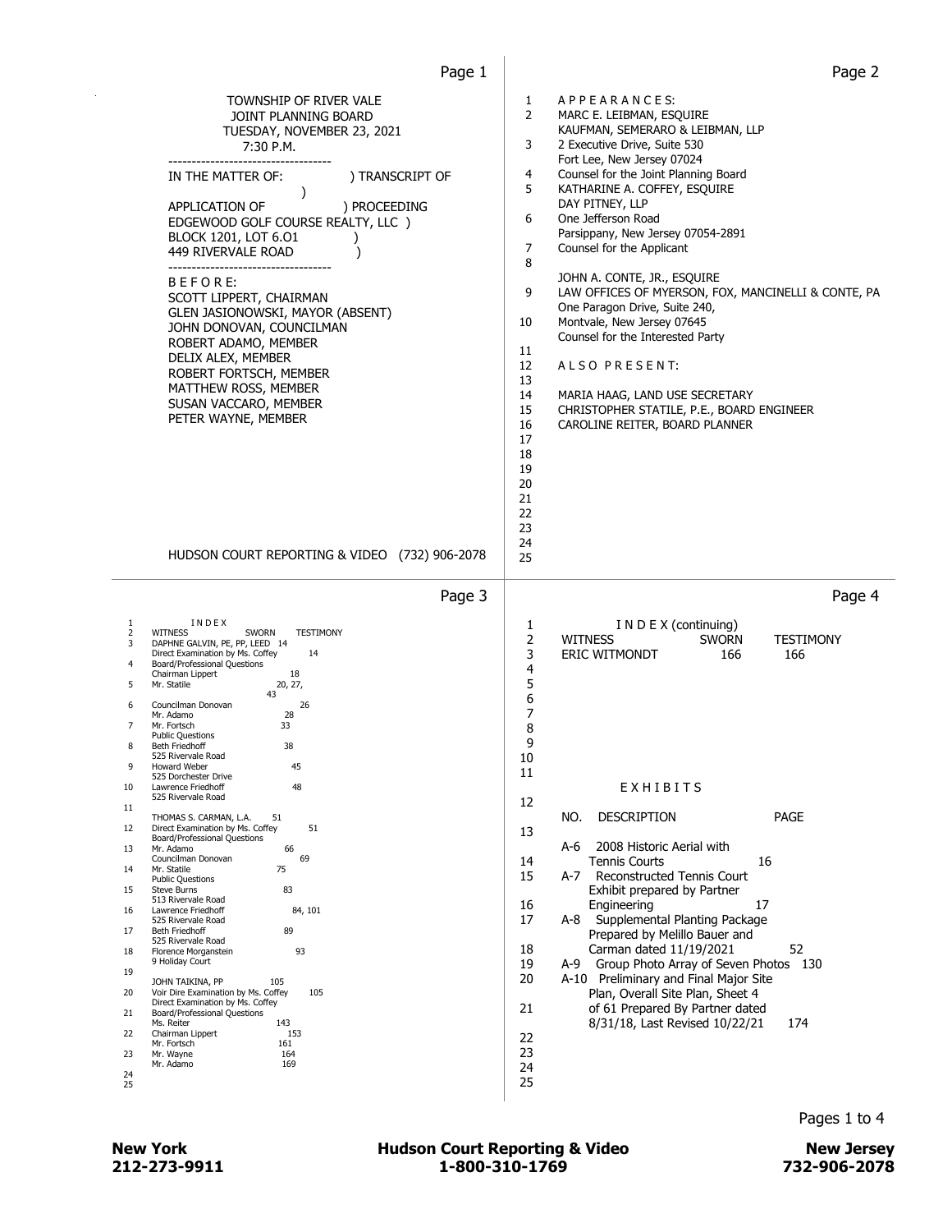| 1<br>APPEARANCES:<br>2<br>MARC E. LEIBMAN, ESQUIRE<br>KAUFMAN, SEMERARO & LEIBMAN, LLP<br>3<br>2 Executive Drive, Suite 530<br>Fort Lee, New Jersey 07024<br>4<br>Counsel for the Joint Planning Board<br>5<br>KATHARINE A. COFFEY, ESQUIRE<br>DAY PITNEY, LLP<br>6<br>One Jefferson Road<br>Parsippany, New Jersey 07054-2891<br>7<br>Counsel for the Applicant<br>8<br>JOHN A. CONTE, JR., ESQUIRE<br>9<br>LAW OFFICES OF MYERSON, FOX, MANCINELLI & CONTE, PA<br>One Paragon Drive, Suite 240,<br>Montvale, New Jersey 07645<br>10<br>Counsel for the Interested Party<br>11<br>12<br>ALSO PRESENT:<br>13<br>14<br>MARIA HAAG, LAND USE SECRETARY<br>15<br>CHRISTOPHER STATILE, P.E., BOARD ENGINEER<br>16<br>CAROLINE REITER, BOARD PLANNER<br>17<br>18<br>19<br>20<br>21<br>22<br>23<br>24<br>25 |
|-------------------------------------------------------------------------------------------------------------------------------------------------------------------------------------------------------------------------------------------------------------------------------------------------------------------------------------------------------------------------------------------------------------------------------------------------------------------------------------------------------------------------------------------------------------------------------------------------------------------------------------------------------------------------------------------------------------------------------------------------------------------------------------------------------|
| Page 4<br>I N D E X (continuing)<br>1                                                                                                                                                                                                                                                                                                                                                                                                                                                                                                                                                                                                                                                                                                                                                                 |
| 2<br><b>WITNESS</b><br><b>SWORN</b><br>TESTIMONY<br>3<br><b>ERIC WITMONDT</b><br>166<br>166<br>4<br>5<br>6<br>7<br>8<br>9<br>10<br>11<br>EXHIBITS<br>12<br>NO.<br><b>DESCRIPTION</b><br><b>PAGE</b><br>13<br>A-6<br>2008 Historic Aerial with<br>14<br>16<br><b>Tennis Courts</b><br>15<br>Reconstructed Tennis Court<br>A-7<br>Exhibit prepared by Partner<br>17<br>16<br>Engineering<br>17<br>A-8 Supplemental Planting Package<br>Prepared by Melillo Bauer and<br>52<br>18<br>Carman dated 11/19/2021<br>19<br>A-9 Group Photo Array of Seven Photos 130<br>A-10 Preliminary and Final Major Site<br>20<br>Plan, Overall Site Plan, Sheet 4<br>of 61 Prepared By Partner dated<br>21<br>8/31/18, Last Revised 10/22/21<br>174<br>22<br>23<br>24                                                   |
|                                                                                                                                                                                                                                                                                                                                                                                                                                                                                                                                                                                                                                                                                                                                                                                                       |

 $\overline{\phantom{a}}$ 

#### 212-273-9911 1-800-310-1769 732-906-2078 New York **New York COUNTER Hudson Court Reporting & Video** New Jersey

Pages 1 to 4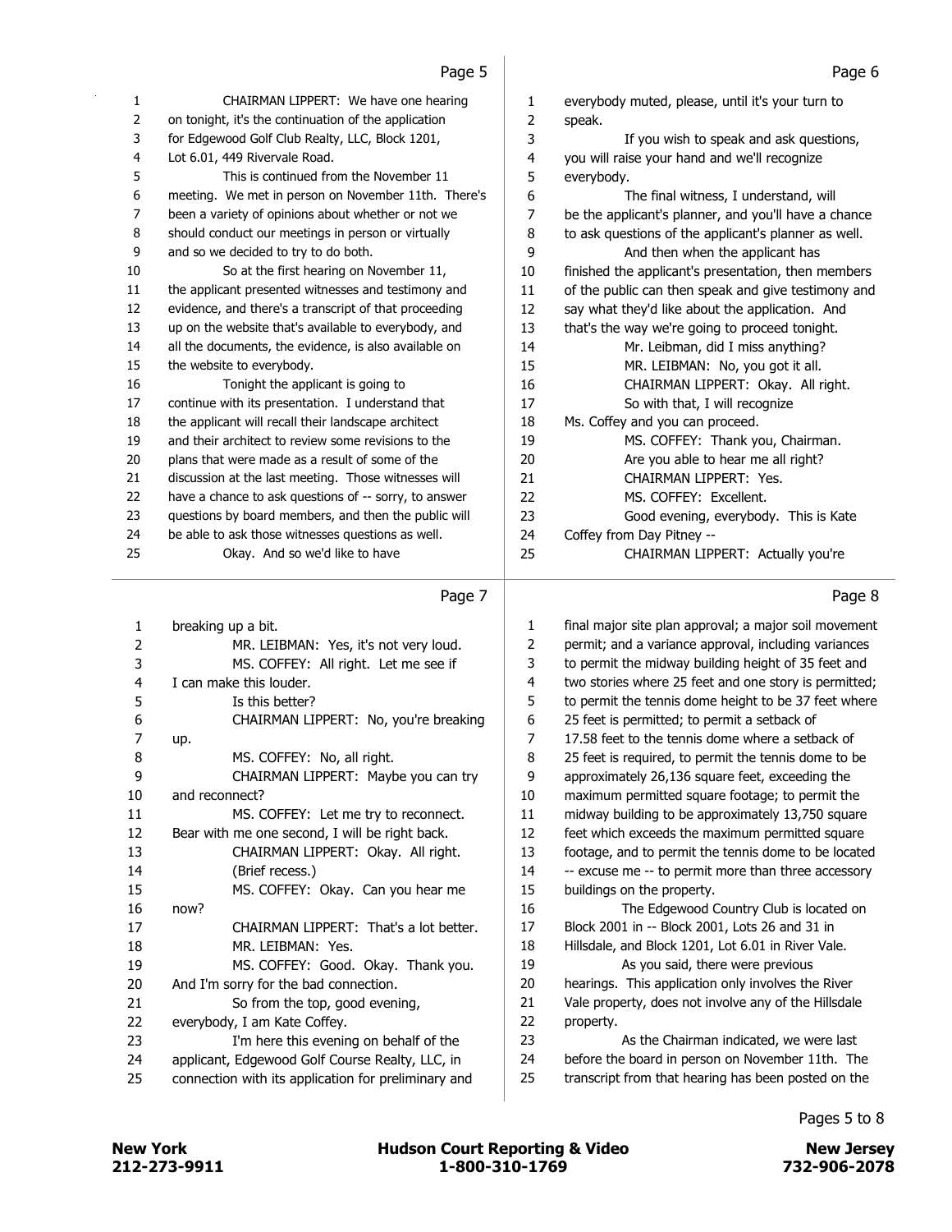| 1  | CHAIRMAN LIPPERT: We have one hearing                 | 1              | everybody muted, please, until it's your turn to      |
|----|-------------------------------------------------------|----------------|-------------------------------------------------------|
| 2  | on tonight, it's the continuation of the application  | 2              | speak.                                                |
| 3  | for Edgewood Golf Club Realty, LLC, Block 1201,       | 3              | If you wish to speak and ask questions,               |
| 4  | Lot 6.01, 449 Rivervale Road.                         | 4              | you will raise your hand and we'll recognize          |
| 5  | This is continued from the November 11                | 5              | everybody.                                            |
| 6  | meeting. We met in person on November 11th. There's   | 6              | The final witness, I understand, will                 |
| 7  | been a variety of opinions about whether or not we    | 7              | be the applicant's planner, and you'll have a chance  |
| 8  | should conduct our meetings in person or virtually    | 8              | to ask questions of the applicant's planner as well.  |
| 9  | and so we decided to try to do both.                  | 9              | And then when the applicant has                       |
| 10 | So at the first hearing on November 11,               | 10             | finished the applicant's presentation, then members   |
| 11 | the applicant presented witnesses and testimony and   | 11             | of the public can then speak and give testimony and   |
| 12 | evidence, and there's a transcript of that proceeding | 12             | say what they'd like about the application. And       |
| 13 | up on the website that's available to everybody, and  | 13             | that's the way we're going to proceed tonight.        |
| 14 | all the documents, the evidence, is also available on | 14             | Mr. Leibman, did I miss anything?                     |
| 15 | the website to everybody.                             | 15             | MR. LEIBMAN: No, you got it all.                      |
| 16 | Tonight the applicant is going to                     | 16             | CHAIRMAN LIPPERT: Okay. All right.                    |
| 17 | continue with its presentation. I understand that     | 17             | So with that, I will recognize                        |
| 18 | the applicant will recall their landscape architect   | 18             | Ms. Coffey and you can proceed.                       |
| 19 | and their architect to review some revisions to the   | 19             | MS. COFFEY: Thank you, Chairman.                      |
| 20 | plans that were made as a result of some of the       | 20             | Are you able to hear me all right?                    |
| 21 | discussion at the last meeting. Those witnesses will  | 21             | CHAIRMAN LIPPERT: Yes.                                |
| 22 | have a chance to ask questions of -- sorry, to answer | 22             | MS. COFFEY: Excellent.                                |
| 23 | questions by board members, and then the public will  | 23             | Good evening, everybody. This is Kate                 |
| 24 | be able to ask those witnesses questions as well.     | 24             | Coffey from Day Pitney --                             |
| 25 | Okay. And so we'd like to have                        | 25             | CHAIRMAN LIPPERT: Actually you're                     |
|    |                                                       |                |                                                       |
|    | Page 7                                                |                | Page 8                                                |
|    |                                                       |                |                                                       |
| 1  |                                                       |                |                                                       |
|    | breaking up a bit.                                    | 1              | final major site plan approval; a major soil movement |
| 2  | MR. LEIBMAN: Yes, it's not very loud.                 | 2              | permit; and a variance approval, including variances  |
| 3  | MS. COFFEY: All right. Let me see if                  | 3              | to permit the midway building height of 35 feet and   |
| 4  | I can make this louder.                               | 4              | two stories where 25 feet and one story is permitted; |
| 5  | Is this better?                                       | 5              | to permit the tennis dome height to be 37 feet where  |
| 6  | CHAIRMAN LIPPERT: No, you're breaking                 | 6              | 25 feet is permitted; to permit a setback of          |
| 7  | up.                                                   | $\overline{7}$ | 17.58 feet to the tennis dome where a setback of      |
| 8  | MS. COFFEY: No, all right.                            | 8              | 25 feet is required, to permit the tennis dome to be  |
| q  | CHAIRMAN LIPPERT: Maybe you can try                   | 9              | approximately 26,136 square feet, exceeding the       |
| 10 | and reconnect?                                        | 10             | maximum permitted square footage; to permit the       |
| 11 | MS. COFFEY: Let me try to reconnect.                  | 11             | midway building to be approximately 13,750 square     |
| 12 | Bear with me one second, I will be right back.        | 12             | feet which exceeds the maximum permitted square       |
| 13 | CHAIRMAN LIPPERT: Okay. All right.                    | 13             | footage, and to permit the tennis dome to be located  |
| 14 | (Brief recess.)                                       | 14             | -- excuse me -- to permit more than three accessory   |
| 15 | MS. COFFEY: Okay. Can you hear me                     | 15             | buildings on the property.                            |
| 16 | now?                                                  | 16             | The Edgewood Country Club is located on               |
| 17 | CHAIRMAN LIPPERT: That's a lot better.                | 17             | Block 2001 in -- Block 2001, Lots 26 and 31 in        |
| 18 | MR. LEIBMAN: Yes.                                     | 18             | Hillsdale, and Block 1201, Lot 6.01 in River Vale.    |
| 19 | MS. COFFEY: Good. Okay. Thank you.                    | 19             | As you said, there were previous                      |
| 20 | And I'm sorry for the bad connection.                 | 20             | hearings. This application only involves the River    |
| 21 | So from the top, good evening,                        | 21             | Vale property, does not involve any of the Hillsdale  |
| 22 | everybody, I am Kate Coffey.                          | 22             | property.                                             |
| 23 | I'm here this evening on behalf of the                | 23             | As the Chairman indicated, we were last               |
| 24 | applicant, Edgewood Golf Course Realty, LLC, in       | 24             | before the board in person on November 11th. The      |
| 25 | connection with its application for preliminary and   | 25             | transcript from that hearing has been posted on the   |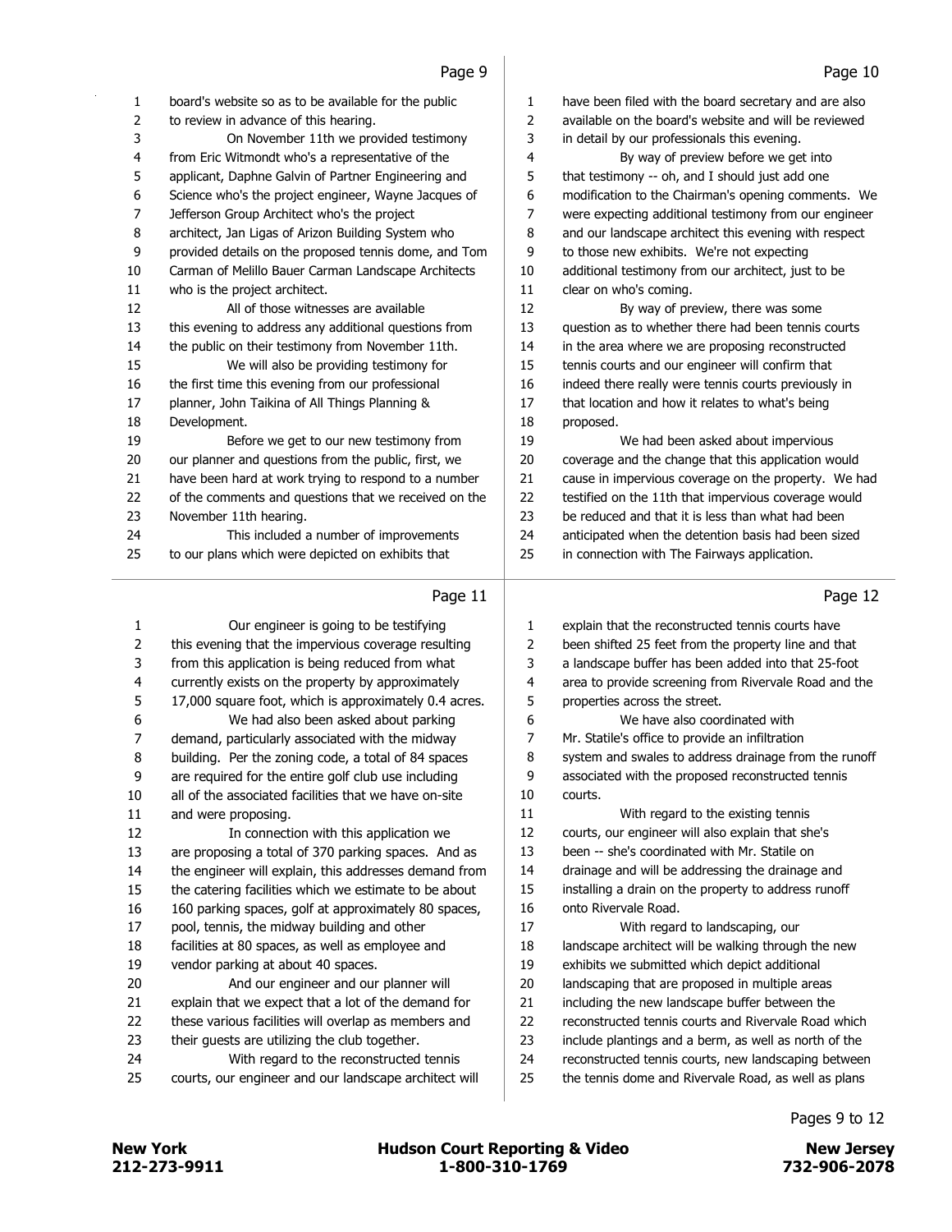| $\mathbf{1}$            | board's website so as to be available for the public                                             | 1                       | have been filed with the board secretary and are also                                                        |
|-------------------------|--------------------------------------------------------------------------------------------------|-------------------------|--------------------------------------------------------------------------------------------------------------|
| 2                       | to review in advance of this hearing.                                                            | $\mathsf{2}\,$          | available on the board's website and will be reviewed                                                        |
| 3                       | On November 11th we provided testimony                                                           | 3                       | in detail by our professionals this evening.                                                                 |
| $\overline{\mathbf{4}}$ | from Eric Witmondt who's a representative of the                                                 | 4                       | By way of preview before we get into                                                                         |
| 5                       | applicant, Daphne Galvin of Partner Engineering and                                              | 5                       | that testimony -- oh, and I should just add one                                                              |
| 6                       | Science who's the project engineer, Wayne Jacques of                                             | 6                       | modification to the Chairman's opening comments. We                                                          |
| 7                       | Jefferson Group Architect who's the project                                                      | 7                       | were expecting additional testimony from our engineer                                                        |
| 8                       | architect, Jan Ligas of Arizon Building System who                                               | 8                       | and our landscape architect this evening with respect                                                        |
| 9                       | provided details on the proposed tennis dome, and Tom                                            | 9                       | to those new exhibits. We're not expecting                                                                   |
| 10                      | Carman of Melillo Bauer Carman Landscape Architects                                              | 10                      | additional testimony from our architect, just to be                                                          |
| 11                      | who is the project architect.                                                                    | $11\,$                  | clear on who's coming.                                                                                       |
| 12                      | All of those witnesses are available                                                             | 12                      | By way of preview, there was some                                                                            |
| 13                      | this evening to address any additional questions from                                            | 13                      | question as to whether there had been tennis courts                                                          |
| 14                      | the public on their testimony from November 11th.                                                | 14                      | in the area where we are proposing reconstructed                                                             |
| 15                      | We will also be providing testimony for                                                          | 15                      | tennis courts and our engineer will confirm that                                                             |
| 16                      | the first time this evening from our professional                                                | 16                      | indeed there really were tennis courts previously in                                                         |
| 17                      | planner, John Taikina of All Things Planning &                                                   | $17\,$                  | that location and how it relates to what's being                                                             |
| 18                      | Development.                                                                                     | 18                      | proposed.                                                                                                    |
| 19                      | Before we get to our new testimony from                                                          | 19                      | We had been asked about impervious                                                                           |
| 20                      | our planner and questions from the public, first, we                                             | 20                      | coverage and the change that this application would                                                          |
| 21                      | have been hard at work trying to respond to a number                                             | 21                      | cause in impervious coverage on the property. We had                                                         |
| 22                      | of the comments and questions that we received on the                                            | 22                      | testified on the 11th that impervious coverage would                                                         |
| 23                      | November 11th hearing.                                                                           | 23                      | be reduced and that it is less than what had been                                                            |
| 24                      | This included a number of improvements                                                           | 24                      | anticipated when the detention basis had been sized                                                          |
| 25                      | to our plans which were depicted on exhibits that                                                | 25                      | in connection with The Fairways application.                                                                 |
|                         | Page 11                                                                                          |                         | Page 12                                                                                                      |
|                         |                                                                                                  |                         |                                                                                                              |
|                         |                                                                                                  |                         |                                                                                                              |
| 1                       | Our engineer is going to be testifying                                                           | 1                       | explain that the reconstructed tennis courts have                                                            |
| $\overline{2}$          | this evening that the impervious coverage resulting                                              | 2                       | been shifted 25 feet from the property line and that                                                         |
| 3                       | from this application is being reduced from what                                                 | 3                       | a landscape buffer has been added into that 25-foot                                                          |
| 4                       | currently exists on the property by approximately                                                | $\overline{\mathbf{4}}$ | area to provide screening from Rivervale Road and the                                                        |
| 5                       | 17,000 square foot, which is approximately 0.4 acres.                                            | 5                       | properties across the street.                                                                                |
| 6                       | We had also been asked about parking                                                             | 6                       | We have also coordinated with                                                                                |
| 7                       | demand, particularly associated with the midway                                                  | 7                       | Mr. Statile's office to provide an infiltration                                                              |
| 8                       | building. Per the zoning code, a total of 84 spaces                                              | 8                       | system and swales to address drainage from the runoff                                                        |
| 9                       | are required for the entire golf club use including                                              | 9                       | associated with the proposed reconstructed tennis                                                            |
| 10                      | all of the associated facilities that we have on-site                                            | 10                      | courts.                                                                                                      |
| 11                      | and were proposing.                                                                              | 11                      | With regard to the existing tennis                                                                           |
| 12                      | In connection with this application we                                                           | 12                      | courts, our engineer will also explain that she's                                                            |
| 13                      | are proposing a total of 370 parking spaces. And as                                              | 13                      | been -- she's coordinated with Mr. Statile on                                                                |
| 14                      | the engineer will explain, this addresses demand from                                            | 14                      | drainage and will be addressing the drainage and                                                             |
| 15                      | the catering facilities which we estimate to be about                                            | 15                      | installing a drain on the property to address runoff                                                         |
| 16                      | 160 parking spaces, golf at approximately 80 spaces,                                             | 16                      | onto Rivervale Road.                                                                                         |
| 17                      | pool, tennis, the midway building and other                                                      | 17                      | With regard to landscaping, our                                                                              |
| 18                      | facilities at 80 spaces, as well as employee and                                                 | 18                      | landscape architect will be walking through the new                                                          |
| 19                      | vendor parking at about 40 spaces.                                                               | 19                      | exhibits we submitted which depict additional                                                                |
| 20                      | And our engineer and our planner will                                                            | 20                      | landscaping that are proposed in multiple areas                                                              |
| 21                      | explain that we expect that a lot of the demand for                                              | 21                      | including the new landscape buffer between the                                                               |
| 22                      | these various facilities will overlap as members and                                             | 22                      | reconstructed tennis courts and Rivervale Road which                                                         |
| 23                      | their guests are utilizing the club together.                                                    | 23                      | include plantings and a berm, as well as north of the                                                        |
| 24<br>25                | With regard to the reconstructed tennis<br>courts, our engineer and our landscape architect will | 24<br>25                | reconstructed tennis courts, new landscaping between<br>the tennis dome and Rivervale Road, as well as plans |

New York **1212-273-9911** 1-800-310-1769 Review York 1273-9911<br>212-273-9911 1-800-310-1769 1-800-310-1769 Review 1-800-310-1769 New York **New York 1988** Hudson Court Reporting & Video

Pages 9 to 12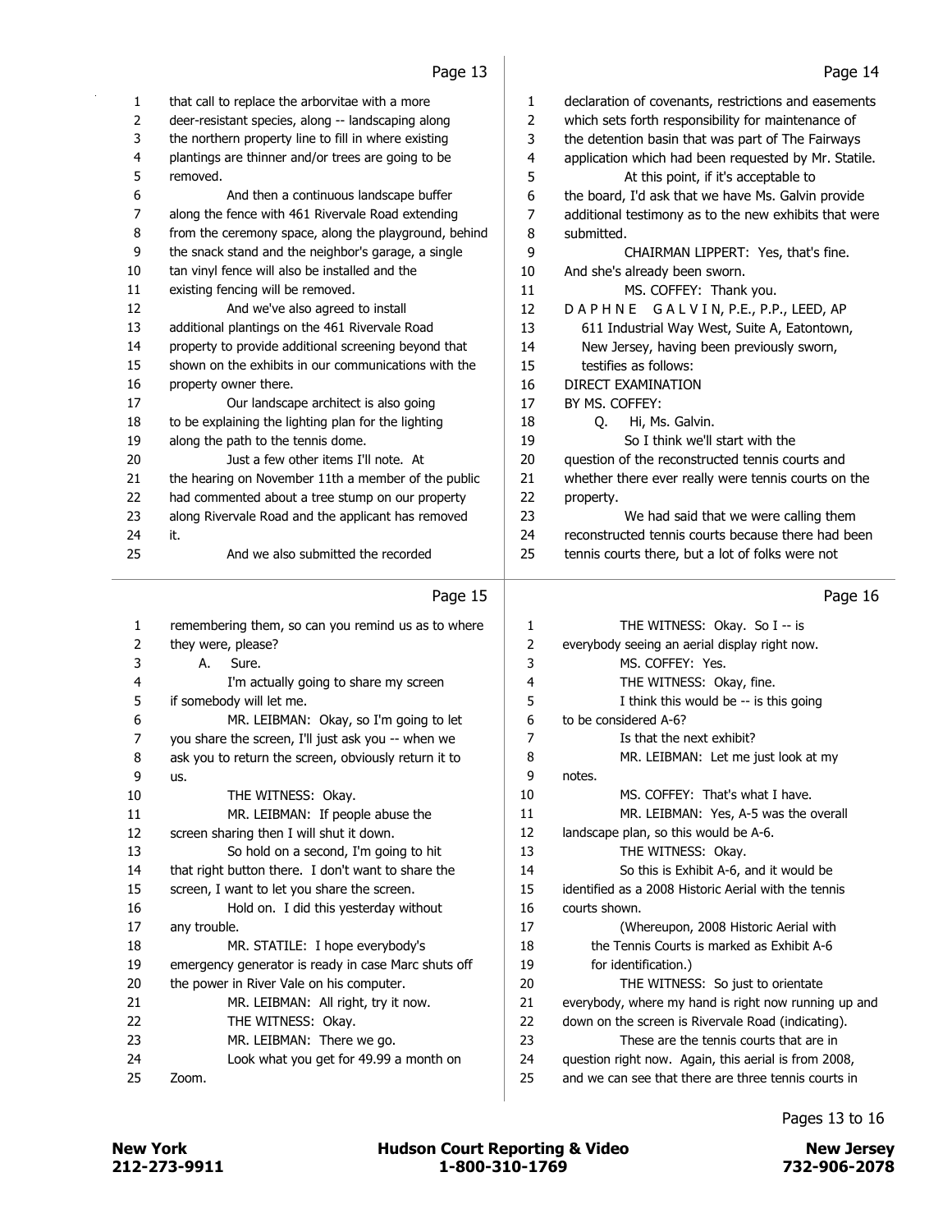|          | Page 13                                               |          | Page 14                                                                                       |
|----------|-------------------------------------------------------|----------|-----------------------------------------------------------------------------------------------|
| 1        | that call to replace the arborvitae with a more       | 1        | declaration of covenants, restrictions and easements                                          |
| 2        | deer-resistant species, along -- landscaping along    | 2        | which sets forth responsibility for maintenance of                                            |
| 3        | the northern property line to fill in where existing  | 3        | the detention basin that was part of The Fairways                                             |
| 4        | plantings are thinner and/or trees are going to be    | 4        | application which had been requested by Mr. Statile.                                          |
| 5        | removed.                                              | 5        | At this point, if it's acceptable to                                                          |
| 6        | And then a continuous landscape buffer                | 6        | the board, I'd ask that we have Ms. Galvin provide                                            |
| 7        | along the fence with 461 Rivervale Road extending     | 7        | additional testimony as to the new exhibits that were                                         |
| 8        | from the ceremony space, along the playground, behind | 8        | submitted.                                                                                    |
| 9        | the snack stand and the neighbor's garage, a single   | 9        | CHAIRMAN LIPPERT: Yes, that's fine.                                                           |
| 10       | tan vinyl fence will also be installed and the        | 10       | And she's already been sworn.                                                                 |
| 11       | existing fencing will be removed.                     | 11       | MS. COFFEY: Thank you.                                                                        |
| 12       | And we've also agreed to install                      | 12       | DAPHNE GALVIN, P.E., P.P., LEED, AP                                                           |
| 13       | additional plantings on the 461 Rivervale Road        | 13       | 611 Industrial Way West, Suite A, Eatontown,                                                  |
| 14       | property to provide additional screening beyond that  | 14       | New Jersey, having been previously sworn,                                                     |
| 15       | shown on the exhibits in our communications with the  | 15       | testifies as follows:                                                                         |
| 16       | property owner there.                                 | 16       | <b>DIRECT EXAMINATION</b>                                                                     |
| 17       | Our landscape architect is also going                 | 17       | BY MS. COFFEY:                                                                                |
| 18       | to be explaining the lighting plan for the lighting   | 18       | Q.<br>Hi, Ms. Galvin.                                                                         |
| 19       | along the path to the tennis dome.                    | 19       | So I think we'll start with the                                                               |
| 20       | Just a few other items I'll note. At                  | 20       | question of the reconstructed tennis courts and                                               |
| 21       | the hearing on November 11th a member of the public   | 21       | whether there ever really were tennis courts on the                                           |
| 22       | had commented about a tree stump on our property      | 22       | property.                                                                                     |
| 23       | along Rivervale Road and the applicant has removed    | 23       | We had said that we were calling them                                                         |
| 24       | it.                                                   | 24       | reconstructed tennis courts because there had been                                            |
| 25       | And we also submitted the recorded                    | 25       | tennis courts there, but a lot of folks were not                                              |
|          | Page 15                                               |          | Page 16                                                                                       |
|          | remembering them, so can you remind us as to where    | 1        | THE WITNESS: Okay. So I -- is                                                                 |
| 1<br>2   | they were, please?                                    | 2        | everybody seeing an aerial display right now.                                                 |
| 3        | А.<br>Sure.                                           | 3        | MS. COFFEY: Yes.                                                                              |
| 4        | I'm actually going to share my screen                 | 4        | THE WITNESS: Okay, fine.                                                                      |
| 5        | if somebody will let me.                              | 5        | I think this would be -- is this going                                                        |
| 6        | MR. LEIBMAN: Okay, so I'm going to let                | 6        | to be considered A-6?                                                                         |
| 7        | you share the screen, I'll just ask you -- when we    | 7        | Is that the next exhibit?                                                                     |
| 8        | ask you to return the screen, obviously return it to  | 8        | MR. LEIBMAN: Let me just look at my                                                           |
| 9        | us.                                                   | 9        | notes.                                                                                        |
| 10       | THE WITNESS: Okay.                                    | 10       | MS. COFFEY: That's what I have.                                                               |
| 11       | MR. LEIBMAN: If people abuse the                      | 11       | MR. LEIBMAN: Yes, A-5 was the overall                                                         |
| 12       | screen sharing then I will shut it down.              | 12       | landscape plan, so this would be A-6.                                                         |
| 13       | So hold on a second, I'm going to hit                 |          |                                                                                               |
| 14       |                                                       |          |                                                                                               |
| 15       |                                                       | 13       | THE WITNESS: Okay.                                                                            |
|          | that right button there. I don't want to share the    | 14       | So this is Exhibit A-6, and it would be                                                       |
|          | screen, I want to let you share the screen.           | 15       | identified as a 2008 Historic Aerial with the tennis                                          |
| 16       | Hold on. I did this yesterday without                 | 16       | courts shown.                                                                                 |
| 17       | any trouble.                                          | 17       | (Whereupon, 2008 Historic Aerial with                                                         |
| 18       | MR. STATILE: I hope everybody's                       | 18       | the Tennis Courts is marked as Exhibit A-6                                                    |
| 19       | emergency generator is ready in case Marc shuts off   | 19       | for identification.)                                                                          |
| 20<br>21 | the power in River Vale on his computer.              | 20       | THE WITNESS: So just to orientate                                                             |
| 22       | MR. LEIBMAN: All right, try it now.                   | 21       | everybody, where my hand is right now running up and                                          |
| 23       | THE WITNESS: Okay.<br>MR. LEIBMAN: There we go.       | 22<br>23 | down on the screen is Rivervale Road (indicating).<br>These are the tennis courts that are in |

- 24 Look what you get for 49.99 a month on 24 question right now. Again, this aerial is from 2008,
	- 25 and we can see that there are three tennis courts in

25 Zoom.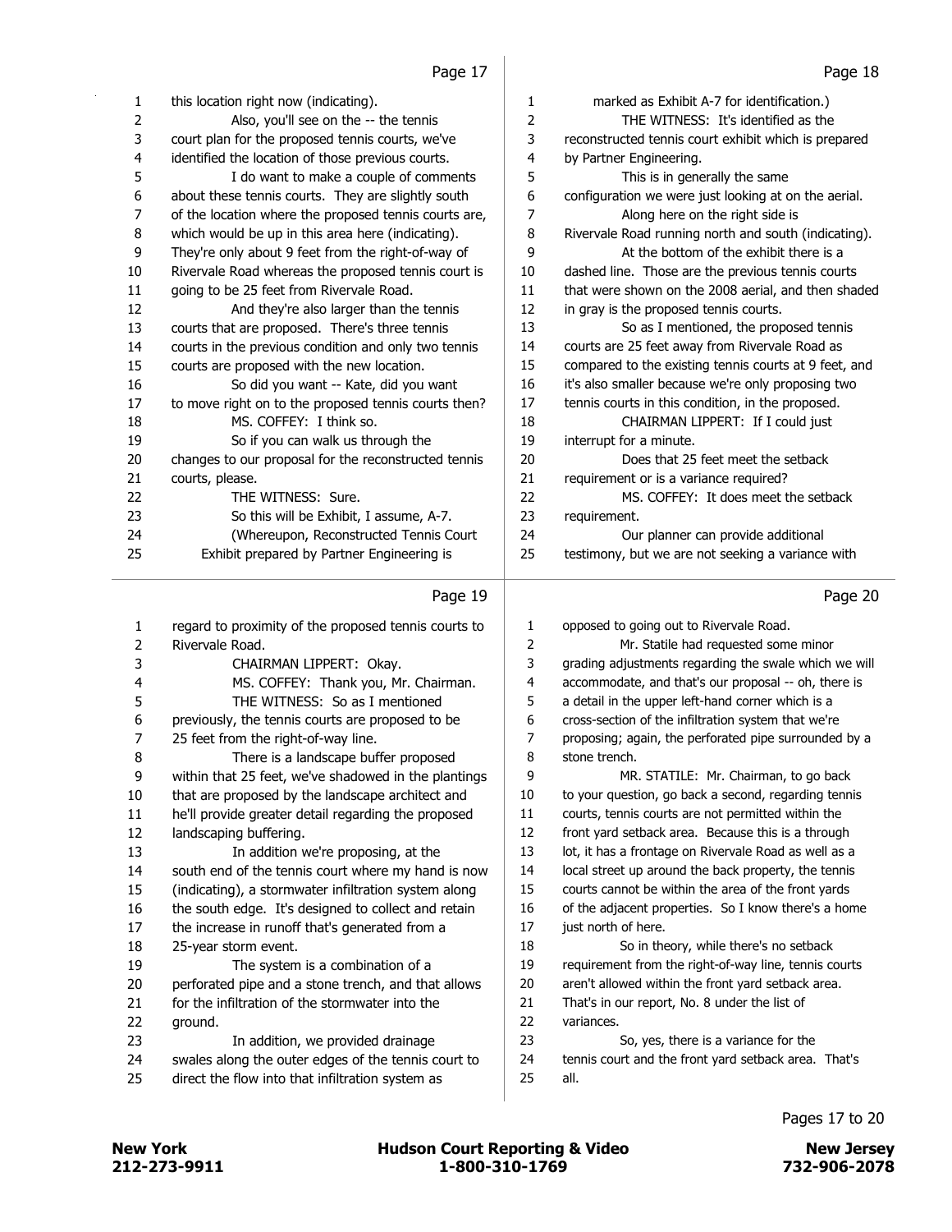| 1              | this location right now (indicating).                 | 1              | marked as Exhibit A-7 for identification.)            |
|----------------|-------------------------------------------------------|----------------|-------------------------------------------------------|
| 2              | Also, you'll see on the -- the tennis                 | $\overline{2}$ | THE WITNESS: It's identified as the                   |
| 3              | court plan for the proposed tennis courts, we've      | 3              | reconstructed tennis court exhibit which is prepared  |
| 4              | identified the location of those previous courts.     | 4              | by Partner Engineering.                               |
| 5              | I do want to make a couple of comments                | 5              | This is in generally the same                         |
| 6              | about these tennis courts. They are slightly south    | 6              | configuration we were just looking at on the aerial.  |
| 7              | of the location where the proposed tennis courts are, | $\overline{7}$ | Along here on the right side is                       |
| 8              | which would be up in this area here (indicating).     | 8              | Rivervale Road running north and south (indicating).  |
| 9              | They're only about 9 feet from the right-of-way of    | 9              | At the bottom of the exhibit there is a               |
| 10             | Rivervale Road whereas the proposed tennis court is   | 10             | dashed line. Those are the previous tennis courts     |
| 11             | going to be 25 feet from Rivervale Road.              | 11             | that were shown on the 2008 aerial, and then shaded   |
| 12             | And they're also larger than the tennis               | 12             | in gray is the proposed tennis courts.                |
| 13             | courts that are proposed. There's three tennis        | 13             | So as I mentioned, the proposed tennis                |
| 14             | courts in the previous condition and only two tennis  | 14             | courts are 25 feet away from Rivervale Road as        |
| 15             | courts are proposed with the new location.            | 15             | compared to the existing tennis courts at 9 feet, and |
| 16             | So did you want -- Kate, did you want                 | 16             | it's also smaller because we're only proposing two    |
| 17             | to move right on to the proposed tennis courts then?  | 17             | tennis courts in this condition, in the proposed.     |
| 18             | MS. COFFEY: I think so.                               | 18             | CHAIRMAN LIPPERT: If I could just                     |
| 19             | So if you can walk us through the                     | 19             | interrupt for a minute.                               |
| 20             | changes to our proposal for the reconstructed tennis  | 20             | Does that 25 feet meet the setback                    |
| 21             | courts, please.                                       | 21             | requirement or is a variance required?                |
| 22             | THE WITNESS: Sure.                                    | 22             | MS. COFFEY: It does meet the setback                  |
| 23             | So this will be Exhibit, I assume, A-7.               | 23             | requirement.                                          |
| 24             | (Whereupon, Reconstructed Tennis Court                | 24             | Our planner can provide additional                    |
| 25             | Exhibit prepared by Partner Engineering is            | 25             | testimony, but we are not seeking a variance with     |
|                | Page 19                                               |                | Page 20                                               |
| 1              | regard to proximity of the proposed tennis courts to  | 1              | opposed to going out to Rivervale Road.               |
| $\overline{2}$ | Rivervale Road.                                       | 2              | Mr. Statile had requested some minor                  |
| 3              | CHAIRMAN LIPPERT: Okay.                               | 3              | grading adjustments regarding the swale which we will |
| 4              | MS. COFFEY: Thank you, Mr. Chairman.                  | 4              | accommodate, and that's our proposal -- oh, there is  |
| 5              | THE WITNESS: So as I mentioned                        | 5              | a detail in the upper left-hand corner which is a     |
| 6              | previously, the tennis courts are proposed to be      | 6              | cross-section of the infiltration system that we're   |
| 7              | 25 feet from the right-of-way line.                   | 7              | proposing; again, the perforated pipe surrounded by a |
| 8              | There is a landscape buffer proposed                  | 8              | stone trench.                                         |
| 9              | within that 25 feet, we've shadowed in the plantings  | 9              | MR. STATILE: Mr. Chairman, to go back                 |
| 10             | that are proposed by the landscape architect and      | 10             | to your question, go back a second, regarding tennis  |

that are proposed by the landscape architect and

 he'll provide greater detail regarding the proposed landscaping buffering. 13 In addition we're proposing, at the south end of the tennis court where my hand is now (indicating), a stormwater infiltration system along the south edge. It's designed to collect and retain the increase in runoff that's generated from a 25-year storm event. 19 The system is a combination of a

 perforated pipe and a stone trench, and that allows for the infiltration of the stormwater into the ground. 23 In addition, we provided drainage swales along the outer edges of the tennis court to

- direct the flow into that infiltration system as
- variances. 23 So, yes, there is a variance for the

18 So in theory, while there's no setback requirement from the right-of-way line, tennis courts aren't allowed within the front yard setback area. That's in our report, No. 8 under the list of

 courts, tennis courts are not permitted within the front yard setback area. Because this is a through 13 lot, it has a frontage on Rivervale Road as well as a 14 local street up around the back property, the tennis courts cannot be within the area of the front yards of the adjacent properties. So I know there's a home

just north of here.

 tennis court and the front yard setback area. That's all.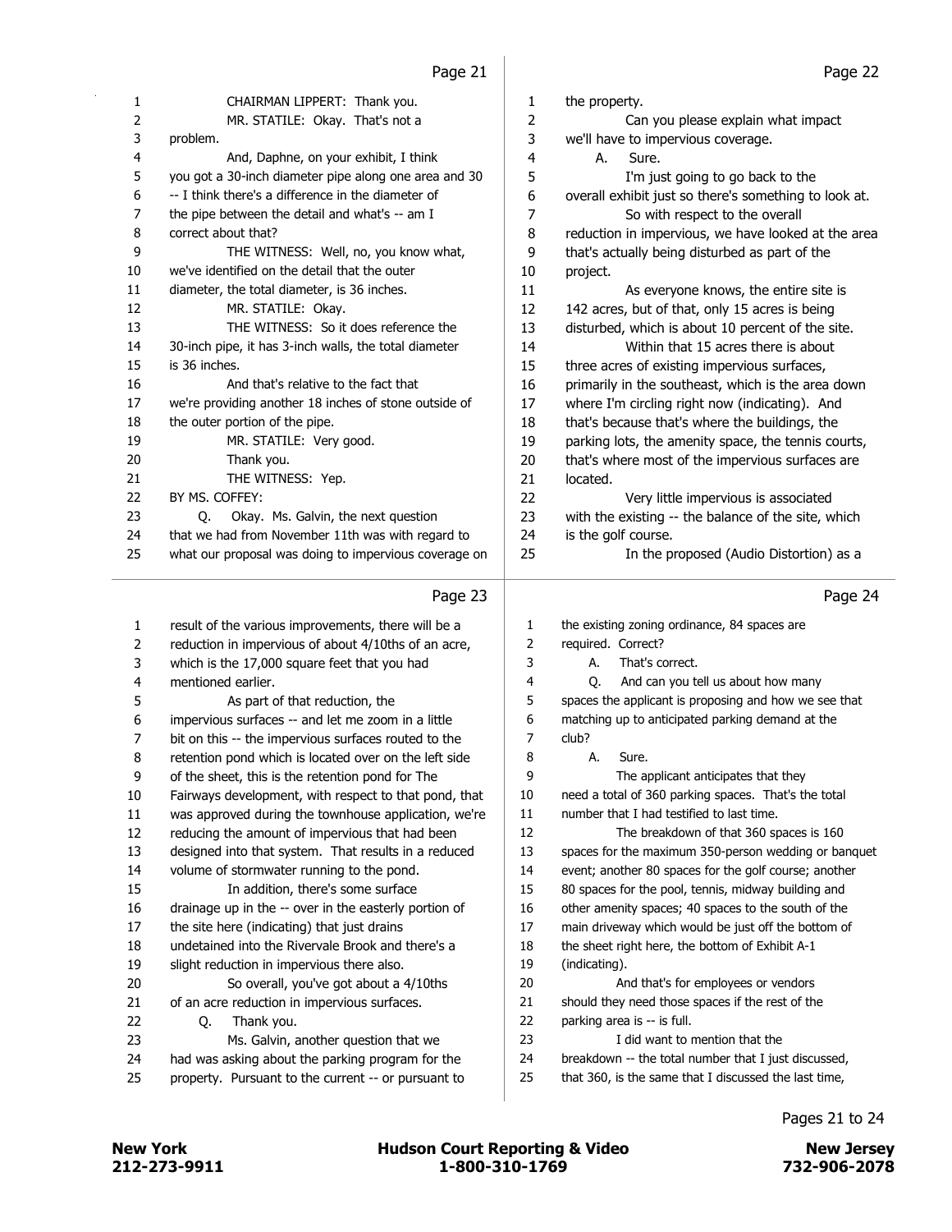|                | دے جوہ ت                                              |                | ے جاتا ہ                                              |
|----------------|-------------------------------------------------------|----------------|-------------------------------------------------------|
| 1              | CHAIRMAN LIPPERT: Thank you.                          | 1              | the property.                                         |
| 2              | MR. STATILE: Okay. That's not a                       | $\overline{c}$ | Can you please explain what impact                    |
| 3              | problem.                                              | 3              | we'll have to impervious coverage.                    |
| 4              | And, Daphne, on your exhibit, I think                 | 4              | А.<br>Sure.                                           |
| 5              | you got a 30-inch diameter pipe along one area and 30 | 5              | I'm just going to go back to the                      |
| 6              | -- I think there's a difference in the diameter of    | 6              | overall exhibit just so there's something to look at. |
| 7              | the pipe between the detail and what's -- am I        | 7              | So with respect to the overall                        |
| 8              | correct about that?                                   | 8              | reduction in impervious, we have looked at the area   |
| 9              | THE WITNESS: Well, no, you know what,                 | 9              | that's actually being disturbed as part of the        |
| 10             | we've identified on the detail that the outer         | 10             | project.                                              |
| 11             | diameter, the total diameter, is 36 inches.           | 11             | As everyone knows, the entire site is                 |
| 12             | MR. STATILE: Okay.                                    | 12             | 142 acres, but of that, only 15 acres is being        |
| 13             | THE WITNESS: So it does reference the                 | 13             | disturbed, which is about 10 percent of the site.     |
| 14             | 30-inch pipe, it has 3-inch walls, the total diameter | 14             | Within that 15 acres there is about                   |
| 15             | is 36 inches.                                         | 15             | three acres of existing impervious surfaces,          |
| 16             | And that's relative to the fact that                  | 16             | primarily in the southeast, which is the area down    |
| 17             | we're providing another 18 inches of stone outside of | 17             | where I'm circling right now (indicating). And        |
| 18             | the outer portion of the pipe.                        | 18             | that's because that's where the buildings, the        |
| 19             | MR. STATILE: Very good.                               | 19             | parking lots, the amenity space, the tennis courts,   |
| 20             | Thank you.                                            | 20             | that's where most of the impervious surfaces are      |
| 21             | THE WITNESS: Yep.                                     | 21             | located.                                              |
| 22             | BY MS. COFFEY:                                        | 22             | Very little impervious is associated                  |
| 23             | Okay. Ms. Galvin, the next question<br>Q.             | 23             | with the existing -- the balance of the site, which   |
| 24             | that we had from November 11th was with regard to     | 24             | is the golf course.                                   |
| 25             | what our proposal was doing to impervious coverage on | 25             | In the proposed (Audio Distortion) as a               |
|                | Page 23                                               |                | Page 24                                               |
| $\mathbf{1}$   | result of the various improvements, there will be a   | 1              | the existing zoning ordinance, 84 spaces are          |
| 2              | reduction in impervious of about 4/10ths of an acre,  | 2              | required. Correct?                                    |
| 3              | which is the 17,000 square feet that you had          | 3              | That's correct.<br>А.                                 |
| 4              | mentioned earlier.                                    | 4              | And can you tell us about how many<br>O.              |
| 5              | As part of that reduction, the                        | 5              | spaces the applicant is proposing and how we see that |
| 6              | impervious surfaces -- and let me zoom in a little    | 6              | matching up to anticipated parking demand at the      |
| $\overline{7}$ | bit on this -- the impervious surfaces routed to the  | $\overline{7}$ | club?                                                 |
| 8              | retention pond which is located over on the left side | 8              | А.<br>Sure.                                           |
| 9              | of the sheet, this is the retention pond for The      | 9              | The applicant anticipates that they                   |
| 10             | Fairways development, with respect to that pond, that | 10             | need a total of 360 parking spaces. That's the total  |
| 11             | was approved during the townhouse application, we're  | 11             | number that I had testified to last time.             |
| 12             | reducing the amount of impervious that had been       | 12             | The breakdown of that 360 spaces is 160               |
| 13             | designed into that system. That results in a reduced  | 13             | spaces for the maximum 350-person wedding or banquet  |
| 14             | volume of stormwater running to the pond.             | 14             | event; another 80 spaces for the golf course; another |
| 15             | In addition, there's some surface                     | 15             | 80 spaces for the pool, tennis, midway building and   |
| 16             | drainage up in the -- over in the easterly portion of | 16             | other amenity spaces; 40 spaces to the south of the   |
| 17             | the site here (indicating) that just drains           | 17             | main driveway which would be just off the bottom of   |
| 18             | undetained into the Rivervale Brook and there's a     | 18             | the sheet right here, the bottom of Exhibit A-1       |
| 19             | slight reduction in impervious there also.            | 19             | (indicating).                                         |
| 20             | So overall, you've got about a 4/10ths                | 20             | And that's for employees or vendors                   |
| 21             | of an acre reduction in impervious surfaces.          | 21             | should they need those spaces if the rest of the      |

 of an acre reduction in impervious surfaces. 22 Q. Thank you.

- 23 Ms. Galvin, another question that we
- had was asking about the parking program for the
- property. Pursuant to the current -- or pursuant to

Pages 21 to 24

parking area is -- is full.

23 I did want to mention that the

 breakdown -- the total number that I just discussed, that 360, is the same that I discussed the last time,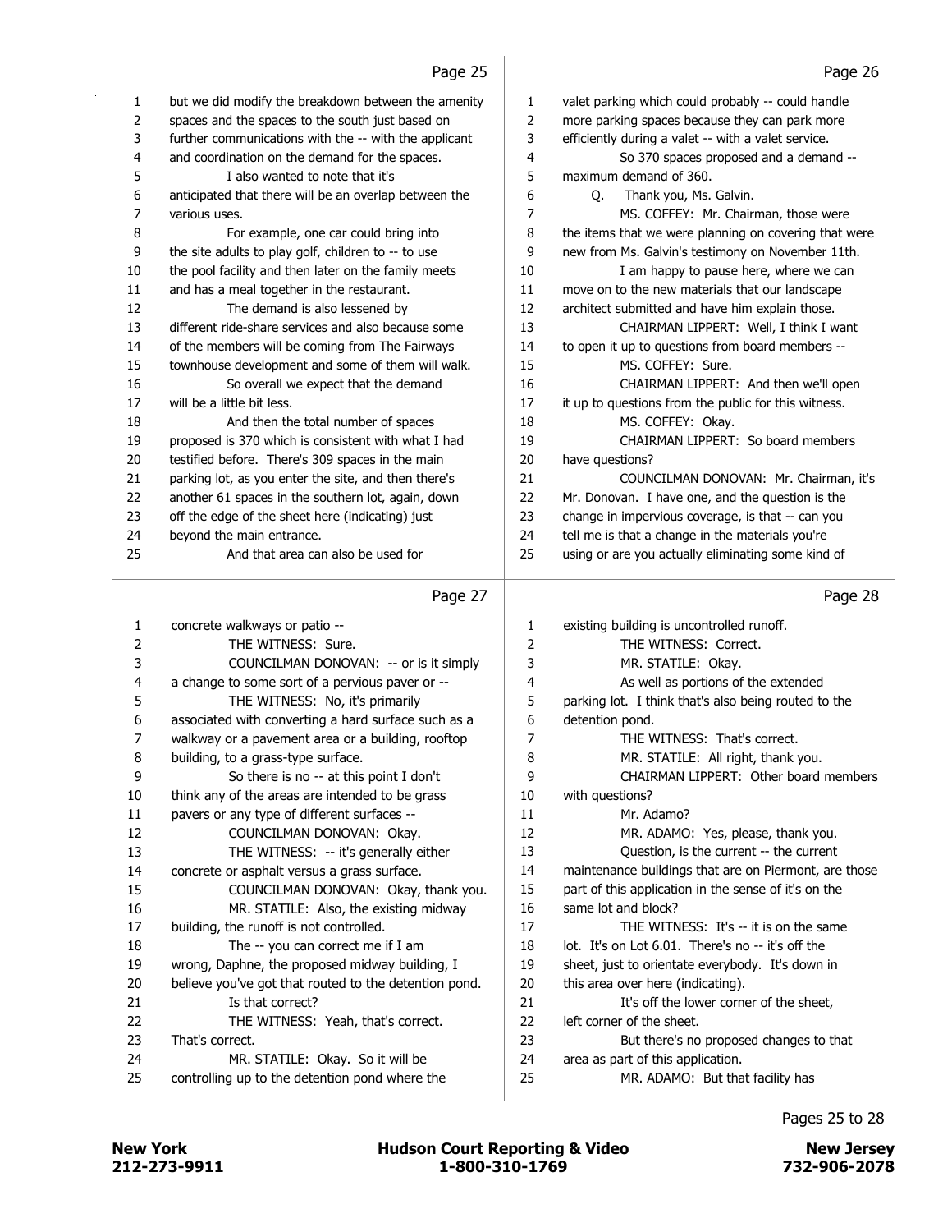| 1                       | but we did modify the breakdown between the amenity   | 1      | valet parking which could probably -- could handle    |
|-------------------------|-------------------------------------------------------|--------|-------------------------------------------------------|
| 2                       | spaces and the spaces to the south just based on      | 2      | more parking spaces because they can park more        |
| 3                       | further communications with the -- with the applicant | 3      | efficiently during a valet -- with a valet service.   |
| 4                       | and coordination on the demand for the spaces.        | 4      | So 370 spaces proposed and a demand --                |
| 5                       | I also wanted to note that it's                       | 5      | maximum demand of 360.                                |
| 6                       | anticipated that there will be an overlap between the | 6      | Q. Thank you, Ms. Galvin.                             |
| 7                       | various uses.                                         | 7      | MS. COFFEY: Mr. Chairman, those were                  |
| 8                       | For example, one car could bring into                 | 8      | the items that we were planning on covering that were |
| 9                       | the site adults to play golf, children to -- to use   | 9      | new from Ms. Galvin's testimony on November 11th.     |
| 10                      | the pool facility and then later on the family meets  | 10     | I am happy to pause here, where we can                |
| 11                      | and has a meal together in the restaurant.            | 11     | move on to the new materials that our landscape       |
| 12                      | The demand is also lessened by                        | 12     | architect submitted and have him explain those.       |
| 13                      | different ride-share services and also because some   | 13     | CHAIRMAN LIPPERT: Well, I think I want                |
| 14                      | of the members will be coming from The Fairways       | 14     | to open it up to questions from board members --      |
| 15                      | townhouse development and some of them will walk.     | 15     | MS. COFFEY: Sure.                                     |
| 16                      | So overall we expect that the demand                  | 16     | CHAIRMAN LIPPERT: And then we'll open                 |
| 17                      | will be a little bit less.                            | $17\,$ | it up to questions from the public for this witness.  |
| 18                      | And then the total number of spaces                   | 18     | MS. COFFEY: Okay.                                     |
| 19                      | proposed is 370 which is consistent with what I had   | 19     | CHAIRMAN LIPPERT: So board members                    |
| 20                      | testified before. There's 309 spaces in the main      | 20     | have questions?                                       |
| 21                      | parking lot, as you enter the site, and then there's  | 21     | COUNCILMAN DONOVAN: Mr. Chairman, it's                |
| 22                      | another 61 spaces in the southern lot, again, down    | 22     | Mr. Donovan. I have one, and the question is the      |
| 23                      | off the edge of the sheet here (indicating) just      | 23     | change in impervious coverage, is that -- can you     |
| 24                      | beyond the main entrance.                             | 24     | tell me is that a change in the materials you're      |
| 25                      | And that area can also be used for                    | 25     | using or are you actually eliminating some kind of    |
|                         | Page 27                                               |        | Page 28                                               |
|                         |                                                       |        |                                                       |
| 1                       | concrete walkways or patio --                         | 1      | existing building is uncontrolled runoff.             |
| 2                       | THE WITNESS: Sure.                                    | 2      | THE WITNESS: Correct.                                 |
| 3                       | COUNCILMAN DONOVAN: -- or is it simply                | 3      | MR. STATILE: Okay.                                    |
| $\overline{\mathbf{4}}$ | a change to some sort of a pervious paver or --       | 4      | As well as portions of the extended                   |
| 5                       | THE WITNESS: No, it's primarily                       | 5      | parking lot. I think that's also being routed to the  |
| 6                       | associated with converting a hard surface such as a   | 6      | detention pond.                                       |
| 7                       | walkway or a pavement area or a building, rooftop     | 7      | THE WITNESS: That's correct.                          |
| 8                       | building, to a grass-type surface.                    | 8      | MR. STATILE: All right, thank you.                    |
| 9                       | So there is no -- at this point I don't               | 9      | CHAIRMAN LIPPERT: Other board members                 |
| 10                      | think any of the areas are intended to be grass       | 10     | with questions?                                       |
| 11                      | pavers or any type of different surfaces --           | $11\,$ | Mr. Adamo?                                            |
| 12                      | COUNCILMAN DONOVAN: Okay.                             | 12     | MR. ADAMO: Yes, please, thank you.                    |
| 13                      | THE WITNESS: -- it's generally either                 | 13     | Question, is the current -- the current               |
| 14                      | concrete or asphalt versus a grass surface.           | 14     | maintenance buildings that are on Piermont, are those |
| 15                      | COUNCILMAN DONOVAN: Okay, thank you.                  | 15     | part of this application in the sense of it's on the  |

Pages 25 to 28 25 MR. ADAMO: But that facility has

17 THE WITNESS: It's -- it is on the same 18 lot. It's on Lot 6.01. There's no -- it's off the 19 sheet, just to orientate everybody. It's down in

21 It's off the lower corner of the sheet,

23 But there's no proposed changes to that

16 MR. STATILE: Also, the existing midway

22 THE WITNESS: Yeah, that's correct.

24 MR. STATILE: Okay. So it will be 25 controlling up to the detention pond where the

17 building, the runoff is not controlled. 18 The -- you can correct me if I am 19 wrong, Daphne, the proposed midway building, I 20 believe you've got that routed to the detention pond.

21 **Is that correct?** 

23 That's correct.

16 same lot and block?

20 this area over here (indicating).

24 area as part of this application.

22 left corner of the sheet.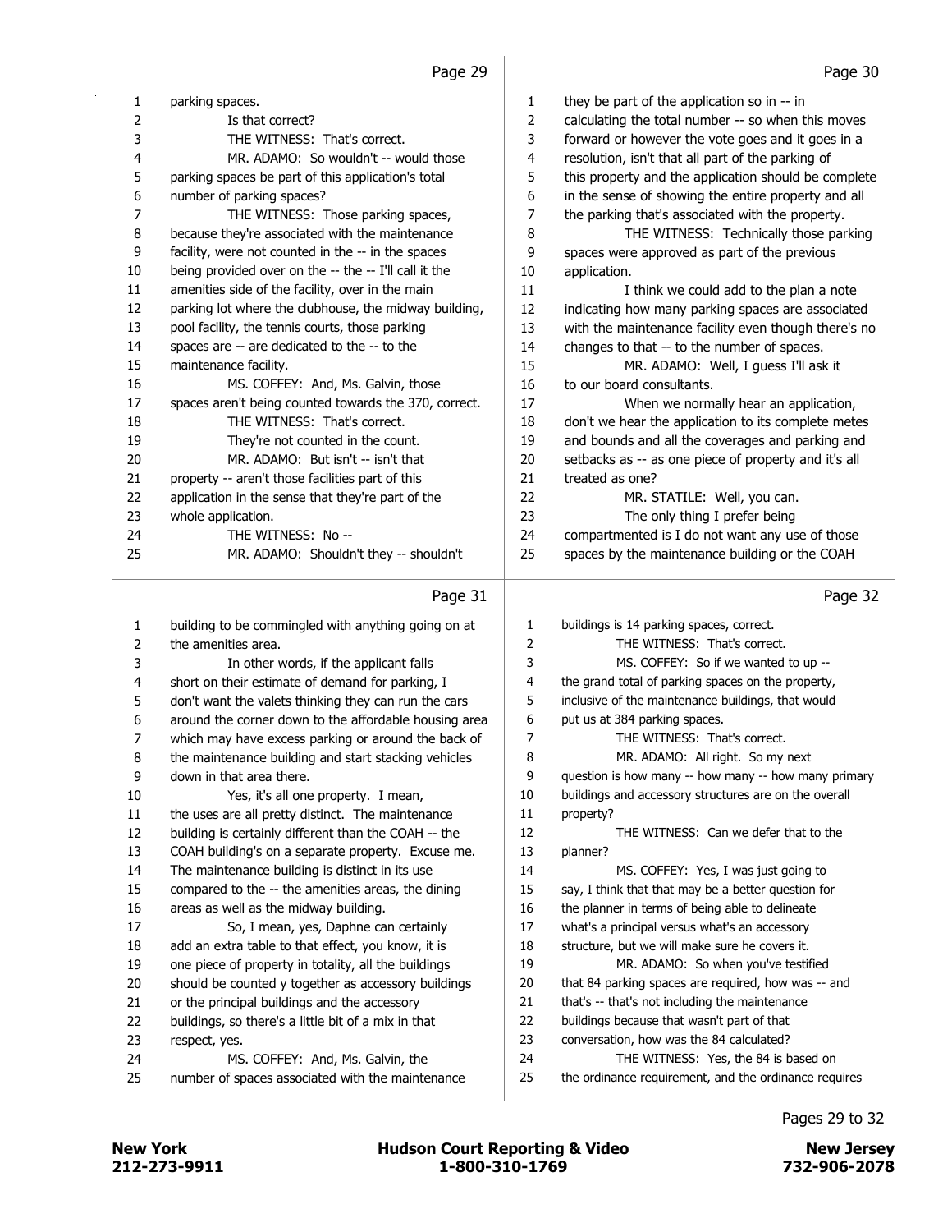| 1  | parking spaces.                                       | 1  | they be part of the application so in -- in          |
|----|-------------------------------------------------------|----|------------------------------------------------------|
| 2  | Is that correct?                                      | 2  | calculating the total number -- so when this moves   |
| 3  | THE WITNESS: That's correct.                          | 3  | forward or however the vote goes and it goes in a    |
| 4  | MR. ADAMO: So wouldn't -- would those                 | 4  | resolution, isn't that all part of the parking of    |
| 5  | parking spaces be part of this application's total    | 5  | this property and the application should be complete |
| 6  | number of parking spaces?                             | 6  | in the sense of showing the entire property and all  |
| 7  | THE WITNESS: Those parking spaces,                    | 7  | the parking that's associated with the property.     |
| 8  | because they're associated with the maintenance       | 8  | THE WITNESS: Technically those parking               |
| 9  | facility, were not counted in the -- in the spaces    | 9  | spaces were approved as part of the previous         |
| 10 | being provided over on the -- the -- I'll call it the | 10 | application.                                         |
| 11 | amenities side of the facility, over in the main      | 11 | I think we could add to the plan a note              |
| 12 | parking lot where the clubhouse, the midway building, | 12 | indicating how many parking spaces are associated    |
| 13 | pool facility, the tennis courts, those parking       | 13 | with the maintenance facility even though there's no |
| 14 | spaces are -- are dedicated to the -- to the          | 14 | changes to that -- to the number of spaces.          |
| 15 | maintenance facility.                                 | 15 | MR. ADAMO: Well, I guess I'll ask it                 |
| 16 | MS. COFFEY: And, Ms. Galvin, those                    | 16 | to our board consultants.                            |
| 17 | spaces aren't being counted towards the 370, correct. | 17 | When we normally hear an application,                |
| 18 | THE WITNESS: That's correct.                          | 18 | don't we hear the application to its complete metes  |
| 19 | They're not counted in the count.                     | 19 | and bounds and all the coverages and parking and     |
| 20 | MR. ADAMO: But isn't -- isn't that                    | 20 | setbacks as -- as one piece of property and it's all |
| 21 | property -- aren't those facilities part of this      | 21 | treated as one?                                      |
| 22 | application in the sense that they're part of the     | 22 | MR. STATILE: Well, you can.                          |
| 23 | whole application.                                    | 23 | The only thing I prefer being                        |
| 24 | THE WITNESS: No --                                    | 24 | compartmented is I do not want any use of those      |
| 25 | MR. ADAMO: Shouldn't they -- shouldn't                | 25 | spaces by the maintenance building or the COAH       |

#### Page 31

| $\mathbf{1}$ | building to be commingled with anything going on at   | 1              | buildings is 14 parking spaces, correct.              |
|--------------|-------------------------------------------------------|----------------|-------------------------------------------------------|
| 2            | the amenities area.                                   | $\overline{2}$ | THE WITNESS: That's correct.                          |
| 3            | In other words, if the applicant falls                | 3              | MS. COFFEY: So if we wanted to up --                  |
| 4            | short on their estimate of demand for parking, I      | 4              | the grand total of parking spaces on the property,    |
| 5            | don't want the valets thinking they can run the cars  | 5              | inclusive of the maintenance buildings, that would    |
| 6            | around the corner down to the affordable housing area | 6              | put us at 384 parking spaces.                         |
| 7            | which may have excess parking or around the back of   | 7              | THE WITNESS: That's correct.                          |
| 8            | the maintenance building and start stacking vehicles  | 8              | MR. ADAMO: All right. So my next                      |
| 9            | down in that area there.                              | 9              | question is how many -- how many -- how many primary  |
| 10           | Yes, it's all one property. I mean,                   | 10             | buildings and accessory structures are on the overall |
| 11           | the uses are all pretty distinct. The maintenance     | 11             | property?                                             |
| 12           | building is certainly different than the COAH -- the  | 12             | THE WITNESS: Can we defer that to the                 |
| 13           | COAH building's on a separate property. Excuse me.    | 13             | planner?                                              |
| 14           | The maintenance building is distinct in its use       | 14             | MS. COFFEY: Yes, I was just going to                  |
| 15           | compared to the -- the amenities areas, the dining    | 15             | say, I think that that may be a better question for   |
| 16           | areas as well as the midway building.                 | 16             | the planner in terms of being able to delineate       |
| 17           | So, I mean, yes, Daphne can certainly                 | 17             | what's a principal versus what's an accessory         |
| 18           | add an extra table to that effect, you know, it is    | 18             | structure, but we will make sure he covers it.        |
| 19           | one piece of property in totality, all the buildings  | 19             | MR. ADAMO: So when you've testified                   |
| 20           | should be counted y together as accessory buildings   | 20             | that 84 parking spaces are required, how was -- and   |
| 21           | or the principal buildings and the accessory          | 21             | that's -- that's not including the maintenance        |
| 22           | buildings, so there's a little bit of a mix in that   | 22             | buildings because that wasn't part of that            |
| 23           | respect, yes.                                         | 23             | conversation, how was the 84 calculated?              |
| 24           | MS. COFFEY: And, Ms. Galvin, the                      | 24             | THE WITNESS: Yes, the 84 is based on                  |
| 25           | number of spaces associated with the maintenance      | 25             | the ordinance requirement, and the ordinance requires |
|              |                                                       |                |                                                       |

Page 32

Pages 29 to 32

212-273-9911 1-800-310-1769 732-906-2078 New York **New York COULD Hudson Court Reporting & Video** New Jersey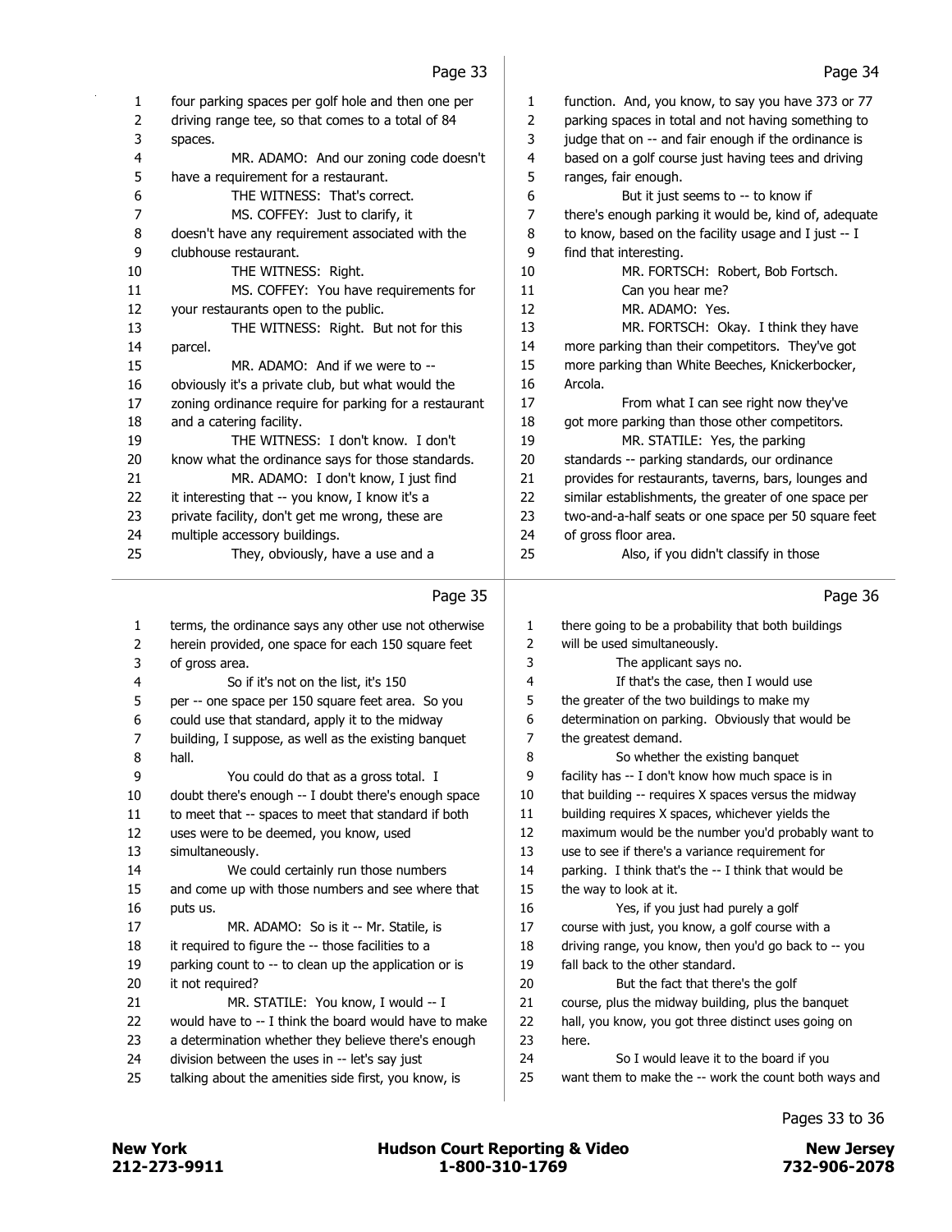|        | Page 33                                                       |                | Page 34                                                                   |
|--------|---------------------------------------------------------------|----------------|---------------------------------------------------------------------------|
| 1      | four parking spaces per golf hole and then one per            | 1              | function. And, you know, to say you have 373 or 77                        |
| 2      | driving range tee, so that comes to a total of 84             | $\overline{2}$ | parking spaces in total and not having something to                       |
| 3      | spaces.                                                       | 3              | judge that on -- and fair enough if the ordinance is                      |
| 4      | MR. ADAMO: And our zoning code doesn't                        | 4              | based on a golf course just having tees and driving                       |
| 5      | have a requirement for a restaurant.                          | 5              | ranges, fair enough.                                                      |
| 6      | THE WITNESS: That's correct.                                  | 6              | But it just seems to -- to know if                                        |
| 7      | MS. COFFEY: Just to clarify, it                               | $\overline{7}$ | there's enough parking it would be, kind of, adequate                     |
| 8      | doesn't have any requirement associated with the              | 8              | to know, based on the facility usage and I just -- I                      |
| 9      | clubhouse restaurant.                                         | 9              | find that interesting.                                                    |
| 10     | THE WITNESS: Right.                                           | 10             | MR. FORTSCH: Robert, Bob Fortsch.                                         |
| 11     | MS. COFFEY: You have requirements for                         | 11             | Can you hear me?                                                          |
| 12     | your restaurants open to the public.                          | 12             | MR. ADAMO: Yes.                                                           |
| 13     | THE WITNESS: Right. But not for this                          | 13             | MR. FORTSCH: Okay. I think they have                                      |
| 14     | parcel.                                                       | 14             | more parking than their competitors. They've got                          |
| 15     | MR. ADAMO: And if we were to --                               | 15             | more parking than White Beeches, Knickerbocker,                           |
| 16     | obviously it's a private club, but what would the             | 16             | Arcola.                                                                   |
| 17     | zoning ordinance require for parking for a restaurant         | 17             | From what I can see right now they've                                     |
| 18     | and a catering facility.                                      | 18             | got more parking than those other competitors.                            |
| 19     | THE WITNESS: I don't know. I don't                            | 19             | MR. STATILE: Yes, the parking                                             |
| 20     | know what the ordinance says for those standards.             | 20             | standards -- parking standards, our ordinance                             |
| 21     | MR. ADAMO: I don't know, I just find                          | 21             | provides for restaurants, taverns, bars, lounges and                      |
| 22     | it interesting that -- you know, I know it's a                | 22             | similar establishments, the greater of one space per                      |
| 23     | private facility, don't get me wrong, these are               | 23             | two-and-a-half seats or one space per 50 square feet                      |
| 24     | multiple accessory buildings.                                 | 24             | of gross floor area.                                                      |
| 25     | They, obviously, have a use and a                             | 25             | Also, if you didn't classify in those                                     |
|        |                                                               |                |                                                                           |
|        |                                                               |                |                                                                           |
|        | Page 35                                                       |                | Page 36                                                                   |
|        |                                                               |                |                                                                           |
| 1      | terms, the ordinance says any other use not otherwise         | 1<br>2         | there going to be a probability that both buildings                       |
| 2      | herein provided, one space for each 150 square feet           |                | will be used simultaneously.                                              |
| 3      | of gross area.                                                | 3<br>4         | The applicant says no.                                                    |
| 4<br>5 | So if it's not on the list, it's 150                          | 5              | If that's the case, then I would use                                      |
| 6      | per -- one space per 150 square feet area. So you             | 6              | the greater of the two buildings to make my                               |
| 7      | could use that standard, apply it to the midway               | 7              | determination on parking. Obviously that would be<br>the greatest demand. |
| 8      | building, I suppose, as well as the existing banquet<br>hall. | 8              | So whether the existing banquet                                           |
| 9      | You could do that as a gross total. I                         | 9              | facility has -- I don't know how much space is in                         |
| 10     | doubt there's enough -- I doubt there's enough space          | 10             | that building -- requires X spaces versus the midway                      |
| 11     | to meet that -- spaces to meet that standard if both          | 11             | building requires X spaces, whichever yields the                          |
| 12     | uses were to be deemed, you know, used                        | 12             | maximum would be the number you'd probably want to                        |
| 13     | simultaneously.                                               | 13             | use to see if there's a variance requirement for                          |
| 14     | We could certainly run those numbers                          | 14             | parking. I think that's the -- I think that would be                      |
| 15     | and come up with those numbers and see where that             | 15             | the way to look at it.                                                    |
| 16     | puts us.                                                      | 16             | Yes, if you just had purely a golf                                        |
| 17     | MR. ADAMO: So is it -- Mr. Statile, is                        | 17             | course with just, you know, a golf course with a                          |
| 18     | it required to figure the -- those facilities to a            | 18             | driving range, you know, then you'd go back to -- you                     |
| 19     | parking count to -- to clean up the application or is         | 19             | fall back to the other standard.                                          |
| 20     | it not required?                                              | 20             | But the fact that there's the golf                                        |
| 21     | MR. STATILE: You know, I would -- I                           | 21             | course, plus the midway building, plus the banquet                        |
| 22     | would have to -- I think the board would have to make         | 22             | hall, you know, you got three distinct uses going on                      |
| 23     | a determination whether they believe there's enough           | 23             | here.                                                                     |
| 24     | division between the uses in -- let's say just                | 24             | So I would leave it to the board if you                                   |
| 25     | talking about the amenities side first, you know, is          | 25             | want them to make the -- work the count both ways and                     |

Pages 33 to 36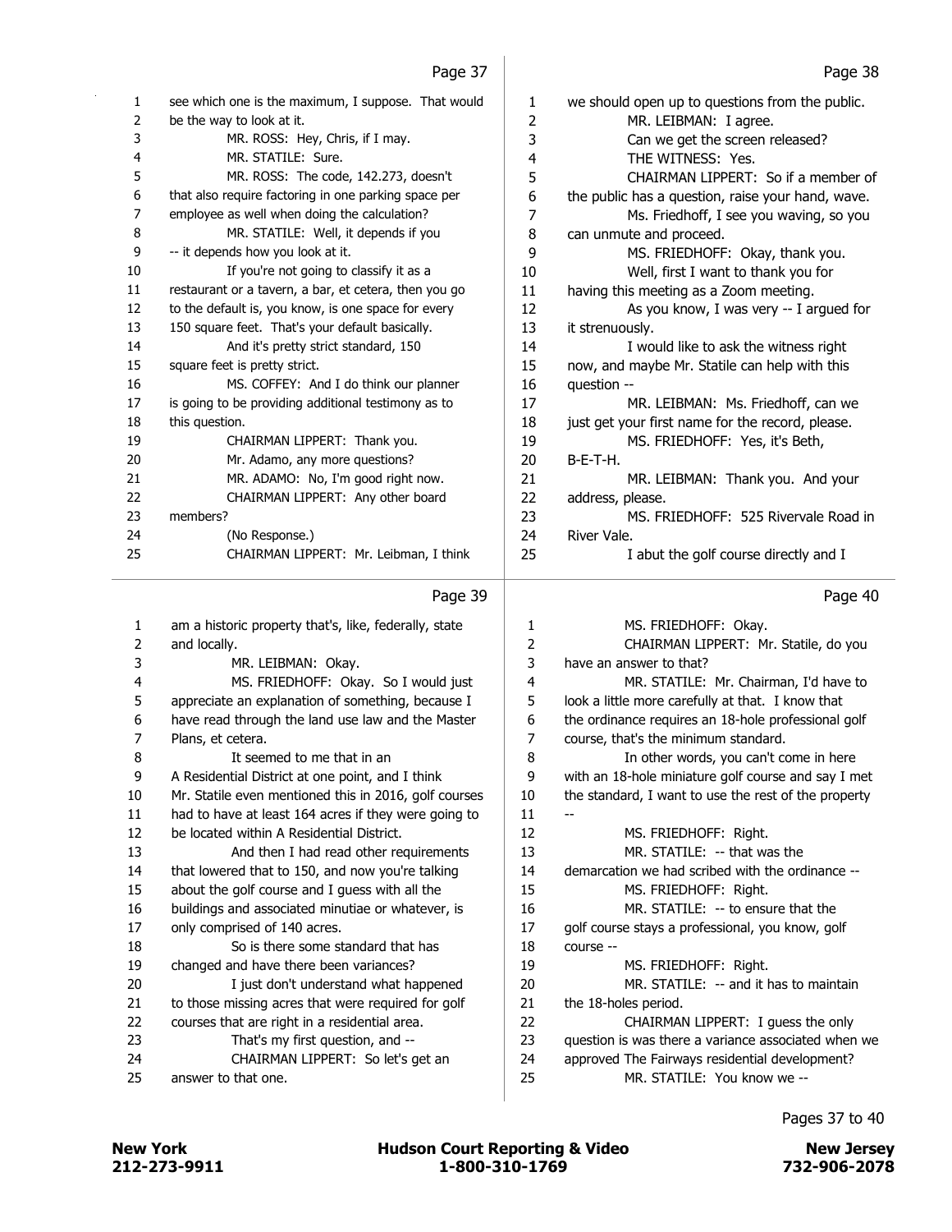| 1  | see which one is the maximum, I suppose. That would   | 1              | we should open up to questions from the public.   |
|----|-------------------------------------------------------|----------------|---------------------------------------------------|
| 2  | be the way to look at it.                             | 2              | MR. LEIBMAN: I agree.                             |
| 3  | MR. ROSS: Hey, Chris, if I may.                       | 3              | Can we get the screen released?                   |
| 4  | MR. STATILE: Sure.                                    | 4              | THE WITNESS: Yes.                                 |
| 5  | MR. ROSS: The code, 142.273, doesn't                  | 5              | CHAIRMAN LIPPERT: So if a member of               |
| 6  | that also require factoring in one parking space per  | 6              | the public has a question, raise your hand, wave. |
| 7  | employee as well when doing the calculation?          | 7              | Ms. Friedhoff, I see you waving, so you           |
| 8  | MR. STATILE: Well, it depends if you                  | 8              | can unmute and proceed.                           |
| 9  | -- it depends how you look at it.                     | 9              | MS. FRIEDHOFF: Okay, thank you.                   |
| 10 | If you're not going to classify it as a               | 10             | Well, first I want to thank you for               |
| 11 | restaurant or a tavern, a bar, et cetera, then you go | 11             | having this meeting as a Zoom meeting.            |
| 12 | to the default is, you know, is one space for every   | 12             | As you know, I was very -- I argued for           |
| 13 | 150 square feet. That's your default basically.       | 13             | it strenuously.                                   |
| 14 | And it's pretty strict standard, 150                  | 14             | I would like to ask the witness right             |
| 15 | square feet is pretty strict.                         | 15             | now, and maybe Mr. Statile can help with this     |
| 16 | MS. COFFEY: And I do think our planner                | 16             | question --                                       |
| 17 | is going to be providing additional testimony as to   | 17             | MR. LEIBMAN: Ms. Friedhoff, can we                |
| 18 | this question.                                        | 18             | just get your first name for the record, please.  |
| 19 | CHAIRMAN LIPPERT: Thank you.                          | 19             | MS. FRIEDHOFF: Yes, it's Beth,                    |
| 20 | Mr. Adamo, any more questions?                        | 20             | $B-E-T-H.$                                        |
| 21 | MR. ADAMO: No, I'm good right now.                    | 21             | MR. LEIBMAN: Thank you. And your                  |
| 22 | CHAIRMAN LIPPERT: Any other board                     | 22             | address, please.                                  |
| 23 | members?                                              | 23             | MS. FRIEDHOFF: 525 Rivervale Road in              |
| 24 | (No Response.)                                        | 24             | River Vale.                                       |
| 25 | CHAIRMAN LIPPERT: Mr. Leibman, I think                | 25             | I abut the golf course directly and I             |
|    | Page 39                                               |                | Page 40                                           |
| 1  | am a historic property that's, like, federally, state | 1              | MS. FRIEDHOFF: Okay.                              |
| 2  | and locally.                                          | $\overline{2}$ | CHAIRMAN LIPPERT: Mr. Statile, do you             |

| 2  | and locally.                                          | 2  | CHAIRMAN LIPPERT: Mr. Statile, do you                |
|----|-------------------------------------------------------|----|------------------------------------------------------|
| 3  | MR. LEIBMAN: Okay.                                    | 3  | have an answer to that?                              |
| 4  | MS. FRIEDHOFF: Okay. So I would just                  | 4  | MR. STATILE: Mr. Chairman, I'd have to               |
| 5  | appreciate an explanation of something, because I     | 5  | look a little more carefully at that. I know that    |
| 6  | have read through the land use law and the Master     | 6  | the ordinance requires an 18-hole professional golf  |
| 7  | Plans, et cetera.                                     | 7  | course, that's the minimum standard.                 |
| 8  | It seemed to me that in an                            | 8  | In other words, you can't come in here               |
| 9  | A Residential District at one point, and I think      | 9  | with an 18-hole miniature golf course and say I met  |
| 10 | Mr. Statile even mentioned this in 2016, golf courses | 10 | the standard, I want to use the rest of the property |
| 11 | had to have at least 164 acres if they were going to  | 11 |                                                      |
| 12 | be located within A Residential District.             | 12 | MS. FRIEDHOFF: Right.                                |
| 13 | And then I had read other requirements                | 13 | MR. STATILE: -- that was the                         |
| 14 | that lowered that to 150, and now you're talking      | 14 | demarcation we had scribed with the ordinance --     |
| 15 | about the golf course and I guess with all the        | 15 | MS. FRIEDHOFF: Right.                                |
| 16 | buildings and associated minutiae or whatever, is     | 16 | MR. STATILE: -- to ensure that the                   |
| 17 | only comprised of 140 acres.                          | 17 | golf course stays a professional, you know, golf     |
| 18 | So is there some standard that has                    | 18 | course --                                            |
| 19 | changed and have there been variances?                | 19 | MS. FRIEDHOFF: Right.                                |
| 20 | I just don't understand what happened                 | 20 | MR. STATILE: -- and it has to maintain               |
| 21 | to those missing acres that were required for golf    | 21 | the 18-holes period.                                 |
| 22 | courses that are right in a residential area.         | 22 | CHAIRMAN LIPPERT: I guess the only                   |
| 23 | That's my first question, and --                      | 23 | question is was there a variance associated when we  |
| 24 | CHAIRMAN LIPPERT: So let's get an                     | 24 | approved The Fairways residential development?       |
| 25 | answer to that one.                                   | 25 | MR. STATILE: You know we --                          |
|    |                                                       |    |                                                      |

Pages 37 to 40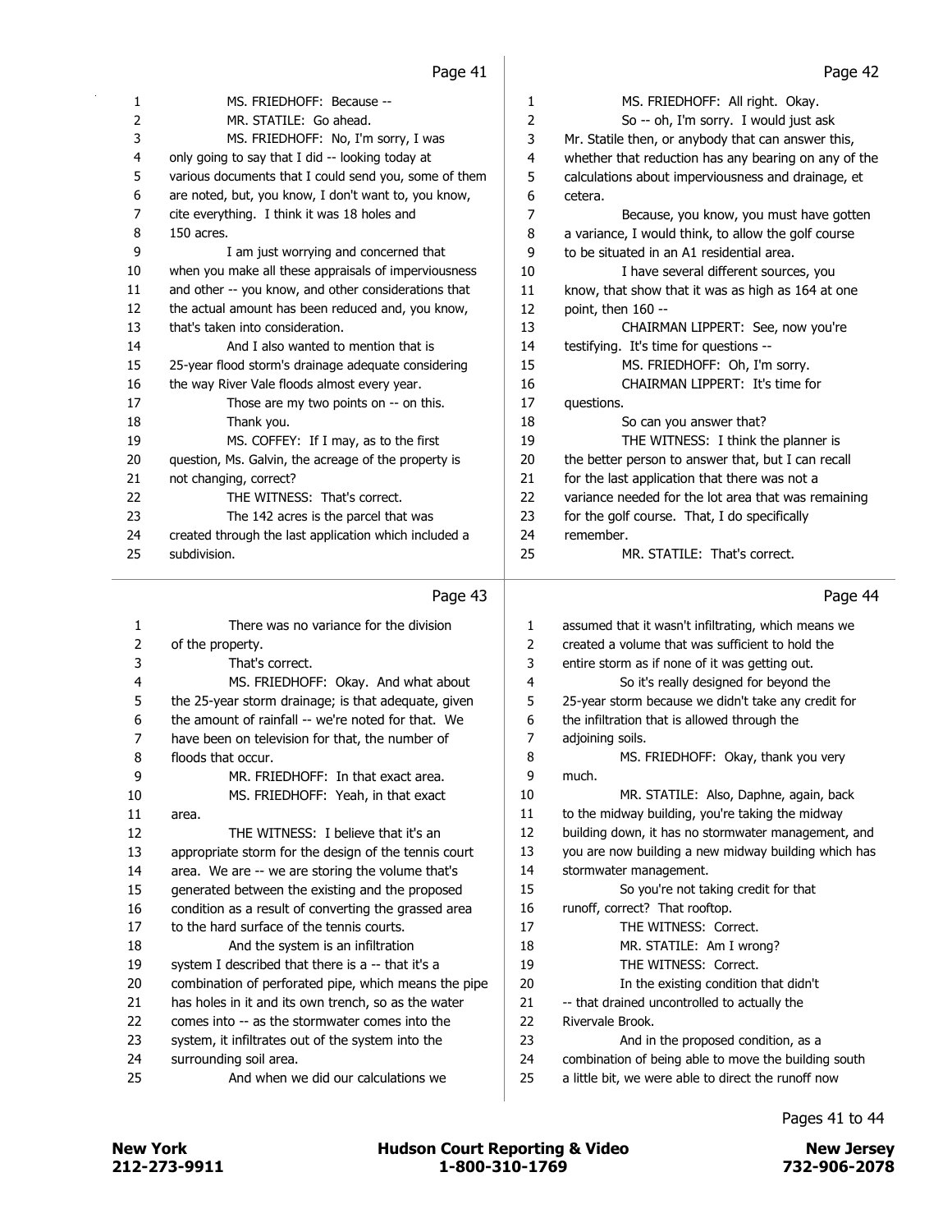|          | i uyu ⊤⊥                                                      |                | i uyu ⊤z                                                                                                    |
|----------|---------------------------------------------------------------|----------------|-------------------------------------------------------------------------------------------------------------|
| 1        | MS. FRIEDHOFF: Because --                                     | 1              | MS. FRIEDHOFF: All right. Okay.                                                                             |
| 2        | MR. STATILE: Go ahead.                                        | $\overline{2}$ | So -- oh, I'm sorry. I would just ask                                                                       |
| 3        | MS. FRIEDHOFF: No, I'm sorry, I was                           | 3              | Mr. Statile then, or anybody that can answer this,                                                          |
| 4        | only going to say that I did -- looking today at              | 4              | whether that reduction has any bearing on any of the                                                        |
| 5        | various documents that I could send you, some of them         | 5              | calculations about imperviousness and drainage, et                                                          |
| 6        | are noted, but, you know, I don't want to, you know,          | 6              | cetera.                                                                                                     |
| 7        | cite everything. I think it was 18 holes and                  | $\overline{7}$ | Because, you know, you must have gotten                                                                     |
| 8        | 150 acres.                                                    | 8              | a variance, I would think, to allow the golf course                                                         |
| 9        | I am just worrying and concerned that                         | 9              | to be situated in an A1 residential area.                                                                   |
| 10       | when you make all these appraisals of imperviousness          | 10             | I have several different sources, you                                                                       |
| 11       | and other -- you know, and other considerations that          | $11\,$         | know, that show that it was as high as 164 at one                                                           |
| 12       | the actual amount has been reduced and, you know,             | 12             | point, then 160 --                                                                                          |
| 13       | that's taken into consideration.                              | 13             | CHAIRMAN LIPPERT: See, now you're                                                                           |
| 14       | And I also wanted to mention that is                          | 14             | testifying. It's time for questions --                                                                      |
| 15       | 25-year flood storm's drainage adequate considering           | 15             | MS. FRIEDHOFF: Oh, I'm sorry.                                                                               |
| 16       | the way River Vale floods almost every year.                  | 16             | CHAIRMAN LIPPERT: It's time for                                                                             |
| 17       | Those are my two points on -- on this.                        | 17             | questions.                                                                                                  |
| 18       | Thank you.                                                    | 18             | So can you answer that?                                                                                     |
| 19       | MS. COFFEY: If I may, as to the first                         | 19             | THE WITNESS: I think the planner is                                                                         |
| 20       | question, Ms. Galvin, the acreage of the property is          | 20             | the better person to answer that, but I can recall                                                          |
| 21       | not changing, correct?                                        | 21             | for the last application that there was not a                                                               |
| 22       | THE WITNESS: That's correct.                                  | 22             | variance needed for the lot area that was remaining                                                         |
| 23       | The 142 acres is the parcel that was                          | 23             | for the golf course. That, I do specifically                                                                |
| 24       | created through the last application which included a         | 24             | remember.                                                                                                   |
| 25       | subdivision.                                                  | 25             | MR. STATILE: That's correct.                                                                                |
|          |                                                               |                |                                                                                                             |
|          |                                                               |                |                                                                                                             |
|          | Page 43                                                       |                | Page 44                                                                                                     |
|          |                                                               |                |                                                                                                             |
| 1        | There was no variance for the division                        | 1              | assumed that it wasn't infiltrating, which means we                                                         |
| 2        | of the property.                                              | 2              | created a volume that was sufficient to hold the                                                            |
| 3        | That's correct.                                               | 3              | entire storm as if none of it was getting out.                                                              |
| 4        | MS. FRIEDHOFF: Okay. And what about                           | 4              | So it's really designed for beyond the                                                                      |
| 5        | the 25-year storm drainage; is that adequate, given           | 5              | 25-year storm because we didn't take any credit for                                                         |
| 6        | the amount of rainfall -- we're noted for that. We            | 6              | the infiltration that is allowed through the                                                                |
| 7        | have been on television for that, the number of               | 7              | adjoining soils.                                                                                            |
| 8        | floods that occur.                                            | 8              | MS. FRIEDHOFF: Okay, thank you very                                                                         |
| 9        | MR. FRIEDHOFF: In that exact area.                            | 9              | much.                                                                                                       |
| 10       | MS. FRIEDHOFF: Yeah, in that exact                            | 10             | MR. STATILE: Also, Daphne, again, back                                                                      |
| 11       | area.                                                         | 11             | to the midway building, you're taking the midway                                                            |
| 12       | THE WITNESS: I believe that it's an                           | 12             | building down, it has no stormwater management, and                                                         |
| 13       | appropriate storm for the design of the tennis court          | 13             | you are now building a new midway building which has                                                        |
| 14       | area. We are -- we are storing the volume that's              | 14             | stormwater management.                                                                                      |
| 15       | generated between the existing and the proposed               | 15             | So you're not taking credit for that                                                                        |
| 16       | condition as a result of converting the grassed area          | 16             | runoff, correct? That rooftop.                                                                              |
| 17       | to the hard surface of the tennis courts.                     | 17             | THE WITNESS: Correct.                                                                                       |
| 18       | And the system is an infiltration                             | 18             | MR. STATILE: Am I wrong?                                                                                    |
| 19       | system I described that there is a -- that it's a             | 19             | THE WITNESS: Correct.                                                                                       |
| 20       | combination of perforated pipe, which means the pipe          | 20             | In the existing condition that didn't                                                                       |
| 21       | has holes in it and its own trench, so as the water           | 21             | -- that drained uncontrolled to actually the                                                                |
| 22       | comes into -- as the stormwater comes into the                | 22             | Rivervale Brook.                                                                                            |
| 23       | system, it infiltrates out of the system into the             | 23             | And in the proposed condition, as a                                                                         |
| 24<br>25 | surrounding soil area.<br>And when we did our calculations we | 24<br>25       | combination of being able to move the building south<br>a little bit, we were able to direct the runoff now |

Pages 41 to 44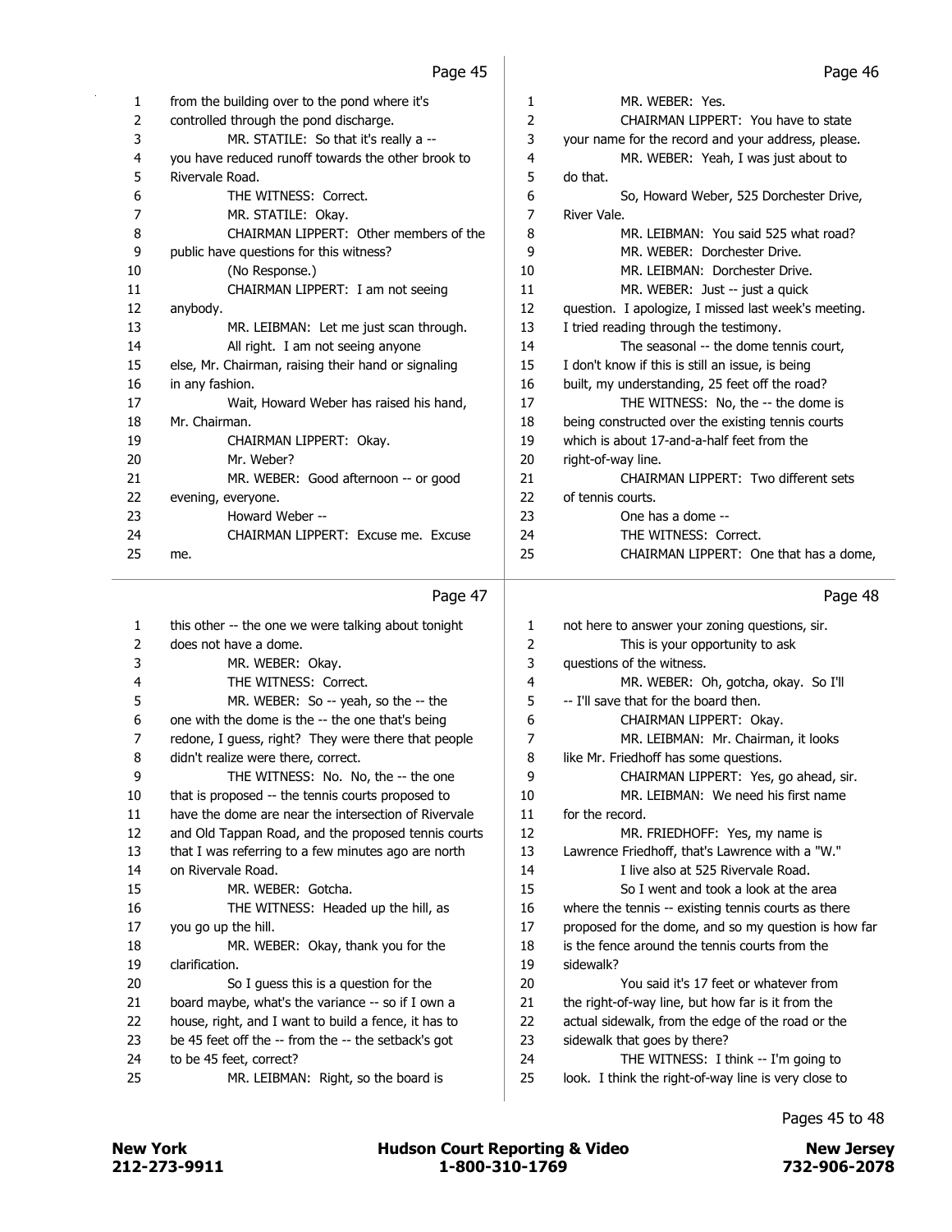| 1  | from the building over to the pond where it's       | 1              | MR. WEBER: Yes.                                      |
|----|-----------------------------------------------------|----------------|------------------------------------------------------|
| 2  | controlled through the pond discharge.              | $\overline{2}$ | CHAIRMAN LIPPERT: You have to state                  |
| 3  | MR. STATILE: So that it's really a --               | 3              | your name for the record and your address, please.   |
| 4  | you have reduced runoff towards the other brook to  | 4              | MR. WEBER: Yeah, I was just about to                 |
| 5  | Rivervale Road.                                     | 5              | do that.                                             |
| 6  | THE WITNESS: Correct.                               | 6              | So, Howard Weber, 525 Dorchester Drive,              |
| 7  | MR. STATILE: Okay.                                  | $\overline{7}$ | River Vale.                                          |
| 8  | CHAIRMAN LIPPERT: Other members of the              | 8              | MR. LEIBMAN: You said 525 what road?                 |
| 9  | public have questions for this witness?             | 9              | MR. WEBER: Dorchester Drive.                         |
| 10 | (No Response.)                                      | 10             | MR. LEIBMAN: Dorchester Drive.                       |
| 11 | CHAIRMAN LIPPERT: I am not seeing                   | 11             | MR. WEBER: Just -- just a quick                      |
| 12 | anybody.                                            | 12             | question. I apologize, I missed last week's meeting. |
| 13 | MR. LEIBMAN: Let me just scan through.              | 13             | I tried reading through the testimony.               |
| 14 | All right. I am not seeing anyone                   | 14             | The seasonal -- the dome tennis court,               |
| 15 | else, Mr. Chairman, raising their hand or signaling | 15             | I don't know if this is still an issue, is being     |
| 16 | in any fashion.                                     | 16             | built, my understanding, 25 feet off the road?       |
| 17 | Wait, Howard Weber has raised his hand,             | 17             | THE WITNESS: No, the -- the dome is                  |
| 18 | Mr. Chairman.                                       | 18             | being constructed over the existing tennis courts    |
| 19 | CHAIRMAN LIPPERT: Okay.                             | 19             | which is about 17-and-a-half feet from the           |
| 20 | Mr. Weber?                                          | 20             | right-of-way line.                                   |
| 21 | MR. WEBER: Good afternoon -- or good                | 21             | CHAIRMAN LIPPERT: Two different sets                 |
| 22 | evening, everyone.                                  | 22             | of tennis courts.                                    |
| 23 | Howard Weber --                                     | 23             | One has a dome --                                    |
| 24 | CHAIRMAN LIPPERT: Excuse me. Excuse                 | 24             | THE WITNESS: Correct.                                |
| 25 | me.                                                 | 25             | CHAIRMAN LIPPERT: One that has a dome,               |
|    | Page 47                                             |                | Page 48                                              |
| 1  | this other -- the one we were talking about tonight | 1              | not here to answer your zoning questions, sir.       |
|    |                                                     |                |                                                      |

|    | . ugu <i></i>                                        |    | . ugu .u                                             |
|----|------------------------------------------------------|----|------------------------------------------------------|
| 1  | this other -- the one we were talking about tonight  | 1  | not here to answer your zoning questions, sir.       |
| 2  | does not have a dome.                                | 2  | This is your opportunity to ask                      |
| 3  | MR. WEBER: Okay.                                     | 3  | questions of the witness.                            |
| 4  | THE WITNESS: Correct.                                | 4  | MR. WEBER: Oh, gotcha, okay. So I'll                 |
| 5  | MR. WEBER: So -- yeah, so the -- the                 | 5  | -- I'll save that for the board then.                |
| 6  | one with the dome is the -- the one that's being     | 6  | CHAIRMAN LIPPERT: Okay.                              |
| 7  | redone, I guess, right? They were there that people  | 7  | MR. LEIBMAN: Mr. Chairman, it looks                  |
| 8  | didn't realize were there, correct.                  | 8  | like Mr. Friedhoff has some questions.               |
| 9  | THE WITNESS: No. No, the -- the one                  | 9  | CHAIRMAN LIPPERT: Yes, go ahead, sir.                |
| 10 | that is proposed -- the tennis courts proposed to    | 10 | MR. LEIBMAN: We need his first name                  |
| 11 | have the dome are near the intersection of Rivervale | 11 | for the record.                                      |
| 12 | and Old Tappan Road, and the proposed tennis courts  | 12 | MR. FRIEDHOFF: Yes, my name is                       |
| 13 | that I was referring to a few minutes ago are north  | 13 | Lawrence Friedhoff, that's Lawrence with a "W."      |
| 14 | on Rivervale Road.                                   | 14 | I live also at 525 Rivervale Road.                   |
| 15 | MR. WEBER: Gotcha.                                   | 15 | So I went and took a look at the area                |
| 16 | THE WITNESS: Headed up the hill, as                  | 16 | where the tennis -- existing tennis courts as there  |
| 17 | you go up the hill.                                  | 17 | proposed for the dome, and so my question is how far |
| 18 | MR. WEBER: Okay, thank you for the                   | 18 | is the fence around the tennis courts from the       |
| 19 | clarification.                                       | 19 | sidewalk?                                            |
| 20 | So I guess this is a question for the                | 20 | You said it's 17 feet or whatever from               |
| 21 | board maybe, what's the variance -- so if I own a    | 21 | the right-of-way line, but how far is it from the    |
| 22 | house, right, and I want to build a fence, it has to | 22 | actual sidewalk, from the edge of the road or the    |
| 23 | be 45 feet off the -- from the -- the setback's got  | 23 | sidewalk that goes by there?                         |
| 24 | to be 45 feet, correct?                              | 24 | THE WITNESS: I think -- I'm going to                 |
| 25 | MR. LEIBMAN: Right, so the board is                  | 25 | look. I think the right-of-way line is very close to |
|    |                                                      |    |                                                      |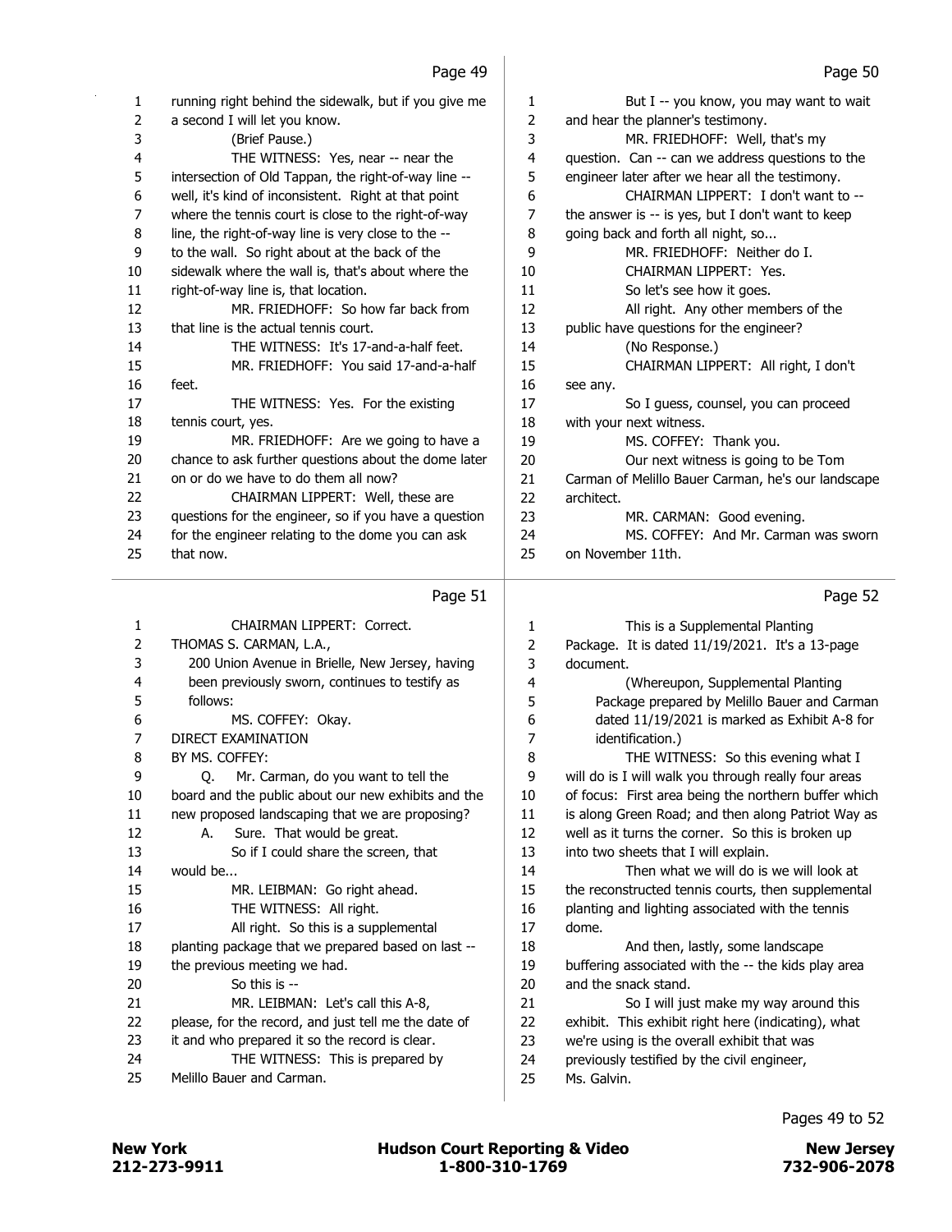| 1  | running right behind the sidewalk, but if you give me | 1              | But I -- you know, you may want to wait            |
|----|-------------------------------------------------------|----------------|----------------------------------------------------|
| 2  | a second I will let you know.                         | 2              | and hear the planner's testimony.                  |
| 3  |                                                       |                |                                                    |
|    | (Brief Pause.)                                        | 3              | MR. FRIEDHOFF: Well, that's my                     |
| 4  | THE WITNESS: Yes, near -- near the                    | $\overline{4}$ | question. Can -- can we address questions to the   |
| 5  | intersection of Old Tappan, the right-of-way line --  | 5              | engineer later after we hear all the testimony.    |
| 6  | well, it's kind of inconsistent. Right at that point  | 6              | CHAIRMAN LIPPERT: I don't want to --               |
| 7  | where the tennis court is close to the right-of-way   | 7              | the answer is -- is yes, but I don't want to keep  |
| 8  | line, the right-of-way line is very close to the --   | 8              | going back and forth all night, so                 |
| 9  | to the wall. So right about at the back of the        | 9              | MR. FRIEDHOFF: Neither do I.                       |
| 10 | sidewalk where the wall is, that's about where the    | 10             | CHAIRMAN LIPPERT: Yes.                             |
| 11 | right-of-way line is, that location.                  | 11             | So let's see how it goes.                          |
| 12 | MR. FRIEDHOFF: So how far back from                   | 12             | All right. Any other members of the                |
| 13 | that line is the actual tennis court.                 | 13             | public have questions for the engineer?            |
| 14 | THE WITNESS: It's 17-and-a-half feet.                 | 14             | (No Response.)                                     |
| 15 | MR. FRIEDHOFF: You said 17-and-a-half                 | 15             | CHAIRMAN LIPPERT: All right, I don't               |
| 16 | feet.                                                 | 16             | see any.                                           |
| 17 | THE WITNESS: Yes. For the existing                    | 17             | So I guess, counsel, you can proceed               |
| 18 | tennis court, yes.                                    | 18             | with your next witness.                            |
| 19 | MR. FRIEDHOFF: Are we going to have a                 | 19             | MS. COFFEY: Thank you.                             |
| 20 | chance to ask further questions about the dome later  | 20             | Our next witness is going to be Tom                |
| 21 | on or do we have to do them all now?                  | 21             | Carman of Melillo Bauer Carman, he's our landscape |
| 22 | CHAIRMAN LIPPERT: Well, these are                     | 22             | architect.                                         |
| 23 | questions for the engineer, so if you have a question | 23             | MR. CARMAN: Good evening.                          |
| 24 | for the engineer relating to the dome you can ask     | 24             | MS. COFFEY: And Mr. Carman was sworn               |
| 25 | that now.                                             | 25             | on November 11th.                                  |
|    |                                                       |                |                                                    |

# Page 51

| 1  | CHAIRMAN LIPPERT: Correct.                           | 1  | This is a Supplemental Planting                      |
|----|------------------------------------------------------|----|------------------------------------------------------|
| 2  | THOMAS S. CARMAN, L.A.,                              | 2  | Package. It is dated 11/19/2021. It's a 13-page      |
| 3  | 200 Union Avenue in Brielle, New Jersey, having      | 3  | document.                                            |
| 4  | been previously sworn, continues to testify as       | 4  | (Whereupon, Supplemental Planting                    |
| 5  | follows:                                             | 5  | Package prepared by Melillo Bauer and Carman         |
| 6  | MS. COFFEY: Okay.                                    | 6  | dated 11/19/2021 is marked as Exhibit A-8 for        |
| 7  | DIRECT EXAMINATION                                   | 7  | identification.)                                     |
| 8  | BY MS. COFFEY:                                       | 8  | THE WITNESS: So this evening what I                  |
| 9  | Mr. Carman, do you want to tell the<br>0.            | 9  | will do is I will walk you through really four areas |
| 10 | board and the public about our new exhibits and the  | 10 | of focus: First area being the northern buffer which |
| 11 | new proposed landscaping that we are proposing?      | 11 | is along Green Road; and then along Patriot Way as   |
| 12 | Sure. That would be great.<br>А.                     | 12 | well as it turns the corner. So this is broken up    |
| 13 | So if I could share the screen, that                 | 13 | into two sheets that I will explain.                 |
| 14 | would be                                             | 14 | Then what we will do is we will look at              |
| 15 | MR. LEIBMAN: Go right ahead.                         | 15 | the reconstructed tennis courts, then supplemental   |
| 16 | THE WITNESS: All right.                              | 16 | planting and lighting associated with the tennis     |
| 17 | All right. So this is a supplemental                 | 17 | dome.                                                |
| 18 | planting package that we prepared based on last --   | 18 | And then, lastly, some landscape                     |
| 19 | the previous meeting we had.                         | 19 | buffering associated with the -- the kids play area  |
| 20 | So this is $-$                                       | 20 | and the snack stand.                                 |
| 21 | MR. LEIBMAN: Let's call this A-8,                    | 21 | So I will just make my way around this               |
| 22 | please, for the record, and just tell me the date of | 22 | exhibit. This exhibit right here (indicating), what  |
| 23 | it and who prepared it so the record is clear.       | 23 | we're using is the overall exhibit that was          |
| 24 | THE WITNESS: This is prepared by                     | 24 | previously testified by the civil engineer,          |
| 25 | Melillo Bauer and Carman.                            | 25 | Ms. Galvin.                                          |
|    |                                                      |    |                                                      |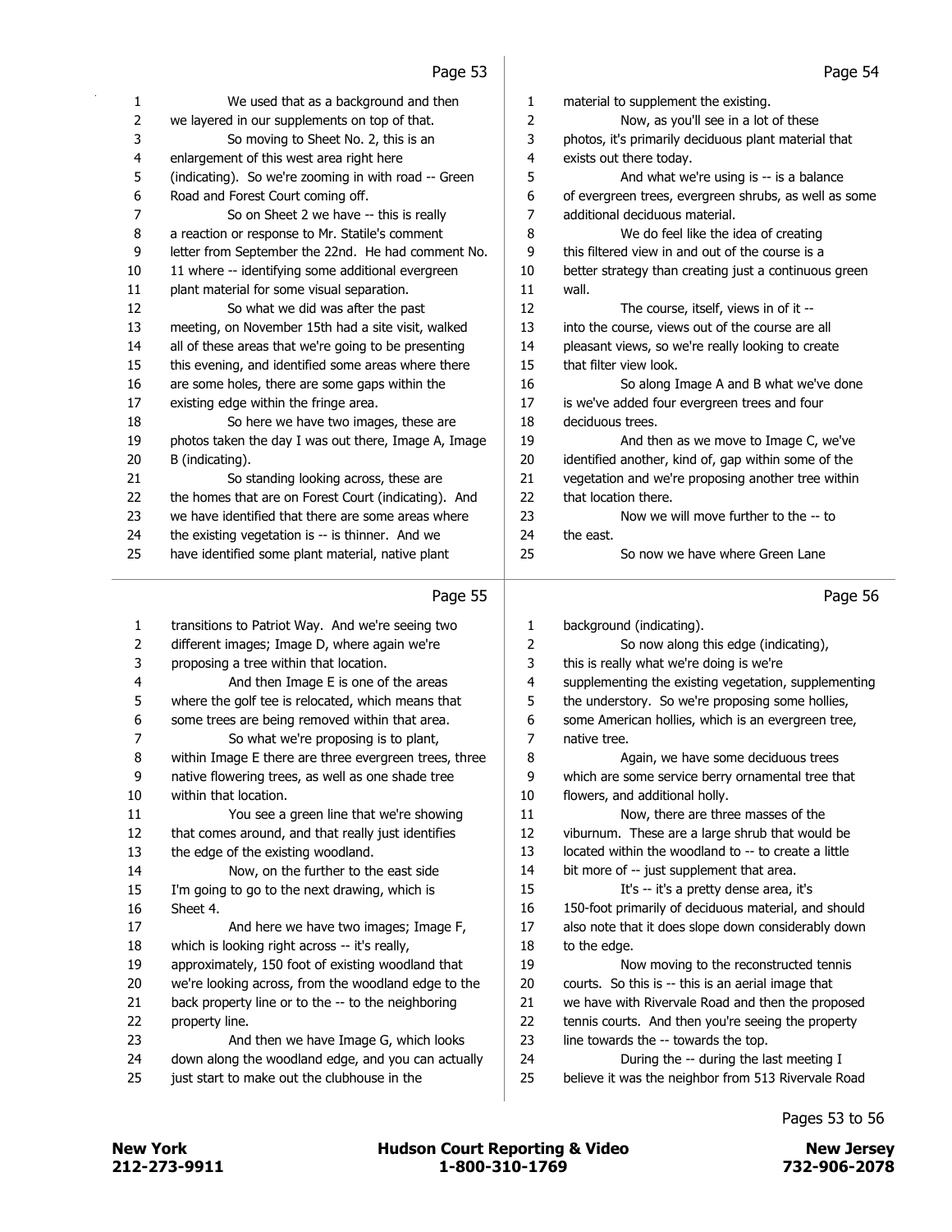|                | Page 53                                               |    | Page 54                                               |
|----------------|-------------------------------------------------------|----|-------------------------------------------------------|
| 1              | We used that as a background and then                 | 1  | material to supplement the existing.                  |
| 2              | we layered in our supplements on top of that.         | 2  | Now, as you'll see in a lot of these                  |
| 3              | So moving to Sheet No. 2, this is an                  | 3  | photos, it's primarily deciduous plant material that  |
| 4              | enlargement of this west area right here              | 4  | exists out there today.                               |
| 5              | (indicating). So we're zooming in with road -- Green  | 5  | And what we're using is -- is a balance               |
| 6              | Road and Forest Court coming off.                     | 6  | of evergreen trees, evergreen shrubs, as well as some |
| 7              | So on Sheet 2 we have -- this is really               | 7  | additional deciduous material.                        |
| 8              | a reaction or response to Mr. Statile's comment       | 8  | We do feel like the idea of creating                  |
| 9              | letter from September the 22nd. He had comment No.    | 9  | this filtered view in and out of the course is a      |
| 10             | 11 where -- identifying some additional evergreen     | 10 | better strategy than creating just a continuous green |
| 11             | plant material for some visual separation.            | 11 | wall.                                                 |
| 12             | So what we did was after the past                     | 12 | The course, itself, views in of it --                 |
| 13             | meeting, on November 15th had a site visit, walked    | 13 | into the course, views out of the course are all      |
| 14             | all of these areas that we're going to be presenting  | 14 | pleasant views, so we're really looking to create     |
| 15             | this evening, and identified some areas where there   | 15 | that filter view look.                                |
| 16             | are some holes, there are some gaps within the        | 16 | So along Image A and B what we've done                |
| 17             | existing edge within the fringe area.                 | 17 | is we've added four evergreen trees and four          |
| 18             | So here we have two images, these are                 | 18 | deciduous trees.                                      |
| 19             | photos taken the day I was out there, Image A, Image  | 19 | And then as we move to Image C, we've                 |
| 20             | B (indicating).                                       | 20 | identified another, kind of, gap within some of the   |
| 21             | So standing looking across, these are                 | 21 | vegetation and we're proposing another tree within    |
| 22             | the homes that are on Forest Court (indicating). And  | 22 | that location there.                                  |
| 23             | we have identified that there are some areas where    | 23 | Now we will move further to the -- to                 |
| 24             | the existing vegetation is -- is thinner. And we      | 24 | the east.                                             |
| 25             | have identified some plant material, native plant     | 25 | So now we have where Green Lane                       |
|                | Page 55                                               |    | Page 56                                               |
| 1              | transitions to Patriot Way. And we're seeing two      | 1  | background (indicating).                              |
| $\overline{2}$ | different images; Image D, where again we're          | 2  | So now along this edge (indicating),                  |
| 3              | proposing a tree within that location.                | 3  | this is really what we're doing is we're              |
| 4              | And then Image E is one of the areas                  | 4  | supplementing the existing vegetation, supplementing  |
| 5              | where the golf tee is relocated, which means that     | 5  | the understory. So we're proposing some hollies,      |
| 6              | some trees are being removed within that area.        | 6  | some American hollies, which is an evergreen tree,    |
| 7              | So what we're proposing is to plant,                  | 7  | native tree.                                          |
| 8              | within Image E there are three evergreen trees, three | 8  | Again, we have some deciduous trees                   |
| 9              | native flowering trees, as well as one shade tree     | 9  | which are some service berry ornamental tree that     |
| 10             | within that location.                                 | 10 | flowers, and additional holly.                        |
| 11             | You see a green line that we're showing               | 11 | Now, there are three masses of the                    |
| 12             | that comes around, and that really just identifies    | 12 | viburnum. These are a large shrub that would be       |
| 13             | the edge of the existing woodland.                    | 13 | located within the woodland to -- to create a little  |
| 14             | Now, on the further to the east side                  | 14 | bit more of -- just supplement that area.             |
| 15             | I'm going to go to the next drawing, which is         | 15 | It's -- it's a pretty dense area, it's                |
| 16             | Sheet 4.                                              | 16 | 150-foot primarily of deciduous material, and should  |
| 17             | And here we have two images; Image F,                 | 17 | also note that it does slope down considerably down   |
| 18             | which is looking right across -- it's really,         | 18 | to the edge.                                          |

 we're looking across, from the woodland edge to the back property line or to the -- to the neighboring

approximately, 150 foot of existing woodland that

- property line. 23 And then we have Image G, which looks down along the woodland edge, and you can actually
- just start to make out the clubhouse in the

Pages 53 to 56

19 Now moving to the reconstructed tennis courts. So this is -- this is an aerial image that we have with Rivervale Road and then the proposed tennis courts. And then you're seeing the property

24 During the -- during the last meeting I believe it was the neighbor from 513 Rivervale Road

line towards the -- towards the top.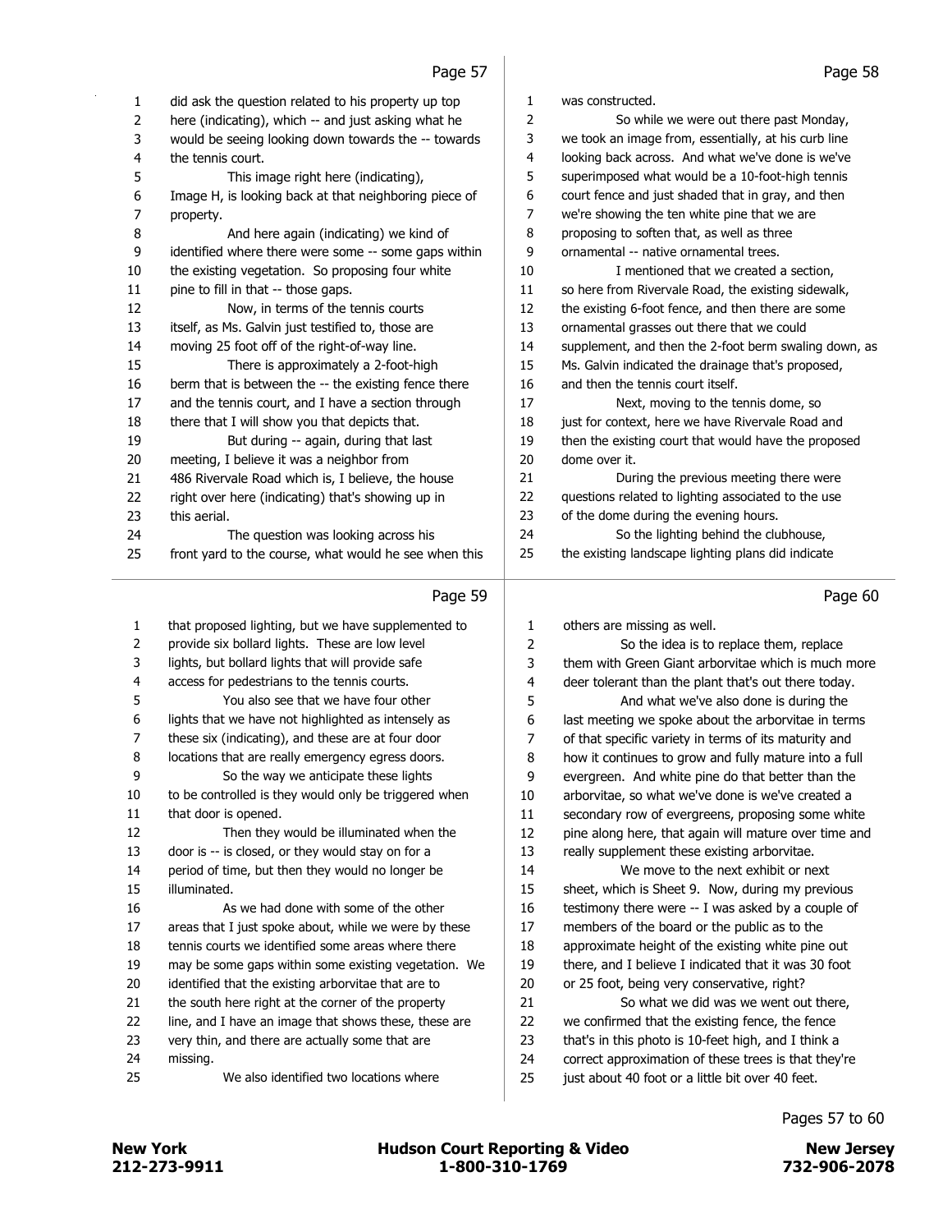| 1              | did ask the question related to his property up top   | 1              | was constructed.                                      |
|----------------|-------------------------------------------------------|----------------|-------------------------------------------------------|
| $\overline{2}$ | here (indicating), which -- and just asking what he   | 2              | So while we were out there past Monday,               |
| 3              | would be seeing looking down towards the -- towards   | 3              | we took an image from, essentially, at his curb line  |
| 4              | the tennis court.                                     | 4              | looking back across. And what we've done is we've     |
| 5              | This image right here (indicating),                   | 5              | superimposed what would be a 10-foot-high tennis      |
| 6              | Image H, is looking back at that neighboring piece of | 6              | court fence and just shaded that in gray, and then    |
| 7              | property.                                             | $\overline{7}$ | we're showing the ten white pine that we are          |
| 8              | And here again (indicating) we kind of                | 8              | proposing to soften that, as well as three            |
| 9              | identified where there were some -- some gaps within  | 9              | ornamental -- native ornamental trees.                |
| 10             | the existing vegetation. So proposing four white      | 10             | I mentioned that we created a section,                |
| 11             | pine to fill in that -- those gaps.                   | 11             | so here from Rivervale Road, the existing sidewalk,   |
| 12             | Now, in terms of the tennis courts                    | 12             | the existing 6-foot fence, and then there are some    |
| 13             | itself, as Ms. Galvin just testified to, those are    | 13             | ornamental grasses out there that we could            |
| 14             | moving 25 foot off of the right-of-way line.          | 14             | supplement, and then the 2-foot berm swaling down, as |
| 15             | There is approximately a 2-foot-high                  | 15             | Ms. Galvin indicated the drainage that's proposed,    |
| 16             | berm that is between the -- the existing fence there  | 16             | and then the tennis court itself.                     |
| 17             | and the tennis court, and I have a section through    | 17             | Next, moving to the tennis dome, so                   |
| 18             | there that I will show you that depicts that.         | 18             | just for context, here we have Rivervale Road and     |
| 19             | But during -- again, during that last                 | 19             | then the existing court that would have the proposed  |
| 20             | meeting, I believe it was a neighbor from             | 20             | dome over it.                                         |
| 21             | 486 Rivervale Road which is, I believe, the house     | 21             | During the previous meeting there were                |
| 22             | right over here (indicating) that's showing up in     | 22             | questions related to lighting associated to the use   |
| 23             | this aerial.                                          | 23             | of the dome during the evening hours.                 |
| 24             | The question was looking across his                   | 24             | So the lighting behind the clubhouse,                 |
| 25             | front yard to the course, what would he see when this | 25             | the existing landscape lighting plans did indicate    |
|                |                                                       |                |                                                       |
|                | Page 59                                               |                | Page 60                                               |
| 1              | that proposed lighting, but we have supplemented to   | 1              | others are missing as well.                           |
| 2              | provide six bollard lights. These are low level       | 2              | So the idea is to replace them, replace               |
| 3              | lights, but bollard lights that will provide safe     | 3              | them with Green Giant arborvitae which is much more   |
| 4              | access for pedestrians to the tennis courts.          | 4              | deer tolerant than the plant that's out there today.  |
| 5              | You also see that we have four other                  | 5              | And what we've also done is during the                |
| 6              | lights that we have not highlighted as intensely as   | 6              | last meeting we spoke about the arborvitae in terms   |
| 7              | these six (indicating), and these are at four door    | 7              | of that specific variety in terms of its maturity and |
| 8              | locations that are really emergency egress doors.     | 8              | how it continues to grow and fully mature into a full |

| that proposed lighting, but we have supplemented to   | 1  | others are missin   |
|-------------------------------------------------------|----|---------------------|
| provide six bollard lights. These are low level       | 2  | So the              |
| lights, but bollard lights that will provide safe     | 3  | them with Green     |
| access for pedestrians to the tennis courts.          | 4  | deer tolerant that  |
| You also see that we have four other                  | 5  | And wh              |
| lights that we have not highlighted as intensely as   | 6  | last meeting we s   |
| these six (indicating), and these are at four door    | 7  | of that specific va |
| locations that are really emergency egress doors.     | 8  | how it continues    |
| So the way we anticipate these lights                 | 9  | evergreen. And      |
| to be controlled is they would only be triggered when | 10 | arborvitae, so wh   |
| that door is opened.                                  | 11 | secondary row of    |
| Then they would be illuminated when the               | 12 | pine along here,    |
| door is -- is closed, or they would stay on for a     | 13 | really supplemen    |
| period of time, but then they would no longer be      | 14 | We mo               |
| illuminated.                                          | 15 | sheet, which is SI  |
| As we had done with some of the other                 | 16 | testimony there y   |
| areas that I just spoke about, while we were by these | 17 | members of the I    |
| tennis courts we identified some areas where there    | 18 | approximate heig    |
| may be some gaps within some existing vegetation. We  | 19 | there, and I belie  |
| identified that the existing arborvitae that are to   | 20 | or 25 foot, being   |
| the south here right at the corner of the property    | 21 | So wha              |
| line, and I have an image that shows these, these are | 22 | we confirmed tha    |
| very thin, and there are actually some that are       | 23 | that's in this phot |
| missing.                                              | 24 | correct approxim    |
| We also identified two locations where                | 25 | just about 40 foo   |
|                                                       |    |                     |

| $\mathbf{1}$ | others are missing as well.                           |
|--------------|-------------------------------------------------------|
| 2            | So the idea is to replace them, replace               |
| 3            | them with Green Giant arborvitae which is much more   |
| 4            | deer tolerant than the plant that's out there today.  |
| 5            | And what we've also done is during the                |
| 6            | last meeting we spoke about the arborvitae in terms   |
| 7            | of that specific variety in terms of its maturity and |
| 8            | how it continues to grow and fully mature into a full |
| 9            | evergreen. And white pine do that better than the     |
| 10           | arborvitae, so what we've done is we've created a     |
| 11           | secondary row of evergreens, proposing some white     |
| 12           | pine along here, that again will mature over time and |
| 13           | really supplement these existing arborvitae.          |
| 14           | We move to the next exhibit or next                   |
| 15           | sheet, which is Sheet 9. Now, during my previous      |
| 16           | testimony there were -- I was asked by a couple of    |
| 17           | members of the board or the public as to the          |
| 18           | approximate height of the existing white pine out     |
| 19           | there, and I believe I indicated that it was 30 foot  |
| 20           | or 25 foot, being very conservative, right?           |
| 21           | So what we did was we went out there,                 |
| 22           | we confirmed that the existing fence, the fence       |
| 23           | that's in this photo is 10-feet high, and I think a   |
| 24           | correct approximation of these trees is that they're  |
| 25           | just about 40 foot or a little bit over 40 feet.      |

Pages 57 to 60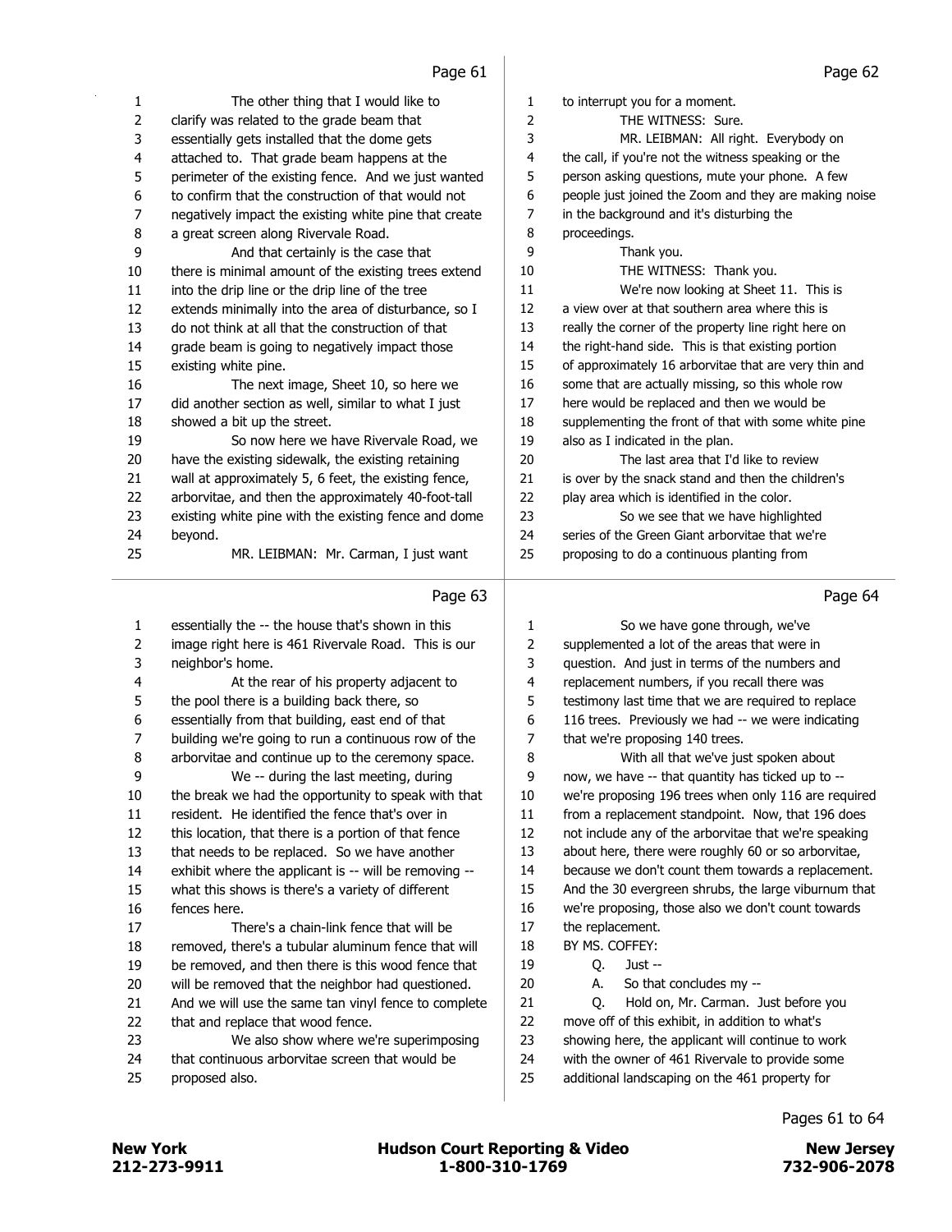|                     | Page of                                                                                      |                | Page 62                                                                                                    |
|---------------------|----------------------------------------------------------------------------------------------|----------------|------------------------------------------------------------------------------------------------------------|
| 1                   | The other thing that I would like to                                                         | 1              | to interrupt you for a moment.                                                                             |
| 2                   | clarify was related to the grade beam that                                                   | $\overline{2}$ | THE WITNESS: Sure.                                                                                         |
| 3                   | essentially gets installed that the dome gets                                                | 3              | MR. LEIBMAN: All right. Everybody on                                                                       |
| 4                   | attached to. That grade beam happens at the                                                  | 4              | the call, if you're not the witness speaking or the                                                        |
| 5                   | perimeter of the existing fence. And we just wanted                                          | 5              | person asking questions, mute your phone. A few                                                            |
| 6                   | to confirm that the construction of that would not                                           | 6              | people just joined the Zoom and they are making noise                                                      |
| 7                   | negatively impact the existing white pine that create                                        | 7              | in the background and it's disturbing the                                                                  |
| 8                   | a great screen along Rivervale Road.                                                         | 8              | proceedings.                                                                                               |
| 9                   | And that certainly is the case that                                                          | 9              | Thank you.                                                                                                 |
| 10                  | there is minimal amount of the existing trees extend                                         | 10             | THE WITNESS: Thank you.                                                                                    |
| 11                  | into the drip line or the drip line of the tree                                              | 11             | We're now looking at Sheet 11. This is                                                                     |
| 12                  | extends minimally into the area of disturbance, so I                                         | 12             | a view over at that southern area where this is                                                            |
| 13                  | do not think at all that the construction of that                                            | 13             | really the corner of the property line right here on                                                       |
| 14                  | grade beam is going to negatively impact those                                               | 14             | the right-hand side. This is that existing portion                                                         |
| 15                  | existing white pine.                                                                         | 15             | of approximately 16 arborvitae that are very thin and                                                      |
| 16                  | The next image, Sheet 10, so here we                                                         | 16             | some that are actually missing, so this whole row                                                          |
| 17                  | did another section as well, similar to what I just                                          | 17             | here would be replaced and then we would be                                                                |
| 18                  | showed a bit up the street.                                                                  | 18             | supplementing the front of that with some white pine                                                       |
| 19                  | So now here we have Rivervale Road, we                                                       | 19             | also as I indicated in the plan.                                                                           |
| 20                  | have the existing sidewalk, the existing retaining                                           | 20             | The last area that I'd like to review                                                                      |
| 21                  | wall at approximately 5, 6 feet, the existing fence,                                         | 21             | is over by the snack stand and then the children's                                                         |
| 22                  | arborvitae, and then the approximately 40-foot-tall                                          | 22             | play area which is identified in the color.                                                                |
| 23                  | existing white pine with the existing fence and dome                                         | 23             | So we see that we have highlighted                                                                         |
| 24                  | beyond.                                                                                      | 24             | series of the Green Giant arborvitae that we're                                                            |
| 25                  | MR. LEIBMAN: Mr. Carman, I just want                                                         | 25             | proposing to do a continuous planting from                                                                 |
|                     |                                                                                              |                |                                                                                                            |
|                     |                                                                                              |                |                                                                                                            |
|                     | Page 63                                                                                      |                | Page 64                                                                                                    |
|                     |                                                                                              |                |                                                                                                            |
| 1                   | essentially the -- the house that's shown in this                                            | 1              | So we have gone through, we've                                                                             |
| $\overline{2}$<br>3 | image right here is 461 Rivervale Road. This is our                                          | 2<br>3         | supplemented a lot of the areas that were in                                                               |
| 4                   | neighbor's home.                                                                             | 4              | question. And just in terms of the numbers and                                                             |
|                     | At the rear of his property adjacent to                                                      | 5              | replacement numbers, if you recall there was                                                               |
| 5<br>6              | the pool there is a building back there, so                                                  | 6              | testimony last time that we are required to replace                                                        |
| 7                   | essentially from that building, east end of that                                             | $\overline{7}$ | 116 trees. Previously we had -- we were indicating                                                         |
| 8                   | building we're going to run a continuous row of the                                          | 8              | that we're proposing 140 trees.<br>With all that we've just spoken about                                   |
|                     | arborvitae and continue up to the ceremony space.                                            | 9              |                                                                                                            |
| 9<br>10             | We -- during the last meeting, during<br>the break we had the opportunity to speak with that | 10             | now, we have -- that quantity has ticked up to --                                                          |
| 11                  | resident. He identified the fence that's over in                                             | $11\,$         | we're proposing 196 trees when only 116 are required                                                       |
|                     |                                                                                              | 12             | from a replacement standpoint. Now, that 196 does<br>not include any of the arborvitae that we're speaking |
| 12<br>13            | this location, that there is a portion of that fence                                         | 13             |                                                                                                            |
| 14                  | that needs to be replaced. So we have another                                                | 14             | about here, there were roughly 60 or so arborvitae,<br>because we don't count them towards a replacement.  |
| 15                  | exhibit where the applicant is -- will be removing --                                        | 15             |                                                                                                            |
|                     | what this shows is there's a variety of different<br>fences here.                            | 16             | And the 30 evergreen shrubs, the large viburnum that                                                       |
| 16<br>17            | There's a chain-link fence that will be                                                      | 17             | we're proposing, those also we don't count towards<br>the replacement.                                     |
| 18                  | removed, there's a tubular aluminum fence that will                                          | 18             | BY MS. COFFEY:                                                                                             |
| 19                  | be removed, and then there is this wood fence that                                           | 19             | Q.<br>Just --                                                                                              |
| 20                  | will be removed that the neighbor had questioned.                                            | 20             | So that concludes my --<br>А.                                                                              |
| 21                  | And we will use the same tan vinyl fence to complete                                         | 21             | Hold on, Mr. Carman. Just before you<br>Q.                                                                 |
| 22                  | that and replace that wood fence.                                                            | 22             | move off of this exhibit, in addition to what's                                                            |

23 We also show where we're superimposing that continuous arborvitae screen that would be

proposed also.

Pages 61 to 64

 with the owner of 461 Rivervale to provide some additional landscaping on the 461 property for

j.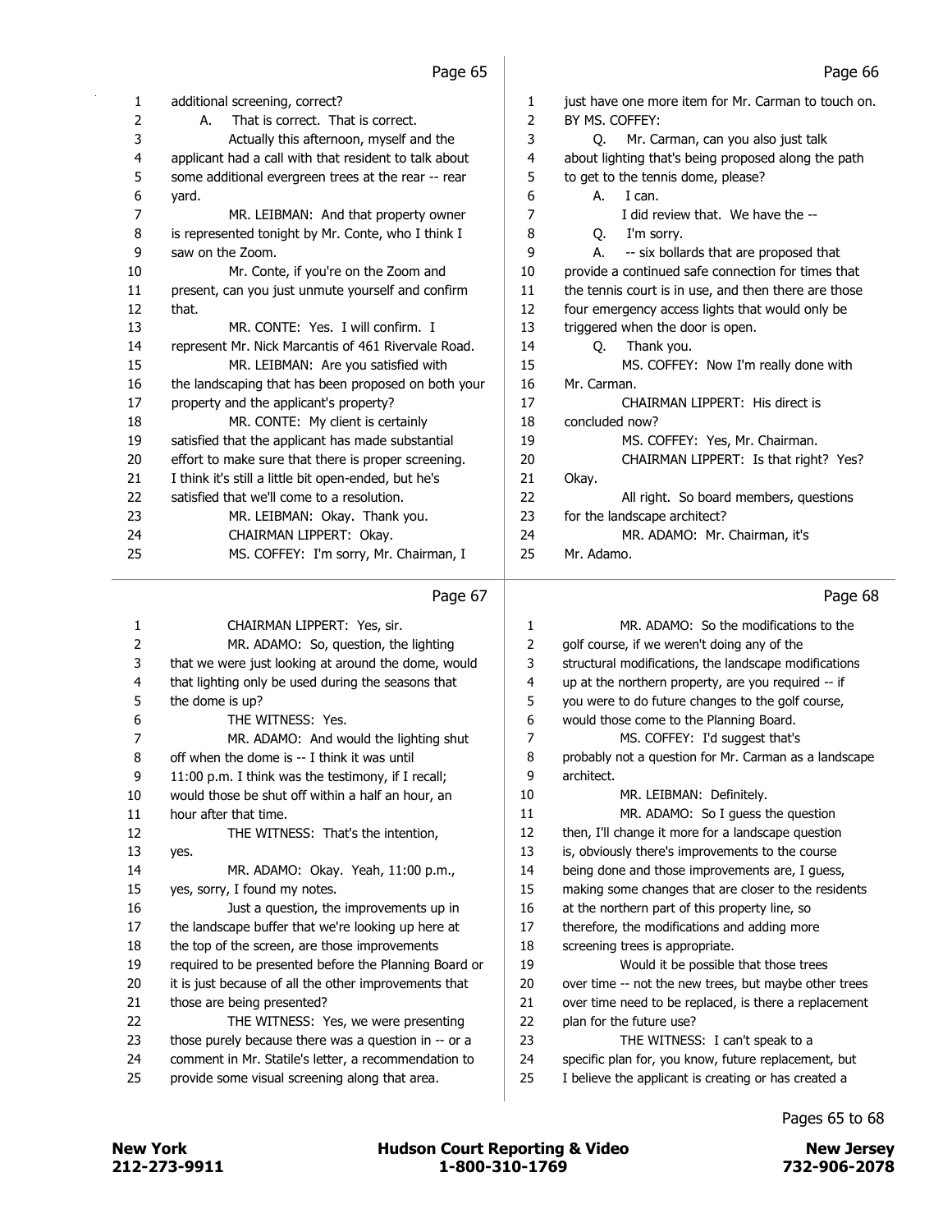| 1  | additional screening, correct?                        | 1  | just have one more item for Mr. Carman to touch o    |
|----|-------------------------------------------------------|----|------------------------------------------------------|
| 2  | That is correct. That is correct.<br>А.               | 2  | BY MS. COFFEY:                                       |
| 3  | Actually this afternoon, myself and the               | 3  | Mr. Carman, can you also just talk<br>O.             |
| 4  | applicant had a call with that resident to talk about | 4  | about lighting that's being proposed along the path  |
| 5  | some additional evergreen trees at the rear -- rear   | 5  | to get to the tennis dome, please?                   |
| 6  | yard.                                                 | 6  | I can.<br>А.                                         |
| 7  | MR. LEIBMAN: And that property owner                  | 7  | I did review that. We have the --                    |
| 8  | is represented tonight by Mr. Conte, who I think I    | 8  | O.<br>I'm sorry.                                     |
| 9  | saw on the Zoom.                                      | 9  | -- six bollards that are proposed that<br>А.         |
| 10 | Mr. Conte, if you're on the Zoom and                  | 10 | provide a continued safe connection for times that   |
| 11 | present, can you just unmute yourself and confirm     | 11 | the tennis court is in use, and then there are those |
| 12 | that.                                                 | 12 | four emergency access lights that would only be      |
| 13 | MR. CONTE: Yes. I will confirm. I                     | 13 | triggered when the door is open.                     |
| 14 | represent Mr. Nick Marcantis of 461 Rivervale Road.   | 14 | Thank you.<br>O.                                     |
| 15 | MR. LEIBMAN: Are you satisfied with                   | 15 | MS. COFFEY: Now I'm really done with                 |
| 16 | the landscaping that has been proposed on both your   | 16 | Mr. Carman.                                          |
| 17 | property and the applicant's property?                | 17 | CHAIRMAN LIPPERT: His direct is                      |
| 18 | MR. CONTE: My client is certainly                     | 18 | concluded now?                                       |
| 19 | satisfied that the applicant has made substantial     | 19 | MS. COFFEY: Yes, Mr. Chairman.                       |
| 20 | effort to make sure that there is proper screening.   | 20 | CHAIRMAN LIPPERT: Is that right? Yes?                |
| 21 | I think it's still a little bit open-ended, but he's  | 21 | Okay.                                                |
| 22 | satisfied that we'll come to a resolution.            | 22 | All right. So board members, questions               |
| 23 | MR. LEIBMAN: Okay. Thank you.                         | 23 | for the landscape architect?                         |
| 24 | CHAIRMAN LIPPERT: Okay.                               | 24 | MR. ADAMO: Mr. Chairman, it's                        |
| 25 | MS. COFFEY: I'm sorry, Mr. Chairman, I                | 25 | Mr. Adamo.                                           |
|    |                                                       |    |                                                      |

#### Page 67

#### 1 CHAIRMAN LIPPERT: Yes, sir. 2 MR. ADAMO: So, question, the lighting 3 that we were just looking at around the dome, would 4 that lighting only be used during the seasons that 5 the dome is up? 6 THE WITNESS: Yes. 7 MR. ADAMO: And would the lighting shut 8 off when the dome is -- I think it was until 9 11:00 p.m. I think was the testimony, if I recall; 10 would those be shut off within a half an hour, an 11 hour after that time. 12 THE WITNESS: That's the intention, 13 yes. 14 MR. ADAMO: Okay. Yeah, 11:00 p.m., 15 yes, sorry, I found my notes. 16 Just a question, the improvements up in 17 the landscape buffer that we're looking up here at 18 the top of the screen, are those improvements 19 required to be presented before the Planning Board or 20 it is just because of all the other improvements that 21 those are being presented? 22 THE WITNESS: Yes, we were presenting 23 those purely because there was a question in -- or a 24 comment in Mr. Statile's letter, a recommendation to 25 provide some visual screening along that area. 1 MR. ADAMO: So the modifications to the 2 golf course, if we weren't doing any of the 3 structural modifications, the landscape modifications 4 up at the northern property, are you required -- if 5 you were to do future changes to the golf course, 6 would those come to the Planning Board. 7 MS. COFFEY: I'd suggest that's 8 probably not a question for Mr. Carman as a landscape 9 architect. 10 MR. LEIBMAN: Definitely. 11 MR. ADAMO: So I guess the question 12 then, I'll change it more for a landscape question 13 is, obviously there's improvements to the course 14 being done and those improvements are, I guess, 15 making some changes that are closer to the residents 16 at the northern part of this property line, so 17 therefore, the modifications and adding more 18 screening trees is appropriate. 19 Would it be possible that those trees 20 over time -- not the new trees, but maybe other trees 21 over time need to be replaced, is there a replacement 22 plan for the future use? 23 THE WITNESS: I can't speak to a 24 specific plan for, you know, future replacement, but 25 I believe the applicant is creating or has created a

Page 68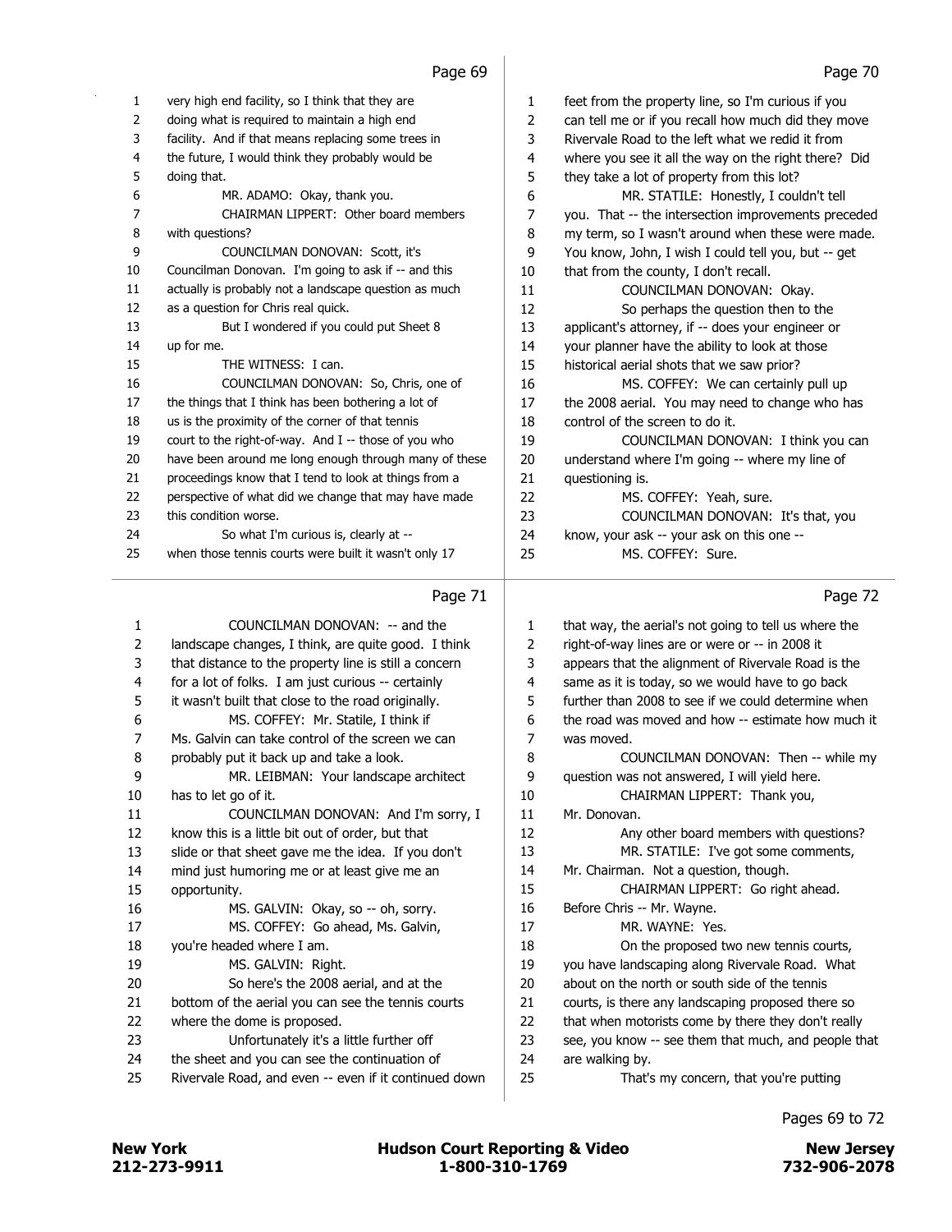|    | Page 71                                               |              | Page 72                                              |
|----|-------------------------------------------------------|--------------|------------------------------------------------------|
| 25 | when those tennis courts were built it wasn't only 17 | 25           | MS. COFFEY: Sure.                                    |
| 24 | So what I'm curious is, clearly at --                 | 24           | know, your ask -- your ask on this one --            |
| 23 | this condition worse.                                 | 23           | COUNCILMAN DONOVAN: It's that, you                   |
| 22 | perspective of what did we change that may have made  | 22           | MS. COFFEY: Yeah, sure.                              |
| 21 | proceedings know that I tend to look at things from a | 21           | questioning is.                                      |
| 20 | have been around me long enough through many of these | 20           | understand where I'm going -- where my line of       |
| 19 | court to the right-of-way. And I -- those of you who  | 19           | COUNCILMAN DONOVAN: I think you can                  |
| 18 | us is the proximity of the corner of that tennis      | 18           | control of the screen to do it.                      |
| 17 | the things that I think has been bothering a lot of   | 17           | the 2008 aerial. You may need to change who has      |
| 16 | COUNCILMAN DONOVAN: So, Chris, one of                 | 16           | MS. COFFEY: We can certainly pull up                 |
| 15 | THE WITNESS: I can.                                   | 15           | historical aerial shots that we saw prior?           |
| 14 | up for me.                                            | 14           | your planner have the ability to look at those       |
| 13 | But I wondered if you could put Sheet 8               | 13           | applicant's attorney, if -- does your engineer or    |
| 12 | as a question for Chris real quick.                   | 12           | So perhaps the question then to the                  |
| 11 | actually is probably not a landscape question as much | 11           | COUNCILMAN DONOVAN: Okay.                            |
| 10 | Councilman Donovan. I'm going to ask if -- and this   | 10           | that from the county, I don't recall.                |
| 9  | COUNCILMAN DONOVAN: Scott, it's                       | 9            | You know, John, I wish I could tell you, but -- get  |
| 8  | with questions?                                       | 8            | my term, so I wasn't around when these were made.    |
| 7  | CHAIRMAN LIPPERT: Other board members                 | 7            | you. That -- the intersection improvements preceded  |
| 6  | MR. ADAMO: Okay, thank you.                           | 6            | MR. STATILE: Honestly, I couldn't tell               |
| 5  | doing that.                                           | 5            | they take a lot of property from this lot?           |
| 4  | the future, I would think they probably would be      | 4            | where you see it all the way on the right there? Did |
| 3  | facility. And if that means replacing some trees in   | 3            | Rivervale Road to the left what we redid it from     |
| 2  | doing what is required to maintain a high end         | 2            | can tell me or if you recall how much did they move  |
| 1  | very high end facility, so I think that they are      | $\mathbf{1}$ | feet from the property line, so I'm curious if you   |

|                | Page 71                                               |    | Page 72                                               |
|----------------|-------------------------------------------------------|----|-------------------------------------------------------|
| 1              | COUNCILMAN DONOVAN: -- and the                        | 1  | that way, the aerial's not going to tell us where the |
| $\overline{2}$ | landscape changes, I think, are quite good. I think   | 2  | right-of-way lines are or were or -- in 2008 it       |
| 3              | that distance to the property line is still a concern | 3  | appears that the alignment of Rivervale Road is the   |
| 4              | for a lot of folks. I am just curious -- certainly    | 4  | same as it is today, so we would have to go back      |
| 5              | it wasn't built that close to the road originally.    | 5  | further than 2008 to see if we could determine when   |
| 6              | MS. COFFEY: Mr. Statile, I think if                   | 6  | the road was moved and how -- estimate how much it    |
| 7              | Ms. Galvin can take control of the screen we can      | 7  | was moved.                                            |
| 8              | probably put it back up and take a look.              | 8  | COUNCILMAN DONOVAN: Then -- while my                  |
| 9              | MR. LEIBMAN: Your landscape architect                 | 9  | question was not answered, I will yield here.         |
| 10             | has to let go of it.                                  | 10 | CHAIRMAN LIPPERT: Thank you,                          |
| 11             | COUNCILMAN DONOVAN: And I'm sorry, I                  | 11 | Mr. Donovan.                                          |
| 12             | know this is a little bit out of order, but that      | 12 | Any other board members with questions?               |
| 13             | slide or that sheet gave me the idea. If you don't    | 13 | MR. STATILE: I've got some comments,                  |
| 14             | mind just humoring me or at least give me an          | 14 | Mr. Chairman. Not a question, though.                 |
| 15             | opportunity.                                          | 15 | CHAIRMAN LIPPERT: Go right ahead.                     |
| 16             | MS. GALVIN: Okay, so -- oh, sorry.                    | 16 | Before Chris -- Mr. Wayne.                            |
| 17             | MS. COFFEY: Go ahead, Ms. Galvin,                     | 17 | MR. WAYNE: Yes.                                       |
| 18             | you're headed where I am.                             | 18 | On the proposed two new tennis courts,                |
| 19             | MS. GALVIN: Right.                                    | 19 | you have landscaping along Rivervale Road. What       |
| 20             | So here's the 2008 aerial, and at the                 | 20 | about on the north or south side of the tennis        |
| 21             | bottom of the aerial you can see the tennis courts    | 21 | courts, is there any landscaping proposed there so    |
| 22             | where the dome is proposed.                           | 22 | that when motorists come by there they don't really   |
| 23             | Unfortunately it's a little further off               | 23 | see, you know -- see them that much, and people that  |
| 24             | the sheet and you can see the continuation of         | 24 | are walking by.                                       |
| 25             | Rivervale Road, and even -- even if it continued down | 25 | That's my concern, that you're putting                |
|                |                                                       |    |                                                       |

Pages 69 to 72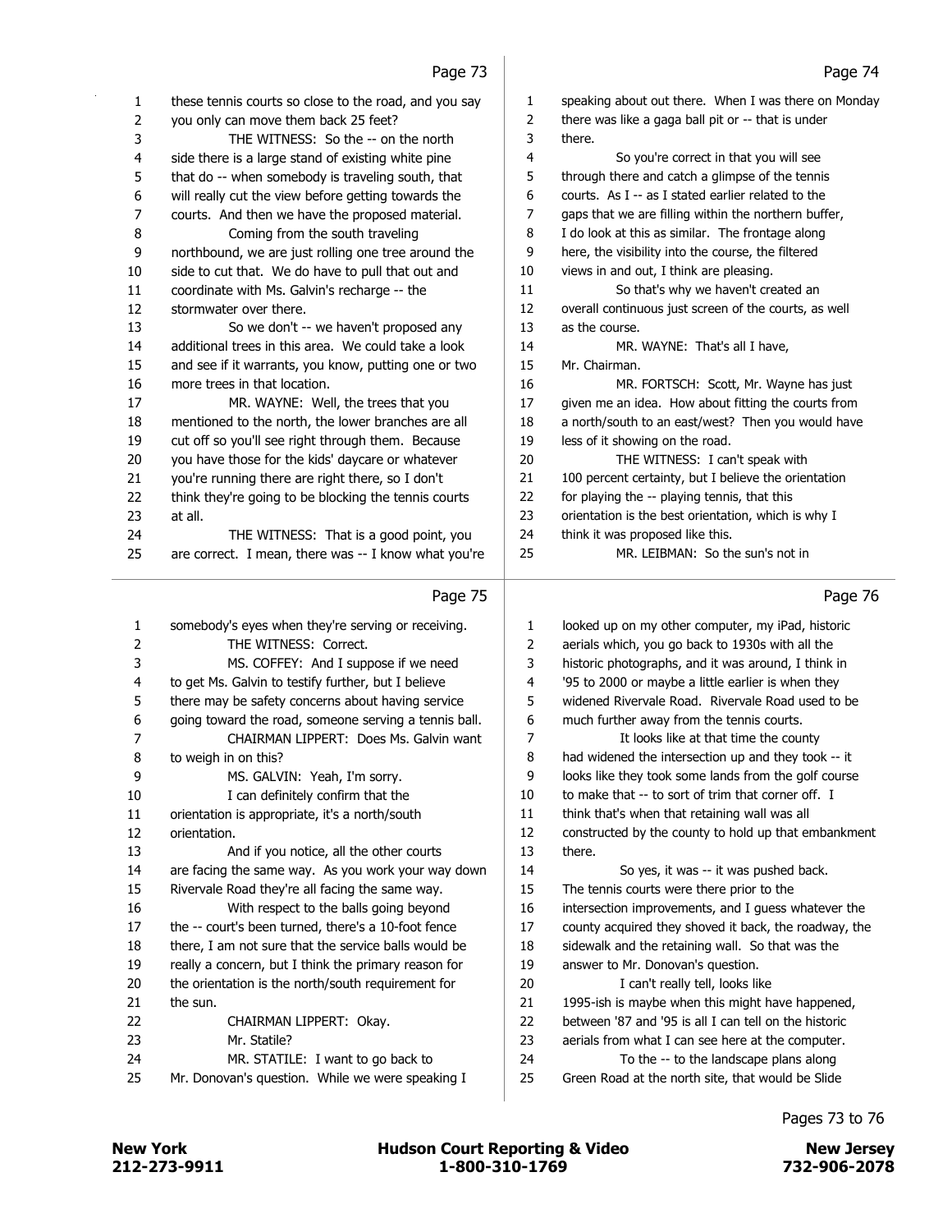| 1<br>2   | these tennis courts so close to the road, and you say<br>you only can move them back 25 feet? | 1<br>2   | speaking about out there. When I was there on Monday<br>there was like a gaga ball pit or -- that is under |
|----------|-----------------------------------------------------------------------------------------------|----------|------------------------------------------------------------------------------------------------------------|
| 3        | THE WITNESS: So the -- on the north                                                           | 3        | there.                                                                                                     |
| 4        | side there is a large stand of existing white pine                                            | 4        | So you're correct in that you will see                                                                     |
| 5        | that do -- when somebody is traveling south, that                                             | 5        | through there and catch a glimpse of the tennis                                                            |
| 6        | will really cut the view before getting towards the                                           | 6        | courts. As I -- as I stated earlier related to the                                                         |
| 7        | courts. And then we have the proposed material.                                               | 7        | gaps that we are filling within the northern buffer,                                                       |
| 8        | Coming from the south traveling                                                               | 8        | I do look at this as similar. The frontage along                                                           |
| 9        | northbound, we are just rolling one tree around the                                           | 9        | here, the visibility into the course, the filtered                                                         |
| 10       | side to cut that. We do have to pull that out and                                             | 10       | views in and out, I think are pleasing.                                                                    |
| 11       | coordinate with Ms. Galvin's recharge -- the                                                  | 11       | So that's why we haven't created an                                                                        |
| 12       | stormwater over there.                                                                        | 12       | overall continuous just screen of the courts, as well                                                      |
| 13       | So we don't -- we haven't proposed any                                                        | 13       | as the course.                                                                                             |
| 14       | additional trees in this area. We could take a look                                           | 14       | MR. WAYNE: That's all I have,                                                                              |
| 15       | and see if it warrants, you know, putting one or two                                          | 15       | Mr. Chairman.                                                                                              |
| 16       | more trees in that location.                                                                  | 16       | MR. FORTSCH: Scott, Mr. Wayne has just                                                                     |
| 17       | MR. WAYNE: Well, the trees that you                                                           | 17       | given me an idea. How about fitting the courts from                                                        |
| 18       | mentioned to the north, the lower branches are all                                            | 18       | a north/south to an east/west? Then you would have                                                         |
| 19       | cut off so you'll see right through them. Because                                             | 19       | less of it showing on the road.                                                                            |
| 20       | you have those for the kids' daycare or whatever                                              | 20       | THE WITNESS: I can't speak with                                                                            |
| 21       | you're running there are right there, so I don't                                              | 21       | 100 percent certainty, but I believe the orientation                                                       |
| 22       | think they're going to be blocking the tennis courts                                          | 22       | for playing the -- playing tennis, that this                                                               |
| 23       | at all.                                                                                       | 23       | orientation is the best orientation, which is why I                                                        |
| 24       | THE WITNESS: That is a good point, you                                                        | 24       | think it was proposed like this.                                                                           |
| 25       | are correct. I mean, there was -- I know what you're                                          | 25       | MR. LEIBMAN: So the sun's not in                                                                           |
|          |                                                                                               |          |                                                                                                            |
|          | Page 75                                                                                       |          | Page 76                                                                                                    |
| 1        | somebody's eyes when they're serving or receiving.                                            | 1        | looked up on my other computer, my iPad, historic                                                          |
| 2        | THE WITNESS: Correct.                                                                         | 2        | aerials which, you go back to 1930s with all the                                                           |
| 3        | MS. COFFEY: And I suppose if we need                                                          | 3        | historic photographs, and it was around, I think in                                                        |
| 4        | to get Ms. Galvin to testify further, but I believe                                           | 4        | '95 to 2000 or maybe a little earlier is when they                                                         |
| 5        | there may be safety concerns about having service                                             | 5        | widened Rivervale Road. Rivervale Road used to be                                                          |
| 6        | going toward the road, someone serving a tennis ball.                                         | 6        | much further away from the tennis courts.                                                                  |
| 7        | CHAIRMAN LIPPERT: Does Ms. Galvin want                                                        | 7        | It looks like at that time the county                                                                      |
| 8        | to weigh in on this?                                                                          | 8        | had widened the intersection up and they took -- it                                                        |
| 9        | MS. GALVIN: Yeah, I'm sorry.                                                                  | 9        | looks like they took some lands from the golf course                                                       |
| 10       | I can definitely confirm that the                                                             | 10       | to make that -- to sort of trim that corner off. I                                                         |
| $11\,$   | orientation is appropriate, it's a north/south                                                | 11       | think that's when that retaining wall was all                                                              |
| 12       | orientation.                                                                                  | 12       | constructed by the county to hold up that embankment                                                       |
| 13       | And if you notice, all the other courts                                                       | 13       | there.                                                                                                     |
| 14       | are facing the same way. As you work your way down                                            | 14       | So yes, it was -- it was pushed back.                                                                      |
| 15       | Rivervale Road they're all facing the same way.                                               | 15       | The tennis courts were there prior to the                                                                  |
| 16       | With respect to the balls going beyond                                                        | 16       | intersection improvements, and I guess whatever the                                                        |
| 17       | the -- court's been turned, there's a 10-foot fence                                           | 17       | county acquired they shoved it back, the roadway, the                                                      |
| 18       | there, I am not sure that the service balls would be                                          | 18       | sidewalk and the retaining wall. So that was the                                                           |
| 19       | really a concern, but I think the primary reason for                                          | 19       | answer to Mr. Donovan's question.                                                                          |
| 20       | the orientation is the north/south requirement for                                            | 20       | I can't really tell, looks like                                                                            |
| 21       | the sun.                                                                                      | 21       | 1995-ish is maybe when this might have happened,                                                           |
| 22       | CHAIRMAN LIPPERT: Okay.                                                                       | 22       | between '87 and '95 is all I can tell on the historic                                                      |
|          |                                                                                               |          |                                                                                                            |
| 23       | Mr. Statile?                                                                                  | 23       | aerials from what I can see here at the computer.                                                          |
| 24<br>25 | MR. STATILE: I want to go back to<br>Mr. Donovan's question. While we were speaking I         | 24<br>25 | To the -- to the landscape plans along<br>Green Road at the north site, that would be Slide                |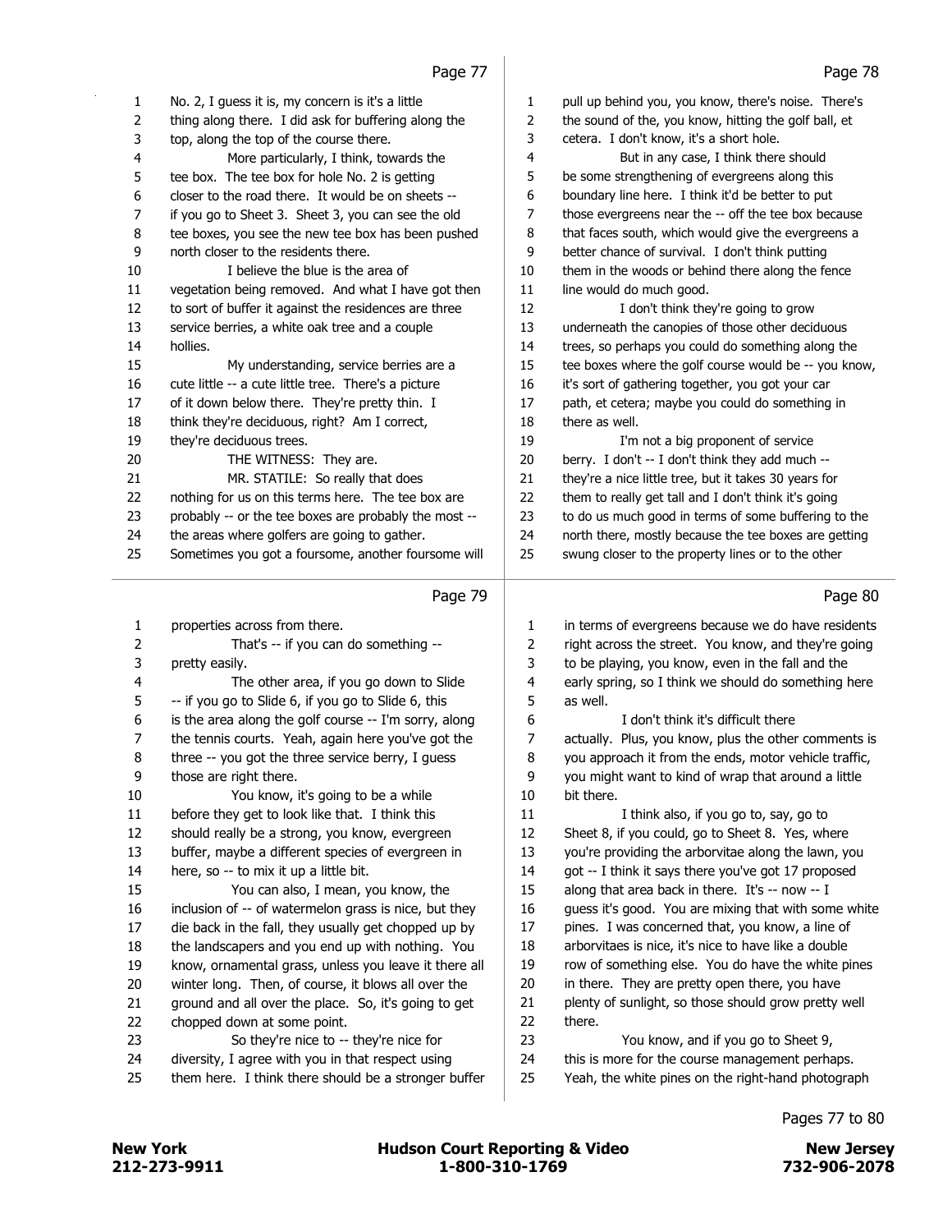|                         | 1.44                                                  |        | , ugu / u                                             |
|-------------------------|-------------------------------------------------------|--------|-------------------------------------------------------|
| 1                       | No. 2, I guess it is, my concern is it's a little     | 1      | pull up behind you, you know, there's noise. There's  |
| 2                       | thing along there. I did ask for buffering along the  | 2      | the sound of the, you know, hitting the golf ball, et |
| 3                       | top, along the top of the course there.               | 3      | cetera. I don't know, it's a short hole.              |
| $\overline{\mathbf{4}}$ | More particularly, I think, towards the               | 4      | But in any case, I think there should                 |
| 5                       | tee box. The tee box for hole No. 2 is getting        | 5      | be some strengthening of evergreens along this        |
| 6                       | closer to the road there. It would be on sheets --    | 6      | boundary line here. I think it'd be better to put     |
| $\overline{7}$          | if you go to Sheet 3. Sheet 3, you can see the old    | 7      | those evergreens near the -- off the tee box because  |
| 8                       | tee boxes, you see the new tee box has been pushed    | 8      | that faces south, which would give the evergreens a   |
| 9                       | north closer to the residents there.                  | 9      | better chance of survival. I don't think putting      |
| 10                      | I believe the blue is the area of                     | 10     | them in the woods or behind there along the fence     |
| 11                      | vegetation being removed. And what I have got then    | $11\,$ | line would do much good.                              |
| 12                      | to sort of buffer it against the residences are three | 12     | I don't think they're going to grow                   |
| 13                      | service berries, a white oak tree and a couple        | 13     | underneath the canopies of those other deciduous      |
| 14                      | hollies.                                              | 14     | trees, so perhaps you could do something along the    |
| 15                      | My understanding, service berries are a               | 15     | tee boxes where the golf course would be -- you know, |
| 16                      | cute little -- a cute little tree. There's a picture  | 16     | it's sort of gathering together, you got your car     |
| 17                      | of it down below there. They're pretty thin. I        | 17     | path, et cetera; maybe you could do something in      |
| 18                      | think they're deciduous, right? Am I correct,         | 18     | there as well.                                        |
| 19                      | they're deciduous trees.                              | 19     | I'm not a big proponent of service                    |
| 20                      | THE WITNESS: They are.                                | 20     | berry. I don't -- I don't think they add much --      |
| 21                      | MR. STATILE: So really that does                      | 21     | they're a nice little tree, but it takes 30 years for |
| 22                      | nothing for us on this terms here. The tee box are    | 22     | them to really get tall and I don't think it's going  |
| 23                      | probably -- or the tee boxes are probably the most -- | 23     | to do us much good in terms of some buffering to the  |
| 24                      | the areas where golfers are going to gather.          | 24     | north there, mostly because the tee boxes are getting |
| 25                      | Sometimes you got a foursome, another foursome will   | 25     | swung closer to the property lines or to the other    |
|                         | Page 79                                               |        | Page 80                                               |
| 1                       | properties across from there.                         | 1      | in terms of evergreens because we do have residents   |
| 2                       | That's -- if you can do something --                  | 2      | right across the street. You know, and they're going  |
| 3                       | pretty easily.                                        | 3      | to be playing, you know, even in the fall and the     |
| 4                       | The other area, if you go down to Slide               | 4      | early spring, so I think we should do something here  |
| 5                       | -- if you go to Slide 6, if you go to Slide 6, this   | 5      | as well.                                              |
| $\boldsymbol{6}$        | is the area along the golf course -- I'm sorry, along | 6      | I don't think it's difficult there                    |
| 7                       | the tennis courts. Yeah, again here you've got the    | 7      | actually. Plus, you know, plus the other comments is  |
| 8                       | three -- you got the three service berry, I guess     | 8      | you approach it from the ends, motor vehicle traffic, |
| 9                       | those are right there.                                | 9      | you might want to kind of wrap that around a little   |
| 10                      | You know, it's going to be a while                    | 10     | bit there.                                            |
| 11                      | before they get to look like that. I think this       | $11\,$ | I think also, if you go to, say, go to                |
| 12                      | should really be a strong, you know, evergreen        | 12     | Sheet 8, if you could, go to Sheet 8. Yes, where      |
| 13                      | buffer, maybe a different species of evergreen in     | 13     | you're providing the arborvitae along the lawn, you   |
| 14                      | here, so -- to mix it up a little bit.                | 14     | got -- I think it says there you've got 17 proposed   |
| 15                      | You can also, I mean, you know, the                   | 15     | along that area back in there. It's -- now -- I       |
| 16                      | inclusion of -- of watermelon grass is nice, but they | 16     | guess it's good. You are mixing that with some white  |
| 17                      | die back in the fall, they usually get chopped up by  | 17     | pines. I was concerned that, you know, a line of      |
| 18                      | the landscapers and you end up with nothing. You      | 18     | arborvitaes is nice, it's nice to have like a double  |
|                         |                                                       |        |                                                       |
| 19                      | know, ornamental grass, unless you leave it there all | 19     | row of something else. You do have the white pines    |
| 20                      | winter long. Then, of course, it blows all over the   | 20     | in there. They are pretty open there, you have        |

- chopped down at some point. 23 So they're nice to -- they're nice for
- diversity, I agree with you in that respect using
- them here. I think there should be a stronger buffer

Pages 77 to 80

there.

23 You know, and if you go to Sheet 9, 24 this is more for the course management perhaps. Yeah, the white pines on the right-hand photograph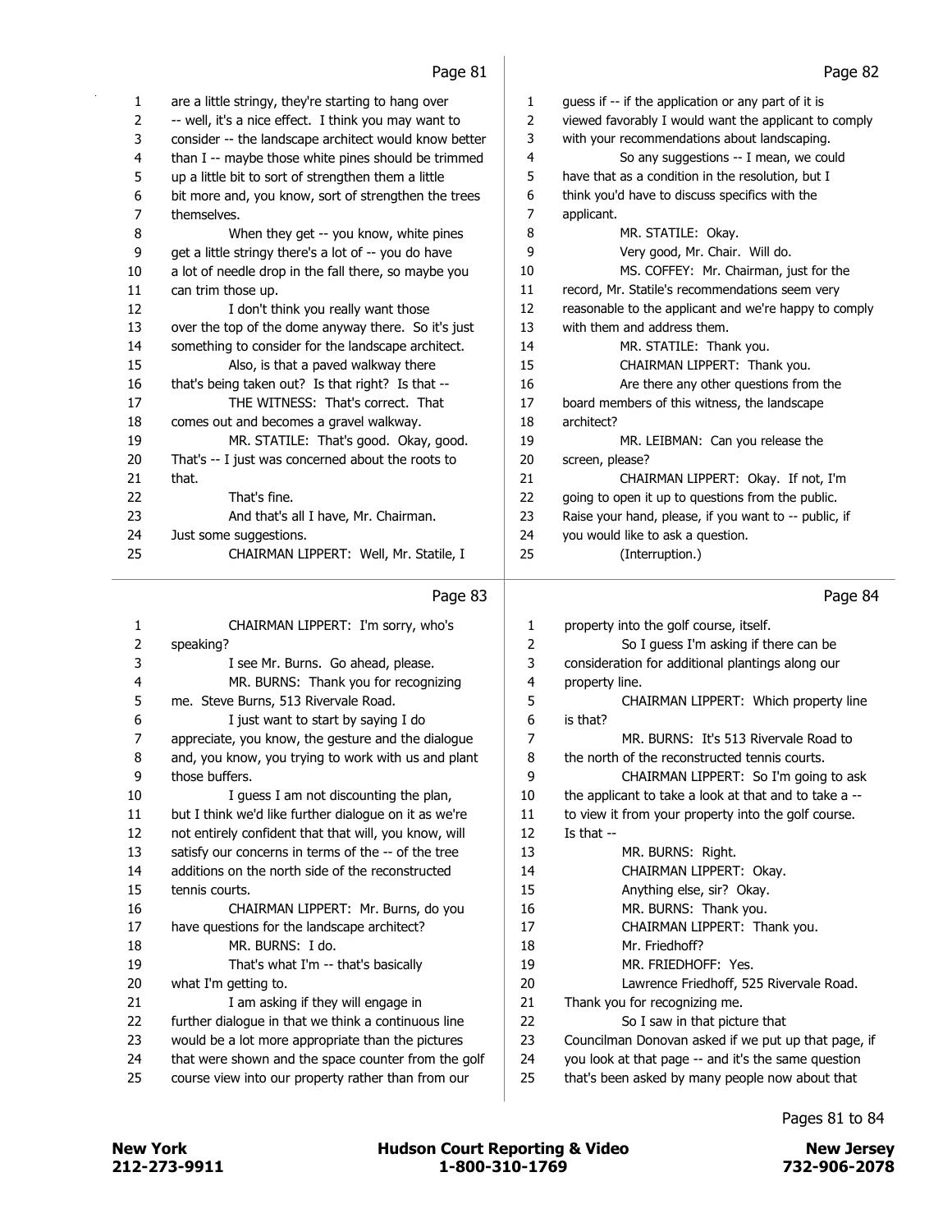| 1  | are a little stringy, they're starting to hang over   | 1  | guess if -- if the application or any part of it is   |
|----|-------------------------------------------------------|----|-------------------------------------------------------|
| 2  | -- well, it's a nice effect. I think you may want to  | 2  | viewed favorably I would want the applicant to comply |
| 3  | consider -- the landscape architect would know better | 3  | with your recommendations about landscaping.          |
| 4  | than I -- maybe those white pines should be trimmed   | 4  | So any suggestions -- I mean, we could                |
| 5  | up a little bit to sort of strengthen them a little   | 5  | have that as a condition in the resolution, but I     |
| 6  | bit more and, you know, sort of strengthen the trees  | 6  | think you'd have to discuss specifics with the        |
| 7  | themselves.                                           | 7  | applicant.                                            |
| 8  | When they get -- you know, white pines                | 8  | MR. STATILE: Okay.                                    |
| 9  | get a little stringy there's a lot of -- you do have  | 9  | Very good, Mr. Chair. Will do.                        |
| 10 | a lot of needle drop in the fall there, so maybe you  | 10 | MS. COFFEY: Mr. Chairman, just for the                |
| 11 | can trim those up.                                    | 11 | record, Mr. Statile's recommendations seem very       |
| 12 | I don't think you really want those                   | 12 | reasonable to the applicant and we're happy to comply |
| 13 | over the top of the dome anyway there. So it's just   | 13 | with them and address them.                           |
| 14 | something to consider for the landscape architect.    | 14 | MR. STATILE: Thank you.                               |
| 15 | Also, is that a paved walkway there                   | 15 | CHAIRMAN LIPPERT: Thank you.                          |
| 16 | that's being taken out? Is that right? Is that --     | 16 | Are there any other questions from the                |
| 17 | THE WITNESS: That's correct. That                     | 17 | board members of this witness, the landscape          |
| 18 | comes out and becomes a gravel walkway.               | 18 | architect?                                            |
| 19 | MR. STATILE: That's good. Okay, good.                 | 19 | MR. LEIBMAN: Can you release the                      |
| 20 | That's -- I just was concerned about the roots to     | 20 | screen, please?                                       |
| 21 | that.                                                 | 21 | CHAIRMAN LIPPERT: Okay. If not, I'm                   |
| 22 | That's fine.                                          | 22 | going to open it up to questions from the public.     |
| 23 | And that's all I have, Mr. Chairman.                  | 23 | Raise your hand, please, if you want to -- public, if |
| 24 | Just some suggestions.                                | 24 | you would like to ask a question.                     |
| 25 | CHAIRMAN LIPPERT: Well, Mr. Statile, I                | 25 | (Interruption.)                                       |

#### Page 83

| 1              | CHAIRMAN LIPPERT: I'm sorry, who's                    | 1  | property into the golf course, itself.                |
|----------------|-------------------------------------------------------|----|-------------------------------------------------------|
| 2              | speaking?                                             | 2  | So I guess I'm asking if there can be                 |
| 3              | I see Mr. Burns. Go ahead, please.                    | 3  | consideration for additional plantings along our      |
| 4              | MR. BURNS: Thank you for recognizing                  | 4  | property line.                                        |
| 5              | me. Steve Burns, 513 Rivervale Road.                  | 5  | CHAIRMAN LIPPERT: Which property line                 |
| 6              | I just want to start by saying I do                   | 6  | is that?                                              |
| $\overline{7}$ | appreciate, you know, the gesture and the dialogue    | 7  | MR. BURNS: It's 513 Rivervale Road to                 |
| 8              | and, you know, you trying to work with us and plant   | 8  | the north of the reconstructed tennis courts.         |
| 9              | those buffers.                                        | 9  | CHAIRMAN LIPPERT: So I'm going to ask                 |
| 10             | I quess I am not discounting the plan,                | 10 | the applicant to take a look at that and to take a -- |
| 11             | but I think we'd like further dialogue on it as we're | 11 | to view it from your property into the golf course.   |
| 12             | not entirely confident that that will, you know, will | 12 | Is that $-$                                           |
| 13             | satisfy our concerns in terms of the -- of the tree   | 13 | MR. BURNS: Right.                                     |
| 14             | additions on the north side of the reconstructed      | 14 | CHAIRMAN LIPPERT: Okay.                               |
| 15             | tennis courts.                                        | 15 | Anything else, sir? Okay.                             |
| 16             | CHAIRMAN LIPPERT: Mr. Burns, do you                   | 16 | MR. BURNS: Thank you.                                 |
| 17             | have questions for the landscape architect?           | 17 | CHAIRMAN LIPPERT: Thank you.                          |
| 18             | MR. BURNS: I do.                                      | 18 | Mr. Friedhoff?                                        |
| 19             | That's what I'm -- that's basically                   | 19 | MR. FRIEDHOFF: Yes.                                   |
| 20             | what I'm getting to.                                  | 20 | Lawrence Friedhoff, 525 Rivervale Road.               |
| 21             | I am asking if they will engage in                    | 21 | Thank you for recognizing me.                         |
| 22             | further dialogue in that we think a continuous line   | 22 | So I saw in that picture that                         |
| 23             | would be a lot more appropriate than the pictures     | 23 | Councilman Donovan asked if we put up that page, if   |
| 24             | that were shown and the space counter from the golf   | 24 | you look at that page -- and it's the same question   |
| 25             | course view into our property rather than from our    | 25 | that's been asked by many people now about that       |
|                |                                                       |    |                                                       |

#### Page 84

Pages 81 to 84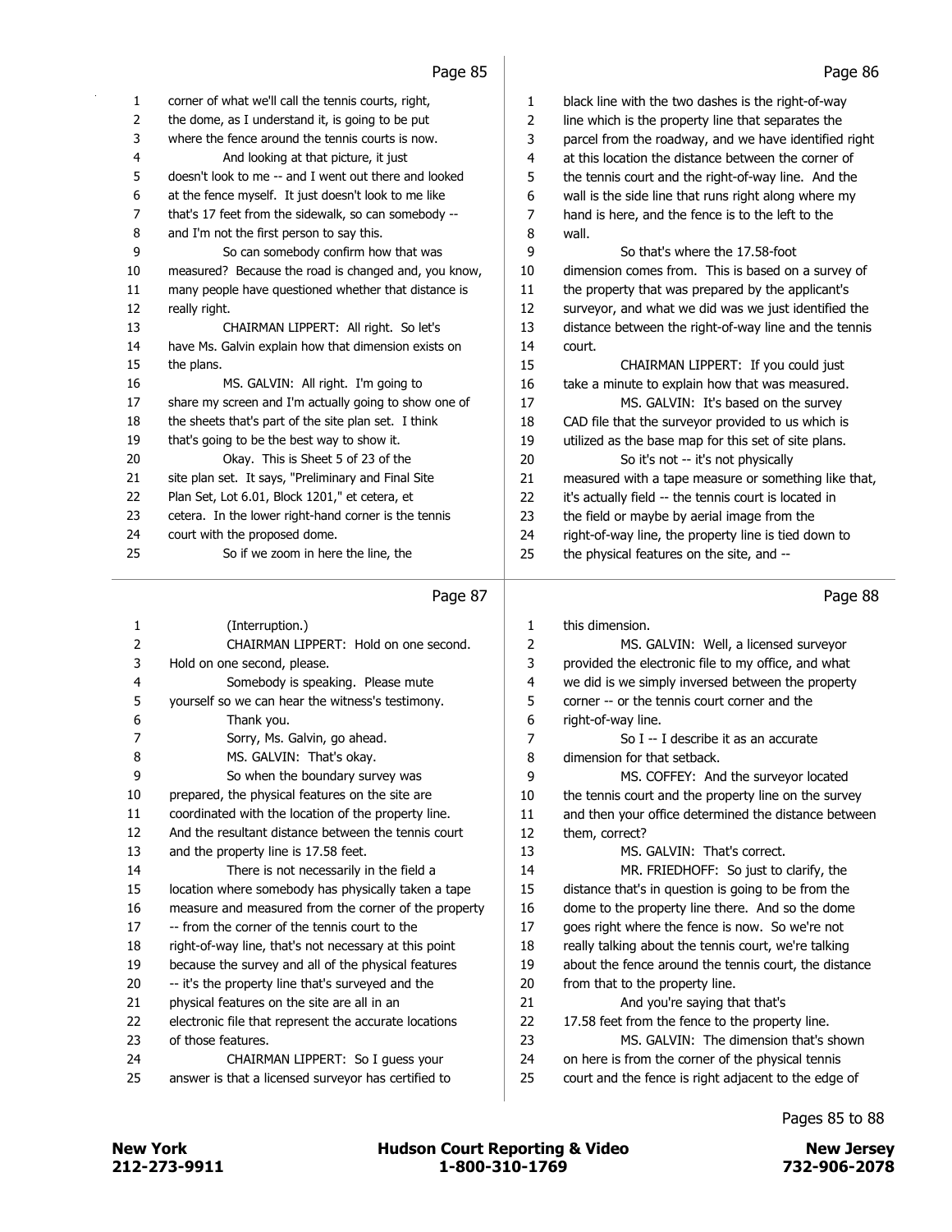| 1              | corner of what we'll call the tennis courts, right,   | 1  | black line with the two dashes is the right-of-way    |
|----------------|-------------------------------------------------------|----|-------------------------------------------------------|
| $\overline{2}$ | the dome, as I understand it, is going to be put      | 2  | line which is the property line that separates the    |
| 3              | where the fence around the tennis courts is now.      | 3  | parcel from the roadway, and we have identified right |
| 4              | And looking at that picture, it just                  | 4  | at this location the distance between the corner of   |
| 5              | doesn't look to me -- and I went out there and looked | 5  | the tennis court and the right-of-way line. And the   |
| 6              | at the fence myself. It just doesn't look to me like  | 6  | wall is the side line that runs right along where my  |
| 7              | that's 17 feet from the sidewalk, so can somebody --  | 7  | hand is here, and the fence is to the left to the     |
| 8              | and I'm not the first person to say this.             | 8  | wall.                                                 |
| 9              | So can somebody confirm how that was                  | 9  | So that's where the 17.58-foot                        |
| 10             | measured? Because the road is changed and, you know,  | 10 | dimension comes from. This is based on a survey of    |
| 11             | many people have questioned whether that distance is  | 11 | the property that was prepared by the applicant's     |
| 12             | really right.                                         | 12 | surveyor, and what we did was we just identified the  |
| 13             | CHAIRMAN LIPPERT: All right. So let's                 | 13 | distance between the right-of-way line and the tennis |
| 14             | have Ms. Galvin explain how that dimension exists on  | 14 | court.                                                |
| 15             | the plans.                                            | 15 | CHAIRMAN LIPPERT: If you could just                   |
| 16             | MS. GALVIN: All right. I'm going to                   | 16 | take a minute to explain how that was measured.       |
| 17             | share my screen and I'm actually going to show one of | 17 | MS. GALVIN: It's based on the survey                  |
| 18             | the sheets that's part of the site plan set. I think  | 18 | CAD file that the surveyor provided to us which is    |
| 19             | that's going to be the best way to show it.           | 19 | utilized as the base map for this set of site plans.  |
| 20             | Okay. This is Sheet 5 of 23 of the                    | 20 | So it's not -- it's not physically                    |
| 21             | site plan set. It says, "Preliminary and Final Site   | 21 | measured with a tape measure or something like that,  |
| 22             | Plan Set, Lot 6.01, Block 1201," et cetera, et        | 22 | it's actually field -- the tennis court is located in |
| 23             | cetera. In the lower right-hand corner is the tennis  | 23 | the field or maybe by aerial image from the           |
| 24             | court with the proposed dome.                         | 24 | right-of-way line, the property line is tied down to  |
| 25             | So if we zoom in here the line, the                   | 25 | the physical features on the site, and --             |
|                |                                                       |    |                                                       |

| 1              | (Interruption.)                                       | 1  | this dimension.        |
|----------------|-------------------------------------------------------|----|------------------------|
| $\overline{2}$ | CHAIRMAN LIPPERT: Hold on one second.                 | 2  | MS. GALVI              |
| 3              | Hold on one second, please.                           | 3  | provided the electro   |
| $\overline{4}$ | Somebody is speaking. Please mute                     | 4  | we did is we simply    |
| 5              | yourself so we can hear the witness's testimony.      | 5  | corner -- or the tenn  |
| 6              | Thank you.                                            | 6  | right-of-way line.     |
| 7              | Sorry, Ms. Galvin, go ahead.                          | 7  | $So I - I$ de          |
| 8              | MS. GALVIN: That's okav.                              | 8  | dimension for that so  |
| 9              | So when the boundary survey was                       | 9  | MS. COFFI              |
| 10             | prepared, the physical features on the site are       | 10 | the tennis court and   |
| 11             | coordinated with the location of the property line.   | 11 | and then your office   |
| 12             | And the resultant distance between the tennis court   | 12 | them, correct?         |
| 13             | and the property line is 17.58 feet.                  | 13 | MS. GALVI              |
| 14             | There is not necessarily in the field a               | 14 | <b>MR. FRIED</b>       |
| 15             | location where somebody has physically taken a tape   | 15 | distance that's in gue |
| 16             | measure and measured from the corner of the property  | 16 | dome to the propert    |
| 17             | -- from the corner of the tennis court to the         | 17 | goes right where the   |
| 18             | right-of-way line, that's not necessary at this point | 18 | really talking about t |
| 19             | because the survey and all of the physical features   | 19 | about the fence arou   |
| 20             | -- it's the property line that's surveyed and the     | 20 | from that to the prop  |
| 21             | physical features on the site are all in an           | 21 | And you're             |
| 22             | electronic file that represent the accurate locations | 22 | 17.58 feet from the    |
| 23             | of those features.                                    | 23 | MS. GALVI              |
| 24             | CHAIRMAN LIPPERT: So I guess your                     | 24 | on here is from the    |
| 25             | answer is that a licensed surveyor has certified to   | 25 | court and the fence    |
|                |                                                       |    |                        |

Page 88

| 1              | this dimension.                                       |
|----------------|-------------------------------------------------------|
| $\overline{2}$ | MS. GALVIN: Well, a licensed surveyor                 |
| 3              | provided the electronic file to my office, and what   |
| $\overline{4}$ | we did is we simply inversed between the property     |
| 5              | corner -- or the tennis court corner and the          |
| 6              | right-of-way line.                                    |
| 7              | So I -- I describe it as an accurate                  |
| 8              | dimension for that setback.                           |
| 9              | MS. COFFEY: And the surveyor located                  |
| 10             | the tennis court and the property line on the survey  |
| 11             | and then your office determined the distance between  |
| 12             | them, correct?                                        |
| 13             | MS. GAI VIN: That's correct.                          |
| 14             | MR. FRIEDHOFF: So just to clarify, the                |
| 15             | distance that's in question is going to be from the   |
| 16             | dome to the property line there. And so the dome      |
| 17             | goes right where the fence is now. So we're not       |
| 18             | really talking about the tennis court, we're talking  |
| 19             | about the fence around the tennis court, the distance |
| 20             | from that to the property line.                       |
| 21             | And you're saying that that's                         |
| 22             | 17.58 feet from the fence to the property line.       |
| 23             | MS. GALVIN: The dimension that's shown                |
| 24             | on here is from the corner of the physical tennis     |
| 25             | court and the fence is right adjacent to the edge of  |
|                |                                                       |

Pages 85 to 88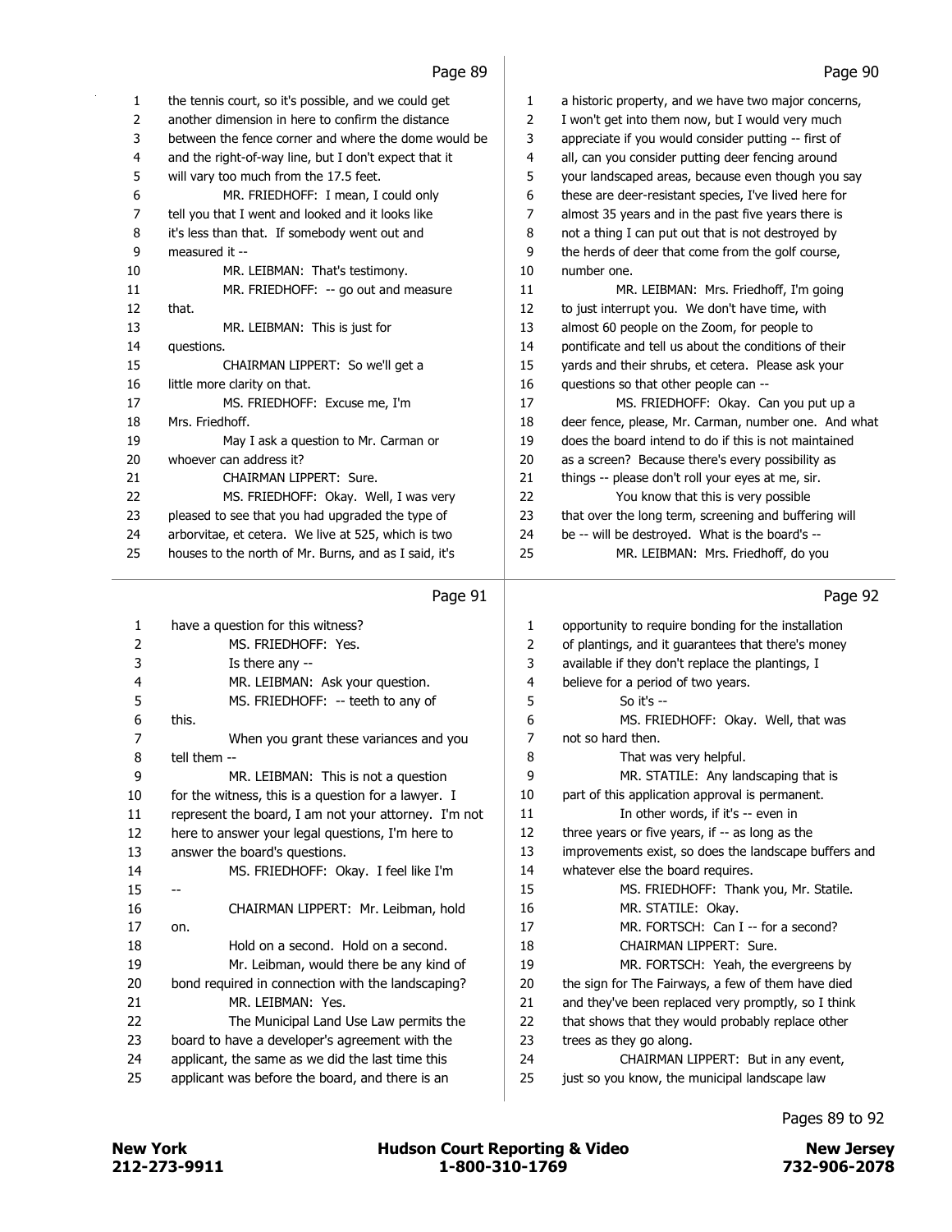| 1  | the tennis court, so it's possible, and we could get  |  |
|----|-------------------------------------------------------|--|
| 2  | another dimension in here to confirm the distance     |  |
| 3  | between the fence corner and where the dome would be  |  |
| 4  | and the right-of-way line, but I don't expect that it |  |
| 5  | will vary too much from the 17.5 feet.                |  |
| 6  | MR. FRIEDHOFF: I mean, I could only                   |  |
| 7  | tell you that I went and looked and it looks like     |  |
| 8  | it's less than that. If somebody went out and         |  |
| 9  | measured it --                                        |  |
| 10 | MR. LEIBMAN: That's testimony.                        |  |
| 11 | MR. FRIEDHOFF: -- go out and measure                  |  |
| 12 | that.                                                 |  |
| 13 | MR. LEIBMAN: This is just for                         |  |
| 14 | questions.                                            |  |
| 15 | CHAIRMAN LIPPERT: So we'll get a                      |  |
| 16 | little more clarity on that.                          |  |
| 17 | MS. FRIEDHOFF: Excuse me, I'm                         |  |
| 18 | Mrs. Friedhoff.                                       |  |
| 19 | May I ask a question to Mr. Carman or                 |  |
| 20 | whoever can address it?                               |  |
| 21 | CHAIRMAN LIPPERT: Sure.                               |  |
| 22 | MS. FRIEDHOFF: Okay. Well, I was very                 |  |
| 23 | pleased to see that you had upgraded the type of      |  |
| 24 | arborvitae, et cetera. We live at 525, which is two   |  |
| 25 | houses to the north of Mr. Burns, and as I said, it's |  |
|    |                                                       |  |

# Page 91

| 1              | have a question for this witness?                    | 1  |
|----------------|------------------------------------------------------|----|
| $\overline{2}$ | MS. FRIEDHOFF: Yes.                                  | 2  |
| 3              | Is there any --                                      | 3  |
| 4              | MR. LEIBMAN: Ask your question.                      | 4  |
| 5              | MS. FRIEDHOFF: -- teeth to any of                    | 5  |
| 6              | this.                                                | 6  |
| 7              | When you grant these variances and you               | 7  |
| 8              | tell them --                                         | 8  |
| 9              | MR. LEIBMAN: This is not a question                  | 9  |
| 10             | for the witness, this is a question for a lawyer. I  | 10 |
| 11             | represent the board, I am not your attorney. I'm not | 11 |
| 12             | here to answer your legal questions, I'm here to     | 12 |
| 13             | answer the board's questions.                        | 13 |
| 14             | MS. FRIEDHOFF: Okay. I feel like I'm                 | 14 |
| 15             |                                                      | 15 |
| 16             | CHAIRMAN LIPPERT: Mr. Leibman, hold                  | 16 |
| 17             | on.                                                  | 17 |
| 18             | Hold on a second. Hold on a second.                  | 18 |
| 19             | Mr. Leibman, would there be any kind of              | 19 |
| 20             | bond required in connection with the landscaping?    | 20 |
| 21             | MR. I FIBMAN: Yes.                                   | 21 |
| 22             | The Municipal Land Use Law permits the               | 22 |
| 23.            | board to have a developer's agreement with the       | 23 |
| 24             | applicant, the same as we did the last time this     | 24 |
| 25             | applicant was before the board, and there is an      | 25 |
|                |                                                      |    |

| 1  | a historic property, and we have two major concerns,  |
|----|-------------------------------------------------------|
| 2  | I won't get into them now, but I would very much      |
| 3  | appreciate if you would consider putting -- first of  |
| 4  | all, can you consider putting deer fencing around     |
| 5  | your landscaped areas, because even though you say    |
| 6  | these are deer-resistant species, I've lived here for |
| 7  | almost 35 years and in the past five years there is   |
| 8  | not a thing I can put out that is not destroyed by    |
| 9  | the herds of deer that come from the golf course,     |
| 10 | number one.                                           |
| 11 | MR. LEIBMAN: Mrs. Friedhoff, I'm going                |
| 12 | to just interrupt you. We don't have time, with       |
| 13 | almost 60 people on the Zoom, for people to           |
| 14 | pontificate and tell us about the conditions of their |
| 15 | yards and their shrubs, et cetera. Please ask your    |
| 16 | questions so that other people can --                 |
| 17 | MS. FRIEDHOFF: Okay. Can you put up a                 |
| 18 | deer fence, please, Mr. Carman, number one. And what  |
| 19 | does the board intend to do if this is not maintained |
| 20 | as a screen? Because there's every possibility as     |
| 21 | things -- please don't roll your eyes at me, sir.     |
| 22 | You know that this is very possible                   |
| 23 | that over the long term, screening and buffering will |
| 24 | be -- will be destroyed. What is the board's --       |
| 25 | MR. LEIBMAN: Mrs. Friedhoff, do you                   |
|    |                                                       |

# Page 92

| 1              | opportunity to require bonding for the installation   |
|----------------|-------------------------------------------------------|
| $\overline{2}$ | of plantings, and it guarantees that there's money    |
| 3              | available if they don't replace the plantings, I      |
| 4              | believe for a period of two years.                    |
| 5              | So it's $-$                                           |
| 6              | MS. FRIEDHOFF: Okay. Well, that was                   |
| 7              | not so hard then.                                     |
| 8              | That was very helpful.                                |
| 9              | MR. STATILE: Any landscaping that is                  |
| 10             | part of this application approval is permanent.       |
| 11             | In other words, if it's -- even in                    |
| 12             | three years or five years, if -- as long as the       |
| 13             | improvements exist, so does the landscape buffers and |
| 14             | whatever else the board requires.                     |
| 15             | MS. FRIEDHOFF: Thank you, Mr. Statile.                |
| 16             | MR. STATILE: Okay.                                    |
| 17             | MR. FORTSCH: Can I -- for a second?                   |
| 18             | CHAIRMAN LIPPERT: Sure.                               |
| 19             | MR. FORTSCH: Yeah, the evergreens by                  |
| 20             | the sign for The Fairways, a few of them have died    |
| 21             | and they've been replaced very promptly, so I think   |
| 22             | that shows that they would probably replace other     |
| 23             | trees as they go along.                               |
| 24             | CHAIRMAN LIPPERT: But in any event,                   |
| 25             | just so you know, the municipal landscape law         |
|                |                                                       |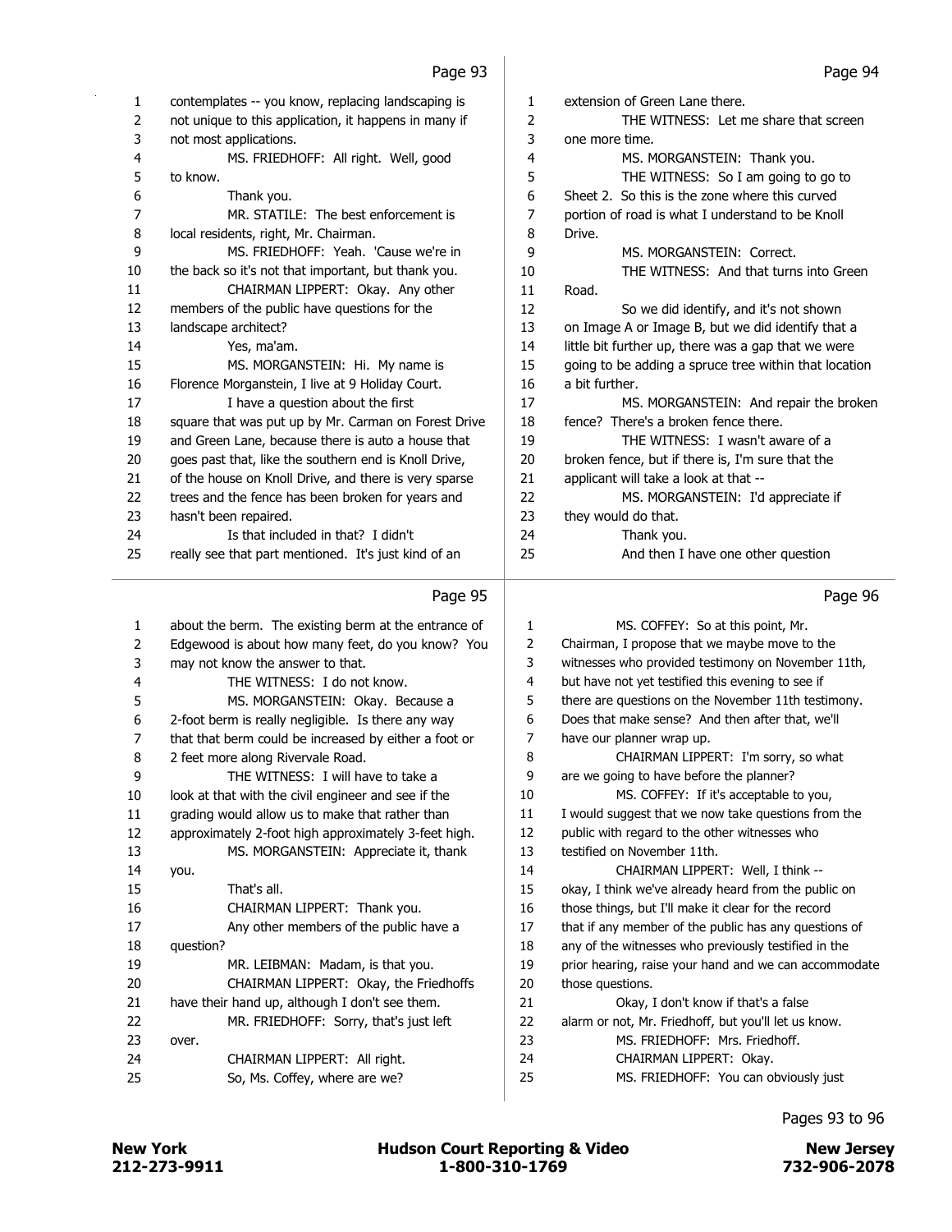| 1              | contemplates -- you know, replacing landscaping is    | 1  | extension of Green Lane there.                        |
|----------------|-------------------------------------------------------|----|-------------------------------------------------------|
| $\overline{2}$ | not unique to this application, it happens in many if | 2  | THE WITNESS: Let me share that screen                 |
| 3              | not most applications.                                | 3  | one more time.                                        |
| 4              | MS. FRIEDHOFF: All right. Well, good                  | 4  | MS. MORGANSTEIN: Thank you.                           |
| 5              | to know.                                              | 5  | THE WITNESS: So I am going to go to                   |
| 6              | Thank you.                                            | 6  | Sheet 2. So this is the zone where this curved        |
| 7              | MR. STATILE: The best enforcement is                  | 7  | portion of road is what I understand to be Knoll      |
| 8              | local residents, right, Mr. Chairman.                 | 8  | Drive.                                                |
| 9              | MS. FRIEDHOFF: Yeah. 'Cause we're in                  | 9  | MS. MORGANSTEIN: Correct.                             |
| 10             | the back so it's not that important, but thank you.   | 10 | THE WITNESS: And that turns into Green                |
| 11             | CHAIRMAN LIPPERT: Okay. Any other                     | 11 | Road.                                                 |
| 12             | members of the public have questions for the          | 12 | So we did identify, and it's not shown                |
| 13             | landscape architect?                                  | 13 | on Image A or Image B, but we did identify that a     |
| 14             | Yes, ma'am.                                           | 14 | little bit further up, there was a gap that we were   |
| 15             | MS. MORGANSTEIN: Hi. My name is                       | 15 | going to be adding a spruce tree within that location |
| 16             | Florence Morganstein, I live at 9 Holiday Court.      | 16 | a bit further.                                        |
| 17             | I have a question about the first                     | 17 | MS. MORGANSTEIN: And repair the broken                |
| 18             | square that was put up by Mr. Carman on Forest Drive  | 18 | fence? There's a broken fence there.                  |
| 19             | and Green Lane, because there is auto a house that    | 19 | THE WITNESS: I wasn't aware of a                      |
| 20             | goes past that, like the southern end is Knoll Drive, | 20 | broken fence, but if there is, I'm sure that the      |
| 21             | of the house on Knoll Drive, and there is very sparse | 21 | applicant will take a look at that --                 |
| 22             | trees and the fence has been broken for years and     | 22 | MS. MORGANSTEIN: I'd appreciate if                    |
| 23             | hasn't been repaired.                                 | 23 | they would do that.                                   |
| 24             | Is that included in that? I didn't                    | 24 | Thank you.                                            |
| 25             | really see that part mentioned. It's just kind of an  | 25 | And then I have one other question                    |
|                | Page 95                                               |    | Page 96                                               |
| 1              | about the berm. The existing berm at the entrance of  | 1  | MS. COFFEY: So at this point, Mr.                     |
| 2              | Edgewood is about how many feet, do you know? You     | 2  | Chairman, I propose that we maybe move to the         |
| 3              | may not know the answer to that.                      | 3  | witnesses who provided testimony on November 11th,    |
| 4              | THE WITNESS: I do not know.                           | 4  | but have not yet testified this evening to see if     |
| 5              | MS. MORGANSTEIN: Okay. Because a                      | 5  | there are questions on the November 11th testimony.   |
| 6              | 2-foot berm is really negligible. Is there any way    | 6  | Does that make sense? And then after that, we'll      |
| 7              | that that berm could be increased by either a foot or | 7  | have our planner wrap up.                             |
| 8              | 2 feet more along Rivervale Road.                     | 8  | CHAIRMAN LIPPERT: I'm sorry, so what                  |
| 9              | THE WITNESS: I will have to take a                    | 9  | are we going to have before the planner?              |
| 10             | look at that with the civil engineer and see if the   | 10 | MS. COFFEY: If it's acceptable to you,                |
| 11             | grading would allow us to make that rather than       | 11 | I would suggest that we now take questions from the   |
| 12             | approximately 2-foot high approximately 3-feet high.  | 12 | public with regard to the other witnesses who         |
| 13             | MS. MORGANSTEIN: Appreciate it, thank                 | 13 | testified on November 11th.                           |
| 14             | you.                                                  | 14 | CHAIRMAN LIPPERT: Well, I think --                    |
| 15             | That's all.                                           | 15 | okay, I think we've already heard from the public on  |
|                |                                                       |    |                                                       |

| 14 | you.                                           | 14 | CHAIRMAN LIPPERT: Well, I think --                    |
|----|------------------------------------------------|----|-------------------------------------------------------|
| 15 | That's all.                                    | 15 | okay, I think we've already heard from the public on  |
| 16 | CHAIRMAN LIPPERT: Thank you.                   | 16 | those things, but I'll make it clear for the record   |
| 17 | Any other members of the public have a         | 17 | that if any member of the public has any questions of |
| 18 | question?                                      | 18 | any of the witnesses who previously testified in the  |
| 19 | MR. LEIBMAN: Madam, is that you.               | 19 | prior hearing, raise your hand and we can accommodate |
| 20 | CHAIRMAN LIPPERT: Okay, the Friedhoffs         | 20 | those questions.                                      |
| 21 | have their hand up, although I don't see them. | 21 | Okay, I don't know if that's a false                  |
| 22 | MR. FRIEDHOFF: Sorry, that's just left         | 22 | alarm or not, Mr. Friedhoff, but you'll let us know.  |
| 23 | over.                                          | 23 | MS. FRIEDHOFF: Mrs. Friedhoff.                        |
| 24 | CHAIRMAN LIPPERT: All right.                   | 24 | CHAIRMAN LIPPERT: Okav.                               |
| 25 | So, Ms. Coffey, where are we?                  | 25 | MS. FRIEDHOFF: You can obviously just                 |
|    |                                                |    |                                                       |

Pages 93 to 96

 $\overline{\phantom{0}}$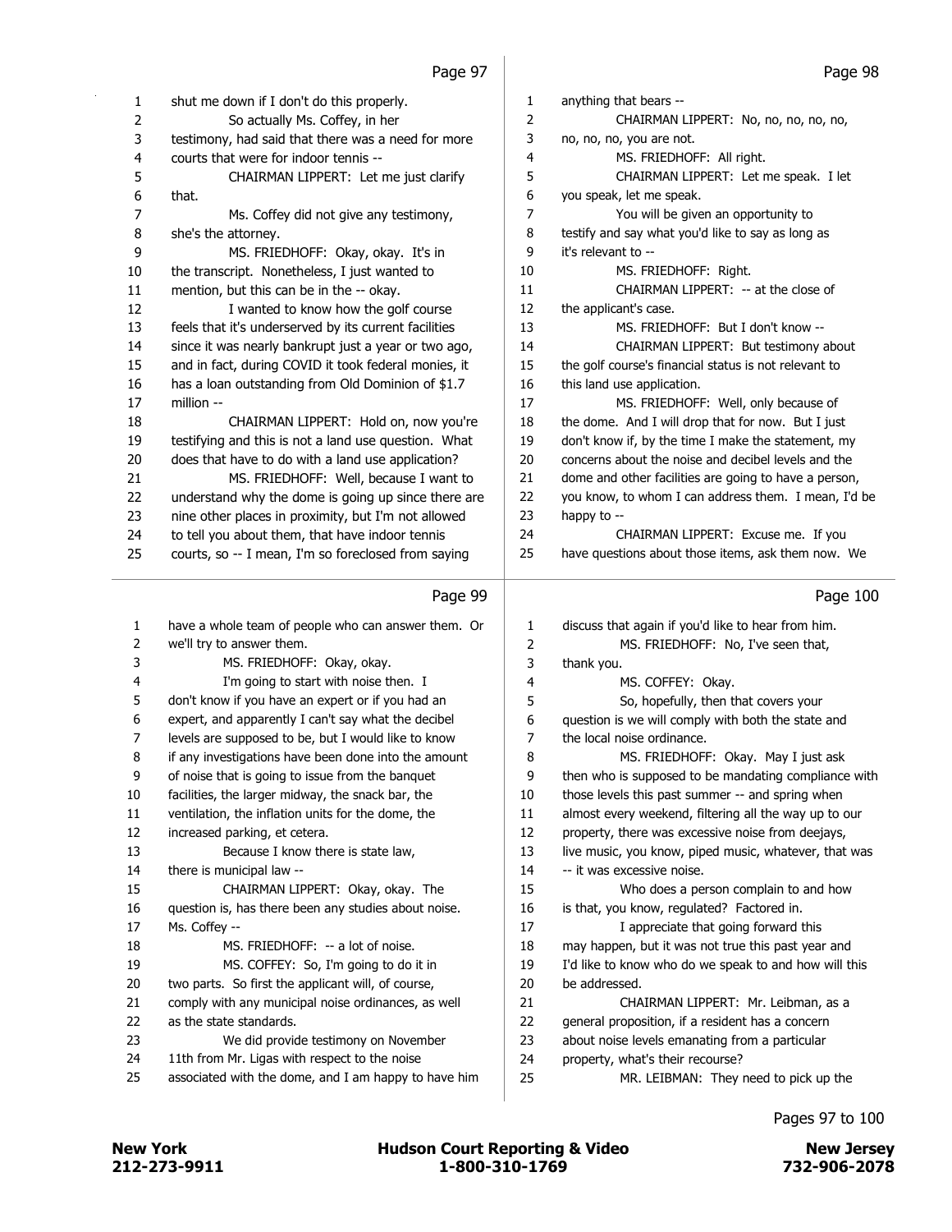| 1        | shut me down if I don't do this properly.                                                             | 1        | anything that bears --                                                                     |
|----------|-------------------------------------------------------------------------------------------------------|----------|--------------------------------------------------------------------------------------------|
| 2        | So actually Ms. Coffey, in her                                                                        | 2        | CHAIRMAN LIPPERT: No, no, no, no, no,                                                      |
| 3        | testimony, had said that there was a need for more                                                    | 3        | no, no, no, you are not.                                                                   |
| 4        | courts that were for indoor tennis --                                                                 | 4        | MS. FRIEDHOFF: All right.                                                                  |
| 5        | CHAIRMAN LIPPERT: Let me just clarify                                                                 | 5        | CHAIRMAN LIPPERT: Let me speak. I let                                                      |
| 6        | that.                                                                                                 | 6        | you speak, let me speak.                                                                   |
| 7        | Ms. Coffey did not give any testimony,                                                                | 7        | You will be given an opportunity to                                                        |
| 8        | she's the attorney.                                                                                   | 8        | testify and say what you'd like to say as long as                                          |
| 9        | MS. FRIEDHOFF: Okay, okay. It's in                                                                    | 9        | it's relevant to --                                                                        |
| 10       | the transcript. Nonetheless, I just wanted to                                                         | 10       | MS. FRIEDHOFF: Right.                                                                      |
| 11       | mention, but this can be in the -- okay.                                                              | 11       | CHAIRMAN LIPPERT: -- at the close of                                                       |
| 12       | I wanted to know how the golf course                                                                  | 12       | the applicant's case.                                                                      |
| 13       | feels that it's underserved by its current facilities                                                 | 13       | MS. FRIEDHOFF: But I don't know --                                                         |
| 14       | since it was nearly bankrupt just a year or two ago,                                                  | 14       | CHAIRMAN LIPPERT: But testimony about                                                      |
| 15       | and in fact, during COVID it took federal monies, it                                                  | 15       | the golf course's financial status is not relevant to                                      |
| 16       | has a loan outstanding from Old Dominion of \$1.7                                                     | 16       | this land use application.                                                                 |
| 17       | million --                                                                                            | 17       | MS. FRIEDHOFF: Well, only because of                                                       |
| 18       | CHAIRMAN LIPPERT: Hold on, now you're                                                                 | 18       | the dome. And I will drop that for now. But I just                                         |
| 19       | testifying and this is not a land use question. What                                                  | 19       | don't know if, by the time I make the statement, my                                        |
| 20       | does that have to do with a land use application?                                                     | 20       | concerns about the noise and decibel levels and the                                        |
| 21       | MS. FRIEDHOFF: Well, because I want to                                                                | 21       | dome and other facilities are going to have a person,                                      |
| 22       | understand why the dome is going up since there are                                                   | 22       | you know, to whom I can address them. I mean, I'd be                                       |
| 23       | nine other places in proximity, but I'm not allowed                                                   | 23       | happy to --                                                                                |
| 24       | to tell you about them, that have indoor tennis                                                       | 24       | CHAIRMAN LIPPERT: Excuse me. If you                                                        |
| 25       | courts, so -- I mean, I'm so foreclosed from saying                                                   | 25       | have questions about those items, ask them now. We                                         |
|          | Page 99                                                                                               |          | Page 100                                                                                   |
|          |                                                                                                       |          |                                                                                            |
| 1        | have a whole team of people who can answer them. Or                                                   | 1        | discuss that again if you'd like to hear from him.                                         |
| 2        | we'll try to answer them.                                                                             | 2        | MS. FRIEDHOFF: No, I've seen that,                                                         |
| 3        | MS. FRIEDHOFF: Okay, okay.                                                                            | 3        | thank you.                                                                                 |
| 4        | I'm going to start with noise then. I<br>don't know if you have an expert or if you had an            | 4        | MS. COFFEY: Okay.                                                                          |
| 5<br>6   | expert, and apparently I can't say what the decibel                                                   | 5<br>6   | So, hopefully, then that covers your<br>question is we will comply with both the state and |
| 7        | levels are supposed to be, but I would like to know                                                   | 7        | the local noise ordinance.                                                                 |
| 8        | if any investigations have been done into the amount                                                  | 8        | MS. FRIEDHOFF: Okay. May I just ask                                                        |
| 9        | of noise that is going to issue from the banquet                                                      | 9        | then who is supposed to be mandating compliance with                                       |
| 10       | facilities, the larger midway, the snack bar, the                                                     | 10       | those levels this past summer -- and spring when                                           |
| 11       | ventilation, the inflation units for the dome, the                                                    | 11       | almost every weekend, filtering all the way up to our                                      |
| 12       | increased parking, et cetera.                                                                         | 12       | property, there was excessive noise from deejays,                                          |
| 13       | Because I know there is state law,                                                                    | 13       | live music, you know, piped music, whatever, that was                                      |
| 14       | there is municipal law --                                                                             | 14       | -- it was excessive noise.                                                                 |
| 15       | CHAIRMAN LIPPERT: Okay, okay. The                                                                     | 15       | Who does a person complain to and how                                                      |
| 16       | question is, has there been any studies about noise.                                                  | 16       | is that, you know, regulated? Factored in.                                                 |
| 17       | Ms. Coffey --                                                                                         | 17       | I appreciate that going forward this                                                       |
| 18       | MS. FRIEDHOFF: -- a lot of noise.                                                                     | 18       | may happen, but it was not true this past year and                                         |
| 19       | MS. COFFEY: So, I'm going to do it in                                                                 | 19       | I'd like to know who do we speak to and how will this                                      |
| 20       | two parts. So first the applicant will, of course,                                                    | 20       | be addressed.                                                                              |
| 21       | comply with any municipal noise ordinances, as well                                                   | 21       | CHAIRMAN LIPPERT: Mr. Leibman, as a                                                        |
| 22       | as the state standards.                                                                               | 22       | general proposition, if a resident has a concern                                           |
|          |                                                                                                       |          |                                                                                            |
|          |                                                                                                       |          |                                                                                            |
| 23       | We did provide testimony on November                                                                  | 23       | about noise levels emanating from a particular                                             |
| 24<br>25 | 11th from Mr. Ligas with respect to the noise<br>associated with the dome, and I am happy to have him | 24<br>25 | property, what's their recourse?<br>MR. LEIBMAN: They need to pick up the                  |

Pages 97 to 100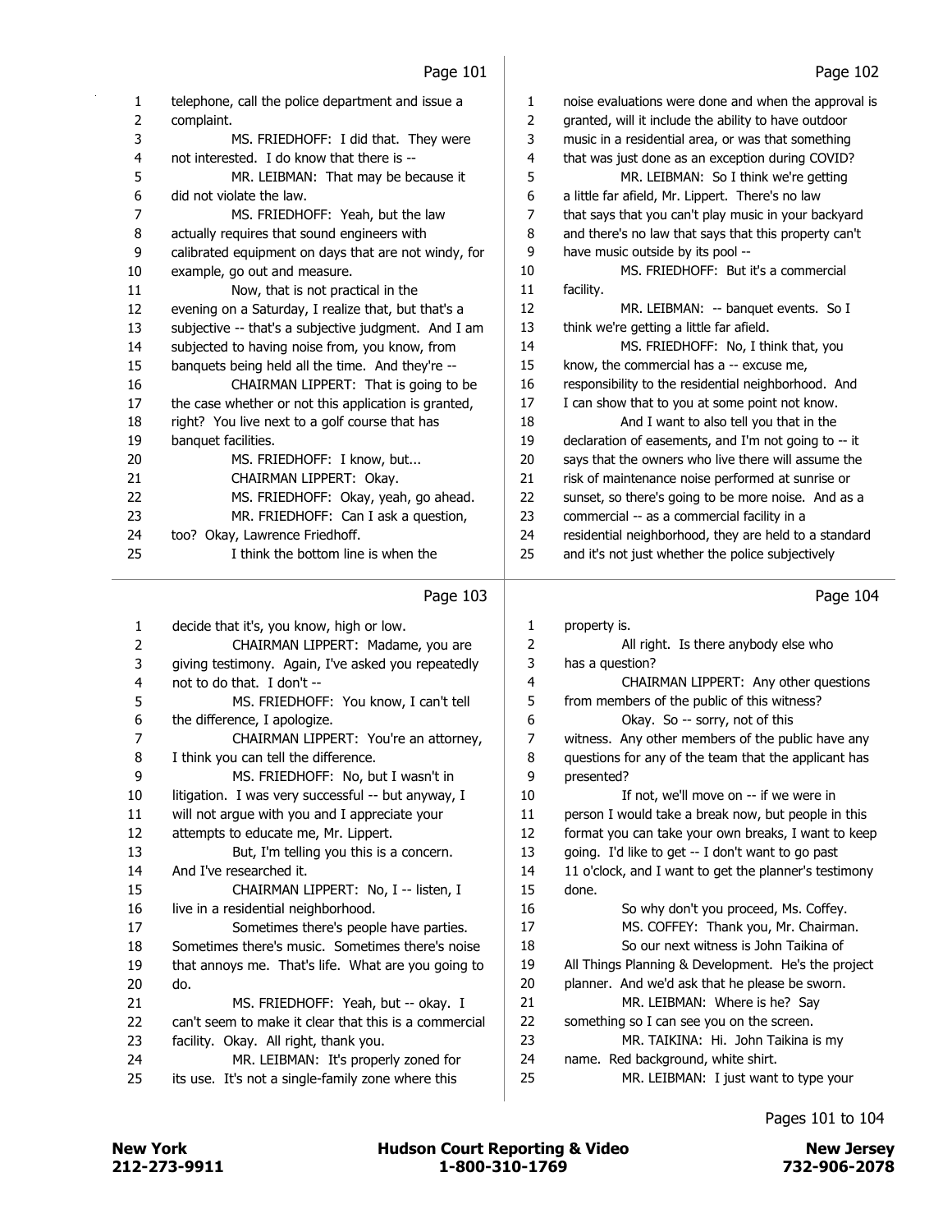| 1  | telephone, call the police department and issue a    | 1  | noise evaluations were done and when the approval is  |
|----|------------------------------------------------------|----|-------------------------------------------------------|
| 2  | complaint.                                           | 2  | granted, will it include the ability to have outdoor  |
| 3  | MS. FRIEDHOFF: I did that. They were                 | 3  | music in a residential area, or was that something    |
| 4  | not interested. I do know that there is --           | 4  | that was just done as an exception during COVID?      |
| 5  | MR. LEIBMAN: That may be because it                  | 5  | MR. LEIBMAN: So I think we're getting                 |
| 6  | did not violate the law.                             | 6  | a little far afield, Mr. Lippert. There's no law      |
| 7  | MS. FRIEDHOFF: Yeah, but the law                     | 7  | that says that you can't play music in your backyard  |
| 8  | actually requires that sound engineers with          | 8  | and there's no law that says that this property can't |
| 9  | calibrated equipment on days that are not windy, for | 9  | have music outside by its pool --                     |
| 10 | example, go out and measure.                         | 10 | MS. FRIEDHOFF: But it's a commercial                  |
| 11 | Now, that is not practical in the                    | 11 | facility.                                             |
| 12 | evening on a Saturday, I realize that, but that's a  | 12 | MR. LEIBMAN: -- banquet events. So I                  |
| 13 | subjective -- that's a subjective judgment. And I am | 13 | think we're getting a little far afield.              |
| 14 | subjected to having noise from, you know, from       | 14 | MS. FRIEDHOFF: No, I think that, you                  |
| 15 | banquets being held all the time. And they're --     | 15 | know, the commercial has a -- excuse me,              |
| 16 | CHAIRMAN LIPPERT: That is going to be                | 16 | responsibility to the residential neighborhood. And   |
| 17 | the case whether or not this application is granted, | 17 | I can show that to you at some point not know.        |
| 18 | right? You live next to a golf course that has       | 18 | And I want to also tell you that in the               |
| 19 | banquet facilities.                                  | 19 | declaration of easements, and I'm not going to -- it  |
| 20 | MS. FRIEDHOFF: I know, but                           | 20 | says that the owners who live there will assume the   |
| 21 | CHAIRMAN LIPPERT: Okay.                              | 21 | risk of maintenance noise performed at sunrise or     |
| 22 | MS. FRIEDHOFF: Okay, yeah, go ahead.                 | 22 | sunset, so there's going to be more noise. And as a   |
| 23 | MR. FRIEDHOFF: Can I ask a question,                 | 23 | commercial -- as a commercial facility in a           |
| 24 | too? Okay, Lawrence Friedhoff.                       | 24 | residential neighborhood, they are held to a standard |
| 25 | I think the bottom line is when the                  | 25 | and it's not just whether the police subjectively     |
|    | Page 103                                             |    | Page 104                                              |
| 1  | decide that it's, you know, high or low.             | 1  | property is.                                          |

| $\mathbf{1}$ | decide that it's, you know, high or low.              | 1  |
|--------------|-------------------------------------------------------|----|
| 2            | CHAIRMAN LIPPERT: Madame, you are                     | 2  |
| 3            | giving testimony. Again, I've asked you repeatedly    | 3  |
| 4            | not to do that. I don't --                            | 4  |
| 5            | MS. FRIEDHOFF: You know, I can't tell                 | 5  |
| 6            | the difference, I apologize.                          | 6  |
| 7            | CHAIRMAN LIPPERT: You're an attorney,                 | 7  |
| 8            | I think you can tell the difference.                  | 8  |
| 9            | MS. FRIEDHOFF: No, but I wasn't in                    | 9  |
| 10           | litigation. I was very successful -- but anyway, I    | 10 |
| 11           | will not argue with you and I appreciate your         | 11 |
| 12           | attempts to educate me, Mr. Lippert.                  | 12 |
| 13           | But, I'm telling you this is a concern.               | 13 |
| 14           | And I've researched it.                               | 14 |
| 15           | CHAIRMAN LIPPERT: No, I -- listen, I                  | 15 |
| 16           | live in a residential neighborhood.                   | 16 |
| 17           | Sometimes there's people have parties.                | 17 |
| 18           | Sometimes there's music. Sometimes there's noise      | 18 |
| 19           | that annoys me. That's life. What are you going to    | 19 |
| 20           | do.                                                   | 20 |
| 21           | MS. FRIEDHOFF: Yeah, but -- okay. I                   | 21 |
| 22           | can't seem to make it clear that this is a commercial | 22 |
| 23           | facility. Okay. All right, thank you.                 | 23 |
| 24           | MR. LEIBMAN: It's properly zoned for                  | 24 |
| 25           | its use. It's not a single-family zone where this     | 25 |
|              |                                                       |    |

| 1  | property is.                                          |
|----|-------------------------------------------------------|
| 2  | All right. Is there anybody else who                  |
| 3  | has a question?                                       |
| 4  | CHAIRMAN LIPPERT: Any other questions                 |
| 5  | from members of the public of this witness?           |
| 6  | Okay. So -- sorry, not of this                        |
| 7  | witness. Any other members of the public have any     |
| 8  | questions for any of the team that the applicant has  |
| 9  | presented?                                            |
| 10 | If not, we'll move on -- if we were in                |
| 11 | person I would take a break now, but people in this   |
| 12 | format you can take your own breaks, I want to keep   |
| 13 | going. I'd like to get -- I don't want to go past     |
| 14 | 11 o'clock, and I want to get the planner's testimony |
| 15 | done.                                                 |
| 16 | So why don't you proceed, Ms. Coffey.                 |
| 17 | MS. COFFEY: Thank you, Mr. Chairman.                  |
| 18 | So our next witness is John Taikina of                |
| 19 | All Things Planning & Development. He's the project   |
| 20 | planner. And we'd ask that he please be sworn.        |
| 21 | MR. LEIBMAN: Where is he? Say                         |
| 22 | something so I can see you on the screen.             |
| 23 | MR. TAIKINA: Hi. John Taikina is my                   |
| 24 | name. Red background, white shirt.                    |
| 25 | MR. LEIBMAN: I just want to type your                 |
|    |                                                       |

# Pages 101 to 104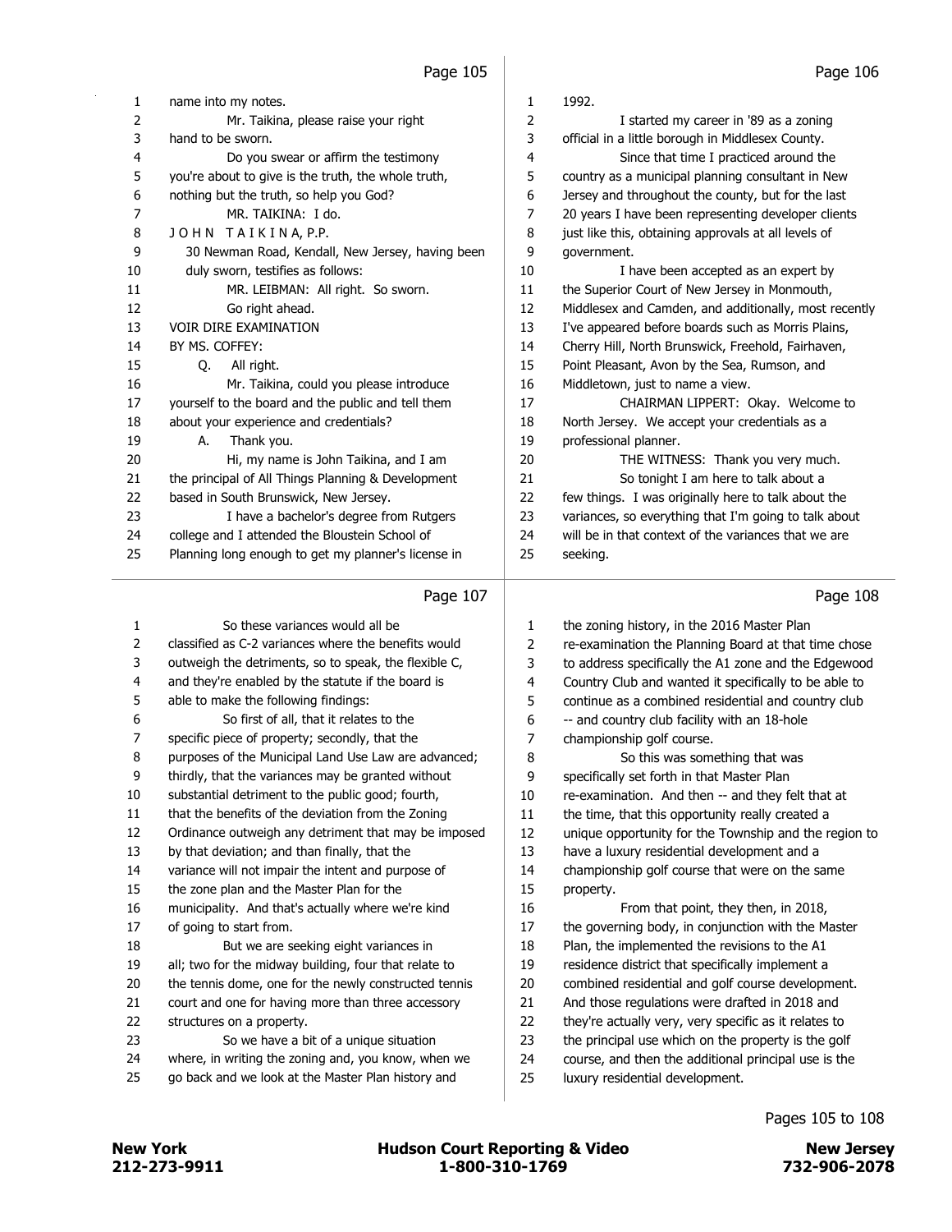| 1  | name into my notes.                                   | 1              | 1992.                                                 |
|----|-------------------------------------------------------|----------------|-------------------------------------------------------|
| 2  | Mr. Taikina, please raise your right                  | 2              | I started my career in '89 as a zoning                |
| 3  | hand to be sworn.                                     | 3              | official in a little borough in Middlesex County.     |
| 4  | Do you swear or affirm the testimony                  | 4              | Since that time I practiced around the                |
| 5  | you're about to give is the truth, the whole truth,   | 5              | country as a municipal planning consultant in New     |
| 6  | nothing but the truth, so help you God?               | 6              | Jersey and throughout the county, but for the last    |
| 7  | MR. TAIKINA: I do.                                    | $\overline{7}$ | 20 years I have been representing developer clients   |
| 8  | JOHN TAIKINA, P.P.                                    | 8              | just like this, obtaining approvals at all levels of  |
| 9  | 30 Newman Road, Kendall, New Jersey, having been      | 9              | government.                                           |
| 10 | duly sworn, testifies as follows:                     | 10             | I have been accepted as an expert by                  |
| 11 | MR. LEIBMAN: All right. So sworn.                     | 11             | the Superior Court of New Jersey in Monmouth,         |
| 12 | Go right ahead.                                       | 12             | Middlesex and Camden, and additionally, most recently |
| 13 | <b>VOIR DIRE EXAMINATION</b>                          | 13             | I've appeared before boards such as Morris Plains,    |
| 14 | BY MS. COFFEY:                                        | 14             | Cherry Hill, North Brunswick, Freehold, Fairhaven,    |
| 15 | Q.<br>All right.                                      | 15             | Point Pleasant, Avon by the Sea, Rumson, and          |
| 16 | Mr. Taikina, could you please introduce               | 16             | Middletown, just to name a view.                      |
| 17 | yourself to the board and the public and tell them    | 17             | CHAIRMAN LIPPERT: Okay. Welcome to                    |
| 18 | about your experience and credentials?                | 18             | North Jersey. We accept your credentials as a         |
| 19 | А.<br>Thank you.                                      | 19             | professional planner.                                 |
| 20 | Hi, my name is John Taikina, and I am                 | 20             | THE WITNESS: Thank you very much.                     |
| 21 | the principal of All Things Planning & Development    | 21             | So tonight I am here to talk about a                  |
| 22 | based in South Brunswick, New Jersey.                 | 22             | few things. I was originally here to talk about the   |
| 23 | I have a bachelor's degree from Rutgers               | 23             | variances, so everything that I'm going to talk about |
| 24 | college and I attended the Bloustein School of        | 24             | will be in that context of the variances that we are  |
| 25 | Planning long enough to get my planner's license in   | 25             | seeking.                                              |
|    | Page 107                                              |                | Page 108                                              |
|    |                                                       |                |                                                       |
| 1  | So these variances would all be                       | 1              | the zoning history, in the 2016 Master Plan           |
| 2  | classified as C-2 variances where the benefits would  | 2              | re-examination the Planning Board at that time chose  |
| 3  | outweigh the detriments, so to speak, the flexible C, | 3              | to address specifically the A1 zone and the Edgewood  |
| 4  | and they're enabled by the statute if the board is    | 4              | Country Club and wanted it specifically to be able to |
| 5  | able to make the following findings:                  | 5              | continue as a combined residential and country club   |
| 6  | So first of all, that it relates to the               | 6              | -- and country club facility with an 18-hole          |
| 7  | specific piece of property; secondly, that the        | 7              | championship golf course.                             |

8 So this was something that was specifically set forth in that Master Plan

13 have a luxury residential development and a championship golf course that were on the same

16 From that point, they then, in 2018, the governing body, in conjunction with the Master Plan, the implemented the revisions to the A1 residence district that specifically implement a combined residential and golf course development. And those regulations were drafted in 2018 and they're actually very, very specific as it relates to the principal use which on the property is the golf course, and then the additional principal use is the

luxury residential development.

property.

 re-examination. And then -- and they felt that at 11 the time, that this opportunity really created a unique opportunity for the Township and the region to

purposes of the Municipal Land Use Law are advanced;

- thirdly, that the variances may be granted without
- substantial detriment to the public good; fourth,
- that the benefits of the deviation from the Zoning
- Ordinance outweigh any detriment that may be imposed
- by that deviation; and than finally, that the
- variance will not impair the intent and purpose of
- the zone plan and the Master Plan for the
- municipality. And that's actually where we're kind of going to start from.
- 18 But we are seeking eight variances in
- all; two for the midway building, four that relate to
- the tennis dome, one for the newly constructed tennis
- court and one for having more than three accessory
- structures on a property.
- 23 So we have a bit of a unique situation
- where, in writing the zoning and, you know, when we
- 25 go back and we look at the Master Plan history and

- Pages 105 to 108
	-

212-273-9911 1-800-310-1769 732-906-2078 New York **New York COULD Hudson Court Reporting & Video** New Jersey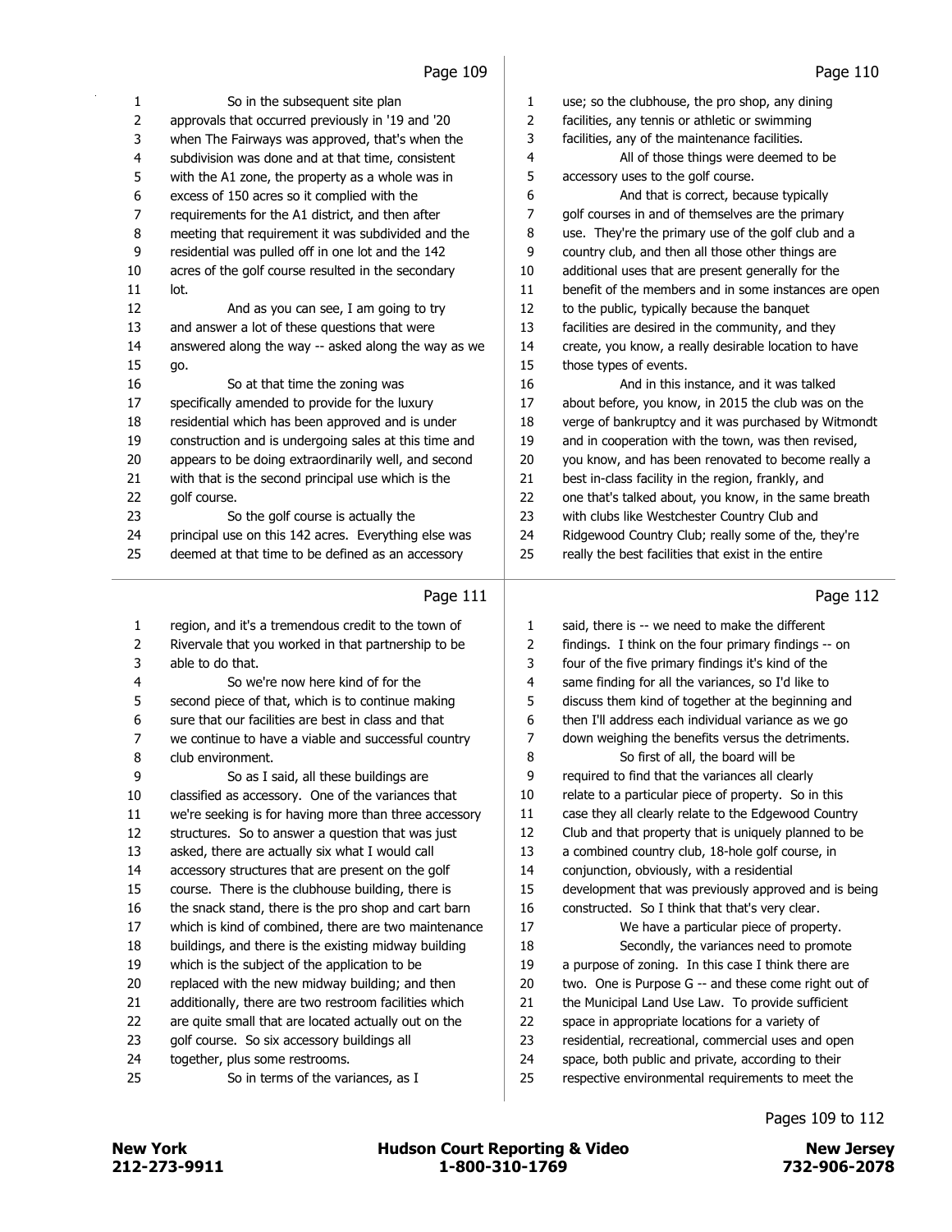|          | rayc 105                                                             |          | rayc 110                                                                                                |
|----------|----------------------------------------------------------------------|----------|---------------------------------------------------------------------------------------------------------|
| 1        | So in the subsequent site plan                                       | 1        | use; so the clubhouse, the pro shop, any dining                                                         |
| 2        | approvals that occurred previously in '19 and '20                    | 2        | facilities, any tennis or athletic or swimming                                                          |
| 3        | when The Fairways was approved, that's when the                      | 3        | facilities, any of the maintenance facilities.                                                          |
| 4        | subdivision was done and at that time, consistent                    | 4        | All of those things were deemed to be                                                                   |
| 5        | with the A1 zone, the property as a whole was in                     | 5        | accessory uses to the golf course.                                                                      |
| 6        | excess of 150 acres so it complied with the                          | 6        | And that is correct, because typically                                                                  |
| 7        | requirements for the A1 district, and then after                     | 7        | golf courses in and of themselves are the primary                                                       |
| 8        | meeting that requirement it was subdivided and the                   | 8        | use. They're the primary use of the golf club and a                                                     |
| 9        | residential was pulled off in one lot and the 142                    | 9        | country club, and then all those other things are                                                       |
| 10       | acres of the golf course resulted in the secondary                   | 10       | additional uses that are present generally for the                                                      |
| 11       | lot.                                                                 | 11       | benefit of the members and in some instances are open                                                   |
| 12       | And as you can see, I am going to try                                | 12       | to the public, typically because the banquet                                                            |
| 13       | and answer a lot of these questions that were                        | 13       | facilities are desired in the community, and they                                                       |
| 14       | answered along the way -- asked along the way as we                  | 14       | create, you know, a really desirable location to have                                                   |
| 15       | go.                                                                  | 15       | those types of events.                                                                                  |
| 16       | So at that time the zoning was                                       | 16       | And in this instance, and it was talked                                                                 |
| 17       | specifically amended to provide for the luxury                       | 17       | about before, you know, in 2015 the club was on the                                                     |
| 18       | residential which has been approved and is under                     | 18       | verge of bankruptcy and it was purchased by Witmondt                                                    |
| 19       | construction and is undergoing sales at this time and                | 19       | and in cooperation with the town, was then revised,                                                     |
| 20       | appears to be doing extraordinarily well, and second                 | 20       | you know, and has been renovated to become really a                                                     |
| 21       | with that is the second principal use which is the                   | 21       | best in-class facility in the region, frankly, and                                                      |
| 22       | golf course.                                                         | 22       | one that's talked about, you know, in the same breath                                                   |
| 23       | So the golf course is actually the                                   | 23       | with clubs like Westchester Country Club and                                                            |
| 24       | principal use on this 142 acres. Everything else was                 | 24       | Ridgewood Country Club; really some of the, they're                                                     |
| 25       | deemed at that time to be defined as an accessory                    | 25       | really the best facilities that exist in the entire                                                     |
|          |                                                                      |          |                                                                                                         |
|          | Page 111                                                             |          | Page 112                                                                                                |
|          |                                                                      |          |                                                                                                         |
|          |                                                                      |          |                                                                                                         |
| 1        | region, and it's a tremendous credit to the town of                  | 1        | said, there is -- we need to make the different                                                         |
| 2        | Rivervale that you worked in that partnership to be                  | 2        | findings. I think on the four primary findings -- on                                                    |
| 3        | able to do that.                                                     | 3        | four of the five primary findings it's kind of the                                                      |
| 4        | So we're now here kind of for the                                    | 4        | same finding for all the variances, so I'd like to                                                      |
| 5        | second piece of that, which is to continue making                    | 5        | discuss them kind of together at the beginning and                                                      |
| 6        | sure that our facilities are best in class and that                  | 6        | then I'll address each individual variance as we go                                                     |
| 7        | we continue to have a viable and successful country                  | 7        | down weighing the benefits versus the detriments.                                                       |
| 8        | club environment.                                                    | 8        | So first of all, the board will be                                                                      |
| 9        | So as I said, all these buildings are                                | 9        | required to find that the variances all clearly                                                         |
| 10       | classified as accessory. One of the variances that                   | 10       | relate to a particular piece of property. So in this                                                    |
| 11       | we're seeking is for having more than three accessory                | 11       | case they all clearly relate to the Edgewood Country                                                    |
| 12       | structures. So to answer a question that was just                    | 12       | Club and that property that is uniquely planned to be                                                   |
| 13       | asked, there are actually six what I would call                      | 13       | a combined country club, 18-hole golf course, in                                                        |
| 14       | accessory structures that are present on the golf                    | 14       | conjunction, obviously, with a residential                                                              |
| 15       | course. There is the clubhouse building, there is                    | 15       | development that was previously approved and is being                                                   |
| 16       | the snack stand, there is the pro shop and cart barn                 | 16       | constructed. So I think that that's very clear.                                                         |
| 17       | which is kind of combined, there are two maintenance                 | 17       | We have a particular piece of property.                                                                 |
| 18       | buildings, and there is the existing midway building                 | 18       | Secondly, the variances need to promote                                                                 |
| 19       | which is the subject of the application to be                        | 19       | a purpose of zoning. In this case I think there are                                                     |
| 20       | replaced with the new midway building; and then                      | 20       | two. One is Purpose G -- and these come right out of                                                    |
| 21       | additionally, there are two restroom facilities which                | 21       | the Municipal Land Use Law. To provide sufficient                                                       |
| 22       | are quite small that are located actually out on the                 | 22       | space in appropriate locations for a variety of                                                         |
| 23       | golf course. So six accessory buildings all                          | 23       | residential, recreational, commercial uses and open                                                     |
| 24<br>25 | together, plus some restrooms.<br>So in terms of the variances, as I | 24<br>25 | space, both public and private, according to their<br>respective environmental requirements to meet the |

212-273-9911 1-800-310-1769 732-906-2078 New York **New York COUNTER Hudson Court Reporting & Video** New Jersey

Pages 109 to 112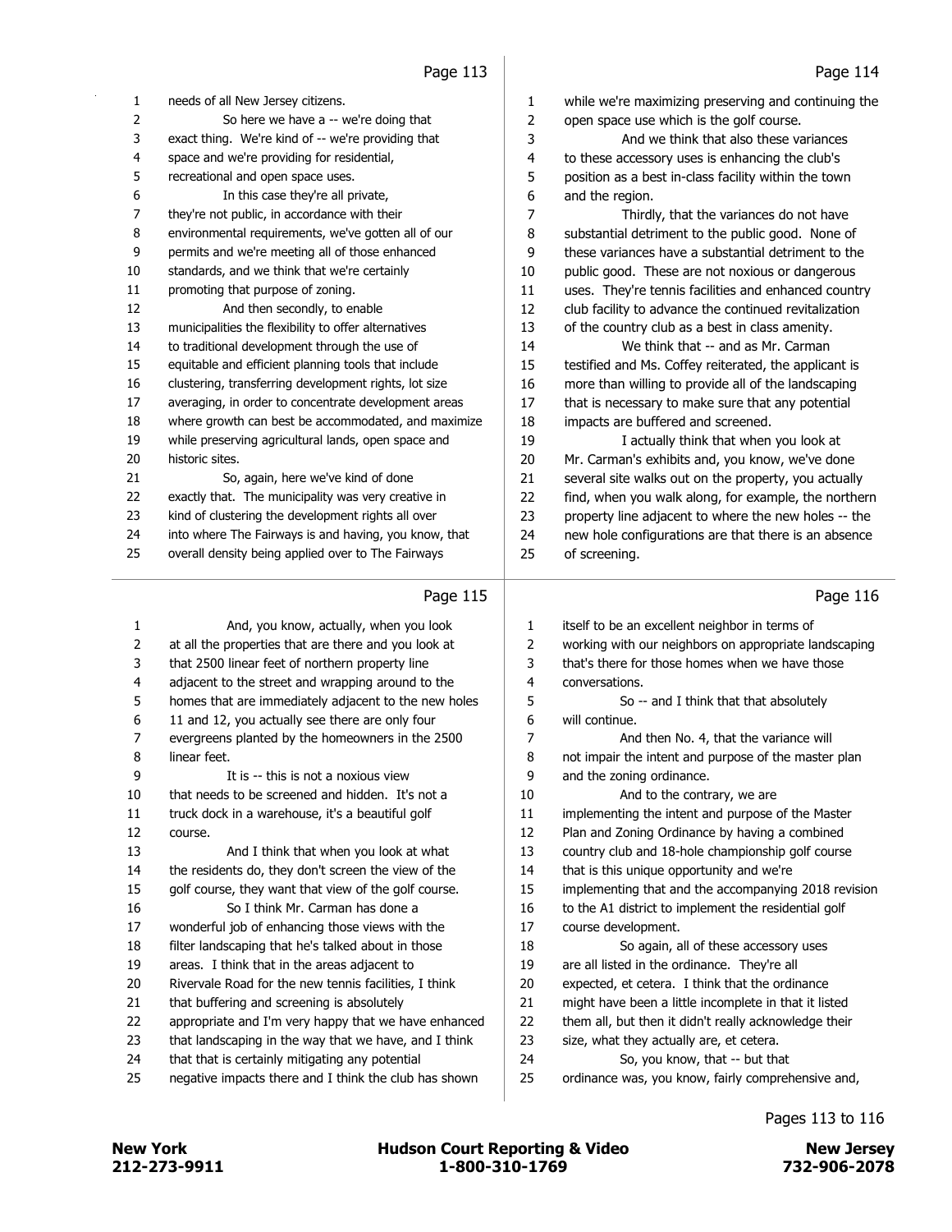| 1      | needs of all New Jersey citizens.                     | 1  | while we're maximizing preserving and continuing the  |
|--------|-------------------------------------------------------|----|-------------------------------------------------------|
| 2      | So here we have a -- we're doing that                 | 2  | open space use which is the golf course.              |
| 3      | exact thing. We're kind of -- we're providing that    | 3  | And we think that also these variances                |
| 4      | space and we're providing for residential,            | 4  | to these accessory uses is enhancing the club's       |
| 5      | recreational and open space uses.                     | 5  | position as a best in-class facility within the town  |
| 6      | In this case they're all private,                     | 6  | and the region.                                       |
| 7      | they're not public, in accordance with their          | 7  | Thirdly, that the variances do not have               |
| 8      | environmental requirements, we've gotten all of our   | 8  | substantial detriment to the public good. None of     |
| 9      | permits and we're meeting all of those enhanced       | 9  | these variances have a substantial detriment to the   |
| 10     | standards, and we think that we're certainly          | 10 | public good. These are not noxious or dangerous       |
| 11     | promoting that purpose of zoning.                     | 11 | uses. They're tennis facilities and enhanced country  |
| 12     | And then secondly, to enable                          | 12 | club facility to advance the continued revitalization |
| 13     | municipalities the flexibility to offer alternatives  | 13 | of the country club as a best in class amenity.       |
| 14     | to traditional development through the use of         | 14 | We think that -- and as Mr. Carman                    |
| 15     | equitable and efficient planning tools that include   | 15 | testified and Ms. Coffey reiterated, the applicant is |
| 16     | clustering, transferring development rights, lot size | 16 | more than willing to provide all of the landscaping   |
| $17\,$ | averaging, in order to concentrate development areas  | 17 | that is necessary to make sure that any potential     |
| 18     | where growth can best be accommodated, and maximize   | 18 | impacts are buffered and screened.                    |
| 19     | while preserving agricultural lands, open space and   | 19 | I actually think that when you look at                |
| 20     | historic sites.                                       | 20 | Mr. Carman's exhibits and, you know, we've done       |
| 21     | So, again, here we've kind of done                    | 21 | several site walks out on the property, you actually  |
| 22     | exactly that. The municipality was very creative in   | 22 | find, when you walk along, for example, the northern  |
| 23     | kind of clustering the development rights all over    | 23 | property line adjacent to where the new holes -- the  |
| 24     | into where The Fairways is and having, you know, that | 24 | new hole configurations are that there is an absence  |
| 25     | overall density being applied over to The Fairways    | 25 | of screening.                                         |
|        |                                                       |    |                                                       |
|        | Page 115                                              |    | Page 116                                              |
| 1      | And, you know, actually, when you look                | 1  | itself to be an excellent neighbor in terms of        |
| 2      | at all the properties that are there and you look at  | 2  | working with our neighbors on appropriate landscaping |
| 3      | that 2500 linear feet of northern property line       | 3  | that's there for those homes when we have those       |
| 4      | adjacent to the street and wrapping around to the     | 4  | conversations.                                        |
| 5      | homes that are immediately adjacent to the new holes  | 5  | So -- and I think that that absolutely                |
| 6      | 11 and 12, you actually see there are only four       | 6  | will continue.                                        |
| 7      | evergreens planted by the homeowners in the 2500      | 7  | And then No. 4, that the variance will                |
| 8      | linear feet.                                          | 8  | not impair the intent and purpose of the master plan  |
| 9      | It is -- this is not a noxious view                   | 9  | and the zoning ordinance.                             |
| 10     | that needs to be screened and hidden. It's not a      | 10 | And to the contrary, we are                           |
| 11     | truck dock in a warehouse, it's a beautiful golf      | 11 | implementing the intent and purpose of the Master     |
| 12     | course.                                               | 12 | Plan and Zoning Ordinance by having a combined        |
| 13     | And I think that when you look at what                | 13 | country club and 18-hole championship golf course     |
| 14     | the residents do, they don't screen the view of the   | 14 | that is this unique opportunity and we're             |
| 15     | golf course, they want that view of the golf course.  | 15 | implementing that and the accompanying 2018 revision  |
| 16     | So I think Mr. Carman has done a                      | 16 | to the A1 district to implement the residential golf  |
| 17     | wonderful job of enhancing those views with the       | 17 | course development.                                   |
| 18     | filter landscaping that he's talked about in those    | 18 | So again, all of these accessory uses                 |
| 19     | areas. I think that in the areas adjacent to          | 19 | are all listed in the ordinance. They're all          |
| 20     | Rivervale Road for the new tennis facilities, I think | 20 | expected, et cetera. I think that the ordinance       |
| 21     | that buffering and screening is absolutely            | 21 | might have been a little incomplete in that it listed |
| 22     | appropriate and I'm very happy that we have enhanced  | 22 | them all, but then it didn't really acknowledge their |
| 23     | that landscaping in the way that we have, and I think | 23 | size, what they actually are, et cetera.              |
| 24     | that that is certainly mitigating any potential       | 24 | So, you know, that -- but that                        |
| 25     | negative impacts there and I think the club has shown |    |                                                       |
|        |                                                       | 25 | ordinance was, you know, fairly comprehensive and,    |

# Pages 113 to 116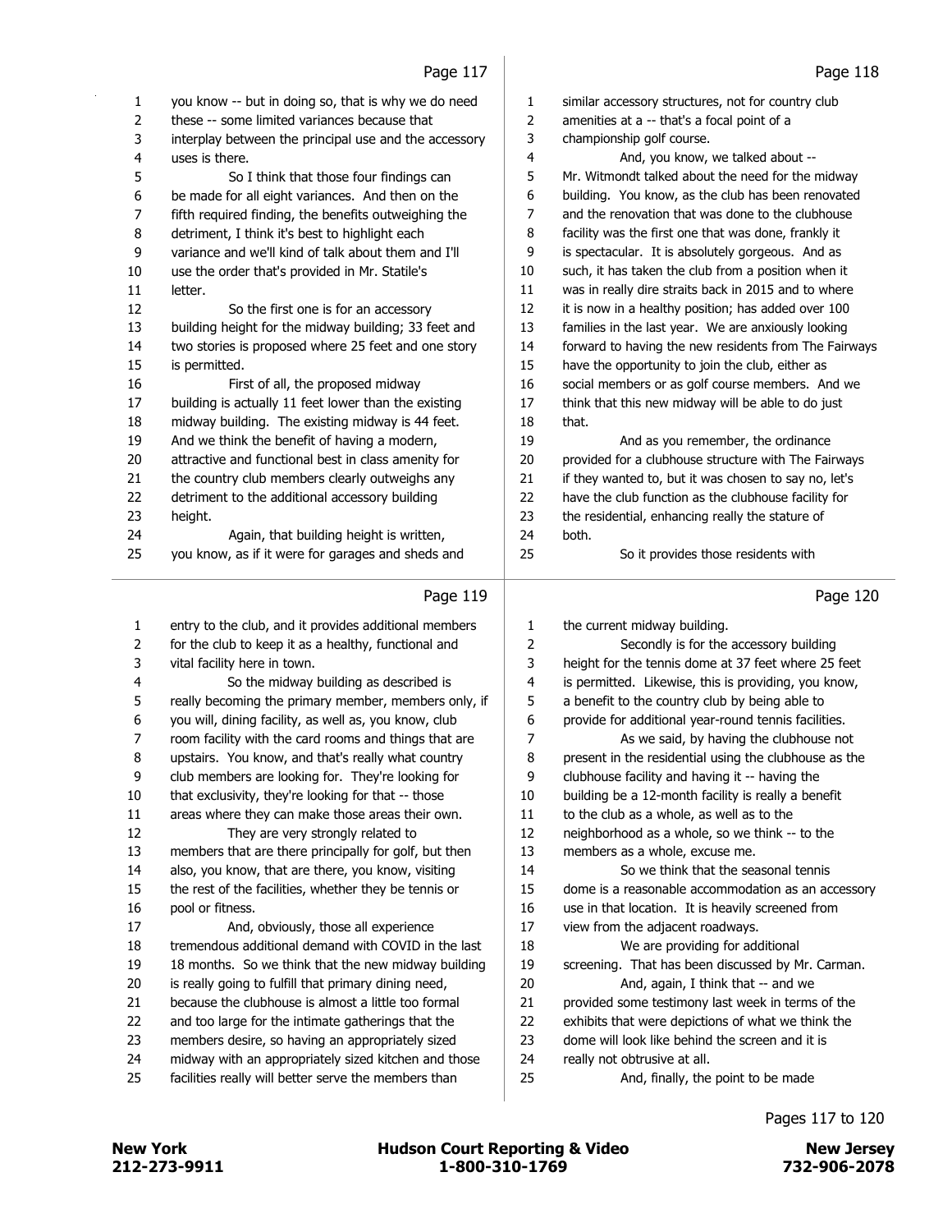|        | raye 117                                                                                                |                | 110 Lux                                                                                          |
|--------|---------------------------------------------------------------------------------------------------------|----------------|--------------------------------------------------------------------------------------------------|
| 1      | you know -- but in doing so, that is why we do need                                                     | 1              | similar accessory structures, not for country club                                               |
| 2      | these -- some limited variances because that                                                            | $\mathbf{2}$   | amenities at a -- that's a focal point of a                                                      |
| 3      | interplay between the principal use and the accessory                                                   | 3              | championship golf course.                                                                        |
| 4      | uses is there.                                                                                          | 4              | And, you know, we talked about --                                                                |
| 5      | So I think that those four findings can                                                                 | 5              | Mr. Witmondt talked about the need for the midway                                                |
| 6      | be made for all eight variances. And then on the                                                        | 6              | building. You know, as the club has been renovated                                               |
| 7      | fifth required finding, the benefits outweighing the                                                    | $\overline{7}$ | and the renovation that was done to the clubhouse                                                |
| 8      | detriment, I think it's best to highlight each                                                          | 8              | facility was the first one that was done, frankly it                                             |
| 9      | variance and we'll kind of talk about them and I'll                                                     | 9              | is spectacular. It is absolutely gorgeous. And as                                                |
| 10     | use the order that's provided in Mr. Statile's                                                          | 10             | such, it has taken the club from a position when it                                              |
| 11     | letter.                                                                                                 | 11             | was in really dire straits back in 2015 and to where                                             |
| 12     | So the first one is for an accessory                                                                    | 12             | it is now in a healthy position; has added over 100                                              |
| 13     | building height for the midway building; 33 feet and                                                    | 13             | families in the last year. We are anxiously looking                                              |
| 14     | two stories is proposed where 25 feet and one story                                                     | 14             | forward to having the new residents from The Fairways                                            |
| 15     | is permitted.                                                                                           | 15             | have the opportunity to join the club, either as                                                 |
| 16     | First of all, the proposed midway                                                                       | 16             | social members or as golf course members. And we                                                 |
| 17     | building is actually 11 feet lower than the existing                                                    | 17             | think that this new midway will be able to do just                                               |
| 18     | midway building. The existing midway is 44 feet.                                                        | 18             | that.                                                                                            |
| 19     | And we think the benefit of having a modern,                                                            | 19             | And as you remember, the ordinance                                                               |
| 20     | attractive and functional best in class amenity for                                                     | 20             | provided for a clubhouse structure with The Fairways                                             |
| 21     | the country club members clearly outweighs any                                                          | 21             | if they wanted to, but it was chosen to say no, let's                                            |
| 22     | detriment to the additional accessory building                                                          | 22             | have the club function as the clubhouse facility for                                             |
| 23     | height.                                                                                                 | 23             | the residential, enhancing really the stature of                                                 |
| 24     | Again, that building height is written,                                                                 | 24             | both.                                                                                            |
| 25     | you know, as if it were for garages and sheds and                                                       | 25             | So it provides those residents with                                                              |
|        |                                                                                                         |                |                                                                                                  |
|        |                                                                                                         |                |                                                                                                  |
|        | Page 119                                                                                                |                | Page 120                                                                                         |
|        |                                                                                                         |                |                                                                                                  |
| 1      | entry to the club, and it provides additional members                                                   | 1              | the current midway building.                                                                     |
| 2      | for the club to keep it as a healthy, functional and                                                    | 2              | Secondly is for the accessory building                                                           |
| 3      | vital facility here in town.                                                                            | 3              | height for the tennis dome at 37 feet where 25 feet                                              |
| 4      | So the midway building as described is                                                                  | $\overline{4}$ | is permitted. Likewise, this is providing, you know,                                             |
| 5<br>6 | really becoming the primary member, members only, if                                                    | 5              | a benefit to the country club by being able to                                                   |
| 7      | you will, dining facility, as well as, you know, club                                                   | 6              | provide for additional year-round tennis facilities.                                             |
| 8      | room facility with the card rooms and things that are                                                   | 7<br>8         | As we said, by having the clubhouse not<br>present in the residential using the clubhouse as the |
| 9      | upstairs. You know, and that's really what country<br>club members are looking for. They're looking for | 9              | clubhouse facility and having it -- having the                                                   |
| 10     | that exclusivity, they're looking for that -- those                                                     | 10             | building be a 12-month facility is really a benefit                                              |
| 11     | areas where they can make those areas their own.                                                        | $11\,$         | to the club as a whole, as well as to the                                                        |
| 12     | They are very strongly related to                                                                       | 12             | neighborhood as a whole, so we think -- to the                                                   |
| 13     | members that are there principally for golf, but then                                                   | 13             | members as a whole, excuse me.                                                                   |
| 14     | also, you know, that are there, you know, visiting                                                      | 14             | So we think that the seasonal tennis                                                             |
| 15     | the rest of the facilities, whether they be tennis or                                                   | 15             | dome is a reasonable accommodation as an accessory                                               |
| 16     | pool or fitness.                                                                                        | 16             | use in that location. It is heavily screened from                                                |
| 17     | And, obviously, those all experience                                                                    | 17             | view from the adjacent roadways.                                                                 |
| 18     | tremendous additional demand with COVID in the last                                                     | 18             | We are providing for additional                                                                  |
| 19     | 18 months. So we think that the new midway building                                                     | 19             | screening. That has been discussed by Mr. Carman.                                                |
| 20     | is really going to fulfill that primary dining need,                                                    | 20             | And, again, I think that -- and we                                                               |
| 21     | because the clubhouse is almost a little too formal                                                     | 21             | provided some testimony last week in terms of the                                                |
| 22     | and too large for the intimate gatherings that the                                                      | 22             | exhibits that were depictions of what we think the                                               |
| 23     | members desire, so having an appropriately sized                                                        | 23             | dome will look like behind the screen and it is                                                  |
| 24     | midway with an appropriately sized kitchen and those                                                    | 24             | really not obtrusive at all.                                                                     |
| 25     | facilities really will better serve the members than                                                    | 25             | And, finally, the point to be made                                                               |

Pages 117 to 120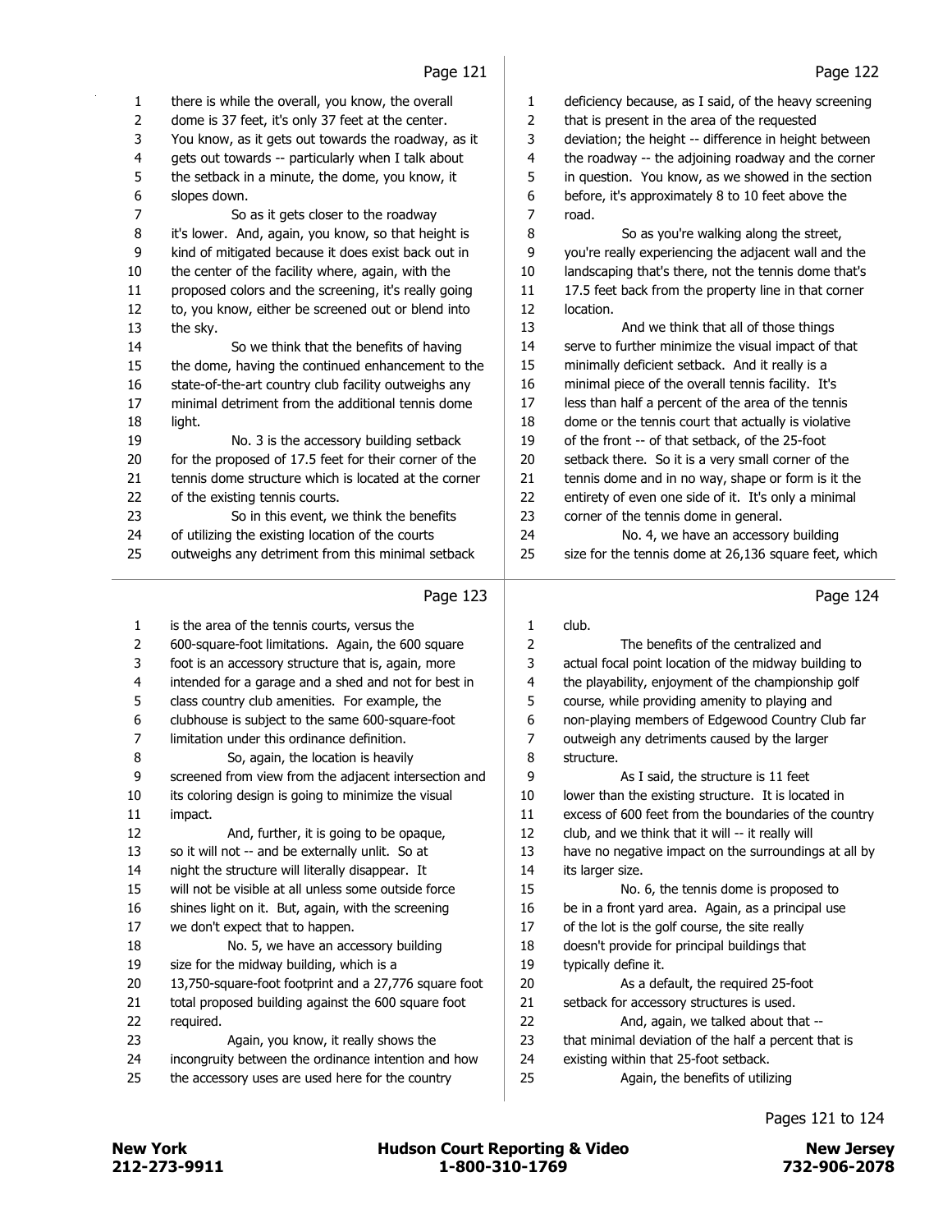| 1<br>2<br>3<br>4 | there is while the overall, you know, the overall<br>dome is 37 feet, it's only 37 feet at the center.<br>You know, as it gets out towards the roadway, as it |
|------------------|---------------------------------------------------------------------------------------------------------------------------------------------------------------|
| 5                | gets out towards -- particularly when I talk about<br>the setback in a minute, the dome, you know, it                                                         |
| 6                | slopes down.                                                                                                                                                  |
| 7                | So as it gets closer to the roadway                                                                                                                           |
| 8                | it's lower. And, again, you know, so that height is                                                                                                           |
| 9                | kind of mitigated because it does exist back out in                                                                                                           |
| 10               | the center of the facility where, again, with the                                                                                                             |
| 11               | proposed colors and the screening, it's really going                                                                                                          |
| 12               | to, you know, either be screened out or blend into                                                                                                            |
| 13               | the sky.                                                                                                                                                      |
| 14               | So we think that the benefits of having                                                                                                                       |
| 15               | the dome, having the continued enhancement to the                                                                                                             |
| 16               | state-of-the-art country club facility outweighs any                                                                                                          |
| 17               | minimal detriment from the additional tennis dome                                                                                                             |
| 18               | light.                                                                                                                                                        |
| 19               | No. 3 is the accessory building setback                                                                                                                       |
| 20               | for the proposed of 17.5 feet for their corner of the                                                                                                         |
| 21               | tennis dome structure which is located at the corner                                                                                                          |
| 22               | of the existing tennis courts.                                                                                                                                |
| 23               | So in this event, we think the benefits                                                                                                                       |
| 24               | of utilizing the existing location of the courts                                                                                                              |
| 25               | outweighs any detriment from this minimal setback                                                                                                             |
|                  |                                                                                                                                                               |

|    | Page 123                                              |    | Page 124                                              |
|----|-------------------------------------------------------|----|-------------------------------------------------------|
| 1  | is the area of the tennis courts, versus the          | 1  | club.                                                 |
| 2  | 600-square-foot limitations. Again, the 600 square    | 2  | The benefits of the centralized and                   |
| 3  | foot is an accessory structure that is, again, more   | 3  | actual focal point location of the midway building to |
| 4  | intended for a garage and a shed and not for best in  | 4  | the playability, enjoyment of the championship golf   |
| 5  | class country club amenities. For example, the        | 5  | course, while providing amenity to playing and        |
| 6  | clubhouse is subject to the same 600-square-foot      | 6  | non-playing members of Edgewood Country Club far      |
| 7  | limitation under this ordinance definition.           | 7  | outweigh any detriments caused by the larger          |
| 8  | So, again, the location is heavily                    | 8  | structure.                                            |
| 9  | screened from view from the adjacent intersection and | 9  | As I said, the structure is 11 feet                   |
| 10 | its coloring design is going to minimize the visual   | 10 | lower than the existing structure. It is located in   |
| 11 | impact.                                               | 11 | excess of 600 feet from the boundaries of the country |
| 12 | And, further, it is going to be opaque,               | 12 | club, and we think that it will -- it really will     |
| 13 | so it will not -- and be externally unlit. So at      | 13 | have no negative impact on the surroundings at all by |
| 14 | night the structure will literally disappear. It      | 14 | its larger size.                                      |
| 15 | will not be visible at all unless some outside force  | 15 | No. 6, the tennis dome is proposed to                 |
| 16 | shines light on it. But, again, with the screening    | 16 | be in a front yard area. Again, as a principal use    |
| 17 | we don't expect that to happen.                       | 17 | of the lot is the golf course, the site really        |
| 18 | No. 5, we have an accessory building                  | 18 | doesn't provide for principal buildings that          |
| 19 | size for the midway building, which is a              | 19 | typically define it.                                  |
| 20 | 13,750-square-foot footprint and a 27,776 square foot | 20 | As a default, the required 25-foot                    |
| 21 | total proposed building against the 600 square foot   | 21 | setback for accessory structures is used.             |
| 22 | required.                                             | 22 | And, again, we talked about that --                   |
| 23 | Again, you know, it really shows the                  | 23 | that minimal deviation of the half a percent that is  |
| 24 | incongruity between the ordinance intention and how   | 24 | existing within that 25-foot setback.                 |
| 25 | the accessory uses are used here for the country      | 25 | Again, the benefits of utilizing                      |
|    |                                                       |    |                                                       |

#### deficiency because, as I said, of the heavy screening that is present in the area of the requested deviation; the height -- difference in height between the roadway -- the adjoining roadway and the corner in question. You know, as we showed in the section before, it's approximately 8 to 10 feet above the road. 8 So as you're walking along the street, you're really experiencing the adjacent wall and the landscaping that's there, not the tennis dome that's 11 17.5 feet back from the property line in that corner location. 13 And we think that all of those things serve to further minimize the visual impact of that

 minimally deficient setback. And it really is a minimal piece of the overall tennis facility. It's less than half a percent of the area of the tennis dome or the tennis court that actually is violative of the front -- of that setback, of the 25-foot setback there. So it is a very small corner of the tennis dome and in no way, shape or form is it the entirety of even one side of it. It's only a minimal corner of the tennis dome in general. 24 No. 4, we have an accessory building

25 size for the tennis dome at 26,136 square feet, which

Pages 121 to 124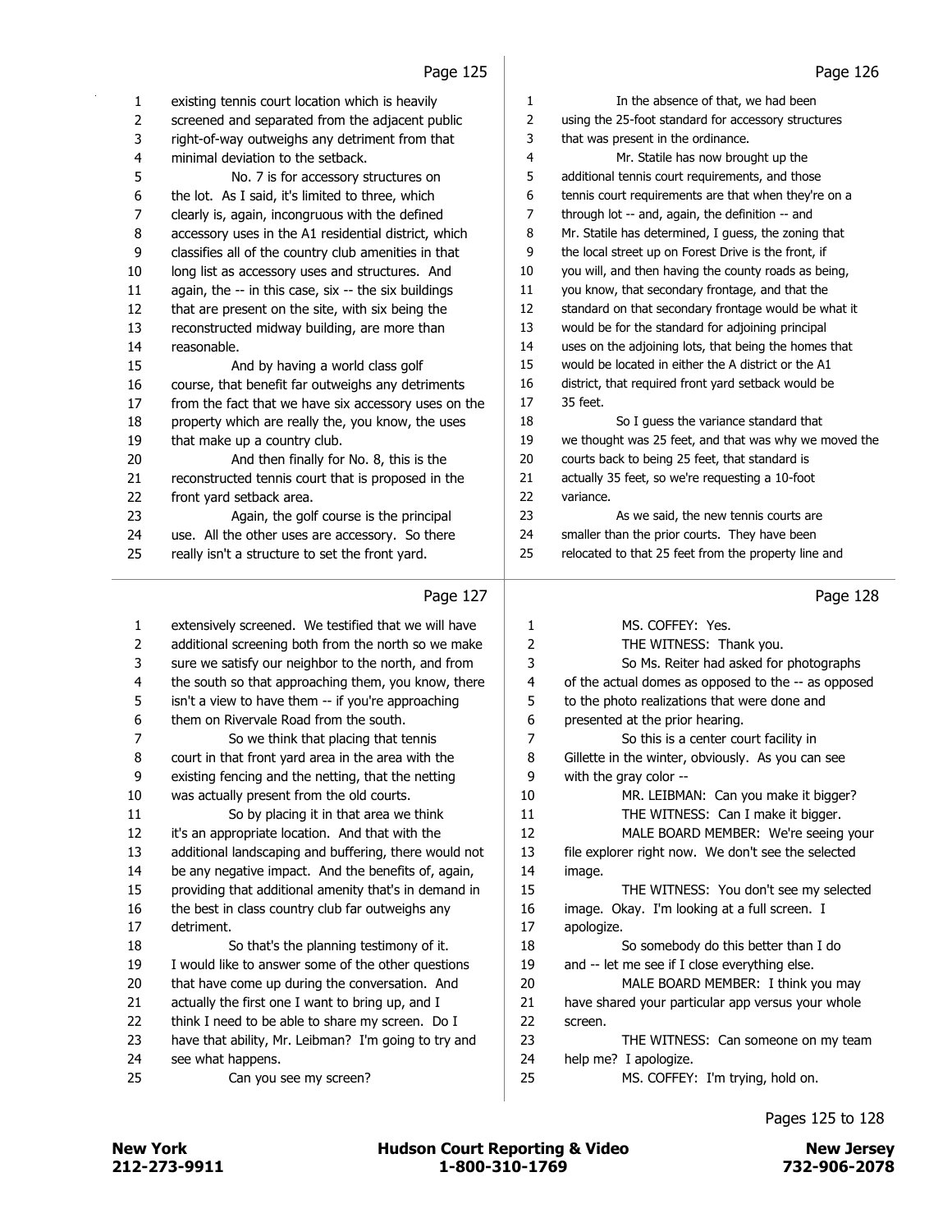|                     | دعد عوه ا                                                                                                   |                         | 52 - 29 ا                                                                               |
|---------------------|-------------------------------------------------------------------------------------------------------------|-------------------------|-----------------------------------------------------------------------------------------|
| 1                   | existing tennis court location which is heavily                                                             | 1                       | In the absence of that, we had been                                                     |
| $\overline{2}$      | screened and separated from the adjacent public                                                             | 2                       | using the 25-foot standard for accessory structures                                     |
| 3                   | right-of-way outweighs any detriment from that                                                              | 3                       | that was present in the ordinance.                                                      |
| 4                   | minimal deviation to the setback.                                                                           | 4                       | Mr. Statile has now brought up the                                                      |
| 5                   | No. 7 is for accessory structures on                                                                        | 5                       | additional tennis court requirements, and those                                         |
| 6                   | the lot. As I said, it's limited to three, which                                                            | 6                       | tennis court requirements are that when they're on a                                    |
| 7                   | clearly is, again, incongruous with the defined                                                             | 7                       | through lot -- and, again, the definition -- and                                        |
| 8                   | accessory uses in the A1 residential district, which                                                        | 8                       | Mr. Statile has determined, I guess, the zoning that                                    |
| 9                   | classifies all of the country club amenities in that                                                        | 9                       | the local street up on Forest Drive is the front, if                                    |
| 10                  | long list as accessory uses and structures. And                                                             | 10                      | you will, and then having the county roads as being,                                    |
| 11                  | again, the -- in this case, six -- the six buildings                                                        | 11                      | you know, that secondary frontage, and that the                                         |
| 12                  | that are present on the site, with six being the                                                            | 12                      | standard on that secondary frontage would be what it                                    |
| 13                  | reconstructed midway building, are more than                                                                | 13                      | would be for the standard for adjoining principal                                       |
| 14                  | reasonable.                                                                                                 | 14                      | uses on the adjoining lots, that being the homes that                                   |
| 15                  | And by having a world class golf                                                                            | 15                      | would be located in either the A district or the A1                                     |
| 16                  | course, that benefit far outweighs any detriments                                                           | 16                      | district, that required front yard setback would be                                     |
| 17                  | from the fact that we have six accessory uses on the                                                        | 17                      | 35 feet.                                                                                |
| 18                  | property which are really the, you know, the uses                                                           | 18                      | So I guess the variance standard that                                                   |
| 19                  | that make up a country club.                                                                                | 19                      | we thought was 25 feet, and that was why we moved the                                   |
| 20                  | And then finally for No. 8, this is the                                                                     | 20                      | courts back to being 25 feet, that standard is                                          |
| 21                  | reconstructed tennis court that is proposed in the                                                          | 21                      | actually 35 feet, so we're requesting a 10-foot                                         |
| 22                  | front yard setback area.                                                                                    | 22                      | variance.                                                                               |
| 23                  | Again, the golf course is the principal                                                                     | 23                      | As we said, the new tennis courts are                                                   |
| 24                  | use. All the other uses are accessory. So there                                                             | 24                      | smaller than the prior courts. They have been                                           |
| 25                  | really isn't a structure to set the front yard.                                                             | 25                      | relocated to that 25 feet from the property line and                                    |
|                     | Page 127                                                                                                    |                         | Page 128                                                                                |
|                     |                                                                                                             |                         |                                                                                         |
| 1<br>$\overline{2}$ | extensively screened. We testified that we will have<br>additional screening both from the north so we make | 1                       | MS. COFFEY: Yes.                                                                        |
|                     |                                                                                                             |                         |                                                                                         |
|                     |                                                                                                             | $\overline{2}$          | THE WITNESS: Thank you.                                                                 |
| 3                   | sure we satisfy our neighbor to the north, and from                                                         | 3                       | So Ms. Reiter had asked for photographs                                                 |
| 4                   | the south so that approaching them, you know, there                                                         | $\overline{\mathbf{4}}$ | of the actual domes as opposed to the -- as opposed                                     |
| 5                   | isn't a view to have them -- if you're approaching                                                          | 5                       | to the photo realizations that were done and                                            |
| 6                   | them on Rivervale Road from the south.                                                                      | 6                       | presented at the prior hearing.                                                         |
| 7                   | So we think that placing that tennis                                                                        | 7                       | So this is a center court facility in                                                   |
| 8                   | court in that front yard area in the area with the                                                          | 8                       | Gillette in the winter, obviously. As you can see                                       |
| 9                   | existing fencing and the netting, that the netting                                                          | 9                       | with the gray color --                                                                  |
| 10                  | was actually present from the old courts.                                                                   | 10                      | MR. LEIBMAN: Can you make it bigger?                                                    |
| 11                  | So by placing it in that area we think                                                                      | 11                      | THE WITNESS: Can I make it bigger.                                                      |
| 12                  | it's an appropriate location. And that with the                                                             | 12                      | MALE BOARD MEMBER: We're seeing your                                                    |
| 13                  | additional landscaping and buffering, there would not                                                       | 13                      | file explorer right now. We don't see the selected                                      |
| 14                  | be any negative impact. And the benefits of, again,                                                         | 14                      | image.                                                                                  |
| 15                  | providing that additional amenity that's in demand in                                                       | 15                      | THE WITNESS: You don't see my selected                                                  |
| 16                  | the best in class country club far outweighs any                                                            | 16                      | image. Okay. I'm looking at a full screen. I                                            |
| 17<br>18            | detriment.                                                                                                  | 17                      | apologize.                                                                              |
| 19                  | So that's the planning testimony of it.                                                                     | 18                      | So somebody do this better than I do                                                    |
| 20                  | I would like to answer some of the other questions                                                          | 19<br>20                | and -- let me see if I close everything else.                                           |
| 21                  | that have come up during the conversation. And<br>actually the first one I want to bring up, and I          | 21                      | MALE BOARD MEMBER: I think you may<br>have shared your particular app versus your whole |

 have that ability, Mr. Leibman? I'm going to try and see what happens.

25 Can you see my screen?

Pages 125 to 128

23 THE WITNESS: Can someone on my team

25 MS. COFFEY: I'm trying, hold on.

help me? I apologize.

and a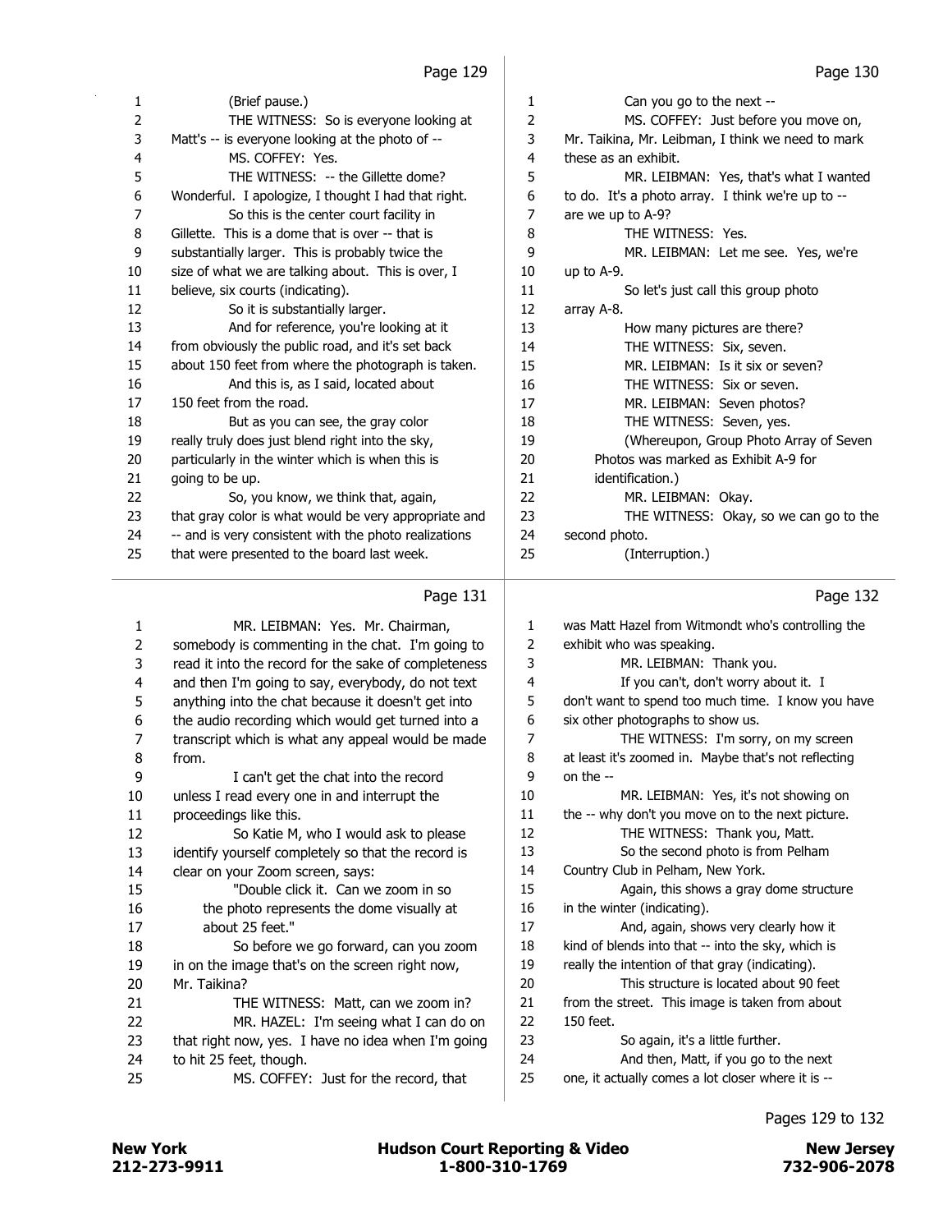| 1  | (Brief pause.)                                        | 1  | Can you go to the next --                         |
|----|-------------------------------------------------------|----|---------------------------------------------------|
| 2  | THE WITNESS: So is everyone looking at                | 2  | MS. COFFEY: Just before you move on,              |
| 3  | Matt's -- is everyone looking at the photo of --      | 3  | Mr. Taikina, Mr. Leibman, I think we need to mark |
| 4  | MS. COFFEY: Yes.                                      | 4  | these as an exhibit.                              |
| 5  | THE WITNESS: -- the Gillette dome?                    | 5  | MR. LEIBMAN: Yes, that's what I wanted            |
| 6  | Wonderful. I apologize, I thought I had that right.   | 6  | to do. It's a photo array. I think we're up to -- |
| 7  | So this is the center court facility in               | 7  | are we up to A-9?                                 |
| 8  | Gillette. This is a dome that is over -- that is      | 8  | THE WITNESS: Yes.                                 |
| 9  | substantially larger. This is probably twice the      | 9  | MR. LEIBMAN: Let me see. Yes, we're               |
| 10 | size of what we are talking about. This is over, I    | 10 | up to $A-9$ .                                     |
| 11 | believe, six courts (indicating).                     | 11 | So let's just call this group photo               |
| 12 | So it is substantially larger.                        | 12 | array A-8.                                        |
| 13 | And for reference, you're looking at it               | 13 | How many pictures are there?                      |
| 14 | from obviously the public road, and it's set back     | 14 | THE WITNESS: Six, seven.                          |
| 15 | about 150 feet from where the photograph is taken.    | 15 | MR. LEIBMAN: Is it six or seven?                  |
| 16 | And this is, as I said, located about                 | 16 | THE WITNESS: Six or seven.                        |
| 17 | 150 feet from the road.                               | 17 | MR. LEIBMAN: Seven photos?                        |
| 18 | But as you can see, the gray color                    | 18 | THE WITNESS: Seven, yes.                          |
| 19 | really truly does just blend right into the sky,      | 19 | (Whereupon, Group Photo Array of Seven            |
| 20 | particularly in the winter which is when this is      | 20 | Photos was marked as Exhibit A-9 for              |
| 21 | going to be up.                                       | 21 | identification.)                                  |
| 22 | So, you know, we think that, again,                   | 22 | MR. LEIBMAN: Okay.                                |
| 23 | that gray color is what would be very appropriate and | 23 | THE WITNESS: Okay, so we can go to the            |
| 24 | -- and is very consistent with the photo realizations | 24 | second photo.                                     |
| 25 | that were presented to the board last week.           | 25 | (Interruption.)                                   |
|    | Page 131                                              |    | Page 132                                          |

# Page 131  $\vert$

| 1              | MR. LEIBMAN: Yes. Mr. Chairman,                      | 1              | was Matt Hazel from Witmondt who's controlling the   |
|----------------|------------------------------------------------------|----------------|------------------------------------------------------|
| $\overline{2}$ | somebody is commenting in the chat. I'm going to     | 2              | exhibit who was speaking.                            |
| 3              | read it into the record for the sake of completeness | 3              | MR. LEIBMAN: Thank you.                              |
| 4              | and then I'm going to say, everybody, do not text    | 4              | If you can't, don't worry about it. I                |
| 5              | anything into the chat because it doesn't get into   | 5              | don't want to spend too much time. I know you have   |
| 6              | the audio recording which would get turned into a    | 6              | six other photographs to show us.                    |
| $\overline{7}$ | transcript which is what any appeal would be made    | $\overline{7}$ | THE WITNESS: I'm sorry, on my screen                 |
| 8              | from.                                                | 8              | at least it's zoomed in. Maybe that's not reflecting |
| 9              | I can't get the chat into the record                 | 9              | on the $-$                                           |
| 10             | unless I read every one in and interrupt the         | 10             | MR. LEIBMAN: Yes, it's not showing on                |
| 11             | proceedings like this.                               | 11             | the -- why don't you move on to the next picture.    |
| 12             | So Katie M, who I would ask to please                | 12             | THE WITNESS: Thank you, Matt.                        |
| 13             | identify yourself completely so that the record is   | 13             | So the second photo is from Pelham                   |
| 14             | clear on your Zoom screen, says:                     | 14             | Country Club in Pelham, New York.                    |
| 15             | "Double click it. Can we zoom in so                  | 15             | Again, this shows a gray dome structure              |
| 16             | the photo represents the dome visually at            | 16             | in the winter (indicating).                          |
| 17             | about 25 feet."                                      | 17             | And, again, shows very clearly how it                |
| 18             | So before we go forward, can you zoom                | 18             | kind of blends into that -- into the sky, which is   |
| 19             | in on the image that's on the screen right now,      | 19             | really the intention of that gray (indicating).      |
| 20             | Mr. Taikina?                                         | 20             | This structure is located about 90 feet              |
| 21             | THE WITNESS: Matt, can we zoom in?                   | 21             | from the street. This image is taken from about      |
| 22             | MR. HAZEL: I'm seeing what I can do on               | 22             | 150 feet.                                            |
| 23             | that right now, yes. I have no idea when I'm going   | 23             | So again, it's a little further.                     |
| 24             | to hit 25 feet, though.                              | 24             | And then, Matt, if you go to the next                |
| 25             | MS. COFFEY: Just for the record, that                | 25             | one, it actually comes a lot closer where it is --   |
|                |                                                      |                |                                                      |

# Pages 129 to 132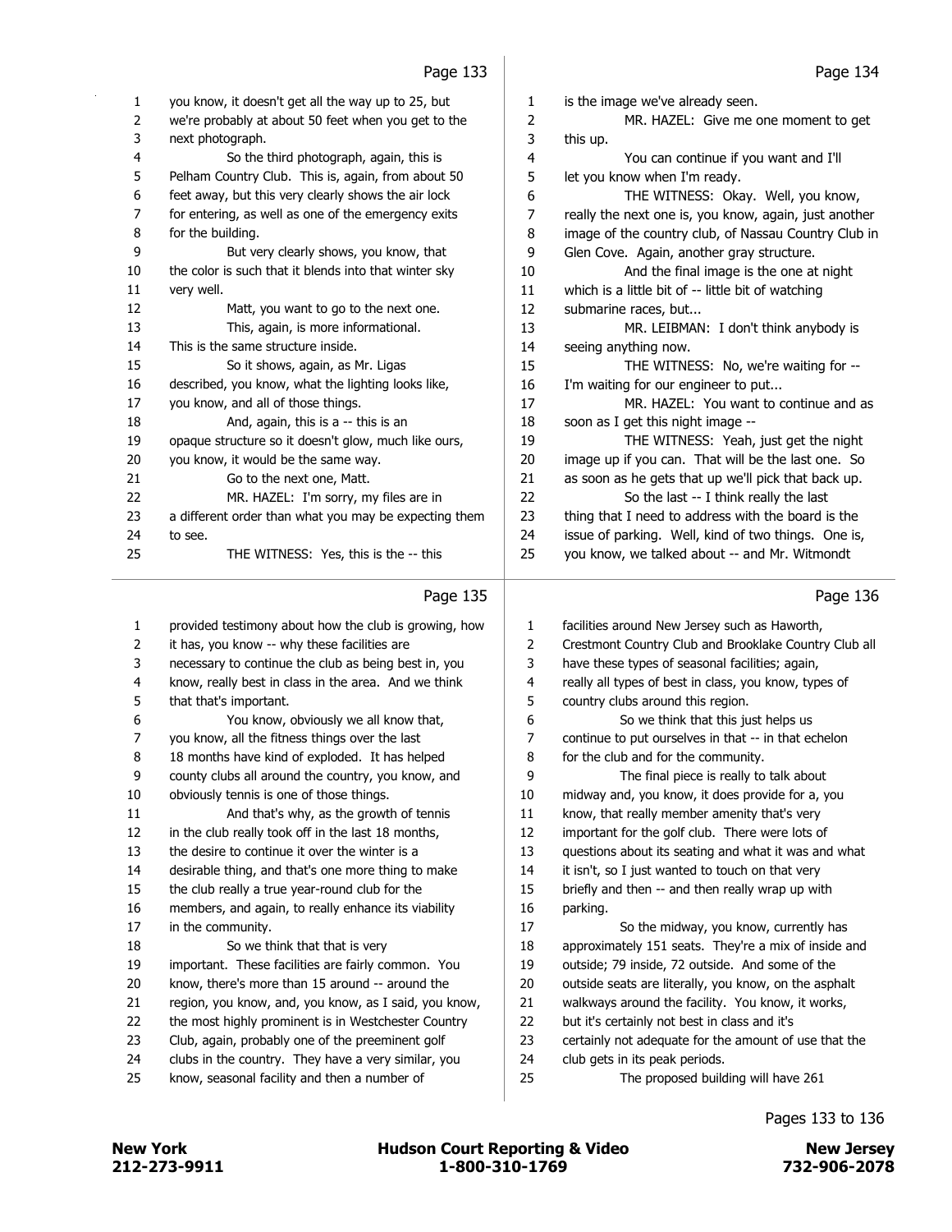| 1              | you know, it doesn't get all the way up to 25, but    | 1              | is the image we've already seen.                      |
|----------------|-------------------------------------------------------|----------------|-------------------------------------------------------|
| $\overline{2}$ | we're probably at about 50 feet when you get to the   | $\overline{2}$ | MR. HAZEL: Give me one moment to get                  |
| 3              | next photograph.                                      | 3              | this up.                                              |
| 4              | So the third photograph, again, this is               | 4              | You can continue if you want and I'll                 |
| 5              | Pelham Country Club. This is, again, from about 50    | 5              | let you know when I'm ready.                          |
| 6              | feet away, but this very clearly shows the air lock   | 6              | THE WITNESS: Okay. Well, you know,                    |
| $\overline{7}$ | for entering, as well as one of the emergency exits   | 7              | really the next one is, you know, again, just another |
| 8              | for the building.                                     | 8              | image of the country club, of Nassau Country Club in  |
| 9              | But very clearly shows, you know, that                | 9              | Glen Cove. Again, another gray structure.             |
| 10             | the color is such that it blends into that winter sky | 10             | And the final image is the one at night               |
| 11             | very well.                                            | 11             | which is a little bit of -- little bit of watching    |
| 12             | Matt, you want to go to the next one.                 | 12             | submarine races, but                                  |
| 13             | This, again, is more informational.                   | 13             | MR. LEIBMAN: I don't think anybody is                 |
| 14             | This is the same structure inside.                    | 14             | seeing anything now.                                  |
| 15             | So it shows, again, as Mr. Ligas                      | 15             | THE WITNESS: No, we're waiting for --                 |
| 16             | described, you know, what the lighting looks like,    | 16             | I'm waiting for our engineer to put                   |
| 17             | you know, and all of those things.                    | 17             | MR. HAZEL: You want to continue and as                |
| 18             | And, again, this is a -- this is an                   | 18             | soon as I get this night image --                     |
| 19             | opaque structure so it doesn't glow, much like ours,  | 19             | THE WITNESS: Yeah, just get the night                 |
| 20             | you know, it would be the same way.                   | 20             | image up if you can. That will be the last one. So    |
| 21             | Go to the next one, Matt.                             | 21             | as soon as he gets that up we'll pick that back up.   |
| 22             | MR. HAZEL: I'm sorry, my files are in                 | 22             | So the last -- I think really the last                |
| 23             | a different order than what you may be expecting them | 23             | thing that I need to address with the board is the    |
| 24             | to see.                                               | 24             | issue of parking. Well, kind of two things. One is,   |
| 25             | THE WITNESS: Yes, this is the -- this                 | 25             | you know, we talked about -- and Mr. Witmondt         |
|                | Page 135                                              |                | Page 136                                              |
| 1              | provided testimony about how the club is growing, how | 1              | facilities around New Jersey such as Haworth,         |
| 2              | it has, you know -- why these facilities are          | 2              | Crestmont Country Club and Brooklake Country Club all |
| 3              | necessary to continue the club as being best in, you  | 3              | have these types of seasonal facilities; again,       |
| 4              | know, really best in class in the area. And we think  | 4              | really all types of best in class, you know, types of |
| 5              | that that's important.                                | 5              | country clubs around this region.                     |
| 6              | You know, obviously we all know that,                 | 6              | So we think that this just helps us                   |
| 7              | you know, all the fitness things over the last        | 7              | continue to put ourselves in that -- in that echelon  |
| 8              | 18 months have kind of exploded. It has helped        | 8              | for the club and for the community.                   |

county clubs all around the country, you know, and

obviously tennis is one of those things.

11 And that's why, as the growth of tennis

in the club really took off in the last 18 months,

the desire to continue it over the winter is a

desirable thing, and that's one more thing to make

the club really a true year-round club for the

 members, and again, to really enhance its viability in the community.

18 So we think that that is very

important. These facilities are fairly common. You

know, there's more than 15 around -- around the

region, you know, and, you know, as I said, you know,

- 22 the most highly prominent is in Westchester Country
- Club, again, probably one of the preeminent golf
- clubs in the country. They have a very similar, you
- know, seasonal facility and then a number of

Pages 133 to 136

9 The final piece is really to talk about midway and, you know, it does provide for a, you know, that really member amenity that's very important for the golf club. There were lots of questions about its seating and what it was and what it isn't, so I just wanted to touch on that very briefly and then -- and then really wrap up with

17 So the midway, you know, currently has approximately 151 seats. They're a mix of inside and outside; 79 inside, 72 outside. And some of the outside seats are literally, you know, on the asphalt walkways around the facility. You know, it works,

certainly not adequate for the amount of use that the

but it's certainly not best in class and it's

25 The proposed building will have 261

club gets in its peak periods.

212-273-9911 1-800-310-1769 732-906-2078 New York **New York COULD Hudson Court Reporting & Video** New Jersey

parking.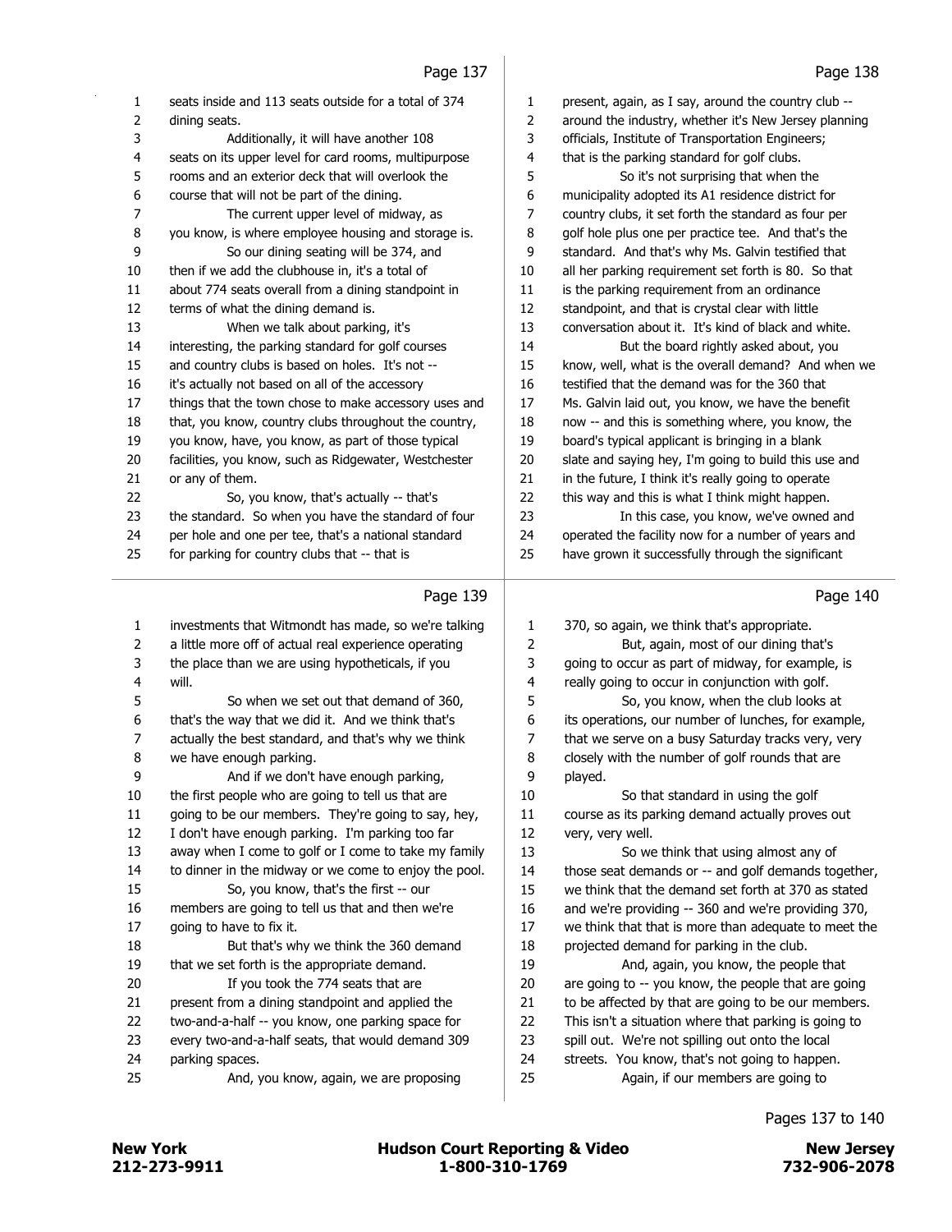|                | rayc 137                                                                                                  |        | rayc 150                                              |
|----------------|-----------------------------------------------------------------------------------------------------------|--------|-------------------------------------------------------|
| 1              | seats inside and 113 seats outside for a total of 374                                                     | 1      | present, again, as I say, around the country club --  |
| 2              | dining seats.                                                                                             | 2      | around the industry, whether it's New Jersey planning |
| 3              | Additionally, it will have another 108                                                                    | 3      | officials, Institute of Transportation Engineers;     |
| 4              | seats on its upper level for card rooms, multipurpose                                                     | 4      | that is the parking standard for golf clubs.          |
| 5              | rooms and an exterior deck that will overlook the                                                         | 5      | So it's not surprising that when the                  |
| 6              | course that will not be part of the dining.                                                               | 6      | municipality adopted its A1 residence district for    |
| $\overline{7}$ | The current upper level of midway, as                                                                     | 7      | country clubs, it set forth the standard as four per  |
| 8              | you know, is where employee housing and storage is.                                                       | 8      | golf hole plus one per practice tee. And that's the   |
| 9              | So our dining seating will be 374, and                                                                    | 9      | standard. And that's why Ms. Galvin testified that    |
| 10             | then if we add the clubhouse in, it's a total of                                                          | 10     | all her parking requirement set forth is 80. So that  |
| 11             | about 774 seats overall from a dining standpoint in                                                       | 11     | is the parking requirement from an ordinance          |
| 12             | terms of what the dining demand is.                                                                       | 12     | standpoint, and that is crystal clear with little     |
| 13             | When we talk about parking, it's                                                                          | 13     | conversation about it. It's kind of black and white.  |
| 14             | interesting, the parking standard for golf courses                                                        | 14     | But the board rightly asked about, you                |
| 15             | and country clubs is based on holes. It's not --                                                          | 15     | know, well, what is the overall demand? And when we   |
| 16             | it's actually not based on all of the accessory                                                           | 16     | testified that the demand was for the 360 that        |
| 17             | things that the town chose to make accessory uses and                                                     | 17     | Ms. Galvin laid out, you know, we have the benefit    |
| 18             | that, you know, country clubs throughout the country,                                                     | 18     | now -- and this is something where, you know, the     |
| 19             | you know, have, you know, as part of those typical                                                        | 19     | board's typical applicant is bringing in a blank      |
| 20             | facilities, you know, such as Ridgewater, Westchester                                                     | 20     | slate and saying hey, I'm going to build this use and |
| 21             | or any of them.                                                                                           | 21     | in the future, I think it's really going to operate   |
| 22             | So, you know, that's actually -- that's                                                                   | 22     | this way and this is what I think might happen.       |
| 23             | the standard. So when you have the standard of four                                                       | 23     | In this case, you know, we've owned and               |
|                | per hole and one per tee, that's a national standard                                                      | 24     | operated the facility now for a number of years and   |
| 24             |                                                                                                           |        |                                                       |
| 25             | for parking for country clubs that -- that is                                                             | 25     | have grown it successfully through the significant    |
|                | Page 139                                                                                                  |        | Page 140                                              |
|                |                                                                                                           |        |                                                       |
| 1              | investments that Witmondt has made, so we're talking                                                      | 1      | 370, so again, we think that's appropriate.           |
| 2              | a little more off of actual real experience operating                                                     | 2      | But, again, most of our dining that's                 |
| 3              | the place than we are using hypotheticals, if you                                                         | 3      | going to occur as part of midway, for example, is     |
| 4              | will.                                                                                                     | 4      | really going to occur in conjunction with golf.       |
| 5              | So when we set out that demand of 360,                                                                    | 5<br>6 | So, you know, when the club looks at                  |
| 6<br>7         | that's the way that we did it. And we think that's<br>actually the best standard, and that's why we think | 7      | its operations, our number of lunches, for example,   |
| 8              |                                                                                                           | 8      | that we serve on a busy Saturday tracks very, very    |
| 9              | we have enough parking.<br>And if we don't have enough parking,                                           | 9      | closely with the number of golf rounds that are       |
| 10             | the first people who are going to tell us that are                                                        | 10     | played.<br>So that standard in using the golf         |
| 11             | going to be our members. They're going to say, hey,                                                       | 11     | course as its parking demand actually proves out      |
| 12             | I don't have enough parking. I'm parking too far                                                          | 12     | very, very well.                                      |
| 13             | away when I come to golf or I come to take my family                                                      | 13     | So we think that using almost any of                  |
| 14             | to dinner in the midway or we come to enjoy the pool.                                                     | 14     | those seat demands or -- and golf demands together,   |
| 15             | So, you know, that's the first -- our                                                                     | 15     | we think that the demand set forth at 370 as stated   |
| 16             | members are going to tell us that and then we're                                                          | 16     | and we're providing -- 360 and we're providing 370,   |
| 17             | going to have to fix it.                                                                                  | 17     | we think that that is more than adequate to meet the  |
| 18             | But that's why we think the 360 demand                                                                    | 18     | projected demand for parking in the club.             |
| 19             | that we set forth is the appropriate demand.                                                              | 19     | And, again, you know, the people that                 |
| 20             | If you took the 774 seats that are                                                                        | 20     | are going to -- you know, the people that are going   |
| 21             | present from a dining standpoint and applied the                                                          | 21     | to be affected by that are going to be our members.   |

spill out. We're not spilling out onto the local

streets. You know, that's not going to happen.

25 Again, if our members are going to

#### Pages 137 to 140

parking spaces.

every two-and-a-half seats, that would demand 309

25 And, you know, again, we are proposing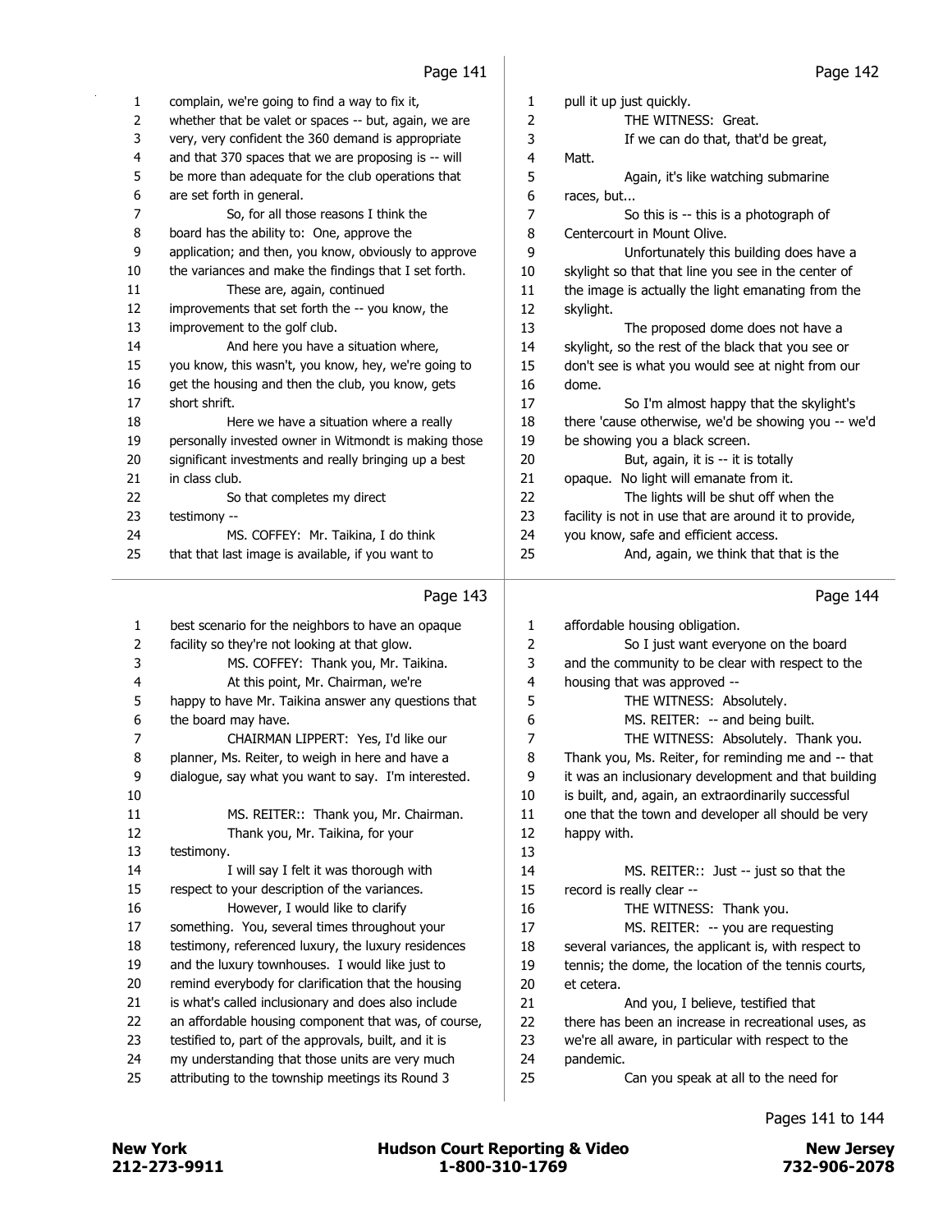| 1              | complain, we're going to find a way to fix it,        | 1                | pull it up just quickly.                              |
|----------------|-------------------------------------------------------|------------------|-------------------------------------------------------|
| $\overline{2}$ | whether that be valet or spaces -- but, again, we are | 2                | THE WITNESS: Great.                                   |
| 3              | very, very confident the 360 demand is appropriate    | 3                | If we can do that, that'd be great,                   |
| 4              | and that 370 spaces that we are proposing is -- will  | 4                | Matt.                                                 |
| 5              | be more than adequate for the club operations that    | 5                | Again, it's like watching submarine                   |
| 6              | are set forth in general.                             | $\boldsymbol{6}$ | races, but                                            |
| 7              | So, for all those reasons I think the                 | 7                | So this is -- this is a photograph of                 |
| 8              | board has the ability to: One, approve the            | 8                | Centercourt in Mount Olive.                           |
| 9              | application; and then, you know, obviously to approve | 9                | Unfortunately this building does have a               |
| 10             | the variances and make the findings that I set forth. | 10               | skylight so that that line you see in the center of   |
| 11             | These are, again, continued                           | 11               | the image is actually the light emanating from the    |
| 12             | improvements that set forth the -- you know, the      | 12               | skylight.                                             |
| 13             | improvement to the golf club.                         | 13               | The proposed dome does not have a                     |
| 14             | And here you have a situation where,                  | 14               | skylight, so the rest of the black that you see or    |
| 15             | you know, this wasn't, you know, hey, we're going to  | 15               | don't see is what you would see at night from our     |
| 16             | get the housing and then the club, you know, gets     | 16               | dome.                                                 |
| 17             | short shrift.                                         | 17               | So I'm almost happy that the skylight's               |
| 18             | Here we have a situation where a really               | 18               | there 'cause otherwise, we'd be showing you -- we'd   |
| 19             | personally invested owner in Witmondt is making those | 19               | be showing you a black screen.                        |
| 20             | significant investments and really bringing up a best | 20               | But, again, it is -- it is totally                    |
| 21             | in class club.                                        | 21               | opaque. No light will emanate from it.                |
| 22             | So that completes my direct                           | 22               | The lights will be shut off when the                  |
| 23             | testimony --                                          | 23               | facility is not in use that are around it to provide, |
| 24             | MS. COFFEY: Mr. Taikina, I do think                   | 24               | you know, safe and efficient access.                  |
| 25             | that that last image is available, if you want to     | 25               | And, again, we think that that is the                 |
|                | Page 143                                              |                  | Page 144                                              |
| $\mathbf{1}$   | best scenario for the neighbors to have an opaque     | 1                | affordable housing obligation.                        |
| $\overline{2}$ | facility so they're not looking at that glow.         | 2                | So I just want everyone on the board                  |
| 3              | MS. COFFEY: Thank you, Mr. Taikina.                   | 3                | and the community to be clear with respect to the     |
| 4              | At this point, Mr. Chairman, we're                    | 4                | housing that was approved --                          |
| 5              | happy to have Mr. Taikina answer any questions that   | 5                | THE WITNESS: Absolutely.                              |
| 6              | the board may have.                                   | 6                | MS. REITER: -- and being built.                       |
| 7              | CHAIRMAN LIPPERT: Yes, I'd like our                   | 7                | THE WITNESS: Absolutely. Thank you.                   |
|                |                                                       |                  |                                                       |

8 planner, Ms. Reiter, to weigh in here and have a

 dialogue, say what you want to say. I'm interested. 11 MS. REITER:: Thank you, Mr. Chairman. 12 Thank you, Mr. Taikina, for your testimony. 14 I will say I felt it was thorough with respect to your description of the variances. 16 However, I would like to clarify something. You, several times throughout your testimony, referenced luxury, the luxury residences and the luxury townhouses. I would like just to remind everybody for clarification that the housing is what's called inclusionary and does also include an affordable housing component that was, of course,

- testified to, part of the approvals, built, and it is
- my understanding that those units are very much
- attributing to the township meetings its Round 3

 Thank you, Ms. Reiter, for reminding me and -- that it was an inclusionary development and that building is built, and, again, an extraordinarily successful one that the town and developer all should be very happy with. 14 MS. REITER:: Just -- just so that the record is really clear -- 16 THE WITNESS: Thank you. 17 MS. REITER: -- you are requesting several variances, the applicant is, with respect to tennis; the dome, the location of the tennis courts, et cetera. 21 And you, I believe, testified that there has been an increase in recreational uses, as we're all aware, in particular with respect to the pandemic. 25 Can you speak at all to the need for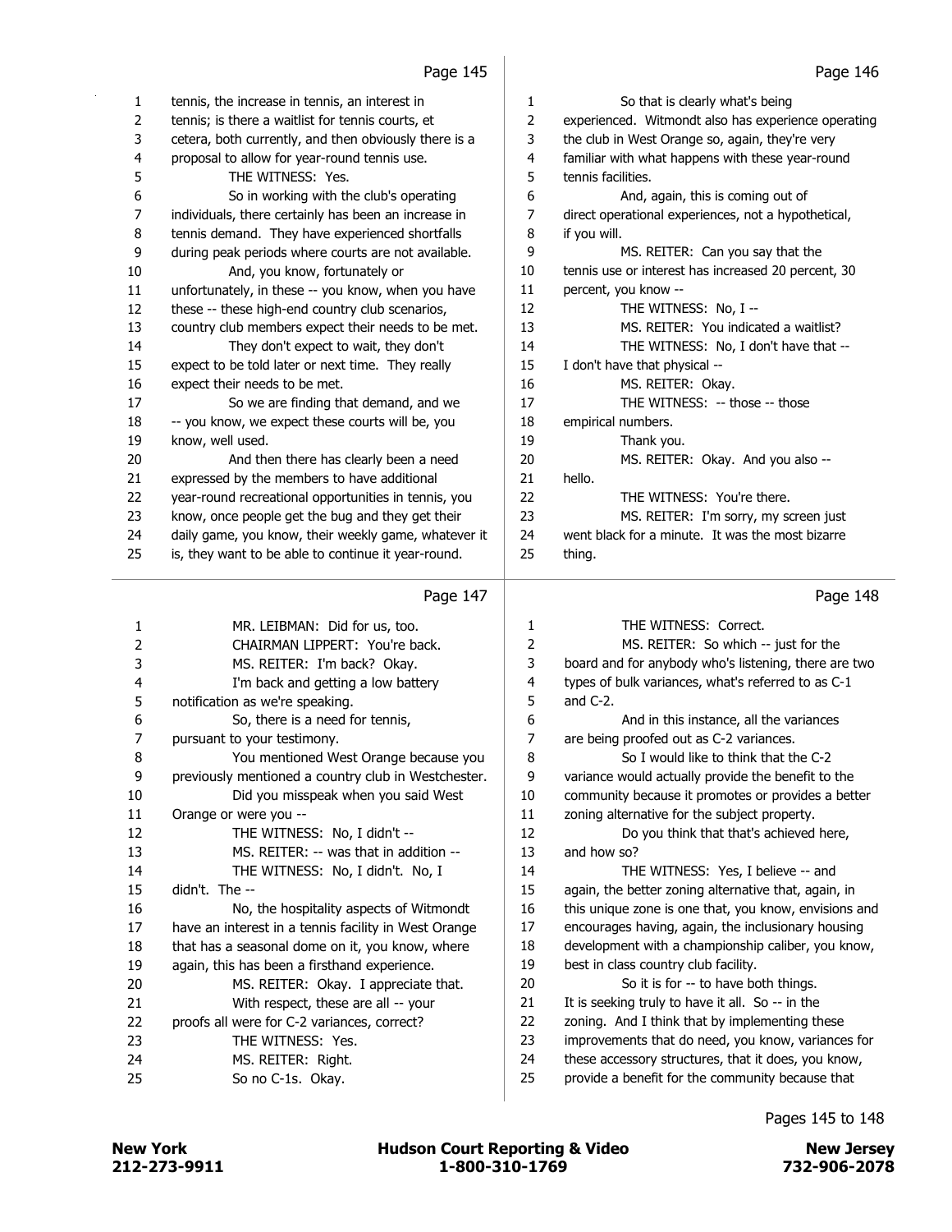| 1              | tennis, the increase in tennis, an interest in        | 1              | So that is clearly what's being                     |
|----------------|-------------------------------------------------------|----------------|-----------------------------------------------------|
| $\overline{2}$ | tennis; is there a waitlist for tennis courts, et     | $\overline{2}$ | experienced. Witmondt also has experience operating |
| 3              | cetera, both currently, and then obviously there is a | 3              | the club in West Orange so, again, they're very     |
| 4              | proposal to allow for year-round tennis use.          | 4              | familiar with what happens with these year-round    |
| 5              | THE WITNESS: Yes.                                     | 5              | tennis facilities.                                  |
| 6              | So in working with the club's operating               | 6              | And, again, this is coming out of                   |
| 7              | individuals, there certainly has been an increase in  | 7              | direct operational experiences, not a hypothetical, |
| 8              | tennis demand. They have experienced shortfalls       | 8              | if you will.                                        |
| 9              | during peak periods where courts are not available.   | 9              | MS. REITER: Can you say that the                    |
| 10             | And, you know, fortunately or                         | 10             | tennis use or interest has increased 20 percent, 30 |
| 11             | unfortunately, in these -- you know, when you have    | 11             | percent, you know --                                |
| 12             | these -- these high-end country club scenarios,       | 12             | THE WITNESS: No, I --                               |
| 13             | country club members expect their needs to be met.    | 13             | MS. REITER: You indicated a waitlist?               |
| 14             | They don't expect to wait, they don't                 | 14             | THE WITNESS: No, I don't have that --               |
| 15             | expect to be told later or next time. They really     | 15             | I don't have that physical --                       |
| 16             | expect their needs to be met.                         | 16             | MS. REITER: Okay.                                   |
| 17             | So we are finding that demand, and we                 | 17             | THE WITNESS: -- those -- those                      |
| 18             | -- you know, we expect these courts will be, you      | 18             | empirical numbers.                                  |
| 19             | know, well used.                                      | 19             | Thank you.                                          |
| 20             | And then there has clearly been a need                | 20             | MS. REITER: Okay. And you also --                   |
| 21             | expressed by the members to have additional           | 21             | hello.                                              |
| 22             | year-round recreational opportunities in tennis, you  | 22             | THE WITNESS: You're there.                          |
| 23             | know, once people get the bug and they get their      | 23             | MS. REITER: I'm sorry, my screen just               |
| 24             | daily game, you know, their weekly game, whatever it  | 24             | went black for a minute. It was the most bizarre    |
| 25             | is, they want to be able to continue it year-round.   | 25             | thing.                                              |
|                |                                                       |                |                                                     |

|                | Page 147                                             |    | Page 148                                              |
|----------------|------------------------------------------------------|----|-------------------------------------------------------|
| 1              | MR. LEIBMAN: Did for us, too.                        | 1  | THE WITNESS: Correct.                                 |
| $\overline{2}$ | CHAIRMAN LIPPERT: You're back.                       | 2  | MS. REITER: So which -- just for the                  |
| 3              | MS. REITER: I'm back? Okay.                          | 3  | board and for anybody who's listening, there are two  |
| 4              | I'm back and getting a low battery                   | 4  | types of bulk variances, what's referred to as C-1    |
| 5              | notification as we're speaking.                      | 5  | and $C-2$ .                                           |
| 6              | So, there is a need for tennis,                      | 6  | And in this instance, all the variances               |
| 7              | pursuant to your testimony.                          | 7  | are being proofed out as C-2 variances.               |
| 8              | You mentioned West Orange because you                | 8  | So I would like to think that the C-2                 |
| 9              | previously mentioned a country club in Westchester.  | 9  | variance would actually provide the benefit to the    |
| 10             | Did you misspeak when you said West                  | 10 | community because it promotes or provides a better    |
| 11             | Orange or were you --                                | 11 | zoning alternative for the subject property.          |
| 12             | THE WITNESS: No, I didn't --                         | 12 | Do you think that that's achieved here,               |
| 13             | MS. REITER: -- was that in addition --               | 13 | and how so?                                           |
| 14             | THE WITNESS: No, I didn't. No, I                     | 14 | THE WITNESS: Yes, I believe -- and                    |
| 15             | didn't. The --                                       | 15 | again, the better zoning alternative that, again, in  |
| 16             | No, the hospitality aspects of Witmondt              | 16 | this unique zone is one that, you know, envisions and |
| 17             | have an interest in a tennis facility in West Orange | 17 | encourages having, again, the inclusionary housing    |
| 18             | that has a seasonal dome on it, you know, where      | 18 | development with a championship caliber, you know,    |
| 19             | again, this has been a firsthand experience.         | 19 | best in class country club facility.                  |
| 20             | MS. REITER: Okay. I appreciate that.                 | 20 | So it is for -- to have both things.                  |
| 21             | With respect, these are all -- your                  | 21 | It is seeking truly to have it all. So -- in the      |
| 22             | proofs all were for C-2 variances, correct?          | 22 | zoning. And I think that by implementing these        |
| 23             | THE WITNESS: Yes.                                    | 23 | improvements that do need, you know, variances for    |
| 24             | MS. REITER: Right.                                   | 24 | these accessory structures, that it does, you know,   |
| 25             | So no C-1s. Okay.                                    | 25 | provide a benefit for the community because that      |
|                |                                                      |    |                                                       |

Pages 145 to 148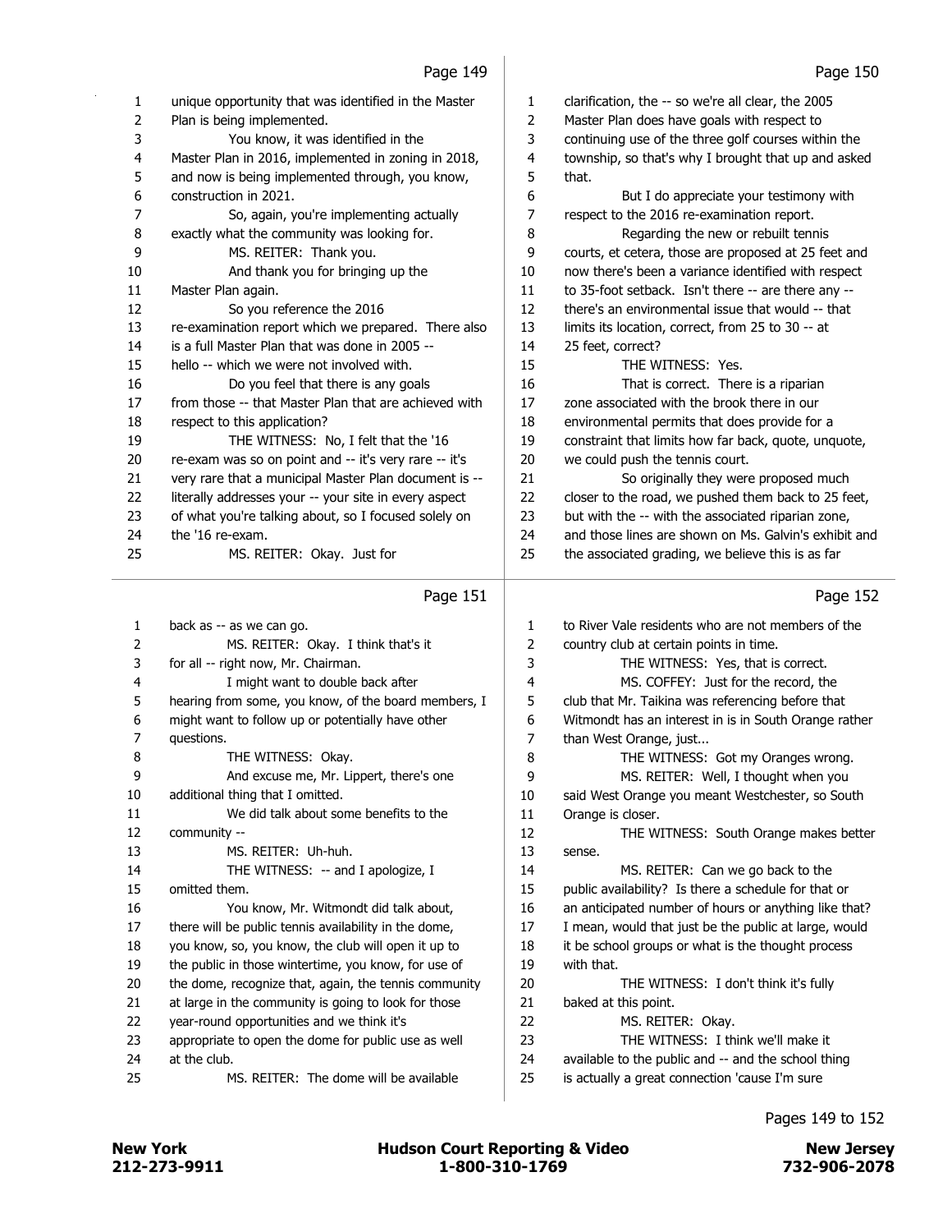|          | raye 149                                                                                                     |          | raye 150                                                                                                    |
|----------|--------------------------------------------------------------------------------------------------------------|----------|-------------------------------------------------------------------------------------------------------------|
| 1        | unique opportunity that was identified in the Master                                                         | 1        | clarification, the -- so we're all clear, the 2005                                                          |
| 2        | Plan is being implemented.                                                                                   | 2        | Master Plan does have goals with respect to                                                                 |
| 3        | You know, it was identified in the                                                                           | 3        | continuing use of the three golf courses within the                                                         |
| 4        | Master Plan in 2016, implemented in zoning in 2018,                                                          | 4        | township, so that's why I brought that up and asked                                                         |
| 5        | and now is being implemented through, you know,                                                              | 5        | that.                                                                                                       |
| 6        | construction in 2021.                                                                                        | 6        | But I do appreciate your testimony with                                                                     |
| 7        | So, again, you're implementing actually                                                                      | 7        | respect to the 2016 re-examination report.                                                                  |
| 8        | exactly what the community was looking for.                                                                  | 8        | Regarding the new or rebuilt tennis                                                                         |
| 9        | MS. REITER: Thank you.                                                                                       | 9        | courts, et cetera, those are proposed at 25 feet and                                                        |
| 10       | And thank you for bringing up the                                                                            | 10       | now there's been a variance identified with respect                                                         |
| 11       | Master Plan again.                                                                                           | 11       | to 35-foot setback. Isn't there -- are there any --                                                         |
| 12       | So you reference the 2016                                                                                    | 12       | there's an environmental issue that would -- that                                                           |
| 13       | re-examination report which we prepared. There also                                                          | 13       | limits its location, correct, from 25 to 30 -- at                                                           |
| 14       | is a full Master Plan that was done in 2005 --                                                               | 14       | 25 feet, correct?                                                                                           |
| 15       | hello -- which we were not involved with.                                                                    | 15       | THE WITNESS: Yes.                                                                                           |
| 16       | Do you feel that there is any goals                                                                          | 16       | That is correct. There is a riparian                                                                        |
| 17       | from those -- that Master Plan that are achieved with                                                        | 17       | zone associated with the brook there in our                                                                 |
| 18       | respect to this application?                                                                                 | 18       | environmental permits that does provide for a                                                               |
| 19       | THE WITNESS: No, I felt that the '16                                                                         | 19       |                                                                                                             |
|          |                                                                                                              | 20       | constraint that limits how far back, quote, unquote,                                                        |
| 20       | re-exam was so on point and -- it's very rare -- it's                                                        |          | we could push the tennis court.                                                                             |
| 21       | very rare that a municipal Master Plan document is --                                                        | 21       | So originally they were proposed much                                                                       |
| 22       | literally addresses your -- your site in every aspect                                                        | 22       | closer to the road, we pushed them back to 25 feet,                                                         |
| 23       | of what you're talking about, so I focused solely on                                                         | 23       | but with the -- with the associated riparian zone,                                                          |
| 24       | the '16 re-exam.                                                                                             | 24       | and those lines are shown on Ms. Galvin's exhibit and                                                       |
| 25       | MS. REITER: Okay. Just for                                                                                   | 25       | the associated grading, we believe this is as far                                                           |
|          |                                                                                                              |          |                                                                                                             |
|          |                                                                                                              |          |                                                                                                             |
|          | Page 151                                                                                                     |          | Page 152                                                                                                    |
| 1        | back as -- as we can go.                                                                                     | 1        | to River Vale residents who are not members of the                                                          |
| 2        | MS. REITER: Okay. I think that's it                                                                          | 2        | country club at certain points in time.                                                                     |
| 3        | for all -- right now, Mr. Chairman.                                                                          | 3        | THE WITNESS: Yes, that is correct.                                                                          |
| 4        | I might want to double back after                                                                            | 4        | MS. COFFEY: Just for the record, the                                                                        |
| 5        | hearing from some, you know, of the board members, I                                                         | 5        | club that Mr. Taikina was referencing before that                                                           |
| 6        | might want to follow up or potentially have other                                                            | 6        | Witmondt has an interest in is in South Orange rather                                                       |
| 7        | questions.                                                                                                   | 7        | than West Orange, just                                                                                      |
| 8        | THE WITNESS: Okay.                                                                                           | 8        | THE WITNESS: Got my Oranges wrong.                                                                          |
| 9        | And excuse me, Mr. Lippert, there's one                                                                      | 9        | MS. REITER: Well, I thought when you                                                                        |
| 10       | additional thing that I omitted.                                                                             | 10       | said West Orange you meant Westchester, so South                                                            |
| $11\,$   | We did talk about some benefits to the                                                                       | 11       | Orange is closer.                                                                                           |
| 12       | community --                                                                                                 | 12       | THE WITNESS: South Orange makes better                                                                      |
| 13       | MS. REITER: Uh-huh.                                                                                          | 13       | sense.                                                                                                      |
| 14       | THE WITNESS: -- and I apologize, I                                                                           | 14       | MS. REITER: Can we go back to the                                                                           |
| 15       | omitted them.                                                                                                | 15       | public availability? Is there a schedule for that or                                                        |
| 16       | You know, Mr. Witmondt did talk about,                                                                       | 16       | an anticipated number of hours or anything like that?                                                       |
|          |                                                                                                              |          |                                                                                                             |
| 17<br>18 | there will be public tennis availability in the dome,<br>you know, so, you know, the club will open it up to | 17<br>18 | I mean, would that just be the public at large, would<br>it be school groups or what is the thought process |
| 19       | the public in those wintertime, you know, for use of                                                         | 19       | with that.                                                                                                  |
| 20       | the dome, recognize that, again, the tennis community                                                        |          |                                                                                                             |
| 21       |                                                                                                              | 20       | THE WITNESS: I don't think it's fully                                                                       |
| 22       | at large in the community is going to look for those                                                         | 21       | baked at this point.                                                                                        |
| 23       | year-round opportunities and we think it's                                                                   | 22       | MS. REITER: Okay.                                                                                           |
| 24       | appropriate to open the dome for public use as well<br>at the club.                                          | 23<br>24 | THE WITNESS: I think we'll make it                                                                          |
| 25       | MS. REITER: The dome will be available                                                                       | 25       | available to the public and -- and the school thing<br>is actually a great connection 'cause I'm sure       |

 $\bar{z}$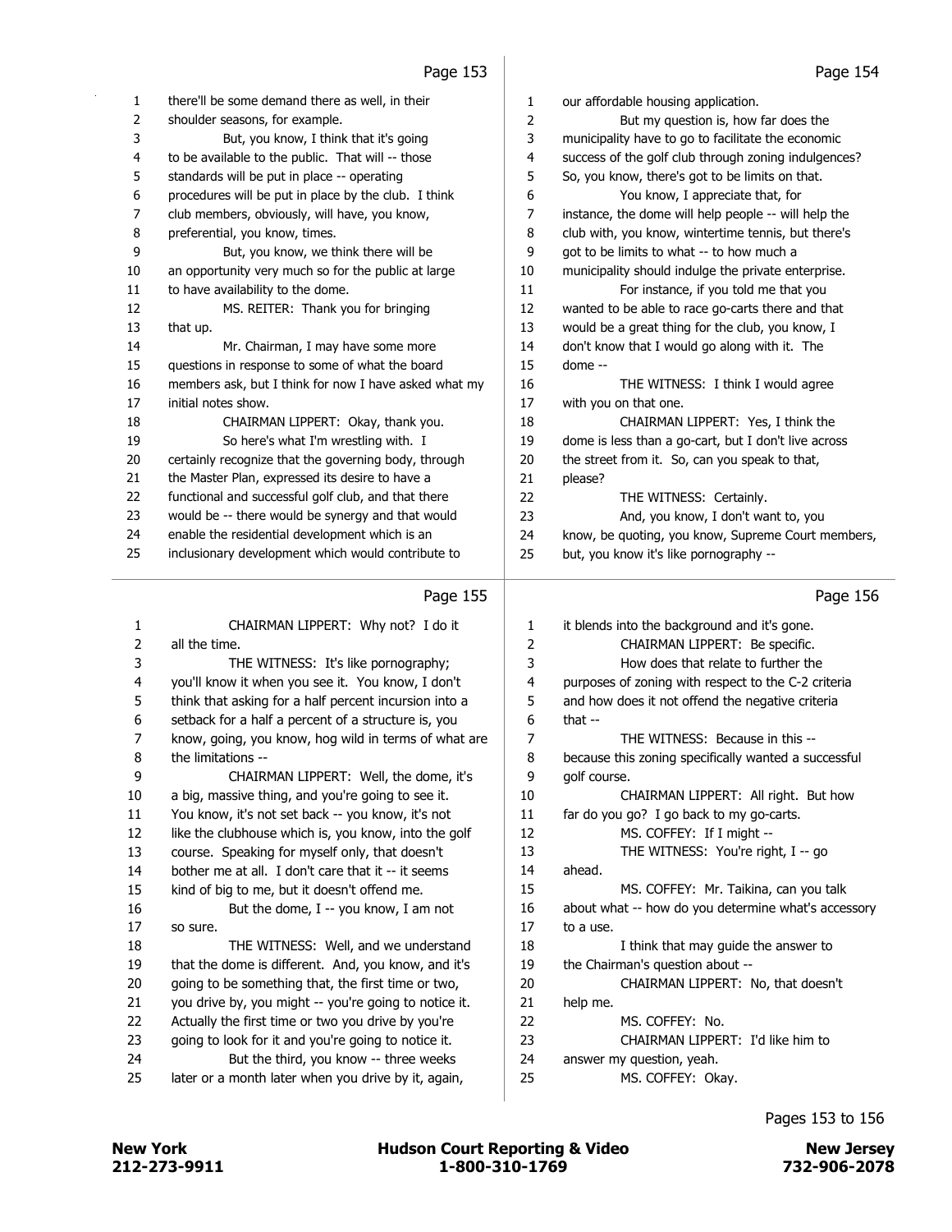|          | cci byr                                                                                            |              | raye 154                                                                 |
|----------|----------------------------------------------------------------------------------------------------|--------------|--------------------------------------------------------------------------|
| 1        | there'll be some demand there as well, in their                                                    | 1            | our affordable housing application.                                      |
| 2        | shoulder seasons, for example.                                                                     | 2            | But my question is, how far does the                                     |
| 3        | But, you know, I think that it's going                                                             | 3            | municipality have to go to facilitate the economic                       |
| 4        | to be available to the public. That will -- those                                                  | 4            | success of the golf club through zoning indulgences?                     |
| 5        | standards will be put in place -- operating                                                        | 5            | So, you know, there's got to be limits on that.                          |
| 6        | procedures will be put in place by the club. I think                                               | 6            | You know, I appreciate that, for                                         |
| 7        | club members, obviously, will have, you know,                                                      | 7            | instance, the dome will help people -- will help the                     |
| 8        | preferential, you know, times.                                                                     | 8            | club with, you know, wintertime tennis, but there's                      |
| 9        | But, you know, we think there will be                                                              | 9            | got to be limits to what -- to how much a                                |
| 10       | an opportunity very much so for the public at large                                                | 10           | municipality should indulge the private enterprise.                      |
| 11       | to have availability to the dome.                                                                  | 11           | For instance, if you told me that you                                    |
| 12       | MS. REITER: Thank you for bringing                                                                 | 12           | wanted to be able to race go-carts there and that                        |
| 13       | that up.                                                                                           | 13           | would be a great thing for the club, you know, I                         |
| 14       | Mr. Chairman, I may have some more                                                                 | 14           | don't know that I would go along with it. The                            |
| 15       | questions in response to some of what the board                                                    | 15           | dome --                                                                  |
| 16       | members ask, but I think for now I have asked what my                                              | 16           | THE WITNESS: I think I would agree                                       |
| $17\,$   | initial notes show.                                                                                | 17           | with you on that one.                                                    |
| 18       | CHAIRMAN LIPPERT: Okay, thank you.                                                                 | 18           | CHAIRMAN LIPPERT: Yes, I think the                                       |
| 19       | So here's what I'm wrestling with. I                                                               | 19           | dome is less than a go-cart, but I don't live across                     |
| 20       | certainly recognize that the governing body, through                                               | 20           | the street from it. So, can you speak to that,                           |
| 21       | the Master Plan, expressed its desire to have a                                                    | 21           | please?                                                                  |
| 22       | functional and successful golf club, and that there                                                | 22           | THE WITNESS: Certainly.                                                  |
| 23       | would be -- there would be synergy and that would                                                  | 23           | And, you know, I don't want to, you                                      |
| 24       | enable the residential development which is an                                                     | 24           | know, be quoting, you know, Supreme Court members,                       |
| 25       | inclusionary development which would contribute to                                                 | 25           | but, you know it's like pornography --                                   |
|          |                                                                                                    |              |                                                                          |
|          | Page 155                                                                                           |              | Page 156                                                                 |
|          |                                                                                                    |              |                                                                          |
| 1        | CHAIRMAN LIPPERT: Why not? I do it                                                                 | 1            | it blends into the background and it's gone.                             |
| 2        | all the time.                                                                                      | 2            | CHAIRMAN LIPPERT: Be specific.                                           |
| 3        | THE WITNESS: It's like pornography;                                                                | 3            | How does that relate to further the                                      |
| 4        | you'll know it when you see it. You know, I don't                                                  | 4            | purposes of zoning with respect to the C-2 criteria                      |
| 5        | think that asking for a half percent incursion into a                                              | 5            | and how does it not offend the negative criteria                         |
| 6        | setback for a half a percent of a structure is, you                                                | 6            | that $-$<br>THE WITNESS: Because in this --                              |
| 7        | know, going, you know, hog wild in terms of what are                                               | 7            |                                                                          |
| 8        | the limitations --                                                                                 | 8            | because this zoning specifically wanted a successful                     |
| 9        | CHAIRMAN LIPPERT: Well, the dome, it's                                                             | 9            | golf course.                                                             |
| 10       | a big, massive thing, and you're going to see it.                                                  | 10           | CHAIRMAN LIPPERT: All right. But how                                     |
| 11<br>12 | You know, it's not set back -- you know, it's not                                                  | $11\,$<br>12 | far do you go? I go back to my go-carts.<br>MS. COFFEY: If I might --    |
|          | like the clubhouse which is, you know, into the golf                                               | 13           |                                                                          |
| 13       | course. Speaking for myself only, that doesn't                                                     |              | THE WITNESS: You're right, I -- go                                       |
| 14       | bother me at all. I don't care that it -- it seems<br>kind of big to me, but it doesn't offend me. | 14<br>15     | ahead.<br>MS. COFFEY: Mr. Taikina, can you talk                          |
| 15       |                                                                                                    |              |                                                                          |
| 16       | But the dome, I -- you know, I am not                                                              | 16           | about what -- how do you determine what's accessory                      |
| 17       | so sure.                                                                                           | 17<br>18     | to a use.                                                                |
| 18       | THE WITNESS: Well, and we understand                                                               | 19           | I think that may guide the answer to<br>the Chairman's question about -- |
| 19       | that the dome is different. And, you know, and it's                                                |              |                                                                          |
| 20       | going to be something that, the first time or two,                                                 | 20           | CHAIRMAN LIPPERT: No, that doesn't                                       |
| 21       | you drive by, you might -- you're going to notice it.                                              | 21           | help me.                                                                 |
| 22       | Actually the first time or two you drive by you're                                                 | 22           | MS. COFFEY: No.                                                          |
| 23<br>24 | going to look for it and you're going to notice it.                                                | 23<br>24     | CHAIRMAN LIPPERT: I'd like him to                                        |
| 25       | But the third, you know -- three weeks<br>later or a month later when you drive by it, again,      | 25           | answer my question, yeah.<br>MS. COFFEY: Okay.                           |
|          |                                                                                                    |              |                                                                          |
|          |                                                                                                    |              |                                                                          |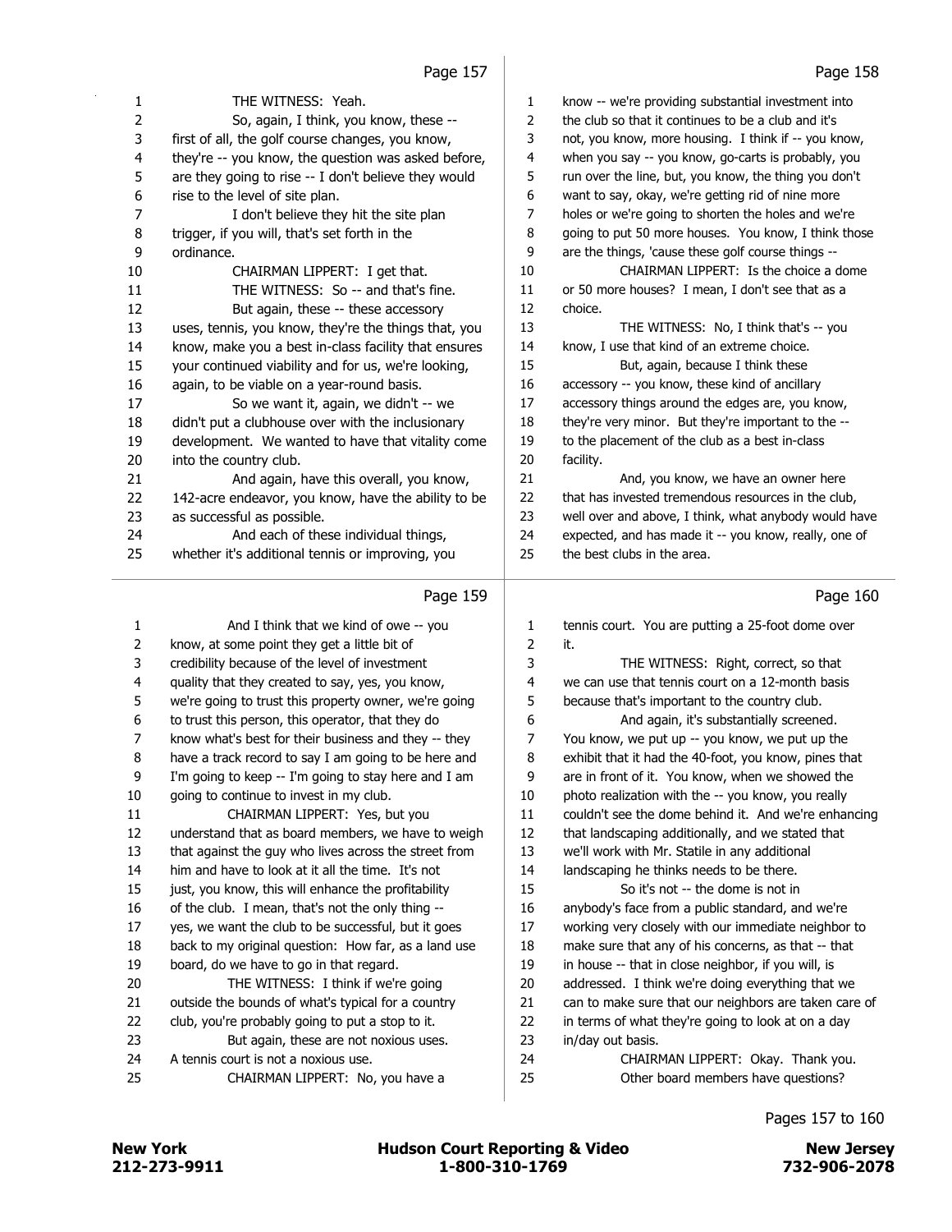| $\mathbf{1}$   | THE WITNESS: Yeah.                                   | 1  |
|----------------|------------------------------------------------------|----|
| $\overline{2}$ | So, again, I think, you know, these --               | 2  |
| 3              | first of all, the golf course changes, you know,     | 3  |
| $\overline{4}$ | they're -- you know, the question was asked before,  | 4  |
| 5              | are they going to rise -- I don't believe they would | 5  |
| 6              | rise to the level of site plan.                      | 6  |
| 7              | I don't believe they hit the site plan               | 7  |
| 8              | trigger, if you will, that's set forth in the        | 8  |
| 9              | ordinance.                                           | 9  |
| 10             | CHAIRMAN LIPPERT: I get that.                        | 10 |
| 11             | THE WITNESS: So -- and that's fine.                  | 11 |
| 12             | But again, these -- these accessory                  | 12 |
| 13             | uses, tennis, you know, they're the things that, you | 13 |
| 14             | know, make you a best in-class facility that ensures | 14 |
| 15             | your continued viability and for us, we're looking,  | 15 |
| 16             | again, to be viable on a year-round basis.           | 16 |
| 17             | So we want it, again, we didn't -- we                | 17 |
| 18             | didn't put a clubhouse over with the inclusionary    | 18 |
| 19             | development. We wanted to have that vitality come    | 19 |
| 20             | into the country club.                               | 20 |
| 21             | And again, have this overall, you know,              | 21 |
| 22             | 142-acre endeavor, you know, have the ability to be  | 22 |
| 23             | as successful as possible.                           | 23 |
| 24             | And each of these individual things,                 | 24 |
| 25             | whether it's additional tennis or improving, you     | 25 |
|                | Page 159                                             |    |
| $\mathbf{1}$   | And I think that we kind of owe -- you               | 1  |
| 2              | know, at some point they get a little bit of         | 2  |
| 3              | credibility because of the level of investment       | 3  |
| 4              | quality that they created to say, yes, you know,     | 4  |
|                |                                                      |    |

| $\mathbf{1}$ | And I think that we kind of owe -- you                | $\mathbf{1}$ | tennis cor |
|--------------|-------------------------------------------------------|--------------|------------|
|              |                                                       |              |            |
| 2            | know, at some point they get a little bit of          | 2            | it.        |
| 3            | credibility because of the level of investment        | 3            |            |
| 4            | quality that they created to say, yes, you know,      | 4            | we can us  |
| 5            | we're going to trust this property owner, we're going | 5            | because t  |
| 6            | to trust this person, this operator, that they do     | 6            |            |
| 7            | know what's best for their business and they -- they  | 7            | You know   |
| 8            | have a track record to say I am going to be here and  | 8            | exhibit th |
| 9            | I'm going to keep -- I'm going to stay here and I am  | 9            | are in fro |
| 10           | going to continue to invest in my club.               | 10           | photo rea  |
| 11           | CHAIRMAN LIPPERT: Yes, but you                        | 11           | couldn't s |
| 12           | understand that as board members, we have to weigh    | 12           | that lands |
| 13           | that against the guy who lives across the street from | 13           | we'll worl |
| 14           | him and have to look at it all the time. It's not     | 14           | landscapi  |
| 15           | just, you know, this will enhance the profitability   | 15           |            |
| 16           | of the club. I mean, that's not the only thing --     | 16           | anybody's  |
| 17           | yes, we want the club to be successful, but it goes   | 17           | working v  |
| 18           | back to my original question: How far, as a land use  | 18           | make sur   |
| 19           | board, do we have to go in that regard.               | 19           | in house   |
| 20           | THE WITNESS: I think if we're going                   | 20           | addressed  |
| 21           | outside the bounds of what's typical for a country    | 21           | can to ma  |
| 22           | club, you're probably going to put a stop to it.      | 22           | in terms o |
| 23           | But again, these are not noxious uses.                | 23           | in/day ou  |
| 24           | A tennis court is not a noxious use.                  | 24           |            |
| 25           | CHAIRMAN LIPPERT: No, you have a                      | 25           |            |
|              |                                                       |              |            |
|              |                                                       |              |            |

| $\mathbf{1}$   | know -- we're providing substantial investment into   |
|----------------|-------------------------------------------------------|
| $\overline{2}$ | the club so that it continues to be a club and it's   |
| 3              | not, you know, more housing. I think if -- you know,  |
| 4              | when you say -- you know, go-carts is probably, you   |
| 5              | run over the line, but, you know, the thing you don't |
| 6              | want to say, okay, we're getting rid of nine more     |
| 7              | holes or we're going to shorten the holes and we're   |
| 8              | going to put 50 more houses. You know, I think those  |
| 9              | are the things, 'cause these golf course things --    |
| 10             | CHAIRMAN LIPPERT: Is the choice a dome                |
| 11             | or 50 more houses? I mean, I don't see that as a      |
| 12             | choice.                                               |
| 13             | THE WITNESS: No, I think that's -- you                |
| 14             | know. I use that kind of an extreme choice.           |
| 15             | But, again, because I think these                     |
| 16             | accessory -- you know, these kind of ancillary        |
| 17             | accessory things around the edges are, you know,      |
| 18             | they're very minor. But they're important to the --   |
| 19             | to the placement of the club as a best in-class       |
| 20             | facility.                                             |
| 21             | And, you know, we have an owner here                  |
| 22             | that has invested tremendous resources in the club,   |
| 23             | well over and above, I think, what anybody would have |
| 24             | expected, and has made it -- you know, really, one of |

the best clubs in the area.

#### Page 160

| 1              | tennis court. You are putting a 25-foot dome over     |
|----------------|-------------------------------------------------------|
| $\overline{2}$ | it.                                                   |
| 3              | THE WITNESS: Right, correct, so that                  |
| $\overline{4}$ | we can use that tennis court on a 12-month basis      |
| 5              | because that's important to the country club.         |
| 6              | And again, it's substantially screened.               |
| 7              | You know, we put up -- you know, we put up the        |
| 8              | exhibit that it had the 40-foot, you know, pines that |
| 9              | are in front of it. You know, when we showed the      |
| 10             | photo realization with the -- you know, you really    |
| 11             | couldn't see the dome behind it. And we're enhancing  |
| 12             | that landscaping additionally, and we stated that     |
| 13             | we'll work with Mr. Statile in any additional         |
| 14             | landscaping he thinks needs to be there.              |
| 15             | So it's not -- the dome is not in                     |
| 16             | anybody's face from a public standard, and we're      |
| 17             | working very closely with our immediate neighbor to   |
| 18             | make sure that any of his concerns, as that -- that   |
| 19             | in house -- that in close neighbor, if you will, is   |
| 20             | addressed. I think we're doing everything that we     |
| 21             | can to make sure that our neighbors are taken care of |
| 22             | in terms of what they're going to look at on a day    |
| 23             | in/day out basis.                                     |
| 24             | CHAIRMAN LIPPERT: Okay. Thank you.                    |
| 25             | Other board members have questions?                   |
|                |                                                       |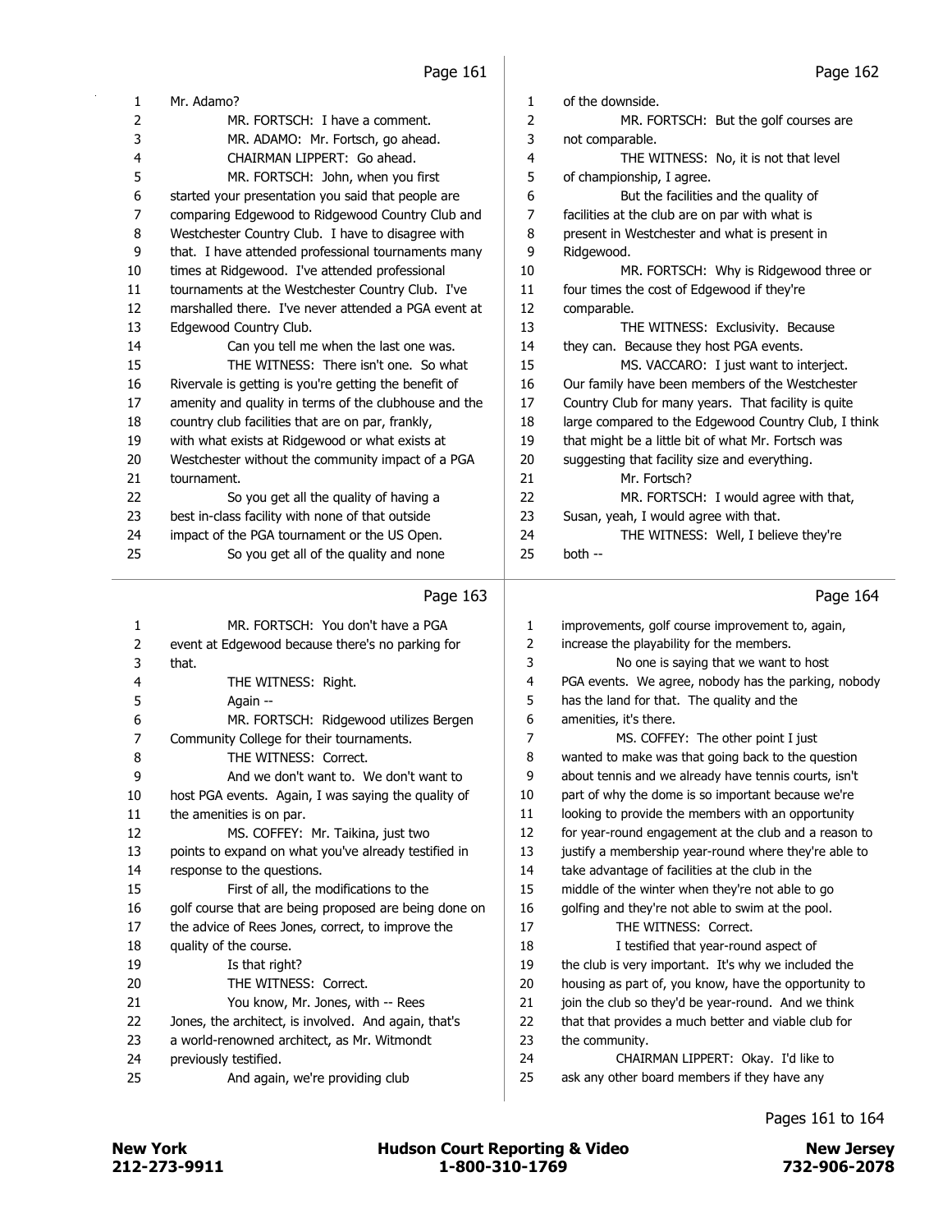| 1  | Mr. Adamo?                                            | 1  | of the downside.                                     |  |  |
|----|-------------------------------------------------------|----|------------------------------------------------------|--|--|
| 2  | MR. FORTSCH: I have a comment.                        | 2  | MR. FORTSCH: But the golf courses are                |  |  |
| 3  | MR. ADAMO: Mr. Fortsch, go ahead.                     | 3  | not comparable.                                      |  |  |
| 4  | CHAIRMAN LIPPERT: Go ahead.                           | 4  | THE WITNESS: No, it is not that level                |  |  |
| 5  | MR. FORTSCH: John, when you first                     | 5  | of championship, I agree.                            |  |  |
| 6  | started your presentation you said that people are    | 6  | But the facilities and the quality of                |  |  |
| 7  | comparing Edgewood to Ridgewood Country Club and      | 7  | facilities at the club are on par with what is       |  |  |
| 8  | Westchester Country Club. I have to disagree with     | 8  | present in Westchester and what is present in        |  |  |
| 9  | that. I have attended professional tournaments many   | 9  | Ridgewood.                                           |  |  |
| 10 | times at Ridgewood. I've attended professional        | 10 | MR. FORTSCH: Why is Ridgewood three or               |  |  |
| 11 | tournaments at the Westchester Country Club. I've     | 11 | four times the cost of Edgewood if they're           |  |  |
| 12 | marshalled there. I've never attended a PGA event at  | 12 | comparable.                                          |  |  |
| 13 | Edgewood Country Club.                                | 13 | THE WITNESS: Exclusivity. Because                    |  |  |
| 14 | Can you tell me when the last one was.                | 14 | they can. Because they host PGA events.              |  |  |
| 15 | THE WITNESS: There isn't one. So what                 | 15 | MS. VACCARO: I just want to interject.               |  |  |
| 16 | Rivervale is getting is you're getting the benefit of | 16 | Our family have been members of the Westchester      |  |  |
| 17 | amenity and quality in terms of the clubhouse and the | 17 | Country Club for many years. That facility is quite  |  |  |
| 18 | country club facilities that are on par, frankly,     | 18 | large compared to the Edgewood Country Club, I think |  |  |
| 19 | with what exists at Ridgewood or what exists at       | 19 | that might be a little bit of what Mr. Fortsch was   |  |  |
| 20 | Westchester without the community impact of a PGA     | 20 | suggesting that facility size and everything.        |  |  |
| 21 | tournament.                                           | 21 | Mr. Fortsch?                                         |  |  |
| 22 | So you get all the quality of having a                | 22 | MR. FORTSCH: I would agree with that,                |  |  |
| 23 | best in-class facility with none of that outside      | 23 | Susan, yeah, I would agree with that.                |  |  |
| 24 | impact of the PGA tournament or the US Open.          | 24 | THE WITNESS: Well, I believe they're                 |  |  |
| 25 | So you get all of the quality and none                | 25 | both --                                              |  |  |
|    | Page 163                                              |    | Page 164                                             |  |  |

| 1  | MR. FORTSCH: You don't have a PGA                     | 1  | improvements, golf cours   |
|----|-------------------------------------------------------|----|----------------------------|
| 2  | event at Edgewood because there's no parking for      | 2  | increase the playability f |
| 3  | that.                                                 | 3  | No one is sayin            |
| 4  | THE WITNESS: Right.                                   | 4  | PGA events. We agree,      |
| 5  | Again --                                              | 5  | has the land for that. Th  |
| 6  | MR. FORTSCH: Ridgewood utilizes Bergen                | 6  | amenities, it's there.     |
| 7  | Community College for their tournaments.              | 7  | MS. COFFEY:                |
| 8  | THE WITNESS: Correct.                                 | 8  | wanted to make was tha     |
| 9  | And we don't want to. We don't want to                | 9  | about tennis and we alre   |
| 10 | host PGA events. Again, I was saying the quality of   | 10 | part of why the dome is    |
| 11 | the amenities is on par.                              | 11 | looking to provide the m   |
| 12 | MS. COFFEY: Mr. Taikina, just two                     | 12 | for year-round engagem     |
| 13 | points to expand on what you've already testified in  | 13 | justify a membership yea   |
| 14 | response to the questions.                            | 14 | take advantage of faciliti |
| 15 | First of all, the modifications to the                | 15 | middle of the winter whe   |
| 16 | golf course that are being proposed are being done on | 16 | golfing and they're not a  |
| 17 | the advice of Rees Jones, correct, to improve the     | 17 | THE WITNESS:               |
| 18 | quality of the course.                                | 18 | I testified that           |
| 19 | Is that right?                                        | 19 | the club is very importan  |
| 20 | THE WITNESS: Correct.                                 | 20 | housing as part of, you k  |
| 21 | You know, Mr. Jones, with -- Rees                     | 21 | join the club so they'd be |
| 22 | Jones, the architect, is involved. And again, that's  | 22 | that that provides a muc   |
| 23 | a world-renowned architect, as Mr. Witmondt           | 23 | the community.             |
| 24 | previously testified.                                 | 24 | <b>CHAIRMAN LIP</b>        |
| 25 | And again, we're providing club                       | 25 | ask any other board mer    |
|    |                                                       |    |                            |

| 1  | improvements, golf course improvement to, again,      |
|----|-------------------------------------------------------|
| 2  | increase the playability for the members.             |
| 3  | No one is saying that we want to host                 |
| 4  | PGA events. We agree, nobody has the parking, nobody  |
| 5  | has the land for that. The quality and the            |
| 6  | amenities, it's there.                                |
| 7  | MS. COFFEY: The other point I just                    |
| 8  | wanted to make was that going back to the question    |
| 9  | about tennis and we already have tennis courts, isn't |
| 10 | part of why the dome is so important because we're    |
| 11 | looking to provide the members with an opportunity    |
| 12 | for year-round engagement at the club and a reason to |
| 13 | justify a membership year-round where they're able to |
| 14 | take advantage of facilities at the club in the       |
| 15 | middle of the winter when they're not able to go      |
| 16 | golfing and they're not able to swim at the pool.     |
| 17 | THE WITNESS: Correct.                                 |
| 18 | I testified that year-round aspect of                 |
| 19 | the club is very important. It's why we included the  |
| 20 | housing as part of, you know, have the opportunity to |
| 21 | join the club so they'd be year-round. And we think   |
| 22 | that that provides a much better and viable club for  |
| 23 | the community.                                        |
| 24 | CHAIRMAN LIPPERT: Okay. I'd like to                   |
| 25 | ask any other board members if they have any          |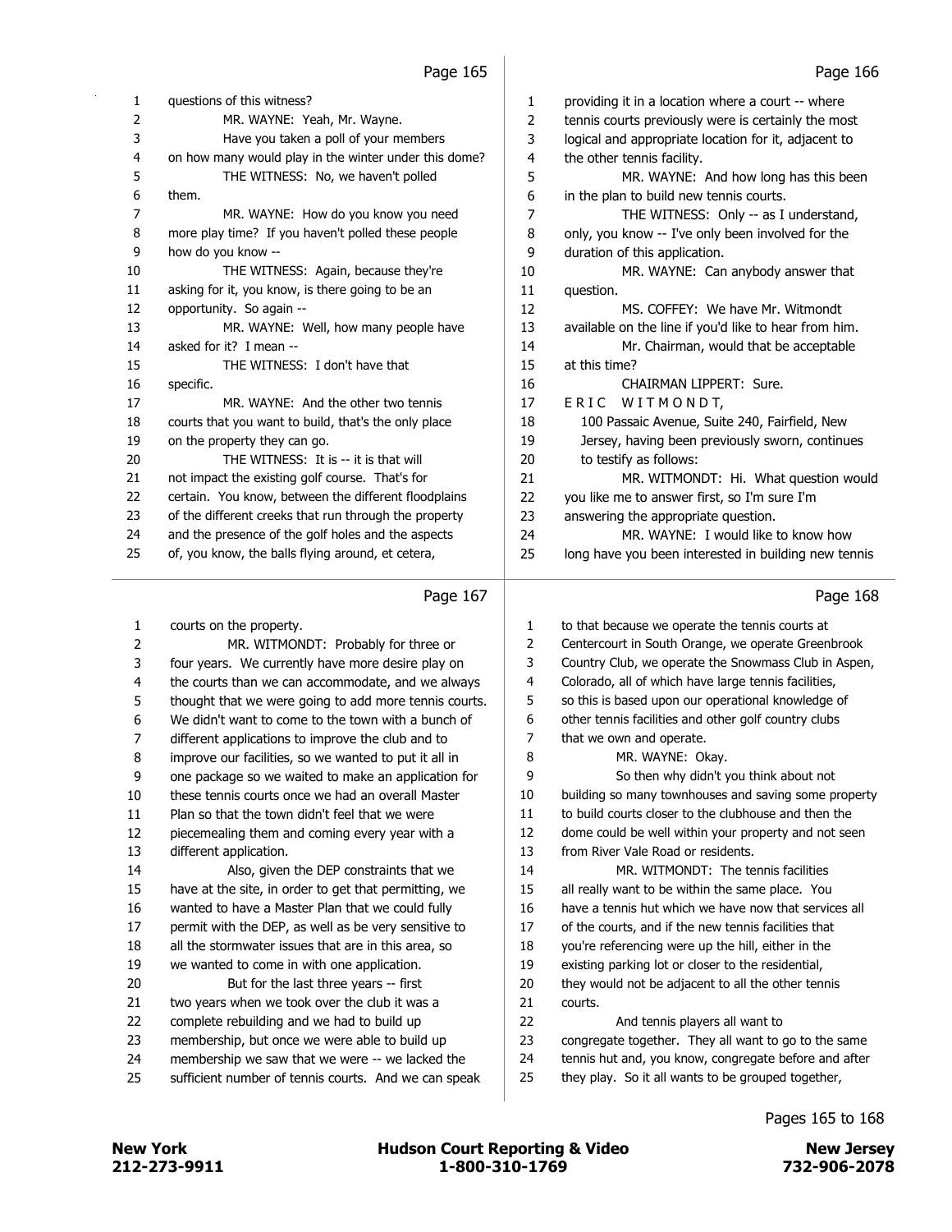| 1  | questions of this witness?                            |
|----|-------------------------------------------------------|
| 2  | MR. WAYNE: Yeah, Mr. Wayne.                           |
| 3  | Have you taken a poll of your members                 |
| 4  | on how many would play in the winter under this dome? |
| 5  | THE WITNESS: No, we haven't polled                    |
| 6  | them.                                                 |
| 7  | MR. WAYNE: How do you know you need                   |
| 8  | more play time? If you haven't polled these people    |
| 9  | how do you know --                                    |
| 10 | THE WITNESS: Again, because they're                   |
| 11 | asking for it, you know, is there going to be an      |
| 12 | opportunity. So again --                              |
| 13 | MR. WAYNE: Well, how many people have                 |
| 14 | asked for it? I mean --                               |
| 15 | THE WITNESS: I don't have that                        |
| 16 | specific.                                             |
| 17 | MR. WAYNE: And the other two tennis                   |
| 18 | courts that you want to build, that's the only place  |
| 19 | on the property they can go.                          |
| 20 | THE WITNESS: It is -- it is that will                 |
| 21 | not impact the existing golf course. That's for       |
| 22 | certain. You know, between the different floodplains  |
| 23 | of the different creeks that run through the property |
| 24 | and the presence of the golf holes and the aspects    |
| 25 | of, you know, the balls flying around, et cetera,     |

|                | $1.99$ $-1.07$                                        |                | . ugu .oo                                             |
|----------------|-------------------------------------------------------|----------------|-------------------------------------------------------|
| $\mathbf{1}$   | courts on the property.                               | $\mathbf{1}$   | to that because we operate the tennis courts at       |
| 2              | MR. WITMONDT: Probably for three or                   | $\overline{2}$ | Centercourt in South Orange, we operate Greenbrook    |
| 3              | four years. We currently have more desire play on     | 3              | Country Club, we operate the Snowmass Club in Aspen,  |
| 4              | the courts than we can accommodate, and we always     | 4              | Colorado, all of which have large tennis facilities,  |
| 5              | thought that we were going to add more tennis courts. | 5              | so this is based upon our operational knowledge of    |
| 6              | We didn't want to come to the town with a bunch of    | 6              | other tennis facilities and other golf country clubs  |
| $\overline{7}$ | different applications to improve the club and to     | 7              | that we own and operate.                              |
| 8              | improve our facilities, so we wanted to put it all in | 8              | MR. WAYNE: Okay.                                      |
| 9              | one package so we waited to make an application for   | 9              | So then why didn't you think about not                |
| 10             | these tennis courts once we had an overall Master     | 10             | building so many townhouses and saving some property  |
| 11             | Plan so that the town didn't feel that we were        | 11             | to build courts closer to the clubhouse and then the  |
| 12             | piecemealing them and coming every year with a        | 12             | dome could be well within your property and not seen  |
| 13             | different application.                                | 13             | from River Vale Road or residents.                    |
| 14             | Also, given the DEP constraints that we               | 14             | MR. WITMONDT: The tennis facilities                   |
| 15             | have at the site, in order to get that permitting, we | 15             | all really want to be within the same place. You      |
| 16             | wanted to have a Master Plan that we could fully      | 16             | have a tennis hut which we have now that services all |
| 17             | permit with the DEP, as well as be very sensitive to  | 17             | of the courts, and if the new tennis facilities that  |
| 18             | all the stormwater issues that are in this area, so   | 18             | you're referencing were up the hill, either in the    |
| 19             | we wanted to come in with one application.            | 19             | existing parking lot or closer to the residential,    |
| 20             | But for the last three years -- first                 | 20             | they would not be adjacent to all the other tennis    |
| 21             | two years when we took over the club it was a         | 21             | courts.                                               |
| 22             | complete rebuilding and we had to build up            | 22             | And tennis players all want to                        |
| 23             | membership, but once we were able to build up         | 23             | congregate together. They all want to go to the same  |
| 24             | membership we saw that we were -- we lacked the       | 24             | tennis hut and, you know, congregate before and after |
| 25             | sufficient number of tennis courts. And we can speak  | 25             | they play. So it all wants to be grouped together,    |
|                |                                                       |                |                                                       |

 providing it in a location where a court -- where tennis courts previously were is certainly the most logical and appropriate location for it, adjacent to the other tennis facility. 5 MR. WAYNE: And how long has this been in the plan to build new tennis courts. 7 THE WITNESS: Only -- as I understand, only, you know -- I've only been involved for the duration of this application. 10 MR. WAYNE: Can anybody answer that question. 12 MS. COFFEY: We have Mr. Witmondt available on the line if you'd like to hear from him. 14 Mr. Chairman, would that be acceptable at this time? 16 CHAIRMAN LIPPERT: Sure. 17 ERIC WITMONDT, 18 100 Passaic Avenue, Suite 240, Fairfield, New 19 Jersey, having been previously sworn, continues 20 to testify as follows: 21 MR. WITMONDT: Hi. What question would you like me to answer first, so I'm sure I'm answering the appropriate question.

24 MR. WAYNE: I would like to know how

long have you been interested in building new tennis

Page 168

212-273-9911 1-800-310-1769 732-906-2078 New York **New York COULD Hudson Court Reporting & Video** New Jersey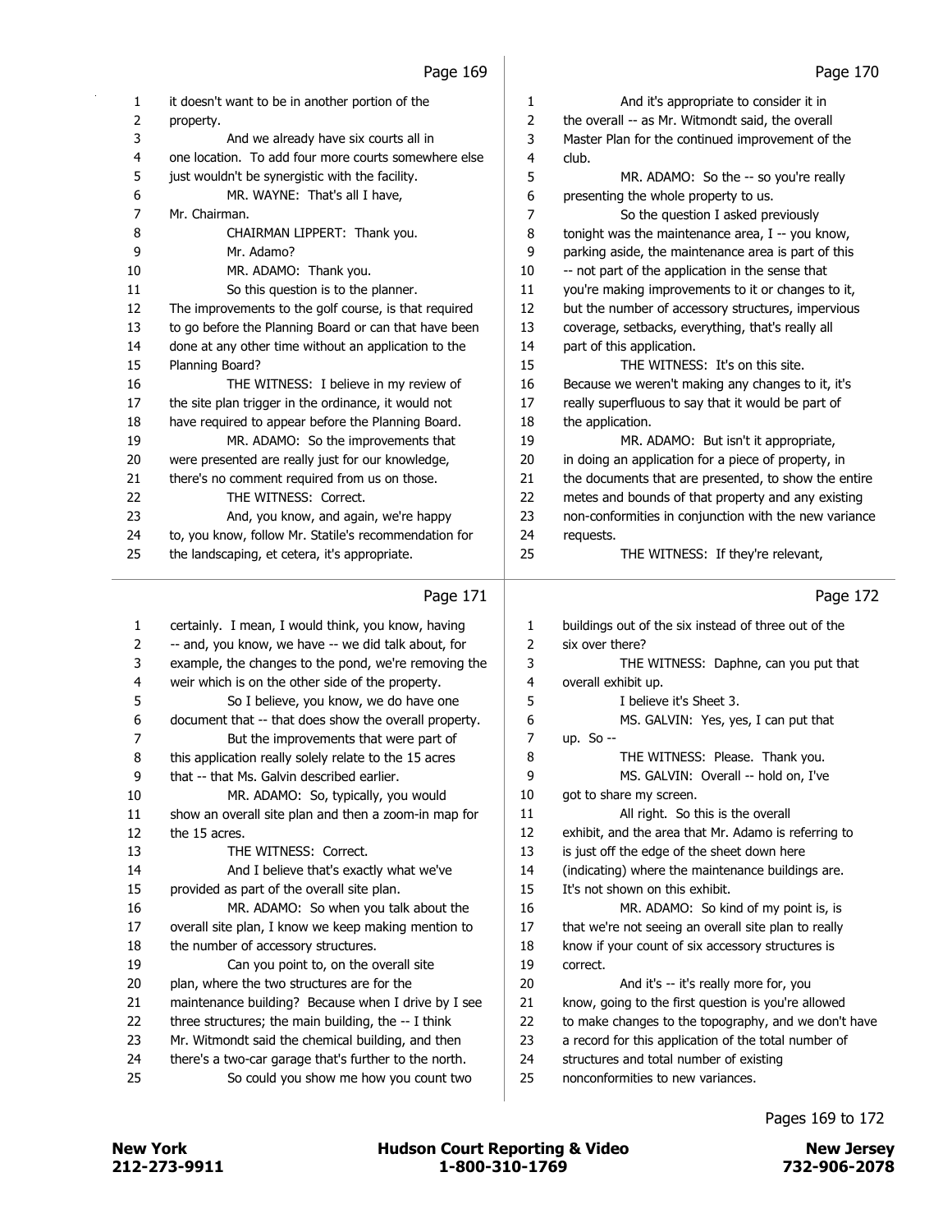| 1  | it doesn't want to be in another portion of the       | 1  | And it's appropriate to consider it in                |
|----|-------------------------------------------------------|----|-------------------------------------------------------|
| 2  | property.                                             | 2  | the overall -- as Mr. Witmondt said, the overall      |
| 3  | And we already have six courts all in                 | 3  | Master Plan for the continued improvement of the      |
| 4  | one location. To add four more courts somewhere else  | 4  | club.                                                 |
| 5  | just wouldn't be synergistic with the facility.       | 5  | MR. ADAMO: So the -- so you're really                 |
| 6  | MR. WAYNE: That's all I have,                         | 6  | presenting the whole property to us.                  |
| 7  | Mr. Chairman.                                         | 7  | So the question I asked previously                    |
| 8  | CHAIRMAN LIPPERT: Thank you.                          | 8  | tonight was the maintenance area, I -- you know,      |
| 9  | Mr. Adamo?                                            | 9  | parking aside, the maintenance area is part of this   |
| 10 | MR. ADAMO: Thank you.                                 | 10 | -- not part of the application in the sense that      |
| 11 | So this question is to the planner.                   | 11 | you're making improvements to it or changes to it,    |
| 12 | The improvements to the golf course, is that required | 12 | but the number of accessory structures, impervious    |
| 13 | to go before the Planning Board or can that have been | 13 | coverage, setbacks, everything, that's really all     |
| 14 | done at any other time without an application to the  | 14 | part of this application.                             |
| 15 | Planning Board?                                       | 15 | THE WITNESS: It's on this site.                       |
| 16 | THE WITNESS: I believe in my review of                | 16 | Because we weren't making any changes to it, it's     |
| 17 | the site plan trigger in the ordinance, it would not  | 17 | really superfluous to say that it would be part of    |
| 18 | have required to appear before the Planning Board.    | 18 | the application.                                      |
| 19 | MR. ADAMO: So the improvements that                   | 19 | MR. ADAMO: But isn't it appropriate,                  |
| 20 | were presented are really just for our knowledge,     | 20 | in doing an application for a piece of property, in   |
| 21 | there's no comment required from us on those.         | 21 | the documents that are presented, to show the entire  |
| 22 | THE WITNESS: Correct.                                 | 22 | metes and bounds of that property and any existing    |
| 23 | And, you know, and again, we're happy                 | 23 | non-conformities in conjunction with the new variance |
| 24 | to, you know, follow Mr. Statile's recommendation for | 24 | requests.                                             |
| 25 | the landscaping, et cetera, it's appropriate.         | 25 | THE WITNESS: If they're relevant,                     |
|    | Page 171                                              |    | Page 172                                              |

#### 'Y'

| 1  | certainly. I mean, I would think, you know, having    | 1  | buildings out of the six instead of three out of the |
|----|-------------------------------------------------------|----|------------------------------------------------------|
| 2  | -- and, you know, we have -- we did talk about, for   | 2  | six over there?                                      |
| 3  | example, the changes to the pond, we're removing the  | 3  | THE WITNESS: Daphne, can you put that                |
| 4  | weir which is on the other side of the property.      | 4  | overall exhibit up.                                  |
| 5  | So I believe, you know, we do have one                | 5  | I believe it's Sheet 3.                              |
| 6  | document that -- that does show the overall property. | 6  | MS. GALVIN: Yes, yes, I can put that                 |
| 7  | But the improvements that were part of                | 7  | up. So $-$                                           |
| 8  | this application really solely relate to the 15 acres | 8  | THE WITNESS: Please. Thank you.                      |
| 9  | that -- that Ms. Galvin described earlier.            | 9  | MS. GALVIN: Overall -- hold on, I've                 |
| 10 | MR. ADAMO: So, typically, you would                   | 10 | got to share my screen.                              |
| 11 | show an overall site plan and then a zoom-in map for  | 11 | All right. So this is the overall                    |
| 12 | the 15 acres.                                         | 12 | exhibit, and the area that Mr. Adamo is referring to |
| 13 | THE WITNESS: Correct.                                 | 13 | is just off the edge of the sheet down here          |
| 14 | And I believe that's exactly what we've               | 14 | (indicating) where the maintenance buildings are.    |
| 15 | provided as part of the overall site plan.            | 15 | It's not shown on this exhibit.                      |
| 16 | MR. ADAMO: So when you talk about the                 | 16 | MR. ADAMO: So kind of my point is, is                |
| 17 | overall site plan, I know we keep making mention to   | 17 | that we're not seeing an overall site plan to really |
| 18 | the number of accessory structures.                   | 18 | know if your count of six accessory structures is    |
| 19 | Can you point to, on the overall site                 | 19 | correct.                                             |
| 20 | plan, where the two structures are for the            | 20 | And it's -- it's really more for, you                |
| 21 | maintenance building? Because when I drive by I see   | 21 | know, going to the first question is you're allowed  |
| 22 | three structures; the main building, the -- I think   | 22 | to make changes to the topography, and we don't have |
| 23 | Mr. Witmondt said the chemical building, and then     | 23 | a record for this application of the total number of |
| 24 | there's a two-car garage that's further to the north. | 24 | structures and total number of existing              |
| 25 | So could you show me how you count two                | 25 | nonconformities to new variances.                    |
|    |                                                       |    |                                                      |

### Pages 169 to 172

 $\overline{\phantom{0}}$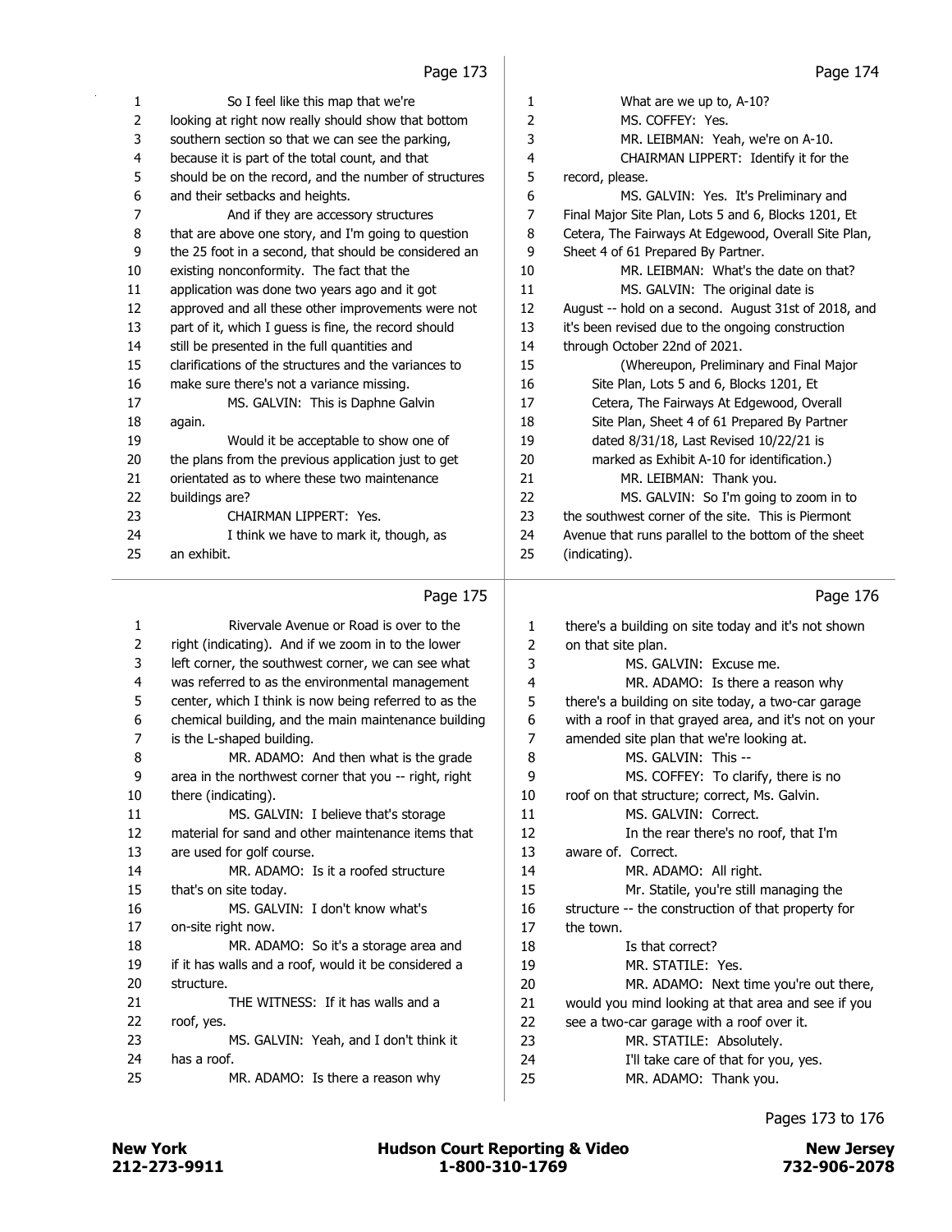| 1  | So I feel like this map that we're                    | 1  | What are we up to, A-10?                             |
|----|-------------------------------------------------------|----|------------------------------------------------------|
| 2  | looking at right now really should show that bottom   | 2  | MS. COFFEY: Yes.                                     |
| 3  | southern section so that we can see the parking,      | 3  | MR. LEIBMAN: Yeah, we're on A-10.                    |
| 4  | because it is part of the total count, and that       | 4  | CHAIRMAN LIPPERT: Identify it for the                |
| 5  | should be on the record, and the number of structures | 5  | record, please.                                      |
| 6  | and their setbacks and heights.                       | 6  | MS. GALVIN: Yes. It's Preliminary and                |
| 7  | And if they are accessory structures                  | 7  | Final Major Site Plan, Lots 5 and 6, Blocks 1201, Et |
| 8  | that are above one story, and I'm going to question   | 8  | Cetera, The Fairways At Edgewood, Overall Site Plan, |
| 9  | the 25 foot in a second, that should be considered an | 9  | Sheet 4 of 61 Prepared By Partner.                   |
| 10 | existing nonconformity. The fact that the             | 10 | MR. LEIBMAN: What's the date on that?                |
| 11 | application was done two years ago and it got         | 11 | MS. GALVIN: The original date is                     |
| 12 | approved and all these other improvements were not    | 12 | August -- hold on a second. August 31st of 2018, and |
| 13 | part of it, which I guess is fine, the record should  | 13 | it's been revised due to the ongoing construction    |
| 14 | still be presented in the full quantities and         | 14 | through October 22nd of 2021.                        |
| 15 | clarifications of the structures and the variances to | 15 | (Whereupon, Preliminary and Final Major)             |
| 16 | make sure there's not a variance missing.             | 16 | Site Plan, Lots 5 and 6, Blocks 1201, Et             |
| 17 | MS. GALVIN: This is Daphne Galvin                     | 17 | Cetera, The Fairways At Edgewood, Overall            |
| 18 | again.                                                | 18 | Site Plan, Sheet 4 of 61 Prepared By Partner         |
| 19 | Would it be acceptable to show one of                 | 19 | dated 8/31/18, Last Revised 10/22/21 is              |
| 20 | the plans from the previous application just to get   | 20 | marked as Exhibit A-10 for identification.)          |
| 21 | orientated as to where these two maintenance          | 21 | MR. LEIBMAN: Thank you.                              |
| 22 | buildings are?                                        | 22 | MS. GALVIN: So I'm going to zoom in to               |
| 23 | CHAIRMAN LIPPERT: Yes.                                | 23 | the southwest corner of the site. This is Piermont   |
| 24 | I think we have to mark it, though, as                | 24 | Avenue that runs parallel to the bottom of the sheet |
| 25 | an exhibit.                                           | 25 | (indicating).                                        |
|    | Page 175                                              |    | Page 176                                             |

|    | 1 agu 17 J                                            |    | 1 agu 170                                             |
|----|-------------------------------------------------------|----|-------------------------------------------------------|
| 1  | Rivervale Avenue or Road is over to the               | 1  | there's a building on site today and it's not shown   |
| 2  | right (indicating). And if we zoom in to the lower    | 2  | on that site plan.                                    |
| 3  | left corner, the southwest corner, we can see what    | 3  | MS. GALVIN: Excuse me.                                |
| 4  | was referred to as the environmental management       | 4  | MR. ADAMO: Is there a reason why                      |
| 5  | center, which I think is now being referred to as the | 5  | there's a building on site today, a two-car garage    |
| 6  | chemical building, and the main maintenance building  | 6  | with a roof in that grayed area, and it's not on your |
| 7  | is the L-shaped building.                             | 7  | amended site plan that we're looking at.              |
| 8  | MR. ADAMO: And then what is the grade                 | 8  | MS. GALVIN: This --                                   |
| 9  | area in the northwest corner that you -- right, right | 9  | MS. COFFEY: To clarify, there is no                   |
| 10 | there (indicating).                                   | 10 | roof on that structure; correct, Ms. Galvin.          |
| 11 | MS. GALVIN: I believe that's storage                  | 11 | MS. GALVIN: Correct.                                  |
| 12 | material for sand and other maintenance items that    | 12 | In the rear there's no roof, that I'm                 |
| 13 | are used for golf course.                             | 13 | aware of. Correct.                                    |
| 14 | MR. ADAMO: Is it a roofed structure                   | 14 | MR. ADAMO: All right.                                 |
| 15 | that's on site today.                                 | 15 | Mr. Statile, you're still managing the                |
| 16 | MS. GALVIN: I don't know what's                       | 16 | structure -- the construction of that property for    |
| 17 | on-site right now.                                    | 17 | the town.                                             |
| 18 | MR. ADAMO: So it's a storage area and                 | 18 | Is that correct?                                      |
| 19 | if it has walls and a roof, would it be considered a  | 19 | MR. STATILE: Yes.                                     |
| 20 | structure.                                            | 20 | MR. ADAMO: Next time you're out there,                |
| 21 | THE WITNESS: If it has walls and a                    | 21 | would you mind looking at that area and see if you    |
| 22 | roof, yes.                                            | 22 | see a two-car garage with a roof over it.             |
| 23 | MS. GALVIN: Yeah, and I don't think it                | 23 | MR. STATILE: Absolutely.                              |
| 24 | has a roof.                                           | 24 | I'll take care of that for you, yes.                  |
| 25 | MR. ADAMO: Is there a reason why                      | 25 | MR. ADAMO: Thank you.                                 |
|    |                                                       |    |                                                       |

### Pages 173 to 176

 $\mathcal{L}$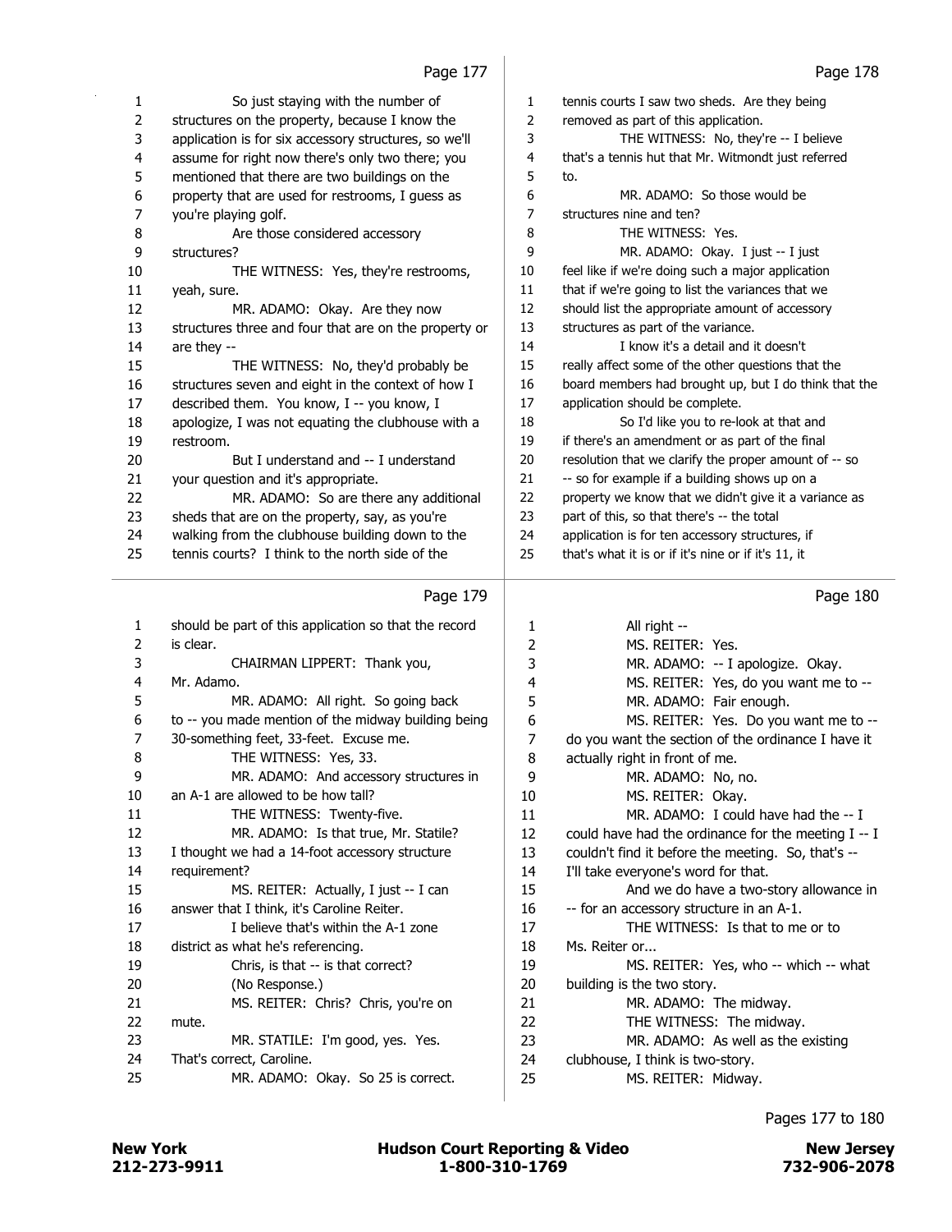Page 177 |

| 1  | So just staying with the number of                    | $\mathbf{1}$   | tennis courts I saw two sheds. Are they being         |
|----|-------------------------------------------------------|----------------|-------------------------------------------------------|
| 2  | structures on the property, because I know the        | $\overline{2}$ | removed as part of this application.                  |
| 3  | application is for six accessory structures, so we'll | 3              | THE WITNESS: No, they're -- I believe                 |
| 4  | assume for right now there's only two there; you      | $\overline{4}$ | that's a tennis hut that Mr. Witmondt just referred   |
| 5  | mentioned that there are two buildings on the         | 5              | to.                                                   |
| 6  | property that are used for restrooms, I guess as      | 6              | MR. ADAMO: So those would be                          |
| 7  | you're playing golf.                                  | $\overline{7}$ | structures nine and ten?                              |
| 8  | Are those considered accessory                        | 8              | THE WITNESS: Yes.                                     |
| 9  | structures?                                           | 9              | MR. ADAMO: Okay. I just -- I just                     |
| 10 | THE WITNESS: Yes, they're restrooms,                  | 10             | feel like if we're doing such a major application     |
| 11 | yeah, sure.                                           | 11             | that if we're going to list the variances that we     |
| 12 | MR. ADAMO: Okay. Are they now                         | 12             | should list the appropriate amount of accessory       |
| 13 | structures three and four that are on the property or | 13             | structures as part of the variance.                   |
| 14 | are they --                                           | 14             | I know it's a detail and it doesn't                   |
| 15 | THE WITNESS: No, they'd probably be                   | 15             | really affect some of the other questions that the    |
| 16 | structures seven and eight in the context of how I    | 16             | board members had brought up, but I do think that the |
| 17 | described them. You know, I -- you know, I            | 17             | application should be complete.                       |
| 18 | apologize, I was not equating the clubhouse with a    | 18             | So I'd like you to re-look at that and                |
| 19 | restroom.                                             | 19             | if there's an amendment or as part of the final       |
| 20 | But I understand and -- I understand                  | 20             | resolution that we clarify the proper amount of -- so |
| 21 | your question and it's appropriate.                   | 21             | -- so for example if a building shows up on a         |
| 22 | MR. ADAMO: So are there any additional                | 22             | property we know that we didn't give it a variance as |
| 23 | sheds that are on the property, say, as you're        | 23             | part of this, so that there's -- the total            |
| 24 | walking from the clubhouse building down to the       | 24             | application is for ten accessory structures, if       |
| 25 | tennis courts? I think to the north side of the       | 25             | that's what it is or if it's nine or if it's 11, it   |
|    | Page 179                                              |                | Page 180                                              |
| 1  | should be part of this application so that the record | 1              | All right --                                          |
| 2  | is clear.                                             | 2              | MS. REITER: Yes.                                      |
| 3  | CHAIRMAN LIPPERT: Thank you,                          | 3              | MR. ADAMO: -- I apologize. Okay.                      |
| 4  | Mr. Adamo.                                            | 4              | MS. REITER: Yes, do you want me to --                 |
| 5  | MR. ADAMO: All right. So going back                   | 5              | MR. ADAMO: Fair enough.                               |
| 6  | to -- you made mention of the midway building being   | 6              | MS. REITER: Yes. Do you want me to --                 |
| 7  | 30-something feet, 33-feet. Excuse me.                | 7              | do you want the section of the ordinance I have it    |

| 1              | should be part of this application so that the record | 1              | All right --                                        |
|----------------|-------------------------------------------------------|----------------|-----------------------------------------------------|
| 2              | is clear.                                             | $\overline{2}$ | MS. REITER: Yes.                                    |
| 3              | CHAIRMAN LIPPERT: Thank you,                          | 3              | MR. ADAMO: -- I apologize. Okay.                    |
| $\overline{4}$ | Mr. Adamo.                                            | 4              | MS. REITER: Yes, do you want me to --               |
| 5              | MR. ADAMO: All right. So going back                   | 5              | MR. ADAMO: Fair enough.                             |
| 6              | to -- you made mention of the midway building being   | 6              | MS. REITER: Yes. Do you want me to --               |
| 7              | 30-something feet, 33-feet. Excuse me.                | 7              | do you want the section of the ordinance I have it  |
| 8              | THE WITNESS: Yes, 33.                                 | 8              | actually right in front of me.                      |
| 9              | MR. ADAMO: And accessory structures in                | 9              | MR. ADAMO: No, no.                                  |
| 10             | an A-1 are allowed to be how tall?                    | 10             | MS. REITER: Okay.                                   |
| 11             | THE WITNESS: Twenty-five.                             | 11             | MR. ADAMO: I could have had the $- I$               |
| 12             | MR. ADAMO: Is that true, Mr. Statile?                 | 12             | could have had the ordinance for the meeting I -- I |
| 13             | I thought we had a 14-foot accessory structure        | 13             | couldn't find it before the meeting. So, that's --  |
| 14             | requirement?                                          | 14             | I'll take everyone's word for that.                 |
| 15             | MS. REITER: Actually, I just -- I can                 | 15             | And we do have a two-story allowance in             |
| 16             | answer that I think, it's Caroline Reiter.            | 16             | -- for an accessory structure in an A-1.            |
| 17             | I believe that's within the A-1 zone                  | 17             | THE WITNESS: Is that to me or to                    |
| 18             | district as what he's referencing.                    | 18             | Ms. Reiter or                                       |
| 19             | Chris, is that -- is that correct?                    | 19             | MS. REITER: Yes, who -- which -- what               |
| 20             | (No Response.)                                        | 20             | building is the two story.                          |
| 21             | MS. REITER: Chris? Chris, you're on                   | 21             | MR. ADAMO: The midway.                              |
| 22             | mute.                                                 | 22             | THE WITNESS: The midway.                            |
| 23             | MR. STATILE: I'm good, yes. Yes.                      | 23             | MR. ADAMO: As well as the existing                  |
| 24             | That's correct, Caroline.                             | 24             | clubhouse, I think is two-story.                    |
| 25             | MR. ADAMO: Okay. So 25 is correct.                    | 25             | MS. REITER: Midway.                                 |
|                |                                                       |                |                                                     |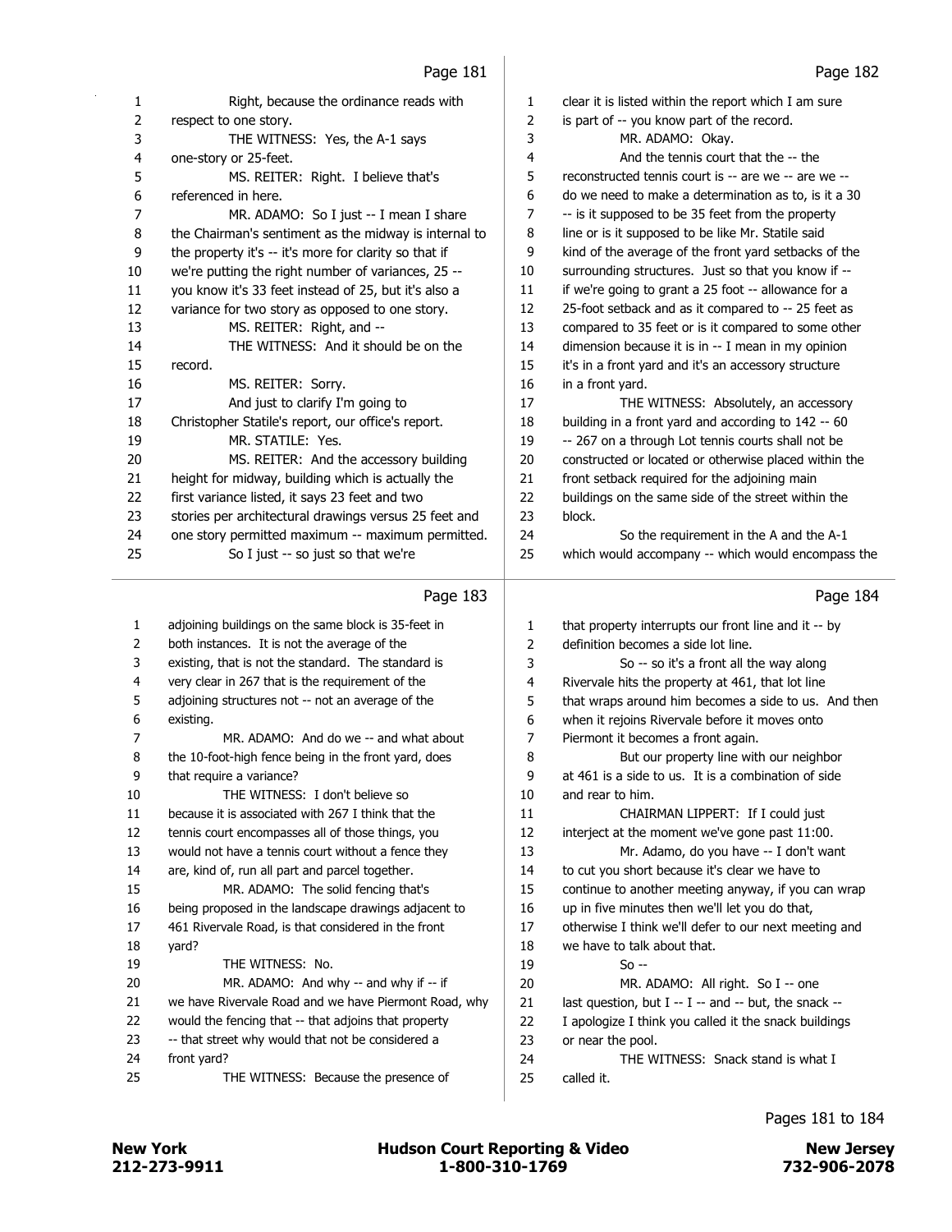|                         | <u>raye 101</u>                                                                                           |    | rayc 102                                              |
|-------------------------|-----------------------------------------------------------------------------------------------------------|----|-------------------------------------------------------|
| 1                       | Right, because the ordinance reads with                                                                   | 1  | clear it is listed within the report which I am sure  |
| $\overline{2}$          | respect to one story.                                                                                     | 2  | is part of -- you know part of the record.            |
| 3                       | THE WITNESS: Yes, the A-1 says                                                                            | 3  | MR. ADAMO: Okay.                                      |
| $\overline{\mathbf{4}}$ | one-story or 25-feet.                                                                                     | 4  | And the tennis court that the -- the                  |
| 5                       | MS. REITER: Right. I believe that's                                                                       | 5  | reconstructed tennis court is -- are we -- are we --  |
| 6                       | referenced in here.                                                                                       | 6  | do we need to make a determination as to, is it a 30  |
| $\overline{7}$          | MR. ADAMO: So I just -- I mean I share                                                                    | 7  | -- is it supposed to be 35 feet from the property     |
| 8                       | the Chairman's sentiment as the midway is internal to                                                     | 8  | line or is it supposed to be like Mr. Statile said    |
| 9                       | the property it's -- it's more for clarity so that if                                                     | 9  | kind of the average of the front yard setbacks of the |
| 10                      | we're putting the right number of variances, 25 --                                                        | 10 | surrounding structures. Just so that you know if --   |
| 11                      | you know it's 33 feet instead of 25, but it's also a                                                      | 11 | if we're going to grant a 25 foot -- allowance for a  |
| 12                      | variance for two story as opposed to one story.                                                           | 12 | 25-foot setback and as it compared to -- 25 feet as   |
| 13                      | MS. REITER: Right, and --                                                                                 | 13 | compared to 35 feet or is it compared to some other   |
| 14                      | THE WITNESS: And it should be on the                                                                      | 14 | dimension because it is in -- I mean in my opinion    |
| 15                      | record.                                                                                                   | 15 | it's in a front yard and it's an accessory structure  |
| 16                      | MS. REITER: Sorry.                                                                                        | 16 | in a front yard.                                      |
| 17                      | And just to clarify I'm going to                                                                          | 17 | THE WITNESS: Absolutely, an accessory                 |
| 18                      | Christopher Statile's report, our office's report.                                                        | 18 | building in a front yard and according to 142 -- 60   |
| 19                      | MR. STATILE: Yes.                                                                                         | 19 | -- 267 on a through Lot tennis courts shall not be    |
| 20                      | MS. REITER: And the accessory building                                                                    | 20 | constructed or located or otherwise placed within the |
| 21                      | height for midway, building which is actually the                                                         | 21 | front setback required for the adjoining main         |
| 22                      | first variance listed, it says 23 feet and two                                                            | 22 | buildings on the same side of the street within the   |
| 23                      | stories per architectural drawings versus 25 feet and                                                     | 23 | block.                                                |
| 24                      | one story permitted maximum -- maximum permitted.                                                         | 24 | So the requirement in the A and the A-1               |
| 25                      | So I just -- so just so that we're                                                                        | 25 | which would accompany -- which would encompass the    |
|                         | Page 183                                                                                                  |    | Page 184                                              |
| 1                       | adjoining buildings on the same block is 35-feet in                                                       | 1  | that property interrupts our front line and it -- by  |
| 2                       | both instances. It is not the average of the                                                              | 2  | definition becomes a side lot line.                   |
| 3                       | existing, that is not the standard. The standard is                                                       | 3  | So -- so it's a front all the way along               |
| 4                       | very clear in 267 that is the requirement of the                                                          | 4  | Rivervale hits the property at 461, that lot line     |
| 5                       | adjoining structures not -- not an average of the                                                         | 5  | that wraps around him becomes a side to us. And then  |
| 6                       | existing.                                                                                                 | 6  | when it rejoins Rivervale before it moves onto        |
| 7                       | MR. ADAMO: And do we -- and what about                                                                    | 7  | Piermont it becomes a front again.                    |
| 8                       | the 10-foot-high fence being in the front yard, does                                                      | 8  | But our property line with our neighbor               |
| 9                       | that require a variance?                                                                                  | 9  | at 461 is a side to us. It is a combination of side   |
| 10                      | THE WITNESS: I don't believe so                                                                           | 10 | and rear to him.                                      |
| 11                      | because it is associated with 267 I think that the                                                        | 11 | CHAIRMAN LIPPERT: If I could just                     |
| 12                      | tennis court encompasses all of those things, you                                                         | 12 | interject at the moment we've gone past 11:00.        |
| 13                      | would not have a tennis court without a fence they                                                        | 13 | Mr. Adamo, do you have -- I don't want                |
| 14                      | are, kind of, run all part and parcel together.                                                           | 14 | to cut you short because it's clear we have to        |
| 15                      | MR. ADAMO: The solid fencing that's                                                                       | 15 | continue to another meeting anyway, if you can wrap   |
| 16                      | being proposed in the landscape drawings adjacent to                                                      | 16 | up in five minutes then we'll let you do that,        |
| 17                      | 461 Rivervale Road, is that considered in the front                                                       | 17 | otherwise I think we'll defer to our next meeting and |
| 18                      | yard?                                                                                                     | 18 | we have to talk about that.                           |
| 19                      | THE WITNESS: No.                                                                                          | 19 | $So -$                                                |
| 20                      | MR. ADAMO: And why -- and why if -- if                                                                    | 20 | MR. ADAMO: All right. So I -- one                     |
| 21                      | we have Rivervale Road and we have Piermont Road, why                                                     | 21 | last question, but I -- I -- and -- but, the snack -- |
| 22                      | would the fencing that -- that adjoins that property<br>-- that street why would that not be considered a | 22 | I apologize I think you called it the snack buildings |
| 23                      |                                                                                                           | 23 | or near the pool.                                     |

24 THE WITNESS: Snack stand is what I

called it.

front yard?

a.

25 THE WITNESS: Because the presence of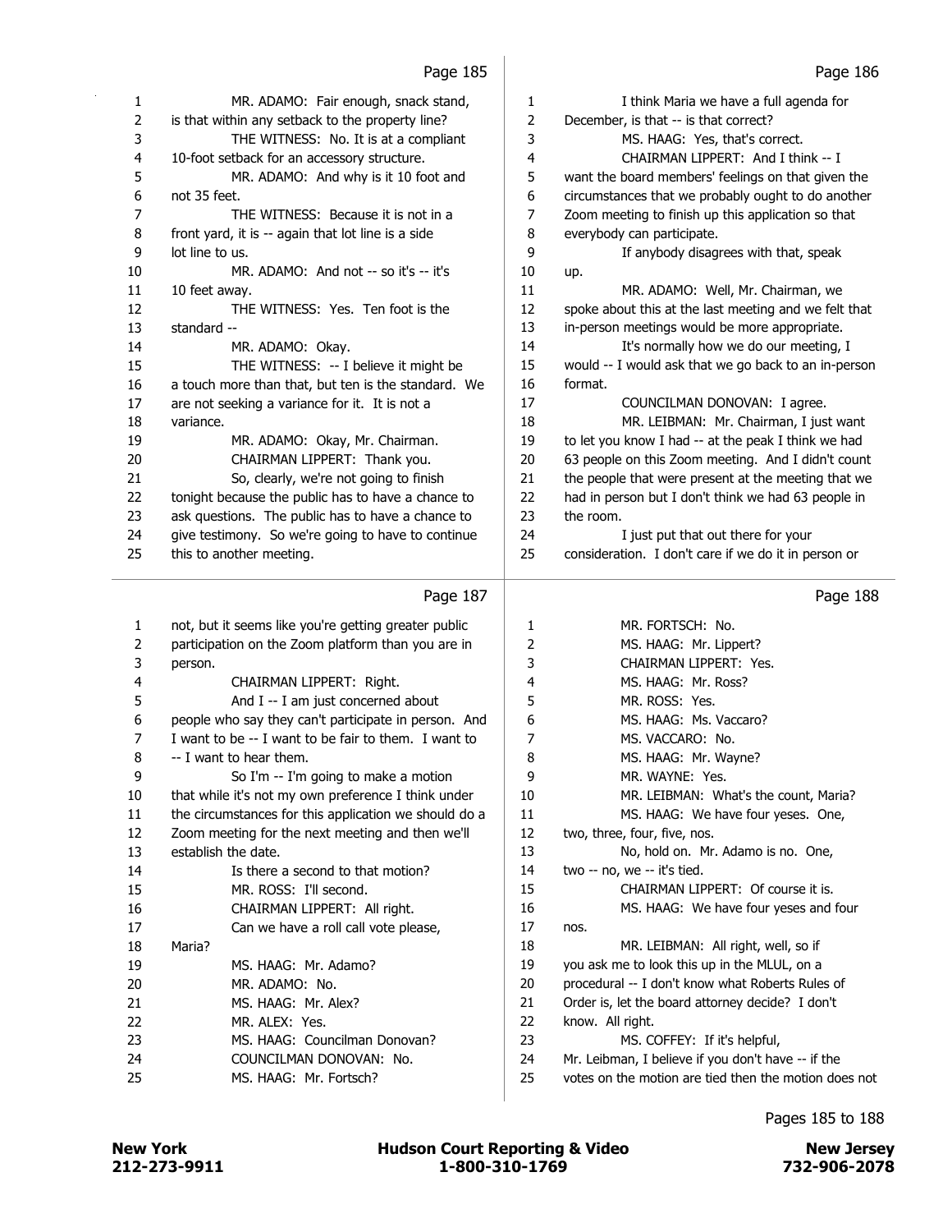|                | Page 185                                              |                | Page 186                                              |
|----------------|-------------------------------------------------------|----------------|-------------------------------------------------------|
| 1              | MR. ADAMO: Fair enough, snack stand,                  | $\mathbf{1}$   | I think Maria we have a full agenda for               |
| $\overline{2}$ | is that within any setback to the property line?      | $\overline{2}$ | December, is that -- is that correct?                 |
| 3              | THE WITNESS: No. It is at a compliant                 | 3              | MS. HAAG: Yes, that's correct.                        |
| 4              | 10-foot setback for an accessory structure.           | 4              | CHAIRMAN LIPPERT: And I think -- I                    |
| 5              | MR. ADAMO: And why is it 10 foot and                  | 5              | want the board members' feelings on that given the    |
| 6              | not 35 feet.                                          | 6              | circumstances that we probably ought to do another    |
| 7              | THE WITNESS: Because it is not in a                   | 7              | Zoom meeting to finish up this application so that    |
| 8              | front yard, it is -- again that lot line is a side    | 8              | everybody can participate.                            |
| 9              | lot line to us.                                       | 9              | If anybody disagrees with that, speak                 |
| 10             | MR. ADAMO: And not -- so it's -- it's                 | 10             | up.                                                   |
| 11             | 10 feet away.                                         | 11             | MR. ADAMO: Well, Mr. Chairman, we                     |
| 12             | THE WITNESS: Yes. Ten foot is the                     | 12             | spoke about this at the last meeting and we felt that |
| 13             | standard --                                           | 13             | in-person meetings would be more appropriate.         |
| 14             | MR. ADAMO: Okay.                                      | 14             | It's normally how we do our meeting, I                |
| 15             | THE WITNESS: -- I believe it might be                 | 15             | would -- I would ask that we go back to an in-person  |
| 16             | a touch more than that, but ten is the standard. We   | 16             | format.                                               |
| 17             | are not seeking a variance for it. It is not a        | 17             | COUNCILMAN DONOVAN: I agree.                          |
| 18             | variance.                                             | 18             | MR. LEIBMAN: Mr. Chairman, I just want                |
| 19             | MR. ADAMO: Okay, Mr. Chairman.                        | 19             | to let you know I had -- at the peak I think we had   |
| 20             | CHAIRMAN LIPPERT: Thank you.                          | 20             | 63 people on this Zoom meeting. And I didn't count    |
| 21             | So, clearly, we're not going to finish                | 21             | the people that were present at the meeting that we   |
| 22             | tonight because the public has to have a chance to    | 22             | had in person but I don't think we had 63 people in   |
| 23             | ask questions. The public has to have a chance to     | 23             | the room.                                             |
| 24             | give testimony. So we're going to have to continue    | 24             | I just put that out there for your                    |
| 25             | this to another meeting.                              | 25             | consideration. I don't care if we do it in person or  |
|                | Page 187                                              |                | Page 188                                              |
| 1              | not, but it seems like you're getting greater public  | 1              | MR. FORTSCH: No.                                      |
| 2              | participation on the Zoom platform than you are in    | 2              | MS. HAAG: Mr. Lippert?                                |
| 3              | person.                                               | 3              | CHAIRMAN LIPPERT: Yes.                                |
| 4              | CHAIRMAN LIPPERT: Right.                              | 4              | MS. HAAG: Mr. Ross?                                   |
| 5              | And I -- I am just concerned about                    | 5              | MR. ROSS: Yes.                                        |
| 6              | people who say they can't participate in person. And  | 6              | MS. HAAG: Ms. Vaccaro?                                |
| 7              | I want to be -- I want to be fair to them. I want to  | 7              | MS. VACCARO: No.                                      |
| 8              | -- I want to hear them.                               | 8              | MS. HAAG: Mr. Wayne?                                  |
| 9              | So I'm -- I'm going to make a motion                  | 9              | MR. WAYNE: Yes.                                       |
| 10             | that while it's not my own preference I think under   | 10             | MR. LEIBMAN: What's the count, Maria?                 |
| 11             | the circumstances for this application we should do a | 11             | MS. HAAG: We have four yeses. One,                    |
| 12             | Zoom meeting for the next meeting and then we'll      | 12             | two, three, four, five, nos.                          |
| 13             | establish the date.                                   | 13             | No, hold on. Mr. Adamo is no. One,                    |
| 14             | Is there a second to that motion?                     | 14             | two -- no, we -- it's tied.                           |
| 15             | MR. ROSS: I'll second.                                | 15             | CHAIRMAN LIPPERT: Of course it is.                    |
| 16             | CHAIRMAN LIPPERT: All right.                          | 16             | MS. HAAG: We have four yeses and four                 |
| 17             | Can we have a roll call vote please,                  | 17             | nos.                                                  |
| 18             | Maria?                                                | 18             | MR. LEIBMAN: All right, well, so if                   |
| 19             | MS. HAAG: Mr. Adamo?                                  | 19             | you ask me to look this up in the MLUL, on a          |
| 20             | MR. ADAMO: No.                                        | 20             | procedural -- I don't know what Roberts Rules of      |
| 21             | MS. HAAG: Mr. Alex?                                   | 21             | Order is, let the board attorney decide? I don't      |
|                |                                                       |                |                                                       |
| 22             | MR. ALEX: Yes.                                        | 22             | know. All right.                                      |

23 MS. COFFEY: If it's helpful,

24 Mr. Leibman, I believe if you don't have -- if the

25 votes on the motion are tied then the motion does not

24 COUNCILMAN DONOVAN: No. 25 MS. HAAG: Mr. Fortsch?

Pages 185 to 188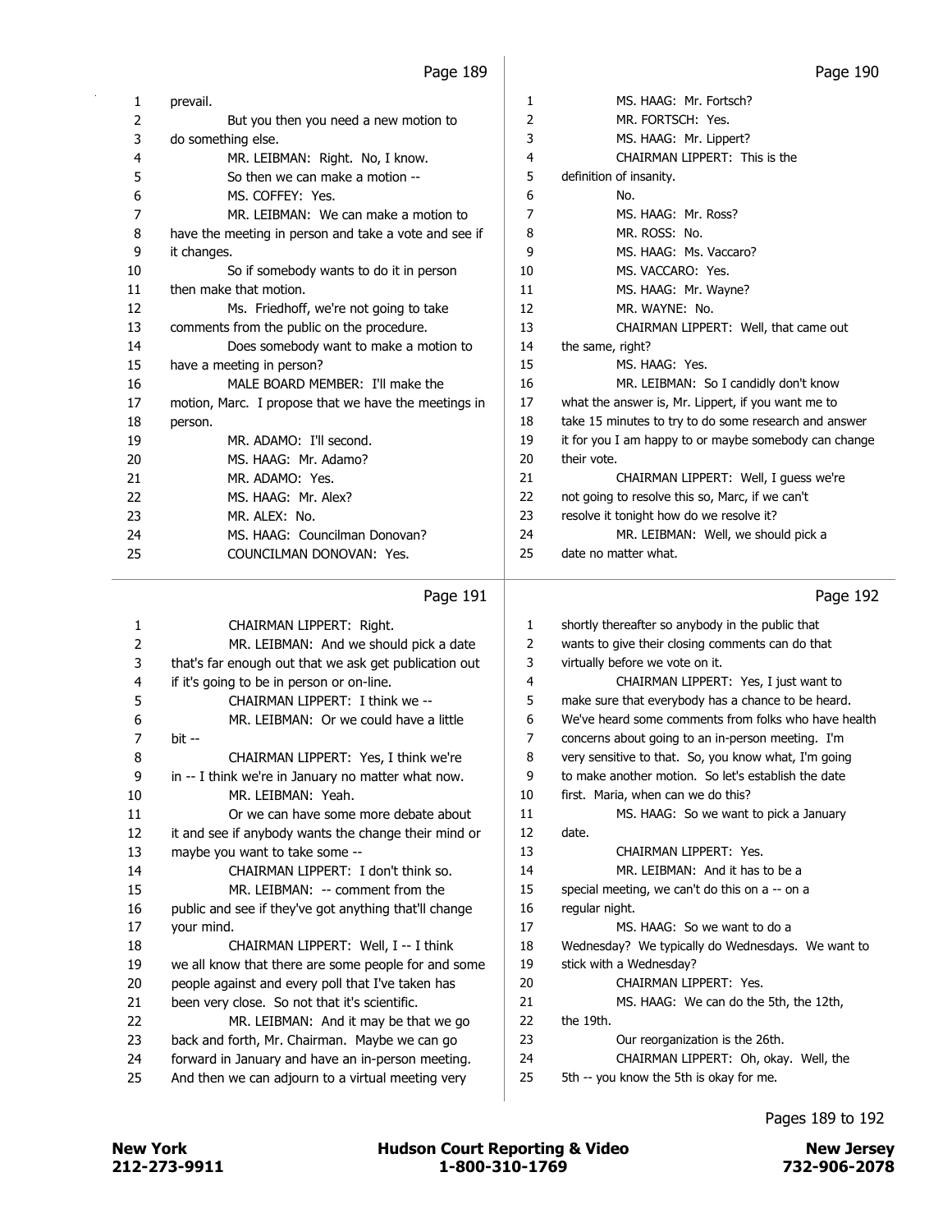| 1  | prevail.                                              | 1  | MS. HAAG: Mr. Fortsch?                                |
|----|-------------------------------------------------------|----|-------------------------------------------------------|
| 2  | But you then you need a new motion to                 | 2  | MR. FORTSCH: Yes.                                     |
| 3  | do something else.                                    | 3  | MS. HAAG: Mr. Lippert?                                |
| 4  | MR. LEIBMAN: Right. No, I know.                       | 4  | CHAIRMAN LIPPERT: This is the                         |
| 5  | So then we can make a motion --                       | 5  | definition of insanity.                               |
| 6  | MS. COFFEY: Yes.                                      | 6  | No.                                                   |
| 7  | MR. LEIBMAN: We can make a motion to                  | 7  | MS. HAAG: Mr. Ross?                                   |
| 8  | have the meeting in person and take a vote and see if | 8  | MR. ROSS: No.                                         |
| 9  | it changes.                                           | 9  | MS. HAAG: Ms. Vaccaro?                                |
| 10 | So if somebody wants to do it in person               | 10 | MS. VACCARO: Yes.                                     |
| 11 | then make that motion.                                | 11 | MS. HAAG: Mr. Wayne?                                  |
| 12 | Ms. Friedhoff, we're not going to take                | 12 | MR. WAYNE: No.                                        |
| 13 | comments from the public on the procedure.            | 13 | CHAIRMAN LIPPERT: Well, that came out                 |
| 14 | Does somebody want to make a motion to                | 14 | the same, right?                                      |
| 15 | have a meeting in person?                             | 15 | MS. HAAG: Yes.                                        |
| 16 | MALE BOARD MEMBER: I'll make the                      | 16 | MR. LEIBMAN: So I candidly don't know                 |
| 17 | motion, Marc. I propose that we have the meetings in  | 17 | what the answer is, Mr. Lippert, if you want me to    |
| 18 | person.                                               | 18 | take 15 minutes to try to do some research and answer |
| 19 | MR. ADAMO: I'll second.                               | 19 | it for you I am happy to or maybe somebody can change |
| 20 | MS. HAAG: Mr. Adamo?                                  | 20 | their vote.                                           |
| 21 | MR. ADAMO: Yes.                                       | 21 | CHAIRMAN LIPPERT: Well, I quess we're                 |
| 22 | MS. HAAG: Mr. Alex?                                   | 22 | not going to resolve this so, Marc, if we can't       |
| 23 | MR. ALEX: No.                                         | 23 | resolve it tonight how do we resolve it?              |
| 24 | MS. HAAG: Councilman Donovan?                         | 24 | MR. LEIBMAN: Well, we should pick a                   |
| 25 | COUNCILMAN DONOVAN: Yes.                              | 25 | date no matter what.                                  |
|    |                                                       |    |                                                       |

# Page 191

| 1  | CHAIRMAN LIPPERT: Right.                              | 1  | shortly thereafter so anybody in the public that     |
|----|-------------------------------------------------------|----|------------------------------------------------------|
| 2  | MR. LEIBMAN: And we should pick a date                | 2  | wants to give their closing comments can do that     |
| 3  | that's far enough out that we ask get publication out | 3  | virtually before we vote on it.                      |
| 4  | if it's going to be in person or on-line.             | 4  | CHAIRMAN LIPPERT: Yes, I just want to                |
| 5  | CHAIRMAN LIPPERT: I think we --                       | 5  | make sure that everybody has a chance to be heard.   |
| 6  | MR. LEIBMAN: Or we could have a little                | 6  | We've heard some comments from folks who have health |
| 7  | bit --                                                | 7  | concerns about going to an in-person meeting. I'm    |
| 8  | CHAIRMAN LIPPERT: Yes, I think we're                  | 8  | very sensitive to that. So, you know what, I'm going |
| 9  | in -- I think we're in January no matter what now.    | 9  | to make another motion. So let's establish the date  |
| 10 | MR. LEIBMAN: Yeah.                                    | 10 | first. Maria, when can we do this?                   |
| 11 | Or we can have some more debate about                 | 11 | MS. HAAG: So we want to pick a January               |
| 12 | it and see if anybody wants the change their mind or  | 12 | date.                                                |
| 13 | maybe you want to take some --                        | 13 | CHAIRMAN LIPPERT: Yes.                               |
| 14 | CHAIRMAN LIPPERT: I don't think so.                   | 14 | MR. LEIBMAN: And it has to be a                      |
| 15 | MR. LEIBMAN: -- comment from the                      | 15 | special meeting, we can't do this on a -- on a       |
| 16 | public and see if they've got anything that'll change | 16 | regular night.                                       |
| 17 | your mind.                                            | 17 | MS. HAAG: So we want to do a                         |
| 18 | CHAIRMAN LIPPERT: Well, I -- I think                  | 18 | Wednesday? We typically do Wednesdays. We want to    |
| 19 | we all know that there are some people for and some   | 19 | stick with a Wednesday?                              |
| 20 | people against and every poll that I've taken has     | 20 | CHAIRMAN LIPPERT: Yes.                               |
| 21 | been very close. So not that it's scientific.         | 21 | MS. HAAG: We can do the 5th, the 12th,               |
| 22 | MR. LEIBMAN: And it may be that we go                 | 22 | the 19th.                                            |
| 23 | back and forth, Mr. Chairman. Maybe we can go         | 23 | Our reorganization is the 26th.                      |
| 24 | forward in January and have an in-person meeting.     | 24 | CHAIRMAN LIPPERT: Oh, okay. Well, the                |
| 25 | And then we can adjourn to a virtual meeting very     | 25 | 5th -- you know the 5th is okay for me.              |
|    |                                                       |    |                                                      |

Pages 189 to 192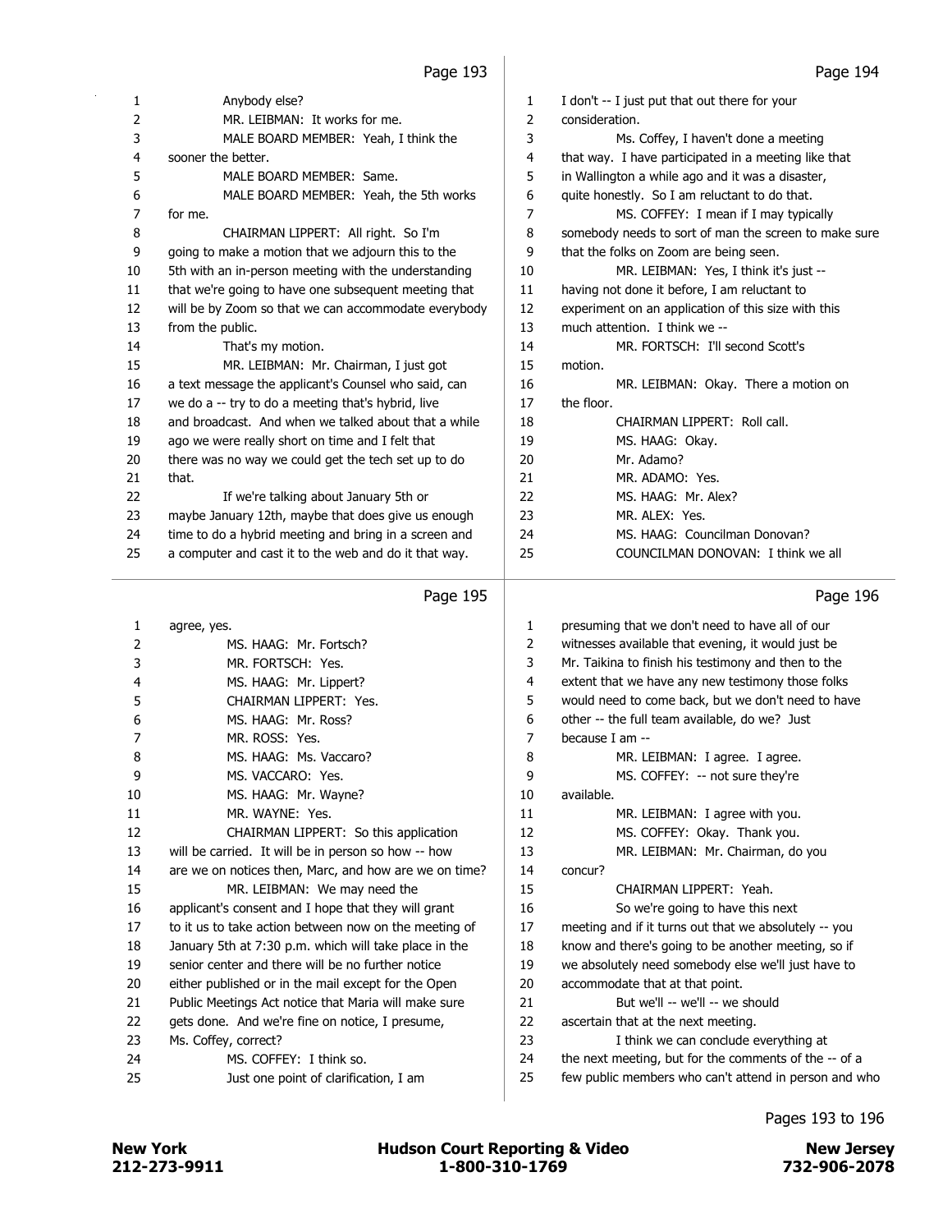| $\mathbf{1}$   | Anybody else?                                         | 1  | I don't -- I just put that out there for your         |
|----------------|-------------------------------------------------------|----|-------------------------------------------------------|
| $\overline{2}$ | MR. LEIBMAN: It works for me.                         | 2  | consideration.                                        |
| 3              | MALE BOARD MEMBER: Yeah, I think the                  | 3  | Ms. Coffey, I haven't done a meeting                  |
| 4              | sooner the better.                                    | 4  | that way. I have participated in a meeting like that  |
| 5              | MALE BOARD MEMBER: Same.                              | 5  | in Wallington a while ago and it was a disaster,      |
| 6              | MALE BOARD MEMBER: Yeah, the 5th works                | 6  | quite honestly. So I am reluctant to do that.         |
| 7              | for me.                                               | 7  | MS. COFFEY: I mean if I may typically                 |
| 8              | CHAIRMAN LIPPERT: All right. So I'm                   | 8  | somebody needs to sort of man the screen to make sure |
| 9              | going to make a motion that we adjourn this to the    | 9  | that the folks on Zoom are being seen.                |
| 10             | 5th with an in-person meeting with the understanding  | 10 | MR. LEIBMAN: Yes, I think it's just --                |
| 11             | that we're going to have one subsequent meeting that  | 11 | having not done it before, I am reluctant to          |
| 12             | will be by Zoom so that we can accommodate everybody  | 12 | experiment on an application of this size with this   |
| 13             | from the public.                                      | 13 | much attention. I think we --                         |
| 14             | That's my motion.                                     | 14 | MR. FORTSCH: I'll second Scott's                      |
| 15             | MR. LEIBMAN: Mr. Chairman, I just got                 | 15 | motion.                                               |
| 16             | a text message the applicant's Counsel who said, can  | 16 | MR. LEIBMAN: Okay. There a motion on                  |
| 17             | we do a -- try to do a meeting that's hybrid, live    | 17 | the floor.                                            |
| 18             | and broadcast. And when we talked about that a while  | 18 | CHAIRMAN LIPPERT: Roll call.                          |
| 19             | ago we were really short on time and I felt that      | 19 | MS. HAAG: Okay.                                       |
| 20             | there was no way we could get the tech set up to do   | 20 | Mr. Adamo?                                            |
| 21             | that.                                                 | 21 | MR. ADAMO: Yes.                                       |
| 22             | If we're talking about January 5th or                 | 22 | MS. HAAG: Mr. Alex?                                   |
| 23             | maybe January 12th, maybe that does give us enough    | 23 | MR. ALEX: Yes.                                        |
| 24             | time to do a hybrid meeting and bring in a screen and | 24 | MS. HAAG: Councilman Donovan?                         |
| 25             | a computer and cast it to the web and do it that way. | 25 | COUNCILMAN DONOVAN: I think we all                    |
|                |                                                       |    |                                                       |

#### Page 195

1 agree, yes. 2 MS. HAAG: Mr. Fortsch? 3 MR. FORTSCH: Yes. 4 MS. HAAG: Mr. Lippert? 5 CHAIRMAN LIPPERT: Yes. 6 MS. HAAG: Mr. Ross? 7 MR. ROSS: Yes. 8 MS. HAAG: Ms. Vaccaro? 9 MS. VACCARO: Yes. 10 MS. HAAG: Mr. Wayne? 11 MR. WAYNE: Yes. 12 CHAIRMAN LIPPERT: So this application 13 will be carried. It will be in person so how -- how 14 are we on notices then, Marc, and how are we on time? 15 MR. LEIBMAN: We may need the 16 applicant's consent and I hope that they will grant 17 to it us to take action between now on the meeting of 18 January 5th at 7:30 p.m. which will take place in the 19 senior center and there will be no further notice 20 either published or in the mail except for the Open 21 Public Meetings Act notice that Maria will make sure 22 gets done. And we're fine on notice, I presume, 23 Ms. Coffey, correct? 24 MS. COFFEY: I think so. 25 Just one point of clarification, I am 1 presuming that we don't need to have all of our 2 witnesses available that evening, it would just be 3 Mr. Taikina to finish his testimony and then to the 4 extent that we have any new testimony those folks 5 would need to come back, but we don't need to have 6 other -- the full team available, do we? Just 7 because I am -- 8 MR. LEIBMAN: I agree. I agree. 9 MS. COFFEY: -- not sure they're 10 available. 11 MR. LEIBMAN: I agree with you. 12 MS. COFFEY: Okay. Thank you. 13 MR. LEIBMAN: Mr. Chairman, do you 14 concur? 15 CHAIRMAN LIPPERT: Yeah. 16 So we're going to have this next 17 meeting and if it turns out that we absolutely -- you 18 know and there's going to be another meeting, so if 19 we absolutely need somebody else we'll just have to 20 accommodate that at that point. 21 But we'll -- we'll -- we should 22 ascertain that at the next meeting. 23 I think we can conclude everything at 24 the next meeting, but for the comments of the -- of a 25 few public members who can't attend in person and who

Page 196

Pages 193 to 196

212-273-9911 1-800-310-1769 732-906-2078 New York **New York Constructs** Hudson Court Reporting & Video New Jersey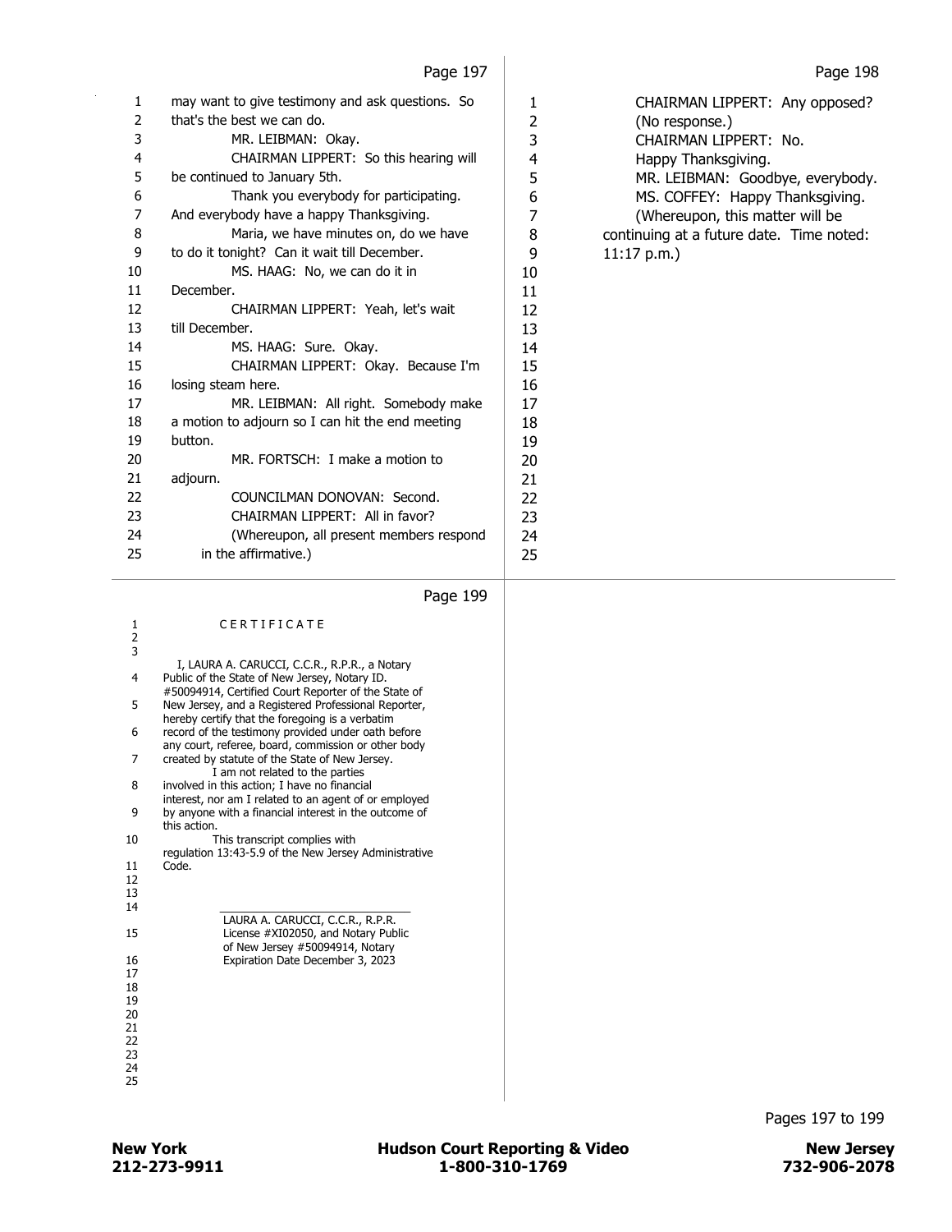| 1  | may want to give testimony and ask questions. So | 1  | CHAIRMAN LIPPERT: Any opposed?           |
|----|--------------------------------------------------|----|------------------------------------------|
| 2  | that's the best we can do.                       | 2  | (No response.)                           |
| 3  | MR. LEIBMAN: Okay.                               | 3  | CHAIRMAN LIPPERT: No.                    |
| 4  | CHAIRMAN LIPPERT: So this hearing will           | 4  | Happy Thanksgiving.                      |
| 5  | be continued to January 5th.                     | 5  | MR. LEIBMAN: Goodbye, everybody.         |
| 6  | Thank you everybody for participating.           | 6  | MS. COFFEY: Happy Thanksgiving.          |
| 7  | And everybody have a happy Thanksgiving.         | 7  | (Whereupon, this matter will be          |
| 8  | Maria, we have minutes on, do we have            | 8  | continuing at a future date. Time noted: |
| 9  | to do it tonight? Can it wait till December.     | 9  | 11:17 p.m.                               |
| 10 | MS. HAAG: No, we can do it in                    | 10 |                                          |
| 11 | December.                                        | 11 |                                          |
| 12 | CHAIRMAN LIPPERT: Yeah, let's wait               | 12 |                                          |
| 13 | till December.                                   | 13 |                                          |
| 14 | MS. HAAG: Sure. Okay.                            | 14 |                                          |
| 15 | CHAIRMAN LIPPERT: Okay. Because I'm              | 15 |                                          |
| 16 | losing steam here.                               | 16 |                                          |
| 17 | MR. LEIBMAN: All right. Somebody make            | 17 |                                          |
| 18 | a motion to adjourn so I can hit the end meeting | 18 |                                          |
| 19 | button.                                          | 19 |                                          |
| 20 | MR. FORTSCH: I make a motion to                  | 20 |                                          |
| 21 | adjourn.                                         | 21 |                                          |
| 22 | COUNCILMAN DONOVAN: Second.                      | 22 |                                          |
| 23 | CHAIRMAN LIPPERT: All in favor?                  | 23 |                                          |
| 24 | (Whereupon, all present members respond          | 24 |                                          |
| 25 | in the affirmative.)                             | 25 |                                          |
|    |                                                  |    |                                          |

| 1             | CERTIFICATE                                                                                               |
|---------------|-----------------------------------------------------------------------------------------------------------|
| $\frac{2}{3}$ |                                                                                                           |
|               | I, LAURA A. CARUCCI, C.C.R., R.P.R., a Notary                                                             |
| 4             | Public of the State of New Jersey, Notary ID.<br>#50094914, Certified Court Reporter of the State of      |
| 5             | New Jersey, and a Registered Professional Reporter,<br>hereby certify that the foregoing is a verbatim    |
| 6             | record of the testimony provided under oath before<br>any court, referee, board, commission or other body |
| 7             | created by statute of the State of New Jersey.<br>I am not related to the parties                         |
| 8             | involved in this action; I have no financial<br>interest, nor am I related to an agent of or employed     |
| 9             | by anyone with a financial interest in the outcome of<br>this action.                                     |
| 10            | This transcript complies with<br>regulation 13:43-5.9 of the New Jersey Administrative                    |
| 11            | Code.                                                                                                     |
| 12            |                                                                                                           |
| 13            |                                                                                                           |
| 14            |                                                                                                           |
|               | LAURA A. CARUCCI, C.C.R., R.P.R.                                                                          |
| 15            | License #XI02050, and Notary Public<br>of New Jersey #50094914, Notary                                    |
| 16            | Expiration Date December 3, 2023                                                                          |
| 17            |                                                                                                           |
| 18            |                                                                                                           |
| 19            |                                                                                                           |
| 20            |                                                                                                           |
| 21            |                                                                                                           |
| 22            |                                                                                                           |
| 23            |                                                                                                           |
| 24            |                                                                                                           |
| 25            |                                                                                                           |
|               |                                                                                                           |

Pages 197 to 199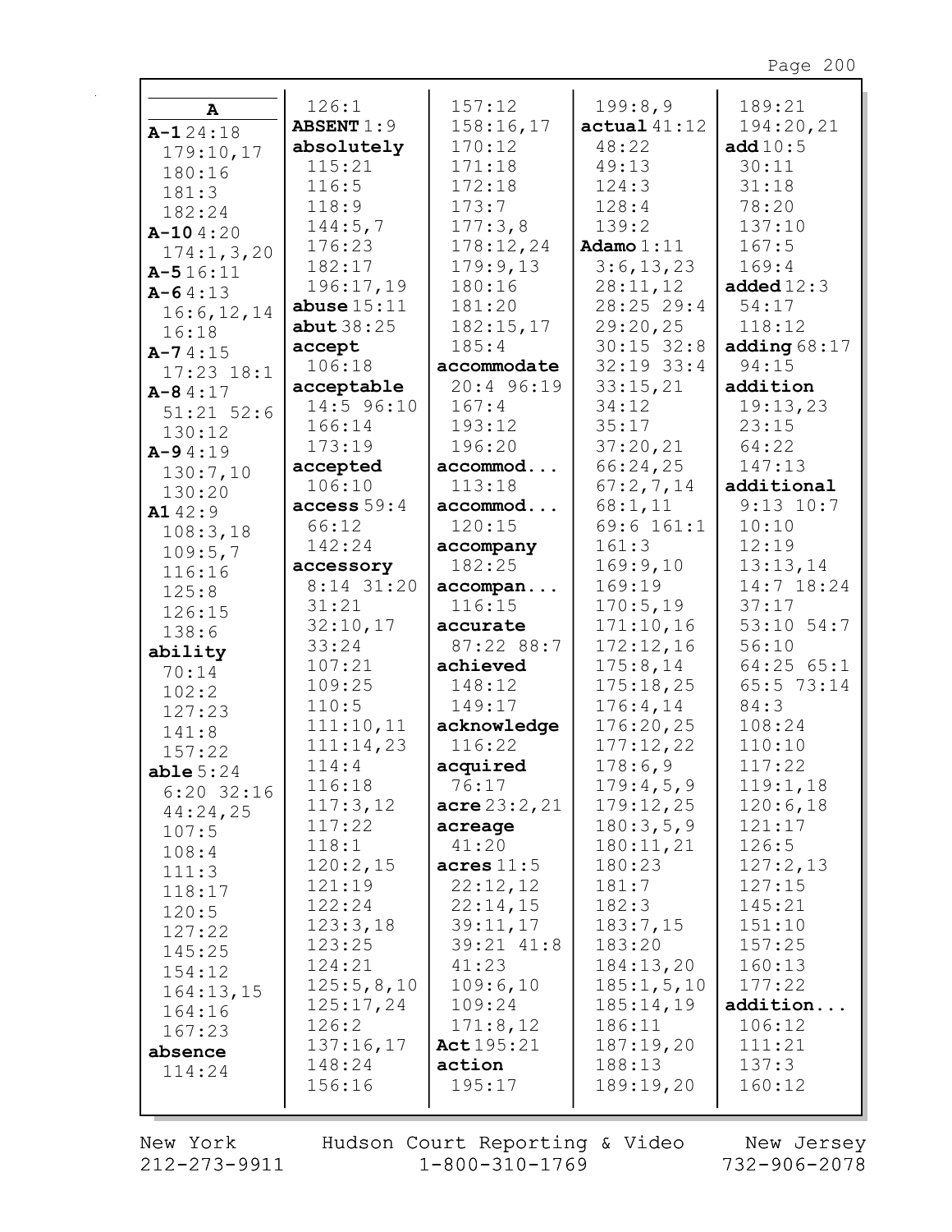| A              | 126:1             | 157:12                 | 199:8,9        | 189:21         |
|----------------|-------------------|------------------------|----------------|----------------|
|                | <b>ABSENT</b> 1:9 | 158:16,17              | actual41:12    | 194:20,21      |
| $A-124:18$     | absolutely        | 170:12                 | 48:22          | add $10:5$     |
| 179:10,17      | 115:21            | 171:18                 | 49:13          | 30:11          |
| 180:16         | 116:5             | 172:18                 | 124:3          | 31:18          |
| 181:3          |                   |                        |                |                |
| 182:24         | 118:9             | 173:7                  | 128:4          | 78:20          |
| $A-104:20$     | 144:5,7           | 177:3,8                | 139:2          | 137:10         |
| 174:1, 3, 20   | 176:23            | 178:12,24              | Adamo $1:11$   | 167:5          |
| $A - 516:11$   | 182:17            | 179:9,13               | 3:6, 13, 23    | 169:4          |
| $A - 64:13$    | 196:17,19         | 180:16                 | 28:11,12       | added $12:3$   |
| 16:6, 12, 14   | abuse $15:11$     | 181:20                 | 28:25 29:4     | 54:17          |
| 16:18          | abut $38:25$      | 182:15,17              | 29:20,25       | 118:12         |
| $A - 74:15$    | accept            | 185:4                  | $30:15$ 32:8   | adding $68:17$ |
| $17:23$ $18:1$ | 106:18            | accommodate            | $32:19$ $33:4$ | 94:15          |
| $A - 84:17$    | acceptable        | 20:4 96:19             | 33:15,21       | addition       |
|                | 14:5 96:10        | 167:4                  | 34:12          | 19:13,23       |
| $51:21$ $52:6$ | 166:14            | 193:12                 | 35:17          | 23:15          |
| 130:12         | 173:19            | 196:20                 | 37:20,21       | 64:22          |
| $A - 94:19$    | accepted          | accommod               | 66:24,25       | 147:13         |
| 130:7,10       | 106:10            | 113:18                 | 67:2,7,14      | additional     |
| 130:20         | access 59:4       | accommod               | 68:1,11        | $9:13$ $10:7$  |
| A142:9         |                   | 120:15                 |                | 10:10          |
| 108:3,18       | 66:12             |                        | 69:6 161:1     |                |
| 109:5,7        | 142:24            | accompany              | 161:3          | 12:19          |
| 116:16         | accessory         | 182:25                 | 169:9,10       | 13:13,14       |
| 125:8          | 8:14 31:20        | accompan               | 169:19         | 14:7 18:24     |
| 126:15         | 31:21             | 116:15                 | 170:5,19       | 37:17          |
| 138:6          | 32:10,17          | accurate               | 171:10,16      | 53:10 54:7     |
| ability        | 33:24             | 87:22 88:7             | 172:12,16      | 56:10          |
| 70:14          | 107:21            | achieved               | 175:8,14       | $64:25$ $65:1$ |
| 102:2          | 109:25            | 148:12                 | 175:18,25      | 65:5 73:14     |
| 127:23         | 110:5             | 149:17                 | 176:4,14       | 84:3           |
| 141:8          | 111:10,11         | acknowledge            | 176:20,25      | 108:24         |
| 157:22         | 111:14,23         | 116:22                 | 177:12,22      | 110:10         |
| able $5:24$    | 114:4             | acquired               | 178:6,9        | 117:22         |
| $6:20$ 32:16   | 116:18            | 76:17                  | 179:4,5,9      | 119:1,18       |
| 44:24,25       | 117:3,12          | $\text{acre } 23:2,21$ | 179:12,25      | 120:6,18       |
| 107:5          | 117:22            | acreage                | 180:3,5,9      | 121:17         |
| 108:4          | 118:1             | 41:20                  | 180:11,21      | 126:5          |
|                | 120:2,15          | acres $11:5$           | 180:23         | 127:2,13       |
| 111:3          | 121:19            | 22:12,12               | 181:7          | 127:15         |
| 118:17         | 122:24            | 22:14,15               | 182:3          | 145:21         |
| 120:5          | 123:3,18          | 39:11,17               | 183:7,15       | 151:10         |
| 127:22         | 123:25            | 39:21 41:8             | 183:20         | 157:25         |
| 145:25         | 124:21            | 41:23                  | 184:13,20      | 160:13         |
| 154:12         |                   |                        |                | 177:22         |
| 164:13,15      | 125:5,8,10        | 109:6,10               | 185:1, 5, 10   |                |
| 164:16         | 125:17,24         | 109:24                 | 185:14,19      | addition       |
| 167:23         | 126:2             | 171:8,12               | 186:11         | 106:12         |
| absence        | 137:16,17         | Act $195:21$           | 187:19,20      | 111:21         |
| 114:24         | 148:24            | action                 | 188:13         | 137:3          |
|                | 156:16            | 195:17                 | 189:19,20      | 160:12         |
|                |                   |                        |                |                |

New York 212-273-9911 Hudson Court Reporting & Video<br>1-800-310-1769

New Jersey<br>732-906-2078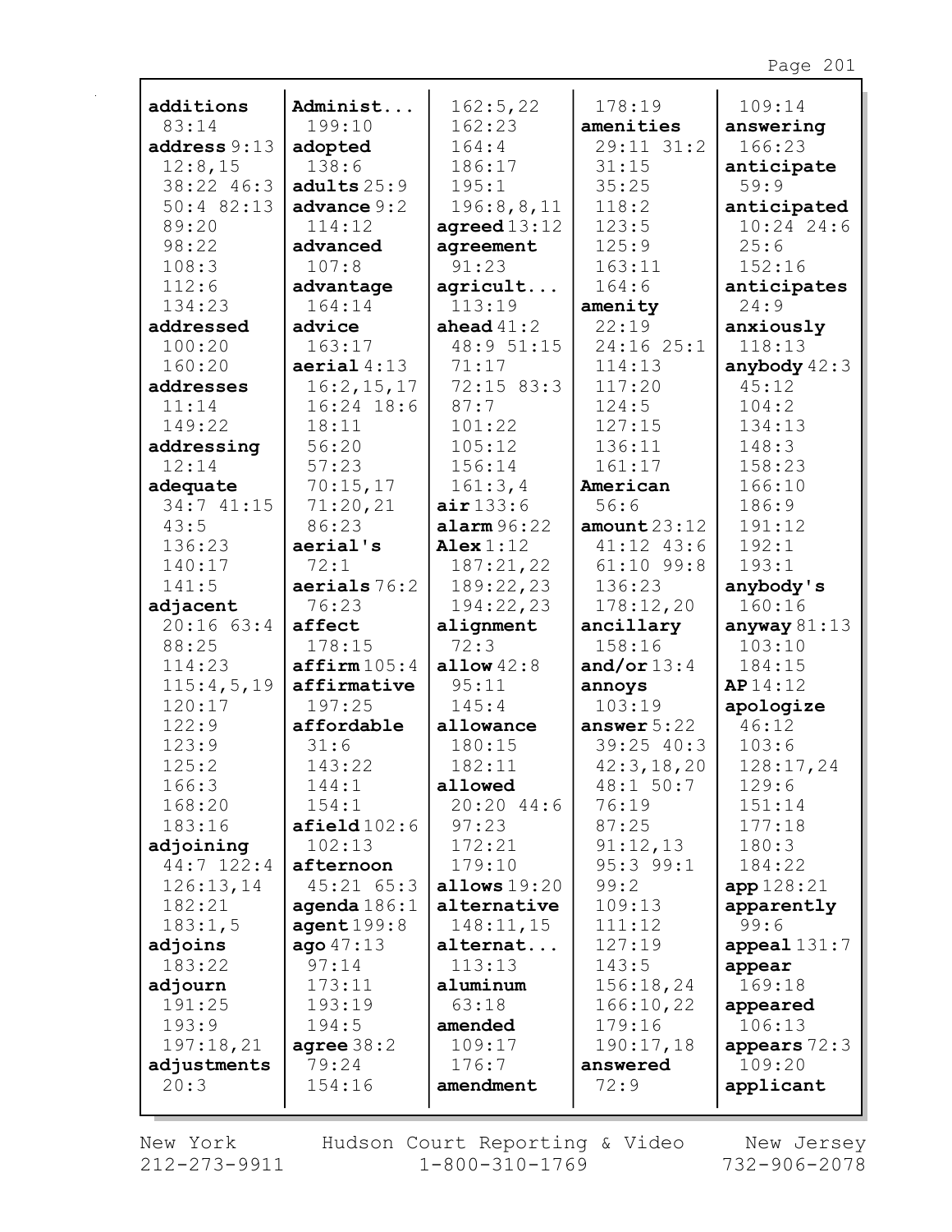| additions            | Administ                   | 162:5,22               | 178:19                  | 109:14             |
|----------------------|----------------------------|------------------------|-------------------------|--------------------|
| 83:14                | 199:10                     | 162:23                 | amenities               | answering          |
| address 9:13         | adopted                    | 164:4                  | 29:11 31:2              | 166:23             |
| 12:8,15              | 138:6                      | 186:17                 | 31:15                   | anticipate         |
| 38:22 46:3           | adults $25:9$              | 195:1                  | 35:25                   | 59:9               |
| $50:4$ 82:13         | advance $9:2$              | 196:8,8,11             | 118:2                   | anticipated        |
| 89:20                | 114:12                     | agreed $13:12$         | 123:5                   | $10:24$ 24:6       |
| 98:22                | advanced                   | agreement              | 125:9                   | 25:6               |
| 108:3                | 107:8                      | 91:23                  | 163:11                  | 152:16             |
| 112:6                | advantage                  | agricult               | 164:6                   | anticipates        |
| 134:23               | 164:14                     | 113:19                 | amenity                 | 24:9               |
| addressed            | advice                     | ahead $41:2$           | 22:19                   | anxiously          |
| 100:20               | 163:17                     | 48:9 51:15             | 24:16 25:1              | 118:13             |
| 160:20               | aerial 4:13                | 71:17                  | 114:13                  | anybody $42:3$     |
| addresses            | 16:2, 15, 17               | $72:15$ 83:3           | 117:20                  | 45:12              |
| 11:14                | $16:24$ 18:6               | 87:7                   | 124:5                   | 104:2              |
| 149:22               | 18:11                      | 101:22                 | 127:15                  | 134:13             |
| addressing           | 56:20                      | 105:12                 | 136:11                  | 148:3              |
| 12:14                | 57:23                      | 156:14                 | 161:17                  | 158:23             |
| adequate             | 70:15,17                   | 161:3,4                | American                | 166:10             |
| 34:741:15            | 71:20,21                   | air133:6               | 56:6                    | 186:9              |
| 43:5                 | 86:23                      | $\texttt{alarm} 96:22$ | amount $23:12$          | 191:12             |
| 136:23               | aerial's                   | Alex $1:12$            | 41:12 43:6              | 192:1              |
| 140:17               | 72:1                       | 187:21,22              | $61:10$ 99:8            | 193:1              |
| 141:5                | aerials $76:2$             | 189:22,23              | 136:23                  | anybody's          |
| adjacent             | 76:23                      | 194:22,23              | 178:12,20               | 160:16             |
| $20:16$ 63:4         | affect                     | alignment              | ancillary               | anyway $81:13$     |
| 88:25                | 178:15                     | 72:3                   | 158:16                  | 103:10             |
| 114:23<br>115:4,5,19 | affirm105:4<br>affirmative | allow $42:8$<br>95:11  | and/or $13:4$<br>annoys | 184:15<br>AP 14:12 |
| 120:17               | 197:25                     | 145:4                  | 103:19                  | apologize          |
| 122:9                | affordable                 | allowance              | answer $5:22$           | 46:12              |
| 123:9                | 31:6                       | 180:15                 | $39:25$ 40:3            | 103:6              |
| 125:2                | 143:22                     | 182:11                 | 42:3, 18, 20            | 128:17,24          |
| 166:3                | 144:1                      | allowed                | 48:1 50:7               | 129:6              |
| 168:20               | 154:1                      | $20:20$ 44:6           | 76:19                   | 151:14             |
| 183:16               | $\texttt{afield102:6}$     | 97:23                  | 87:25                   | 177:18             |
| adjoining            | 102:13                     | 172:21                 | 91:12,13                | 180:3              |
| $44:7$ 122:4         | afternoon                  | 179:10                 | $95:3$ $99:1$           | 184:22             |
| 126:13,14            | $45:21$ $65:3$             | allows $19:20$         | 99:2                    | app 128:21         |
| 182:21               | agenda $186:1$             | alternative            | 109:13                  | apparently         |
| 183:1,5              | agent199:8                 | 148:11,15              | 111:12                  | 99:6               |
| adjoins              | aqo47:13                   | alternat               | 127:19                  | $append1131:7$     |
| 183:22               | 97:14                      | 113:13                 | 143:5                   | appear             |
| adjourn              | 173:11                     | aluminum               | 156:18,24               | 169:18             |
| 191:25               | 193:19                     | 63:18                  | 166:10,22               | appeared           |
| 193:9                | 194:5                      | amended                | 179:16                  | 106:13             |
| 197:18,21            | agree $38:2$               | 109:17                 | 190:17,18               | appears $72:3$     |
| adjustments          | 79:24                      | 176:7                  | answered                | 109:20             |
| 20:3                 | 154:16                     | amendment              | 72:9                    | applicant          |
|                      |                            |                        |                         |                    |

New York 212-273-9911 Hudson Court Reporting & Video<br>1-800-310-1769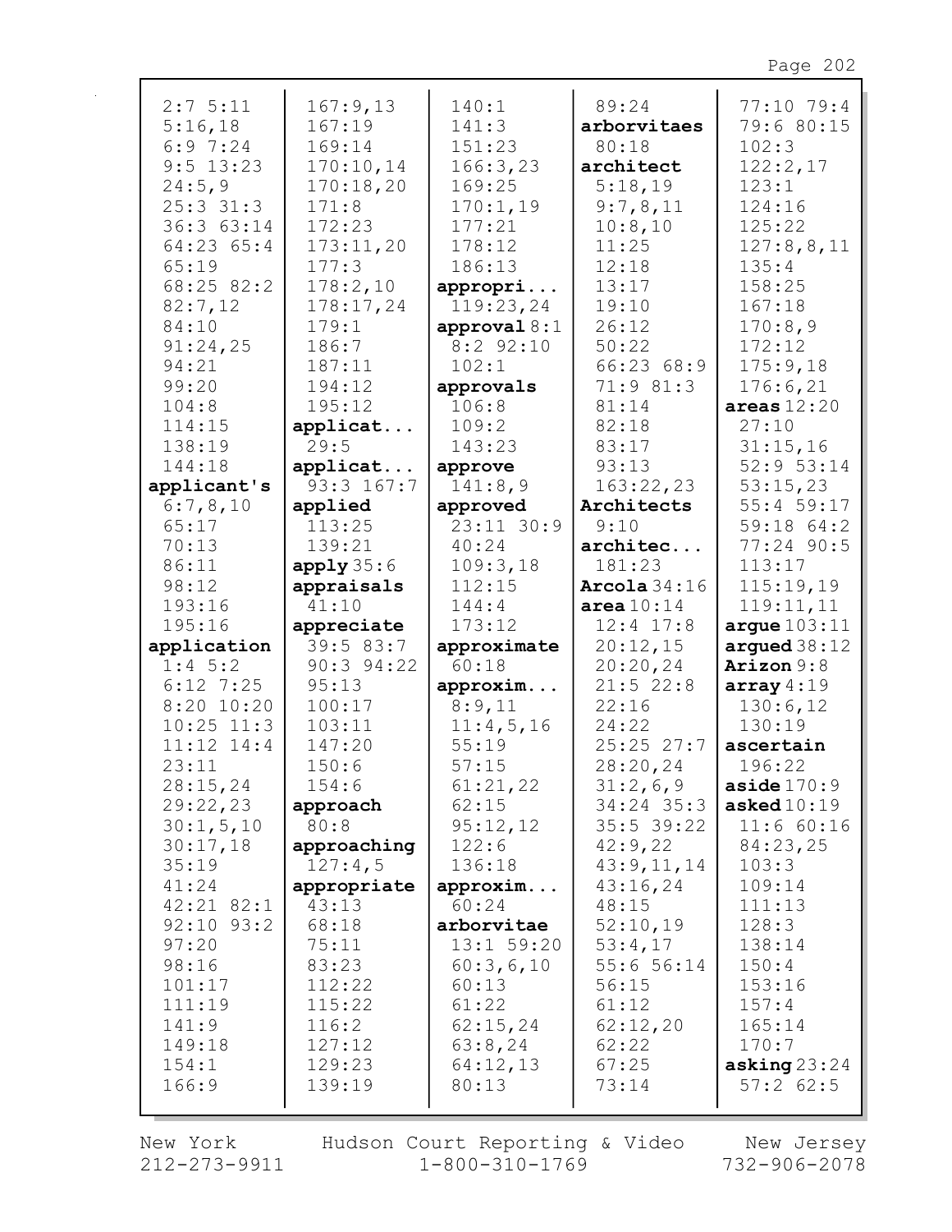| 2:75:11        | 167:9,13       | 140:1          | 89:24          | 77:10 79:4             |
|----------------|----------------|----------------|----------------|------------------------|
| 5:16,18        | 167:19         | 141:3          | arborvitaes    | 79:6 80:15             |
| 6:97:24        | 169:14         | 151:23         | 80:18          | 102:3                  |
| $9:5$ 13:23    | 170:10,14      | 166:3,23       | architect      | 122:2,17               |
| 24:5,9         | 170:18,20      | 169:25         | 5:18,19        | 123:1                  |
| $25:3$ 31:3    | 171:8          | 170:1,19       | 9:7,8,11       | 124:16                 |
| 36:3 63:14     | 172:23         | 177:21         | 10:8,10        | 125:22                 |
|                |                | 178:12         |                |                        |
| 64:23 65:4     | 173:11,20      |                | 11:25          | 127:8,8,11             |
| 65:19          | 177:3          | 186:13         | 12:18          | 135:4                  |
| 68:25 82:2     | 178:2,10       | appropri       | 13:17          | 158:25                 |
| 82:7,12        | 178:17,24      | 119:23,24      | 19:10          | 167:18                 |
| 84:10          | 179:1          | approval $8:1$ | 26:12          | 170:8,9                |
| 91:24,25       | 186:7          | $8:2$ 92:10    | 50:22          | 172:12                 |
| 94:21          | 187:11         | 102:1          | 66:23 68:9     | 175:9,18               |
| 99:20          | 194:12         | approvals      | 71:981:3       | 176:6,21               |
| 104:8          | 195:12         | 106:8          | 81:14          | areas $12:20$          |
| 114:15         | applicat       | 109:2          | 82:18          | 27:10                  |
| 138:19         | 29:5           | 143:23         | 83:17          | 31:15,16               |
| 144:18         | applicat       | approve        | 93:13          | 52:9 53:14             |
| applicant's    | $93:3$ 167:7   | 141:8,9        | 163:22,23      | 53:15,23               |
| 6:7,8,10       | applied        | approved       | Architects     | 55:4 59:17             |
| 65:17          | 113:25         | 23:11 30:9     | 9:10           | 59:18 64:2             |
| 70:13          | 139:21         | 40:24          | architec       | 77:24 90:5             |
| 86:11          | apply35:6      | 109:3,18       | 181:23         | 113:17                 |
| 98:12          | appraisals     | 112:15         | Arcola $34:16$ | 115:19,19              |
| 193:16         | 41:10          | 144:4          | area $10:14$   | 119:11,11              |
| 195:16         | appreciate     | 173:12         | $12:4$ 17:8    | argue103:11            |
| application    | 39:583:7       | approximate    | 20:12,15       | argued $38:12$         |
| $1:4$ 5:2      | $90:3$ $94:22$ | 60:18          | 20:20,24       | Arizon $9:8$           |
| $6:12$ 7:25    | 95:13          | approxim       | $21:5$ 22:8    | array $4:19$           |
| $8:20$ 10:20   | 100:17         | 8:9,11         | 22:16          | 130:6,12               |
| $10:25$ $11:3$ | 103:11         | 11:4,5,16      | 24:22          | 130:19                 |
| $11:12$ $14:4$ | 147:20         | 55:19          | 25:25 27:7     | ascertain              |
| 23:11          | 150:6          | 57:15          | 28:20,24       | 196:22                 |
|                | 154:6          | 61:21,22       | 31:2,6,9       | $\texttt{aside}~170:9$ |
| 28:15,24       |                |                |                |                        |
| 29:22,23       | approach       | 62:15          | 34:24 35:3     | asked $10:19$          |
| 30:1, 5, 10    | 80:8           | 95:12,12       | $35:5$ 39:22   | 11:660:16              |
| 30:17,18       | approaching    | 122:6          | 42:9,22        | 84:23,25               |
| 35:19          | 127:4,5        | 136:18         | 43:9,11,14     | 103:3                  |
| 41:24          | appropriate    | approxim       | 43:16,24       | 109:14                 |
| $42:21$ $82:1$ | 43:13          | 60:24          | 48:15          | 111:13                 |
| $92:10$ $93:2$ | 68:18          | arborvitae     | 52:10,19       | 128:3                  |
| 97:20          | 75:11          | 13:1 59:20     | 53:4,17        | 138:14                 |
| 98:16          | 83:23          | 60:3,6,10      | 55:656:14      | 150:4                  |
| 101:17         | 112:22         | 60:13          | 56:15          | 153:16                 |
| 111:19         | 115:22         | 61:22          | 61:12          | 157:4                  |
| 141:9          | 116:2          | 62:15,24       | 62:12,20       | 165:14                 |
| 149:18         | 127:12         | 63:8,24        | 62:22          | 170:7                  |
| 154:1          | 129:23         | 64:12,13       | 67:25          | asking $23:24$         |
| 166:9          | 139:19         | 80:13          | 73:14          | $57:2$ 62:5            |
|                |                |                |                |                        |

r

 $212 - 273 - 9911$   $1 - 800 - 310 - 1769$   $732 - 906 - 2078$ New York Hudson Court Reporting & Video New Jersey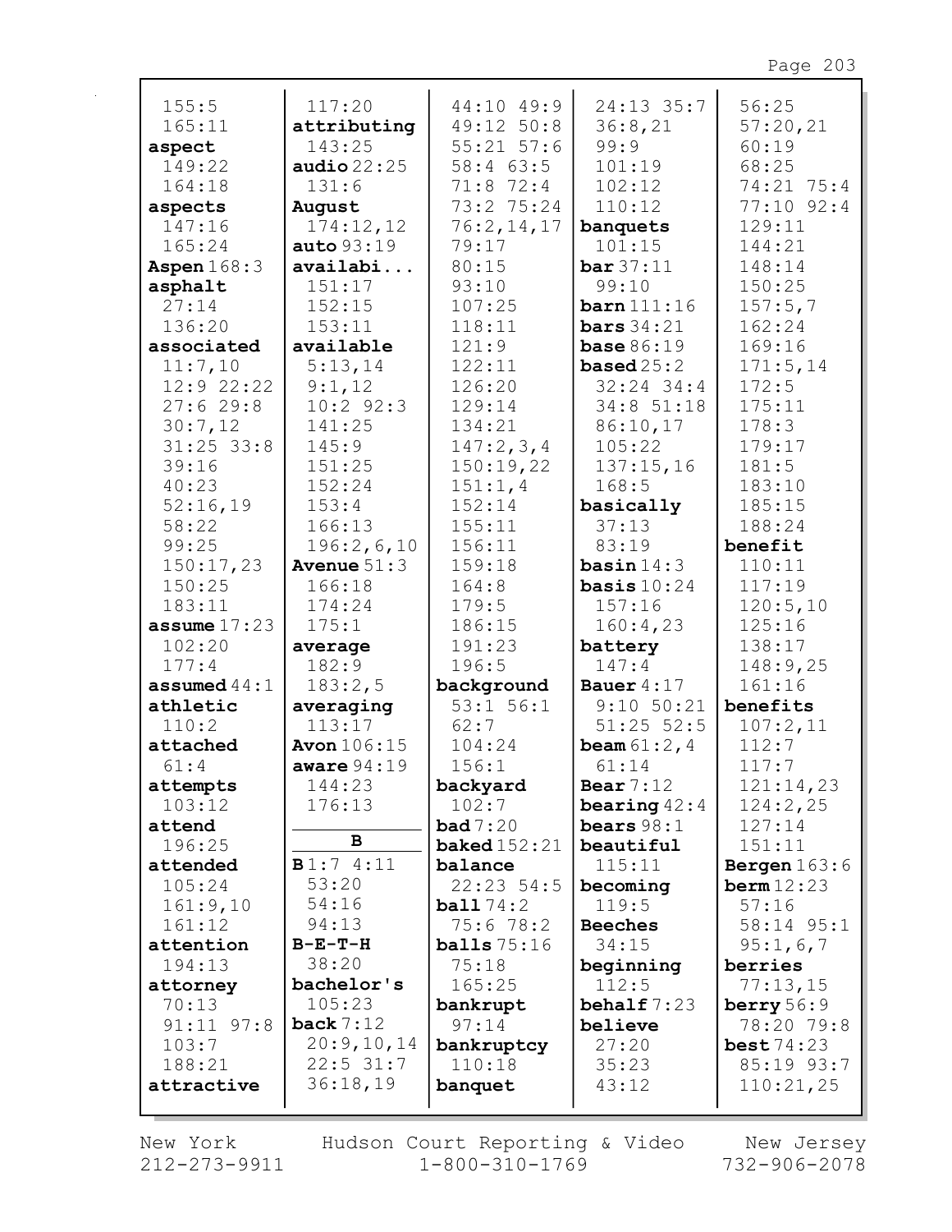| 155:5          | 117:20               | 44:10 49:9                    | $24:13$ 35:7           | 56:25                |
|----------------|----------------------|-------------------------------|------------------------|----------------------|
| 165:11         | attributing          | 49:12 50:8                    | 36:8,21                | 57:20,21             |
| aspect         | 143:25               | $55:21$ $57:6$                | 99:9                   | 60:19                |
| 149:22         | audio $22:25$        | $58:4$ 63:5                   | 101:19                 | 68:25                |
| 164:18         | 131:6                | 71:8 72:4                     | 102:12                 | 74:21 75:4           |
| aspects        | August               | 73:2 75:24                    | 110:12                 | $77:10$ 92:4         |
| 147:16         | 174:12,12            | 76:2,14,17                    | banquets               | 129:11               |
| 165:24         | auto 93:19           | 79:17                         | 101:15                 | 144:21               |
| Aspen $168:3$  | availabi             | 80:15                         | bar 37:11              | 148:14               |
| asphalt        | 151:17               | 93:10                         | 99:10                  | 150:25               |
| 27:14          | 152:15               | 107:25                        | $\mathtt{barn}$ 111:16 | 157:5,7              |
| 136:20         | 153:11               | 118:11                        | bars $34:21$           | 162:24               |
| associated     | available            | 121:9                         | <b>base</b> $86:19$    | 169:16               |
| 11:7,10        | 5:13,14              | 122:11                        | based $25:2$           | 171:5, 14            |
| $12:9$ 22:22   | 9:1,12               | 126:20                        | $32:24$ 34:4           | 172:5                |
| 27:629:8       | $10:2$ 92:3          | 129:14                        | 34:8 51:18             | 175:11               |
| 30:7,12        | 141:25               | 134:21                        | 86:10,17               | 178:3                |
| $31:25$ 33:8   | 145:9                | 147:2,3,4                     | 105:22                 | 179:17               |
| 39:16          | 151:25               | 150:19,22                     | 137:15,16              | 181:5                |
| 40:23          | 152:24               | 151:1,4                       | 168:5                  | 183:10               |
| 52:16,19       | 153:4                | 152:14                        | basically              | 185:15               |
| 58:22          | 166:13               | 155:11                        | 37:13                  | 188:24               |
| 99:25          | 196:2,6,10           | 156:11                        | 83:19                  | benefit              |
| 150:17,23      | <b>Avenue</b> $51:3$ | 159:18                        | basin $14:3$           | 110:11               |
| 150:25         | 166:18               | 164:8                         | basis $10:24$          | 117:19               |
| 183:11         | 174:24               | 179:5                         | 157:16                 | 120:5,10             |
| assume $17:23$ | 175:1                | 186:15                        | 160:4,23               | 125:16               |
| 102:20         | average              | 191:23                        | battery                | 138:17               |
| 177:4          | 182:9                | 196:5                         | 147:4                  | 148:9,25             |
| assumed $44:1$ | 183:2,5              | background                    | Bauer $4:17$           | 161:16               |
| athletic       | averaging            | 53:1 56:1                     | $9:10$ 50:21           | benefits             |
| 110:2          | 113:17               | 62:7                          | $51:25$ 52:5           | 107:2,11             |
| attached       | <b>Avon</b> 106:15   | 104:24                        | <b>beam</b> $61:2, 4$  | 112:7                |
| 61:4           | aware $94:19$        | 156:1                         | 61:14                  | 117:7                |
| attempts       | 144:23               | backyard                      | Bear $7:12$            | 121:14,23            |
| 103:12         | 176:13               | 102:7                         | bearing $42:4$         | 124:2,25             |
| attend         |                      | bad7:20                       | bears $98:1$           | 127:14               |
| 196:25         | B                    | $\texttt{background}\,152:21$ | beautiful              | 151:11               |
| attended       | B1:74:11             | balance                       | 115:11                 | Bergen $163:6$       |
| 105:24         | 53:20                | $22:23$ 54:5                  | becoming               | $\texttt{berm12:23}$ |
| 161:9,10       | 54:16                | ball74:2                      | 119:5                  | 57:16                |
| 161:12         | 94:13                | 75:678:2                      | <b>Beeches</b>         | 58:14 95:1           |
| attention      | $B-E-T-H$            | balls $75:16$                 | 34:15                  | 95:1,6,7             |
| 194:13         | 38:20                | 75:18                         | beginning              | berries              |
| attorney       | bachelor's           | 165:25                        | 112:5                  | 77:13,15             |
| 70:13          | 105:23               | bankrupt                      | behalf $7:23$          | berry $56:9$         |
| $91:11$ $97:8$ | back $7:12$          | 97:14                         | believe                | 78:20 79:8           |
| 103:7          | 20:9,10,14           | bankruptcy                    | 27:20                  | best74:23            |
| 188:21         | $22:5$ 31:7          | 110:18                        | 35:23                  | 85:19 93:7           |
| attractive     | 36:18,19             | banquet                       | 43:12                  | 110:21,25            |
|                |                      |                               |                        |                      |

New York  $212 - 273 - 9911$  Hudson Court Reporting & Video<br>1-800-310-1769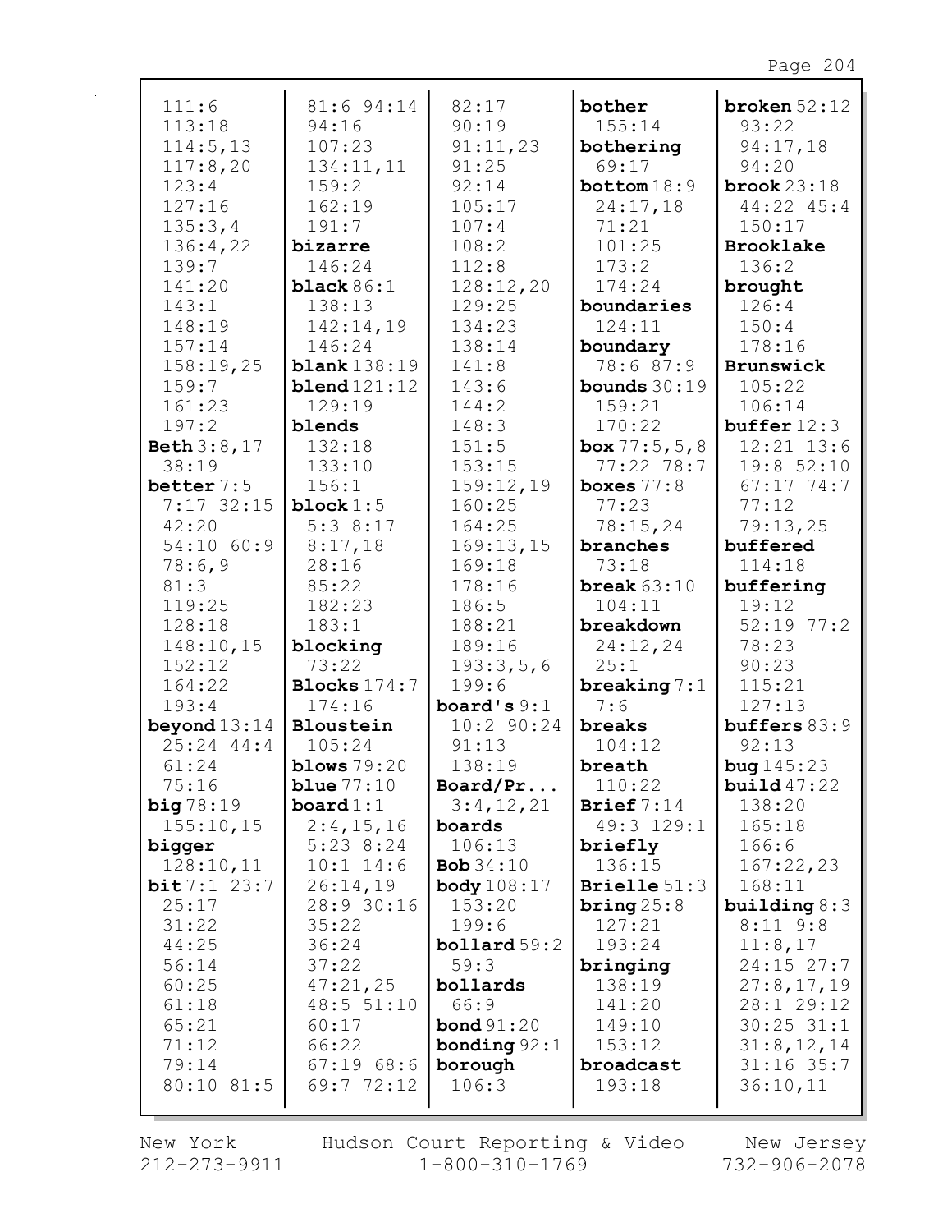| 111:6          | 81:6 94:14        | 82:17                  | bother           | broken $52:12$ |
|----------------|-------------------|------------------------|------------------|----------------|
| 113:18         | 94:16             | 90:19                  | 155:14           | 93:22          |
| 114:5, 13      | 107:23            | 91:11,23               | bothering        | 94:17,18       |
| 117:8,20       | 134:11,11         | 91:25                  | 69:17            | 94:20          |
| 123:4          | 159:2             | 92:14                  | bottom 18:9      | brook $23:18$  |
| 127:16         | 162:19            | 105:17                 | 24:17,18         | 44:22 45:4     |
| 135:3,4        | 191:7             | 107:4                  | 71:21            | 150:17         |
| 136:4,22       | bizarre           | 108:2                  | 101:25           | Brooklake      |
| 139:7          | 146:24            | 112:8                  | 173:2            | 136:2          |
| 141:20         | black $86:1$      | 128:12,20              | 174:24           | brought        |
| 143:1          | 138:13            | 129:25                 | boundaries       | 126:4          |
| 148:19         | 142:14,19         | 134:23                 | 124:11           | 150:4          |
| 157:14         | 146:24            | 138:14                 | boundary         | 178:16         |
| 158:19,25      | blank138:19       | 141:8                  | 78:6 87:9        | Brunswick      |
| 159:7          | blend121:12       | 143:6                  | bounds $30:19$   | 105:22         |
| 161:23         | 129:19            | 144:2                  | 159:21           | 106:14         |
| 197:2          | blends            | 148:3                  | 170:22           | buffer 12:3    |
| Beth 3:8,17    | 132:18            | 151:5                  | box $77:5, 5, 8$ | $12:21$ $13:6$ |
| 38:19          | 133:10            | 153:15                 | $77:22$ 78:7     | 19:852:10      |
| better $7:5$   | 156:1             | 159:12,19              | boxes $77:8$     | $67:17$ 74:7   |
| $7:17$ 32:15   | block $1:5$       | 160:25                 | 77:23            | 77:12          |
| 42:20          | 5:38:17           | 164:25                 | 78:15,24         | 79:13,25       |
| 54:10 60:9     | 8:17,18           | 169:13,15              | branches         | buffered       |
| 78:6,9         | 28:16             | 169:18                 | 73:18            | 114:18         |
| 81:3           | 85:22             | 178:16                 | break $63:10$    | buffering      |
| 119:25         | 182:23            | 186:5                  | 104:11           | 19:12          |
| 128:18         | 183:1             | 188:21                 | breakdown        | $52:19$ 77:2   |
| 148:10,15      | blocking          | 189:16                 | 24:12,24         | 78:23          |
| 152:12         | 73:22             | 193:3,5,6              | 25:1             | 90:23          |
| 164:22         | Blocks $174:7$    | 199:6                  | breaking $7:1$   | 115:21         |
| 193:4          | 174:16            | board's $9:1$          | 7:6              | 127:13         |
| beyond $13:14$ | Bloustein         | $10:2$ 90:24           | breaks           | buffers $83:9$ |
| $25:24$ 44:4   | 105:24            | 91:13                  | 104:12           | 92:13          |
| 61:24          | blows $79:20$     | 138:19                 | breath           | bug145:23      |
| 75:16          | blue $77:10$      | Board/Pr               | 110:22           | build $47:22$  |
| big78:19       | $\text{board}1:1$ | 3:4,12,21              | Brief $7:14$     | 138:20         |
| 155:10,15      | 2:4,15,16         | boards                 | 49:3 129:1       | 165:18         |
| bigger         | $5:23$ $8:24$     | 106:13                 | briefly          | 166:6          |
| 128:10,11      | $10:1$ 14:6       | Bob $34:10$            | 136:15           | 167:22,23      |
| bit7:123:7     | 26:14,19          | <b>body</b> 108:17     | Brielle $51:3$   | 168:11         |
| 25:17          | 28:9 30:16        | 153:20                 | bring $25:8$     | building $8:3$ |
| 31:22          | 35:22             | 199:6                  | 127:21           | $8:11$ $9:8$   |
| 44:25          | 36:24             | $\text{bollard } 59:2$ | 193:24           | 11:8,17        |
| 56:14          | 37:22             | 59:3                   | bringing         | $24:15$ 27:7   |
| 60:25          | 47:21,25          | bollards               | 138:19           | 27:8,17,19     |
| 61:18          | 48:5 51:10        | 66:9                   | 141:20           | 28:1 29:12     |
| 65:21          | 60:17             | <b>bond</b> 91:20      | 149:10           | $30:25$ $31:1$ |
| 71:12          | 66:22             | bonding $92:1$         | 153:12           | 31:8, 12, 14   |
| 79:14          | 67:1968:6         | borough                | broadcast        | $31:16$ 35:7   |
| 80:10 81:5     | 69:772:12         | 106:3                  | 193:18           | 36:10,11       |
|                |                   |                        |                  |                |

New York  $212 - 273 - 9911$  Hudson Court Reporting & Video<br>1-800-310-1769

New Jersey<br>732-906-2078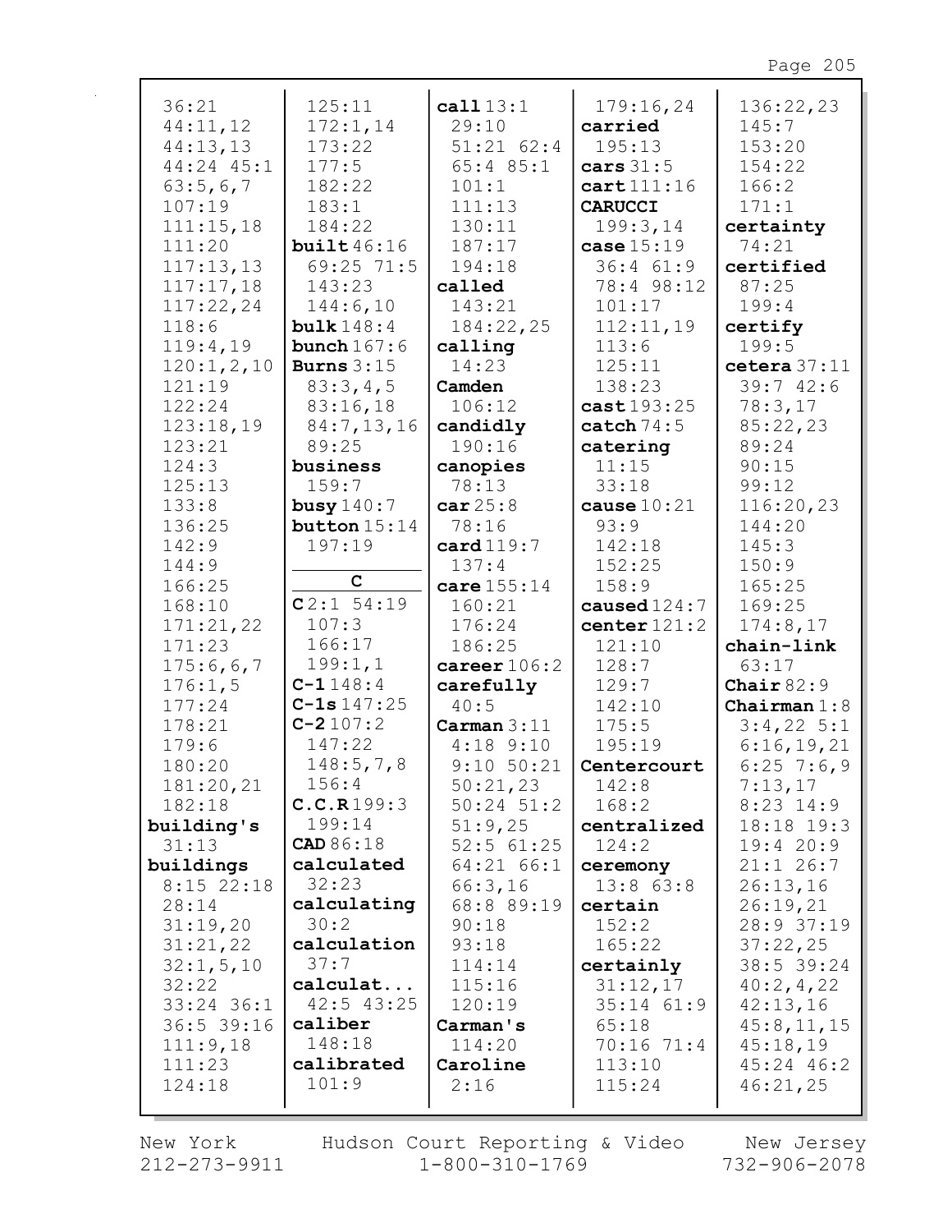| 36:21        | 125:11           | cal 113:1      | 179:16,24      | 136:22,23      |
|--------------|------------------|----------------|----------------|----------------|
| 44:11,12     | 172:1,14         | 29:10          | carried        | 145:7          |
| 44:13,13     | 173:22           | $51:21$ $62:4$ | 195:13         | 153:20         |
| 44:24 45:1   | 177:5            | $65:4$ 85:1    | cars $31:5$    | 154:22         |
| 63:5,6,7     | 182:22           | 101:1          | cart111:16     | 166:2          |
| 107:19       | 183:1            | 111:13         | <b>CARUCCI</b> | 171:1          |
|              |                  |                |                |                |
| 111:15,18    | 184:22           | 130:11         | 199:3,14       | certainty      |
| 111:20       | build46:16       | 187:17         | case $15:19$   | 74:21          |
| 117:13,13    | 69:25 71:5       | 194:18         | 36:461:9       | certified      |
| 117:17,18    | 143:23           | called         | 78:4 98:12     | 87:25          |
| 117:22,24    | 144:6,10         | 143:21         | 101:17         | 199:4          |
| 118:6        | bulk $148:4$     | 184:22,25      | 112:11,19      | certify        |
| 119:4,19     | bunch $167:6$    | calling        | 113:6          | 199:5          |
| 120:1,2,10   | Burns $3:15$     | 14:23          | 125:11         | cetera 37:11   |
| 121:19       | 83:3,4,5         | Camden         | 138:23         | 39:742:6       |
| 122:24       | 83:16,18         | 106:12         | cast 193:25    | 78:3,17        |
| 123:18,19    | 84:7,13,16       | candidly       | catch $74:5$   | 85:22,23       |
| 123:21       | 89:25            | 190:16         | catering       | 89:24          |
| 124:3        | business         | canopies       | 11:15          | 90:15          |
| 125:13       | 159:7            | 78:13          | 33:18          | 99:12          |
| 133:8        | busy $140:7$     | car25:8        | cause $10:21$  | 116:20,23      |
| 136:25       | button $15:14$   | 78:16          | 93:9           | 144:20         |
| 142:9        | 197:19           | card 119:7     | 142:18         | 145:3          |
| 144:9        |                  | 137:4          | 152:25         | 150:9          |
| 166:25       | $\mathbf C$      | care 155:14    | 158:9          | 165:25         |
| 168:10       | $C2:1$ 54:19     | 160:21         | caused $124:7$ | 169:25         |
| 171:21,22    | 107:3            | 176:24         | center $121:2$ | 174:8,17       |
| 171:23       | 166:17           | 186:25         | 121:10         | chain-link     |
| 175:6,6,7    | 199:1,1          | career $106:2$ | 128:7          | 63:17          |
| 176:1,5      | $C - 1148:4$     | carefully      | 129:7          | Chair $82:9$   |
| 177:24       | $C-1s147:25$     | 40:5           | 142:10         | Chairman $1:8$ |
| 178:21       | $C-2107:2$       | Carman 3:11    | 175:5          | $3:4,22$ 5:1   |
| 179:6        | 147:22           | $4:18$ 9:10    | 195:19         | 6:16,19,21     |
| 180:20       | 148:5,7,8        | $9:10$ $50:21$ | Centercourt    | $6:25$ 7:6,9   |
| 181:20,21    | 156:4            | 50:21,23       | 142:8          | 7:13,17        |
| 182:18       | C.C.R199:3       | $50:24$ $51:2$ | 168:2          | $8:23$ 14:9    |
| building's   | 199:14           | 51:9,25        | centralized    | 18:18 19:3     |
| 31:13        | <b>CAD</b> 86:18 | $52:5$ $61:25$ | 124:2          | 19:420:9       |
| buildings    | calculated       | 64:21 66:1     | ceremony       | $21:1$ 26:7    |
| $8:15$ 22:18 | 32:23            | 66:3,16        | $13:8$ $63:8$  | 26:13,16       |
| 28:14        | calculating      | 68:8 89:19     |                |                |
|              | 30:2             |                | certain        | 26:19,21       |
| 31:19,20     | calculation      | 90:18          | 152:2          | 28:9 37:19     |
| 31:21,22     | 37:7             | 93:18          | 165:22         | 37:22,25       |
| 32:1, 5, 10  |                  | 114:14         | certainly      | 38:5 39:24     |
| 32:22        | calculat         | 115:16         | 31:12,17       | 40:2, 4, 22    |
| $33:24$ 36:1 | $42:5$ $43:25$   | 120:19         | $35:14$ $61:9$ | 42:13,16       |
| 36:5 39:16   | caliber          | Carman's       | 65:18          | 45:8, 11, 15   |
| 111:9,18     | 148:18           | 114:20         | 70:16 71:4     | 45:18,19       |
| 111:23       | calibrated       | Caroline       | 113:10         | 45:24 46:2     |
| 124:18       | 101:9            | 2:16           | 115:24         | 46:21,25       |
|              |                  |                |                |                |

New York  $212 - 273 - 9911$  Hudson Court Reporting & Video<br>1-800-310-1769

New Jersey<br>732-906-2078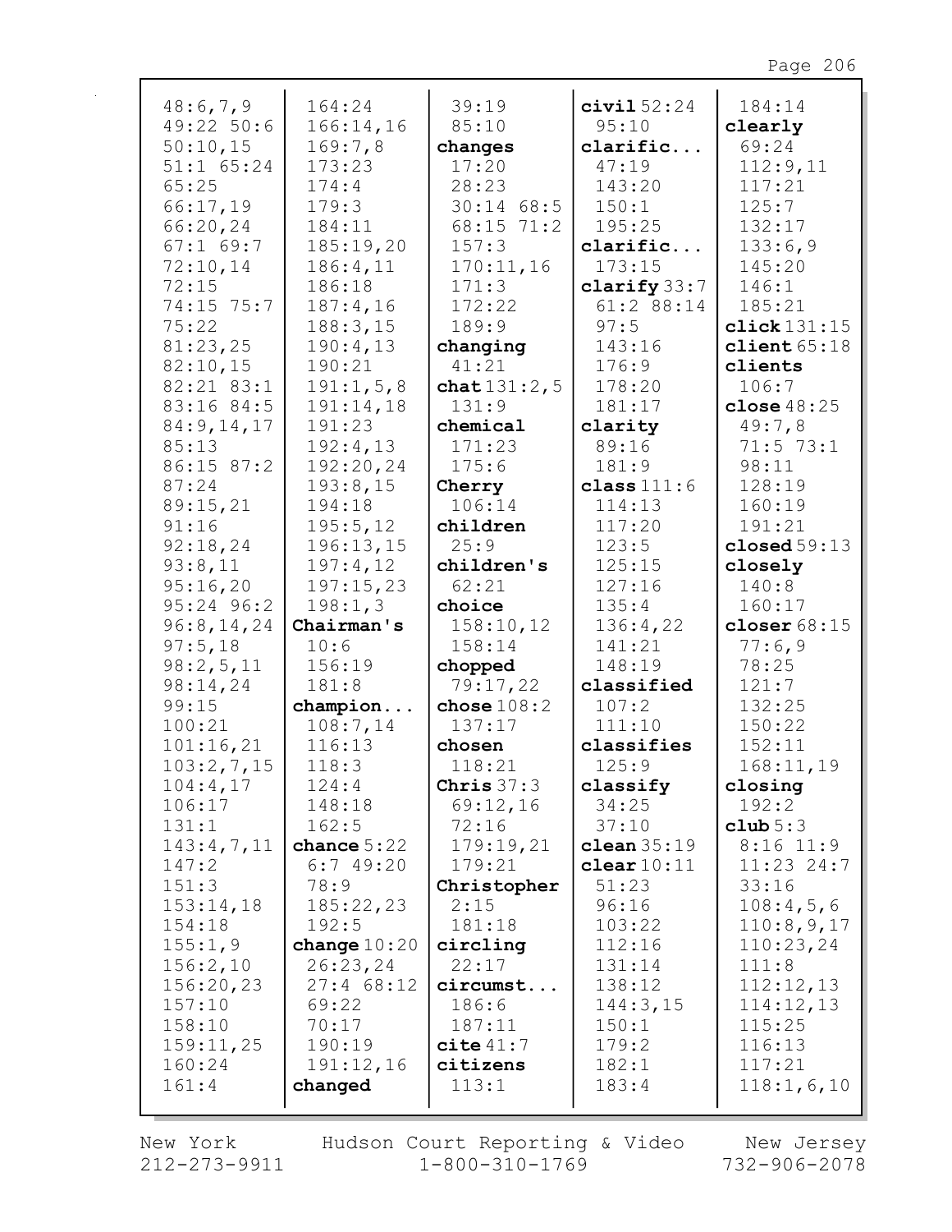| 48:6,7,9            | 164:24                    | 39:19               | civial 52:24            | 184:14                      |
|---------------------|---------------------------|---------------------|-------------------------|-----------------------------|
| 49:22 50:6          | 166:14,16                 | 85:10               | 95:10                   | clearly                     |
| 50:10,15            | 169:7,8                   | changes             | clarific                | 69:24                       |
| 51:1 65:24          | 173:23                    | 17:20               | 47:19                   | 112:9,11                    |
| 65:25               | 174:4                     | 28:23               | 143:20                  | 117:21                      |
| 66:17,19            | 179:3                     | $30:14$ 68:5        | 150:1                   | 125:7                       |
| 66:20,24            | 184:11                    | 68:15 71:2          | 195:25                  | 132:17                      |
| $67:1$ 69:7         | 185:19,20                 | 157:3               | clarific                | 133:6,9                     |
| 72:10,14            | 186:4,11                  | 170:11,16           | 173:15                  | 145:20                      |
| 72:15               | 186:18                    | 171:3               | clarify $33:7$          | 146:1                       |
| 74:15 75:7          | 187:4,16                  | 172:22              | 61:2 88:14              | 185:21                      |
| 75:22               | 188:3,15                  | 189:9               | 97:5                    | click131:15                 |
| 81:23,25            | 190:4,13                  | changing            | 143:16                  | client $65:18$              |
| 82:10,15            | 190:21                    | 41:21               | 176:9                   | clients                     |
| 82:21 83:1          | 191:1,5,8                 | chat $131:2,5$      | 178:20                  | 106:7                       |
| 83:16 84:5          | 191:14,18                 | 131:9               | 181:17                  | close $48:25$               |
| 84:9,14,17          | 191:23                    | chemical            | clarity                 | 49:7,8                      |
| 85:13               | 192:4,13                  | 171:23              | 89:16                   | $71:5$ 73:1                 |
| 86:15 87:2<br>87:24 | 192:20,24<br>193:8,15     | 175:6               | 181:9                   | 98:11<br>128:19             |
| 89:15,21            | 194:18                    | Cherry<br>106:14    | class $111:6$<br>114:13 | 160:19                      |
| 91:16               | 195:5,12                  | children            | 117:20                  | 191:21                      |
| 92:18,24            | 196:13,15                 | 25:9                | 123:5                   | closed 59:13                |
| 93:8,11             | 197:4,12                  | children's          | 125:15                  | closely                     |
| 95:16,20            | 197:15,23                 | 62:21               | 127:16                  | 140:8                       |
| 95:24 96:2          | 198:1,3                   | choice              | 135:4                   | 160:17                      |
| 96:8, 14, 24        | Chairman's                | 158:10,12           | 136:4,22                | closer $68:15$              |
| 97:5,18             | 10:6                      | 158:14              | 141:21                  | 77:6,9                      |
| 98:2,5,11           | 156:19                    | chopped             | 148:19                  | 78:25                       |
| 98:14,24            | 181:8                     | 79:17,22            | classified              | 121:7                       |
| 99:15               | champion                  | chose $108:2$       | 107:2                   | 132:25                      |
| 100:21              | 108:7,14                  | 137:17              | 111:10                  | 150:22                      |
| 101:16,21           | 116:13                    | chosen              | classifies              | 152:11                      |
| 103:2,7,15          | 118:3                     | 118:21              | 125:9                   | 168:11,19                   |
| 104:4,17            | 124:4                     | Chris $37:3$        | classify                | closing                     |
| 106:17              | 148:18                    | 69:12,16            | 34:25                   | 192:2                       |
| 131:1               | 162:5                     | 72:16               | 37:10<br>clean $35:19$  | club $5:3$                  |
| 143:4,7,11<br>147:2 | chance $5:22$<br>6:749:20 | 179:19,21<br>179:21 | $\texttt{clear}10:11$   | $8:16$ 11:9<br>$11:23$ 24:7 |
| 151:3               | 78:9                      | Christopher         | 51:23                   | 33:16                       |
| 153:14,18           | 185:22,23                 | 2:15                | 96:16                   | 108:4,5,6                   |
| 154:18              | 192:5                     | 181:18              | 103:22                  | 110:8,9,17                  |
| 155:1,9             | change $10:20$            | circling            | 112:16                  | 110:23,24                   |
| 156:2,10            | 26:23,24                  | 22:17               | 131:14                  | 111:8                       |
| 156:20,23           | $27:4$ 68:12              | circumst            | 138:12                  | 112:12,13                   |
| 157:10              | 69:22                     | 186:6               | 144:3,15                | 114:12,13                   |
| 158:10              | 70:17                     | 187:11              | 150:1                   | 115:25                      |
| 159:11,25           | 190:19                    | cite 41:7           | 179:2                   | 116:13                      |
| 160:24              | 191:12,16                 | citizens            | 182:1                   | 117:21                      |
| 161:4               | changed                   | 113:1               | 183:4                   | 118:1,6,10                  |
|                     |                           |                     |                         |                             |

New York  $212 - 273 - 9911$ 

Hudson Court Reporting & Video<br>11 1-800-310-1769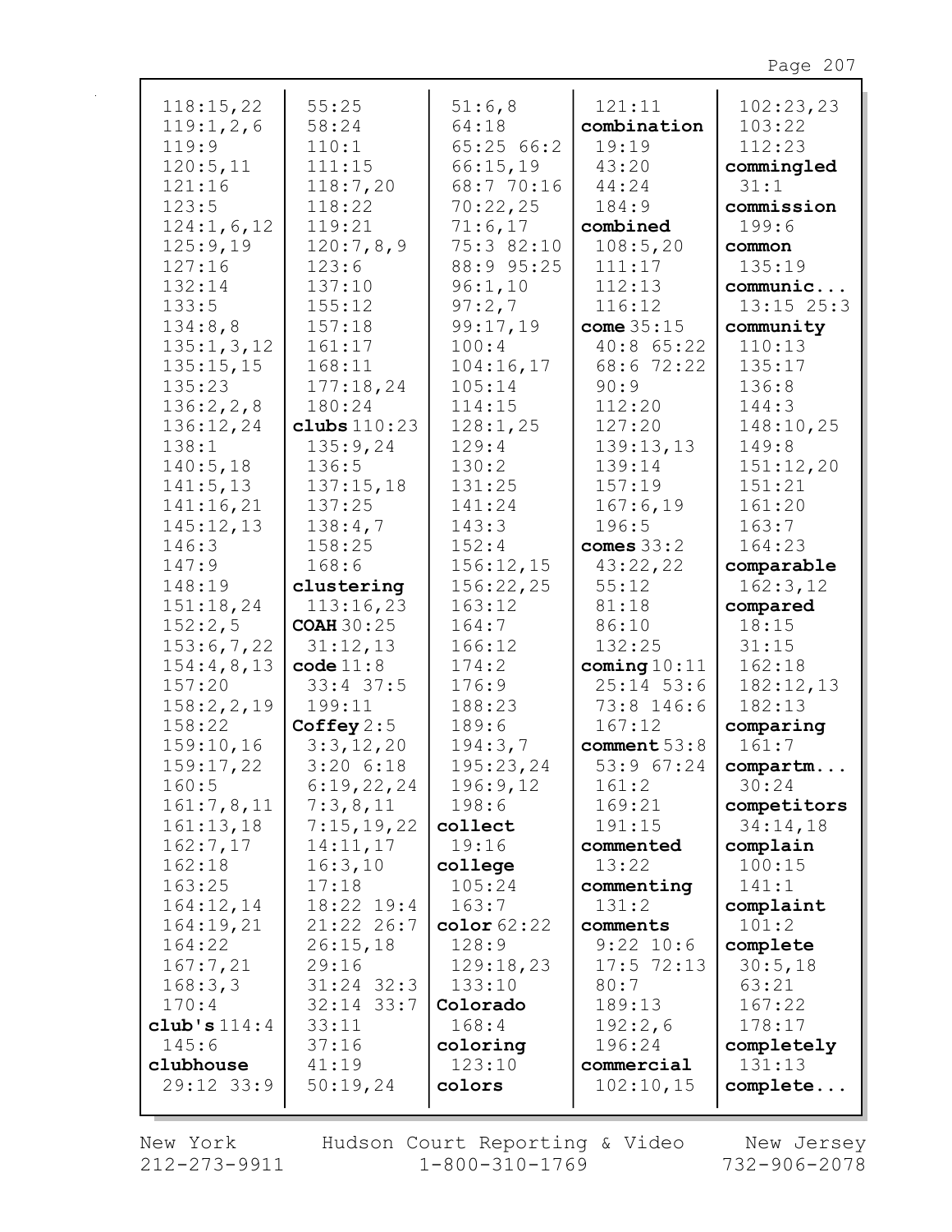| 118:15,22      | 55:25             | 51:6,8        | 121:11         | 102:23,23      |
|----------------|-------------------|---------------|----------------|----------------|
| 119:1,2,6      | 58:24             | 64:18         | combination    | 103:22         |
| 119:9          | 110:1             | 65:2566:2     | 19:19          | 112:23         |
| 120:5,11       | 111:15            | 66:15,19      | 43:20          | commingled     |
| 121:16         | 118:7,20          | 68:7 70:16    | 44:24          | 31:1           |
| 123:5          | 118:22            | 70:22,25      | 184:9          | commission     |
| 124:1,6,12     | 119:21            | 71:6,17       | combined       | 199:6          |
| 125:9,19       | 120:7,8,9         | 75:3 82:10    | 108:5,20       | common         |
| 127:16         | 123:6             | 88:9 95:25    | 111:17         | 135:19         |
| 132:14         | 137:10            | 96:1,10       | 112:13         | communic       |
| 133:5          | 155:12            | 97:2,7        | 116:12         | $13:15$ $25:3$ |
| 134:8,8        | 157:18            | 99:17,19      | come $35:15$   | community      |
| 135:1, 3, 12   | 161:17            | 100:4         | 40:8 65:22     | 110:13         |
| 135:15,15      | 168:11            | 104:16,17     | 68:6 72:22     | 135:17         |
| 135:23         | 177:18,24         | 105:14        | 90:9           | 136:8          |
| 136:2, 2, 8    | 180:24            | 114:15        | 112:20         | 144:3          |
| 136:12,24      | clubs $110:23$    | 128:1,25      | 127:20         | 148:10,25      |
| 138:1          | 135:9,24          | 129:4         | 139:13,13      | 149:8          |
| 140:5,18       | 136:5             | 130:2         | 139:14         | 151:12,20      |
| 141:5, 13      | 137:15,18         | 131:25        | 157:19         | 151:21         |
| 141:16,21      | 137:25            | 141:24        | 167:6,19       | 161:20         |
| 145:12,13      | 138:4,7           | 143:3         | 196:5          | 163:7          |
| 146:3          | 158:25            | 152:4         | comes $33:2$   | 164:23         |
| 147:9          | 168:6             | 156:12,15     | 43:22,22       | comparable     |
| 148:19         | clustering        | 156:22,25     | 55:12          | 162:3,12       |
| 151:18,24      | 113:16,23         | 163:12        | 81:18          | compared       |
| 152:2,5        | <b>COAH 30:25</b> | 164:7         | 86:10          | 18:15          |
| 153:6,7,22     | 31:12,13          | 166:12        | 132:25         | 31:15          |
| 154:4,8,13     | code 11:8         | 174:2         | coming $10:11$ | 162:18         |
| 157:20         | $33:4$ 37:5       | 176:9         | $25:14$ 53:6   | 182:12,13      |
| 158:2, 2, 19   | 199:11            | 188:23        | 73:8 146:6     | 182:13         |
| 158:22         | Coffey $2:5$      | 189:6         | 167:12         | comparing      |
| 159:10,16      | 3:3,12,20         | 194:3,7       | comment $53:8$ | 161:7          |
| 159:17,22      | $3:20$ $6:18$     | 195:23,24     | 53:9 67:24     | compartm       |
| 160:5          | 6:19,22,24        | 196:9,12      | 161:2          | 30:24          |
| 161:7,8,11     | 7:3,8,11          | 198:6         | 169:21         | competitors    |
| 161:13,18      | 7:15,19,22        | collect       | 191:15         | 34:14,18       |
| 162:7,17       | 14:11,17          | 19:16         | commented      | complain       |
| 162:18         | 16:3,10           | college       | 13:22          | 100:15         |
| 163:25         | 17:18             | 105:24        | commenting     | 141:1          |
| 164:12,14      | 18:22 19:4        | 163:7         | 131:2          | complaint      |
| 164:19,21      | 21:22 26:7        | color $62:22$ | comments       | 101:2          |
| 164:22         | 26:15,18          | 128:9         | $9:22$ 10:6    | complete       |
| 167:7,21       | 29:16             | 129:18,23     | $17:5$ 72:13   | 30:5,18        |
| 168:3,3        | $31:24$ $32:3$    | 133:10        | 80:7           | 63:21          |
| 170:4          | $32:14$ $33:7$    | Colorado      | 189:13         | 167:22         |
| club's $114:4$ | 33:11             | 168:4         | 192:2,6        | 178:17         |
| 145:6          | 37:16             | coloring      | 196:24         | completely     |
| clubhouse      | 41:19             | 123:10        | commercial     | 131:13         |
| 29:12 33:9     | 50:19,24          | colors        | 102:10,15      | complete       |

 $212 - 273 - 9911$   $1 - 800 - 310 - 1769$   $732 - 906 - 2078$ New York Hudson Court Reporting & Video New Jersey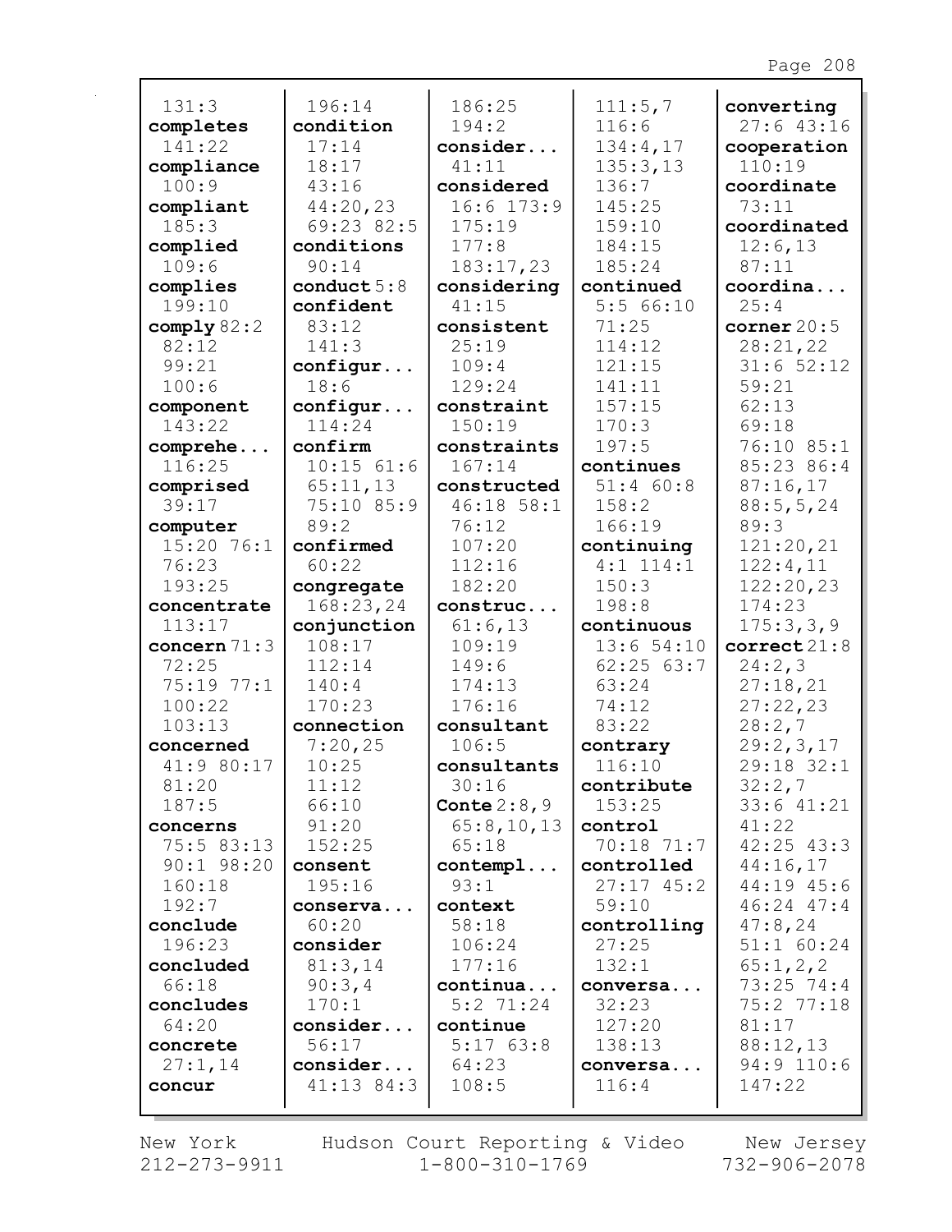| 131:3                  | 196:14             | 186:25              | 111:5,7              | converting                   |
|------------------------|--------------------|---------------------|----------------------|------------------------------|
| completes              | condition          | 194:2               | 116:6                | 27:643:16                    |
| 141:22                 | 17:14              | consider            | 134:4,17             | cooperation                  |
| compliance             | 18:17              | 41:11               | 135:3,13             | 110:19                       |
| 100:9                  | 43:16              | considered          | 136:7                | coordinate                   |
| compliant              | 44:20,23           | $16:6$ $173:9$      | 145:25               | 73:11                        |
| 185:3                  | 69:23 82:5         | 175:19              | 159:10               | coordinated                  |
| complied               | conditions         | 177:8               | 184:15               | 12:6,13                      |
| 109:6                  | 90:14              | 183:17,23           | 185:24               | 87:11                        |
| complies<br>199:10     | conduct $5:8$      | considering         | continued            | coordina                     |
|                        | confident<br>83:12 | 41:15               | 5:566:10<br>71:25    | 25:4<br>corner $20:5$        |
| comply $82:2$<br>82:12 | 141:3              | consistent<br>25:19 | 114:12               | 28:21,22                     |
| 99:21                  |                    | 109:4               | 121:15               | $31:6$ 52:12                 |
| 100:6                  | configur<br>18:6   | 129:24              | 141:11               | 59:21                        |
| component              | configur           | constraint          | 157:15               | 62:13                        |
| 143:22                 | 114:24             | 150:19              | 170:3                | 69:18                        |
| comprehe               | confirm            | constraints         | 197:5                | 76:10 85:1                   |
| 116:25                 | $10:15$ 61:6       | 167:14              | continues            | 85:23 86:4                   |
| comprised              | 65:11,13           | constructed         | 51:4 60:8            | 87:16,17                     |
| 39:17                  | 75:10 85:9         | $46:18$ 58:1        | 158:2                | 88:5, 5, 24                  |
| computer               | 89:2               | 76:12               | 166:19               | 89:3                         |
| $15:20$ 76:1           | confirmed          | 107:20              | continuing           | 121:20,21                    |
| 76:23                  | 60:22              | 112:16              | $4:1$ 114:1          | 122:4,11                     |
| 193:25                 | congregate         | 182:20              | 150:3                | 122:20,23                    |
| concentrate            | 168:23,24          | construc            | 198:8                | 174:23                       |
| 113:17                 | conjunction        | 61:6,13             | continuous           | 175:3,3,9                    |
| concern $71:3$         | 108:17             | 109:19              | 13:654:10            | correct21:8                  |
| 72:25                  | 112:14             | 149:6               | 62:2563:7            | 24:2,3                       |
| 75:19 77:1             | 140:4              | 174:13              | 63:24                | 27:18,21                     |
| 100:22                 | 170:23             | 176:16              | 74:12                | 27:22,23                     |
| 103:13                 | connection         | consultant          | 83:22                | 28:2,7                       |
| concerned              | 7:20,25            | 106:5               | contrary             | 29:2,3,17                    |
| 41:9 80:17             | 10:25              | consultants         | 116:10               | 29:18 32:1                   |
| 81:20                  | 11:12              | 30:16               | contribute           | 32:2,7                       |
| 187:5                  | 66:10              | Conte $2:8,9$       | 153:25               | $33:6$ $41:21$               |
| concerns               | 91:20              | 65:8,10,13          | control              | 41:22                        |
| 75:5 83:13             | 152:25             | 65:18               | $70:18$ 71:7         | $42:25$ $43:3$               |
| $90:1$ $98:20$         | consent            | contempl            | controlled           | 44:16,17                     |
| 160:18                 | 195:16             | 93:1                | $27:17$ 45:2         | 44:19 45:6<br>$46:24$ $47:4$ |
| 192:7<br>conclude      | conserva<br>60:20  | context<br>58:18    | 59:10<br>controlling | 47:8,24                      |
| 196:23                 | consider           | 106:24              | 27:25                | 51:1 60:24                   |
| concluded              | 81:3,14            | 177:16              | 132:1                | 65:1,2,2                     |
| 66:18                  | 90:3,4             | continua            | conversa             | $73:25$ $74:4$               |
| concludes              | 170:1              | $5:2$ 71:24         | 32:23                | 75:2 77:18                   |
| 64:20                  | consider           | continue            | 127:20               | 81:17                        |
| concrete               | 56:17              | 5:1763:8            | 138:13               | 88:12,13                     |
| 27:1,14                | consider           | 64:23               | conversa             | 94:9 110:6                   |
| concur                 | $41:13$ $84:3$     | 108:5               | 116:4                | 147:22                       |
|                        |                    |                     |                      |                              |

 $212 - 273 - 9911$   $1 - 800 - 310 - 1769$   $732 - 906 - 2078$ New York Hudson Court Reporting & Video New Jersey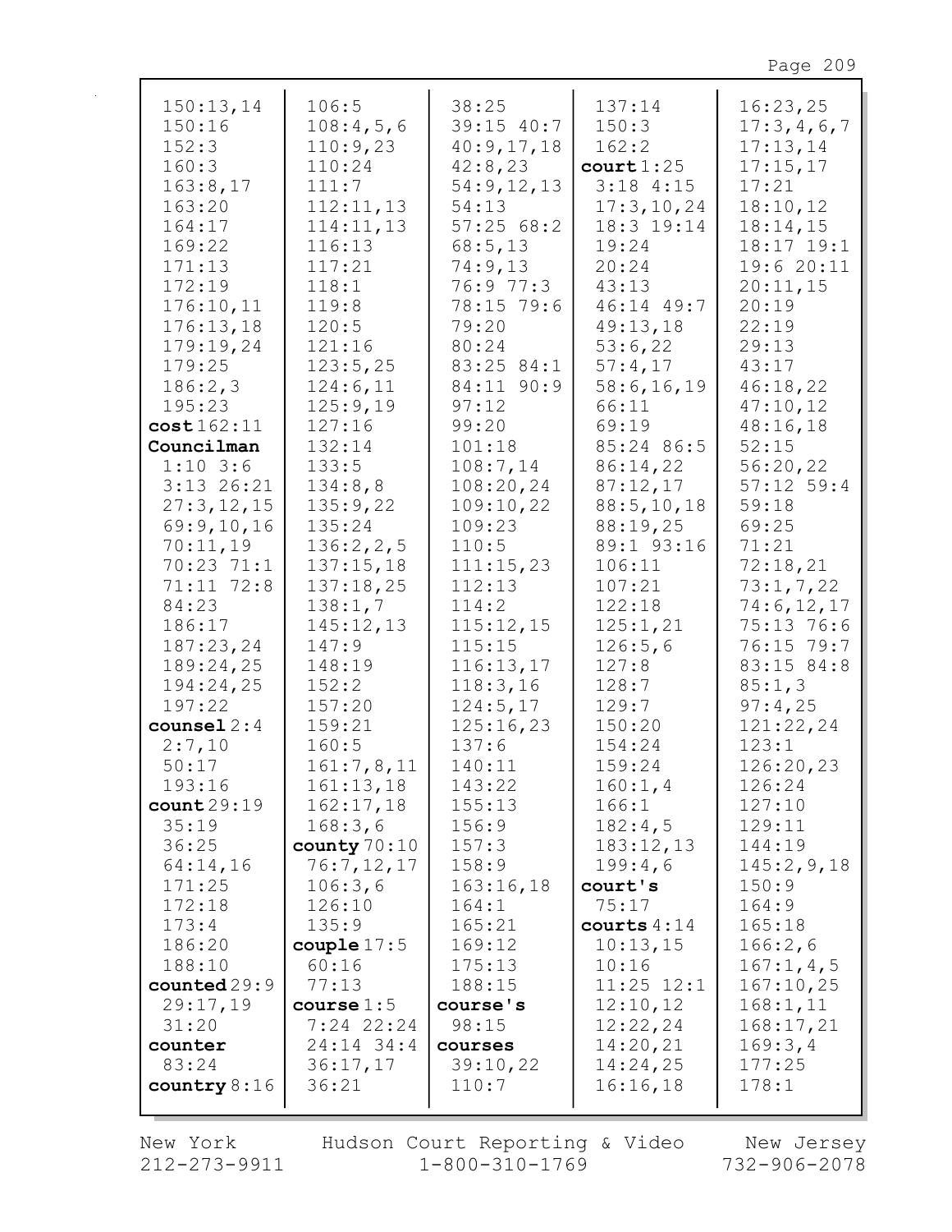| 150:13,14<br>150:16<br>152:3<br>160:3<br>163:8,17<br>163:20<br>164:17<br>169:22<br>171:13<br>172:19<br>176:10,11<br>176:13,18<br>179:19,24<br>179:25<br>186:2,3<br>195:23<br>cost162:11<br>Councilman<br>$1:10$ 3:6<br>$3:13$ 26:21<br>27:3,12,15<br>69:9,10,16<br>70:11,19<br>70:23 71:1<br>71:11 72:8<br>84:23<br>186:17<br>187:23,24<br>189:24,25<br>194:24,25 | 106:5<br>108:4,5,6<br>110:9,23<br>110:24<br>111:7<br>112:11,13<br>114:11,13<br>116:13<br>117:21<br>118:1<br>119:8<br>120:5<br>121:16<br>123:5,25<br>124:6,11<br>125:9,19<br>127:16<br>132:14<br>133:5<br>134:8,8<br>135:9,22<br>135:24<br>136:2, 2, 5<br>137:15,18<br>137:18,25<br>138:1,7<br>145:12,13<br>147:9<br>148:19<br>152:2 | 38:25<br>$39:15$ 40:7<br>40:9,17,18<br>42:8,23<br>54:9,12,13<br>54:13<br>57:2568:2<br>68:5,13<br>74:9,13<br>76:9 77:3<br>78:15 79:6<br>79:20<br>80:24<br>83:25 84:1<br>84:11 90:9<br>97:12<br>99:20<br>101:18<br>108:7,14<br>108:20,24<br>109:10,22<br>109:23<br>110:5<br>111:15,23<br>112:13<br>114:2<br>115:12,15<br>115:15<br>116:13,17<br>118:3,16 | 137:14<br>150:3<br>162:2<br>court 1:25<br>$3:18$ 4:15<br>17:3, 10, 24<br>18:3 19:14<br>19:24<br>20:24<br>43:13<br>46:14 49:7<br>49:13,18<br>53:6,22<br>57:4,17<br>58:6, 16, 19<br>66:11<br>69:19<br>85:24 86:5<br>86:14,22<br>87:12,17<br>88:5, 10, 18<br>88:19,25<br>89:1 93:16<br>106:11<br>107:21<br>122:18<br>125:1,21<br>126:5,6<br>127:8<br>128:7 | 16:23,25<br>17:3,4,6,7<br>17:13,14<br>17:15,17<br>17:21<br>18:10,12<br>18:14,15<br>18:17 19:1<br>19:6 20:11<br>20:11,15<br>20:19<br>22:19<br>29:13<br>43:17<br>46:18,22<br>47:10,12<br>48:16,18<br>52:15<br>56:20,22<br>$57:12$ 59:4<br>59:18<br>69:25<br>71:21<br>72:18,21<br>73:1, 7, 22<br>74:6, 12, 17<br>75:13 76:6<br>76:15 79:7<br>83:15 84:8<br>85:1,3 |
|-------------------------------------------------------------------------------------------------------------------------------------------------------------------------------------------------------------------------------------------------------------------------------------------------------------------------------------------------------------------|-------------------------------------------------------------------------------------------------------------------------------------------------------------------------------------------------------------------------------------------------------------------------------------------------------------------------------------|--------------------------------------------------------------------------------------------------------------------------------------------------------------------------------------------------------------------------------------------------------------------------------------------------------------------------------------------------------|---------------------------------------------------------------------------------------------------------------------------------------------------------------------------------------------------------------------------------------------------------------------------------------------------------------------------------------------------------|----------------------------------------------------------------------------------------------------------------------------------------------------------------------------------------------------------------------------------------------------------------------------------------------------------------------------------------------------------------|
| 197:22<br>counsel $2:4$                                                                                                                                                                                                                                                                                                                                           | 157:20<br>159:21                                                                                                                                                                                                                                                                                                                    | 124:5,17<br>125:16,23                                                                                                                                                                                                                                                                                                                                  | 129:7<br>150:20                                                                                                                                                                                                                                                                                                                                         | 97:4,25<br>121:22,24                                                                                                                                                                                                                                                                                                                                           |
| 2:7,10                                                                                                                                                                                                                                                                                                                                                            | 160:5                                                                                                                                                                                                                                                                                                                               | 137:6                                                                                                                                                                                                                                                                                                                                                  | 154:24                                                                                                                                                                                                                                                                                                                                                  | 123:1                                                                                                                                                                                                                                                                                                                                                          |
| 50:17<br>193:16                                                                                                                                                                                                                                                                                                                                                   | 161:7,8,11<br>161:13,18                                                                                                                                                                                                                                                                                                             | 140:11<br>143:22                                                                                                                                                                                                                                                                                                                                       | 159:24<br>160:1, 4                                                                                                                                                                                                                                                                                                                                      | 126:20,23<br>126:24                                                                                                                                                                                                                                                                                                                                            |
| count29:19                                                                                                                                                                                                                                                                                                                                                        | 162:17,18                                                                                                                                                                                                                                                                                                                           | 155:13                                                                                                                                                                                                                                                                                                                                                 | 166:1                                                                                                                                                                                                                                                                                                                                                   | 127:10                                                                                                                                                                                                                                                                                                                                                         |
| 35:19                                                                                                                                                                                                                                                                                                                                                             | 168:3,6                                                                                                                                                                                                                                                                                                                             | 156:9                                                                                                                                                                                                                                                                                                                                                  | 182:4,5                                                                                                                                                                                                                                                                                                                                                 | 129:11                                                                                                                                                                                                                                                                                                                                                         |
| 36:25                                                                                                                                                                                                                                                                                                                                                             | county $70:10$                                                                                                                                                                                                                                                                                                                      | 157:3                                                                                                                                                                                                                                                                                                                                                  | 183:12,13                                                                                                                                                                                                                                                                                                                                               | 144:19                                                                                                                                                                                                                                                                                                                                                         |
| 64:14,16                                                                                                                                                                                                                                                                                                                                                          | 76:7,12,17                                                                                                                                                                                                                                                                                                                          | 158:9                                                                                                                                                                                                                                                                                                                                                  | 199:4,6                                                                                                                                                                                                                                                                                                                                                 | 145:2,9,18                                                                                                                                                                                                                                                                                                                                                     |
| 171:25                                                                                                                                                                                                                                                                                                                                                            | 106:3,6                                                                                                                                                                                                                                                                                                                             | 163:16,18                                                                                                                                                                                                                                                                                                                                              | court's                                                                                                                                                                                                                                                                                                                                                 | 150:9                                                                                                                                                                                                                                                                                                                                                          |
| 172:18                                                                                                                                                                                                                                                                                                                                                            | 126:10                                                                                                                                                                                                                                                                                                                              | 164:1                                                                                                                                                                                                                                                                                                                                                  | 75:17                                                                                                                                                                                                                                                                                                                                                   | 164:9                                                                                                                                                                                                                                                                                                                                                          |
| 173:4                                                                                                                                                                                                                                                                                                                                                             | 135:9                                                                                                                                                                                                                                                                                                                               | 165:21                                                                                                                                                                                                                                                                                                                                                 | courts $4:14$                                                                                                                                                                                                                                                                                                                                           | 165:18                                                                                                                                                                                                                                                                                                                                                         |
| 186:20                                                                                                                                                                                                                                                                                                                                                            | couple $17:5$                                                                                                                                                                                                                                                                                                                       | 169:12                                                                                                                                                                                                                                                                                                                                                 | 10:13,15                                                                                                                                                                                                                                                                                                                                                | 166:2,6                                                                                                                                                                                                                                                                                                                                                        |
| 188:10                                                                                                                                                                                                                                                                                                                                                            | 60:16                                                                                                                                                                                                                                                                                                                               | 175:13                                                                                                                                                                                                                                                                                                                                                 | 10:16                                                                                                                                                                                                                                                                                                                                                   | 167:1, 4, 5                                                                                                                                                                                                                                                                                                                                                    |
| counted29:9                                                                                                                                                                                                                                                                                                                                                       | 77:13                                                                                                                                                                                                                                                                                                                               | 188:15                                                                                                                                                                                                                                                                                                                                                 | $11:25$ $12:1$                                                                                                                                                                                                                                                                                                                                          | 167:10,25                                                                                                                                                                                                                                                                                                                                                      |
| 29:17,19<br>31:20                                                                                                                                                                                                                                                                                                                                                 | course $1:5$<br>$7:24$ 22:24                                                                                                                                                                                                                                                                                                        | course's<br>98:15                                                                                                                                                                                                                                                                                                                                      | 12:10,12<br>12:22,24                                                                                                                                                                                                                                                                                                                                    | 168:1, 11<br>168:17,21                                                                                                                                                                                                                                                                                                                                         |
| counter                                                                                                                                                                                                                                                                                                                                                           | 24:14 34:4                                                                                                                                                                                                                                                                                                                          | courses                                                                                                                                                                                                                                                                                                                                                | 14:20,21                                                                                                                                                                                                                                                                                                                                                | 169:3,4                                                                                                                                                                                                                                                                                                                                                        |
| 83:24                                                                                                                                                                                                                                                                                                                                                             | 36:17,17                                                                                                                                                                                                                                                                                                                            | 39:10,22                                                                                                                                                                                                                                                                                                                                               | 14:24,25                                                                                                                                                                                                                                                                                                                                                | 177:25                                                                                                                                                                                                                                                                                                                                                         |
| country $8:16$                                                                                                                                                                                                                                                                                                                                                    | 36:21                                                                                                                                                                                                                                                                                                                               | 110:7                                                                                                                                                                                                                                                                                                                                                  | 16:16,18                                                                                                                                                                                                                                                                                                                                                | 178:1                                                                                                                                                                                                                                                                                                                                                          |
|                                                                                                                                                                                                                                                                                                                                                                   |                                                                                                                                                                                                                                                                                                                                     |                                                                                                                                                                                                                                                                                                                                                        |                                                                                                                                                                                                                                                                                                                                                         |                                                                                                                                                                                                                                                                                                                                                                |

New York  $212 - 273 - 9911$  Hudson Court Reporting & Video<br>1-800-310-1769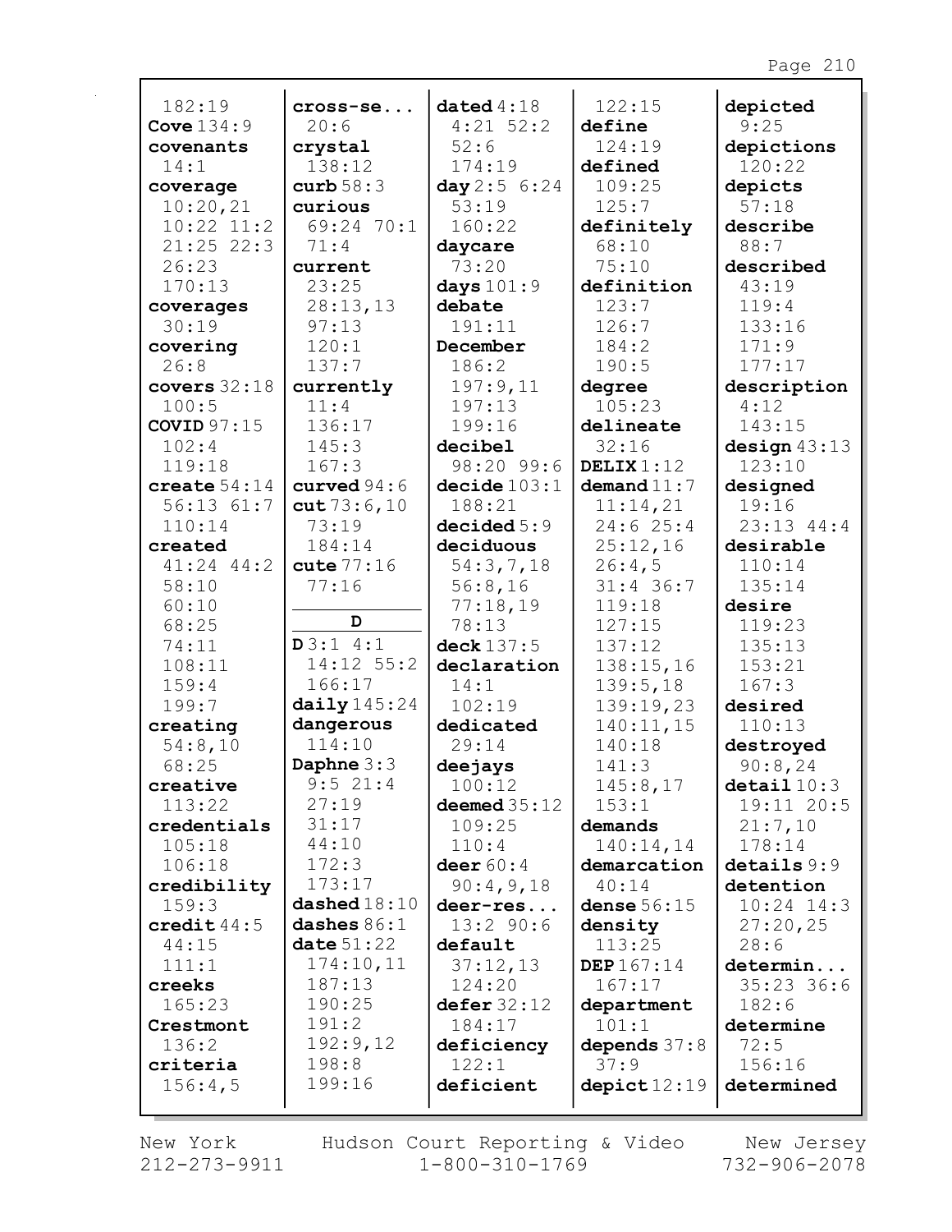| 182:19             | cross-se                | data4:18               | 122:15                   | depicted              |
|--------------------|-------------------------|------------------------|--------------------------|-----------------------|
| Cove $134:9$       | 20:6                    | $4:21$ 52:2            | define                   | 9:25                  |
| covenants          | crystal                 | 52:6                   | 124:19                   | depictions            |
| 14:1               | 138:12                  | 174:19                 | defined                  | 120:22                |
| coverage           | curb $58:3$             | day 2:5 6:24           | 109:25                   | depicts               |
| 10:20,21           | curious                 | 53:19                  | 125:7                    | 57:18                 |
| $10:22$ $11:2$     | 69:24 70:1              | 160:22                 | definitely               | describe              |
| $21:25$ 22:3       | 71:4                    | daycare                | 68:10                    | 88:7                  |
| 26:23<br>170:13    | current<br>23:25        | 73:20                  | 75:10<br>definition      | described<br>43:19    |
|                    | 28:13,13                | days $101:9$<br>debate | 123:7                    | 119:4                 |
| coverages<br>30:19 | 97:13                   | 191:11                 | 126:7                    | 133:16                |
| covering           | 120:1                   | December               | 184:2                    | 171:9                 |
| 26:8               | 137:7                   | 186:2                  | 190:5                    | 177:17                |
| covers $32:18$     | currently               | 197:9,11               | degree                   | description           |
| 100:5              | 11:4                    | 197:13                 | 105:23                   | 4:12                  |
| <b>COVID 97:15</b> | 136:17                  | 199:16                 | delineate                | 143:15                |
| 102:4              | 145:3                   | decibel                | 32:16                    | design $43:13$        |
| 119:18             | 167:3                   | 98:20 99:6             | DELIX $1:12$             | 123:10                |
| create $54:14$     | curved $94:6$           | decide 103:1           | demand $11:7$            | designed              |
| $56:13$ $61:7$     | cut73:6,10              | 188:21                 | 11:14,21                 | 19:16                 |
| 110:14             | 73:19                   | decided5:9             | 24:625:4                 | 23:13 44:4            |
| created            | 184:14                  | deciduous              | 25:12,16                 | desirable             |
| $41:24$ $44:2$     | cute $77:16$            | 54:3,7,18              | 26:4,5                   | 110:14                |
| 58:10              | 77:16                   | 56:8,16                | $31:4$ 36:7              | 135:14                |
| 60:10              |                         | 77:18,19               | 119:18                   | desire                |
| 68:25              | D                       | 78:13                  | 127:15                   | 119:23                |
| 74:11              | D3:14:1                 | deck 137:5             | 137:12                   | 135:13                |
| 108:11             | 14:12 55:2              | declaration            | 138:15,16                | 153:21                |
| 159:4              | 166:17                  | 14:1                   | 139:5,18                 | 167:3                 |
| 199:7              | daily 145:24            | 102:19                 | 139:19,23                | desired               |
| creating           | dangerous               | dedicated              | 140:11,15                | 110:13                |
| 54:8,10            | 114:10                  | 29:14                  | 140:18                   | destroyed             |
| 68:25              | Daphne $3:3$<br>9:521:4 | deejays                | 141:3                    | 90:8,24               |
| creative           |                         | 100:12                 | 145:8,17                 | $\texttt{detail10:3}$ |
| 113:22             | 27:19                   | deemed $35:12$         | 153:1                    | 19:11 20:5            |
| credentials        | 31:17<br>44:10          | 109:25                 | demands                  | 21:7,10               |
| 105:18<br>106:18   | 172:3                   | 110:4<br>deer $60:4$   | 140:14,14<br>demarcation | 178:14<br>details 9:9 |
| credibility        | 173:17                  | 90:4,9,18              | 40:14                    | detention             |
| 159:3              | dashed 18:10            | deer-res               | dense $56:15$            | $10:24$ 14:3          |
| credit $44:5$      | dashes $86:1$           | $13:2$ 90:6            | density                  | 27:20,25              |
| 44:15              | date $51:22$            | default                | 113:25                   | 28:6                  |
| 111:1              | 174:10,11               | 37:12,13               | DEP 167:14               | determin              |
| creeks             | 187:13                  | 124:20                 | 167:17                   | $35:23$ 36:6          |
| 165:23             | 190:25                  | defer 32:12            | department               | 182:6                 |
| Crestmont          | 191:2                   | 184:17                 | 101:1                    | determine             |
| 136:2              | 192:9,12                | deficiency             | depends $37:8$           | 72:5                  |
| criteria           | 198:8                   | 122:1                  | 37:9                     | 156:16                |
| 156:4,5            | 199:16                  | deficient              | depict12:19              | determined            |
|                    |                         |                        |                          |                       |

New York 212-273-9911 Hudson Court Reporting & Video<br>1-800-310-1769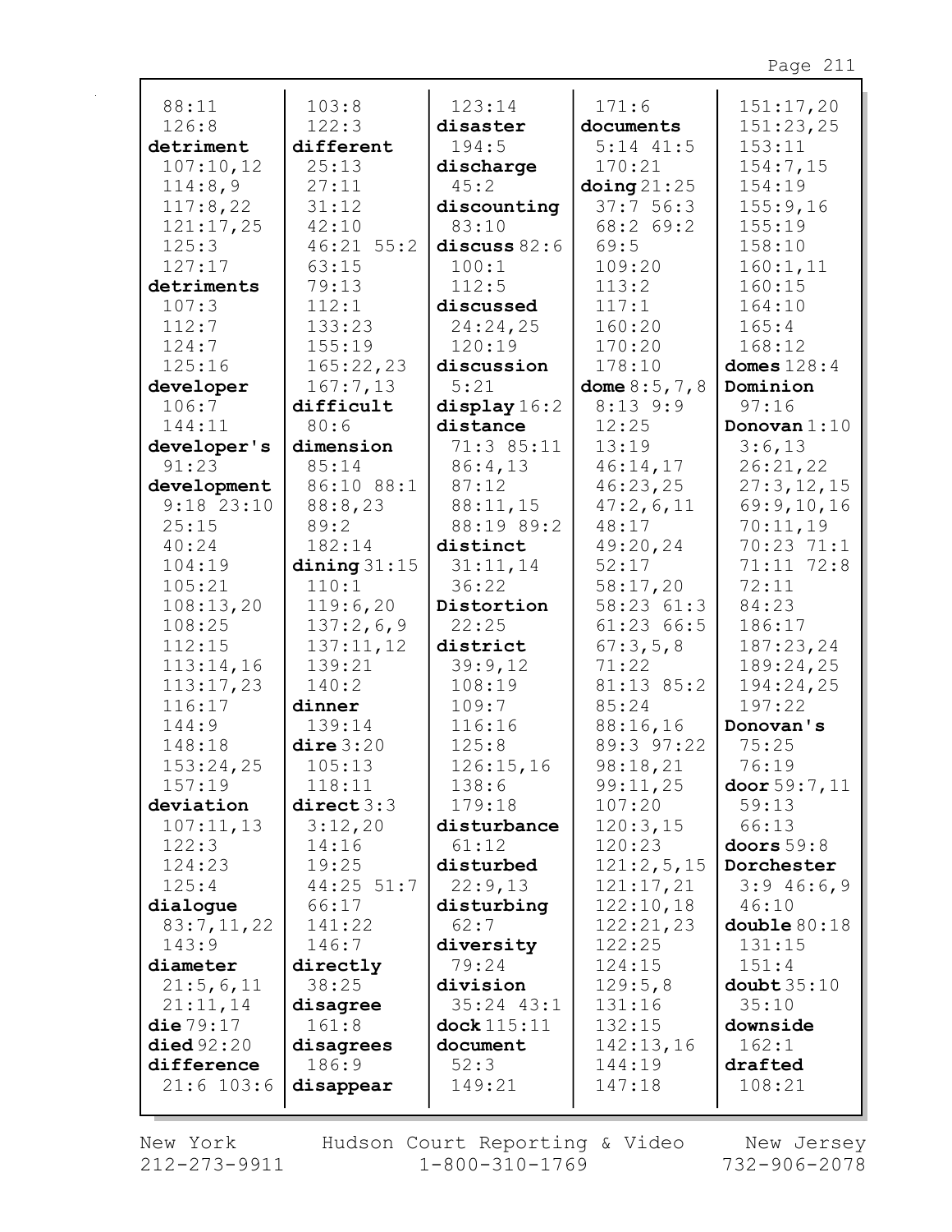| 88:11              | 103:8                 | 123:14               | 171:6               | 151:17,20      |
|--------------------|-----------------------|----------------------|---------------------|----------------|
| 126:8              | 122:3                 | disaster             | documents           | 151:23,25      |
| detriment          | different             | 194:5                | $5:14$ $41:5$       | 153:11         |
| 107:10,12          | 25:13                 | discharge            | 170:21              | 154:7,15       |
| 114:8,9            | 27:11                 | 45:2                 | $\Delta$ oing 21:25 | 154:19         |
| 117:8,22           | 31:12                 | discounting          | 37:756:3            | 155:9,16       |
| 121:17,25          | 42:10                 | 83:10                | 68:2 69:2           | 155:19         |
| 125:3              | 46:21 55:2            | discuss $82:6$       | 69:5                | 158:10         |
| 127:17             | 63:15                 | 100:1                | 109:20              | 160:1, 11      |
| detriments         | 79:13                 | 112:5                | 113:2               | 160:15         |
| 107:3              | 112:1                 | discussed            | 117:1               | 164:10         |
| 112:7              | 133:23                | 24:24,25             | 160:20              | 165:4          |
| 124:7              | 155:19                | 120:19               | 170:20              | 168:12         |
| 125:16             | 165:22,23             | discussion           | 178:10              | domes $128:4$  |
| developer          | 167:7,13              | 5:21                 | dome $8:5, 7, 8$    | Dominion       |
| 106:7              | difficult             | display 16:2         | $8:13$ 9:9          | 97:16          |
| 144:11             | 80:6                  | distance             | 12:25               | Donovan $1:10$ |
| developer's        | dimension             | 71:3 85:11           | 13:19               | 3:6,13         |
| 91:23              | 85:14                 | 86:4,13              | 46:14,17            | 26:21,22       |
| development        | 86:10 88:1            | 87:12                | 46:23,25            | 27:3, 12, 15   |
| $9:18$ 23:10       | 88:8,23               | 88:11,15             | 47:2,6,11           | 69:9,10,16     |
| 25:15              | 89:2                  | 88:19 89:2           | 48:17               | 70:11,19       |
| 40:24              | 182:14                | distinct             | 49:20,24            | 70:23 71:1     |
| 104:19             | dining $31:15$        | 31:11,14             | 52:17               | 71:11 72:8     |
| 105:21             | 110:1                 | 36:22                | 58:17,20            | 72:11          |
| 108:13,20          | 119:6,20              | Distortion           | 58:23 61:3          | 84:23          |
| 108:25             | 137:2,6,9             | 22:25                | 61:23 66:5          | 186:17         |
| 112:15             | 137:11,12             | district             | 67:3,5,8            | 187:23,24      |
| 113:14,16          | 139:21                | 39:9,12              | 71:22               | 189:24,25      |
| 113:17,23          | 140:2                 | 108:19               | 81:13 85:2          | 194:24,25      |
| 116:17             | dinner                | 109:7                | 85:24               | 197:22         |
| 144:9              | 139:14                | 116:16               | 88:16,16            | Donovan's      |
| 148:18             | $\text{dire } 3:20$   | 125:8                | 89:3 97:22          | 75:25          |
| 153:24,25          | 105:13                | 126:15,16            | 98:18,21            | 76:19          |
| 157:19             | 118:11                | 138:6                | 99:11,25            | door 59:7, 11  |
| deviation          | direct 3:3<br>3:12,20 | 179:18               | 107:20              | 59:13<br>66:13 |
| 107:11,13<br>122:3 | 14:16                 | disturbance<br>61:12 | 120:3,15<br>120:23  | doors $59:8$   |
| 124:23             | 19:25                 | disturbed            | 121:2,5,15          | Dorchester     |
| 125:4              | $44:25$ 51:7          | 22:9,13              | 121:17,21           | 3:946:6,9      |
| dialogue           | 66:17                 | disturbing           | 122:10,18           | 46:10          |
| 83:7,11,22         | 141:22                | 62:7                 | 122:21,23           | double $80:18$ |
| 143:9              | 146:7                 | diversity            | 122:25              | 131:15         |
| diameter           | directly              | 79:24                | 124:15              | 151:4          |
| 21:5,6,11          | 38:25                 | division             | 129:5,8             | $double$ 35:10 |
| 21:11,14           | disagree              | $35:24$ $43:1$       | 131:16              | 35:10          |
| die $79:17$        | 161:8                 | $clock 115:11$       | 132:15              | downside       |
| died 92:20         | disagrees             | document             | 142:13,16           | 162:1          |
| difference         | 186:9                 | 52:3                 | 144:19              | drafted        |
| $21:6$ 103:6       | disappear             | 149:21               | 147:18              | 108:21         |
|                    |                       |                      |                     |                |

New York 212-273-9911 Hudson Court Reporting & Video  $1 - 800 - 310 - 1769$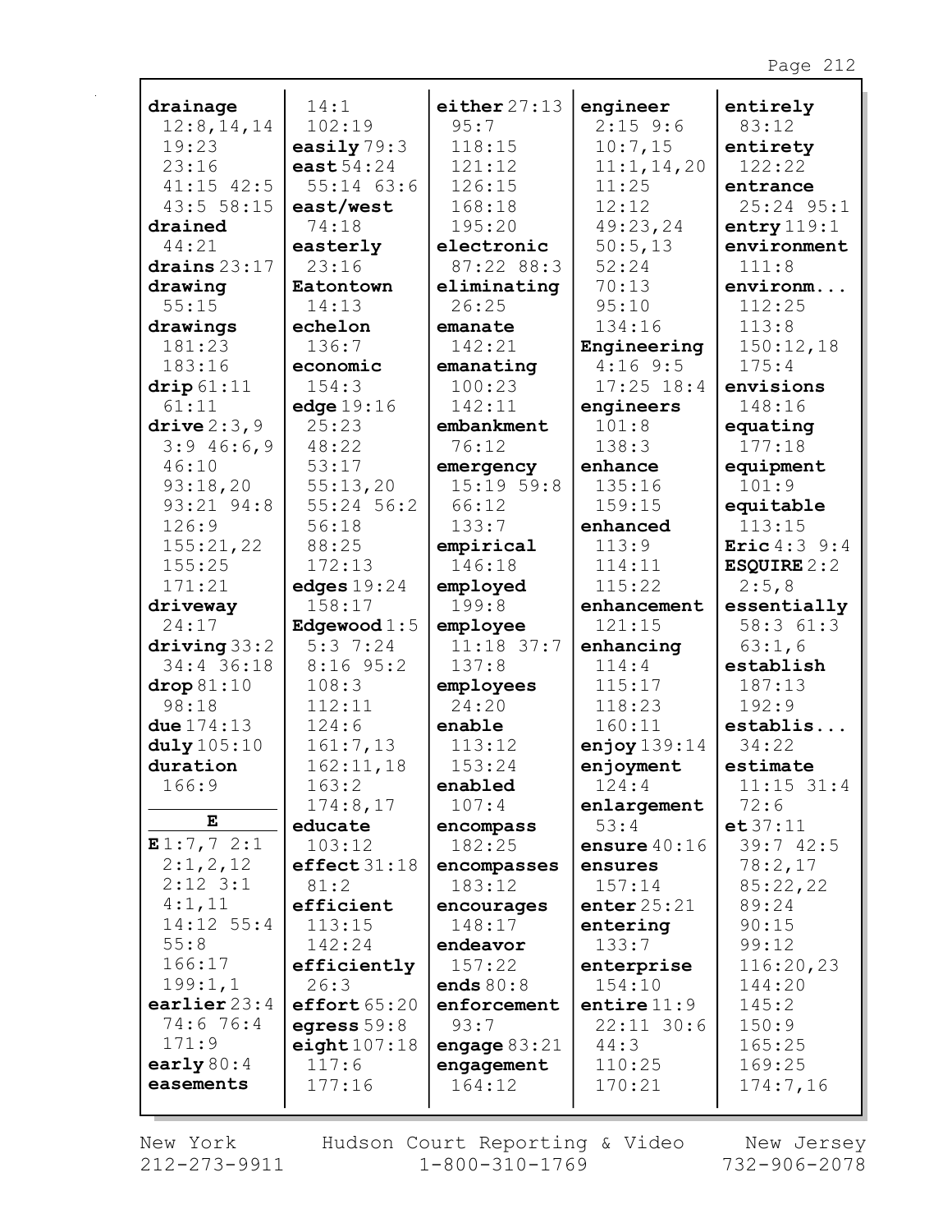| drainage             | 14:1                    | either 27:13      | engineer              | entirely                 |
|----------------------|-------------------------|-------------------|-----------------------|--------------------------|
| 12:8, 14, 14         | 102:19                  | 95:7              | $2:15$ 9:6            | 83:12                    |
| 19:23                | easily $79:3$           | 118:15            | 10:7,15               | entirety                 |
| 23:16                | east $54:24$            | 121:12            | 11:1, 14, 20          | 122:22                   |
| $41:15$ $42:5$       | $55:14$ 63:6            | 126:15            | 11:25                 | entrance                 |
| 43:555:15            | east/west               | 168:18            | 12:12                 | 25:24 95:1               |
| drained              | 74:18                   | 195:20            | 49:23,24              | entry $119:1$            |
| 44:21                | easterly                | electronic        | 50:5,13               | environment              |
| drains $23:17$       | 23:16                   | 87:22 88:3        | 52:24                 | 111:8                    |
| drawing              | Eatontown               | eliminating       | 70:13                 | environm                 |
| 55:15                | 14:13                   | 26:25             | 95:10                 | 112:25                   |
| drawings             | echelon                 | emanate           | 134:16                | 113:8                    |
| 181:23               | 136:7                   | 142:21            | Engineering           | 150:12,18                |
| 183:16               | economic                | emanating         | $4:16$ 9:5            | 175:4                    |
| $\text{drip}\,61:11$ | 154:3                   | 100:23            | $17:25$ $18:4$        | envisions                |
| 61:11                | edge $19:16$            | 142:11            | engineers             | 148:16                   |
| drive $2:3,9$        | 25:23                   | embankment        | 101:8                 | equating                 |
| 3:946:6,9            | 48:22                   | 76:12             | 138:3                 | 177:18                   |
| 46:10                | 53:17                   | emergency         | enhance               | equipment                |
| 93:18,20             | 55:13,20                | 15:1959:8         | 135:16                | 101:9                    |
| 93:21 94:8           | 55:24 56:2              | 66:12             | 159:15                | equitable                |
| 126:9                | 56:18                   | 133:7             | enhanced              | 113:15                   |
| 155:21,22            | 88:25                   | empirical         | 113:9                 | <b>Eric</b> $4:3$ 9:4    |
| 155:25               | 172:13                  | 146:18            | 114:11                | ESQUIRE $2:2$            |
| 171:21               | edges $19:24$<br>158:17 | employed<br>199:8 | 115:22                | 2:5,8                    |
| driveway<br>24:17    | Edgewood $1:5$          | employee          | enhancement<br>121:15 | essentially<br>58:3 61:3 |
| driving 33:2         | 5:37:24                 | $11:18$ 37:7      | enhancing             | 63:1,6                   |
| 34:4 36:18           | $8:16$ 95:2             | 137:8             | 114:4                 | establish                |
| drop 81:10           | 108:3                   | employees         | 115:17                | 187:13                   |
| 98:18                | 112:11                  | 24:20             | 118:23                | 192:9                    |
| due $174:13$         | 124:6                   | enable            | 160:11                | establis                 |
| duly 105:10          | 161:7,13                | 113:12            | enjoy $139:14$        | 34:22                    |
| duration             | 162:11,18               | 153:24            | enjoyment             | estimate                 |
| 166:9                | 163:2                   | enabled           | 124:4                 | $11:15$ 31:4             |
|                      | 174:8,17                | 107:4             | enlargement           | 72:6                     |
| Е                    | educate                 | encompass         | 53:4                  | e t 37:11                |
| E1:7,72:1            | 103:12                  | 182:25            | ensure $40:16$        | 39:742:5                 |
| 2:1,2,12             | effect31:18             | encompasses       | ensures               | 78:2,17                  |
| $2:12$ 3:1           | 81:2                    | 183:12            | 157:14                | 85:22,22                 |
| 4:1,11               | efficient               | encourages        | enter $25:21$         | 89:24                    |
| $14:12$ 55:4         | 113:15                  | 148:17            | entering              | 90:15                    |
| 55:8                 | 142:24                  | endeavor          | 133:7                 | 99:12                    |
| 166:17               | efficiently             | 157:22            | enterprise            | 116:20,23                |
| 199:1,1              | 26:3                    | ends $80:8$       | 154:10                | 144:20                   |
| earlier $23:4$       | effort 65:20            | enforcement       | entire $11:9$         | 145:2                    |
| 74:6 76:4            | egress $59:8$           | 93:7              | $22:11$ 30:6          | 150:9                    |
| 171:9                | $eighth$ 107:18         | engage $83:21$    | 44:3                  | 165:25                   |
| early $80:4$         | 117:6                   | engagement        | 110:25                | 169:25                   |
| easements            | 177:16                  | 164:12            | 170:21                | 174:7,16                 |
|                      |                         |                   |                       |                          |

New York 212-273-9911 Hudson Court Reporting & Video<br>1-800-310-1769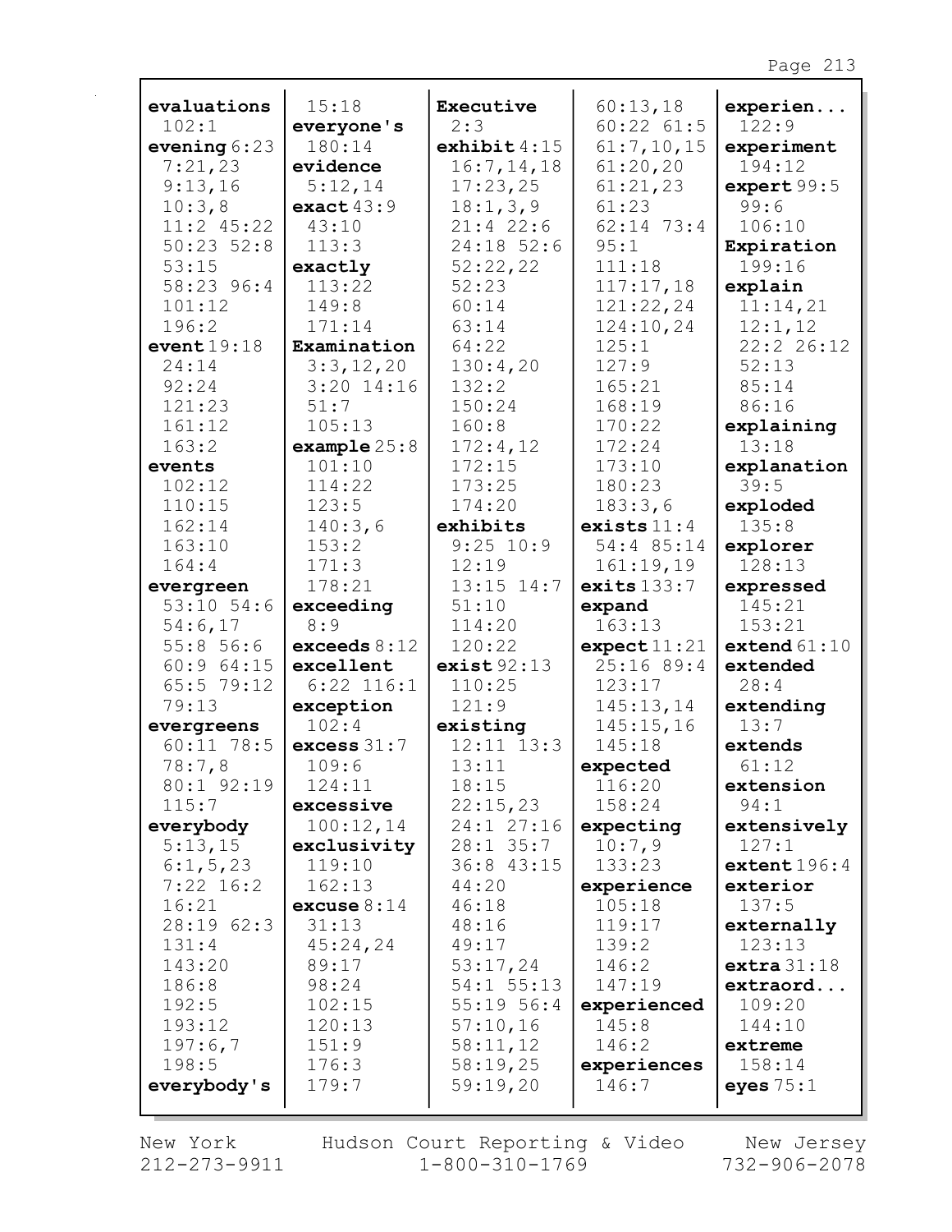| evaluations    | 15:18          | Executive      | 60:13,18       | experien       |
|----------------|----------------|----------------|----------------|----------------|
| 102:1          | everyone's     | 2:3            | $60:22$ $61:5$ | 122:9          |
| evening $6:23$ | 180:14         | exhibit $4:15$ | 61:7,10,15     | experiment     |
| 7:21,23        | evidence       | 16:7, 14, 18   | 61:20,20       | 194:12         |
| 9:13,16        | 5:12,14        | 17:23,25       | 61:21,23       | expert 99:5    |
| 10:3,8         | exact $43:9$   | 18:1, 3, 9     | 61:23          | 99:6           |
| $11:2$ 45:22   | 43:10          | $21:4$ 22:6    | $62:14$ 73:4   | 106:10         |
| $50:23$ $52:8$ | 113:3          | $24:18$ 52:6   | 95:1           | Expiration     |
| 53:15          | exactly        | 52:22,22       | 111:18         | 199:16         |
| 58:23 96:4     | 113:22         | 52:23          | 117:17,18      | explain        |
| 101:12         | 149:8          | 60:14          | 121:22,24      | 11:14,21       |
| 196:2          | 171:14         | 63:14          | 124:10,24      | 12:1,12        |
| event19:18     | Examination    | 64:22          | 125:1          | 22:2 26:12     |
| 24:14          | 3:3,12,20      | 130:4,20       | 127:9          | 52:13          |
| 92:24          | $3:20$ 14:16   | 132:2          | 165:21         | 85:14          |
| 121:23         | 51:7           | 150:24         | 168:19         | 86:16          |
| 161:12         | 105:13         | 160:8          | 170:22         | explaining     |
| 163:2          | example 25:8   | 172:4,12       | 172:24         | 13:18          |
| events         | 101:10         | 172:15         | 173:10         | explanation    |
| 102:12         | 114:22         | 173:25         | 180:23         | 39:5           |
| 110:15         | 123:5          | 174:20         | 183:3,6        | exploded       |
| 162:14         | 140:3,6        | exhibits       | exists $11:4$  | 135:8          |
| 163:10         | 153:2          | $9:25$ 10:9    | 54:4 85:14     | explorer       |
| 164:4          | 171:3          | 12:19          | 161:19,19      | 128:13         |
| evergreen      | 178:21         | $13:15$ $14:7$ | exits $133:7$  | expressed      |
| $53:10$ $54:6$ | exceeding      | 51:10          | expand         | 145:21         |
| 54:6,17        | 8:9            | 114:20         | 163:13         | 153:21         |
| 55:856:6       | exceeds $8:12$ | 120:22         | expect11:21    | extend $61:10$ |
| 60:964:15      | excellent      | exist 92:13    | 25:16 89:4     | extended       |
| 65:5 79:12     | $6:22$ $116:1$ | 110:25         | 123:17         | 28:4           |
| 79:13          | exception      | 121:9          | 145:13,14      | extending      |
| evergreens     | 102:4          | existing       | 145:15,16      | 13:7           |
| $60:11$ 78:5   | excess $31:7$  | $12:11$ $13:3$ | 145:18         | extends        |
| 78:7,8         | 109:6          | 13:11          | expected       | 61:12          |
| 80:1 92:19     | 124:11         | 18:15          | 116:20         | extension      |
| 115:7          | excessive      | 22:15,23       | 158:24         | 94:1           |
| everybody      | 100:12,14      | 24:1 27:16     | expecting      | extensively    |
| 5:13,15        | exclusivity    | $28:1$ 35:7    | 10:7,9         | 127:1          |
| 6:1, 5, 23     | 119:10         | 36:8 43:15     | 133:23         | extent 196:4   |
| $7:22$ 16:2    | 162:13         | 44:20          | experience     | exterior       |
| 16:21          | excuse $8:14$  | 46:18          | 105:18         | 137:5          |
| 28:19 62:3     | 31:13          | 48:16          | 119:17         | externally     |
| 131:4          | 45:24,24       | 49:17          | 139:2          | 123:13         |
| 143:20         | 89:17          | 53:17,24       | 146:2          | extra 31:18    |
| 186:8          | 98:24          | $54:1$ $55:13$ | 147:19         | extraord       |
| 192:5          | 102:15         | $55:19$ $56:4$ | experienced    | 109:20         |
| 193:12         | 120:13         | 57:10,16       | 145:8          | 144:10         |
| 197:6,7        | 151:9          | 58:11,12       | 146:2          | extreme        |
| 198:5          | 176:3          | 58:19,25       | experiences    | 158:14         |
| everybody's    | 179:7          | 59:19,20       | 146:7          | eyes $75:1$    |
|                |                |                |                |                |

New York  $212 - 273 - 9911$  Hudson Court Reporting & Video<br>1-800-310-1769

New Jersey<br>732-906-2078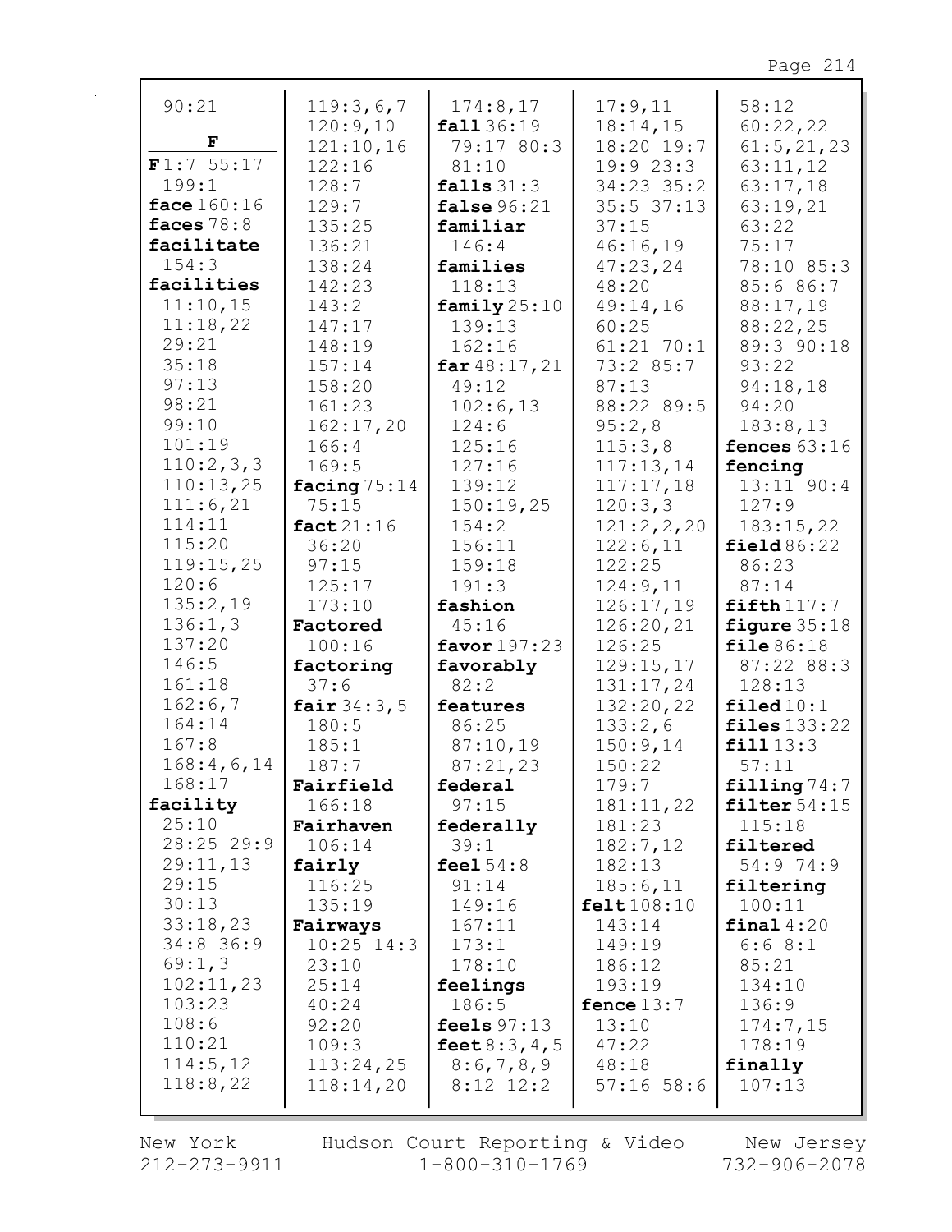| 90:21        | 119:3,6,7      | 174:8,17        | 17:9,11      | 58:12                |
|--------------|----------------|-----------------|--------------|----------------------|
|              | 120:9,10       | fall 36:19      | 18:14,15     | 60:22,22             |
| F            | 121:10,16      | 79:17 80:3      | 18:20 19:7   | 61:5, 21, 23         |
| F1:7 55:17   | 122:16         | 81:10           | 19:923:3     | 63:11,12             |
| 199:1        | 128:7          | falls $31:3$    | 34:23 35:2   | 63:17,18             |
| face 160:16  | 129:7          | false $96:21$   | 35:5 37:13   | 63:19,21             |
| faces $78:8$ | 135:25         | familiar        | 37:15        | 63:22                |
| facilitate   | 136:21         | 146:4           | 46:16,19     | 75:17                |
| 154:3        | 138:24         | families        | 47:23,24     | 78:10 85:3           |
| facilities   | 142:23         | 118:13          | 48:20        | 85:6 86:7            |
| 11:10,15     | 143:2          | family $25:10$  | 49:14,16     | 88:17,19             |
| 11:18,22     | 147:17         | 139:13          | 60:25        | 88:22,25             |
| 29:21        | 148:19         | 162:16          | $61:21$ 70:1 | 89:3 90:18           |
| 35:18        | 157:14         | $far\,48:17,21$ | 73:2 85:7    | 93:22                |
| 97:13        | 158:20         | 49:12           | 87:13        | 94:18,18             |
| 98:21        | 161:23         | 102:6,13        | 88:22 89:5   | 94:20                |
| 99:10        | 162:17,20      | 124:6           | 95:2,8       | 183:8,13             |
| 101:19       | 166:4          | 125:16          | 115:3,8      | fences $63:16$       |
| 110:2,3,3    | 169:5          | 127:16          | 117:13,14    | fencing              |
| 110:13,25    | facing $75:14$ | 139:12          | 117:17,18    | $13:11$ $90:4$       |
| 111:6,21     | 75:15          | 150:19,25       | 120:3,3      | 127:9                |
| 114:11       | fact $21:16$   | 154:2           | 121:2,2,20   | 183:15,22            |
| 115:20       | 36:20          | 156:11          | 122:6,11     | field86:22           |
| 119:15,25    | 97:15          | 159:18          | 122:25       | 86:23                |
| 120:6        | 125:17         | 191:3           | 124:9,11     | 87:14                |
| 135:2,19     | 173:10         | fashion         | 126:17,19    | $fifth$ 117:7        |
| 136:1,3      | Factored       | 45:16           | 126:20,21    | figure $35:18$       |
| 137:20       | 100:16         | favor $197:23$  | 126:25       | file 86:18           |
| 146:5        | factoring      | favorably       | 129:15,17    | 87:22 88:3           |
| 161:18       | 37:6           | 82:2            | 131:17,24    | 128:13               |
| 162:6,7      | fair $34:3,5$  | features        | 132:20,22    | $\texttt{filed10:1}$ |
| 164:14       | 180:5          | 86:25           | 133:2,6      | files $133:22$       |
| 167:8        | 185:1          | 87:10,19        | 150:9,14     | fill13:3             |
| 168:4,6,14   | 187:7          | 87:21,23        |              |                      |
| 168:17       |                |                 | 150:22       | 57:11                |
|              | Fairfield      | federal         | 179:7        | filling $74:7$       |
| facility     | 166:18         | 97:15           | 181:11,22    | filter $54:15$       |
| 25:10        | Fairhaven      | federally       | 181:23       | 115:18               |
| $28:25$ 29:9 | 106:14         | 39:1            | 182:7,12     | filtered             |
| 29:11,13     | fairly         | feel $54:8$     | 182:13       | 54:9 74:9            |
| 29:15        | 116:25         | 91:14           | 185:6,11     | filtering            |
| 30:13        | 135:19         | 149:16          | felt108:10   | 100:11               |
| 33:18,23     | Fairways       | 167:11          | 143:14       | final $4:20$         |
| 34:8 36:9    | $10:25$ $14:3$ | 173:1           | 149:19       | 6:68:1               |
| 69:1,3       | 23:10          | 178:10          | 186:12       | 85:21                |
| 102:11,23    | 25:14          | feelings        | 193:19       | 134:10               |
| 103:23       | 40:24          | 186:5           | fence $13:7$ | 136:9                |
| 108:6        | 92:20          | feels $97:13$   | 13:10        | 174:7,15             |
| 110:21       | 109:3          | feet $8:3,4,5$  | 47:22        | 178:19               |
| 114:5, 12    | 113:24,25      | 8:6,7,8,9       | 48:18        | finally              |
| 118:8,22     | 118:14,20      | $8:12$ 12:2     | $57:16$ 58:6 | 107:13               |

New York 212-273-9911 Hudson Court Reporting & Video<br>1-800-310-1769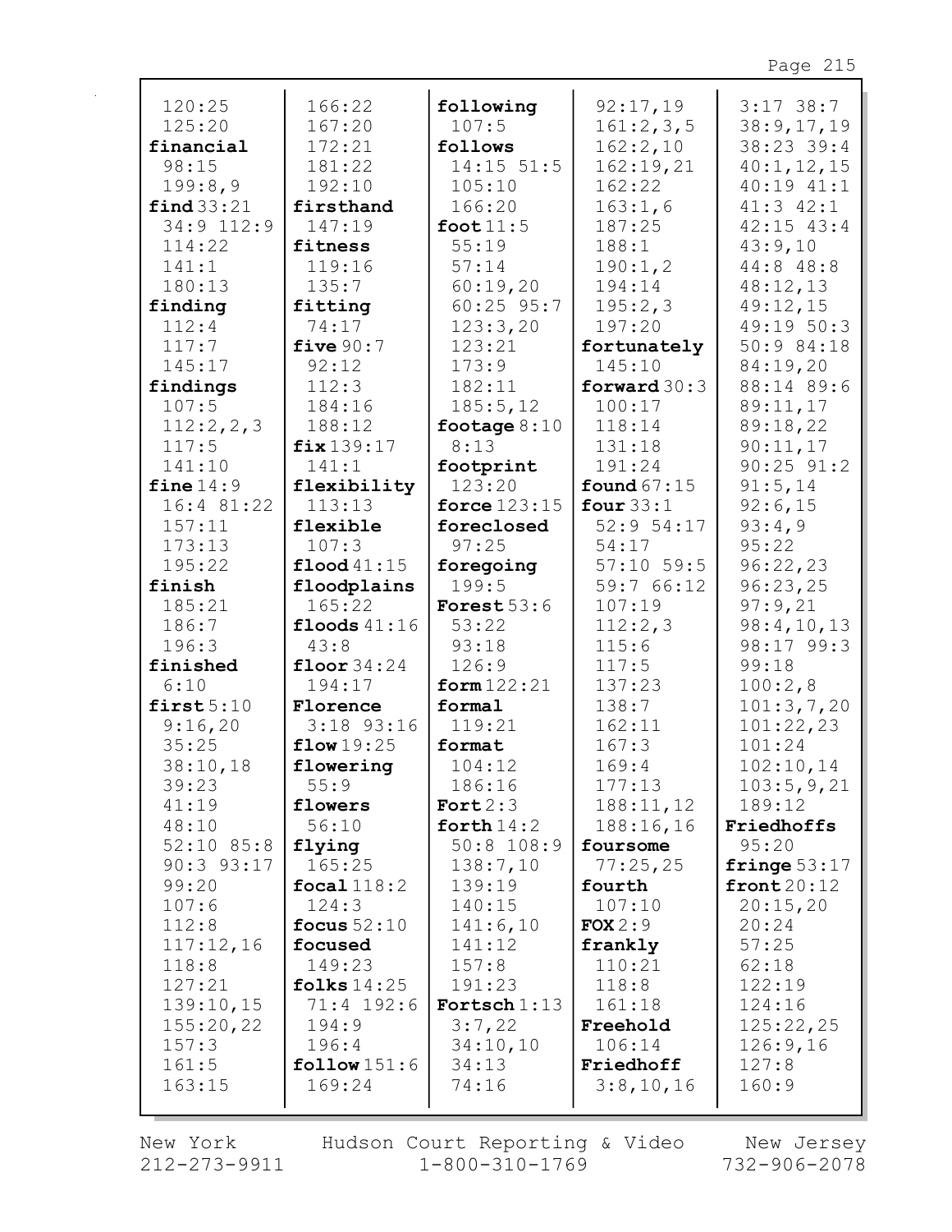| 120:25               | 166:22                 | following           | 92:17,19                  | $3:17$ 38:7     |
|----------------------|------------------------|---------------------|---------------------------|-----------------|
| 125:20               | 167:20                 | 107:5               | 161:2,3,5                 | 38:9,17,19      |
| financial            | 172:21                 | follows             | 162:2,10                  | 38:23 39:4      |
| 98:15                | 181:22                 | $14:15$ 51:5        | 162:19,21                 | 40:1, 12, 15    |
| 199:8,9              | 192:10                 | 105:10              | 162:22                    | 40:19 41:1      |
| find 33:21           | firsthand              | 166:20              | 163:1,6                   | $41:3$ $42:1$   |
| 34:9 112:9           | 147:19                 | foot $11:5$         | 187:25                    | $42:15$ $43:4$  |
| 114:22               | fitness                | 55:19               | 188:1                     | 43:9,10         |
| 141:1                | 119:16                 | 57:14               | 190:1,2                   | 44:8 48:8       |
| 180:13               | 135:7                  | 60:19,20            | 194:14                    | 48:12,13        |
| finding              | fitting                | $60:25$ 95:7        | 195:2,3                   | 49:12,15        |
| 112:4                | 74:17                  | 123:3,20            | 197:20                    | 49:19 50:3      |
| 117:7                | five $90:7$            | 123:21              | fortunately               | 50:9 84:18      |
| 145:17               | 92:12                  | 173:9               | 145:10                    | 84:19,20        |
| findings             | 112:3                  | 182:11              | forward $30:3$            | 88:14 89:6      |
| 107:5                | 184:16                 | 185:5,12            | 100:17                    | 89:11,17        |
| 112:2,2,3            | 188:12                 | footage $8:10$      | 118:14                    | 89:18,22        |
| 117:5                | fix 139:17             | 8:13                | 131:18                    | 90:11,17        |
| 141:10               | 141:1                  | footprint           | 191:24                    | $90:25$ $91:2$  |
| fine $14:9$          | flexibility            | 123:20              | found $67:15$             | 91:5,14         |
| 16:4 81:22<br>157:11 | 113:13<br>flexible     | force $123:15$      | four $33:1$<br>52:9 54:17 | 92:6,15         |
| 173:13               | 107:3                  | foreclosed<br>97:25 | 54:17                     | 93:4,9<br>95:22 |
| 195:22               | $\text{flood } 41:15$  |                     | $57:10$ 59:5              | 96:22,23        |
| finish               |                        | foregoing<br>199:5  | 59:7 66:12                | 96:23,25        |
| 185:21               | floodplains<br>165:22  | Forest $53:6$       | 107:19                    | 97:9,21         |
| 186:7                | floods $41:16$         | 53:22               | 112:2,3                   | 98:4,10,13      |
| 196:3                | 43:8                   | 93:18               | 115:6                     | 98:17 99:3      |
| finished             | floor $34:24$          | 126:9               | 117:5                     | 99:18           |
| 6:10                 | 194:17                 | form $122:21$       | 137:23                    | 100:2,8         |
| first $5:10$         | Florence               | formal              | 138:7                     | 101:3,7,20      |
| 9:16,20              | $3:18$ 93:16           | 119:21              | 162:11                    | 101:22,23       |
| 35:25                | flow19:25              | format              | 167:3                     | 101:24          |
| 38:10,18             | flowering              | 104:12              | 169:4                     | 102:10,14       |
| 39:23                | 55:9                   | 186:16              | 177:13                    | 103:5,9,21      |
| 41:19                | flowers                | Fort $2:3$          | 188:11,12                 | 189:12          |
| 48:10                | 56:10                  | forth $14:2$        | 188:16,16                 | Friedhoffs      |
| $52:10$ 85:8         | flying                 | $50:8$ 108:9        | foursome                  | 95:20           |
| $90:3$ $93:17$       | 165:25                 | 138:7,10            | 77:25,25                  | fringe $53:17$  |
| 99:20                | focal $118:2$          | 139:19              | fourth                    | front $20:12$   |
| 107:6                | 124:3                  | 140:15              | 107:10                    | 20:15,20        |
| 112:8                | focus $52:10$          | 141:6,10            | FOX 2:9                   | 20:24           |
| 117:12,16            | focused                | 141:12              | frankly                   | 57:25           |
| 118:8                | 149:23                 | 157:8               | 110:21                    | 62:18           |
| 127:21               | folks $14:25$          | 191:23              | 118:8                     | 122:19          |
| 139:10,15            | 71:4 192:6             | Fortsch $1:13$      | 161:18                    | 124:16          |
| 155:20,22            | 194:9                  | 3:7,22              | Freehold                  | 125:22,25       |
| 157:3                | 196:4                  | 34:10,10            | 106:14                    | 126:9,16        |
| 161:5                | $\texttt{follow}151:6$ | 34:13               | Friedhoff                 | 127:8           |
| 163:15               | 169:24                 | 74:16               | 3:8,10,16                 | 160:9           |
|                      |                        |                     |                           |                 |

New York 212-273-9911 Hudson Court Reporting & Video<br>1-800-310-1769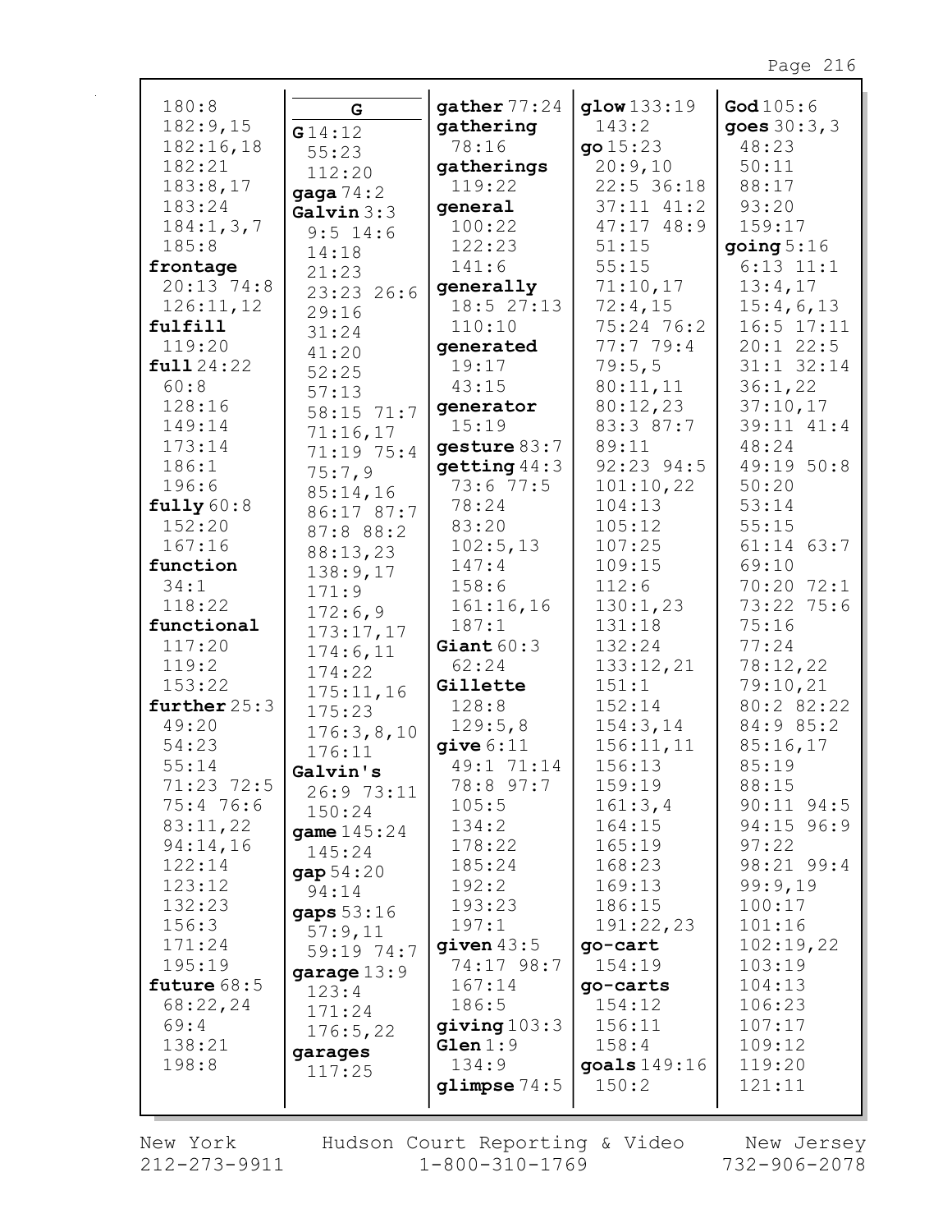| 180:8                | G                     | gather $77:24$    | glow 133:19      | God $105:6$         |
|----------------------|-----------------------|-------------------|------------------|---------------------|
| 182:9,15             | G14:12                | gathering         | 143:2            | goes $30:3,3$       |
| 182:16,18            | 55:23                 | 78:16             | qo15:23          | 48:23               |
| 182:21               | 112:20                | gatherings        | 20:9,10          | 50:11               |
| 183:8,17             | gaga $74:2$           | 119:22            | 22:5 36:18       | 88:17               |
| 183:24               | Galvin $3:3$          | general           | $37:11$ $41:2$   | 93:20               |
| 184:1, 3, 7          | $9:5$ 14:6            | 100:22            | 47:17 48:9       | 159:17              |
| 185:8                | 14:18                 | 122:23            | 51:15            | going $5:16$        |
| frontage             | 21:23                 | 141:6             | 55:15            | $6:13$ $11:1$       |
| $20:13$ 74:8         | 23:23 26:6            | generally         | 71:10,17         | 13:4,17             |
| 126:11,12            | 29:16                 | 18:527:13         | 72:4,15          | 15:4,6,13           |
| fulfill              | 31:24                 | 110:10            | 75:24 76:2       | $16:5$ $17:11$      |
| 119:20               | 41:20                 | generated         | 77:779:4         | $20:1$ 22:5         |
| full 24:22           | 52:25                 | 19:17             | 79:5,5           | $31:1$ $32:14$      |
| 60:8                 | 57:13                 | 43:15             | 80:11,11         | 36:1,22             |
| 128:16               | 58:15 71:7            | generator         | 80:12,23         | 37:10,17            |
| 149:14               | 71:16,17              | 15:19             | 83:3 87:7        | 39:11 41:4          |
| 173:14               | 71:19 75:4            | gesture 83:7      | 89:11            | 48:24               |
| 186:1                | 75:7,9                | $q$ etting $44:3$ | 92:23 94:5       | 49:19 50:8<br>50:20 |
| 196:6                | 85:14,16              | 73:677:5          | 101:10,22        |                     |
| fully 60:8<br>152:20 | 86:17 87:7            | 78:24<br>83:20    | 104:13<br>105:12 | 53:14<br>55:15      |
| 167:16               | 87:8 88:2             |                   | 107:25           | $61:14$ $63:7$      |
| function             | 88:13,23              | 102:5,13<br>147:4 | 109:15           | 69:10               |
| 34:1                 | 138:9,17              | 158:6             | 112:6            | 70:20 72:1          |
| 118:22               | 171:9                 | 161:16,16         | 130:1,23         | 73:22 75:6          |
| functional           | 172:6,9               | 187:1             | 131:18           | 75:16               |
| 117:20               | 173:17,17             | Giant $60:3$      | 132:24           | 77:24               |
| 119:2                | 174:6,11              | 62:24             | 133:12,21        | 78:12,22            |
| 153:22               | 174:22                | Gillette          | 151:1            | 79:10,21            |
| further $25:3$       | 175:11,16             | 128:8             | 152:14           | 80:2 82:22          |
| 49:20                | 175:23                | 129:5,8           | 154:3,14         | 84:9 85:2           |
| 54:23                | 176:3,8,10            | give 6:11         | 156:11,11        | 85:16,17            |
| 55:14                | 176:11                | 49:1 71:14        | 156:13           | 85:19               |
| 71:23 72:5           | Galvin's              | 78:8 97:7         | 159:19           | 88:15               |
| 75:476:6             | 26:9 73:11            | 105:5             | 161:3,4          | $90:11$ $94:5$      |
| 83:11,22             | 150:24                | 134:2             | 164:15           | 94:15 96:9          |
| 94:14,16             | <b>game</b> $145:24$  | 178:22            | 165:19           | 97:22               |
| 122:14               | 145:24                | 185:24            | 168:23           | 98:21 99:4          |
| 123:12               | gap 54:20<br>94:14    | 192:2             | 169:13           | 99:9,19             |
| 132:23               |                       | 193:23            | 186:15           | 100:17              |
| 156:3                | gaps 53:16<br>57:9,11 | 197:1             | 191:22,23        | 101:16              |
| 171:24               | 59:19 74:7            | given $43:5$      | go-cart          | 102:19,22           |
| 195:19               | garage $13:9$         | 74:17 98:7        | 154:19           | 103:19              |
| future $68:5$        | 123:4                 | 167:14            | go-carts         | 104:13              |
| 68:22,24             | 171:24                | 186:5             | 154:12           | 106:23              |
| 69:4                 | 176:5,22              | giving 103:3      | 156:11           | 107:17              |
| 138:21               | garages               | Glen 1:9          | 158:4            | 109:12              |
| 198:8                | 117:25                | 134:9             | goals 149:16     | 119:20              |
|                      |                       | glimpse $74:5$    | 150:2            | 121:11              |
|                      |                       |                   |                  |                     |

New York  $212 - 273 - 9911$  Hudson Court Reporting & Video<br>1-800-310-1769

New Jersey<br>732-906-2078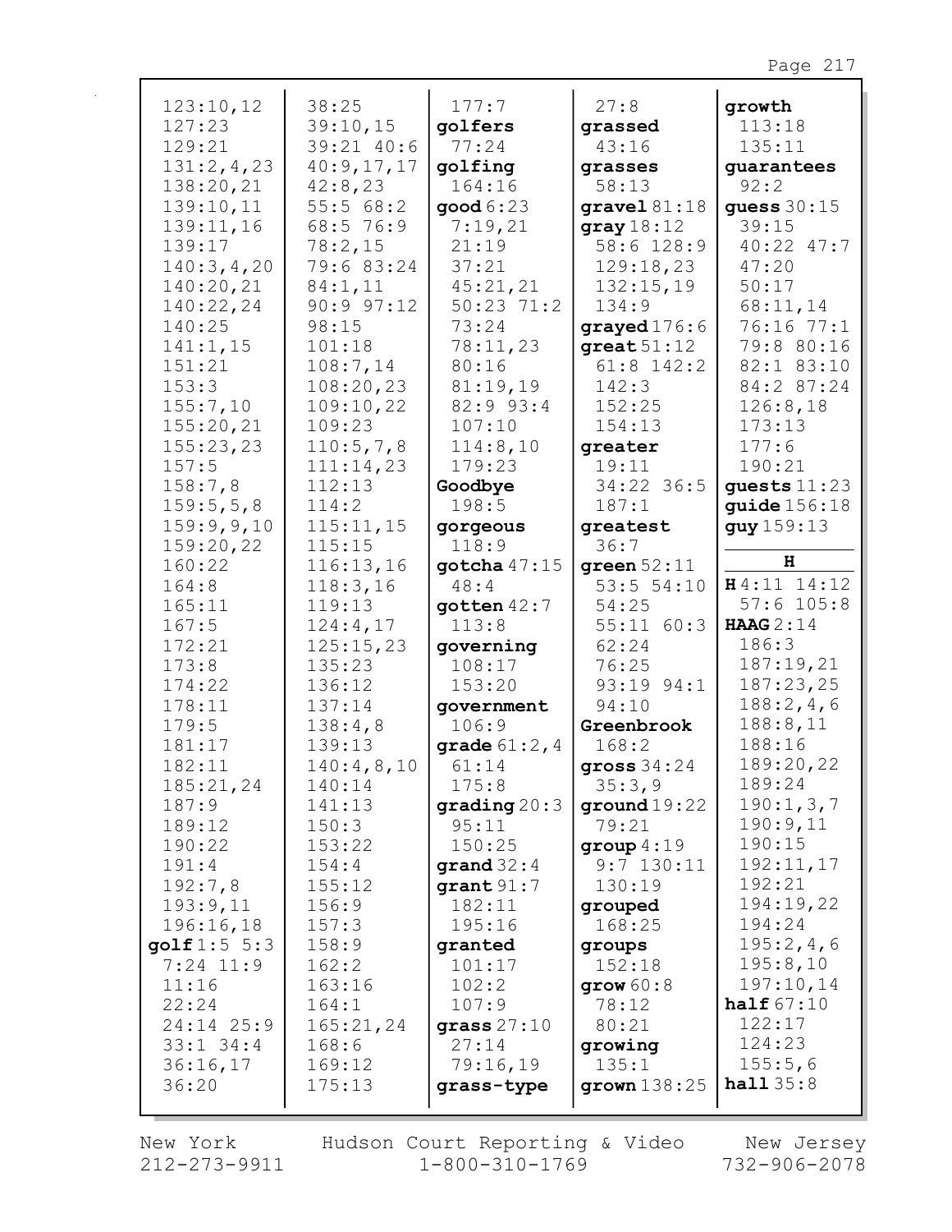| 123:10,12        | 38:25                 | 177:7                  | 27:8                          | growth                   |
|------------------|-----------------------|------------------------|-------------------------------|--------------------------|
| 127:23           | 39:10,15              | qolfers                | grassed                       | 113:18                   |
| 129:21           | 39:21 40:6            | 77:24                  | 43:16                         | 135:11                   |
| 131:2,4,23       | 40:9,17,17            | golfing                | grasses                       | guarantees               |
| 138:20,21        | 42:8,23               | 164:16                 | 58:13                         | 92:2                     |
| 139:10,11        | 55:568:2              | good 6:23              | gravel 81:18                  | guess $30:15$            |
| 139:11,16        | 68:5 76:9             | 7:19,21                | gray $18:12$                  | 39:15                    |
| 139:17           | 78:2,15               | 21:19                  | 58:6 128:9                    | 40:22 47:7               |
| 140:3,4,20       | 79:6 83:24            | 37:21                  | 129:18,23                     | 47:20                    |
| 140:20,21        | 84:1,11               | 45:21,21               | 132:15,19                     | 50:17                    |
| 140:22,24        | 90:997:12             | $50:23$ 71:2           | 134:9                         | 68:11,14                 |
| 140:25           | 98:15                 | 73:24                  | grayed 176:6                  | 76:16 77:1               |
| 141:1,15         | 101:18                | 78:11,23<br>80:16      | $great 51:12$<br>$61:8$ 142:2 | 79:8 80:16<br>82:1 83:10 |
| 151:21<br>153:3  | 108:7,14<br>108:20,23 | 81:19,19               | 142:3                         | 84:2 87:24               |
| 155:7,10         | 109:10,22             | 82:9 93:4              | 152:25                        | 126:8,18                 |
| 155:20,21        | 109:23                | 107:10                 | 154:13                        | 173:13                   |
| 155:23,23        | 110:5,7,8             | 114:8,10               | greater                       | 177:6                    |
| 157:5            | 111:14,23             | 179:23                 | 19:11                         | 190:21                   |
| 158:7,8          | 112:13                | Goodbye                | 34:22 36:5                    | quests $11:23$           |
| 159:5,5,8        | 114:2                 | 198:5                  | 187:1                         | quide $156:18$           |
| 159:9,9,10       | 115:11,15             | gorgeous               | greatest                      | guy 159:13               |
| 159:20,22        | 115:15                | 118:9                  | 36:7                          |                          |
| 160:22           | 116:13,16             | gotcha $47:15$         | green 52:11                   | н                        |
| 164:8            | 118:3,16              | 48:4                   | 53:551:10                     | H4:11 14:12              |
| 165:11           | 119:13                | $q$ otten $42:7$       | 54:25                         | $57:6$ 105:8             |
| 167:5            | 124:4,17              | 113:8                  | $55:11$ $60:3$                | <b>HAAG</b> 2:14         |
| 172:21           | 125:15,23             | governing              | 62:24                         | 186:3                    |
| 173:8            | 135:23                | 108:17                 | 76:25                         | 187:19,21                |
| 174:22           | 136:12                | 153:20                 | 93:19 94:1                    | 187:23,25                |
| 178:11           | 137:14                | government             | 94:10                         | 188:2,4,6                |
| 179:5            | 138:4,8               | 106:9                  | Greenbrook                    | 188:8,11                 |
| 181:17           | 139:13                | <b>grade</b> $61:2, 4$ | 168:2                         | 188:16                   |
| 182:11           | 140:4,8,10            | 61:14                  | gross $34:24$                 | 189:20,22                |
| 185:21,24        | 140:14                | 175:8                  | 35:3,9                        | 189:24                   |
| 187:9            | 141:13                | grading 20:3           | ground $19:22$                | 190:1,3,7                |
| 189:12<br>190:22 | 150:3<br>153:22       | 95:11<br>150:25        | 79:21                         | 190:9,11<br>190:15       |
| 191:4            | 154:4                 | grand $32:4$           | group $4:19$<br>$9:7$ 130:11  | 192:11,17                |
| 192:7,8          | 155:12                | grant 91:7             | 130:19                        | 192:21                   |
| 193:9,11         | 156:9                 | 182:11                 | grouped                       | 194:19,22                |
| 196:16,18        | 157:3                 | 195:16                 | 168:25                        | 194:24                   |
| golf 1:5 5:3     | 158:9                 | granted                | groups                        | 195:2,4,6                |
| $7:24$ 11:9      | 162:2                 | 101:17                 | 152:18                        | 195:8,10                 |
| 11:16            | 163:16                | 102:2                  | grow $60:8$                   | 197:10,14                |
| 22:24            | 164:1                 | 107:9                  | 78:12                         | half $67:10$             |
| 24:14 25:9       | 165:21,24             | grass $27:10$          | 80:21                         | 122:17                   |
| $33:1$ $34:4$    | 168:6                 | 27:14                  | growing                       | 124:23                   |
| 36:16,17         | 169:12                | 79:16,19               | 135:1                         | 155:5,6                  |
| 36:20            | 175:13                | grass-type             | grown $138:25$                | half35:8                 |
|                  |                       |                        |                               |                          |

New York 212-273-9911 Hudson Court Reporting & Video<br>1-800-310-1769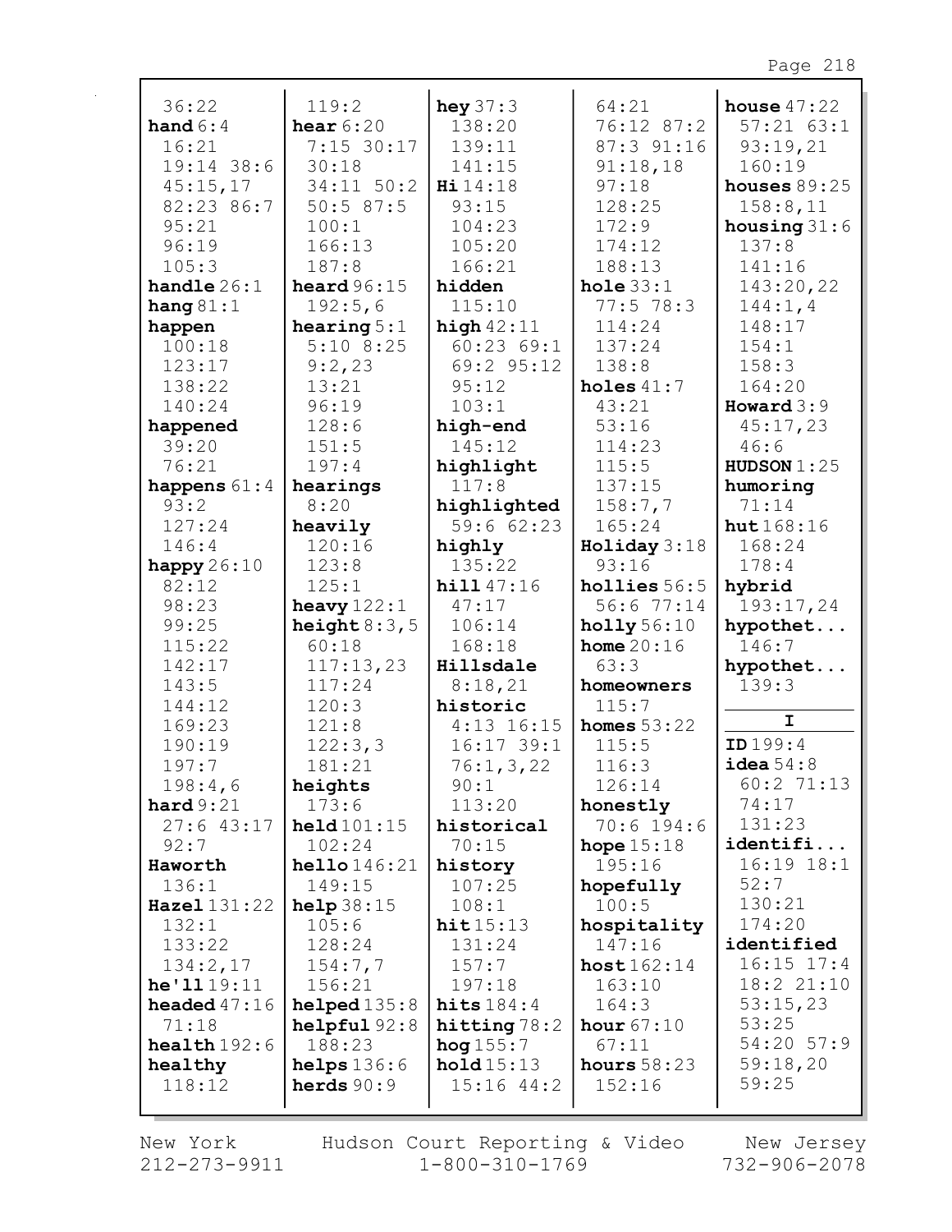| 36:22                   | 119:2                         | hey $37:3$                  | 64:21                   | house $47:22$             |
|-------------------------|-------------------------------|-----------------------------|-------------------------|---------------------------|
| hand $6:4$              | hear $6:20$                   | 138:20                      | 76:12 87:2              | $57:21$ $63:1$            |
| 16:21                   | 7:15 30:17                    | 139:11                      | 87:3 91:16              | 93:19,21                  |
| $19:14$ 38:6            | 30:18                         | 141:15                      | 91:18,18                | 160:19                    |
| 45:15,17                | 34:11 50:2                    | Hi 14:18                    | 97:18                   | houses $89:25$            |
| 82:23 86:7              | 50:587:5                      | 93:15                       | 128:25                  | 158:8,11                  |
| 95:21                   | 100:1                         | 104:23                      | 172:9                   | housing $31:6$            |
| 96:19                   | 166:13                        | 105:20                      | 174:12                  | 137:8                     |
| 105:3                   | 187:8                         | 166:21                      | 188:13                  | 141:16                    |
| handle $26:1$           | heard $96:15$                 | hidden                      | hole $33:1$             | 143:20,22                 |
| hang $81:1$             | 192:5,6                       | 115:10                      | $77:5$ 78:3             | 144:1, 4                  |
| happen                  | hearing $5:1$                 | high $42:11$                | 114:24                  | 148:17                    |
| 100:18                  | $5:10$ 8:25                   | 60:2369:1                   | 137:24                  | 154:1                     |
| 123:17                  | 9:2,23                        | 69:2 95:12                  | 138:8                   | 158:3                     |
| 138:22                  | 13:21                         | 95:12                       | holes $41:7$            | 164:20                    |
| 140:24                  | 96:19                         | 103:1                       | 43:21                   | Howard $3:9$              |
| happened<br>39:20       | 128:6                         | high-end<br>145:12          | 53:16<br>114:23         | 45:17,23                  |
|                         | 151:5<br>197:4                |                             | 115:5                   | 46:6                      |
| 76:21                   |                               | highlight<br>117:8          | 137:15                  | HUDSON $1:25$<br>humoring |
| happens $61:4$<br>93:2  | hearings<br>8:20              | highlighted                 | 158:7,7                 | 71:14                     |
| 127:24                  | heavily                       | 59:662:23                   | 165:24                  | hut $168:16$              |
| 146:4                   | 120:16                        | highly                      | Holiday 3:18            | 168:24                    |
| happy $26:10$           | 123:8                         | 135:22                      | 93:16                   | 178:4                     |
| 82:12                   | 125:1                         | hill 47:16                  | hollies $56:5$          | hybrid                    |
| 98:23                   | heavy $122:1$                 | 47:17                       | 56:677:14               | 193:17,24                 |
| 99:25                   | height $8:3,5$                | 106:14                      | holly 56:10             | hypothet                  |
| 115:22                  | 60:18                         | 168:18                      | home $20:16$            | 146:7                     |
| 142:17                  | 117:13,23                     | Hillsdale                   | 63:3                    | hypothet                  |
| 143:5                   | 117:24                        | 8:18,21                     | homeowners              | 139:3                     |
| 144:12                  | 120:3                         | historic                    | 115:7                   |                           |
| 169:23                  | 121:8                         | $4:13$ 16:15                | homes $53:22$           | $\mathbf{I}$              |
| 190:19                  | 122:3,3                       | $16:17$ 39:1                | 115:5                   | ID 199:4                  |
| 197:7                   | 181:21                        | 76:1, 3, 22                 | 116:3                   | $i$ dea $54:8$            |
| 198:4,6                 | heights                       | 90:1                        | 126:14                  | 60:271:13                 |
| hard 9:21               | 173:6                         | 113:20                      | honestly                | 74:17                     |
| $27:6$ 43:17            | $\text{held}101:15$           | historical                  | $70:6$ 194:6            | 131:23                    |
| 92:7                    | 102:24                        | 70:15                       | hope $15:18$            | identifi                  |
| Haworth                 | hello 146:21                  | history                     | 195:16                  | $16:19$ $18:1$            |
| 136:1                   | 149:15                        | 107:25                      | hopefully               | 52:7                      |
| Hazel 131:22            | help $38:15$                  | 108:1                       | 100:5                   | 130:21                    |
| 132:1                   | 105:6                         | hit15:13                    | hospitality             | 174:20                    |
| 133:22                  | 128:24                        | 131:24                      | 147:16                  | identified                |
| 134:2,17                | 154:7,7                       | 157:7                       | host162:14              | $16:15$ $17:4$            |
| he'1119:11              | 156:21                        | 197:18                      | 163:10                  | 18:2 21:10                |
| headed $47:16$          | helped135:8                   | hits $184:4$                | 164:3                   | 53:15,23                  |
| 71:18                   | helpful92:8                   | hitting $78:2$              | hour $67:10$            | 53:25<br>54:20 57:9       |
| $\texttt{health}$ 192:6 | 188:23                        | hog $155:7$                 | 67:11                   | 59:18,20                  |
| healthy<br>118:12       | helps $136:6$<br>herds $90:9$ | hold15:13<br>$15:16$ $44:2$ | hours $58:23$<br>152:16 | 59:25                     |
|                         |                               |                             |                         |                           |

New York 212-273-9911 Hudson Court Reporting & Video  $1 - 800 - 310 - 1769$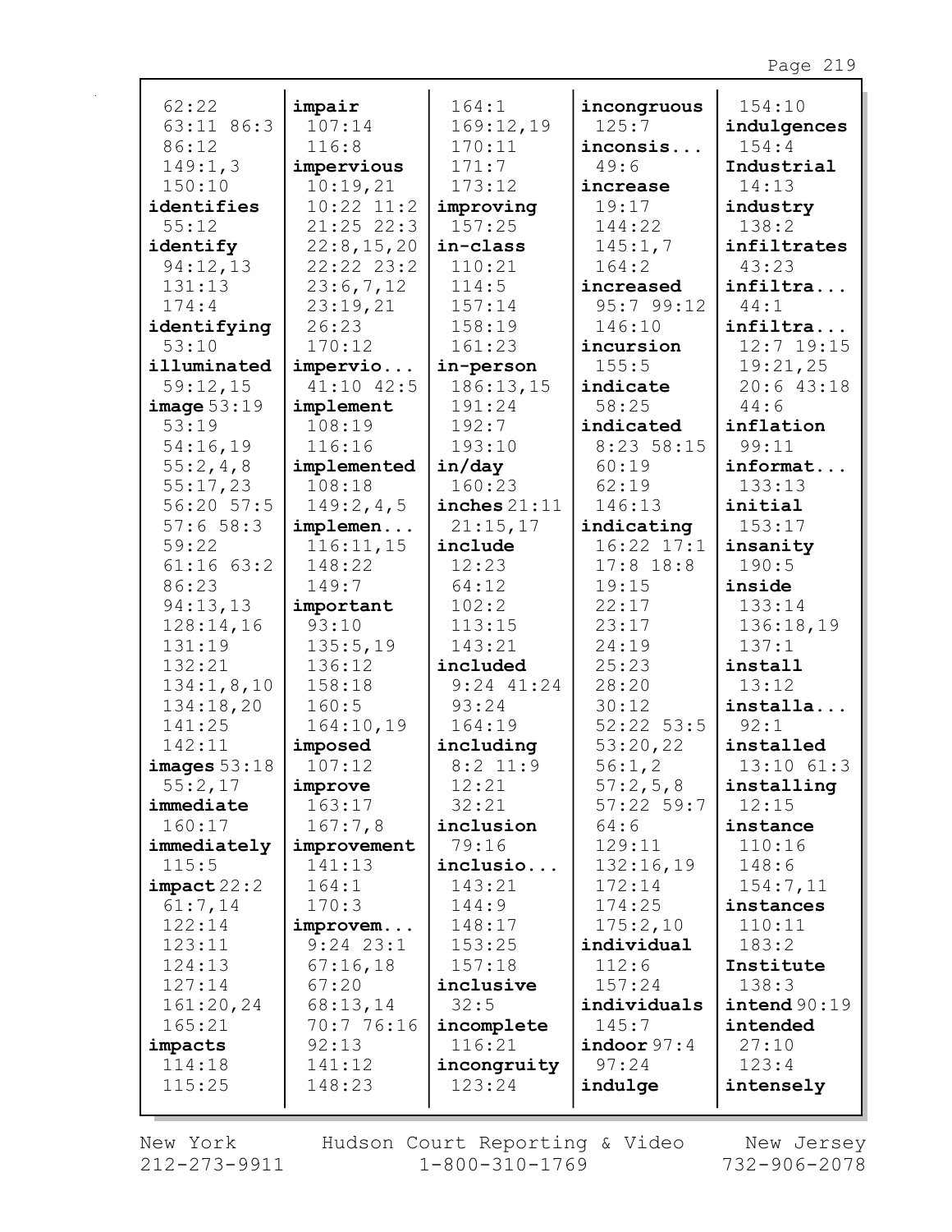| 62:22                  | impair           | 164:1                      | incongruous      | 154:10             |
|------------------------|------------------|----------------------------|------------------|--------------------|
| 63:11 86:3             | 107:14           | 169:12,19                  | 125:7            | indulgences        |
| 86:12                  | 116:8            | 170:11                     | inconsis         | 154:4              |
| 149:1,3                | impervious       | 171:7                      | 49:6             | Industrial         |
| 150:10                 | 10:19,21         | 173:12                     | increase         | 14:13              |
| identifies             | $10:22$ $11:2$   | improving                  | 19:17            | industry           |
| 55:12                  | $21:25$ 22:3     | 157:25                     | 144:22           | 138:2              |
| identify               | 22:8,15,20       | in-class                   | 145:1,7          | infiltrates        |
| 94:12,13               | $22:22$ $23:2$   | 110:21                     | 164:2            | 43:23              |
| 131:13                 | 23:6,7,12        | 114:5                      | increased        | infiltra           |
| 174:4                  | 23:19,21         | 157:14                     | 95:799:12        | 44:1               |
| identifying            | 26:23            | 158:19                     | 146:10           | infiltra           |
| 53:10                  | 170:12           | 161:23                     | incursion        | 12:7 19:15         |
| illuminated            | impervio         | in-person                  | 155:5            | 19:21,25           |
| 59:12,15               | $41:10$ $42:5$   | 186:13,15                  | indicate         | $20:6$ 43:18       |
| image 53:19            | implement        | 191:24                     | 58:25            | 44:6               |
| 53:19                  | 108:19           | 192:7                      | indicated        | inflation          |
| 54:16,19               | 116:16           | 193:10                     | 8:23 58:15       | 99:11              |
| 55:2,4,8               | implemented      | in/day                     | 60:19            | informat           |
| 55:17,23               | 108:18           | 160:23                     | 62:19            | 133:13             |
| 56:20 57:5             | 149:2,4,5        | inches $21:11$             | 146:13           | initial            |
| 57:658:3               | implemen         | 21:15,17                   | indicating       | 153:17             |
| 59:22                  | 116:11,15        | include                    | $16:22$ $17:1$   | insanity           |
| $61:16$ $63:2$         | 148:22           | 12:23                      | $17:8$ 18:8      | 190:5              |
| 86:23                  | 149:7            | 64:12                      | 19:15            | inside             |
| 94:13,13               | important        | 102:2                      | 22:17            | 133:14             |
| 128:14,16              | 93:10            | 113:15<br>143:21           | 23:17            | 136:18,19<br>137:1 |
| 131:19                 | 135:5,19         |                            | 24:19            |                    |
| 132:21<br>134:1, 8, 10 | 136:12<br>158:18 | included<br>$9:24$ $41:24$ | 25:23<br>28:20   | install<br>13:12   |
|                        | 160:5            | 93:24                      | 30:12            |                    |
| 134:18,20<br>141:25    | 164:10,19        | 164:19                     | $52:22$ 53:5     | installa<br>92:1   |
| 142:11                 | imposed          | including                  | 53:20,22         | installed          |
| images 53:18           | 107:12           | $8:2$ 11:9                 | 56:1,2           | $13:10$ $61:3$     |
| 55:2,17                | improve          | 12:21                      | 57:2,5,8         | installing         |
| immediate              | 163:17           | 32:21                      | $57:22$ 59:7     | 12:15              |
| 160:17                 | 167:7,8          | inclusion                  | 64:6             | instance           |
| immediately            | improvement      | 79:16                      | 129:11           | 110:16             |
| 115:5                  | 141:13           | inclusio                   | 132:16,19        | 148:6              |
| impact 22:2            | 164:1            | 143:21                     | 172:14           | 154:7,11           |
| 61:7,14                | 170:3            | 144:9                      | 174:25           | instances          |
| 122:14                 | improvem         | 148:17                     | 175:2,10         | 110:11             |
| 123:11                 | $9:24$ 23:1      | 153:25                     | individual       | 183:2              |
| 124:13                 | 67:16,18         | 157:18                     | 112:6            | Institute          |
| 127:14                 | 67:20            | inclusive                  | 157:24           | 138:3              |
| 161:20,24              | 68:13,14         | 32:5                       | individuals      | intend 90:19       |
| 165:21                 | 70:7 76:16       | incomplete                 | 145:7            | intended           |
| impacts                | 92:13            | 116:21                     | $i$ ndoor $97:4$ | 27:10              |
| 114:18                 | 141:12           | incongruity                | 97:24            | 123:4              |
| 115:25                 | 148:23           | 123:24                     | indulge          | intensely          |
|                        |                  |                            |                  |                    |

 $212 - 273 - 9911$   $1 - 800 - 310 - 1769$   $732 - 906 - 2078$ New York Hudson Court Reporting & Video New Jersey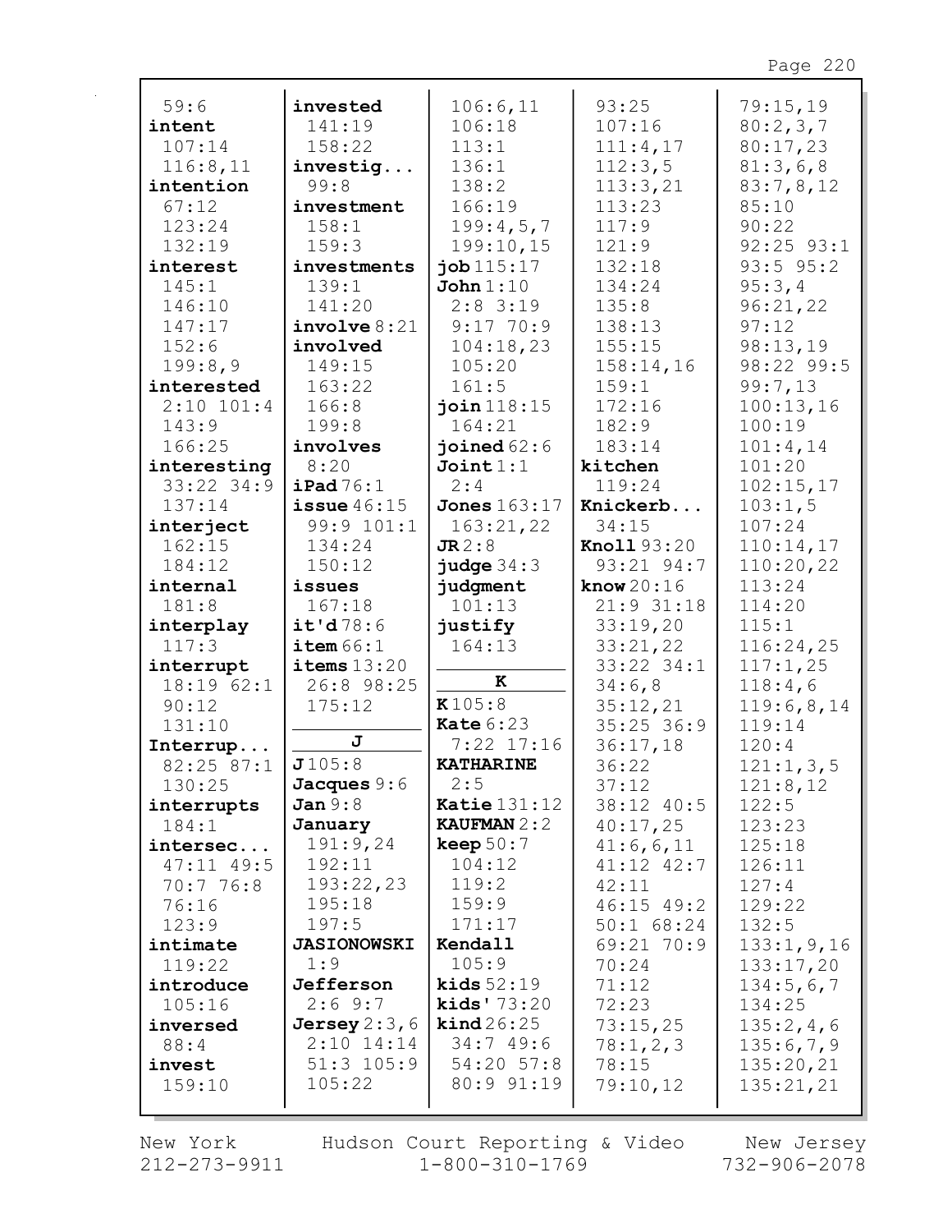| 59:6           | invested           | 106:6,11              | 93:25              | 79:15,19       |
|----------------|--------------------|-----------------------|--------------------|----------------|
| intent         | 141:19             | 106:18                | 107:16             | 80:2,3,7       |
| 107:14         | 158:22             | 113:1                 | 111:4,17           | 80:17,23       |
| 116:8,11       | investig           | 136:1                 | 112:3,5            | 81:3,6,8       |
| intention      | 99:8               | 138:2                 | 113:3,21           | 83:7,8,12      |
| 67:12          | investment         | 166:19                | 113:23             | 85:10          |
| 123:24         | 158:1              | 199:4,5,7             | 117:9              | 90:22          |
| 132:19         | 159:3              | 199:10,15             | 121:9              | $92:25$ $93:1$ |
| interest       | investments        | job 115:17            | 132:18             | $93:5$ $95:2$  |
| 145:1          | 139:1              | John 1:10             | 134:24             | 95:3,4         |
| 146:10         | 141:20             | $2:8$ 3:19            | 135:8              | 96:21,22       |
| 147:17         | involve 8:21       | $9:17$ 70:9           | 138:13             | 97:12          |
| 152:6          | involved           | 104:18,23             | 155:15             | 98:13,19       |
| 199:8,9        | 149:15             | 105:20                | 158:14,16          | 98:22 99:5     |
| interested     | 163:22             | 161:5                 | 159:1              | 99:7,13        |
| $2:10$ $101:4$ | 166:8              | join $118:15$         | 172:16             | 100:13,16      |
| 143:9          | 199:8              | 164:21                | 182:9              | 100:19         |
| 166:25         | involves           | joined $62:6$         | 183:14             | 101:4,14       |
| interesting    | 8:20               | Join1:1               | kitchen            | 101:20         |
| 33:22 34:9     | $i$ Pad $76:1$     | 2:4                   | 119:24             | 102:15,17      |
| 137:14         | issue $46:15$      | <b>Jones</b> 163:17   | Knickerb           | 103:1,5        |
| interject      | 99:9 101:1         | 163:21,22             | 34:15              | 107:24         |
| 162:15         | 134:24             | JR2:8                 | <b>Knoll</b> 93:20 | 110:14,17      |
| 184:12         | 150:12             | judge $34:3$          | 93:21 94:7         | 110:20,22      |
| internal       | issues             | judgment              | know $20:16$       | 113:24         |
| 181:8          | 167:18             | 101:13                | 21:9 31:18         | 114:20         |
| interplay      | it'd78:6           | justify               | 33:19,20           | 115:1          |
| 117:3          | item 66:1          | 164:13                | 33:21,22           | 116:24,25      |
| interrupt      | items $13:20$      |                       | 33:22 34:1         | 117:1,25       |
| 18:1962:1      | 26:8 98:25         | к                     | 34:6,8             | 118:4,6        |
| 90:12          | 175:12             | K105:8                | 35:12,21           | 119:6,8,14     |
| 131:10         |                    | Kate $6:23$           | $35:25$ 36:9       | 119:14         |
| Interrup       | J                  | $7:22$ 17:16          | 36:17,18           | 120:4          |
| 82:25 87:1     | J105:8             | <b>KATHARINE</b>      | 36:22              | 121:1, 3, 5    |
| 130:25         | Jacques $9:6$      | 2:5                   | 37:12              | 121:8,12       |
| interrupts     | Jan 9:8            | <b>Katie</b> $131:12$ | 38:12 40:5         | 122:5          |
| 184:1          | January            | <b>KAUFMAN</b> $2:2$  | 40:17,25           | 123:23         |
| intersec       | 191:9,24           | keep $50:7$           | 41:6,6,11          | 125:18         |
| $47:11$ $49:5$ | 192:11             | 104:12                | $41:12$ $42:7$     | 126:11         |
| 70:776:8       | 193:22,23          | 119:2                 | 42:11              | 127:4          |
| 76:16          | 195:18             | 159:9                 | $46:15$ $49:2$     | 129:22         |
| 123:9          | 197:5              | 171:17                | $50:1$ 68:24       | 132:5          |
| intimate       | <b>JASIONOWSKI</b> | Kendall               | 69:21 70:9         | 133:1, 9, 16   |
| 119:22         | 1:9                | 105:9                 | 70:24              | 133:17,20      |
| introduce      | Jefferson          | kids $52:19$          | 71:12              | 134:5,6,7      |
| 105:16         | 2:69:7             | kids' $73:20$         | 72:23              | 134:25         |
| inversed       | Jersey $2:3,6$     | $\text{kind}\,26:25$  | 73:15,25           | 135:2,4,6      |
| 88:4           | $2:10$ 14:14       | 34:749:6              | 78:1,2,3           | 135:6,7,9      |
| invest         | $51:3$ $105:9$     | 54:20 57:8            | 78:15              | 135:20,21      |
| 159:10         | 105:22             | 80:9 91:19            | 79:10,12           | 135:21,21      |
|                |                    |                       |                    |                |

 $212 - 273 - 9911$   $1 - 800 - 310 - 1769$   $732 - 906 - 2078$ New York Hudson Court Reporting & Video New Jersey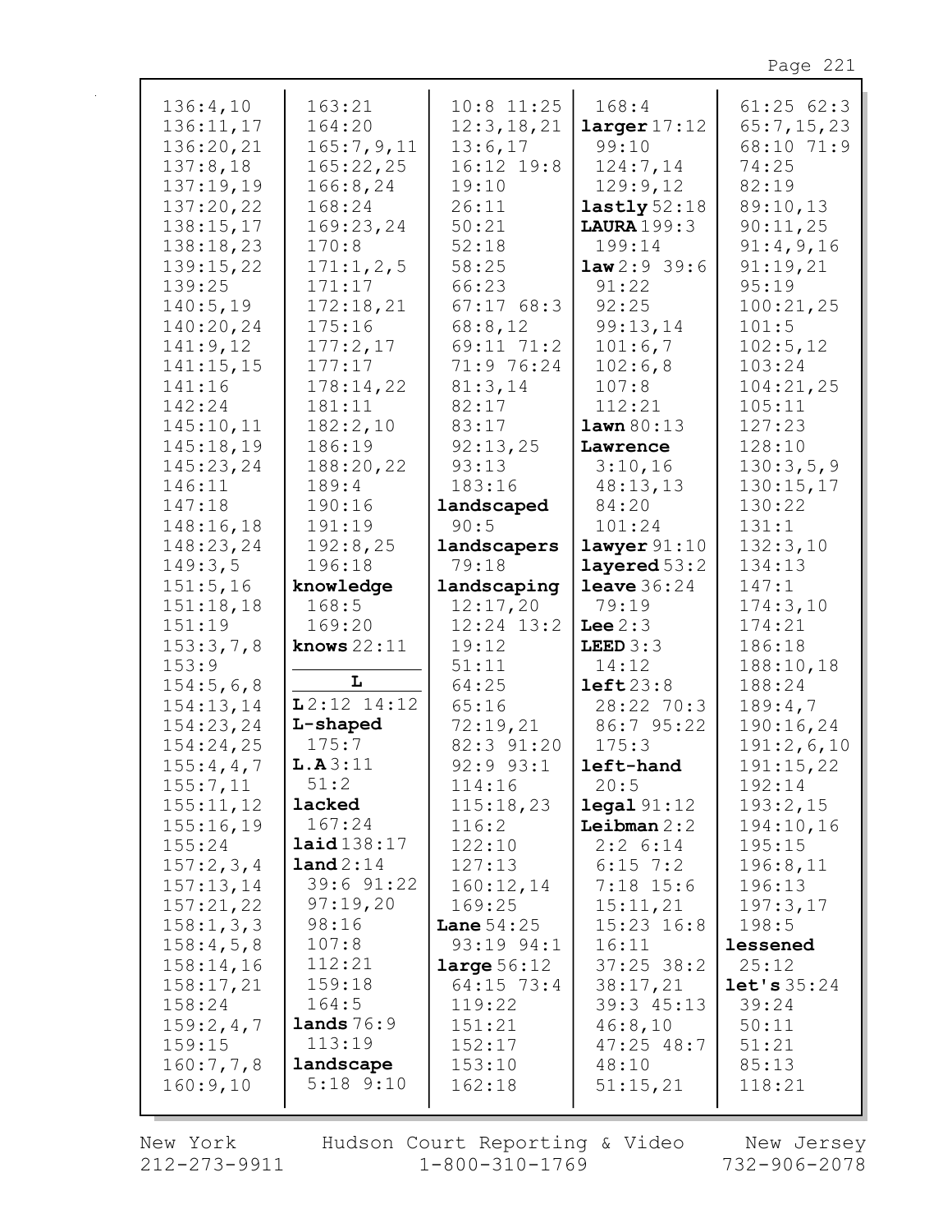| 136:4,10                         | 163:21                  | $10:8$ 11:25                    | 168:4                            | 61:2562:3                      |
|----------------------------------|-------------------------|---------------------------------|----------------------------------|--------------------------------|
| 136:11,17                        | 164:20                  | 12:3, 18, 21                    | larger17:12                      | 65:7,15,23                     |
| 136:20,21                        | 165:7,9,11              | 13:6,17                         | 99:10                            | 68:10 71:9                     |
| 137:8,18                         | 165:22,25               | 16:12 19:8                      | 124:7,14                         | 74:25                          |
| 137:19,19                        | 166:8, 24               | 19:10                           | 129:9,12                         | 82:19                          |
| 137:20,22                        | 168:24                  | 26:11                           | lastly $52:18$                   | 89:10,13                       |
| 138:15,17                        | 169:23,24               | 50:21                           | <b>LAURA</b> 199:3               | 90:11,25                       |
| 138:18,23                        | 170:8                   | 52:18                           | 199:14                           | 91:4,9,16                      |
| 139:15,22                        | 171:1, 2, 5             | 58:25                           | law2:939:6                       | 91:19,21                       |
| 139:25                           | 171:17                  | 66:23                           | 91:22                            | 95:19                          |
| 140:5,19                         | 172:18,21               | 67:1768:3                       | 92:25                            | 100:21,25                      |
| 140:20,24                        | 175:16                  | 68:8,12                         | 99:13,14                         | 101:5                          |
| 141:9,12                         | 177:2,17                | 69:11 71:2                      | 101:6,7                          | 102:5,12                       |
| 141:15,15                        | 177:17                  | 71:9 76:24                      | 102:6,8                          | 103:24                         |
| 141:16                           | 178:14,22               | 81:3,14                         | 107:8                            | 104:21,25                      |
| 142:24                           | 181:11                  | 82:17                           | 112:21                           | 105:11                         |
| 145:10,11                        | 182:2,10                | 83:17                           | lawn 80:13                       | 127:23                         |
| 145:18,19                        | 186:19                  | 92:13,25                        | Lawrence                         | 128:10                         |
| 145:23,24                        | 188:20,22               | 93:13                           | 3:10,16                          | 130:3,5,9                      |
| 146:11                           | 189:4                   | 183:16                          | 48:13,13                         | 130:15,17                      |
| 147:18                           | 190:16                  | landscaped                      | 84:20                            | 130:22                         |
| 148:16,18                        | 191:19                  | 90:5                            | 101:24                           | 131:1                          |
| 148:23,24                        | 192:8,25                | landscapers                     | $l$ awyer $91:10$                | 132:3,10                       |
| 149:3,5                          | 196:18                  | 79:18                           | layered $53:2$                   | 134:13                         |
|                                  |                         |                                 |                                  |                                |
|                                  |                         |                                 |                                  |                                |
|                                  |                         |                                 |                                  |                                |
| 151:5,16                         | knowledge<br>168:5      | landscaping                     | <b>leave</b> $36:24$             | 147:1                          |
| 151:18,18<br>151:19<br>153:3,7,8 | 169:20<br>knows $22:11$ | 12:17,20<br>12:24 13:2<br>19:12 | 79:19<br>Lee $2:3$<br>LEED $3:3$ | 174:3,10<br>174:21<br>186:18   |
| 153:9<br>154:5,6,8<br>154:13,14  | L<br>$L2:12$ 14:12      | 51:11<br>64:25<br>65:16         | 14:12<br>left23:8<br>28:22 70:3  | 188:10,18<br>188:24<br>189:4,7 |
| 154:23,24                        | L-shaped                | 72:19,21                        | 86:7 95:22                       | 190:16,24                      |
| 154:24,25                        | 175:7                   | 82:3 91:20                      | 175:3                            | 191:2,6,10                     |
| 155:4,4,7                        | L.A3:11                 | $92:9$ $93:1$                   | left-hand                        | 191:15,22                      |
| 155:7,11                         | 51:2                    | 114:16                          | 20:5                             | 192:14                         |
| 155:11,12                        | lacked                  | 115:18,23                       | $\texttt{legal } 91:12$          | 193:2,15                       |
| 155:16,19                        | 167:24                  | 116:2                           | Leibman $2:2$                    | 194:10,16                      |
| 155:24                           | laid138:17              | 122:10                          | $2:2$ 6:14                       | 195:15                         |
| 157:2,3,4                        | land 2:14               | 127:13                          | $6:15$ 7:2                       | 196:8,11                       |
| 157:13,14                        | 39:6 91:22              | 160:12,14                       | $7:18$ 15:6                      | 196:13                         |
| 157:21,22                        | 97:19,20                | 169:25                          | 15:11,21                         | 197:3,17                       |
| 158:1, 3, 3                      | 98:16                   | <b>Lane</b> $54:25$             | $15:23$ $16:8$                   | 198:5                          |
| 158:4,5,8                        | 107:8                   | 93:19 94:1                      | 16:11                            | lessened                       |
| 158:14,16                        | 112:21                  | large 56:12                     | $37:25$ 38:2                     | 25:12                          |
| 158:17,21                        | 159:18                  | $64:15$ 73:4                    | 38:17,21                         | let's 35:24                    |
| 158:24                           | 164:5                   | 119:22                          | 39:3 45:13                       | 39:24                          |
| 159:2,4,7                        | lands $76:9$            | 151:21                          | 46:8,10                          | 50:11                          |
| 159:15                           | 113:19                  | 152:17                          | 47:25 48:7                       | 51:21                          |
| 160:7,7,8                        | landscape               | 153:10                          | 48:10                            | 85:13                          |
| 160:9,10                         | $5:18$ $9:10$           | 162:18                          | 51:15,21                         | 118:21                         |

New York  $212 - 273 - 9911$ 

Hudson Court Reporting & Video<br>11 1-800-310-1769

New Jersey<br>732-906-2078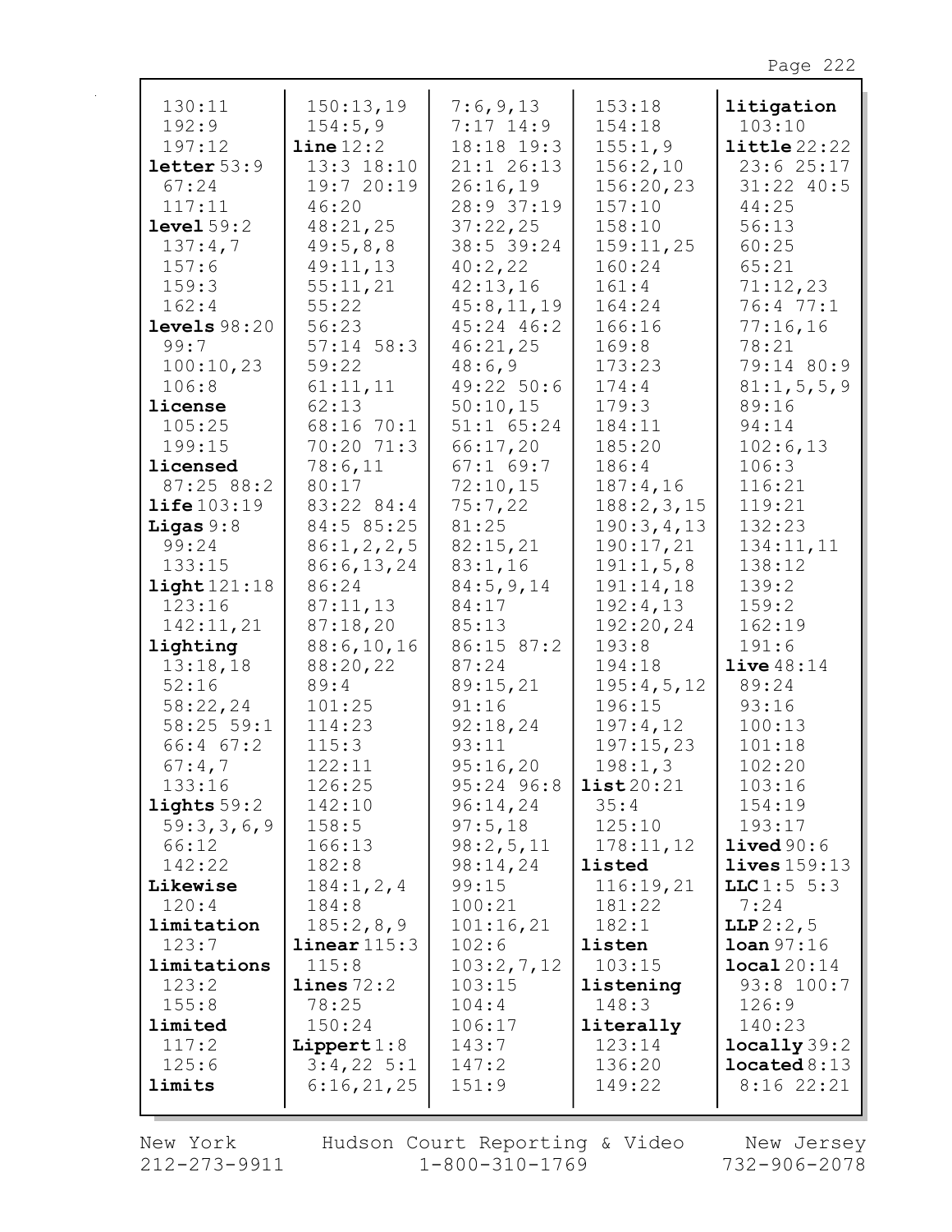| 130:11<br>192:9       | 150:13,19<br>154:5,9             | 7:6,9,13<br>$7:17$ 14:9    | 153:18<br>154:18    | litigation<br>103:10                 |
|-----------------------|----------------------------------|----------------------------|---------------------|--------------------------------------|
| 197:12<br>letter 53:9 | $\text{line }12:2$<br>13:3 18:10 | 18:18 19:3<br>$21:1$ 26:13 | 155:1,9<br>156:2,10 | $\texttt{little}$ 22:22<br>23:625:17 |
| 67:24                 | 19:7 20:19                       | 26:16,19                   | 156:20,23           | $31:22$ 40:5                         |
| 117:11                | 46:20                            | 28:9 37:19                 | 157:10              | 44:25                                |
| level 59:2            | 48:21,25                         | 37:22,25                   | 158:10              | 56:13                                |
| 137:4,7               | 49:5,8,8                         | 38:5 39:24                 | 159:11,25           | 60:25                                |
| 157:6                 | 49:11,13                         | 40:2,22                    | 160:24              | 65:21                                |
| 159:3                 | 55:11,21                         | 42:13,16                   | 161:4               | 71:12,23                             |
| 162:4                 | 55:22                            | 45:8,11,19                 | 164:24              | 76:4 77:1                            |
| levels $98:20$        | 56:23                            | 45:24 46:2                 | 166:16              | 77:16,16                             |
| 99:7                  | $57:14$ 58:3                     | 46:21,25                   | 169:8               | 78:21                                |
| 100:10,23             | 59:22                            | 48:6,9                     | 173:23              | 79:14 80:9                           |
| 106:8<br>license      | 61:11,11<br>62:13                | 49:22 50:6<br>50:10,15     | 174:4<br>179:3      | 81:1, 5, 5, 9<br>89:16               |
| 105:25                | 68:16 70:1                       | $51:1$ $65:24$             | 184:11              | 94:14                                |
| 199:15                | 70:20 71:3                       | 66:17,20                   | 185:20              | 102:6,13                             |
| licensed              | 78:6,11                          | $67:1$ 69:7                | 186:4               | 106:3                                |
| 87:25 88:2            | 80:17                            | 72:10,15                   | 187:4,16            | 116:21                               |
| $\text{life}103:19$   | 83:22 84:4                       | 75:7,22                    | 188:2,3,15          | 119:21                               |
| Ligas $9:8$           | 84:5 85:25                       | 81:25                      | 190:3,4,13          | 132:23                               |
| 99:24                 | 86:1, 2, 2, 5                    | 82:15,21                   | 190:17,21           | 134:11,11                            |
| 133:15                | 86:6, 13, 24                     | 83:1,16                    | 191:1,5,8           | 138:12                               |
| light121:18           | 86:24                            | 84:5,9,14                  | 191:14,18           | 139:2                                |
| 123:16                | 87:11,13                         | 84:17                      | 192:4,13            | 159:2                                |
| 142:11,21             | 87:18,20                         | 85:13                      | 192:20,24           | 162:19                               |
| lighting              | 88:6, 10, 16                     | 86:15 87:2<br>87:24        | 193:8<br>194:18     | 191:6<br>live48:14                   |
| 13:18,18<br>52:16     | 88:20,22<br>89:4                 | 89:15,21                   | 195:4,5,12          | 89:24                                |
| 58:22,24              | 101:25                           | 91:16                      | 196:15              | 93:16                                |
| $58:25$ 59:1          | 114:23                           | 92:18,24                   | 197:4,12            | 100:13                               |
| $66:4$ $67:2$         | 115:3                            | 93:11                      | 197:15,23           | 101:18                               |
| 67:4,7                | 122:11                           | 95:16,20                   | 198:1,3             | 102:20                               |
| 133:16                | 126:25                           | 95:24 96:8                 | list20:21           | 103:16                               |
| lights $59:2$         | 142:10                           | 96:14,24                   | 35:4                | 154:19                               |
| 59:3,3,6,9            | 158:5                            | 97:5,18                    | 125:10              | 193:17                               |
| 66:12                 | 166:13                           | 98:2,5,11                  | 178:11,12           | lived 90:6                           |
| 142:22                | 182:8                            | 98:14,24                   | listed              | lives 159:13                         |
| Likewise              | 184:1, 2, 4                      | 99:15                      | 116:19,21           | LLC1:5 5:3                           |
| 120:4<br>limitation   | 184:8                            | 100:21                     | 181:22<br>182:1     | 7:24                                 |
| 123:7                 | 185:2,8,9<br>linear 115:3        | 101:16,21<br>102:6         | listen              | LLP 2:2, 5<br>$\text{Ioan } 97:16$   |
| limitations           | 115:8                            | 103:2,7,12                 | 103:15              | local20:14                           |
| 123:2                 | lines 72:2                       | 103:15                     | listening           | 93:8 100:7                           |
| 155:8                 | 78:25                            | 104:4                      | 148:3               | 126:9                                |
| limited               | 150:24                           | 106:17                     | literally           | 140:23                               |
| 117:2                 | Lippert $1:8$                    | 143:7                      | 123:14              | locally 39:2                         |
| 125:6                 | $3:4,22$ 5:1                     | 147:2                      | 136:20              | located 8:13                         |
| limits                | 6:16,21,25                       | 151:9                      | 149:22              | 8:1622:21                            |
|                       |                                  |                            |                     |                                      |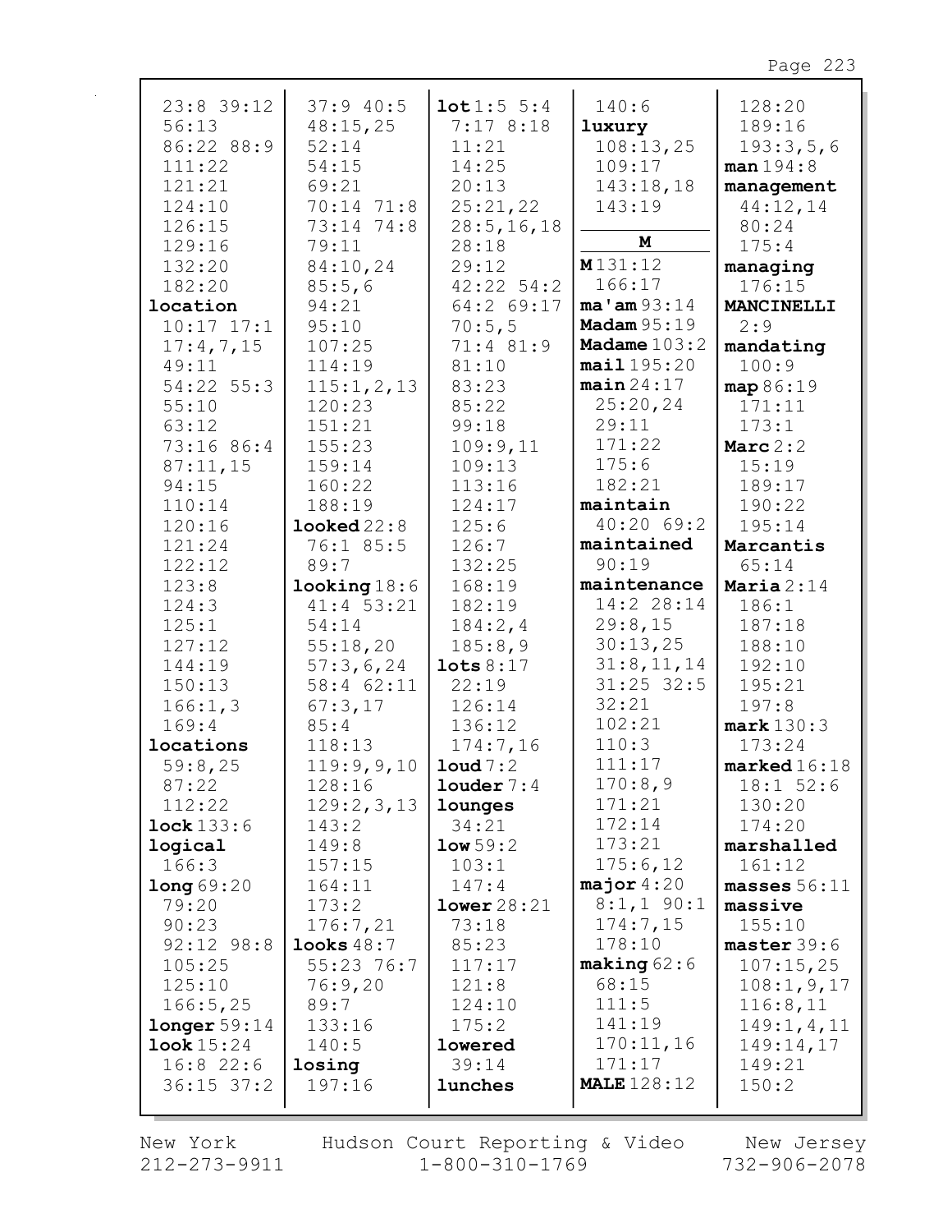| 23:8 39:12        | 37:940:5                  | 10t1:55:4            | 140:6                  | 128:20                 |
|-------------------|---------------------------|----------------------|------------------------|------------------------|
| 56:13             | 48:15,25                  | 7:178:18             | luxury                 | 189:16                 |
| 86:22 88:9        | 52:14                     | 11:21                | 108:13,25              | 193:3,5,6              |
| 111:22            | 54:15                     | 14:25                | 109:17                 | man 194:8              |
| 121:21            | 69:21                     | 20:13                | 143:18,18              | management             |
| 124:10            | 70:14 71:8                | 25:21,22             | 143:19                 | 44:12,14               |
| 126:15            | 73:14 74:8                | 28:5, 16, 18         |                        | 80:24                  |
| 129:16            | 79:11                     | 28:18                | M                      | 175:4                  |
| 132:20            | 84:10,24                  | 29:12                | M131:12                | managing               |
| 182:20            | 85:5,6                    | $42:22 \ 54:2$       | 166:17                 | 176:15                 |
| location          | 94:21                     | 64:2 69:17           | $ma'$ am $93:14$       | MANCINELLI             |
| $10:17$ $17:1$    | 95:10                     | 70:5,5               | <b>Madam</b> 95:19     | 2:9                    |
| 17:4,7,15         | 107:25                    | 71:4 81:9            | Madame $103:2$         | mandating              |
| 49:11             | 114:19                    | 81:10                | mail195:20             | 100:9                  |
| $54:22$ 55:3      | 115:1, 2, 13              | 83:23                | main 24:17             | map 86:19              |
| 55:10             | 120:23                    | 85:22                | 25:20,24               | 171:11                 |
| 63:12             | 151:21                    | 99:18                | 29:11                  | 173:1                  |
| 73:16 86:4        | 155:23                    | 109:9,11             | 171:22                 | Marc $2:2$             |
| 87:11,15          | 159:14                    | 109:13               | 175:6                  | 15:19                  |
| 94:15             | 160:22                    | 113:16               | 182:21                 | 189:17                 |
| 110:14            | 188:19                    | 124:17               | maintain               | 190:22                 |
| 120:16            | $\texttt{looked} \, 22:8$ | 125:6                | 40:20 69:2             | 195:14                 |
| 121:24            | 76:1 85:5                 | 126:7                | maintained             | Marcantis              |
| 122:12            | 89:7                      | 132:25               | 90:19                  | 65:14                  |
| 123:8             | $looking 18:6$            | 168:19               | maintenance            | Maria $2:14$           |
| 124:3             | $41:4$ 53:21              | 182:19               | 14:2 28:14             | 186:1                  |
| 125:1             | 54:14                     | 184:2,4              | 29:8,15                | 187:18                 |
| 127:12            | 55:18,20                  | 185:8,9              | 30:13,25               | 188:10                 |
| 144:19            | 57:3,6,24                 | $\texttt{lots} 8:17$ | 31:8, 11, 14           | 192:10                 |
| 150:13            | 58:4 62:11                | 22:19                | $31:25$ 32:5           | 195:21                 |
| 166:1,3           | 67:3,17                   | 126:14               | 32:21                  | 197:8                  |
| 169:4             | 85:4                      | 136:12               | 102:21                 | mark 130:3             |
| locations         | 118:13                    | 174:7,16             | 110:3                  | 173:24                 |
| 59:8,25           | 119:9,9,10                | $1$ oud $7:2$        | 111:17                 | $\texttt{marked}16:18$ |
| 87:22             | 128:16                    | $1$ ouder $7:4$      | 170:8,9                | 18:1 52:6              |
| 112:22            | 129:2,3,13                | lounges              | 171:21                 | 130:20                 |
| lock 133:6        | 143:2                     | 34:21                | 172:14                 | 174:20                 |
| logical           | 149:8                     | low 59:2             | 173:21                 | marshalled             |
| 166:3             | 157:15                    | 103:1                | 175:6,12               | 161:12                 |
| long69:20         | 164:11                    | 147:4                | major $4:20$           | masses $56:11$         |
| 79:20             | 173:2                     | lower28:21           | $8:1, 1$ 90:1          | massive                |
| 90:23             | 176:7,21                  | 73:18                | 174:7,15               | 155:10                 |
| 92:12 98:8        | looks $48:7$              | 85:23                | 178:10                 | master 39:6            |
| 105:25            | $55:23$ 76:7              | 117:17               | $\texttt{making} 62:6$ | 107:15,25              |
| 125:10            | 76:9,20                   | 121:8                | 68:15                  | 108:1, 9, 17           |
| 166:5,25          | 89:7                      | 124:10               | 111:5                  | 116:8,11               |
| longer 59:14      | 133:16                    | 175:2                | 141:19                 | 149:1, 4, 11           |
| <b>look</b> 15:24 | 140:5                     | lowered              | 170:11,16              | 149:14,17              |
| $16:8$ 22:6       | losing                    | 39:14                | 171:17                 | 149:21                 |
| $36:15$ $37:2$    | 197:16                    | lunches              | <b>MALE</b> 128:12     | 150:2                  |
|                   |                           |                      |                        |                        |

New York  $212 - 273 - 9911$ 

Hudson Court Reporting & Video  $1 - 800 - 310 - 1769$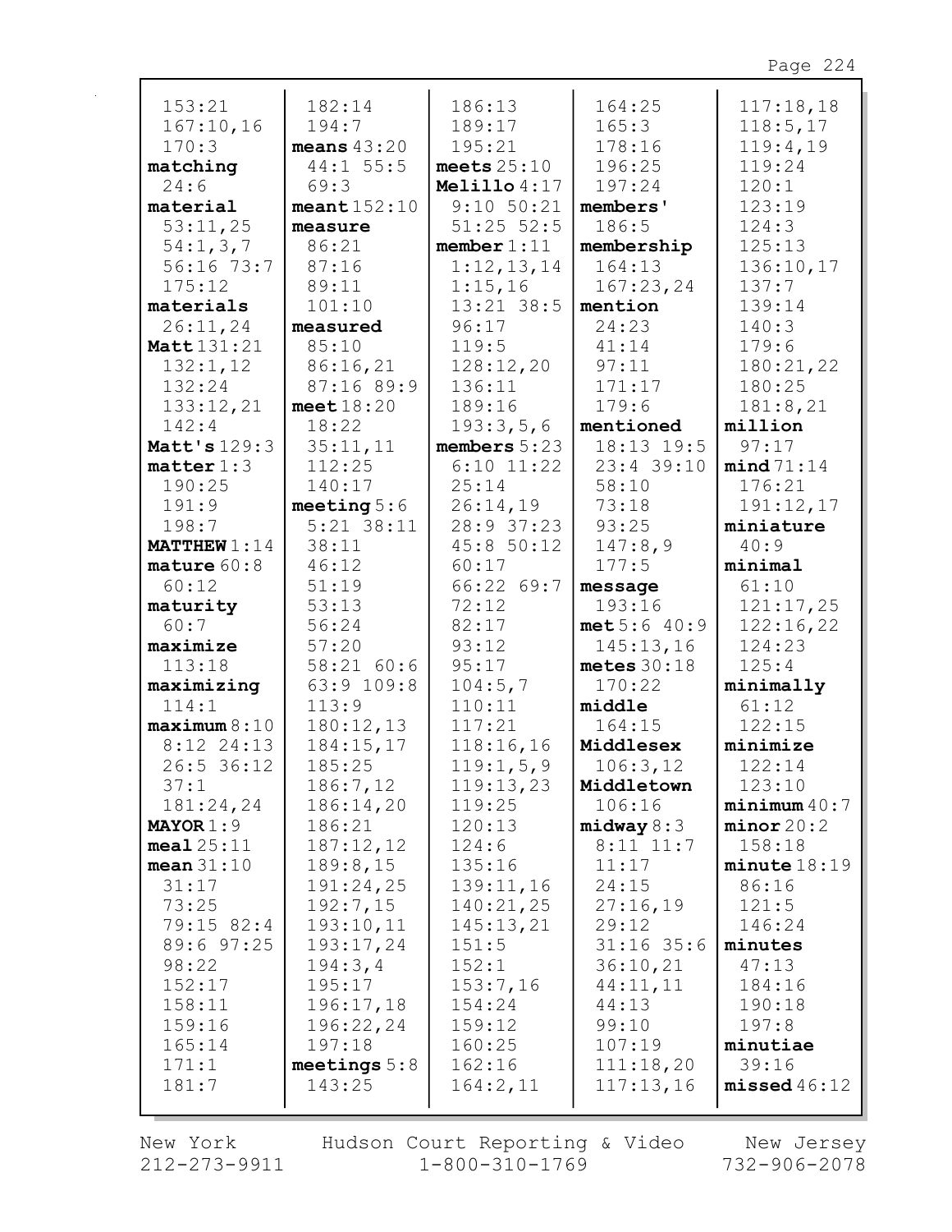| 153:21                | 182:14         | 186:13         | 164:25        | 117:18,18    |
|-----------------------|----------------|----------------|---------------|--------------|
| 167:10,16             | 194:7          | 189:17         | 165:3         | 118:5, 17    |
| 170:3                 | means $43:20$  | 195:21         | 178:16        | 119:4,19     |
| matching              | $44:1$ 55:5    | meets $25:10$  | 196:25        | 119:24       |
| 24:6                  | 69:3           | Melillo $4:17$ | 197:24        | 120:1        |
| material              | meant152:10    | $9:10$ 50:21   | members'      | 123:19       |
| 53:11,25              | measure        | $51:25$ $52:5$ | 186:5         | 124:3        |
| 54:1,3,7              | 86:21          | member 1:11    | membership    | 125:13       |
| $56:16$ 73:7          | 87:16          | 1:12,13,14     | 164:13        | 136:10,17    |
| 175:12                | 89:11          | 1:15,16        |               | 137:7        |
|                       |                |                | 167:23,24     |              |
| materials             | 101:10         | $13:21$ 38:5   | mention       | 139:14       |
| 26:11,24              | measured       | 96:17          | 24:23         | 140:3        |
| Matt 131:21           | 85:10          | 119:5          | 41:14         | 179:6        |
| 132:1,12              | 86:16,21       | 128:12,20      | 97:11         | 180:21,22    |
| 132:24                | 87:16 89:9     | 136:11         | 171:17        | 180:25       |
| 133:12,21             | meet $18:20$   | 189:16         | 179:6         | 181:8,21     |
| 142:4                 | 18:22          | 193:3,5,6      | mentioned     | million      |
| Matt's 129:3          | 35:11,11       | members $5:23$ | 18:13 19:5    | 97:17        |
| matter 1:3            | 112:25         | $6:10$ 11:22   | $23:4$ 39:10  | mind 71:14   |
| 190:25                | 140:17         | 25:14          | 58:10         | 176:21       |
| 191:9                 | meeting $5:6$  | 26:14,19       | 73:18         | 191:12,17    |
| 198:7                 | $5:21$ 38:11   | 28:9 37:23     | 93:25         | miniature    |
| <b>MATTHEW</b> $1:14$ | 38:11          | 45:850:12      | 147:8,9       | 40:9         |
| mature $60:8$         | 46:12          | 60:17          | 177:5         | minimal      |
| 60:12                 | 51:19          | 66:22 69:7     | message       | 61:10        |
| maturity              | 53:13          | 72:12          | 193:16        | 121:17,25    |
| 60:7                  | 56:24          | 82:17          | met 5:6 40:9  | 122:16,22    |
| maximize              | 57:20          | 93:12          | 145:13,16     | 124:23       |
| 113:18                | 58:21 60:6     | 95:17          | metes $30:18$ | 125:4        |
| maximizing            | 63:9 109:8     | 104:5,7        | 170:22        | minimally    |
| 114:1                 | 113:9          | 110:11         | middle        | 61:12        |
| maximum 8:10          | 180:12,13      | 117:21         | 164:15        | 122:15       |
| $8:12$ 24:13          | 184:15,17      | 118:16,16      | Middlesex     | minimize     |
| 26:5 36:12            | 185:25         | 119:1,5,9      | 106:3,12      | 122:14       |
| 37:1                  | 186:7,12       | 119:13,23      | Middletown    | 123:10       |
| 181:24,24             | 186:14,20      | 119:25         | 106:16        | minimum 40:7 |
| $MAYOR 1:9$           | 186:21         | 120:13         | midway 8:3    | minor 20:2   |
| $\text{meal } 25:11$  | 187:12,12      | 124:6          | $8:11$ 11:7   | 158:18       |
| mean $31:10$          | 189:8,15       | 135:16         | 11:17         | minute 18:19 |
| 31:17                 | 191:24,25      | 139:11,16      | 24:15         | 86:16        |
| 73:25                 | 192:7,15       | 140:21,25      | 27:16,19      | 121:5        |
| 79:15 82:4            | 193:10,11      | 145:13,21      | 29:12         | 146:24       |
| 89:6 97:25            | 193:17,24      | 151:5          | $31:16$ 35:6  | minutes      |
| 98:22                 | 194:3,4        | 152:1          | 36:10,21      | 47:13        |
| 152:17                | 195:17         | 153:7,16       | 44:11,11      | 184:16       |
| 158:11                | 196:17,18      | 154:24         | 44:13         | 190:18       |
| 159:16                | 196:22,24      | 159:12         | 99:10         | 197:8        |
| 165:14                | 197:18         | 160:25         | 107:19        | minutiae     |
| 171:1                 | meetings $5:8$ | 162:16         | 111:18,20     | 39:16        |
| 181:7                 | 143:25         | 164:2,11       | 117:13,16     | missed46:12  |
|                       |                |                |               |              |
|                       |                |                |               |              |

New York Hudson Court Reporting & Video New Jersey<br>212-273-9911 1-800-310-1769 732-906-2078 Hudson Court Reporting & Video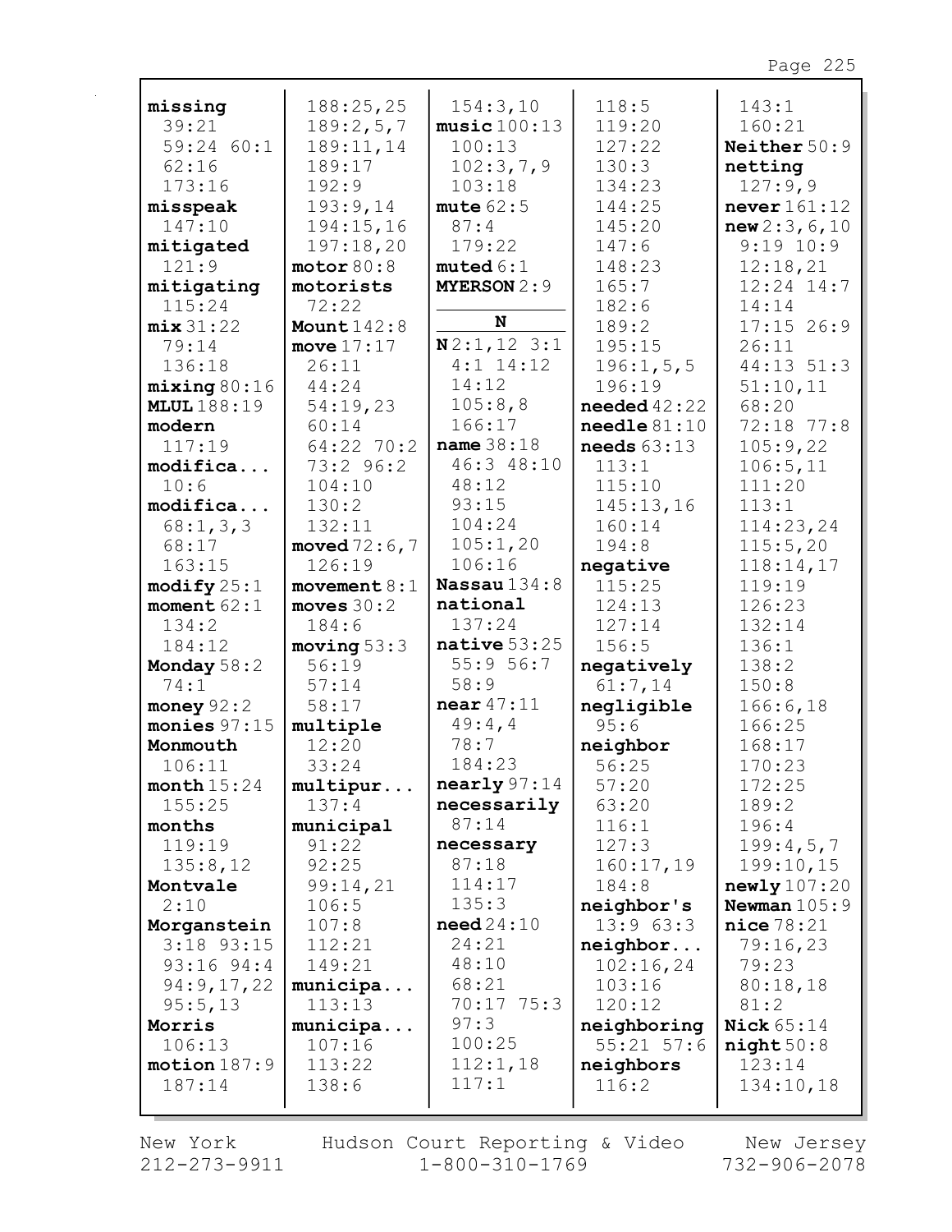| missing               | 188:25,25           | 154:3,10                 | 118:5                                      | 143:1                 |
|-----------------------|---------------------|--------------------------|--------------------------------------------|-----------------------|
| 39:21                 | 189:2,5,7           | music100:13              | 119:20                                     | 160:21                |
| 59:24 60:1            | 189:11,14           | 100:13                   | 127:22                                     | Neither 50:9          |
| 62:16                 | 189:17              | 102:3,7,9                | 130:3                                      | netting               |
| 173:16                | 192:9               | 103:18                   | 134:23                                     | 127:9,9               |
| misspeak              | 193:9,14            | mute $62:5$              | 144:25                                     | never $161:12$        |
| 147:10                | 194:15,16           | 87:4                     | 145:20                                     | new 2:3, 6, 10        |
| mitigated             | 197:18,20           | 179:22                   | 147:6                                      | $9:19$ 10:9           |
| 121:9                 | motor 80:8          | muted 6:1                | 148:23                                     | 12:18,21              |
| mitigating            | motorists           | <b>MYERSON 2:9</b>       | 165:7                                      | $12:24$ $14:7$        |
| 115:24                | 72:22               | N                        | 182:6                                      | 14:14                 |
| mix31:22              | Mount $142:8$       |                          | 189:2                                      | $17:15$ 26:9          |
| 79:14                 | move $17:17$        | N2:1, 123:1              | 195:15                                     | 26:11                 |
| 136:18                | 26:11               | $4:1$ 14:12<br>14:12     | 196:1, 5, 5                                | 44:13 51:3            |
| mixing 80:16          | 44:24               | 105:8,8                  | 196:19                                     | 51:10,11              |
| <b>MLUL</b> 188:19    | 54:19,23            | 166:17                   | needed $42:22$                             | 68:20<br>72:18 77:8   |
| modern<br>117:19      | 60:14<br>64:22 70:2 | name $38:18$             | $\texttt{neededle} 81:10$<br>needs $63:13$ |                       |
|                       | 73:2 96:2           | 46:3 48:10               | 113:1                                      | 105:9,22<br>106:5, 11 |
| modifica<br>10:6      | 104:10              | 48:12                    | 115:10                                     | 111:20                |
| modifica              | 130:2               | 93:15                    | 145:13,16                                  | 113:1                 |
| 68:1,3,3              | 132:11              | 104:24                   | 160:14                                     | 114:23,24             |
| 68:17                 | moved $72:6,7$      | 105:1,20                 | 194:8                                      | 115:5,20              |
| 163:15                | 126:19              | 106:16                   | negative                                   | 118:14,17             |
| $\text{modify } 25:1$ | movement $8:1$      | Nassau $134:8$           | 115:25                                     | 119:19                |
| moment $62:1$         | moves $30:2$        | national                 | 124:13                                     | 126:23                |
| 134:2                 | 184:6               | 137:24                   | 127:14                                     | 132:14                |
| 184:12                | moving 53:3         | native $53:25$           | 156:5                                      | 136:1                 |
| Monday $58:2$         | 56:19               | 55:956:7                 | negatively                                 | 138:2                 |
| 74:1                  | 57:14               | 58:9                     | 61:7,14                                    | 150:8                 |
| money $92:2$          | 58:17               | near $47:11$             | negligible                                 | 166:6, 18             |
| monies $97:15$        | multiple            | 49:4,4                   | 95:6                                       | 166:25                |
| Monmouth              | 12:20               | 78:7                     | neighbor                                   | 168:17                |
| 106:11                | 33:24               | 184:23                   | 56:25                                      | 170:23                |
| month $15:24$         | multipur            | $\texttt{nearly } 97:14$ | 57:20                                      | 172:25                |
| 155:25                | 137:4               | necessarily              | 63:20                                      | 189:2                 |
| months                | municipal           | 87:14                    | 116:1                                      | 196:4                 |
| 119:19                | 91:22               | necessary                | 127:3                                      | 199:4,5,7             |
| 135:8,12              | 92:25               | 87:18                    | 160:17,19                                  | 199:10,15             |
| Montvale              | 99:14,21            | 114:17                   | 184:8                                      | newly107:20           |
| 2:10                  | 106:5               | 135:3                    | neighbor's                                 | Newman $105:9$        |
| Morganstein           | 107:8               | need24:10                | 13:963:3                                   | nice 78:21            |
| $3:18$ 93:15          | 112:21              | 24:21                    | neighbor                                   | 79:16,23              |
| $93:16$ $94:4$        | 149:21              | 48:10                    | 102:16,24                                  | 79:23                 |
| 94:9,17,22            | municipa            | 68:21                    | 103:16                                     | 80:18,18              |
| 95:5,13               | 113:13              | 70:1775:3                | 120:12                                     | 81:2                  |
| Morris                | municipa            | 97:3                     | neighboring                                | Nick $65:14$          |
| 106:13                | 107:16              | 100:25                   | $55:21$ $57:6$                             | night50:8             |
| motion 187:9          | 113:22              | 112:1,18                 | neighbors                                  | 123:14                |
| 187:14                | 138:6               | 117:1                    | 116:2                                      | 134:10,18             |
|                       |                     |                          |                                            |                       |

New York  $212 - 273 - 9911$  Hudson Court Reporting & Video<br>1-800-310-1769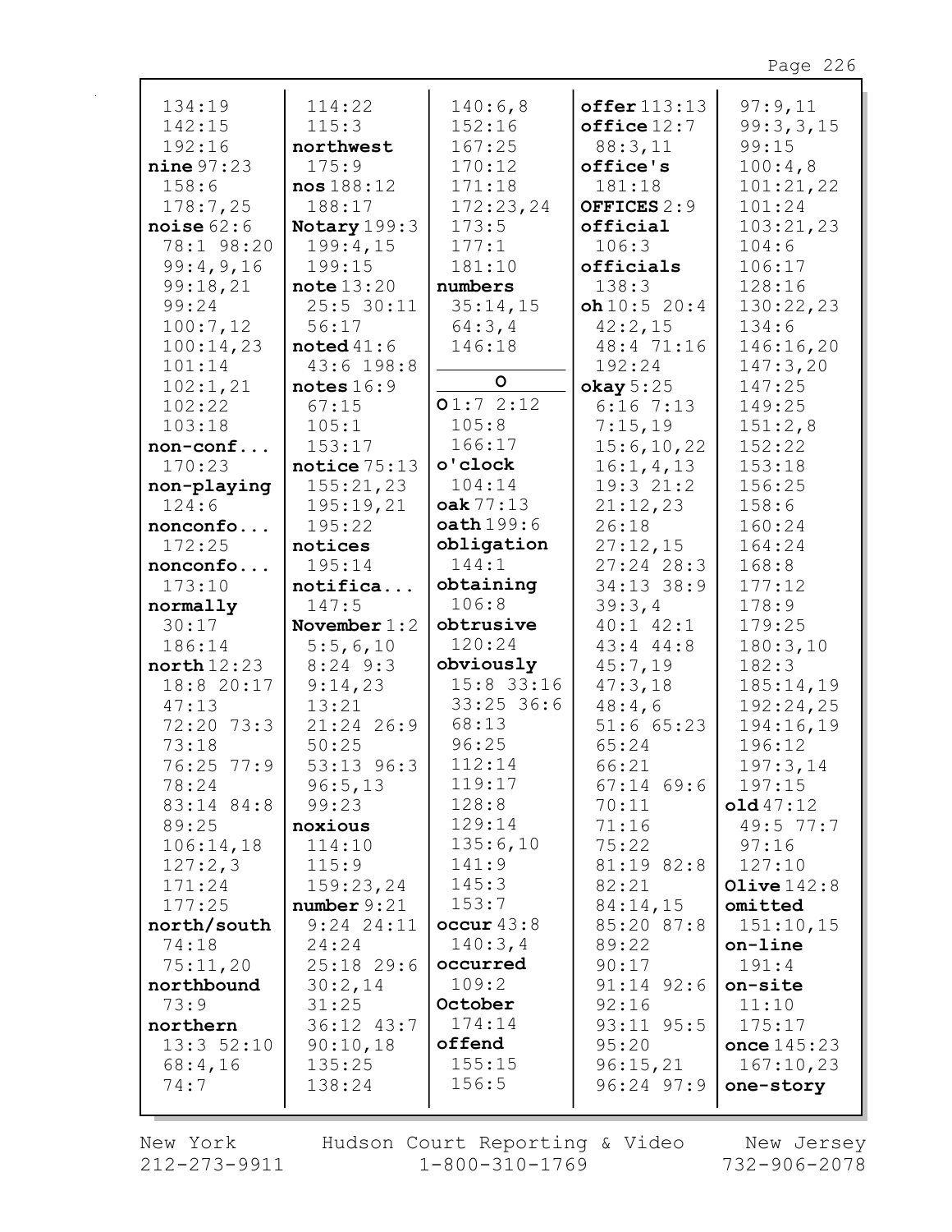| 134:19       | 114:22         | 140:6,8      | $offer$ $113:13$ | 97:9,11       |
|--------------|----------------|--------------|------------------|---------------|
| 142:15       | 115:3          | 152:16       | offsetice12:7    | 99:3,3,15     |
| 192:16       | northwest      | 167:25       | 88:3,11          | 99:15         |
| nine 97:23   | 175:9          | 170:12       | office's         | 100:4,8       |
| 158:6        | nos188:12      | 171:18       | 181:18           | 101:21,22     |
| 178:7,25     | 188:17         | 172:23,24    | OFFICES 2:9      | 101:24        |
| noise $62:6$ | Notary 199:3   | 173:5        | official         | 103:21,23     |
| 78:1 98:20   | 199:4,15       | 177:1        | 106:3            | 104:6         |
| 99:4,9,16    | 199:15         | 181:10       | officials        | 106:17        |
| 99:18,21     | note 13:20     | numbers      | 138:3            | 128:16        |
| 99:24        | $25:5$ 30:11   | 35:14,15     | oh10:520:4       | 130:22,23     |
| 100:7,12     | 56:17          | 64:3,4       | 42:2,15          | 134:6         |
| 100:14,23    | noted $41:6$   | 146:18       | 48:4 71:16       | 146:16,20     |
| 101:14       | 43:6 198:8     |              | 192:24           | 147:3,20      |
| 102:1,21     | notes $16:9$   | $\circ$      | okay 5:25        | 147:25        |
| 102:22       | 67:15          | 01:72:12     | $6:16$ 7:13      | 149:25        |
| 103:18       | 105:1          | 105:8        | 7:15,19          | 151:2,8       |
| non-conf     | 153:17         | 166:17       | 15:6, 10, 22     | 152:22        |
| 170:23       | notice $75:13$ | o'clock      | 16:1, 4, 13      | 153:18        |
| non-playing  | 155:21,23      | 104:14       | 19:321:2         | 156:25        |
| 124:6        | 195:19,21      | oak 77:13    | 21:12,23         | 158:6         |
| nonconfo     | 195:22         | oath 199:6   | 26:18            | 160:24        |
| 172:25       | notices        | obligation   | 27:12,15         | 164:24        |
| nonconfo     | 195:14         | 144:1        | $27:24$ 28:3     | 168:8         |
| 173:10       | notifica       | obtaining    | 34:13 38:9       | 177:12        |
| normally     | 147:5          | 106:8        | 39:3,4           | 178:9         |
|              |                |              |                  |               |
| 30:17        | November $1:2$ | obtrusive    | $40:1$ $42:1$    | 179:25        |
| 186:14       | 5:5,6,10       | 120:24       | $43:4$ $44:8$    | 180:3,10      |
| north 12:23  | $8:24$ 9:3     | obviously    | 45:7,19          | 182:3         |
| 18:8 20:17   | 9:14,23        | $15:8$ 33:16 | 47:3,18          | 185:14,19     |
| 47:13        | 13:21          | $33:25$ 36:6 | 48:4,6           | 192:24,25     |
| 72:20 73:3   | 21:24 26:9     | 68:13        | $51:6$ 65:23     | 194:16,19     |
| 73:18        | 50:25          | 96:25        | 65:24            | 196:12        |
| 76:25 77:9   | $53:13$ $96:3$ | 112:14       | 66:21            | 197:3,14      |
| 78:24        | 96:5,13        | 119:17       | $67:14$ 69:6     | 197:15        |
| 83:14 84:8   | 99:23          | 128:8        | 70:11            | old47:12      |
| 89:25        | noxious        | 129:14       | 71:16            | 49:5 77:7     |
| 106:14,18    | 114:10         | 135:6,10     | 75:22            | 97:16         |
| 127:2,3      | 115:9          | 141:9        | 81:19 82:8       | 127:10        |
| 171:24       | 159:23,24      | 145:3        | 82:21            | Olive $142:8$ |
| 177:25       | number 9:21    | 153:7        | 84:14,15         | omitted       |
| north/south  | $9:24$ 24:11   | occur 43:8   | 85:20 87:8       | 151:10,15     |
| 74:18        | 24:24          | 140:3,4      | 89:22            | on-line       |
| 75:11,20     | $25:18$ 29:6   | occurred     | 90:17            | 191:4         |
| northbound   | 30:2,14        | 109:2        | $91:14$ $92:6$   | on-site       |
| 73:9         | 31:25          | October      | 92:16            | 11:10         |
| northern     | 36:12 43:7     | 174:14       | 93:11 95:5       | 175:17        |
| 13:352:10    | 90:10,18       | offend       | 95:20            | once $145:23$ |
| 68:4,16      | 135:25         | 155:15       | 96:15,21         | 167:10,23     |
| 74:7         | 138:24         | 156:5        | $96:24$ $97:9$   | one-story     |

New York  $212 - 273 - 9911$ 

 $\mathbf{r}$ 

Hudson Court Reporting & Video<br>11 1-800-310-1769

New Jersey<br>732-906-2078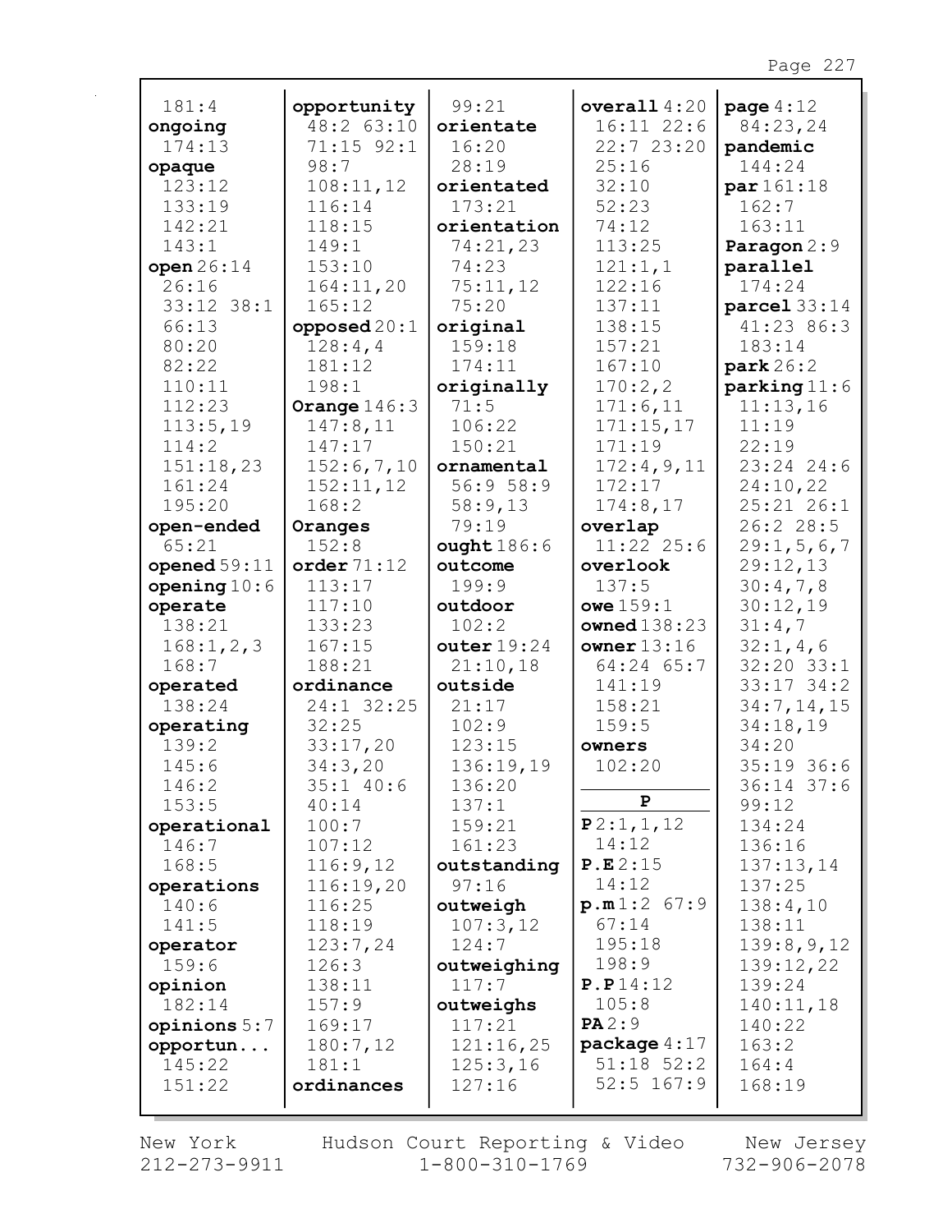| 181:4          | opportunity    | 99:21         | overall $4:20$                 | page $4:12$             |
|----------------|----------------|---------------|--------------------------------|-------------------------|
| ongoing        | 48:2 63:10     | orientate     | $16:11$ $22:6$                 | 84:23,24                |
| 174:13         | $71:15$ 92:1   | 16:20         | 22:7 23:20                     | pandemic                |
| opaque         | 98:7           | 28:19         | 25:16                          | 144:24                  |
| 123:12         | 108:11,12      | orientated    | 32:10                          | par 161:18              |
| 133:19         | 116:14         | 173:21        | 52:23                          | 162:7                   |
| 142:21         | 118:15         | orientation   | 74:12                          | 163:11                  |
| 143:1          | 149:1          | 74:21,23      | 113:25                         | Paragon 2:9             |
| open $26:14$   | 153:10         | 74:23         | 121:1,1                        | parallel                |
| 26:16          | 164:11,20      | 75:11,12      | 122:16                         | 174:24                  |
| $33:12$ $38:1$ | 165:12         | 75:20         | 137:11                         | $\texttt{parcel}$ 33:14 |
| 66:13          | opposed $20:1$ | original      | 138:15                         | 41:23 86:3              |
| 80:20          | 128:4,4        | 159:18        | 157:21                         | 183:14                  |
| 82:22          | 181:12         | 174:11        | 167:10                         | park 26:2               |
| 110:11         | 198:1          | originally    | 170:2,2                        | parking 11:6            |
| 112:23         | Orange $146:3$ | 71:5          | 171:6,11                       | 11:13,16                |
| 113:5,19       | 147:8,11       | 106:22        | 171:15,17                      | 11:19                   |
| 114:2          | 147:17         | 150:21        | 171:19                         | 22:19                   |
| 151:18,23      | 152:6,7,10     | ornamental    | 172:4,9,11                     | 23:24 24:6              |
| 161:24         | 152:11,12      | 56:958:9      | 172:17                         | 24:10,22                |
| 195:20         | 168:2          | 58:9,13       | 174:8,17                       | 25:21 26:1              |
| open-ended     | Oranges        | 79:19         | overlap                        | 26:2 28:5               |
| 65:21          | 152:8          | ought186:6    | 11:22 25:6                     | 29:1, 5, 6, 7           |
| opened $59:11$ | order $71:12$  | outcome       | overlook                       | 29:12,13                |
| opening $10:6$ | 113:17         | 199:9         | 137:5                          | 30:4,7,8                |
| operate        | 117:10         | outdoor       | owe $159:1$                    | 30:12,19                |
| 138:21         | 133:23         | 102:2         | owned $138:23$                 | 31:4,7                  |
| 168:1, 2, 3    | 167:15         | outer $19:24$ | owner $13:16$                  | 32:1,4,6                |
| 168:7          | 188:21         | 21:10,18      | 64:24 65:7                     | 32:20 33:1              |
| operated       | ordinance      | outside       | 141:19                         | $33:17$ $34:2$          |
| 138:24         | 24:1 32:25     | 21:17         | 158:21                         | 34:7, 14, 15            |
| operating      | 32:25          | 102:9         | 159:5                          | 34:18,19                |
| 139:2          | 33:17,20       | 123:15        | owners                         | 34:20                   |
| 145:6          | 34:3,20        | 136:19,19     | 102:20                         | 35:19 36:6              |
| 146:2          | $35:1$ 40:6    | 136:20        |                                | $36:14$ 37:6            |
| 153:5          | 40:14          | 137:1         | P                              | 99:12                   |
| operational    | 100:7          | 159:21        | P2:1, 1, 12                    | 134:24                  |
| 146:7          | 107:12         | 161:23        | 14:12                          | 136:16                  |
| 168:5          | 116:9,12       | outstanding   | P.E.2:15                       | 137:13,14               |
| operations     | 116:19,20      | 97:16         | 14:12                          | 137:25                  |
| 140:6          | 116:25         | outweigh      | p.m1:2 67:9                    | 138:4,10                |
| 141:5          | 118:19         | 107:3,12      | 67:14                          | 138:11                  |
| operator       | 123:7,24       | 124:7         | 195:18                         | 139:8,9,12              |
| 159:6          | 126:3          | outweighing   | 198:9                          | 139:12,22               |
| opinion        | 138:11         | 117:7         | P.P14:12                       | 139:24                  |
| 182:14         | 157:9          | outweighs     | 105:8                          | 140:11,18               |
| opinions 5:7   | 169:17         | 117:21        | PA2:9                          | 140:22                  |
| opportun       | 180:7,12       | 121:16,25     | package $4:17$                 | 163:2                   |
| 145:22         | 181:1          | 125:3,16      | $51:18$ $52:2$<br>$52:5$ 167:9 | 164:4                   |
| 151:22         | ordinances     | 127:16        |                                | 168:19                  |
|                |                |               |                                |                         |

New York 212-273-9911 Hudson Court Reporting & Video<br>1-800-310-1769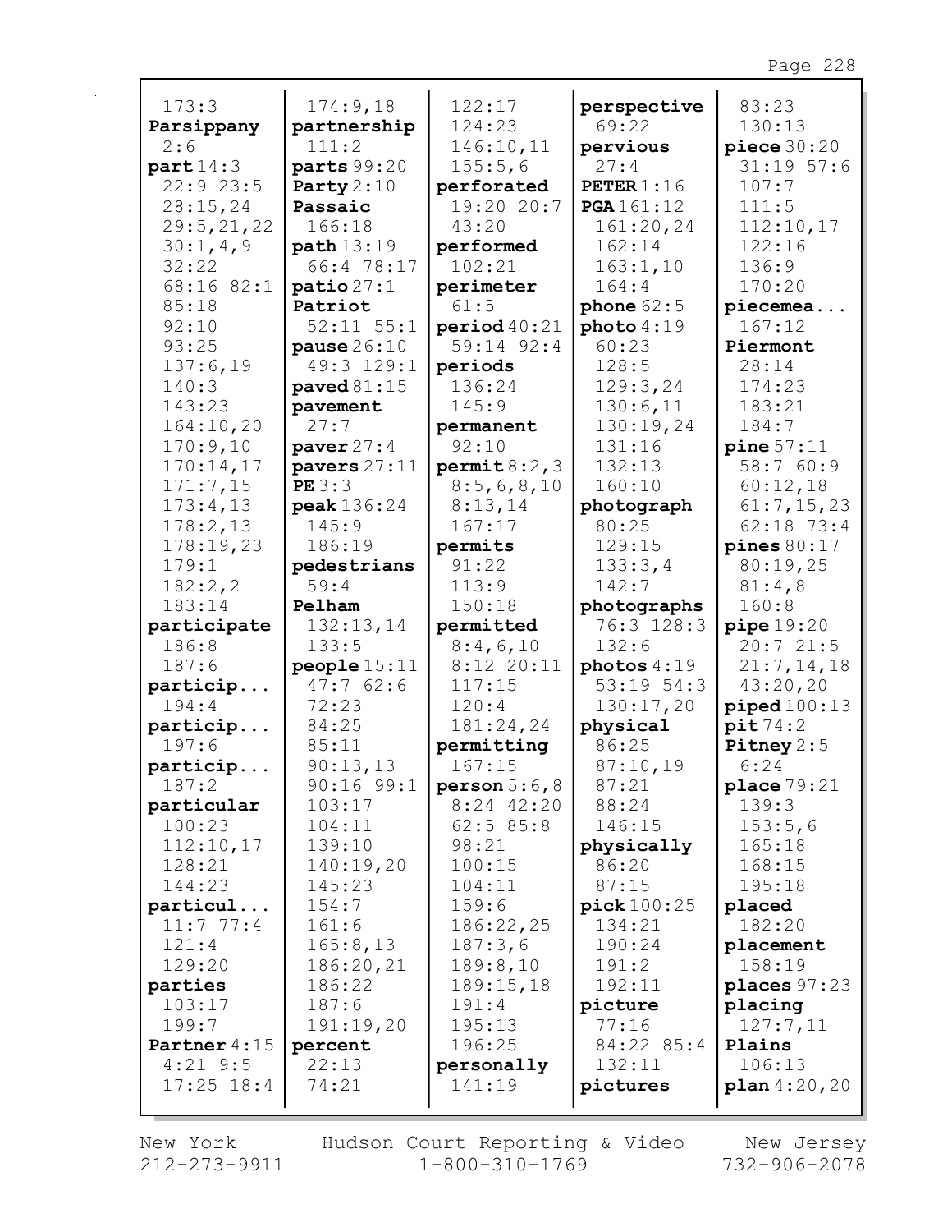| 173:3                      | 174:9,18                       | 122:17                     | perspective          | 83:23                   |
|----------------------------|--------------------------------|----------------------------|----------------------|-------------------------|
| Parsippany                 | partnership                    | 124:23                     | 69:22                | 130:13                  |
| 2:6                        | 111:2                          | 146:10,11                  | pervious             | piece $30:20$           |
| part14:3                   | parts 99:20                    | 155:5,6                    | 27:4                 | $31:19$ 57:6            |
| 22:9 23:5                  | Party $2:10$                   | perforated                 | <b>PETER</b> $1:16$  | 107:7                   |
| 28:15,24                   | Passaic                        | 19:20 20:7                 | PGA 161:12           | 111:5                   |
| 29:5, 21, 22               | 166:18                         | 43:20                      | 161:20,24            | 112:10,17               |
| 30:1,4,9                   | path 13:19                     | performed                  | 162:14               | 122:16                  |
| 32:22                      | 66:4 78:17                     | 102:21                     | 163:1,10             | 136:9                   |
| 68:16 82:1                 | $\texttt{ratio}27:1$           | perimeter                  | 164:4                | 170:20                  |
| 85:18                      | Patriot                        | 61:5                       | phone $62:5$         | piecemea                |
| 92:10                      | $52:11$ $55:1$                 | period 40:21               | photo 4:19           | 167:12                  |
| 93:25                      | pause $26:10$                  | 59:14 92:4                 | 60:23                | Piermont                |
| 137:6,19                   | 49:3 129:1                     | periods                    | 128:5                | 28:14                   |
| 140:3                      | paved $81:15$                  | 136:24                     | 129:3,24             | 174:23                  |
| 143:23                     | pavement                       | 145:9                      | 130:6,11             | 183:21                  |
| 164:10,20                  | 27:7                           | permanent                  | 130:19,24<br>131:16  | 184:7                   |
| 170:9,10                   | paver $27:4$<br>pavers $27:11$ | 92:10                      | 132:13               | pine 57:11<br>58:7 60:9 |
| 170:14,17<br>171:7,15      | PE3:3                          | permit 8:2,3<br>8:5,6,8,10 | 160:10               | 60:12,18                |
| 173:4,13                   | peak 136:24                    | 8:13,14                    | photograph           | 61:7,15,23              |
| 178:2,13                   | 145:9                          | 167:17                     | 80:25                | 62:18 73:4              |
| 178:19,23                  | 186:19                         | permits                    | 129:15               | pines $80:17$           |
| 179:1                      | pedestrians                    | 91:22                      | 133:3,4              | 80:19,25                |
| 182:2,2                    | 59:4                           | 113:9                      | 142:7                | 81:4,8                  |
| 183:14                     | Pelham                         | 150:18                     | photographs          | 160:8                   |
| participate                | 132:13,14                      | permitted                  | 76:3 128:3           | pipe19:20               |
| 186:8                      | 133:5                          | 8:4,6,10                   | 132:6                | 20:721:5                |
| 187:6                      | people $15:11$                 | $8:12$ 20:11               | photos $4:19$        | 21:7, 14, 18            |
| particip                   | 47:762:6                       | 117:15                     | $53:19$ $54:3$       | 43:20,20                |
| 194:4                      | 72:23                          | 120:4                      | 130:17,20            | piped100:13             |
| particip                   | 84:25                          | 181:24,24                  | physical             | pit74:2                 |
| 197:6                      | 85:11                          | permitting                 | 86:25                | Pitney $2:5$            |
| particip                   | 90:13,13                       | 167:15                     | 87:10,19             | 6:24                    |
| 187:2                      | $90:16$ $99:1$                 | person $5:6$ , $8$         | 87:21                | place 79:21             |
| particular                 | 103:17                         | $8:24$ 42:20               | 88:24                | 139:3                   |
| 100:23                     | 104:11                         | 62:585:8                   | 146:15               | 153:5,6                 |
| 112:10,17                  | 139:10                         | 98:21                      | physically           | 165:18                  |
| 128:21                     | 140:19,20                      | 100:15                     | 86:20                | 168:15                  |
| 144:23                     | 145:23                         | 104:11                     | 87:15                | 195:18                  |
| particul                   | 154:7                          | 159:6                      | pick 100:25          | placed                  |
| 11:777:4                   | 161:6                          | 186:22,25                  | 134:21               | 182:20                  |
| 121:4                      | 165:8,13                       | 187:3,6                    | 190:24               | placement               |
| 129:20                     | 186:20,21                      | 189:8,10                   | 191:2                | 158:19                  |
| parties                    | 186:22                         | 189:15,18                  | 192:11               | places $97:23$          |
| 103:17                     | 187:6                          | 191:4                      | picture              | placing                 |
| 199:7                      | 191:19,20                      | 195:13                     | 77:16                | 127:7,11                |
| Partner 4:15<br>$4:21$ 9:5 | percent<br>22:13               | 196:25                     | 84:22 85:4<br>132:11 | Plains<br>106:13        |
| $17:25$ $18:4$             | 74:21                          | personally<br>141:19       | pictures             | $plan\,4:20,20$         |
|                            |                                |                            |                      |                         |

New York  $212 - 273 - 9911$ 

r

Hudson Court Reporting & Video<br>1-800-310-1769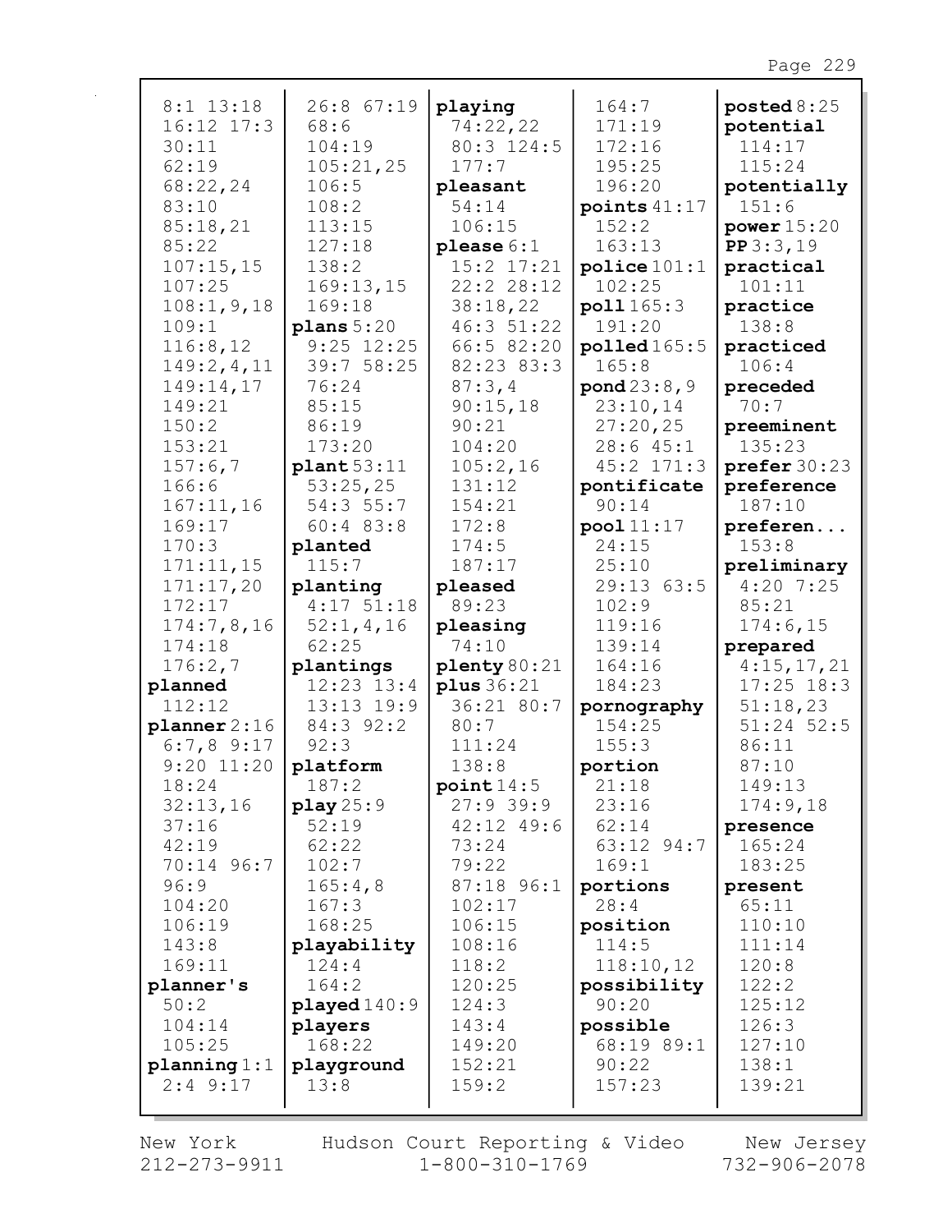| 8:1 13:18        | 26:8 67:19   | playing        | 164:7             | $\texttt{posted8:25}$  |
|------------------|--------------|----------------|-------------------|------------------------|
| $16:12$ $17:3$   | 68:6         | 74:22,22       | 171:19            | potential              |
| 30:11            | 104:19       | 80:3 124:5     | 172:16            | 114:17                 |
| 62:19            | 105:21,25    | 177:7          | 195:25            | 115:24                 |
| 68:22,24         | 106:5        | pleasant       | 196:20            | potentially            |
| 83:10            | 108:2        | 54:14          | points $41:17$    | 151:6                  |
| 85:18,21         | 113:15       | 106:15         | 152:2             | power $15:20$          |
| 85:22            | 127:18       | please $6:1$   | 163:13            | PP3:3,19               |
| 107:15,15        | 138:2        | 15:2 17:21     | police 101:1      | practical              |
| 107:25           | 169:13,15    | 22:2 28:12     | 102:25            | 101:11                 |
| 108:1, 9, 18     | 169:18       | 38:18,22       | poll 165:3        | practice               |
| 109:1            | plane 5:20   | 46:3 51:22     | 191:20            | 138:8                  |
| 116:8,12         | $9:25$ 12:25 | 66:5 82:20     | $p$ olled $165:5$ | practiced              |
| 149:2,4,11       | 39:7 58:25   | 82:23 83:3     | 165:8             | 106:4                  |
| 149:14,17        | 76:24        | 87:3,4         | pond 23:8,9       | preceded               |
| 149:21           | 85:15        | 90:15,18       | 23:10,14          | 70:7                   |
| 150:2            | 86:19        | 90:21          | 27:20,25          | preeminent             |
| 153:21           | 173:20       | 104:20         | 28:645:1          | 135:23                 |
| 157:6,7          | plant 53:11  | 105:2,16       | 45:2 171:3        | $\text{prefer } 30:23$ |
| 166:6            | 53:25,25     | 131:12         | pontificate       | preference             |
| 167:11,16        | 54:3 55:7    | 154:21         | 90:14             | 187:10                 |
| 169:17           | 60:483:8     | 172:8          | pool 11:17        | preferen               |
| 170:3            | planted      | 174:5          | 24:15             | 153:8                  |
| 171:11,15        | 115:7        | 187:17         | 25:10             | preliminary            |
| 171:17,20        | planting     | pleased        | 29:13 63:5        | $4:20$ 7:25            |
| 172:17           | $4:17$ 51:18 | 89:23          | 102:9             | 85:21                  |
| 174:7,8,16       | 52:1,4,16    | pleasing       | 119:16            | 174:6,15               |
| 174:18           | 62:25        | 74:10          | 139:14            | prepared               |
| 176:2,7          | plantings    | plenty 80:21   | 164:16            | 4:15,17,21             |
| planned          | 12:23 13:4   | plus 36:21     | 184:23            | $17:25$ 18:3           |
| 112:12           | 13:13 19:9   | 36:21 80:7     | pornography       | 51:18,23               |
| $planner$ $2:16$ | 84:3 92:2    | 80:7           | 154:25            | $51:24$ 52:5           |
| $6:7,8$ 9:17     | 92:3         | 111:24         | 155:3             | 86:11                  |
| $9:20$ $11:20$   | platform     | 138:8          | portion           | 87:10                  |
| 18:24            | 187:2        | point14:5      | 21:18             | 149:13                 |
| 32:13,16         | play 25:9    | $27:9$ 39:9    | 23:16             | 174:9,18               |
| 37:16            | 52:19        | $42:12$ $49:6$ | 62:14             | presence               |
| 42:19            | 62:22        | 73:24          | 63:12 94:7        | 165:24                 |
| 70:14 96:7       | 102:7        | 79:22          | 169:1             | 183:25                 |
| 96:9             | 165:4,8      | 87:18 96:1     | portions          | present                |
| 104:20           | 167:3        | 102:17         | 28:4              | 65:11                  |
| 106:19           | 168:25       | 106:15         | position          | 110:10                 |
| 143:8            | playability  | 108:16         | 114:5             | 111:14                 |
| 169:11           | 124:4        | 118:2          | 118:10,12         | 120:8                  |
| planner's        | 164:2        | 120:25         | possibility       | 122:2                  |
| 50:2             | played 140:9 | 124:3          | 90:20             | 125:12                 |
| 104:14           | players      | 143:4          | possible          | 126:3                  |
| 105:25           | 168:22       | 149:20         | 68:19 89:1        | 127:10                 |
| planning 1:1     | playground   | 152:21         | 90:22             | 138:1                  |
| $2:4$ 9:17       | 13:8         | 159:2          | 157:23            | 139:21                 |
|                  |              |                |                   |                        |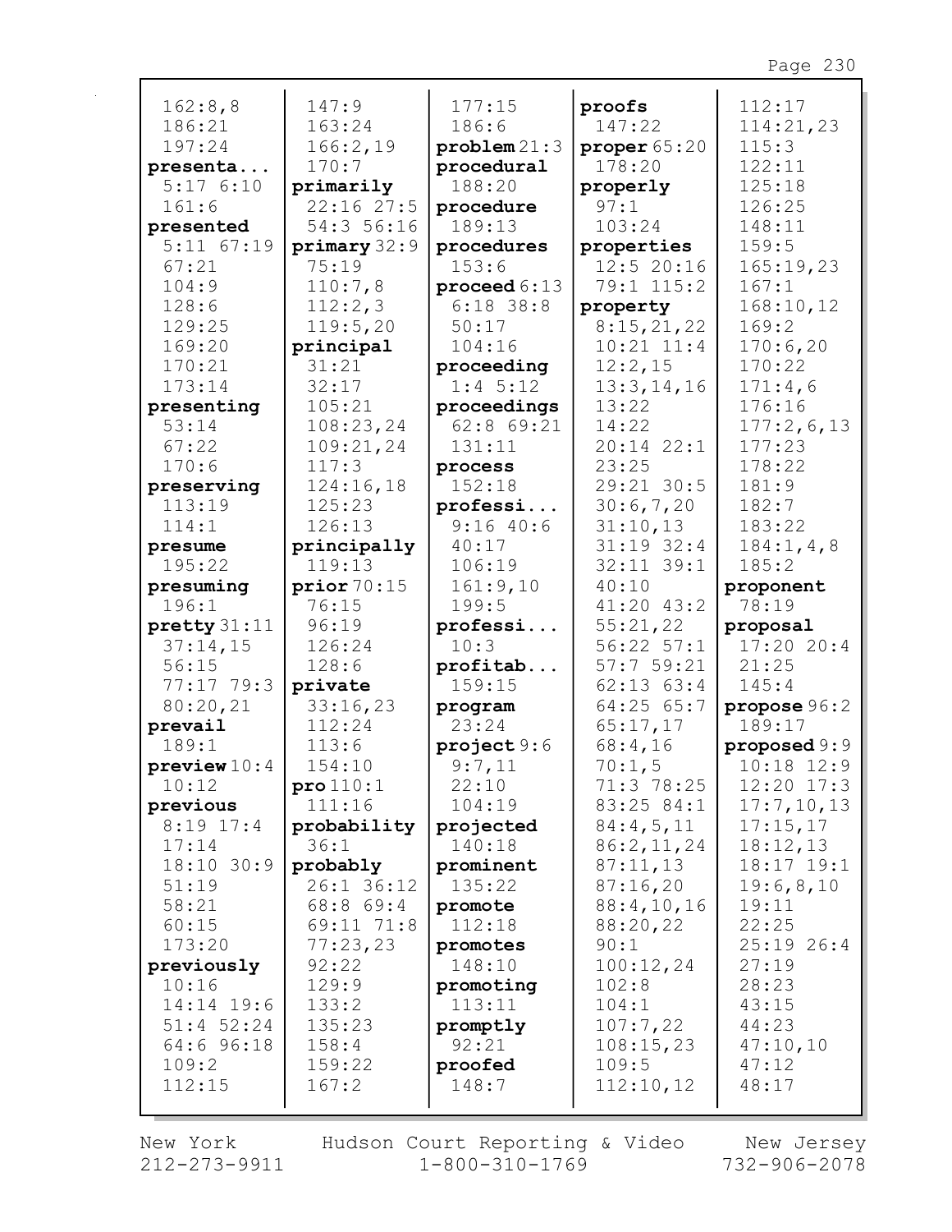| 162:8,8               | 147:9               | 177:15                 | proofs                       | 112:17             |
|-----------------------|---------------------|------------------------|------------------------------|--------------------|
| 186:21                | 163:24              | 186:6                  | 147:22                       | 114:21,23          |
| 197:24                | 166:2,19            | problem21:3            | proper $65:20$               | 115:3              |
| presenta              | 170:7               | procedural             | 178:20                       | 122:11             |
| 5:176:10              | primarily           | 188:20                 | properly                     | 125:18             |
| 161:6                 | 22:1627:5           | procedure              | 97:1                         | 126:25             |
| presented             | 54:3 56:16          | 189:13                 | 103:24                       | 148:11             |
| $5:11$ $67:19$        | primary 32:9        | procedures             | properties                   | 159:5              |
| 67:21                 | 75:19               | 153:6                  | $12:5$ 20:16                 | 165:19,23          |
| 104:9                 | 110:7,8             | proceed 6:13           | 79:1 115:2                   | 167:1              |
| 128:6<br>129:25       | 112:2,3<br>119:5,20 | $6:18$ 38:8<br>50:17   | property                     | 168:10,12<br>169:2 |
| 169:20                | principal           | 104:16                 | 8:15,21,22<br>$10:21$ $11:4$ | 170:6,20           |
| 170:21                | 31:21               | proceeding             | 12:2,15                      | 170:22             |
| 173:14                | 32:17               | $1:4$ 5:12             | 13:3, 14, 16                 | 171:4,6            |
| presenting            | 105:21              | proceedings            | 13:22                        | 176:16             |
| 53:14                 | 108:23,24           | $62:8$ $69:21$         | 14:22                        | 177:2,6,13         |
| 67:22                 | 109:21,24           | 131:11                 | $20:14$ $22:1$               | 177:23             |
| 170:6                 | 117:3               | process                | 23:25                        | 178:22             |
| preserving            | 124:16,18           | 152:18                 | 29:21 30:5                   | 181:9              |
| 113:19                | 125:23              | professi               | 30:6,7,20                    | 182:7              |
| 114:1                 | 126:13              | 9:1640:6               | 31:10,13                     | 183:22             |
| presume               | principally         | 40:17                  | $31:19$ $32:4$               | 184:1, 4, 8        |
| 195:22                | 119:13              | 106:19                 | 32:11 39:1                   | 185:2              |
| presuming             | $prior\,70:15$      | 161:9,10               | 40:10                        | proponent          |
| 196:1                 | 76:15               | 199:5                  | $41:20$ $43:2$               | 78:19              |
| $\text{pretty} 31:11$ | 96:19               | professi               | 55:21,22                     | proposal           |
| 37:14,15              | 126:24              | 10:3                   | $56:22$ $57:1$               | 17:2020:4          |
| 56:15                 | 128:6               | profitab               | 57:759:21                    | 21:25              |
| $77:17$ 79:3          | private             | 159:15                 | $62:13$ $63:4$               | 145:4              |
| 80:20,21              | 33:16,23            | program                | $64:25$ $65:7$               | propose 96:2       |
| prevail               | 112:24              | 23:24                  | 65:17,17                     | 189:17             |
| 189:1                 | 113:6               | $\texttt{project} 9:6$ | 68:4,16                      | proposed 9:9       |
| $\n    preview10:4\n$ | 154:10              | 9:7,11                 | 70:1,5                       | $10:18$ $12:9$     |
| 10:12                 | $\text{pro }110:1$  | 22:10                  | 71:3 78:25                   | $12:20$ $17:3$     |
| previous              | 111:16              | 104:19                 | 83:25 84:1                   | 17:7,10,13         |
| $8:19$ 17:4           | probability         | projected              | 84:4,5,11                    | 17:15,17           |
| 17:14                 | 36:1                | 140:18                 | 86:2,11,24                   | 18:12,13           |
| $18:10$ 30:9          | probably            | prominent              | 87:11,13                     | $18:17$ $19:1$     |
| 51:19                 | 26:1 36:12          | 135:22                 | 87:16,20                     | 19:6,8,10          |
| 58:21                 | $68:8$ $69:4$       | promote                | 88:4,10,16                   | 19:11              |
| 60:15                 | 69:11 71:8          | 112:18                 | 88:20,22                     | 22:25              |
| 173:20                | 77:23,23            | promotes               | 90:1                         | $25:19$ 26:4       |
| previously            | 92:22               | 148:10                 | 100:12,24                    | 27:19              |
| 10:16                 | 129:9               | promoting              | 102:8                        | 28:23              |
| $14:14$ 19:6          | 133:2               | 113:11                 | 104:1                        | 43:15              |
| $51:4$ 52:24          | 135:23              | promptly               | 107:7,22                     | 44:23              |
| 64:6 96:18            | 158:4               | 92:21                  | 108:15,23                    | 47:10,10           |
| 109:2                 | 159:22              | proofed                | 109:5                        | 47:12              |
| 112:15                | 167:2               | 148:7                  | 112:10,12                    | 48:17              |
|                       |                     |                        |                              |                    |

New York  $212 - 273 - 9911$ 

 $\mathbf{r}$ 

Hudson Court Reporting & Video<br>1-800-310-1769

New Jersey<br>732-906-2078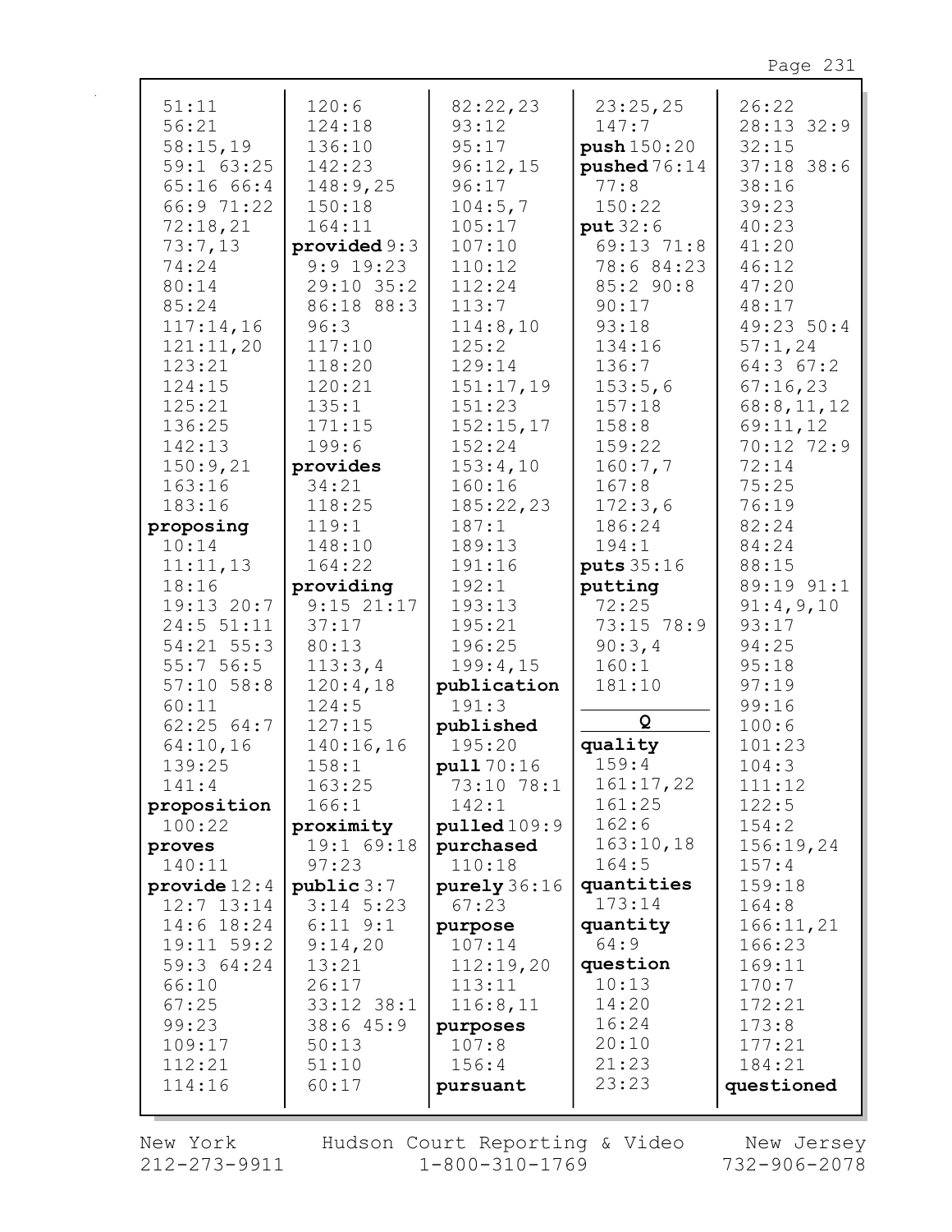| 51:11                 | 120:6              | 82:22,23             | 23:25,25         | 26:22           |
|-----------------------|--------------------|----------------------|------------------|-----------------|
| 56:21                 | 124:18             | 93:12                | 147:7            | 28:13 32:9      |
| 58:15,19              | 136:10             | 95:17                | push 150:20      | 32:15           |
| 59:1 63:25            | 142:23             | 96:12,15             | pushed $76:14$   | $37:18$ 38:6    |
| 65:16 66:4            | 148:9,25           | 96:17                | 77:8             | 38:16           |
| 66:9 71:22            | 150:18             | 104:5,7              | 150:22           | 39:23           |
| 72:18,21              | 164:11             | 105:17               | put 32:6         | 40:23           |
| 73:7,13               | provided 9:3       | 107:10               | 69:13 71:8       | 41:20           |
| 74:24                 | $9:9$ 19:23        | 110:12               | 78:6 84:23       | 46:12           |
| 80:14                 | 29:10 35:2         | 112:24               | 85:290:8         | 47:20           |
| 85:24                 | 86:18 88:3         | 113:7                | 90:17            | 48:17           |
| 117:14,16             | 96:3               | 114:8,10             | 93:18            | 49:23 50:4      |
| 121:11,20             | 117:10             | 125:2                | 134:16           | 57:1,24         |
| 123:21                | 118:20             | 129:14               | 136:7            | 64:3 67:2       |
| 124:15                | 120:21             | 151:17,19            | 153:5,6          | 67:16,23        |
| 125:21                | 135:1              | 151:23               | 157:18           | 68:8,11,12      |
| 136:25                | 171:15             | 152:15,17            | 158:8            | 69:11,12        |
| 142:13                | 199:6              | 152:24               | 159:22           | 70:12 72:9      |
| 150:9,21              | provides           | 153:4,10             | 160:7,7          | 72:14           |
| 163:16                | 34:21              | 160:16               | 167:8            | 75:25           |
| 183:16                | 118:25             | 185:22,23            | 172:3,6          | 76:19           |
| proposing             | 119:1              | 187:1                | 186:24           | 82:24           |
| 10:14                 | 148:10             | 189:13               | 194:1            | 84:24           |
| 11:11,13              | 164:22             | 191:16               | puts 35:16       | 88:15           |
| 18:16                 | providing          | 192:1                | putting          | 89:19 91:1      |
| 19:13 20:7            | $9:15$ 21:17       | 193:13               | 72:25            | 91:4,9,10       |
| $24:5$ 51:11          | 37:17              | 195:21               | 73:15 78:9       | 93:17           |
| 54:21 55:3            | 80:13              | 196:25               | 90:3,4           | 94:25           |
| 55:756:5              | 113:3,4            | 199:4,15             | 160:1            | 95:18           |
| $57:10$ $58:8$        | 120:4,18           | publication          | 181:10           | 97:19           |
| 60:11                 | 124:5              | 191:3                | Q                | 99:16           |
| 62:2564:7             | 127:15             | published            |                  | 100:6           |
| 64:10,16<br>139:25    | 140:16,16<br>158:1 | 195:20<br>pull 70:16 | quality<br>159:4 | 101:23<br>104:3 |
| 141:4                 | 163:25             | 73:10 78:1           | 161:17,22        | 111:12          |
| proposition           | 166:1              | 142:1                | 161:25           | 122:5           |
| 100:22                | proximity          | $p$ ulled $109:9$    | 162:6            | 154:2           |
| proves                | 19:1 69:18         | purchased            | 163:10,18        | 156:19,24       |
| 140:11                | 97:23              | 110:18               | 164:5            | 157:4           |
| $\text{provide} 12:4$ | public 3:7         | purely $36:16$       | quantities       | 159:18          |
| $12:7$ $13:14$        | $3:14$ 5:23        | 67:23                | 173:14           | 164:8           |
| 14:6 18:24            | $6:11$ $9:1$       | purpose              | quantity         | 166:11,21       |
| 19:11 59:2            | 9:14,20            | 107:14               | 64:9             | 166:23          |
| 59:3 64:24            | 13:21              | 112:19,20            | question         | 169:11          |
| 66:10                 | 26:17              | 113:11               | 10:13            | 170:7           |
| 67:25                 | 33:12 38:1         | 116:8,11             | 14:20            | 172:21          |
| 99:23                 | 38:645:9           | purposes             | 16:24            | 173:8           |
| 109:17                | 50:13              | 107:8                | 20:10            | 177:21          |
| 112:21                | 51:10              | 156:4                | 21:23            | 184:21          |
| 114:16                | 60:17              | pursuant             | 23:23            | questioned      |
|                       |                    |                      |                  |                 |

New York  $212 - 273 - 9911$ 

 $\mathbf{r}$ 

Hudson Court Reporting & Video  $1 - 800 - 310 - 1769$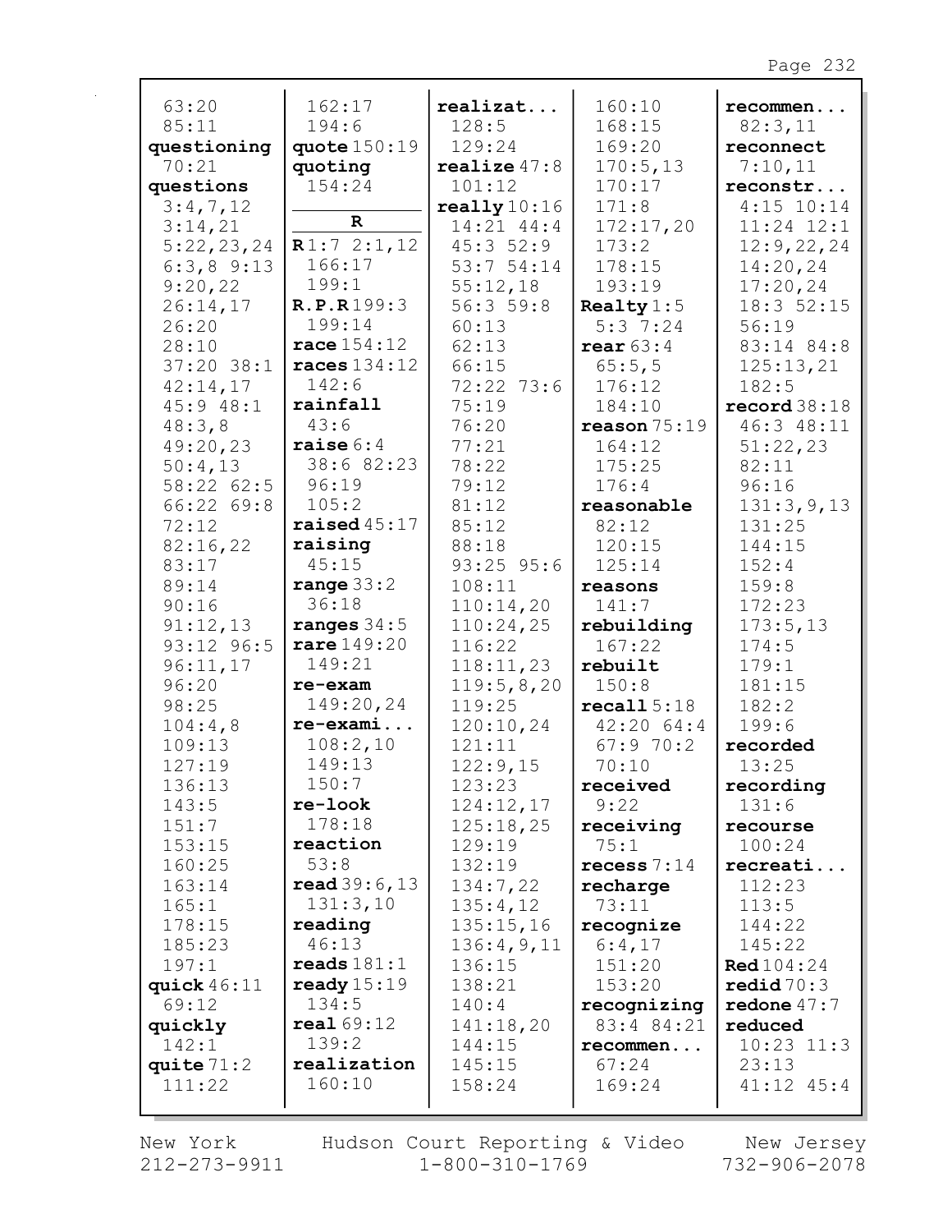| 63:20          | 162:17                 | realizat               | 160:10              | recommen               |
|----------------|------------------------|------------------------|---------------------|------------------------|
| 85:11          | 194:6                  | 128:5                  | 168:15              | 82:3,11                |
| questioning    | quote 150:19           | 129:24                 | 169:20              | reconnect              |
| 70:21          | quoting                | realize $47:8$         | 170:5,13            | 7:10,11                |
| questions      | 154:24                 | 101:12                 | 170:17              | reconstr               |
| 3:4,7,12       |                        | really $10:16$         | 171:8               | $4:15$ 10:14           |
| 3:14,21        | $\mathbf R$            | 14:21 44:4             | 172:17,20           | $11:24$ $12:1$         |
| 5:22,23,24     | R1:72:1,12             | 45:352:9               | 173:2               | 12:9,22,24             |
| $6:3,8$ 9:13   | 166:17                 | 53:7 54:14             | 178:15              | 14:20,24               |
| 9:20,22        | 199:1                  | 55:12,18               | 193:19              | 17:20,24               |
| 26:14,17       | R.P.R199:3             | 56:359:8               | Realty $1:5$        | 18:3 52:15             |
| 26:20          | 199:14                 | 60:13                  | 5:37:24             | 56:19                  |
| 28:10          | race $154:12$          | 62:13                  | rear $63:4$         | 83:14 84:8             |
| $37:20$ 38:1   | races $134:12$         | 66:15                  | 65:5,5              | 125:13,21              |
| 42:14,17       | 142:6                  | 72:22 73:6             | 176:12              | 182:5                  |
| 45:948:1       | rainfall               | 75:19                  | 184:10              | record38:18            |
| 48:3,8         | 43:6                   | 76:20                  | reason 75:19        | 46:3 48:11             |
| 49:20,23       | raise $6:4$            | 77:21                  | 164:12              | 51:22,23               |
| 50:4,13        | 38:6 82:23             | 78:22                  | 175:25              | 82:11                  |
| 58:22 62:5     | 96:19                  | 79:12                  | 176:4               | 96:16                  |
| 66:22 69:8     | 105:2                  | 81:12                  | reasonable          | 131:3,9,13             |
| 72:12          | raised $45:17$         | 85:12                  | 82:12               | 131:25                 |
| 82:16,22       | raising<br>45:15       | 88:18                  | 120:15              | 144:15                 |
| 83:17          |                        | $93:25$ $95:6$         | 125:14              | 152:4                  |
| 89:14<br>90:16 | range $33:2$<br>36:18  | 108:11                 | reasons             | 159:8<br>172:23        |
| 91:12,13       | ranges $34:5$          | 110:14,20<br>110:24,25 | 141:7<br>rebuilding | 173:5,13               |
| 93:12 96:5     | rare 149:20            | 116:22                 | 167:22              | 174:5                  |
| 96:11,17       | 149:21                 | 118:11,23              | rebuilt             | 179:1                  |
| 96:20          | re-exam                | 119:5,8,20             | 150:8               | 181:15                 |
| 98:25          | 149:20,24              | 119:25                 | recall 5:18         | 182:2                  |
| 104:4,8        | $re-exami$             | 120:10,24              | 42:2064:4           | 199:6                  |
| 109:13         | 108:2,10               | 121:11                 | 67:970:2            | recorded               |
| 127:19         | 149:13                 | 122:9,15               | 70:10               | 13:25                  |
| 136:13         | 150:7                  | 123:23                 | received            | recording              |
| 143:5          | re-look                | 124:12,17              | 9:22                | 131:6                  |
| 151:7          | 178:18                 | 125:18,25              | receiving           | recourse               |
| 153:15         | reaction               | 129:19                 | 75:1                | 100:24                 |
| 160:25         | 53:8                   | 132:19                 | recess $7:14$       | recreati               |
| 163:14         | read 39:6, 13          | 134:7,22               | recharge            | 112:23                 |
| 165:1          | 131:3,10               | 135:4,12               | 73:11               | 113:5                  |
| 178:15         | reading                | 135:15,16              | recognize           | 144:22                 |
| 185:23         | 46:13                  | 136:4,9,11             | 6:4,17              | 145:22                 |
| 197:1          | $\texttt{reads} 181:1$ | 136:15                 | 151:20              | <b>Red</b> $104:24$    |
| quick $46:11$  | ready $15:19$          | 138:21                 | 153:20              | $\text{redid} \, 70:3$ |
| 69:12          | 134:5                  | 140:4                  | recognizing         | redone $47:7$          |
| quickly        | real69:12              | 141:18,20              | 83:4 84:21          | reduced                |
| 142:1          | 139:2                  | 144:15                 | recommen            | $10:23$ $11:3$         |
| quite $71:2$   | realization            | 145:15                 | 67:24               | 23:13                  |
| 111:22         | 160:10                 | 158:24                 | 169:24              | $41:12$ $45:4$         |
|                |                        |                        |                     |                        |

New York  $212 - 273 - 9911$ 

Hudson Court Reporting & Video<br>11 1-800-310-1769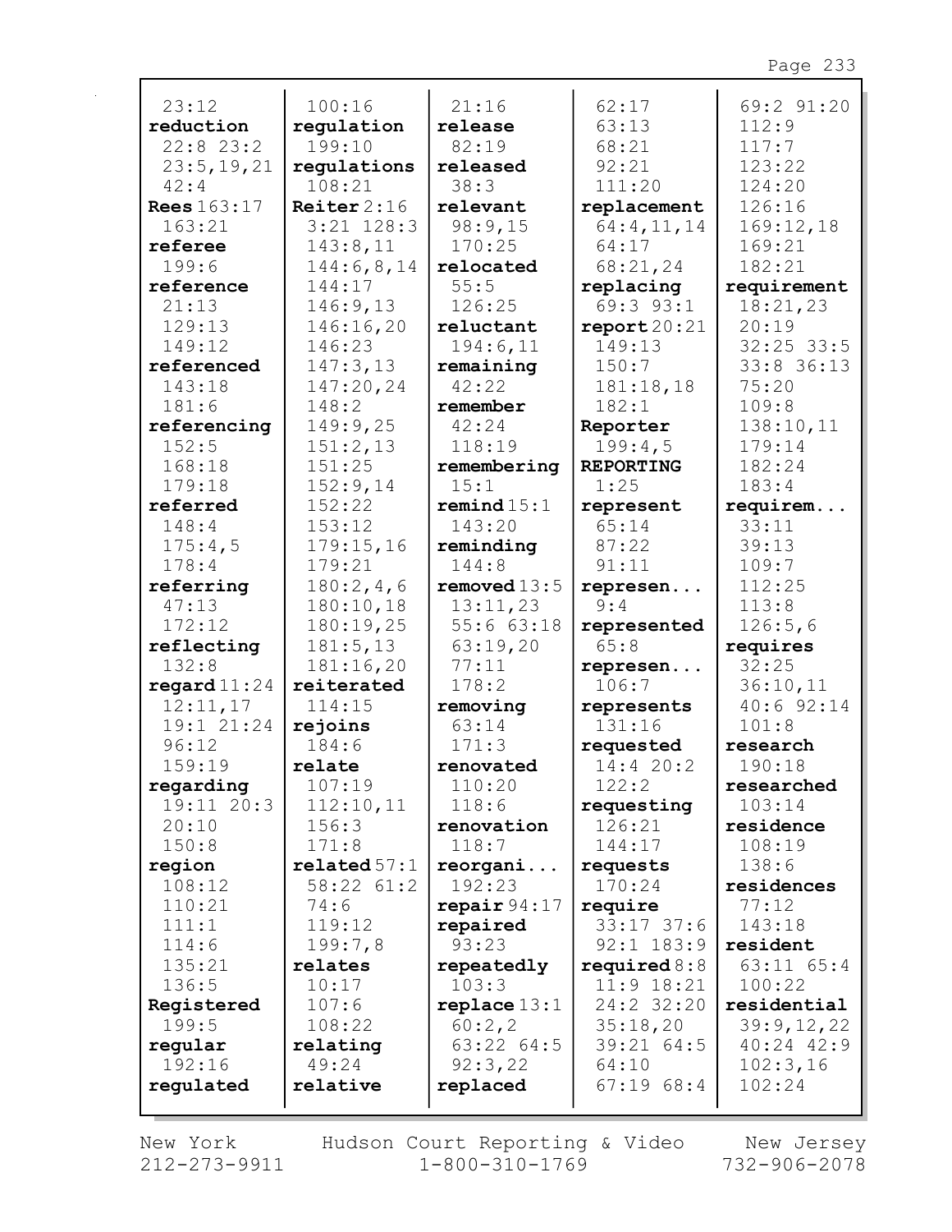| 23:12                   | 100:16             | 21:16               | 62:17                | 69:2 91:20          |
|-------------------------|--------------------|---------------------|----------------------|---------------------|
| reduction               | regulation         | release             | 63:13                | 112:9               |
| $22:8$ 23:2             | 199:10             | 82:19               | 68:21                | 117:7               |
| 23:5, 19, 21            | regulations        | released            | 92:21                | 123:22              |
| 42:4                    | 108:21             | 38:3                | 111:20               | 124:20              |
| <b>Rees</b> 163:17      | Reiter $2:16$      | relevant            | replacement          | 126:16              |
| 163:21                  | $3:21$ $128:3$     | 98:9,15             | 64:4,11,14           | 169:12,18           |
| referee                 | 143:8,11           | 170:25              | 64:17                | 169:21              |
| 199:6                   | 144:6,8,14         | relocated           | 68:21,24             | 182:21              |
| reference               | 144:17             | 55:5                | replacing            | requirement         |
| 21:13                   | 146:9,13           | 126:25              | 69:3 93:1            | 18:21,23            |
| 129:13                  | 146:16,20          | reluctant           | report20:21          | 20:19               |
| 149:12                  | 146:23             | 194:6,11            | 149:13               | $32:25$ 33:5        |
| referenced              | 147:3,13           | remaining           | 150:7                | 33:8 36:13          |
| 143:18                  | 147:20,24          | 42:22               | 181:18,18            | 75:20               |
| 181:6                   | 148:2              | remember            | 182:1                | 109:8               |
| referencing             | 149:9,25           | 42:24               | Reporter             | 138:10,11           |
| 152:5                   | 151:2,13           | 118:19              | 199:4,5              | 179:14              |
| 168:18                  | 151:25             | remembering         | <b>REPORTING</b>     | 182:24              |
| 179:18                  | 152:9,14           | 15:1                | 1:25                 | 183:4               |
| referred                | 152:22             | remind 15:1         | represent            | requirem            |
| 148:4                   | 153:12             | 143:20              | 65:14                | 33:11               |
| 175:4,5                 | 179:15,16          | reminding           | 87:22                | 39:13               |
| 178:4                   | 179:21             | 144:8               | 91:11                | 109:7               |
| referring               | 180:2,4,6          | removed $13:5$      | represen             | 112:25              |
| 47:13                   | 180:10,18          | 13:11,23            | 9:4                  | 113:8               |
| 172:12                  | 180:19,25          | 55:663:18           | represented          | 126:5,6             |
| reflecting              | 181:5, 13          | 63:19,20            | 65:8                 | requires            |
| 132:8                   | 181:16,20          | 77:11               | represen             | 32:25               |
| regard $11:24$          | reiterated         | 178:2               | 106:7                | 36:10,11            |
| 12:11,17                | 114:15             | removing            | represents           | 40:6 92:14          |
| 19:1 21:24              | rejoins            | 63:14               | 131:16               | 101:8               |
| 96:12                   | 184:6              | 171:3               | requested            | research            |
| 159:19                  | relate             | renovated           | 14:4 20:2            | 190:18              |
| regarding               | 107:19             | 110:20              | 122:2                | researched          |
| $19:11$ $20:3$<br>20:10 | 112:10,11<br>156:3 | 118:6               | requesting<br>126:21 | 103:14              |
| 150:8                   | 171:8              | renovation<br>118:7 | 144:17               | residence<br>108:19 |
| region                  | related 57:1       | reorgani            | requests             | 138:6               |
| 108:12                  | 58:22 61:2         | 192:23              | 170:24               | residences          |
| 110:21                  | 74:6               | repair $94:17$      | require              | 77:12               |
| 111:1                   | 119:12             | repaired            | $33:17$ 37:6         | 143:18              |
| 114:6                   | 199:7,8            | 93:23               | $92:1$ 183:9         | resident            |
| 135:21                  | relates            | repeatedly          | required $8:8$       | $63:11$ $65:4$      |
| 136:5                   | 10:17              | 103:3               | $11:9$ $18:21$       | 100:22              |
| Registered              | 107:6              | replace 13:1        | 24:2 32:20           | residential         |
| 199:5                   | 108:22             | 60:2, 2             | 35:18,20             | 39:9,12,22          |
| regular                 | relating           | 63:22 64:5          | 39:21 64:5           | 40:24 42:9          |
| 192:16                  | 49:24              | 92:3,22             | 64:10                | 102:3,16            |
| regulated               | relative           | replaced            | $67:19$ $68:4$       | 102:24              |
|                         |                    |                     |                      |                     |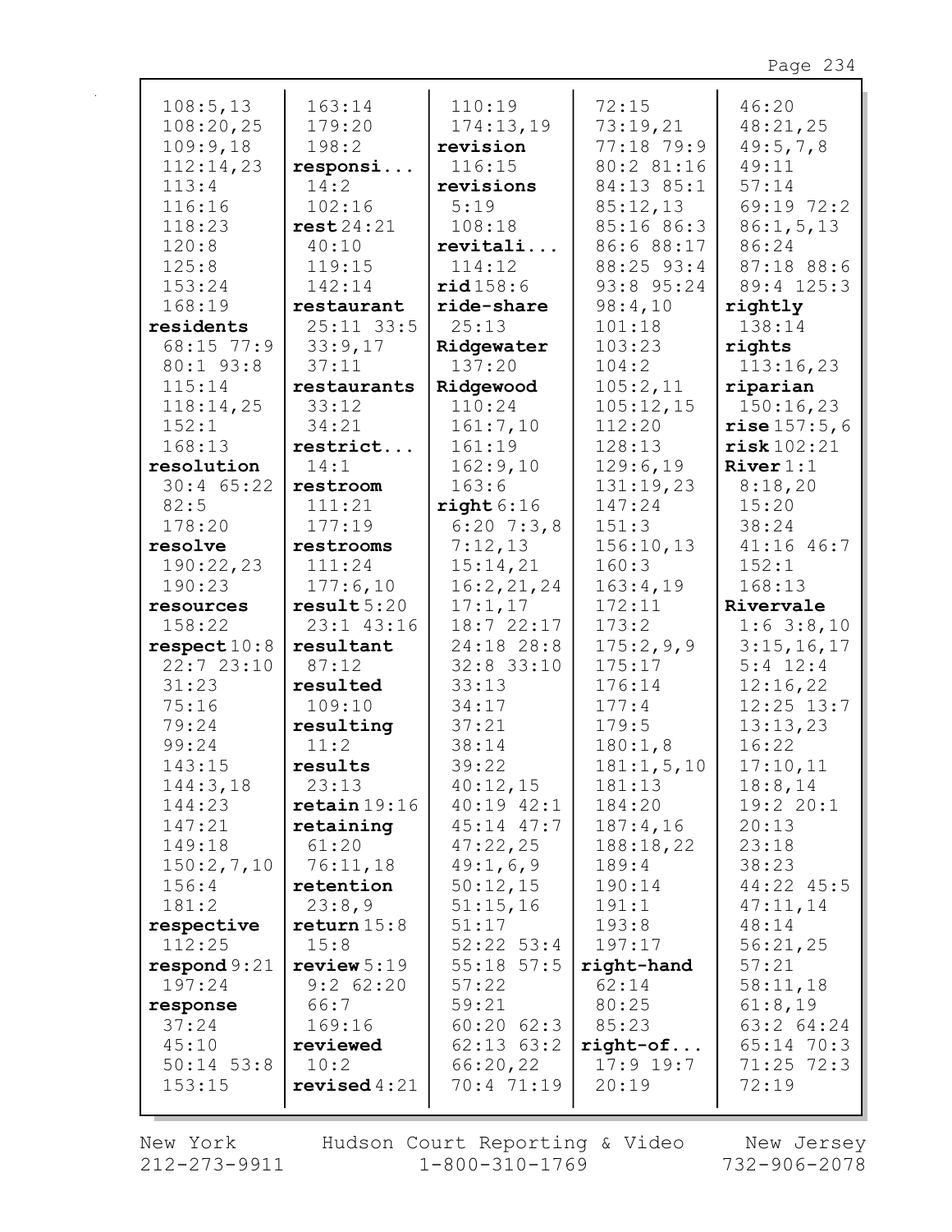| 108:5, 13               | 163:14                  | 110:19               | 72:15        | 46:20          |
|-------------------------|-------------------------|----------------------|--------------|----------------|
| 108:20,25               | 179:20                  | 174:13,19            | 73:19,21     | 48:21,25       |
| 109:9,18                | 198:2                   | revision             | 77:18 79:9   | 49:5,7,8       |
| 112:14,23               | responsi                | 116:15               | 80:2 81:16   | 49:11          |
| 113:4                   | 14:2                    | revisions            | 84:13 85:1   | 57:14          |
| 116:16                  | 102:16                  | 5:19                 | 85:12,13     | 69:19 72:2     |
| 118:23                  | rest24:21               | 108:18               | 85:16 86:3   | 86:1, 5, 13    |
| 120:8                   | 40:10                   | revitali             | 86:6 88:17   | 86:24          |
| 125:8                   | 119:15                  | 114:12               | 88:25 93:4   | 87:18 88:6     |
| 153:24                  | 142:14                  | rid158:6             | 93:8 95:24   | 89:4 125:3     |
| 168:19                  | restaurant              | ride-share           | 98:4,10      | rightly        |
| residents               | $25:11$ 33:5            | 25:13                | 101:18       | 138:14         |
| 68:15 77:9              |                         |                      | 103:23       |                |
|                         | 33:9,17<br>37:11        | Ridgewater<br>137:20 | 104:2        | rights         |
| 80:1 93:8               |                         |                      |              | 113:16,23      |
| 115:14                  | restaurants             | Ridgewood<br>110:24  | 105:2,11     | riparian       |
| 118:14,25               | 33:12                   |                      | 105:12,15    | 150:16,23      |
| 152:1                   | 34:21                   | 161:7,10             | 112:20       | rise 157:5,6   |
| 168:13                  | restrict                | 161:19               | 128:13       | risk102:21     |
| resolution              | 14:1                    | 162:9,10             | 129:6,19     | River 1:1      |
| $30:4$ 65:22            | restroom                | 163:6                | 131:19,23    | 8:18,20        |
| 82:5                    | 111:21                  | right 6:16           | 147:24       | 15:20          |
| 178:20                  | 177:19                  | $6:20$ 7:3,8         | 151:3        | 38:24          |
| resolve                 | restrooms               | 7:12,13              | 156:10,13    | $41:16$ $46:7$ |
| 190:22,23               | 111:24                  | 15:14,21             | 160:3        | 152:1          |
| 190:23                  | 177:6,10                | 16:2, 21, 24         | 163:4,19     | 168:13         |
| resources               |                         |                      |              |                |
|                         | result5:20              | 17:1,17              | 172:11       | Rivervale      |
| 158:22                  | 23:1 43:16              | 18:7 22:17           | 173:2        | $1:6$ 3:8,10   |
| respect 10:8            | resultant               | 24:18 28:8           | 175:2,9,9    | 3:15,16,17     |
| 22:723:10               | 87:12                   | $32:8$ 33:10         | 175:17       | $5:4$ 12:4     |
| 31:23                   | resulted                | 33:13                | 176:14       | 12:16,22       |
| 75:16                   | 109:10                  | 34:17                | 177:4        | $12:25$ $13:7$ |
| 79:24                   | resulting               | 37:21                | 179:5        | 13:13,23       |
| 99:24                   | 11:2                    | 38:14                | 180:1,8      | 16:22          |
| 143:15                  | results                 | 39:22                | 181:1, 5, 10 | 17:10,11       |
| 144:3,18                | 23:13                   | 40:12,15             | 181:13       | 18:8,14        |
| 144:23                  | $\texttt{retain}$ 19:16 | $40:19$ $42:1$       | 184:20       | 19:2 20:1      |
| 147:21                  | retaining               | $45:14$ $47:7$       | 187:4,16     | 20:13          |
| 149:18                  | 61:20                   | 47:22,25             | 188:18,22    | 23:18          |
| 150:2,7,10              | 76:11,18                | 49:1,6,9             | 189:4        | 38:23          |
| 156:4                   | retention               | 50:12,15             | 190:14       | 44:22 45:5     |
| 181:2                   | 23:8,9                  | 51:15,16             | 191:1        | 47:11,14       |
| respective              | return 15:8             | 51:17                | 193:8        | 48:14          |
| 112:25                  | 15:8                    | $52:22$ $53:4$       | 197:17       | 56:21,25       |
| $\texttt{respond} 9:21$ | review $5:19$           | $55:18$ $57:5$       | right-hand   | 57:21          |
| 197:24                  | $9:2$ 62:20             | 57:22                | 62:14        | 58:11,18       |
| response                | 66:7                    | 59:21                | 80:25        | 61:8,19        |
| 37:24                   | 169:16                  | $60:20$ $62:3$       | 85:23        | 63:2 64:24     |
| 45:10                   | reviewed                | $62:13$ $63:2$       | $right-of$   | $65:14$ 70:3   |
| $50:14$ 53:8            | 10:2                    | 66:20,22             | $17:9$ 19:7  | $71:25$ $72:3$ |
| 153:15                  | revised $4:21$          | 70:4 71:19           | 20:19        | 72:19          |

 $\mathbf{r}$ 

New York Hudson Court Reporting & Video New Jersey<br>212-273-9911 1-800-310-1769 732-906-2078 Hudson Court Reporting & Video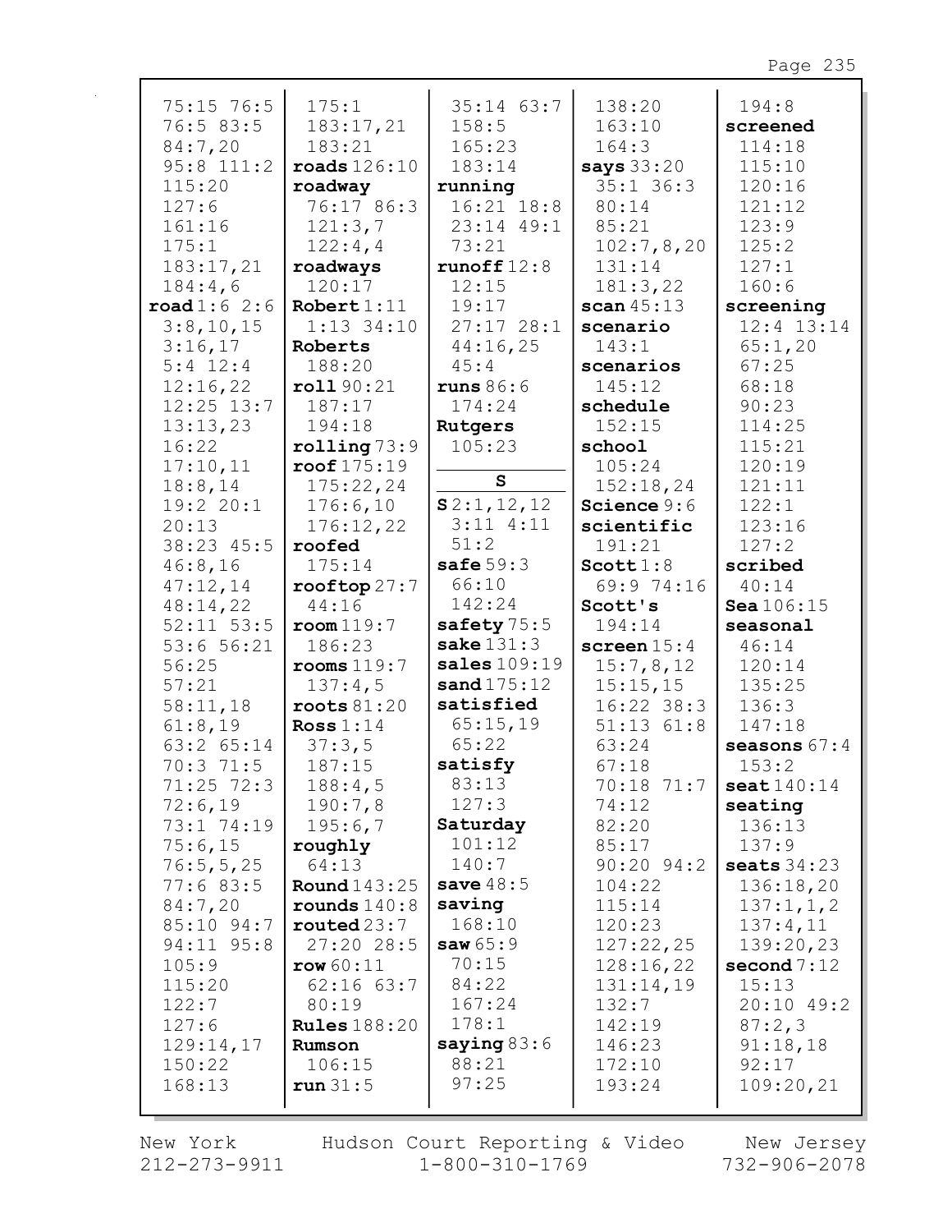| $75:15$ 76:5           | 175:1                   | $35:14$ 63:7   | 138:20         | 194:8                  |
|------------------------|-------------------------|----------------|----------------|------------------------|
| 76:5 83:5              | 183:17,21               | 158:5          | 163:10         | screened               |
| 84:7,20                | 183:21                  | 165:23         | 164:3          | 114:18                 |
| $95:8$ 111:2           | $\texttt{roads}$ 126:10 | 183:14         | says 33:20     | 115:10                 |
| 115:20                 | roadway                 | running        | $35:1$ 36:3    | 120:16                 |
| 127:6                  | 76:17 86:3              | $16:21$ $18:8$ | 80:14          | 121:12                 |
| 161:16                 | 121:3,7                 | 23:14 49:1     | 85:21          | 123:9                  |
| 175:1                  | 122:4,4                 | 73:21          | 102:7,8,20     | 125:2                  |
| 183:17,21              | roadways                | runoff $12:8$  | 131:14         | 127:1                  |
| 184:4,6                | 120:17                  | 12:15          | 181:3,22       | 160:6                  |
| $\texttt{road1:6}$ 2:6 | Robert $1:11$           | 19:17          | scan $45:13$   | screening              |
| 3:8,10,15              | $1:13$ 34:10            | 27:1728:1      | scenario       | $12:4$ $13:14$         |
| 3:16,17                | Roberts                 | 44:16,25       | 143:1          | 65:1,20                |
| $5:4$ 12:4             | 188:20                  | 45:4           | scenarios      | 67:25                  |
| 12:16,22               | roll90:21               | runs 86:6      | 145:12         | 68:18                  |
| $12:25$ $13:7$         | 187:17                  | 174:24         | schedule       | 90:23                  |
| 13:13,23               | 194:18                  | Rutgers        | 152:15         | 114:25                 |
| 16:22                  | rolling 73:9            | 105:23         | school         | 115:21                 |
| 17:10,11               | $\texttt{root}$ 175:19  |                | 105:24         | 120:19                 |
| 18:8,14                | 175:22,24               | ${\bf s}$      | 152:18,24      | 121:11                 |
| 19:2 20:1              | 176:6,10                | S2:1,12,12     | Science 9:6    | 122:1                  |
| 20:13                  | 176:12,22               | $3:11$ $4:11$  | scientific     | 123:16                 |
| 38:23 45:5             | roofed                  | 51:2           | 191:21         | 127:2                  |
| 46:8,16                | 175:14                  | safe $59:3$    | Scott $1:8$    | scribed                |
| 47:12,14               | $\texttt{roottop}27:7$  | 66:10          | 69:9 74:16     | 40:14                  |
| 48:14,22               | 44:16                   | 142:24         | Scott's        | Sea 106:15             |
| $52:11$ $53:5$         | room119:7               | safety 75:5    | 194:14         | seasonal               |
| 53:6 56:21             | 186:23                  | sake $131:3$   | screen $15:4$  | 46:14                  |
| 56:25                  | rooms 119:7             | sales $109:19$ | 15:7,8,12      | 120:14                 |
| 57:21                  | 137:4,5                 | sand $175:12$  | 15:15,15       | 135:25                 |
| 58:11,18               | roots 81:20             | satisfied      | $16:22$ 38:3   | 136:3                  |
| 61:8,19                | Ross $1:14$             | 65:15,19       | $51:13$ $61:8$ | 147:18                 |
| 63:2 65:14             | 37:3,5                  | 65:22          | 63:24          | seasons $67:4$         |
| 70:3 71:5              | 187:15                  | satisfy        | 67:18          | 153:2                  |
| $71:25$ $72:3$         | 188:4,5                 | 83:13          | 70:18 71:7     | $\texttt{seat}$ 140:14 |
| 72:6,19                | 190:7,8                 | 127:3          | 74:12          | seating                |
| 73:1 74:19             | 195:6,7                 | Saturday       | 82:20          | 136:13                 |
| 75:6,15                | roughly                 | 101:12         | 85:17          | 137:9                  |
| 76:5, 5, 25            | 64:13                   | 140:7          | $90:20$ $94:2$ | seats $34:23$          |
| 77:683:5               | <b>Round</b> 143:25     | save $48:5$    | 104:22         | 136:18,20              |
| 84:7,20                | rounds $140:8$          | saving         | 115:14         | 137:1, 1, 2            |
| 85:10 94:7             | routed23:7              | 168:10         | 120:23         | 137:4,11               |
| 94:11 95:8             | 27:2028:5               | saw $65:9$     | 127:22,25      | 139:20,23              |
| 105:9                  | row 60:11               | 70:15          | 128:16,22      | second $7:12$          |
| 115:20                 | $62:16$ $63:7$          | 84:22          | 131:14,19      | 15:13                  |
| 122:7                  | 80:19                   | 167:24         | 132:7          | 20:10 49:2             |
| 127:6                  | <b>Rules</b> 188:20     | 178:1          | 142:19         | 87:2,3                 |
|                        |                         |                |                |                        |
| 129:14,17              | Rumson                  | saying $83:6$  | 146:23         | 91:18,18               |
| 150:22                 | 106:15                  | 88:21          | 172:10         | 92:17                  |
| 168:13                 | run 31:5                | 97:25          | 193:24         | 109:20,21              |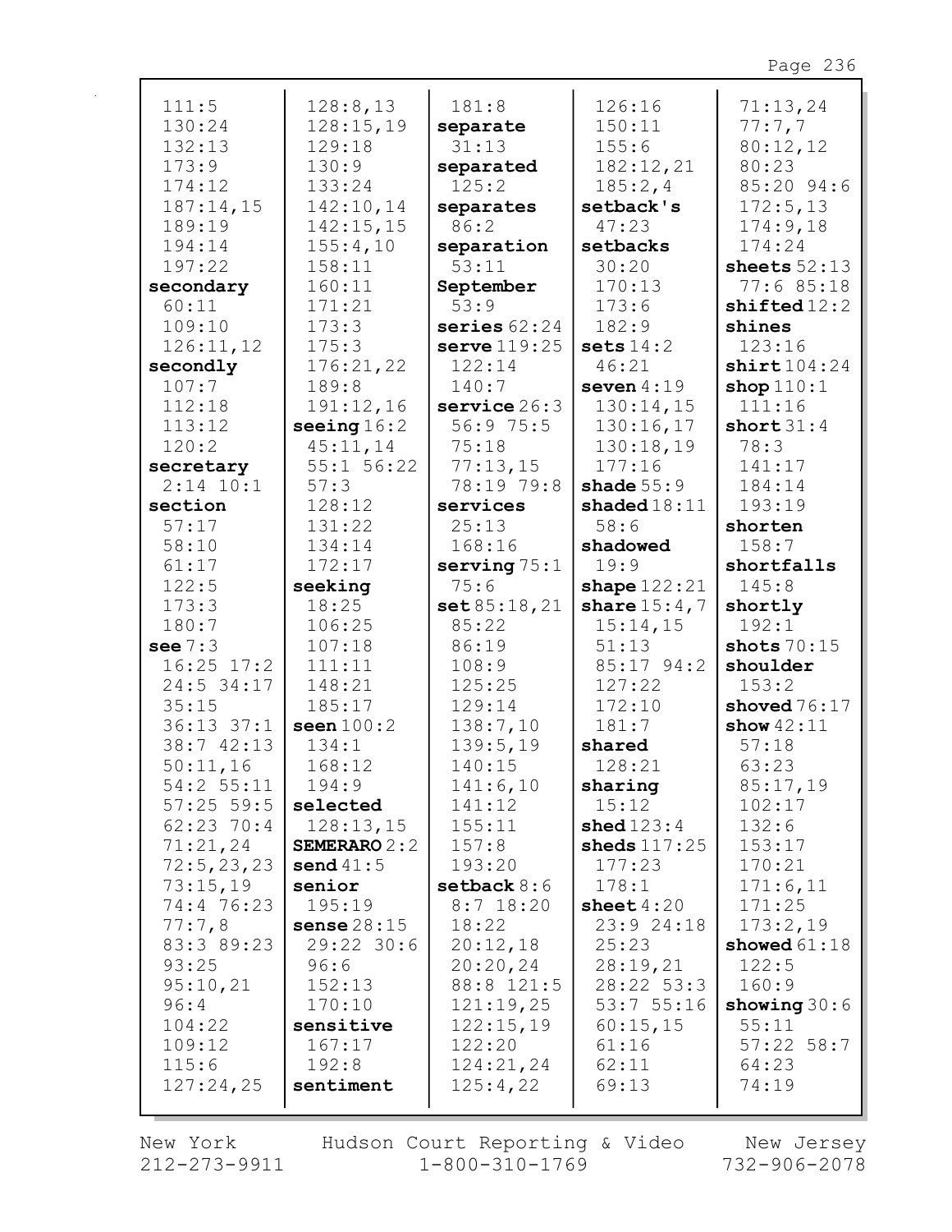| 111:5          | 128:8,13          | 181:8             | 126:16         | 71:13,24       |
|----------------|-------------------|-------------------|----------------|----------------|
| 130:24         | 128:15,19         | separate          | 150:11         | 77:7,7         |
| 132:13         | 129:18            | 31:13             | 155:6          | 80:12,12       |
| 173:9          | 130:9             | separated         | 182:12,21      | 80:23          |
| 174:12         | 133:24            | 125:2             | 185:2,4        | 85:20 94:6     |
|                |                   |                   |                |                |
| 187:14,15      | 142:10,14         | separates         | setback's      | 172:5,13       |
| 189:19         | 142:15,15         | 86:2              | 47:23          | 174:9,18       |
| 194:14         | 155:4,10          | separation        | setbacks       | 174:24         |
| 197:22         | 158:11            | 53:11             | 30:20          | sheets $52:13$ |
| secondary      | 160:11            | September         | 170:13         | 77:6 85:18     |
| 60:11          | 171:21            | 53:9              | 173:6          | shifted12:2    |
| 109:10         | 173:3             | series $62:24$    | 182:9          | shines         |
| 126:11,12      | 175:3             | serve $119:25$    | sets $14:2$    | 123:16         |
| secondly       | 176:21,22         | 122:14            | 46:21          | shift104:24    |
|                |                   |                   |                |                |
| 107:7          | 189:8             | 140:7             | seven $4:19$   | shop $110:1$   |
| 112:18         | 191:12,16         | $s$ ervice $26:3$ | 130:14,15      | 111:16         |
| 113:12         | seeing $16:2$     | 56:9 75:5         | 130:16,17      | short $31:4$   |
| 120:2          | 45:11,14          | 75:18             | 130:18,19      | 78:3           |
| secretary      | 55:1 56:22        | 77:13,15          | 177:16         | 141:17         |
| $2:14$ 10:1    | 57:3              | 78:19 79:8        | shade $55:9$   | 184:14         |
| section        | 128:12            | services          | shaded $18:11$ | 193:19         |
| 57:17          | 131:22            | 25:13             | 58:6           | shorten        |
| 58:10          | 134:14            | 168:16            | shadowed       | 158:7          |
| 61:17          | 172:17            | serving $75:1$    | 19:9           | shortfalls     |
| 122:5          | seeking           | 75:6              | shape $122:21$ | 145:8          |
|                |                   |                   |                |                |
|                |                   |                   |                |                |
| 173:3          | 18:25             | set 85:18,21      | share $15:4,7$ | shortly        |
| 180:7          | 106:25            | 85:22             | 15:14,15       | 192:1          |
| see $7:3$      | 107:18            | 86:19             | 51:13          | shots $70:15$  |
| $16:25$ $17:2$ | 111:11            | 108:9             | 85:17 94:2     | shoulder       |
| 24:5 34:17     | 148:21            | 125:25            | 127:22         | 153:2          |
| 35:15          | 185:17            | 129:14            | 172:10         | shoved $76:17$ |
| $36:13$ $37:1$ | seen $100:2$      | 138:7,10          | 181:7          | show $42:11$   |
| 38:7 42:13     | 134:1             | 139:5,19          | shared         | 57:18          |
| 50:11,16       | 168:12            | 140:15            | 128:21         | 63:23          |
|                |                   |                   |                |                |
| 54:2 55:11     | 194:9<br>selected | 141:6,10          | sharing        | 85:17,19       |
| $57:25$ 59:5   |                   | 141:12            | 15:12          | 102:17         |
| $62:23$ 70:4   | 128:13,15         | 155:11            | shed $123:4$   | 132:6          |
| 71:21,24       | SEMERARO $2:2$    | 157:8             | sheds $117:25$ | 153:17         |
| 72:5, 23, 23   | send $41:5$       | 193:20            | 177:23         | 170:21         |
| 73:15,19       | senior            | setback $8:6$     | 178:1          | 171:6,11       |
| 74:4 76:23     | 195:19            | $8:7$ 18:20       | sheet $4:20$   | 171:25         |
| 77:7,8         | sense $28:15$     | 18:22             | 23:9 24:18     | 173:2,19       |
| 83:3 89:23     | 29:22 30:6        | 20:12,18          | 25:23          | showed $61:18$ |
| 93:25          | 96:6              | 20:20,24          | 28:19,21       | 122:5          |
| 95:10,21       | 152:13            | 88:8 121:5        | 28:22 53:3     | 160:9          |
| 96:4           | 170:10            | 121:19,25         | 53:755:16      | showing $30:6$ |
| 104:22         | sensitive         | 122:15,19         | 60:15,15       | 55:11          |
| 109:12         | 167:17            | 122:20            | 61:16          | $57:22$ 58:7   |
| 115:6          | 192:8             | 124:21,24         | 62:11          | 64:23          |
| 127:24,25      | sentiment         | 125:4,22          | 69:13          | 74:19          |

New York 212-273-9911

r

Hudson Court Reporting & Video  $1 - 800 - 310 - 1769$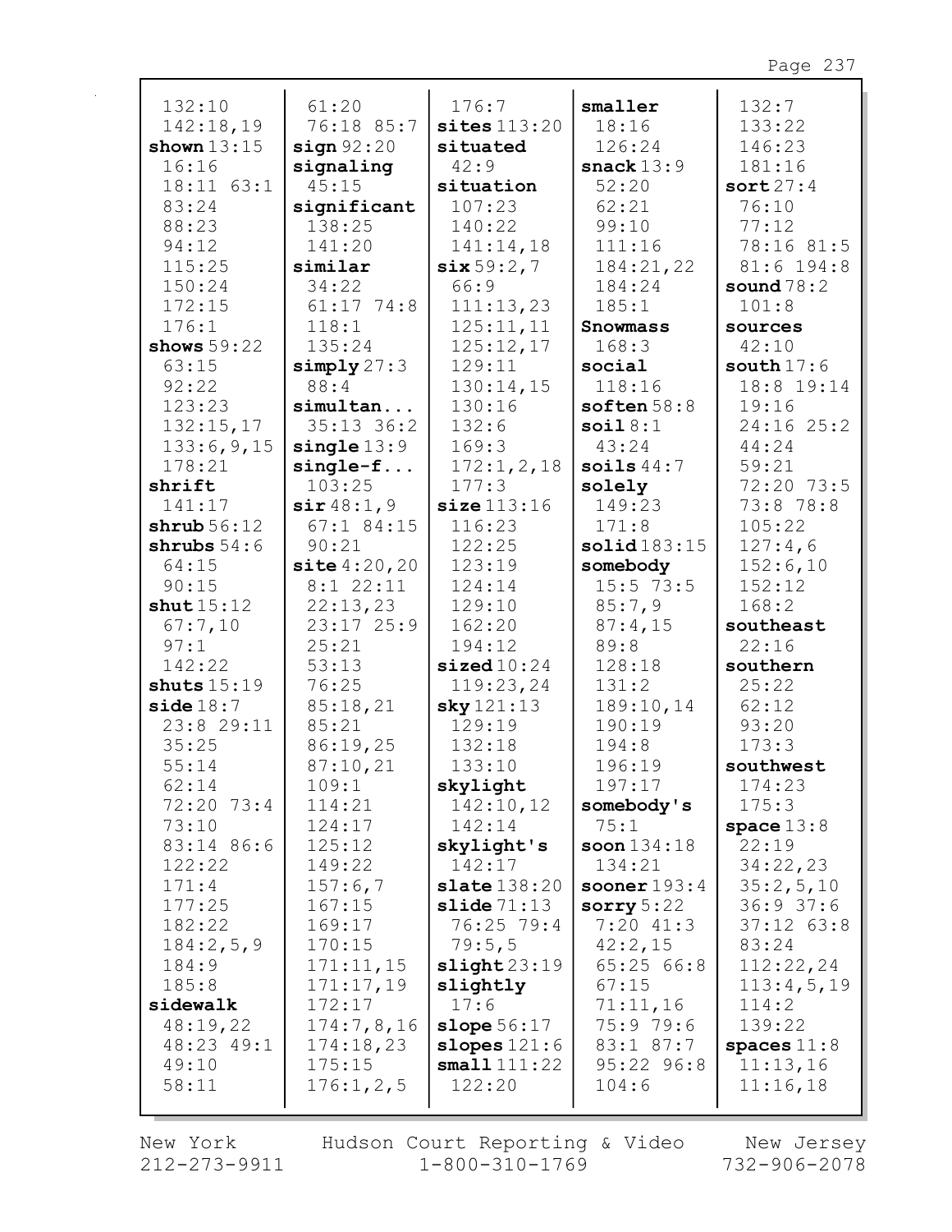| 132:10         | 61:20           | 176:7                       | smaller        | 132:7          |
|----------------|-----------------|-----------------------------|----------------|----------------|
| 142:18,19      | 76:18 85:7      | sites $113:20$              | 18:16          | 133:22         |
| shown $13:15$  | sign 92:20      | situated                    | 126:24         | 146:23         |
| 16:16          | signaling       | 42:9                        | snack $13:9$   | 181:16         |
| $18:11$ $63:1$ | 45:15           | situation                   | 52:20          | sort27:4       |
| 83:24          | significant     | 107:23                      | 62:21          | 76:10          |
| 88:23          | 138:25          | 140:22                      | 99:10          | 77:12          |
| 94:12          | 141:20          | 141:14,18                   | 111:16         | 78:16 81:5     |
| 115:25         | similar         | six59:2,7                   | 184:21,22      | $81:6$ 194:8   |
| 150:24         | 34:22           | 66:9                        | 184:24         | sound $78:2$   |
| 172:15         | $61:17$ 74:8    | 111:13,23                   | 185:1          | 101:8          |
| 176:1          | 118:1           | 125:11,11                   | Snowmass       | sources        |
| shows $59:22$  | 135:24          | 125:12,17                   | 168:3          | 42:10          |
| 63:15          | simplify 27:3   | 129:11                      | social         | south $17:6$   |
| 92:22          | 88:4            | 130:14,15                   | 118:16         | 18:8 19:14     |
| 123:23         | simultan        | 130:16                      | soften $58:8$  | 19:16          |
| 132:15,17      | 35:13 36:2      | 132:6                       | soi18:1        | $24:16$ $25:2$ |
| 133:6,9,15     | $single$ $13:9$ | 169:3                       | 43:24          | 44:24          |
| 178:21         | $single-f$      | 172:1, 2, 18                | soils $44:7$   | 59:21          |
| shrift         | 103:25          | 177:3                       | solely         | 72:20 73:5     |
| 141:17         | $\sin 48:1,9$   | size 113:16                 | 149:23         | 73:8 78:8      |
| shrub 56:12    | $67:1$ 84:15    | 116:23                      | 171:8          | 105:22         |
| shrubs $54:6$  | 90:21           | 122:25                      | solid183:15    | 127:4,6        |
| 64:15          | site 4:20,20    | 123:19                      | somebody       | 152:6,10       |
| 90:15          | $8:1$ 22:11     | 124:14                      | $15:5$ 73:5    | 152:12         |
| shut $15:12$   | 22:13,23        | 129:10                      | 85:7,9         | 168:2          |
| 67:7,10        | 23:1725:9       | 162:20                      | 87:4,15        | southeast      |
| 97:1           | 25:21           | 194:12                      | 89:8           | 22:16          |
| 142:22         | 53:13           | $\texttt{sized10:24}$       | 128:18         | southern       |
| shuts $15:19$  | 76:25           | 119:23,24                   | 131:2          | 25:22          |
| side18:7       | 85:18,21        | sky121:13                   | 189:10,14      | 62:12          |
| 23:8 29:11     | 85:21           | 129:19                      | 190:19         | 93:20          |
| 35:25          | 86:19,25        | 132:18                      | 194:8          | 173:3          |
| 55:14          | 87:10,21        | 133:10                      | 196:19         | southwest      |
| 62:14          | 109:1           | skylight                    | 197:17         | 174:23         |
| 72:20 73:4     | 114:21          | 142:10,12                   | somebody's     | 175:3          |
| 73:10          | 124:17          | 142:14                      | 75:1           | space $13:8$   |
| 83:14 86:6     | 125:12          | skylight's                  | soon $134:18$  | 22:19          |
| 122:22         | 149:22          | 142:17                      | 134:21         | 34:22,23       |
| 171:4          | 157:6,7         | $\texttt{state}$ 138:20     | sooner $193:4$ | 35:2,5,10      |
| 177:25         | 167:15          | $\texttt{slide}\,71\!:\!13$ | sorry $5:22$   | 36:937:6       |
| 182:22         | 169:17          | 76:25 79:4                  | $7:20$ 41:3    | $37:12$ $63:8$ |
| 184:2,5,9      | 170:15          | 79:5,5                      | 42:2,15        | 83:24          |
| 184:9          | 171:11,15       | slight23:19                 | 65:25 66:8     | 112:22,24      |
| 185:8          | 171:17,19       | slightly                    | 67:15          | 113:4,5,19     |
| sidewalk       | 172:17          | 17:6                        | 71:11,16       | 114:2          |
| 48:19,22       | 174:7,8,16      | slope $56:17$               | 75:9 79:6      | 139:22         |
| 48:23 49:1     | 174:18,23       | slopes $121:6$              | 83:1 87:7      | spaces $11:8$  |
| 49:10          | 175:15          | small111:22                 | $95:22$ $96:8$ | 11:13,16       |
| 58:11          | 176:1, 2, 5     | 122:20                      | 104:6          | 11:16,18       |
|                |                 |                             |                |                |

New York 212-273-9911

r

Hudson Court Reporting & Video<br>1-800-310-1769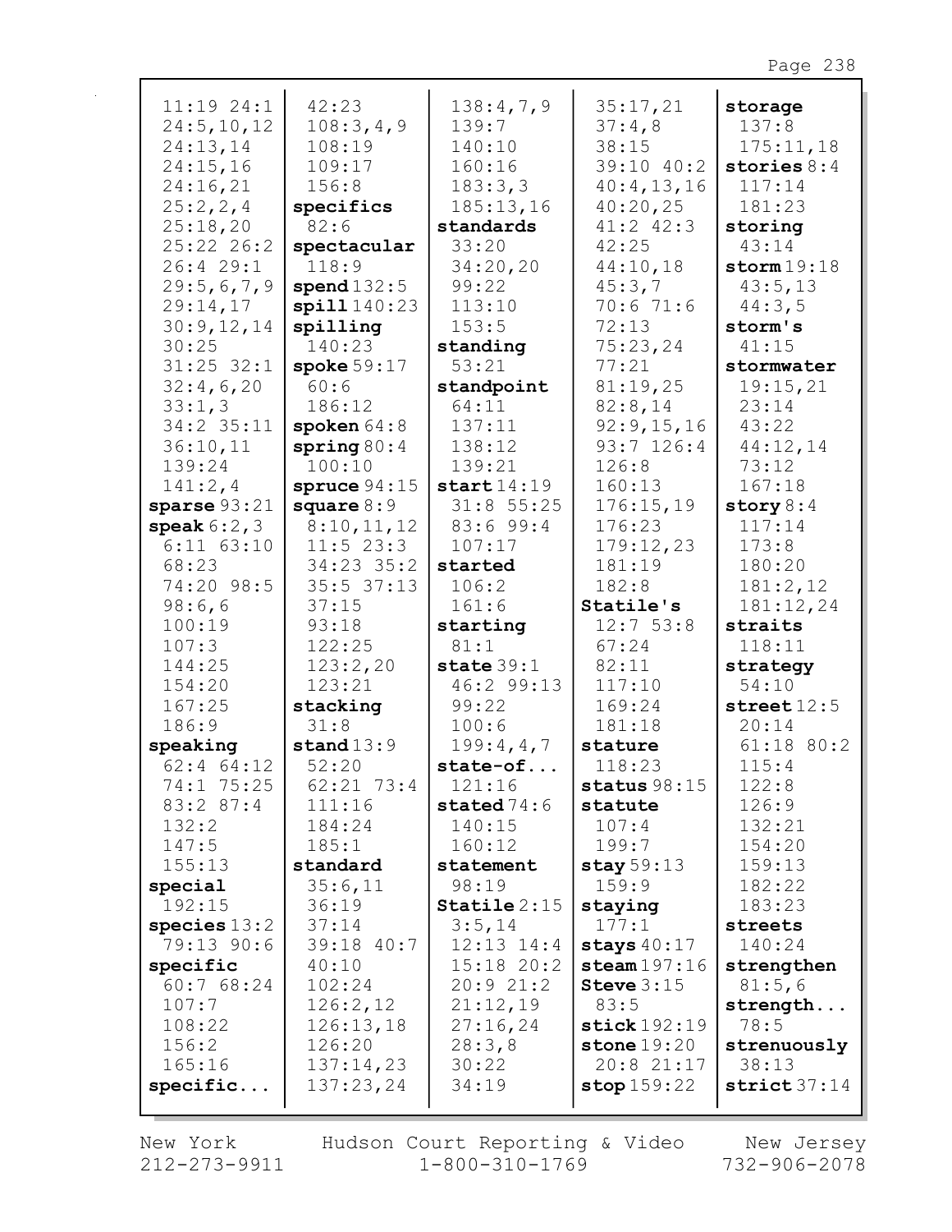| 11:19 24:1     | 42:23          | 138:4,7,9      | 35:17,21                | storage       |
|----------------|----------------|----------------|-------------------------|---------------|
| 24:5, 10, 12   | 108:3,4,9      | 139:7          | 37:4,8                  | 137:8         |
| 24:13,14       | 108:19         | 140:10         | 38:15                   | 175:11,18     |
| 24:15,16       | 109:17         | 160:16         | 39:10 40:2              | stories $8:4$ |
| 24:16,21       | 156:8          | 183:3,3        | 40:4,13,16              | 117:14        |
| 25:2,2,4       | specifics      | 185:13,16      | 40:20,25                | 181:23        |
| 25:18,20       | 82:6           | standards      | $41:2$ $42:3$           | storing       |
| 25:22 26:2     | spectacular    | 33:20          | 42:25                   | 43:14         |
| 26:4 29:1      | 118:9          | 34:20,20       | 44:10,18                | storm19:18    |
| 29:5,6,7,9     | spend $132:5$  | 99:22          | 45:3,7                  | 43:5,13       |
| 29:14,17       | spill 140:23   | 113:10         | 70:671:6                | 44:3,5        |
| 30:9,12,14     | spilling       | 153:5          | 72:13                   | storm's       |
| 30:25          | 140:23         | standing       | 75:23,24                | 41:15         |
| $31:25$ $32:1$ | spoke $59:17$  | 53:21          | 77:21                   | stormwater    |
| 32:4,6,20      | 60:6           | standpoint     | 81:19,25                | 19:15,21      |
| 33:1,3         | 186:12         | 64:11          | 82:8,14                 | 23:14         |
| 34:2 35:11     | spoken $64:8$  | 137:11         | 92:9,15,16              | 43:22         |
| 36:10,11       | spring $80:4$  | 138:12         | $93:7$ 126:4            | 44:12,14      |
| 139:24         | 100:10         | 139:21         | 126:8                   | 73:12         |
| 141:2,4        | spruce $94:15$ | start14:19     | 160:13                  | 167:18        |
| sparse $93:21$ | square $8:9$   | $31:8$ 55:25   | 176:15,19               | story $8:4$   |
| speak $6:2,3$  | 8:10,11,12     | 83:699:4       | 176:23                  | 117:14        |
| $6:11$ $63:10$ | $11:5$ 23:3    | 107:17         | 179:12,23               | 173:8         |
| 68:23          | 34:23 35:2     | started        | 181:19                  | 180:20        |
| 74:20 98:5     | $35:5$ $37:13$ | 106:2          | 182:8                   | 181:2,12      |
| 98:6,6         | 37:15          | 161:6          | Statile's               | 181:12,24     |
| 100:19         | 93:18          | starting       | 12:753:8                | straits       |
| 107:3          | 122:25         | 81:1           | 67:24                   | 118:11        |
| 144:25         | 123:2,20       | state $39:1$   | 82:11                   | strategy      |
| 154:20         | 123:21         | 46:2 99:13     | 117:10                  | 54:10         |
| 167:25         | stacking       | 99:22          | 169:24                  | street $12:5$ |
| 186:9          | 31:8           | 100:6          | 181:18                  | 20:14         |
| speaking       | stand $13:9$   | 199:4,4,7      | stature                 | $61:18$ 80:2  |
| $62:4$ $64:12$ | 52:20          | state-of       | 118:23                  | 115:4         |
| 74:1 75:25     | $62:21$ 73:4   | 121:16         | status $98:15$          | 122:8         |
| 83:2 87:4      | 111:16         | stated $74:6$  | statute                 | 126:9         |
| 132:2          | 184:24         | 140:15         | 107:4                   | 132:21        |
| 147:5          | 185:1          | 160:12         | 199:7                   | 154:20        |
| 155:13         | standard       | statement      | stay $59:13$            | 159:13        |
| special        | 35:6,11        | 98:19          | 159:9                   | 182:22        |
| 192:15         | 36:19          | Statile $2:15$ | staying                 | 183:23        |
| species $13:2$ | 37:14          | 3:5,14         | 177:1                   | streets       |
| 79:13 90:6     | 39:18 40:7     | $12:13$ $14:4$ | stays $40:17$           | 140:24        |
| specific       | 40:10          | $15:18$ 20:2   | $\texttt{steam197:16}$  | strengthen    |
| 60:768:24      | 102:24         | 20:921:2       | Steve $3:15$            | 81:5,6        |
| 107:7          | 126:2,12       | 21:12,19       | 83:5                    | strength      |
| 108:22         | 126:13,18      | 27:16,24       | $\texttt{stick}$ 192:19 | 78:5          |
| 156:2          | 126:20         | 28:3,8         | stone $19:20$           | strenuously   |
| 165:16         | 137:14,23      | 30:22          | 20:8 21:17              | 38:13         |
| specific       | 137:23,24      | 34:19          | stop 159:22             | strict 37:14  |
|                |                |                |                         |               |

 $\mathbf{r}$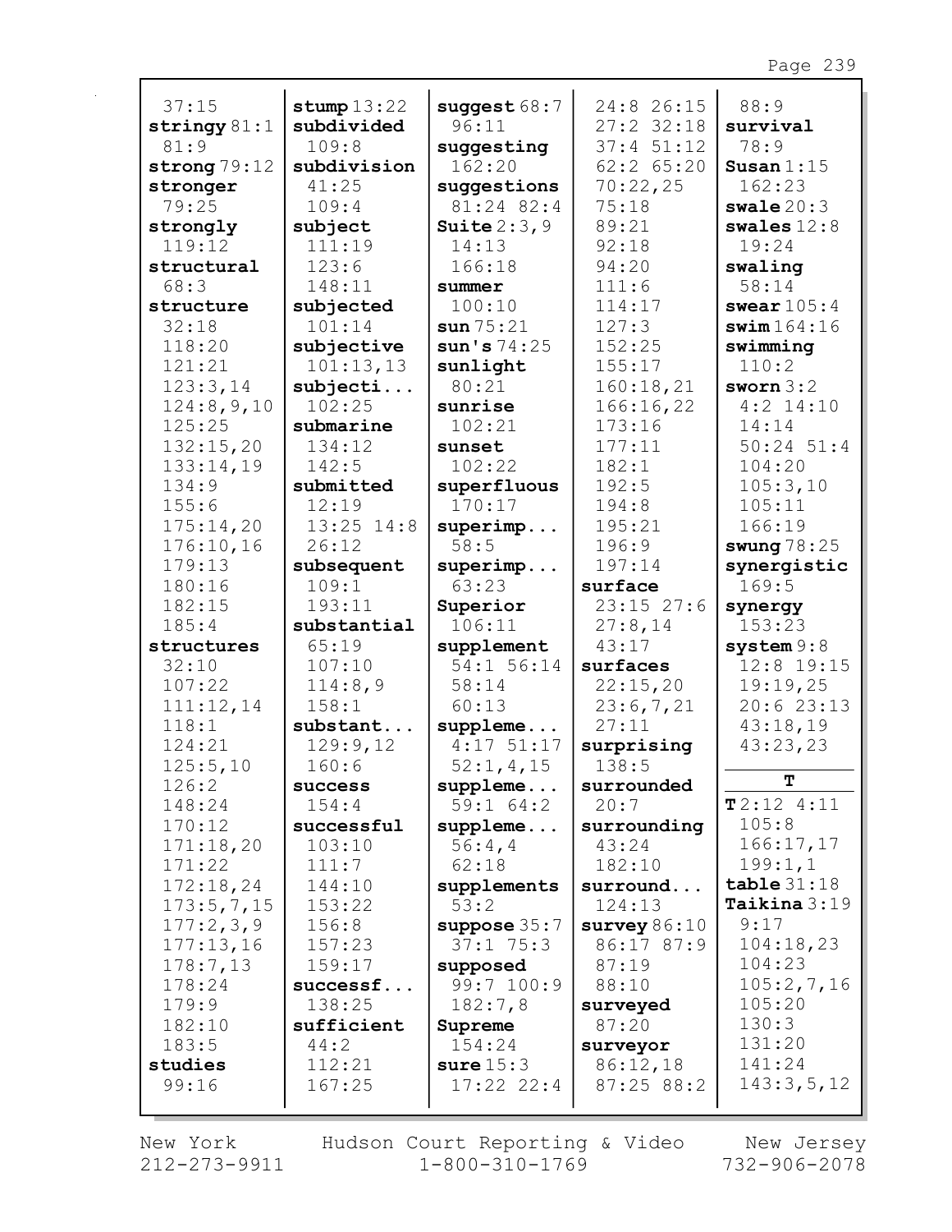| 37:15          | stump $13:22$  | suggest $68:7$ | 24:8 26:15           | 88:9           |
|----------------|----------------|----------------|----------------------|----------------|
| stringy $81:1$ | subdivided     | 96:11          | $27:2$ 32:18         | survival       |
| 81:9           | 109:8          | suggesting     | $37:4$ $51:12$       | 78:9           |
| strong $79:12$ | subdivision    | 162:20         | $62:2$ $65:20$       | Susan $1:15$   |
| stronger       | 41:25          | suggestions    | 70:22,25             | 162:23         |
| 79:25          | 109:4          | 81:24 82:4     | 75:18                | swale $20:3$   |
| strongly       | subject        | Suite $2:3,9$  | 89:21                | swales $12:8$  |
| 119:12         | 111:19         | 14:13          | 92:18                | 19:24          |
| structural     | 123:6          | 166:18         | 94:20                | swaling        |
| 68:3           | 148:11         | summer         | 111:6                | 58:14          |
| structure      | subjected      | 100:10         | 114:17               | swear $105:4$  |
| 32:18          | 101:14         | sun75:21       | 127:3                | swim164:16     |
|                |                |                | 152:25               |                |
| 118:20         | subjective     | sun's 74:25    |                      | swimming       |
| 121:21         | 101:13,13      | sunlight       | 155:17               | 110:2          |
| 123:3,14       | subject        | 80:21          | 160:18,21            | sworn $3:2$    |
| 124:8,9,10     | 102:25         | sunrise        | 166:16,22            | $4:2$ 14:10    |
| 125:25         | submarine      | 102:21         | 173:16               | 14:14          |
| 132:15,20      | 134:12         | sunset         | 177:11               | $50:24$ $51:4$ |
| 133:14,19      | 142:5          | 102:22         | 182:1                | 104:20         |
| 134:9          | submitted      | superfluous    | 192:5                | 105:3,10       |
| 155:6          | 12:19          | 170:17         | 194:8                | 105:11         |
| 175:14,20      | $13:25$ $14:8$ | superimp       | 195:21               | 166:19         |
| 176:10,16      | 26:12          | 58:5           | 196:9                | swung $78:25$  |
| 179:13         | subsequent     | superimp       | 197:14               | synergistic    |
| 180:16         | 109:1          | 63:23          | surface              | 169:5          |
| 182:15         | 193:11         | Superior       | $23:15$ $27:6$       | synergy        |
| 185:4          | substantial    | 106:11         | 27:8,14              | 153:23         |
| structures     | 65:19          | supplement     | 43:17                | system 9:8     |
| 32:10          | 107:10         | 54:1 56:14     | surfaces             | 12:8 19:15     |
| 107:22         | 114:8,9        | 58:14          | 22:15,20             | 19:19,25       |
| 111:12,14      | 158:1          | 60:13          | 23:6,7,21            | 20:623:13      |
| 118:1          | substant       | suppleme       | 27:11                | 43:18,19       |
| 124:21         | 129:9,12       | $4:17$ 51:17   | surprising           | 43:23,23       |
| 125:5,10       | 160:6          | 52:1, 4, 15    | 138:5                |                |
| 126:2          | success        | $supplement.$  | surrounded           | т              |
| 148:24         | 154:4          | 59:164:2       | 20:7                 | T2:124:11      |
| 170:12         | successful     | $supplement.$  | surrounding          | 105:8          |
| 171:18,20      | 103:10         | 56:4,4         | 43:24                | 166:17,17      |
| 171:22         | 111:7          | 62:18          | 182:10               | 199:1,1        |
| 172:18,24      | 144:10         | supplements    | surround             | table31:18     |
| 173:5,7,15     | 153:22         | 53:2           | 124:13               | Taikina $3:19$ |
| 177:2,3,9      | 156:8          | suppose $35:7$ | survey $86:10$       | 9:17           |
| 177:13,16      | 157:23         | 37:175:3       | 86:17 87:9           | 104:18,23      |
| 178:7,13       | 159:17         | supposed       | 87:19                | 104:23         |
| 178:24         | successf       | 99:7 100:9     | 88:10                | 105:2,7,16     |
| 179:9          | 138:25         | 182:7,8        | surveyed             | 105:20         |
| 182:10         | sufficient     | Supreme        | 87:20                | 130:3          |
| 183:5          | 44:2           | 154:24         |                      | 131:20         |
| studies        | 112:21         | sure $15:3$    | surveyor<br>86:12,18 | 141:24         |
| 99:16          | 167:25         | $17:22$ $22:4$ | 87:25 88:2           | 143:3,5,12     |
|                |                |                |                      |                |
|                |                |                |                      |                |

New York  $212 - 273 - 9911$  Hudson Court Reporting & Video<br>1-800-310-1769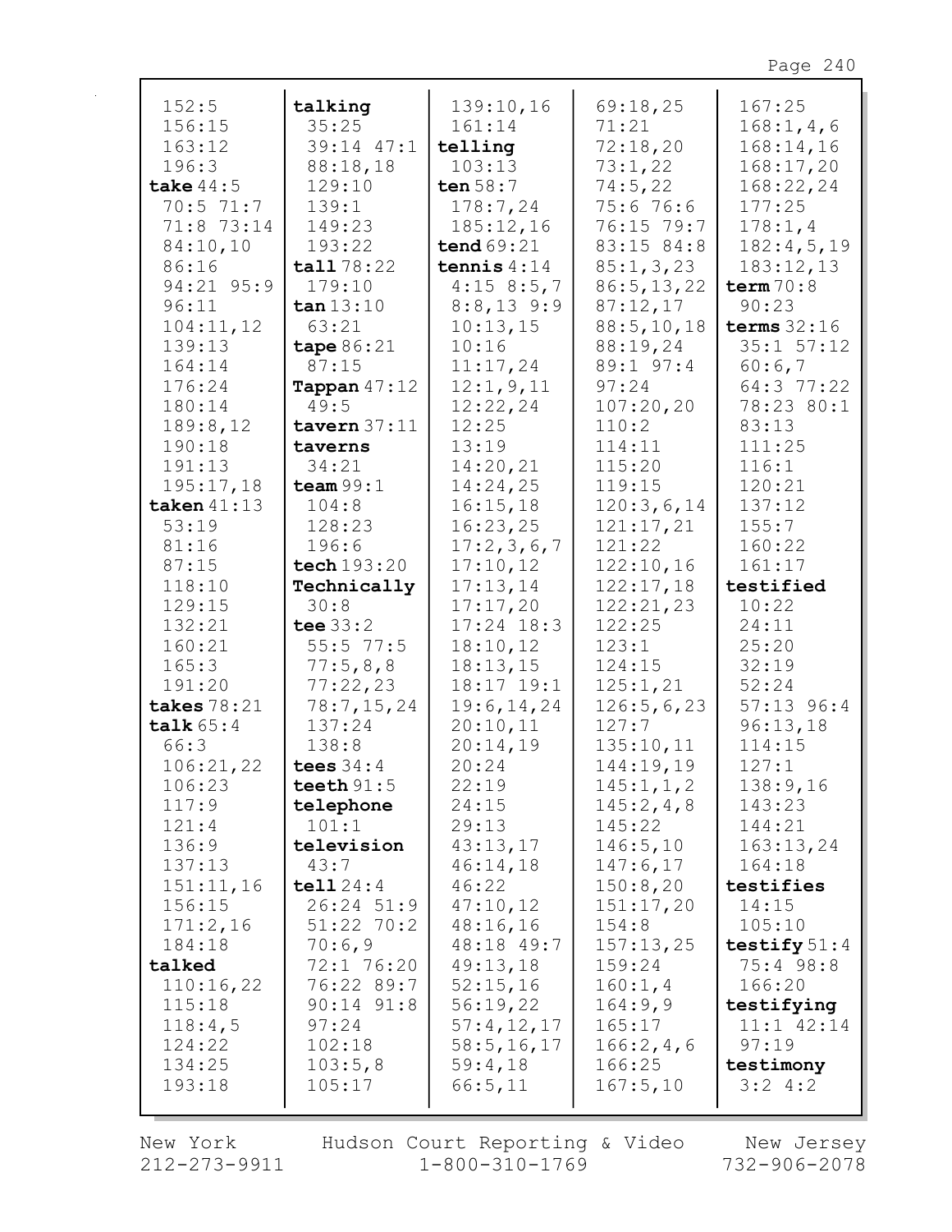| 152:5              | talking                | 139:10,16            | 69:18,25           | 167:25                   |
|--------------------|------------------------|----------------------|--------------------|--------------------------|
| 156:15             | 35:25                  | 161:14               | 71:21              | 168:1, 4, 6              |
| 163:12             | 39:14 47:1             | telling              | 72:18,20           | 168:14,16                |
| 196:3              | 88:18,18               | 103:13               | 73:1,22            | 168:17,20                |
| take $44:5$        | 129:10                 | ten $58:7$           | 74:5,22            | 168:22,24                |
| 70:5 71:7          | 139:1                  | 178:7,24             | 75:6 76:6          | 177:25                   |
| 71:8 73:14         | 149:23                 | 185:12,16            | 76:15 79:7         | 178:1,4                  |
| 84:10,10           | 193:22                 | tend $69:21$         | 83:15 84:8         | 182:4,5,19               |
| 86:16              | tall 78:22             | tennis $4:14$        | 85:1, 3, 23        | 183:12,13                |
| 94:21 95:9         | 179:10                 | 4:158:5,7            | 86:5, 13, 22       | term $70:8$              |
| 96:11              | $\tan 13:10$           | $8:8,13$ 9:9         | 87:12,17           | 90:23                    |
| 104:11,12          | 63:21                  | 10:13,15             | 88:5, 10, 18       | terms $32:16$            |
| 139:13             | tape 86:21             | 10:16                | 88:19,24           | $35:1$ $57:12$           |
| 164:14             | 87:15                  | 11:17,24             | 89:1 97:4          | 60:6,7                   |
| 176:24             | <b>Tappan</b> $47:12$  | 12:1, 9, 11          | 97:24              | 64:3 77:22               |
| 180:14             | 49:5                   | 12:22,24             | 107:20,20          | 78:23 80:1               |
| 189:8,12           | tavern $37:11$         | 12:25                | 110:2              | 83:13                    |
| 190:18             | taverns                | 13:19                | 114:11             | 111:25                   |
| 191:13             | 34:21                  | 14:20,21             | 115:20             | 116:1                    |
| 195:17,18          | team $99:1$            | 14:24,25             | 119:15             | 120:21                   |
| taken $41:13$      | 104:8                  | 16:15,18             | 120:3,6,14         | 137:12                   |
| 53:19              | 128:23                 | 16:23,25             | 121:17,21          | 155:7                    |
| 81:16              | 196:6                  | 17:2,3,6,7           | 121:22             | 160:22                   |
| 87:15              | tech 193:20            | 17:10,12             | 122:10,16          | 161:17                   |
| 118:10             | Technically            | 17:13,14             | 122:17,18          | testified                |
| 129:15             | 30:8                   | 17:17,20             | 122:21,23          | 10:22                    |
| 132:21             | tee $33:2$             | $17:24$ 18:3         | 122:25             | 24:11                    |
| 160:21             | $55:5$ 77:5            | 18:10,12             | 123:1              | 25:20                    |
| 165:3              | 77:5,8,8               | 18:13,15             | 124:15             | 32:19                    |
| 191:20             | 77:22,23               | 18:17 19:1           | 125:1,21           | 52:24                    |
| takes 78:21        | 78:7, 15, 24           | 19:6, 14, 24         | 126:5,6,23         | $57:13$ 96:4             |
| talk $65:4$        | 137:24                 | 20:10,11             | 127:7              | 96:13,18                 |
| 66:3               | 138:8                  | 20:14,19             | 135:10,11          | 114:15                   |
| 106:21,22          | tees $34:4$            | 20:24                | 144:19,19          | 127:1                    |
| 106:23             | teeth $91:5$           | 22:19                | 145:1, 1, 2        | 138:9,16                 |
| 117:9              | telephone              | 24:15                | 145:2, 4, 8        | 143:23                   |
| 121:4              | 101:1                  | 29:13                | 145:22             | 144:21                   |
| 136:9              | television             | 43:13,17             | 146:5,10           | 163:13,24                |
| 137:13             | 43:7                   | 46:14,18             | 147:6,17           | 164:18                   |
| 151:11,16          | tell124:4              | 46:22                | 150:8,20           | testifies<br>14:15       |
| 156:15<br>171:2,16 | 26:24 51:9             | 47:10,12<br>48:16,16 | 151:17,20          |                          |
| 184:18             | $51:22$ 70:2<br>70:6,9 | 48:18 49:7           | 154:8<br>157:13,25 | 105:10<br>testify $51:4$ |
| talked             | 72:1 76:20             | 49:13,18             | 159:24             | $75:4$ 98:8              |
| 110:16,22          | 76:22 89:7             | 52:15,16             | 160:1, 4           | 166:20                   |
| 115:18             | $90:14$ $91:8$         | 56:19,22             | 164:9,9            | testifying               |
| 118:4,5            | 97:24                  | 57:4,12,17           | 165:17             | $11:1$ $42:14$           |
| 124:22             | 102:18                 | 58:5, 16, 17         | 166:2,4,6          | 97:19                    |
| 134:25             | 103:5,8                | 59:4,18              | 166:25             | testimony                |
| 193:18             | 105:17                 | 66:5,11              | 167:5,10           | 3:24:2                   |
|                    |                        |                      |                    |                          |

New York  $212 - 273 - 9911$  Hudson Court Reporting & Video<br>1-800-310-1769

New Jersey<br>732-906-2078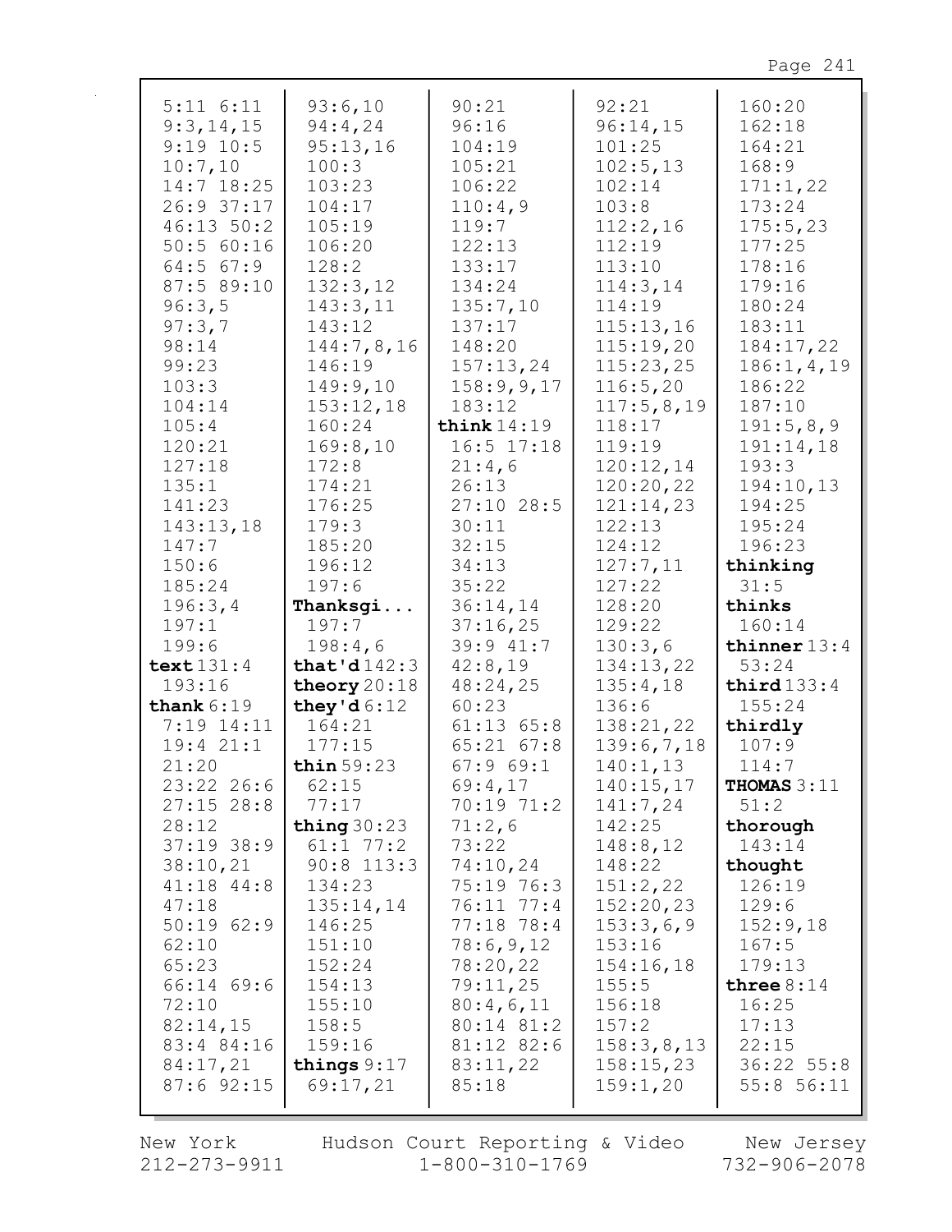| Œ<br>⌒<br>t.<br>┍ |  |
|-------------------|--|
|                   |  |

| $5:11$ $6:11$      | 93:6,10             | 90:21                           | 92:21                 | 160:20                 |
|--------------------|---------------------|---------------------------------|-----------------------|------------------------|
| 9:3,14,15          | 94:4,24             | 96:16                           | 96:14,15              | 162:18                 |
| $9:19$ 10:5        | 95:13,16            | 104:19                          | 101:25                | 164:21                 |
| 10:7,10            | 100:3               | 105:21                          | 102:5, 13             | 168:9                  |
| 14:7 18:25         | 103:23              | 106:22                          | 102:14                | 171:1,22               |
| 26:9 37:17         | 104:17              | 110:4,9                         | 103:8                 | 173:24                 |
| 46:13 50:2         | 105:19              | 119:7                           | 112:2,16              | 175:5,23               |
| 50:5 60:16         | 106:20              | 122:13                          | 112:19                | 177:25                 |
| $64:5$ $67:9$      | 128:2               | 133:17                          | 113:10                | 178:16                 |
| 87:5 89:10         | 132:3,12            | 134:24                          | 114:3,14              | 179:16                 |
| 96:3,5             | 143:3,11            | 135:7,10                        | 114:19                | 180:24                 |
| 97:3,7             | 143:12              | 137:17                          | 115:13,16             | 183:11                 |
| 98:14              | 144:7,8,16          | 148:20                          | 115:19,20             | 184:17,22              |
| 99:23              | 146:19              | 157:13,24                       | 115:23,25             | 186:1, 4, 19           |
| 103:3              | 149:9,10            | 158:9,9,17                      | 116:5,20              | 186:22                 |
| 104:14             | 153:12,18           | 183:12                          | 117:5,8,19            | 187:10                 |
| 105:4<br>120:21    | 160:24              | think $14:19$<br>$16:5$ $17:18$ | 118:17<br>119:19      | 191:5,8,9<br>191:14,18 |
| 127:18             | 169:8,10<br>172:8   | 21:4,6                          | 120:12,14             | 193:3                  |
| 135:1              | 174:21              | 26:13                           | 120:20,22             | 194:10,13              |
| 141:23             | 176:25              | $27:10$ 28:5                    | 121:14,23             | 194:25                 |
| 143:13,18          | 179:3               | 30:11                           | 122:13                | 195:24                 |
| 147:7              | 185:20              | 32:15                           | 124:12                | 196:23                 |
| 150:6              | 196:12              | 34:13                           | 127:7,11              | thinking               |
| 185:24             | 197:6               | 35:22                           | 127:22                | 31:5                   |
| 196:3,4            | Thanksgi            | 36:14,14                        | 128:20                | thinks                 |
| 197:1              | 197:7               | 37:16,25                        | 129:22                | 160:14                 |
| 199:6              | 198:4,6             | 39:9 41:7                       | 130:3,6               | thinner $13:4$         |
| text $131:4$       | that'd $142:3$      | 42:8,19                         | 134:13,22             | 53:24                  |
| 193:16             | theory $20:18$      | 48:24,25                        | 135:4,18              | third $133:4$          |
| thank $6:19$       | they'd $6:12$       | 60:23                           | 136:6                 | 155:24                 |
| 7:19 14:11         | 164:21              | $61:13$ $65:8$                  | 138:21,22             | thirdly                |
| 19:421:1           | 177:15              | $65:21$ $67:8$                  | 139:6,7,18            | 107:9                  |
| 21:20              | thin $59:23$        | 67:969:1                        | 140:1,13              | 114:7                  |
| $23:22$ 26:6       | 62:15               | 69:4,17                         | 140:15,17             | THOMAS $3:11$          |
| $27:15$ 28:8       | 77:17               | 70:19 71:2                      | 141:7,24              | 51:2                   |
| 28:12              | thing $30:23$       | 71:2,6                          | 142:25                | thorough               |
| $37:19$ 38:9       | $61:1$ 77:2         | 73:22                           | 148:8,12              | 143:14                 |
| 38:10,21           | $90:8$ 113:3        | 74:10,24                        | 148:22                | thought                |
| 41:18 44:8         | 134:23              | 75:19 76:3                      | 151:2,22<br>152:20,23 | 126:19<br>129:6        |
| 47:18<br>50:1962:9 | 135:14,14<br>146:25 | 76:11 77:4<br>$77:18$ 78:4      | 153:3,6,9             | 152:9,18               |
| 62:10              | 151:10              | 78:6,9,12                       | 153:16                | 167:5                  |
| 65:23              | 152:24              | 78:20,22                        | 154:16,18             | 179:13                 |
| 66:14 69:6         | 154:13              | 79:11,25                        | 155:5                 | three $8:14$           |
| 72:10              | 155:10              | 80:4,6,11                       | 156:18                | 16:25                  |
| 82:14,15           | 158:5               | 80:14 81:2                      | 157:2                 | 17:13                  |
| 83:4 84:16         | 159:16              | 81:12 82:6                      | 158:3,8,13            | 22:15                  |
| 84:17,21           | things $9:17$       | 83:11,22                        | 158:15,23             | 36:22 55:8             |
| $87:6$ 92:15       | 69:17,21            | 85:18                           | 159:1,20              | 55:8 56:11             |
|                    |                     |                                 |                       |                        |

New York  $212 - 273 - 9911$  Hudson Court Reporting & Video<br>1-800-310-1769

New Jersey<br>732-906-2078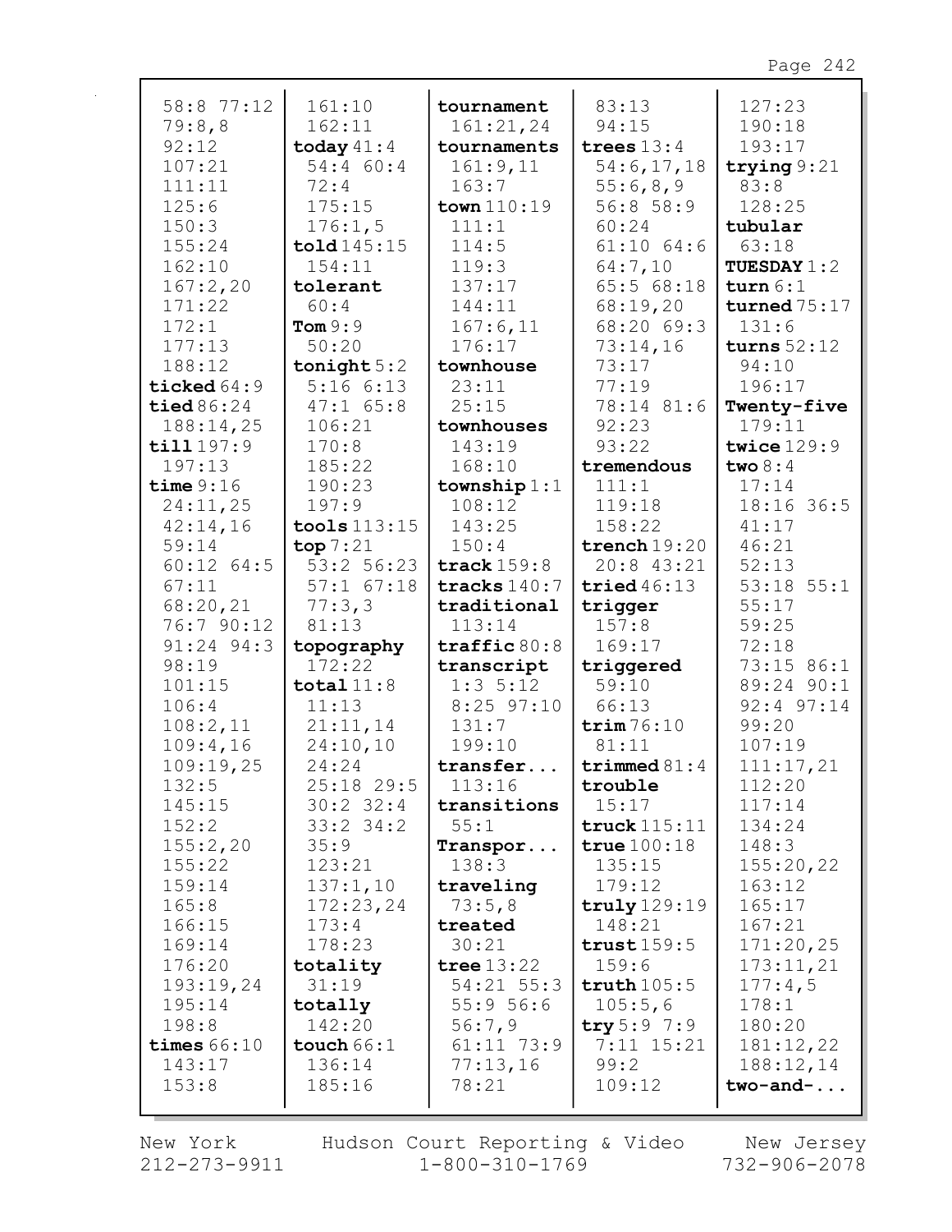| 58:8 77:12<br>79:8,8 | 161:10<br>162:11     | tournament<br>161:21,24                | 83:13<br>94:15      | 127:23<br>190:18         |
|----------------------|----------------------|----------------------------------------|---------------------|--------------------------|
| 92:12                | today $41:4$         | tournaments                            | trees $13:4$        | 193:17                   |
| 107:21               | 54:4 60:4            | 161:9,11                               | 54:6,17,18          | trying $9:21$            |
| 111:11               | 72:4                 | 163:7                                  | 55:6,8,9            | 83:8                     |
| 125:6                | 175:15               | town 110:19                            | 56:858:9            | 128:25                   |
| 150:3                | 176:1,5              | 111:1                                  | 60:24               | tubular                  |
| 155:24               | $\text{told}$ 145:15 | 114:5                                  | $61:10$ $64:6$      | 63:18                    |
| 162:10               | 154:11               | 119:3                                  | 64:7,10             | <b>TUESDAY 1:2</b>       |
| 167:2,20             | tolerant             | 137:17                                 | 65:568:18           | turn $6:1$               |
| 171:22               | 60:4                 | 144:11                                 | 68:19,20            | turned $75:17$           |
| 172:1                | Tom $9:9$            | 167:6,11                               | 68:20 69:3          | 131:6                    |
| 177:13               | 50:20                | 176:17                                 | 73:14,16            | turns $52:12$            |
| 188:12               | tonight $5:2$        | townhouse                              | 73:17               | 94:10                    |
| ticked $64:9$        | 5:166:13             | 23:11                                  | 77:19               | 196:17                   |
| tied $86:24$         | $47:1$ 65:8          | 25:15                                  | 78:14 81:6          | Twenty-five              |
| 188:14,25            | 106:21               | townhouses                             | 92:23               | 179:11                   |
| till 197:9           | 170:8                | 143:19                                 | 93:22               | twice 129:9              |
| 197:13               | 185:22               | 168:10                                 | tremendous          | two $8:4$                |
| time $9:16$          | 190:23               | township $1:1$                         | 111:1               | 17:14                    |
| 24:11,25             | 197:9                | 108:12                                 | 119:18              | 18:16 36:5               |
| 42:14,16             | tools $113:15$       | 143:25                                 | 158:22              | 41:17                    |
| 59:14                | top7:21              | 150:4                                  | trench $19:20$      | 46:21                    |
| $60:12$ $64:5$       | 53:2 56:23           | track $159:8$                          | $20:8$ 43:21        | 52:13                    |
| 67:11                | $57:1$ $67:18$       | tracks $140:7$                         | tried $46:13$       | $53:18$ $55:1$           |
| 68:20,21             | 77:3,3               | traditional                            | trigger             | 55:17                    |
| 76:7 90:12           | 81:13                | 113:14                                 | 157:8               | 59:25                    |
| 91:24 94:3<br>98:19  | topography<br>172:22 | $\texttt{traffic}\,80:8$<br>transcript | 169:17<br>triggered | 72:18<br>73:15 86:1      |
| 101:15               | total $11:8$         | $1:3 \; 5:12$                          | 59:10               | 89:24 90:1               |
| 106:4                | 11:13                | $8:25$ 97:10                           | 66:13               | 92:4 97:14               |
| 108:2,11             | 21:11,14             | 131:7                                  | trim 76:10          | 99:20                    |
| 109:4,16             | 24:10,10             | 199:10                                 | 81:11               | 107:19                   |
| 109:19,25            | 24:24                | transfer                               | triangle 81:4       | 111:17,21                |
| 132:5                | $25:18$ 29:5         | 113:16                                 | trouble             | 112:20                   |
| 145:15               | $30:2$ 32:4          | transitions                            | 15:17               | 117:14                   |
| 152:2                | $33:2$ $34:2$        | 55:1                                   | truck $115:11$      | 134:24                   |
| 155:2,20             | 35:9                 | Transpor                               | true $100:18$       | 148:3                    |
| 155:22               | 123:21               | 138:3                                  | 135:15              | 155:20,22                |
| 159:14               | 137:1,10             | traveling                              | 179:12              | 163:12                   |
| 165:8                | 172:23,24            | 73:5,8                                 | truly $129:19$      | 165:17                   |
| 166:15               | 173:4                | treated                                | 148:21              | 167:21                   |
| 169:14               | 178:23               | 30:21                                  | trust159:5          | 171:20,25                |
| 176:20               | totality             | tree $13:22$                           | 159:6               | 173:11,21                |
| 193:19,24            | 31:19                | 54:21 55:3                             | truth $105:5$       | 177:4,5                  |
| 195:14               | totally              | 55:956:6                               | 105:5,6             | 178:1                    |
| 198:8                | 142:20               | 56:7,9                                 | try 5:9 7:9         | 180:20                   |
| times $66:10$        | touch $66:1$         | $61:11$ 73:9                           | 7:11 15:21          | 181:12,22                |
|                      |                      |                                        |                     |                          |
| 143:17<br>153:8      | 136:14<br>185:16     | 77:13,16<br>78:21                      | 99:2<br>109:12      | 188:12,14<br>$two$ -and- |

New York  $212 - 273 - 9911$ 

 $\mathbf{r}$ 

Hudson Court Reporting & Video  $1 - 800 - 310 - 1769$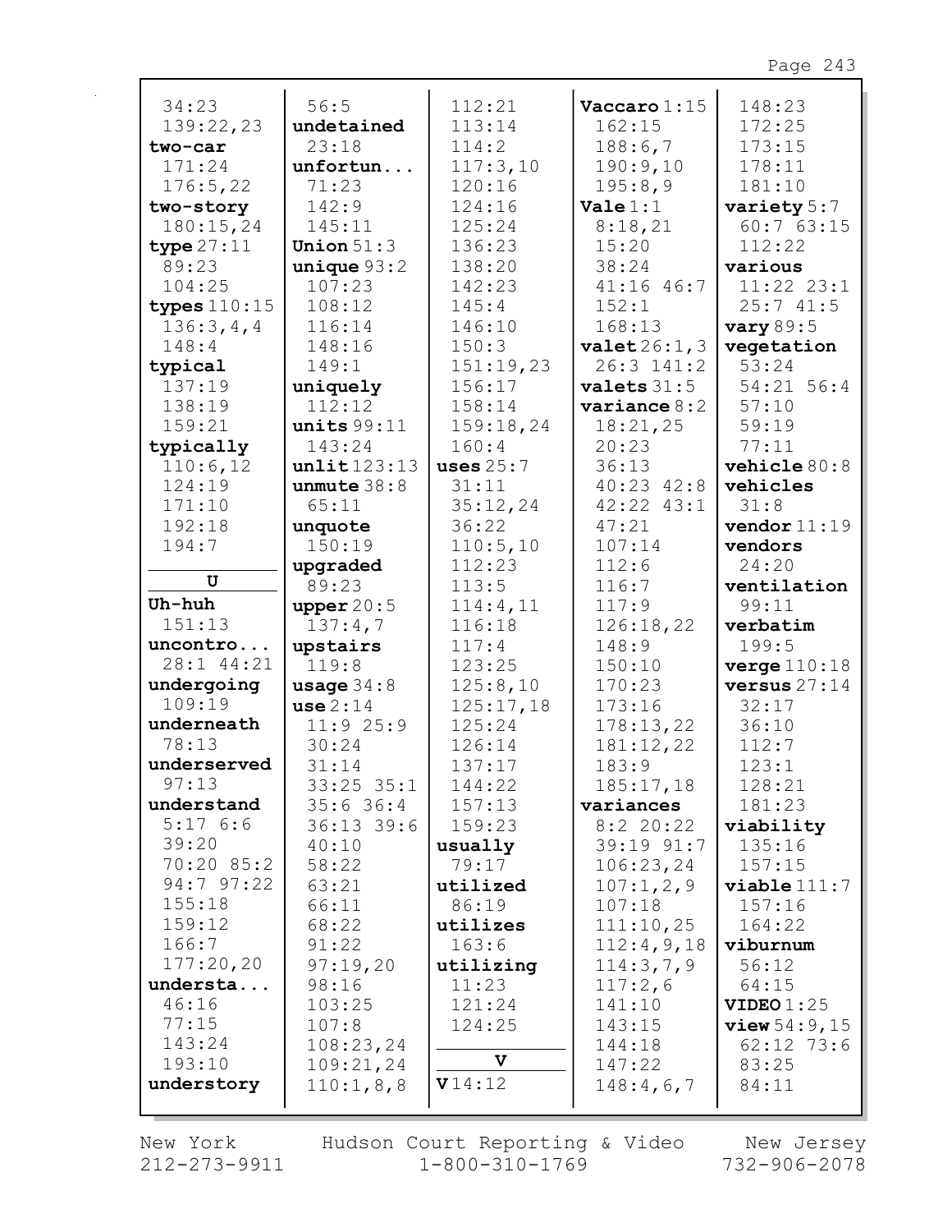| 34:23                | 56:5                          | 112:21           | $\texttt{Vaccaro}$ 1:15  | 148:23              |
|----------------------|-------------------------------|------------------|--------------------------|---------------------|
| 139:22,23            | undetained                    | 113:14           | 162:15                   | 172:25              |
| two-car              | 23:18                         | 114:2            | 188:6,7                  | 173:15              |
| 171:24               | unfortun                      | 117:3,10         | 190:9,10                 | 178:11              |
| 176:5,22             | 71:23                         | 120:16           | 195:8,9                  | 181:10              |
| two-story            | 142:9                         | 124:16           | $\textbf{Value} 1:1$     | variety 5:7         |
| 180:15,24            | 145:11                        | 125:24           | 8:18,21                  | 60:763:15           |
| type $27:11$         | Union $51:3$                  | 136:23           | 15:20                    | 112:22              |
| 89:23                | unique 93:2                   | 138:20           | 38:24                    | various             |
| 104:25               | 107:23                        | 142:23           | $41:16$ $46:7$           | $11:22$ $23:1$      |
| types $110:15$       | 108:12                        | 145:4            | 152:1                    | 25:741:5            |
| 136:3,4,4            | 116:14                        | 146:10           | 168:13                   | <b>vary</b> 89:5    |
| 148:4                | 148:16                        | 150:3            | valuet26:1,3             | vegetation          |
| typical              | 149:1                         | 151:19,23        | $26:3$ 141:2             | 53:24               |
| 137:19               | uniquely                      | 156:17           | values 31:5              | $54:21$ 56:4        |
| 138:19               | 112:12                        | 158:14           | variance 8:2             | 57:10               |
| 159:21               | units 99:11                   | 159:18,24        | 18:21,25                 | 59:19               |
| typically            | 143:24                        | 160:4            | 20:23                    | 77:11               |
| 110:6,12             | unlit123:13                   | uses $25:7$      | 36:13                    | vehicle 80:8        |
| 124:19               | unmute $38:8$                 | 31:11            | $40:23$ $42:8$           | vehicles            |
| 171:10               | 65:11                         | 35:12,24         | $42:22$ $43:1$           | 31:8                |
| 192:18               | unquote                       | 36:22            | 47:21                    | vendor $11:19$      |
| 194:7                | 150:19                        | 110:5,10         | 107:14                   | vendors             |
|                      | upgraded                      | 112:23           | 112:6                    | 24:20               |
| U                    | 89:23                         | 113:5            | 116:7                    | ventilation         |
| Uh-huh               | upper $20:5$                  | 114:4,11         | 117:9                    | 99:11               |
| 151:13               | 137:4,7                       | 116:18           | 126:18,22                | verbatim            |
| uncontro             | upstairs                      | 117:4            | 148:9                    | 199:5               |
| 28:1 44:21           | 119:8                         | 123:25           | 150:10                   | verge 110:18        |
| undergoing           | usage $34:8$                  | 125:8,10         | 170:23                   | versus $27:14$      |
| 109:19               | use 2:14                      | 125:17,18        | 173:16                   | 32:17               |
| underneath           | 11:925:9                      | 125:24           | 178:13,22                | 36:10               |
| 78:13<br>underserved | 30:24                         | 126:14           | 181:12,22                | 112:7               |
| 97:13                | 31:14                         | 137:17           | 183:9                    | 123:1               |
| understand           | $33:25$ $35:1$<br>$35:6$ 36:4 | 144:22           | 185:17,18                | 128:21              |
| 5:176:6              | $36:13$ 39:6                  | 157:13<br>159:23 | variances<br>$8:2$ 20:22 | 181:23              |
| 39:20                | 40:10                         | usually          | 39:19 91:7               | viability<br>135:16 |
| 70:20 85:2           | 58:22                         | 79:17            | 106:23,24                | 157:15              |
| 94:7 97:22           | 63:21                         | utilized         | 107:1,2,9                | viable111:7         |
| 155:18               | 66:11                         | 86:19            | 107:18                   | 157:16              |
| 159:12               | 68:22                         | utilizes         | 111:10,25                | 164:22              |
| 166:7                | 91:22                         | 163:6            | 112:4,9,18               | viburnum            |
| 177:20,20            | 97:19,20                      | utilizing        | 114:3,7,9                | 56:12               |
| understa             | 98:16                         | 11:23            | 117:2,6                  | 64:15               |
| 46:16                | 103:25                        | 121:24           | 141:10                   | VIDEO $1:25$        |
| 77:15                | 107:8                         | 124:25           | 143:15                   | view 54:9, 15       |
| 143:24               | 108:23,24                     |                  | 144:18                   | $62:12$ 73:6        |
| 193:10               | 109:21,24                     | V                | 147:22                   | 83:25               |
| understory           | 110:1,8,8                     | V14:12           | 148:4,6,7                | 84:11               |
|                      |                               |                  |                          |                     |

New York  $212 - 273 - 9911$  Hudson Court Reporting & Video  $1 - 800 - 310 - 1769$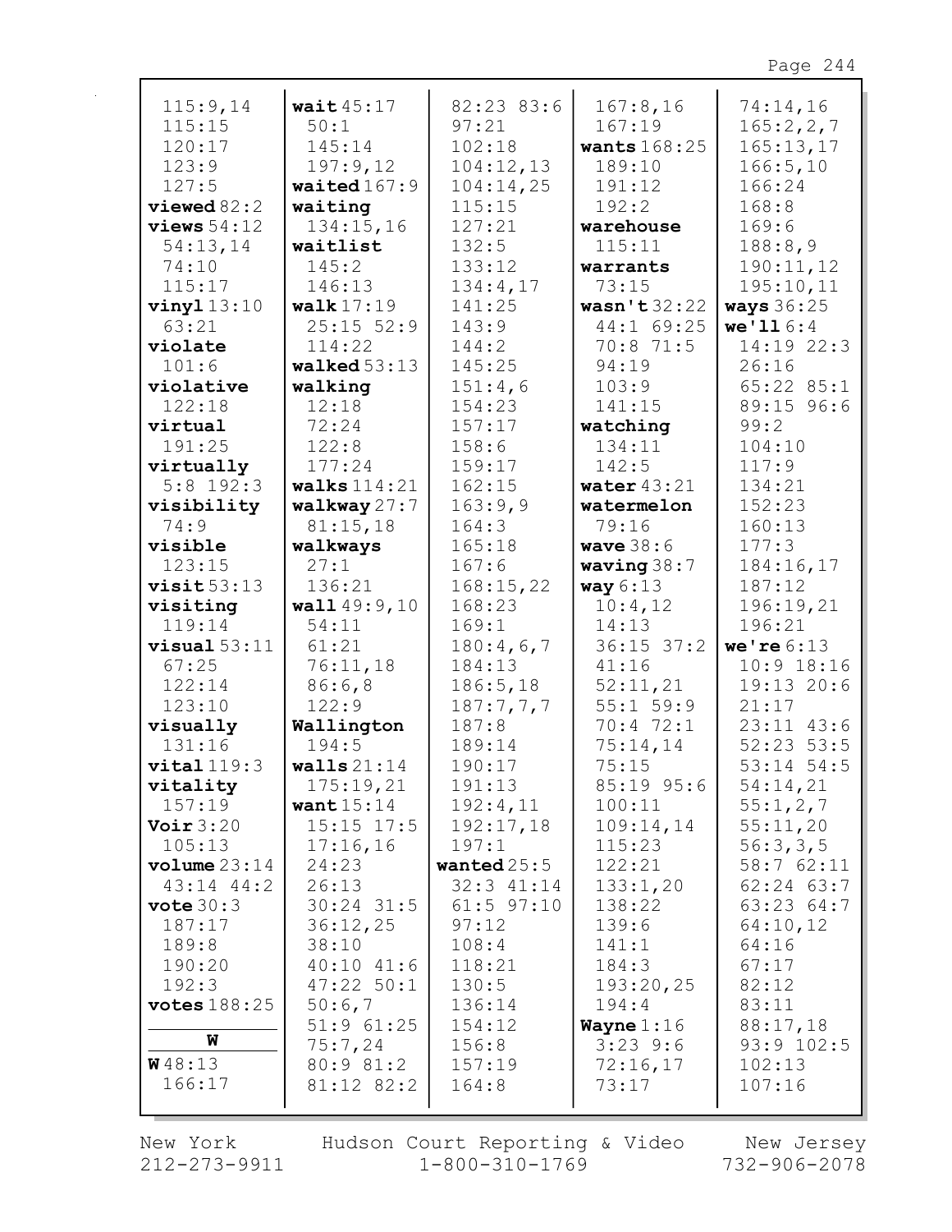| 115:9,14                   | wait $45:17$   | 82:23 83:6     | 167:8,16       | 74:14,16          |
|----------------------------|----------------|----------------|----------------|-------------------|
| 115:15                     | 50:1           | 97:21          | 167:19         | 165:2,2,7         |
| 120:17                     | 145:14         | 102:18         | wants $168:25$ | 165:13,17         |
| 123:9                      | 197:9,12       | 104:12,13      | 189:10         | 166:5, 10         |
| 127:5                      | waited $167:9$ | 104:14,25      | 191:12         | 166:24            |
| viewed 82:2                | waiting        | 115:15         | 192:2          | 168:8             |
| views $54:12$              | 134:15,16      | 127:21         | warehouse      | 169:6             |
| 54:13,14                   | waitlist       | 132:5          | 115:11         | 188:8,9           |
| 74:10                      | 145:2          | 133:12         | warrants       | 190:11,12         |
| 115:17                     | 146:13         | 134:4,17       | 73:15          | 195:10,11         |
| $vinyl$ 13:10              | walk $17:19$   | 141:25         | wasn't $32:22$ | <b>ways</b> 36:25 |
| 63:21                      | $25:15$ 52:9   | 143:9          | 44:1 69:25     | we'116:4          |
| violate                    | 114:22         | 144:2          | 70:8 71:5      | 14:19 22:3        |
| 101:6                      | walked $53:13$ | 145:25         | 94:19          | 26:16             |
| violative                  | walking        | 151:4,6        | 103:9          | $65:22$ $85:1$    |
| 122:18                     | 12:18          | 154:23         | 141:15         | 89:15 96:6        |
| virtual                    | 72:24          | 157:17         | watching       | 99:2              |
| 191:25                     | 122:8          | 158:6          | 134:11         | 104:10            |
| virtually                  | 177:24         | 159:17         | 142:5          | 117:9             |
| $5:8$ 192:3                | walks $114:21$ | 162:15         | water $43:21$  | 134:21            |
| visibility                 | walkway 27:7   | 163:9,9        | watermelon     | 152:23            |
| 74:9                       | 81:15,18       | 164:3          | 79:16          | 160:13            |
| visible                    | walkways       | 165:18         | wave $38:6$    | 177:3             |
| 123:15                     | 27:1           | 167:6          | waving $38:7$  | 184:16,17         |
| visit53:13                 | 136:21         | 168:15,22      | way $6:13$     | 187:12            |
| visiting                   | wall $49:9,10$ | 168:23         | 10:4,12        | 196:19,21         |
| 119:14                     | 54:11          | 169:1          | 14:13          | 196:21            |
| $visual 53:11$             | 61:21          | 180:4,6,7      | $36:15$ $37:2$ | we're $6:13$      |
| 67:25                      | 76:11,18       | 184:13         | 41:16          | $10:9$ 18:16      |
| 122:14                     | 86:6,8         | 186:5, 18      | 52:11,21       | 19:13 20:6        |
| 123:10                     | 122:9          | 187:7,7,7      | $55:1$ 59:9    | 21:17             |
| visually                   | Wallington     | 187:8          | 70:4 72:1      | $23:11$ $43:6$    |
| 131:16                     | 194:5          | 189:14         | 75:14,14       | $52:23$ 53:5      |
| vital 119:3                | walls $21:14$  | 190:17         | 75:15          | 53:14 54:5        |
| vitality                   | 175:19,21      | 191:13         | 85:19 95:6     | 54:14,21          |
| 157:19                     | want $15:14$   | 192:4,11       | 100:11         | 55:1,2,7          |
| Voir $3:20$                | $15:15$ $17:5$ | 192:17,18      | 109:14,14      | 55:11,20          |
| 105:13                     | 17:16,16       | 197:1          | 115:23         | 56:3,3,5          |
| $\texttt{volume} \, 23:14$ | 24:23          | wanted $25:5$  | 122:21         | 58:762:11         |
| $43:14$ $44:2$             | 26:13          | $32:3$ 41:14   | 133:1,20       | $62:24$ $63:7$    |
| vote 30:3                  | $30:24$ 31:5   | $61:5$ $97:10$ | 138:22         | 63:23 64:7        |
| 187:17                     | 36:12,25       | 97:12          | 139:6          | 64:10,12          |
| 189:8                      | 38:10          | 108:4          | 141:1          | 64:16             |
| 190:20                     | $40:10$ $41:6$ | 118:21         | 184:3          | 67:17             |
| 192:3                      | $47:22$ 50:1   | 130:5          | 193:20,25      | 82:12             |
| votes $188:25$             | 50:6,7         | 136:14         | 194:4          | 83:11             |
|                            | $51:9$ $61:25$ | 154:12         | Wayne $1:16$   | 88:17,18          |
| W                          | 75:7,24        | 156:8          | $3:23$ 9:6     | 93:9 102:5        |
| <b>W</b> 48:13             | 80:9 81:2      | 157:19         | 72:16,17       | 102:13            |
| 166:17                     | 81:12 82:2     | 164:8          | 73:17          | 107:16            |
|                            |                |                |                |                   |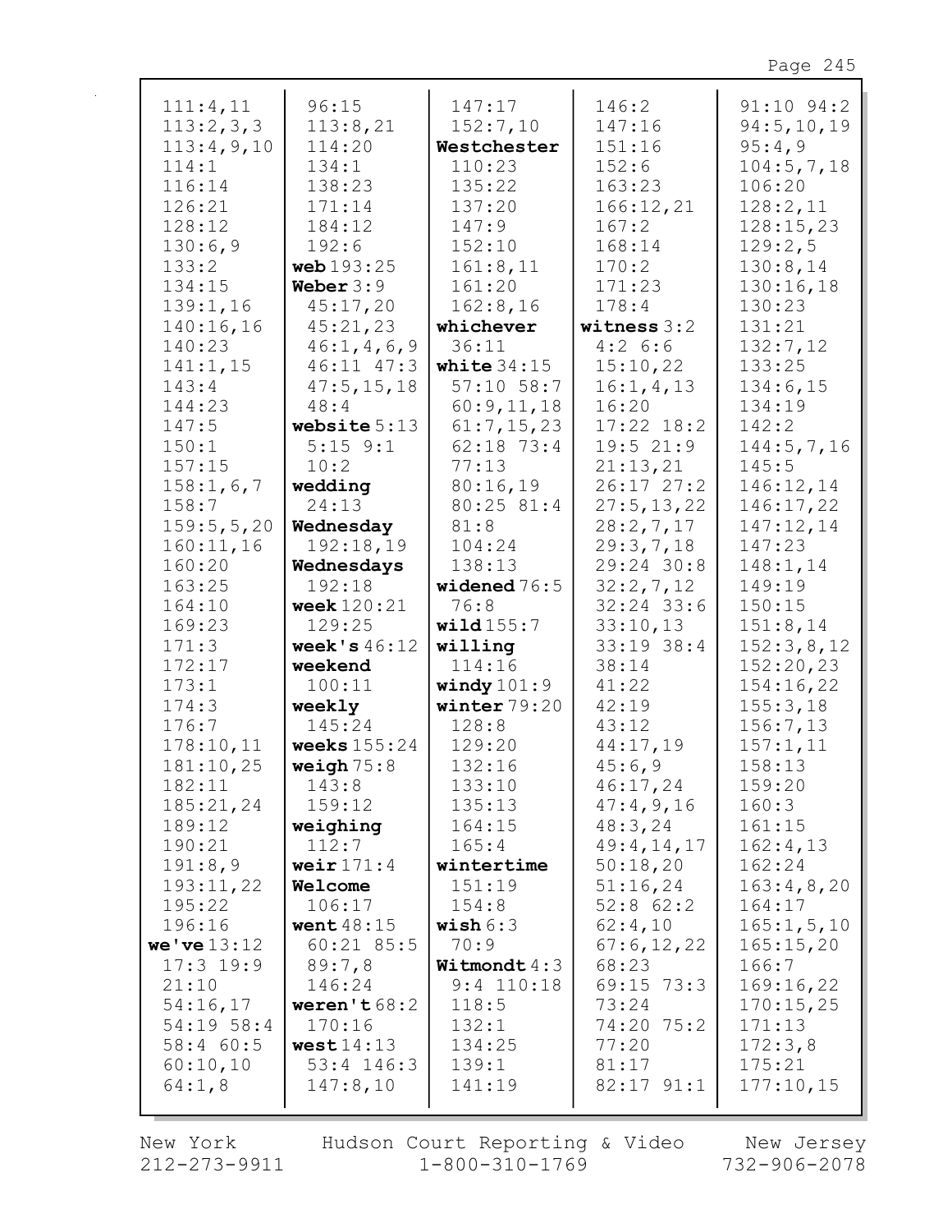| 111:4,11             | 96:15                    | 147:17                         | 146:2               | $91:10$ $94:2$         |
|----------------------|--------------------------|--------------------------------|---------------------|------------------------|
| 113:2,3,3            | 113:8,21                 | 152:7,10                       | 147:16              | 94:5,10,19             |
| 113:4,9,10           | 114:20                   | Westchester                    | 151:16              | 95:4,9                 |
| 114:1                | 134:1                    | 110:23                         | 152:6               | 104:5,7,18             |
| 116:14               | 138:23                   | 135:22                         | 163:23              | 106:20                 |
| 126:21               | 171:14                   | 137:20                         | 166:12,21           | 128:2,11               |
| 128:12               | 184:12                   | 147:9                          | 167:2               | 128:15,23              |
| 130:6,9              | 192:6                    | 152:10                         | 168:14              | 129:2,5                |
| 133:2                | web 193:25               | 161:8,11                       | 170:2               | 130:8,14               |
| 134:15               | Weber $3:9$              | 161:20                         | 171:23              | 130:16,18              |
| 139:1,16             | 45:17,20                 |                                |                     |                        |
|                      |                          | 162:8,16                       | 178:4               | 130:23                 |
| 140:16,16            | 45:21,23                 | whichever                      | witness $3:2$       | 131:21                 |
| 140:23               | 46:1, 4, 6, 9            | 36:11                          | 4:26:5              | 132:7,12               |
| 141:1,15             | 46:11 47:3               | white $34:15$                  | 15:10,22            | 133:25                 |
| 143:4                | 47:5, 15, 18             | $57:10$ 58:7                   | 16:1, 4, 13         | 134:6,15               |
| 144:23               | 48:4                     | 60:9,11,18                     | 16:20               | 134:19                 |
| 147:5                | website $5:13$           | 61:7,15,23                     | $17:22$ $18:2$      | 142:2                  |
| 150:1                | $5:15$ $9:1$             | 62:18 73:4                     | 19:521:9            | 144:5,7,16             |
| 157:15               | 10:2                     | 77:13                          | 21:13,21            | 145:5                  |
| 158:1, 6, 7          | wedding                  | 80:16,19                       | 26:17 27:2          | 146:12,14              |
| 158:7                | 24:13                    | 80:25 81:4                     | 27:5, 13, 22        | 146:17,22              |
| 159:5, 5, 20         | Wednesday                | 81:8                           | 28:2,7,17           | 147:12,14              |
| 160:11,16            | 192:18,19                | 104:24                         | 29:3,7,18           | 147:23                 |
| 160:20               | Wednesdays               | 138:13                         | 29:24 30:8          | 148:1,14               |
| 163:25               | 192:18                   | widened $76:5$                 | 32:2,7,12           | 149:19                 |
| 164:10               | <b>week</b> 120:21       | 76:8                           | $32:24$ 33:6        | 150:15                 |
| 169:23               | 129:25                   | wild $155:7$                   | 33:10,13            | 151:8,14               |
| 171:3                | week's $46:12$           | willing                        | 33:19 38:4          | 152:3,8,12             |
| 172:17               | weekend                  | 114:16                         | 38:14               | 152:20,23              |
| 173:1                | 100:11                   | windy $101:9$                  | 41:22               | 154:16,22              |
| 174:3                | weekly                   | winter $79:20$                 | 42:19               | 155:3,18               |
| 176:7                | 145:24                   | 128:8                          | 43:12               | 156:7,13               |
| 178:10,11            | weeks $155:24$           | 129:20                         | 44:17,19            | 157:1,11               |
| 181:10,25            | weigh $75:8$             | 132:16                         | 45:6,9              | 158:13                 |
| 182:11               | 143:8                    | 133:10                         | 46:17,24            | 159:20                 |
| 185:21,24            | 159:12                   | 135:13                         | 47:4,9,16           | 160:3                  |
| 189:12               | weighing                 | 164:15                         | 48:3,24             | 161:15                 |
| 190:21               | 112:7                    | 165:4                          | 49:4,14,17          | 162:4,13               |
| 191:8,9              | weir $171:4$             | wintertime                     | 50:18,20            | 162:24                 |
| 193:11,22            | Welcome                  | 151:19                         | 51:16,24            | 163:4,8,20             |
| 195:22               | 106:17                   | 154:8                          | $52:8$ 62:2         | 164:17                 |
| 196:16               | went $48:15$             | wish $6:3$                     | 62:4,10             | 165:1, 5, 10           |
| we've 13:12          | $60:21$ 85:5             | 70:9                           | 67:6,12,22          | 165:15,20              |
|                      |                          |                                |                     |                        |
| $17:3$ 19:9<br>21:10 | 89:7,8                   | Witmondt $4:3$<br>$9:4$ 110:18 | 68:23<br>69:15 73:3 | 166:7                  |
| 54:16,17             | 146:24                   | 118:5                          |                     | 169:16,22<br>170:15,25 |
| 54:19 58:4           | weren't $68:2$<br>170:16 | 132:1                          | 73:24<br>74:20      | 171:13                 |
|                      | west14:13                |                                | 75:2                |                        |
| 58:4 60:5            |                          | 134:25                         | 77:20               | 172:3,8<br>175:21      |
| 60:10,10             | $53:4$ 146:3             | 139:1                          | 81:17               |                        |
| 64:1,8               | 147:8,10                 | 141:19                         | $82:17$ $91:1$      | 177:10,15              |
|                      |                          |                                |                     |                        |

New York  $212 - 273 - 9911$  Hudson Court Reporting & Video<br>1-800-310-1769

New Jersey<br>732-906-2078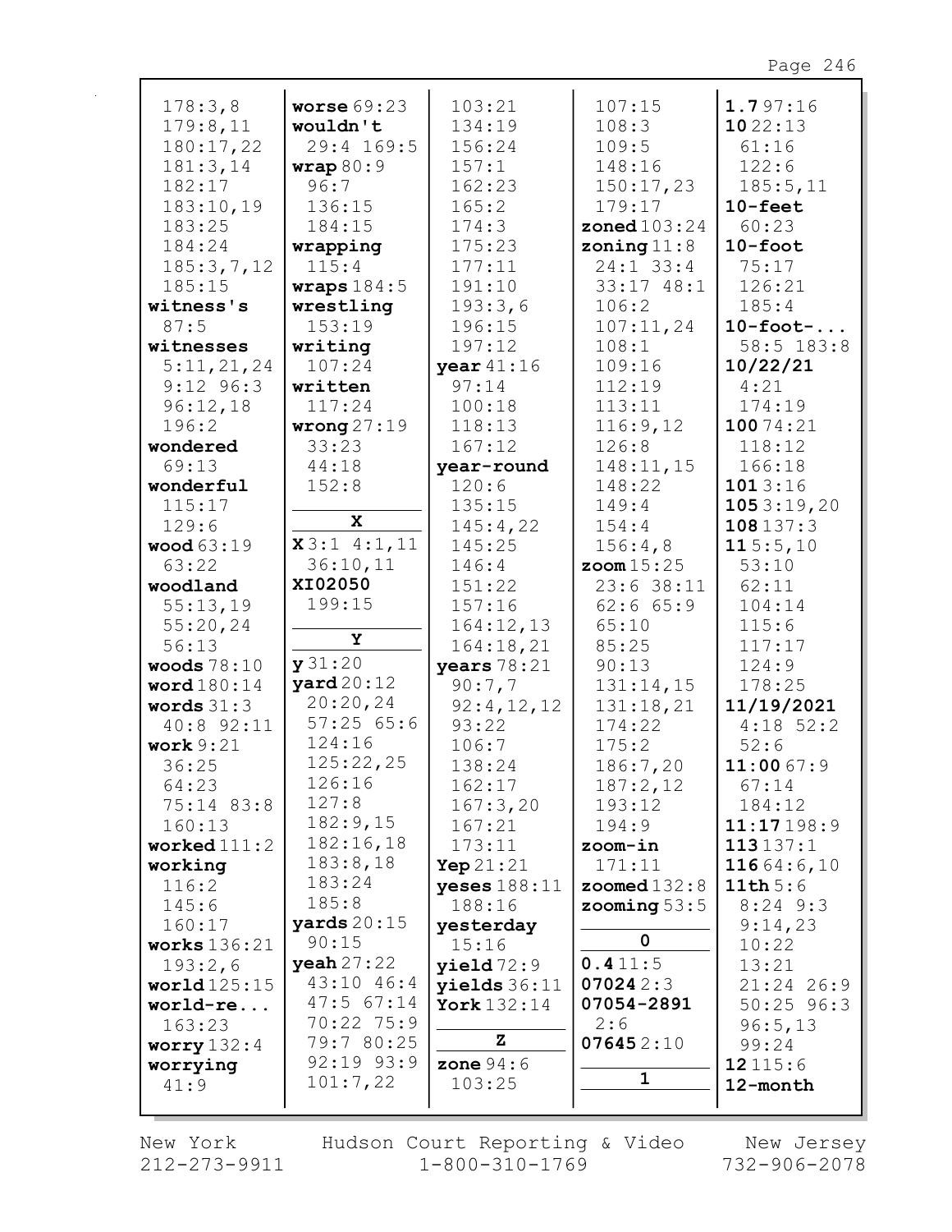| 178:3,8                   | worse $69:23$        | 103:21                          | 107:15                | 1.797:16     |
|---------------------------|----------------------|---------------------------------|-----------------------|--------------|
| 179:8,11                  | wouldn't             | 134:19                          | 108:3                 | 1022:13      |
| 180:17,22                 | 29:4 169:5           | 156:24                          | 109:5                 | 61:16        |
| 181:3,14                  | wrap80:9             | 157:1                           | 148:16                | 122:6        |
| 182:17                    | 96:7                 | 162:23                          | 150:17,23             | 185:5,11     |
| 183:10,19                 | 136:15               | 165:2                           | 179:17                | $10$ -feet   |
| 183:25                    | 184:15               | 174:3                           | <b>zoned</b> 103:24   | 60:23        |
| 184:24                    | wrapping             | 175:23                          | zoning $11:8$         | $10$ -foot   |
| 185:3,7,12                | 115:4                | 177:11                          | $24:1$ 33:4           | 75:17        |
| 185:15                    | wraps $184:5$        | 191:10                          | $33:17$ $48:1$        | 126:21       |
| witness's                 | wrestling            | 193:3,6                         | 106:2                 | 185:4        |
| 87:5                      | 153:19               | 196:15                          | 107:11,24             | $10$ -foot-  |
| witnesses                 | writing              | 197:12                          | 108:1                 | 58:5 183:8   |
| 5:11,21,24                | 107:24               | year 41:16                      | 109:16                | 10/22/21     |
| $9:12$ $96:3$             | written              | 97:14                           | 112:19                | 4:21         |
| 96:12,18                  | 117:24               | 100:18                          | 113:11                | 174:19       |
| 196:2                     | wrong $27:19$        | 118:13                          | 116:9,12              | 10074:21     |
| wondered                  | 33:23                | 167:12                          | 126:8                 | 118:12       |
| 69:13                     | 44:18                | year-round                      | 148:11,15             | 166:18       |
| wonderful                 | 152:8                | 120:6                           | 148:22                | 1013:16      |
| 115:17                    |                      | 135:15                          | 149:4                 | 1053:19,20   |
| 129:6                     | $\mathbf x$          | 145:4,22                        | 154:4                 | 108137:3     |
| <b>wood</b> 63:19         | x3:14:1,11           | 145:25                          | 156:4,8               | 115:5,10     |
| 63:22                     | 36:10,11             | 146:4                           | $z$ oom $15:25$       | 53:10        |
| woodland                  | XI02050              | 151:22                          | $23:6$ 38:11          | 62:11        |
| 55:13,19                  | 199:15               | 157:16                          | $62:6$ $65:9$         | 104:14       |
| 55:20,24                  |                      | 164:12,13                       | 65:10                 | 115:6        |
| 56:13                     | Υ                    | 164:18,21                       | 85:25                 | 117:17       |
| woods $78:10$             | y31:20               | years $78:21$                   | 90:13                 | 124:9        |
| word $180:14$             | $\texttt{yard20:12}$ | 90:7,7                          | 131:14,15             | 178:25       |
| words $31:3$              | 20:20,24             | 92:4,12,12                      | 131:18,21             | 11/19/2021   |
| 40:8 92:11                | 57:2565:6            | 93:22                           | 174:22                | $4:18$ 52:2  |
| work $9:21$               | 124:16               | 106:7                           | 175:2                 | 52:6         |
| 36:25                     | 125:22,25            | 138:24                          | 186:7,20              | 11:0067:9    |
| 64:23                     | 126:16               | 162:17                          | 187:2,12              | 67:14        |
| 75:14 83:8                | 127:8                | 167:3,20                        | 193:12                | 184:12       |
| 160:13                    | 182:9,15             | 167:21                          | 194:9                 | 11:17198:9   |
| worked $111:2$            | 182:16,18            | 173:11                          | zoom-in               | 113137:1     |
| working                   | 183:8,18             | <b>Yep</b> $21:21$              | 171:11                | 11664:6,10   |
| 116:2                     | 183:24               | <b>yeses</b> $188:11$           | <b>zoomed</b> $132:8$ | 11th5:6      |
| 145:6                     | 185:8                | 188:16                          | zooming $53:5$        | $8:24$ 9:3   |
| 160:17                    | yards $20:15$        | yesterday                       |                       | 9:14,23      |
| works $136:21$            | 90:15                | 15:16                           | 0                     | 10:22        |
| 193:2,6                   | yeah 27:22           | yield72:9                       | 0.411:5               | 13:21        |
| world125:15               | 43:10 46:4           |                                 | 070242:3              | $21:24$ 26:9 |
| world-re                  | $47:5$ 67:14         | yields $36:11$<br>York $132:14$ | 07054-2891            | $50:25$ 96:3 |
| 163:23                    | 70:22 75:9           |                                 | 2:6                   | 96:5,13      |
|                           | 79:7 80:25           | Z                               | 076452:10             | 99:24        |
| worry $132:4$<br>worrying | 92:19 93:9           | zone $94:6$                     |                       | 12 115:6     |
| 41:9                      | 101:7,22             | 103:25                          | 1                     | 12-month     |
|                           |                      |                                 |                       |              |
|                           |                      |                                 |                       |              |

New York  $212 - 273 - 9911$  Hudson Court Reporting & Video<br>1-800-310-1769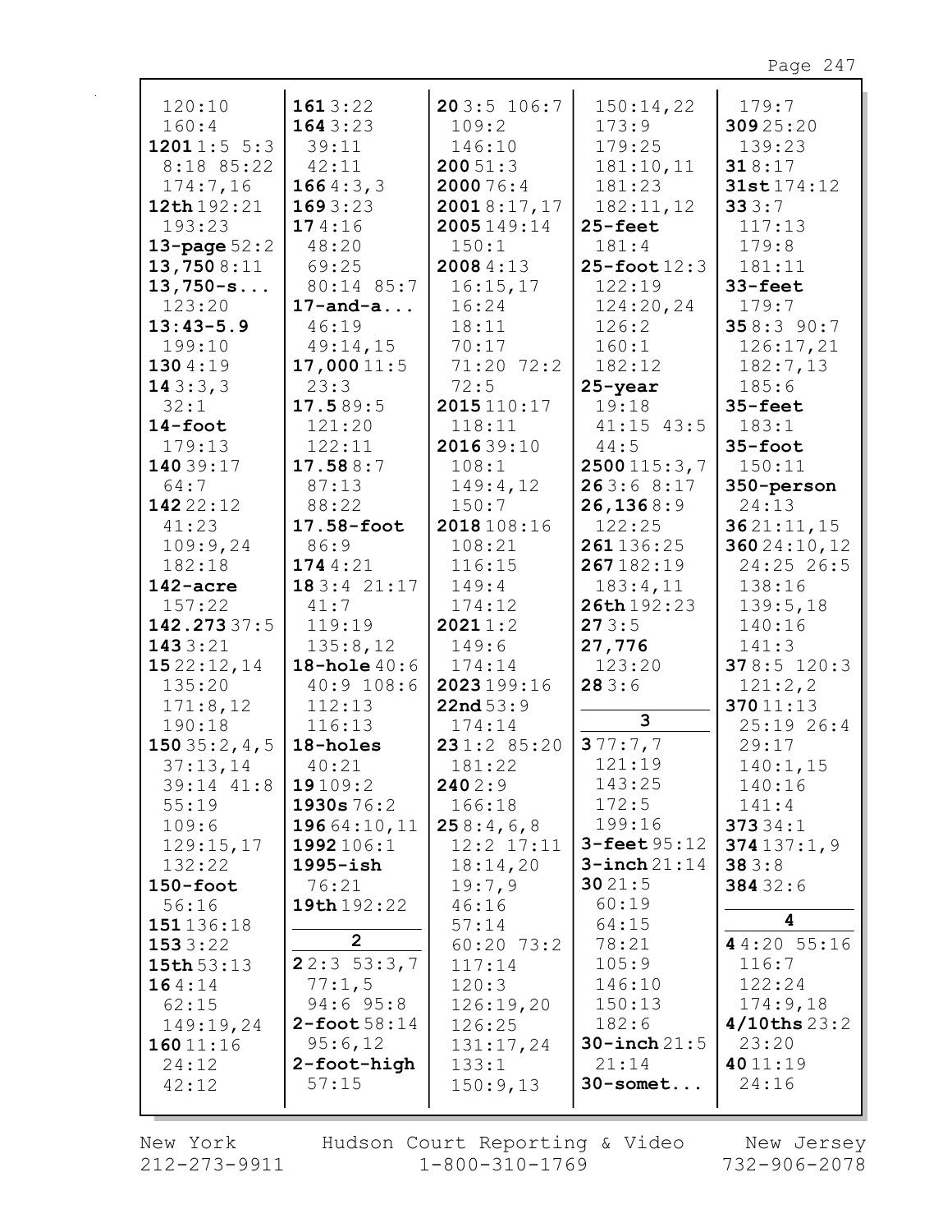| 120:10           | 1613:22            | 203:5106:7     | 150:14,22          | 179:7             |
|------------------|--------------------|----------------|--------------------|-------------------|
| 160:4            | 1643:23            | 109:2          | 173:9              | 30925:20          |
| 12011:55:3       | 39:11              | 146:10         | 179:25             | 139:23            |
| 8:18 85:22       | 42:11              | 20051:3        | 181:10,11          | 318:17            |
| 174:7,16         | 1664:3,3           | 2000 76:4      | 181:23             | 31st 174:12       |
| 12th 192:21      | 1693:23            | 20018:17,17    | 182:11,12          | 333:7             |
| 193:23           | 174:16             | 2005149:14     | $25 - feet$        | 117:13            |
| 13-page $52:2$   | 48:20              | 150:1          | 181:4              | 179:8             |
| 13,7508:11       | 69:25              | 2008 4:13      | $25$ -foot $12:3$  | 181:11            |
| $13,750-s$       | 80:14 85:7         | 16:15,17       | 122:19             | 33-feet           |
| 123:20           | $17$ -and-a        | 16:24          | 124:20,24          | 179:7             |
| $13:43-5.9$      | 46:19              | 18:11          | 126:2              | 358:390:7         |
| 199:10           | 49:14,15           | 70:17          | 160:1              | 126:17,21         |
| 1304:19          | 17,00011:5         | 71:20 72:2     | 182:12             | 182:7,13          |
| 143:3,3          | 23:3               | 72:5           | $25 - year$        | 185:6             |
| 32:1             | 17.589:5           | 2015 110:17    | 19:18              | $35 - feet$       |
| $14$ -foot       | 121:20             | 118:11         | $41:15$ $43:5$     | 183:1             |
| 179:13           | 122:11             | 201639:10      | 44:5               | $35 - foot$       |
| 14039:17         | 17.588:7           | 108:1          | 2500115:3,7        | 150:11            |
| 64:7             | 87:13              | 149:4,12       | 263:68:17          | 350-person        |
| 142 22:12        | 88:22              | 150:7          | 26, 1368:9         | 24:13             |
| 41:23            | 17.58-foot         | 2018 108:16    | 122:25             | 3621:11,15        |
| 109:9,24         | 86:9               | 108:21         | 261136:25          | 36024:10,12       |
| 182:18           | 1744:21            | 116:15         | 267182:19          | 24:25 26:5        |
| $142$ -acre      | 183:4 21:17        | 149:4          | 183:4,11           | 138:16            |
| 157:22           | 41:7               | 174:12         | 26th 192:23        | 139:5,18          |
| 142.27337:5      | 119:19             | 20211:2        | 273:5              | 140:16            |
| 1433:21          | 135:8,12           | 149:6          | 27,776             | 141:3             |
| 1522:12,14       | 18-hole $40:6$     | 174:14         | 123:20             | 378:5 120:3       |
| 135:20           | 40:9 108:6         | 2023199:16     | 283:6              | 121:2,2           |
| 171:8,12         | 112:13             | 22nd53:9       |                    | 37011:13          |
| 190:18           | 116:13             | 174:14         | 3                  | $25:19$ 26:4      |
| 150 $35:2, 4, 5$ | 18-holes           | 231:2 85:20    | 377:7,7            | 29:17             |
| 37:13,14         | 40:21              | 181:22         | 121:19             | 140:1,15          |
| 39:14 41:8       | 19109:2            | 2402:9         | 143:25             | 140:16            |
| 55:19            | 1930s 76:2         | 166:18         | 172:5              | 141:4             |
| 109:6            | 19664:10,11        | 258:4,6,8      | 199:16             | 37334:1           |
| 129:15,17        | 1992 106:1         | $12:2$ $17:11$ | $3 -$ feet $95:12$ | 374137:1,9        |
| 132:22           | $1995 - i sh$      | 18:14,20       | $3$ -inch $21:14$  | 383:8             |
| $150 - foot$     | 76:21              | 19:7,9         | 3021:5             | 384 32:6          |
| 56:16            | 19th 192:22        | 46:16          | 60:19              |                   |
| 151136:18        |                    | 57:14          | 64:15              | 4                 |
| 1533:22          | $\overline{2}$     | $60:20$ 73:2   | 78:21              | 44:20 55:16       |
| 15th 53:13       | 22:353:3,7         | 117:14         | 105:9              | 116:7             |
| 164:14           | 77:1,5             | 120:3          | 146:10             | 122:24            |
| 62:15            | $94:6$ $95:8$      | 126:19,20      | 150:13             | 174:9,18          |
| 149:19,24        | $2 -$ foot $58:14$ | 126:25         | 182:6              | $4/10$ ths $23:2$ |
| 16011:16         | 95:6,12            | 131:17,24      | $30$ -inch $21:5$  | 23:20             |
| 24:12            | 2-foot-high        | 133:1          | 21:14              | 4011:19           |
| 42:12            | 57:15              | 150:9,13       | $30$ -somet        | 24:16             |
|                  |                    |                |                    |                   |

New York 212-273-9911 Hudson Court Reporting & Video<br>1-800-310-1769